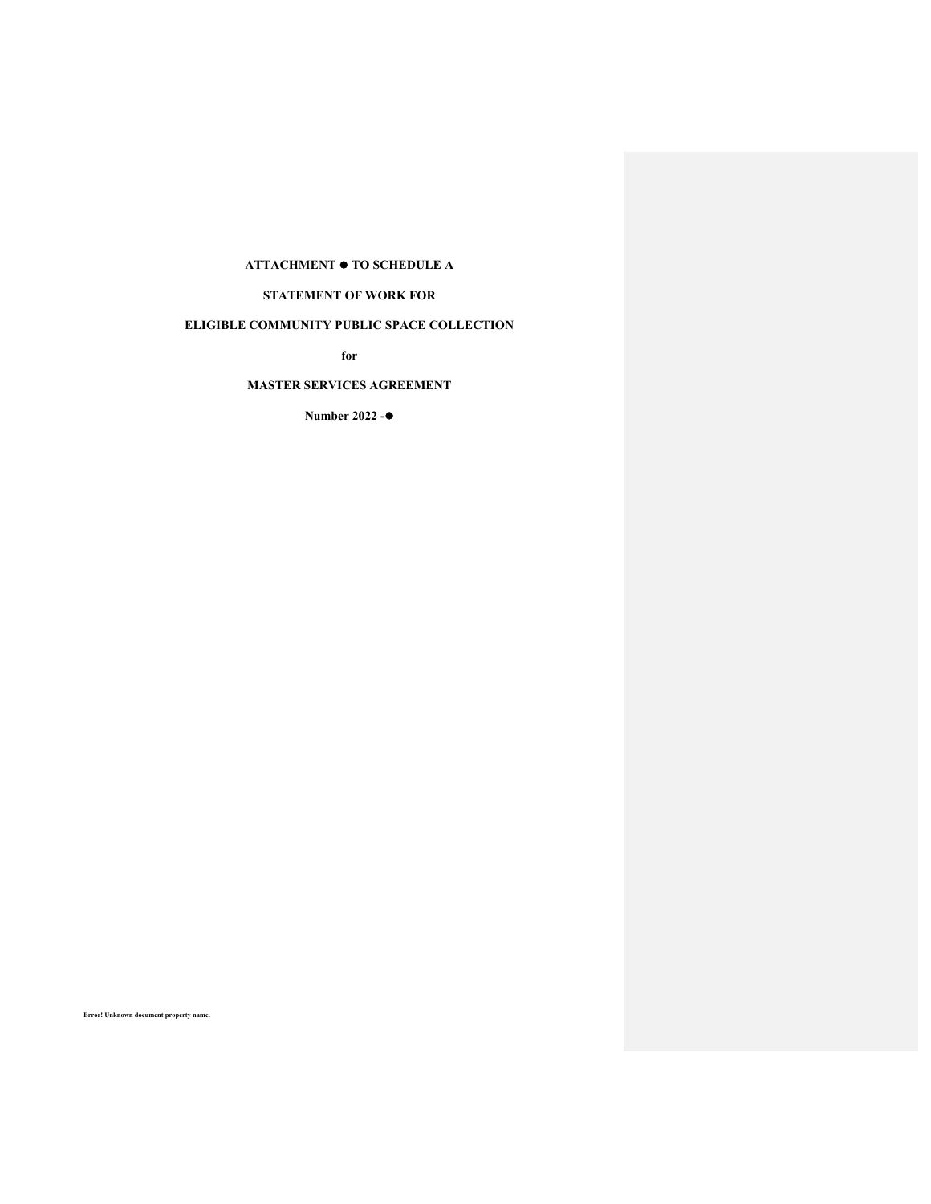# **ATTACHMENT TO SCHEDULE A**

# **STATEMENT OF WORK FOR**

# **ELIGIBLE COMMUNITY PUBLIC SPACE COLLECTION**

**for** 

# **MASTER SERVICES AGREEMENT**

**Number 2022 -**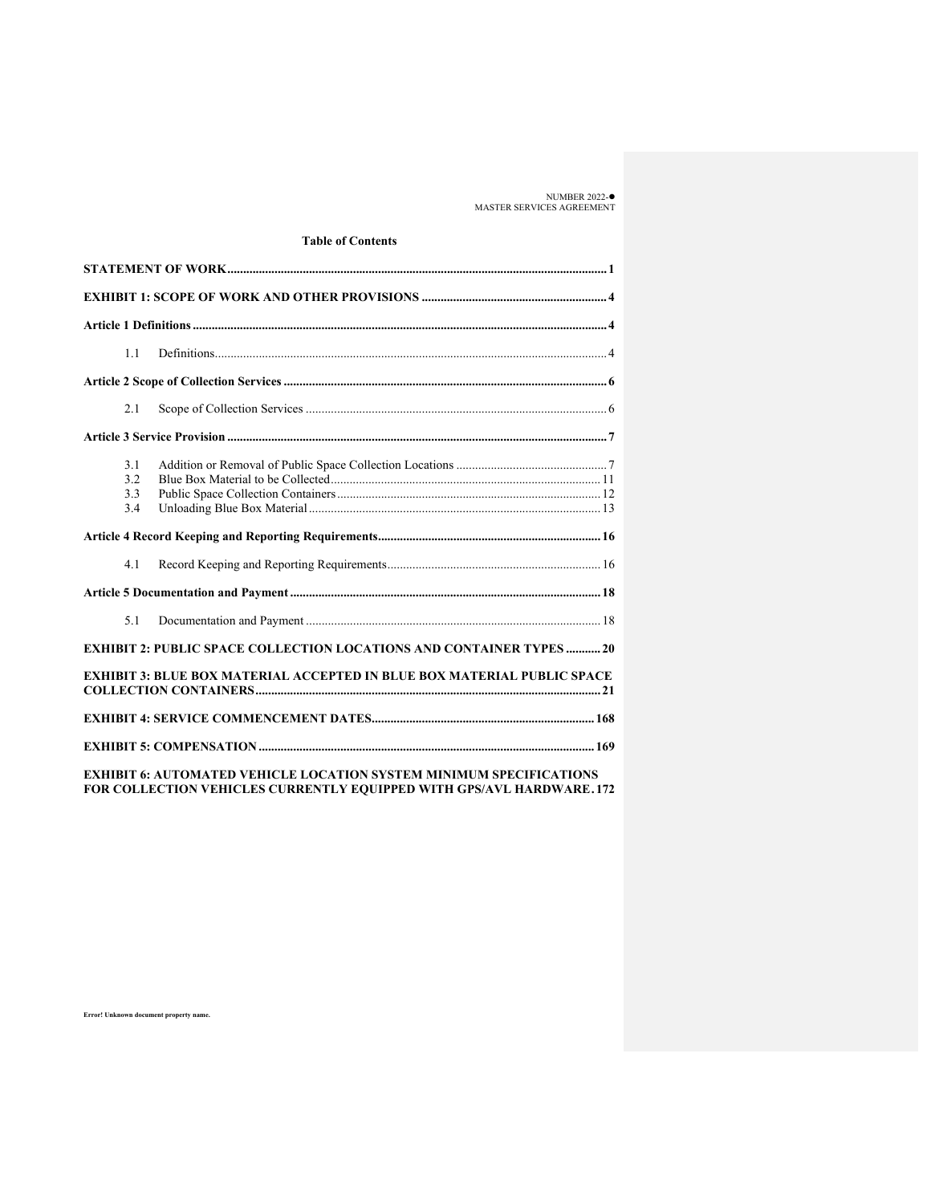NUMBER 2022- MASTER SERVICES AGREEMENT

# **Table of Contents**

| 1.1                      |                                                                                |  |
|--------------------------|--------------------------------------------------------------------------------|--|
|                          |                                                                                |  |
| 2.1                      |                                                                                |  |
|                          |                                                                                |  |
| 3.1<br>3.2<br>3.3<br>3.4 |                                                                                |  |
|                          |                                                                                |  |
| 4.1                      |                                                                                |  |
|                          |                                                                                |  |
| 5.1                      |                                                                                |  |
|                          | <b>EXHIBIT 2: PUBLIC SPACE COLLECTION LOCATIONS AND CONTAINER TYPES  20</b>    |  |
|                          | <b>EXHIBIT 3: BLUE BOX MATERIAL ACCEPTED IN BLUE BOX MATERIAL PUBLIC SPACE</b> |  |
|                          |                                                                                |  |
|                          |                                                                                |  |

**EXHIBIT 6: AUTOMATED VEHICLE LOCATION SYSTEM MINIMUM SPECIFICATIONS FOR COLLECTION VEHICLES CURRENTLY EQUIPPED WITH GPS/AVL HARDWARE . 172**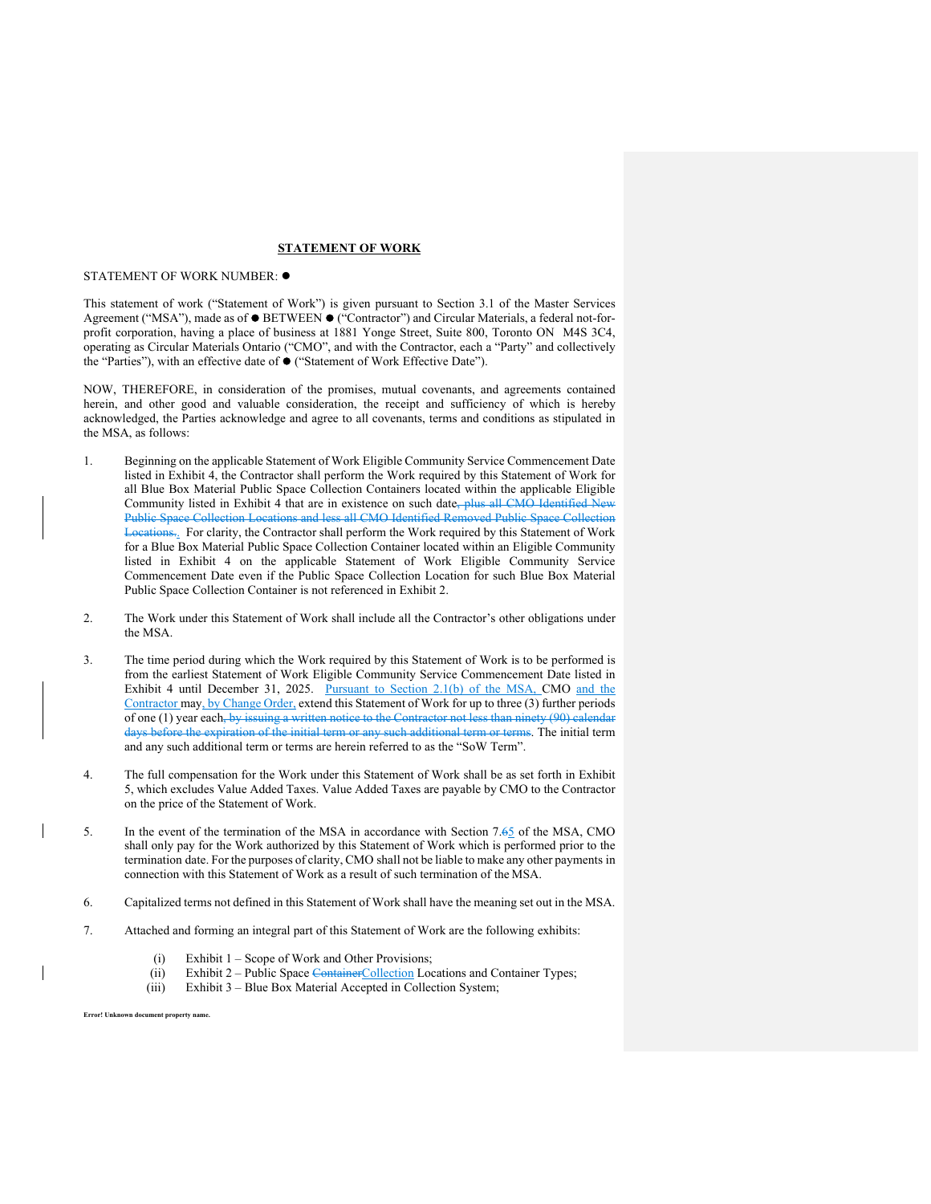#### **STATEMENT OF WORK**

#### STATEMENT OF WORK NUMBER:  $\bullet$

This statement of work ("Statement of Work") is given pursuant to Section 3.1 of the Master Services Agreement ("MSA"), made as of  $\bullet$  BETWEEN  $\bullet$  ("Contractor") and Circular Materials, a federal not-forprofit corporation, having a place of business at 1881 Yonge Street, Suite 800, Toronto ON M4S 3C4, operating as Circular Materials Ontario ("CMO", and with the Contractor, each a "Party" and collectively the "Parties"), with an effective date of ("Statement of Work Effective Date").

NOW, THEREFORE, in consideration of the promises, mutual covenants, and agreements contained herein, and other good and valuable consideration, the receipt and sufficiency of which is hereby acknowledged, the Parties acknowledge and agree to all covenants, terms and conditions as stipulated in the MSA, as follows:

- 1. Beginning on the applicable Statement of Work Eligible Community Service Commencement Date listed in Exhibit 4, the Contractor shall perform the Work required by this Statement of Work for all Blue Box Material Public Space Collection Containers located within the applicable Eligible Community listed in Exhibit 4 that are in existence on such date, plus all CMO Identified New Public Space Collection Locations and less all CMO Identified Removed Public Space Collection Let<sub>1</sub> For clarity, the Contractor shall perform the Work required by this Statement of Work for a Blue Box Material Public Space Collection Container located within an Eligible Community listed in Exhibit 4 on the applicable Statement of Work Eligible Community Service Commencement Date even if the Public Space Collection Location for such Blue Box Material Public Space Collection Container is not referenced in Exhibit 2.
- 2. The Work under this Statement of Work shall include all the Contractor's other obligations under the MSA.
- 3. The time period during which the Work required by this Statement of Work is to be performed is from the earliest Statement of Work Eligible Community Service Commencement Date listed in Exhibit 4 until December 31, 2025. Pursuant to Section 2.1(b) of the MSA, CMO and the Contractor may, by Change Order, extend this Statement of Work for up to three (3) further periods of one (1) year each, by issuing a written notice to the Contractor not less than ninety (90) calendar days before the expiration of the initial term or any such additional term or terms. The initial term and any such additional term or terms are herein referred to as the "SoW Term".
- 4. The full compensation for the Work under this Statement of Work shall be as set forth in Exhibit 5, which excludes Value Added Taxes. Value Added Taxes are payable by CMO to the Contractor on the price of the Statement of Work.
- 5. In the event of the termination of the MSA in accordance with Section 7.65 of the MSA, CMO shall only pay for the Work authorized by this Statement of Work which is performed prior to the termination date. For the purposes of clarity, CMO shall not be liable to make any other payments in connection with this Statement of Work as a result of such termination of the MSA.
- 6. Capitalized terms not defined in this Statement of Work shall have the meaning set out in the MSA.
- 7. Attached and forming an integral part of this Statement of Work are the following exhibits:
	- (i) Exhibit 1 Scope of Work and Other Provisions;
	- (ii) Exhibit 2 Public Space Container Collection Locations and Container Types;
	- (iii) Exhibit 3 Blue Box Material Accepted in Collection System;

 **Error! Unknown document property name.**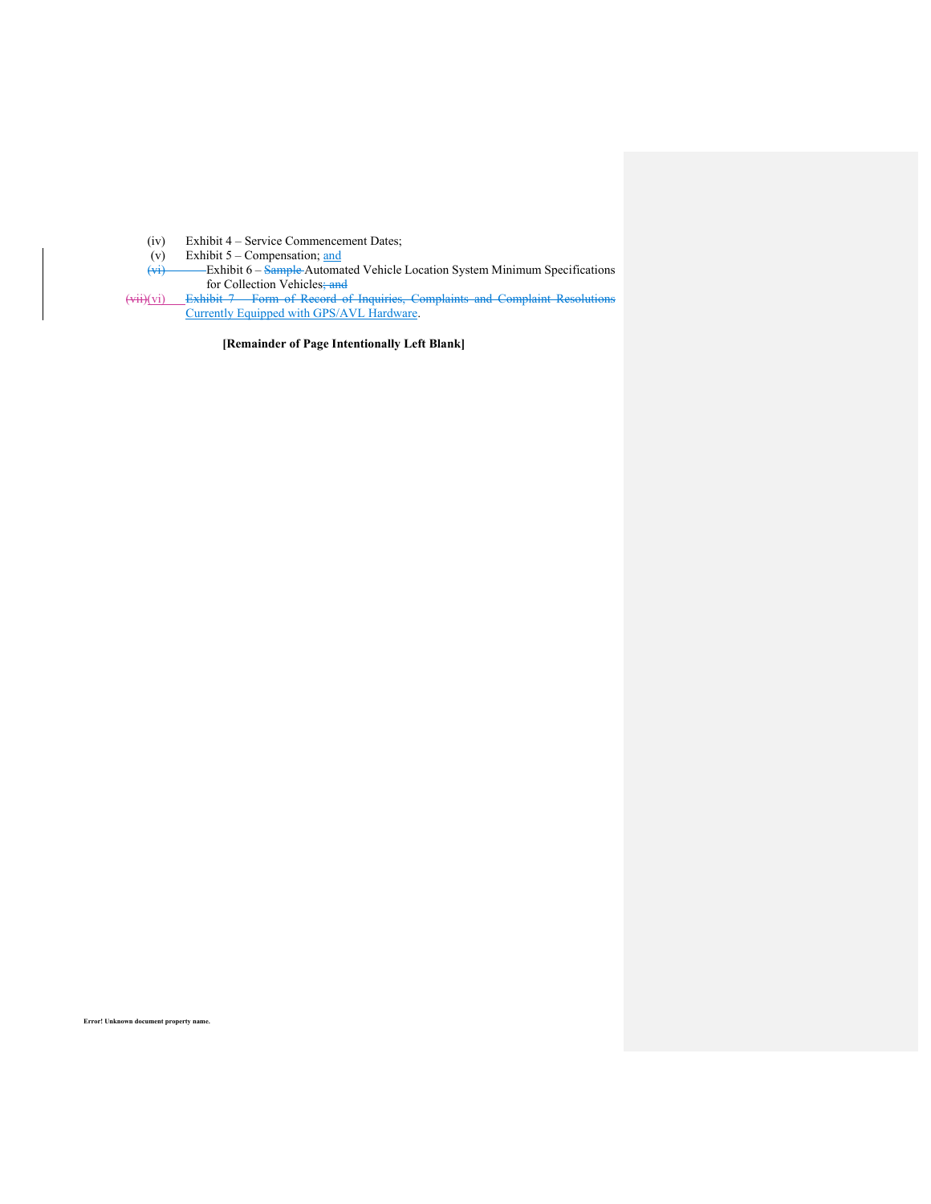- (iv) Exhibit 4 Service Commencement Dates;
- (v) Exhibit 5 Compensation; and
- (vi) Exhibit 6 Sample Automated Vehicle Location System Minimum Specifications for Collection Vehicles; and
- (vii)(vi) Exhibit 7 Form of Record of Inquiries, Complaints and Complaint Resolutions Currently Equipped with GPS/AVL Hardware.

**[Remainder of Page Intentionally Left Blank]**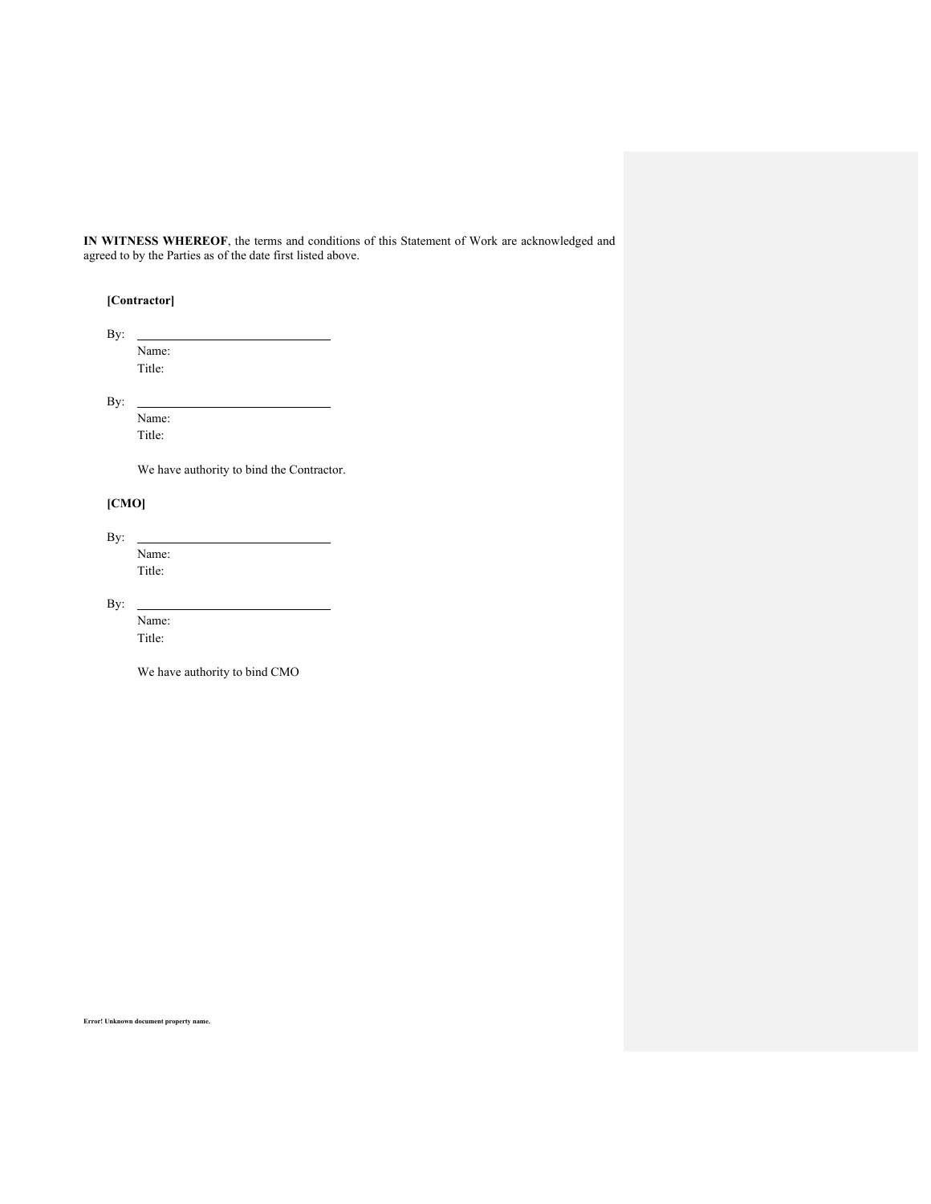**IN WITNESS WHEREOF**, the terms and conditions of this Statement of Work are acknowledged and agreed to by the Parties as of the date first listed above.

# **[Contractor]**

By: Name: Title:

By:

Name: Title:

We have authority to bind the Contractor.

# **[CMO]**

By: Name: Title:

By:

 $\overline{a}$ 

Name: Title:

We have authority to bind CMO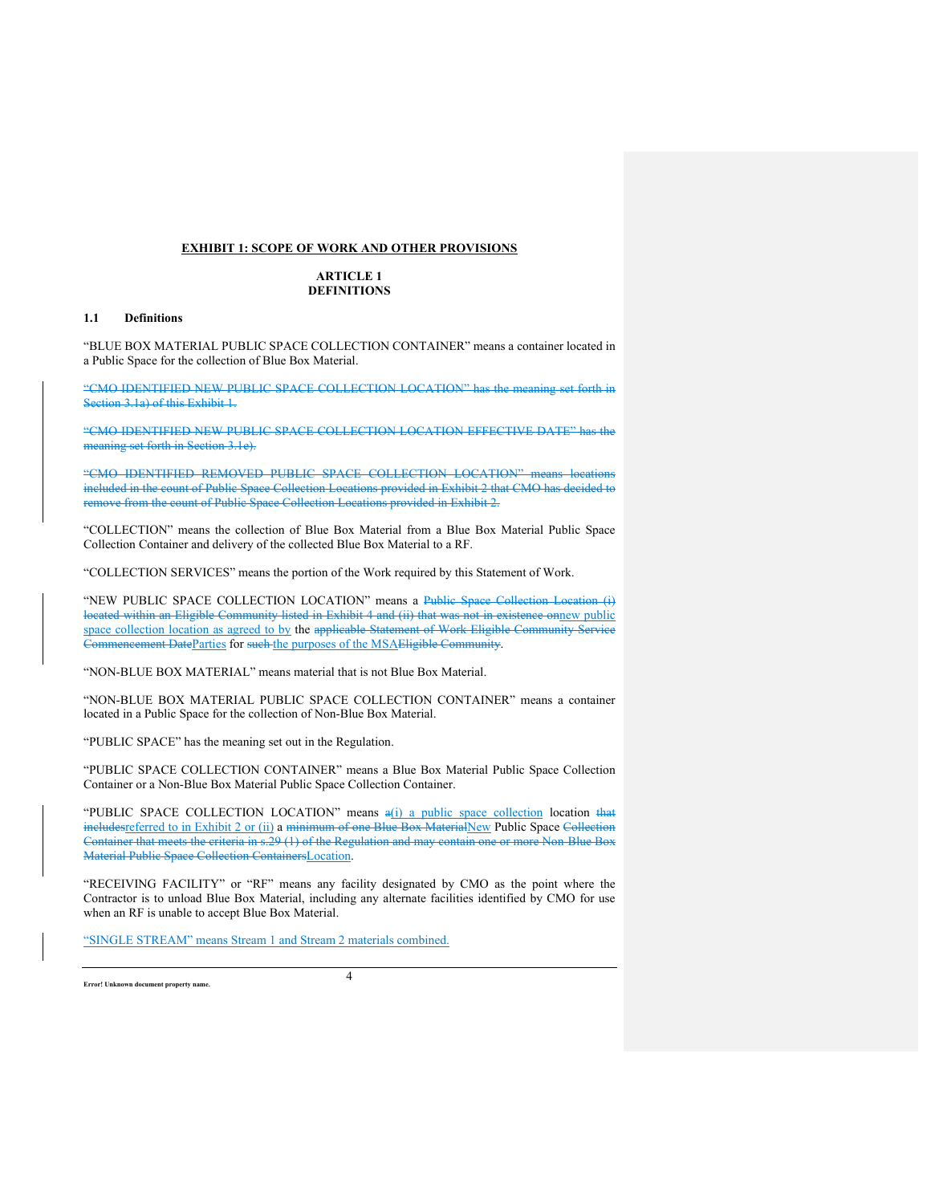## **EXHIBIT 1: SCOPE OF WORK AND OTHER PROVISIONS**

## **ARTICLE 1 DEFINITIONS**

### **1.1 Definitions**

"BLUE BOX MATERIAL PUBLIC SPACE COLLECTION CONTAINER" means a container located in a Public Space for the collection of Blue Box Material.

"CMO IDENTIFIED NEW PUBLIC SPACE COLLECTION LOCATION" has the meaning set forth in Section 3.1a) of this Exhibit 1.

"CMO IDENTIFIED NEW PUBLIC SPACE COLLECTION LOCATION EFFECTIVE DATE" has the meaning set forth in Section 3.1e).

"CMO IDENTIFIED REMOVED PUBLIC SPACE COLLECTION LOCATION" means locations included in the count of Public Space Collection Locations provided in Exhibit 2 that CMO has decided to remove from the count of Public Space Collection Locations provided in Exhibit 2.

"COLLECTION" means the collection of Blue Box Material from a Blue Box Material Public Space Collection Container and delivery of the collected Blue Box Material to a RF.

"COLLECTION SERVICES" means the portion of the Work required by this Statement of Work.

"NEW PUBLIC SPACE COLLECTION LOCATION" means a Public Space Collection Location (i) located within an Eligible Community listed in Exhibit 4 and (ii) that was not in existence onnew public space collection location as agreed to by the applicable Statement of Work Eligible Community Service Commencement DateParties for such the purposes of the MSAEligible Community.

"NON-BLUE BOX MATERIAL" means material that is not Blue Box Material.

"NON-BLUE BOX MATERIAL PUBLIC SPACE COLLECTION CONTAINER" means a container located in a Public Space for the collection of Non-Blue Box Material.

"PUBLIC SPACE" has the meaning set out in the Regulation.

"PUBLIC SPACE COLLECTION CONTAINER" means a Blue Box Material Public Space Collection Container or a Non-Blue Box Material Public Space Collection Container.

"PUBLIC SPACE COLLECTION LOCATION" means  $a(i)$  a public space collection location that includesreferred to in Exhibit 2 or (ii) a minimum of one Blue Box MaterialNew Public Space Collection Container that meets the criteria in s.29 (1) of the Regulation and may contain one or more Non-Blue Box Material Public Space Collection ContainersLocation.

"RECEIVING FACILITY" or "RF" means any facility designated by CMO as the point where the Contractor is to unload Blue Box Material, including any alternate facilities identified by CMO for use when an RF is unable to accept Blue Box Material.

"SINGLE STREAM" means Stream 1 and Stream 2 materials combined.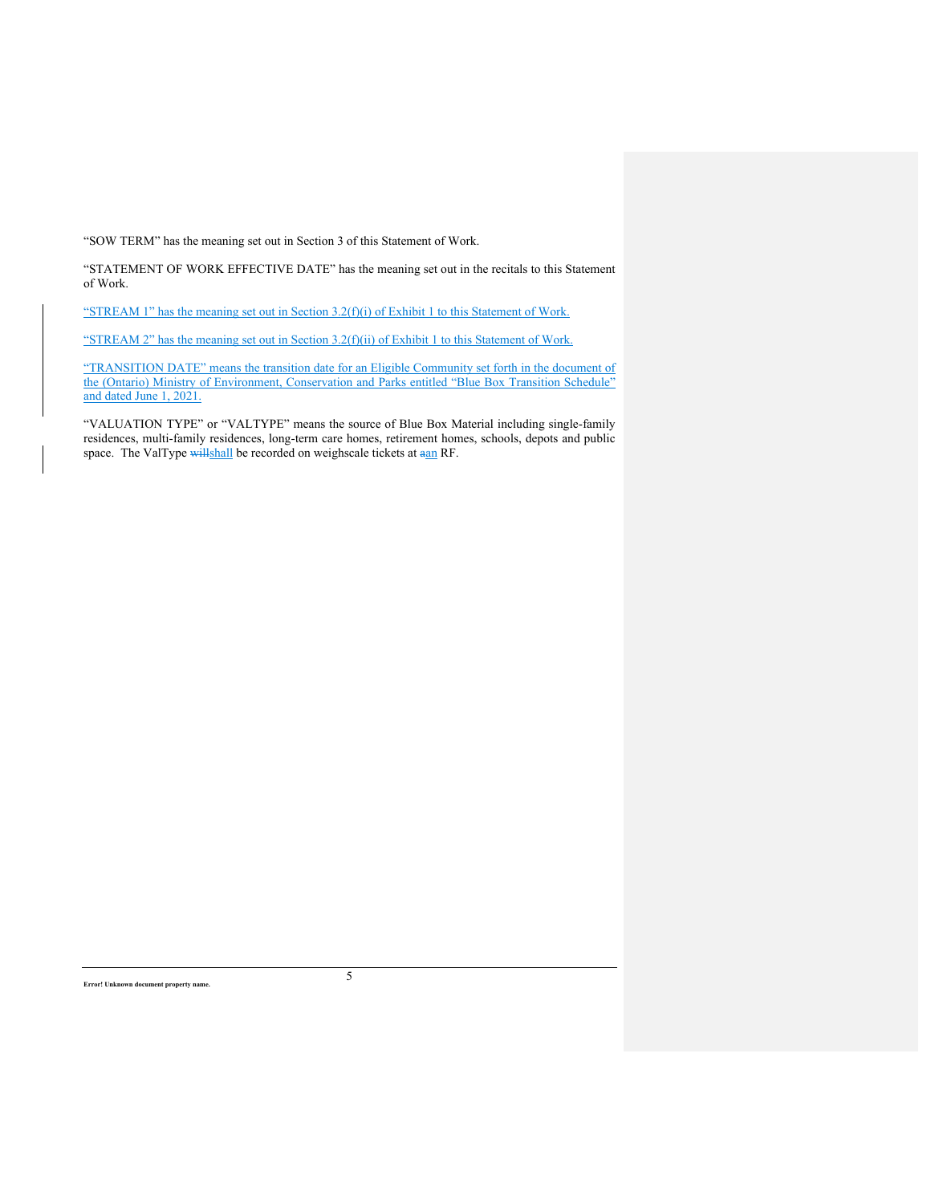"SOW TERM" has the meaning set out in Section 3 of this Statement of Work.

"STATEMENT OF WORK EFFECTIVE DATE" has the meaning set out in the recitals to this Statement of Work.

"STREAM 1" has the meaning set out in Section 3.2(f)(i) of Exhibit 1 to this Statement of Work.

"STREAM 2" has the meaning set out in Section 3.2(f)(ii) of Exhibit 1 to this Statement of Work.

"TRANSITION DATE" means the transition date for an Eligible Community set forth in the document of the (Ontario) Ministry of Environment, Conservation and Parks entitled "Blue Box Transition Schedule" and dated June 1, 2021.

"VALUATION TYPE" or "VALTYPE" means the source of Blue Box Material including single-family residences, multi-family residences, long-term care homes, retirement homes, schools, depots and public space. The ValType willshall be recorded on weighscale tickets at  $\frac{a}{n}$ RF.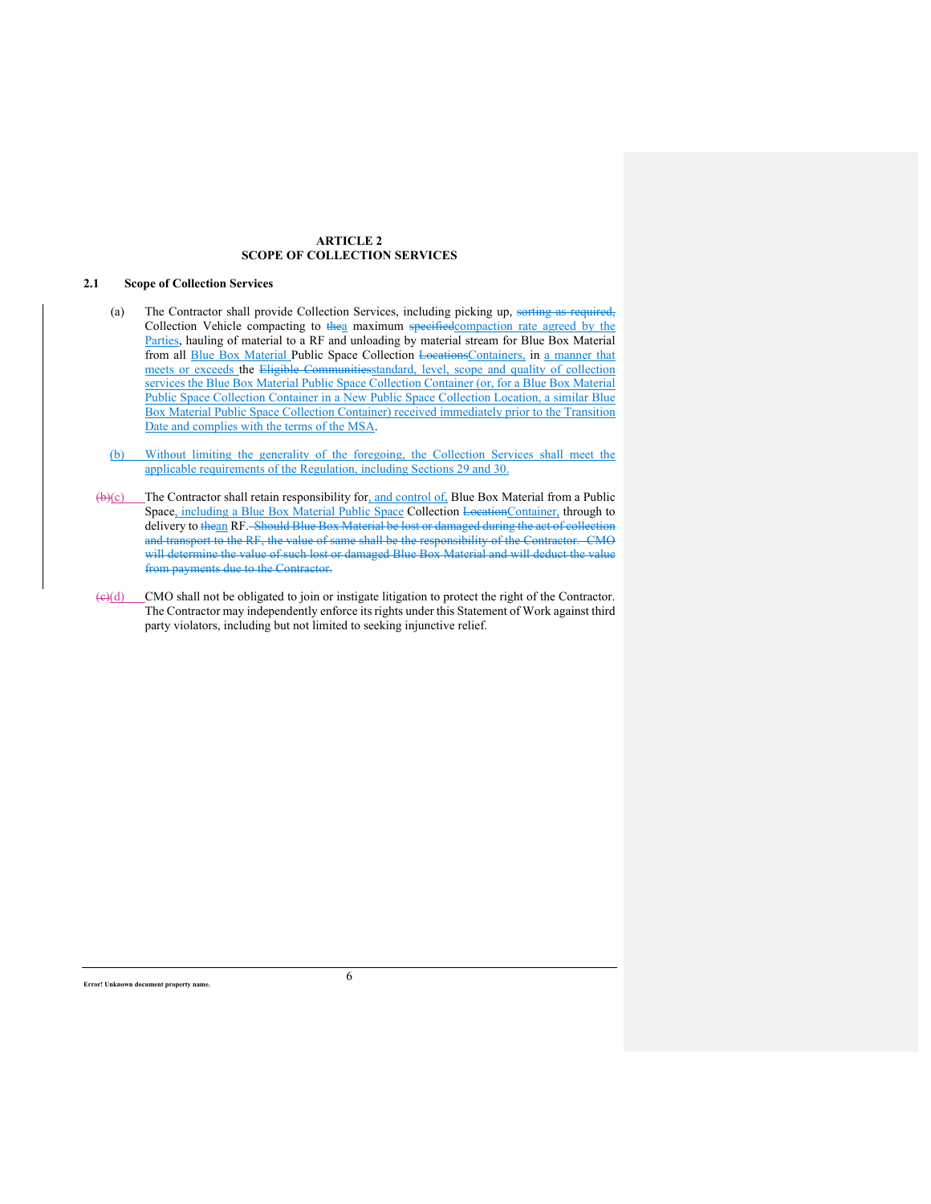## **ARTICLE 2 SCOPE OF COLLECTION SERVICES**

## **2.1 Scope of Collection Services**

- (a) The Contractor shall provide Collection Services, including picking up, sorting as re Collection Vehicle compacting to thea maximum specified compaction rate agreed by the Parties, hauling of material to a RF and unloading by material stream for Blue Box Material from all **Blue Box Material Public Space Collection Locations**Containers, in a manner that meets or exceeds the Eligible Communitiesstandard, level, scope and quality of collection services the Blue Box Material Public Space Collection Container (or, for a Blue Box Material Public Space Collection Container in a New Public Space Collection Location, a similar Blue Box Material Public Space Collection Container) received immediately prior to the Transition Date and complies with the terms of the MSA.
- (b) Without limiting the generality of the foregoing, the Collection Services shall meet the applicable requirements of the Regulation, including Sections 29 and 30.
- $(\theta)(c)$  The Contractor shall retain responsibility for, and control of, Blue Box Material from a Public Space, including a Blue Box Material Public Space Collection LocationContainer, through to delivery to thean RF. Should Blue Box Material be lost or damaged during the act of collection and transport to the RF, the value of same shall be the responsibility of the Contractor. CMO will determine the value of such lost or damaged Blue Box Material and will deduct the value from payments due to the Contractor.
- $\left(\frac{c}{d}\right)$  CMO shall not be obligated to join or instigate litigation to protect the right of the Contractor. The Contractor may independently enforce its rights under this Statement of Work against third party violators, including but not limited to seeking injunctive relief.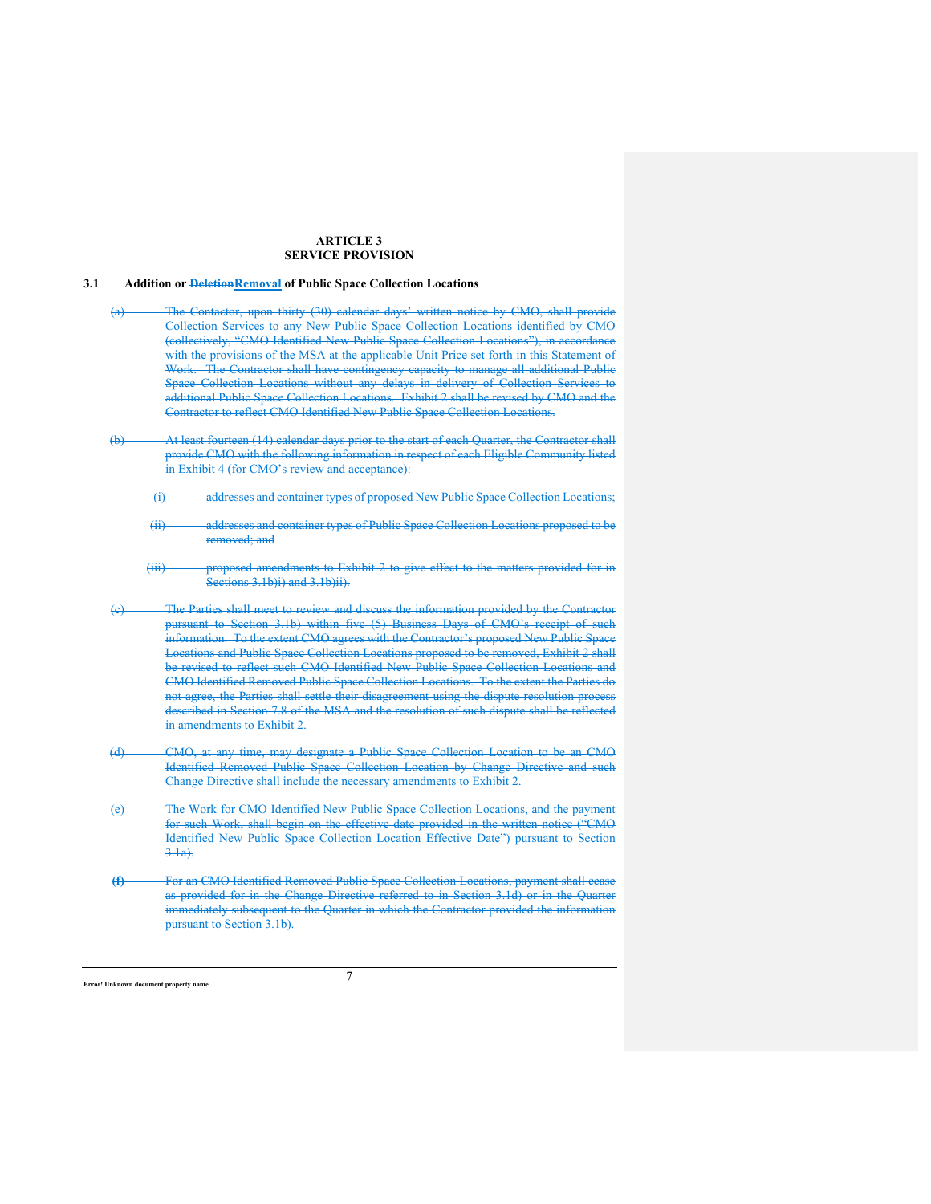## **ARTICLE 3 SERVICE PROVISION**

#### **3.1 Addition or DeletionRemoval of Public Space Collection Locations**

- Contactor, upon thirty (30) calendar days' written notice by CMO, shall provide Collection Services to any New Public Space Collection Locations identified by CMO (collectively, "CMO Identified New Public Space Collection Locations"), in accordance with the provisions of the MSA at the applicable Unit Price set forth in this Statement of Work. The Contractor shall have contingency capacity to manage all additional Public Space Collection Locations without any delays in delivery of Collection Services to additional Public Space Collection Locations. Exhibit 2 shall be revised by CMO and the Contractor to reflect CMO Identified New Public Space Collection Location
- (b) At least fourteen (14) calendar days prior to the start of each Quarter, the Contractor shall provide CMO with the following information in respect of each Eligible Community listed in Exhibit 4 (for CMO's review and acceptance):
	- (i) addresses and container types of proposed New Public Space Collection Locations;
	- (ii) addresses and container types of Public Space Collection Locations proposed to be removed; and
	- (iii) proposed amendments to Exhibit 2 to give effect to the matters provided for in Sections 3.1b)i) and 3.1b)ii).
- (c) The Parties shall meet to review and discuss the information provided by the Contractor pursuant to Section 3.1b) within five (5) Business Days of CMO's receipt of such information. To the extent CMO agrees with the Contractor's proposed New Public Space Locations and Public Space Collection Locations proposed to be removed, Exhibit 2 shall be revised to reflect such CMO Identified New Public Space Collection Locations and CMO Identified Removed Public Space Collection Locations. To the extent the Parties do not agree, the Parties shall settle their disagreement using the dispute resolution process described in Section 7.8 of the MSA and the resolution of such dispute shall be reflected in amendments to Exhibit 2.
- (d) CMO, at any time, may designate a Public Space Collection Location to be an CMO Identified Removed Public Space Collection Location by Change Directive and such Change Directive shall include the necessary amendments to Exhibit 2.
- (e) The Work for CMO Identified New Public Space Collection Locations, and the payment for such Work, shall begin on the effective date provided in the written notice ("CMO Identified New Public Space Collection Location Effective Date") pursuant to Section 3.1a).
- **(f)** For an CMO Identified Removed Public Space Collection Locations, payment shall cease as provided for in the Change Directive referred to in Section 3.1d) or in the Quarter immediately subsequent to the Quarter in which the Contractor provided the information pursuant to Section 3.1b).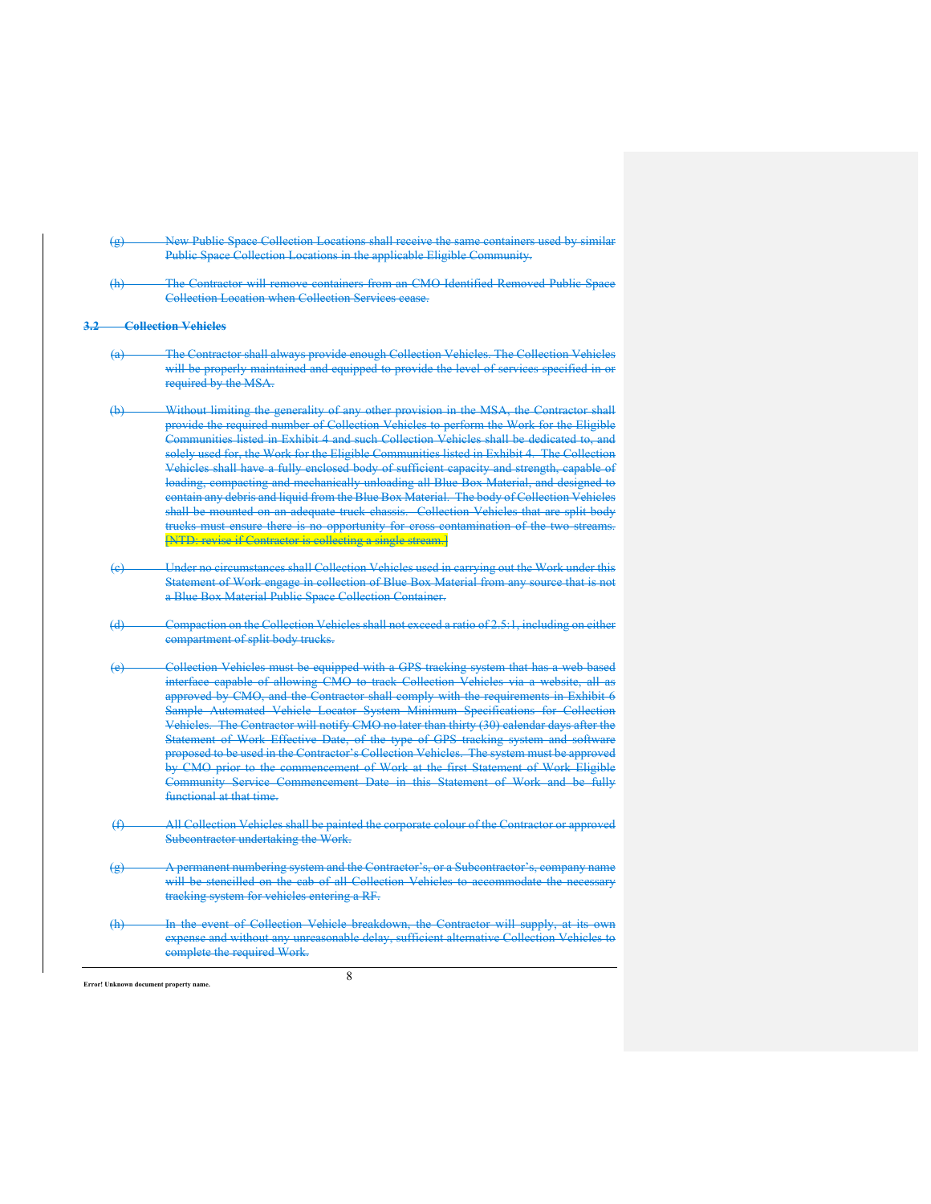- (g) New Public Space Collection Locations shall receive the same containers used by similar Public Space Collection Locations in the applicable Eligible Community.
- The Contractor will remove containers from an CMO Identified Removed Public Space Collection Location when Collection Services cease.

#### **3.2 Collection Vehicles**

- (a) The Contractor shall always provide enough Collection Vehicles. The Collection Vehicles will be properly maintained and equipped to provide the level of services specified in or required by the MSA.
- (b) Without limiting the generality of any other provision in the MSA, the Contractor shall provide the required number of Collection Vehicles to perform the Work for the Eligible Communities listed in Exhibit 4 and such Collection Vehicles shall be dedicated to, and solely used for, the Work for the Eligible Communities listed in Exhibit 4. The Collection Vehicles shall have a fully enclosed body of sufficient capacity and strength, capable of loading, compacting and mechanically unloading all Blue Box Material, and designed to contain any debris and liquid from the Blue Box Material. The body of Collection Vehicles shall be mounted on an adequate truck chassis. Collection Vehicles that are split-body trucks must ensure there is no opportunity for cross-contamination of the two streams. [NTD: revise if Contractor is collecting a single stream.]
- Under no circumstances shall Collection Vehicles used in carrying out the Work under this Statement of Work engage in collection of Blue Box Material from any source that is not a Blue Box Material Public Space Collection Container.
- (d) Compaction on the Collection Vehicles shall not exceed a ratio of 2.5:1, including on either compartment of split body trucks.
- Collection Vehicles must be equipped with a GPS tracking system that has a web-based interface capable of allowing CMO to track Collection Vehicles via a website, all as approved by CMO, and the Contractor shall comply with the requirements in Exhibit 6 Sample Automated Vehicle Locator System Minimum Specifications for Collection Vehicles. The Contractor will notify CMO no later than thirty (30) calendar days after the Statement of Work Effective Date, of the type of GPS tracking system and software proposed to be used in the Contractor's Collection Vehicles. The system must be approved by CMO prior to the commencement of Work at the first Statement of Work Eligible Community Service Commencement Date in this Statement of Work and be fully functional at that time.
- (f) All Collection Vehicles shall be painted the corporate colour of the Contractor or approved Subcontractor undertaking the Work.
- (g) A permanent numbering system and the Contractor's, or a Subcontractor's, company name will be stencilled on the cab of all Collection Vehicles to accommodate the neces tracking system for vehicles entering a RF.
- (h) In the event of Collection Vehicle breakdown, the Contractor will supply, at its expense and without any unreasonable delay, sufficient alternative Collection Vehicles to complete the required Work.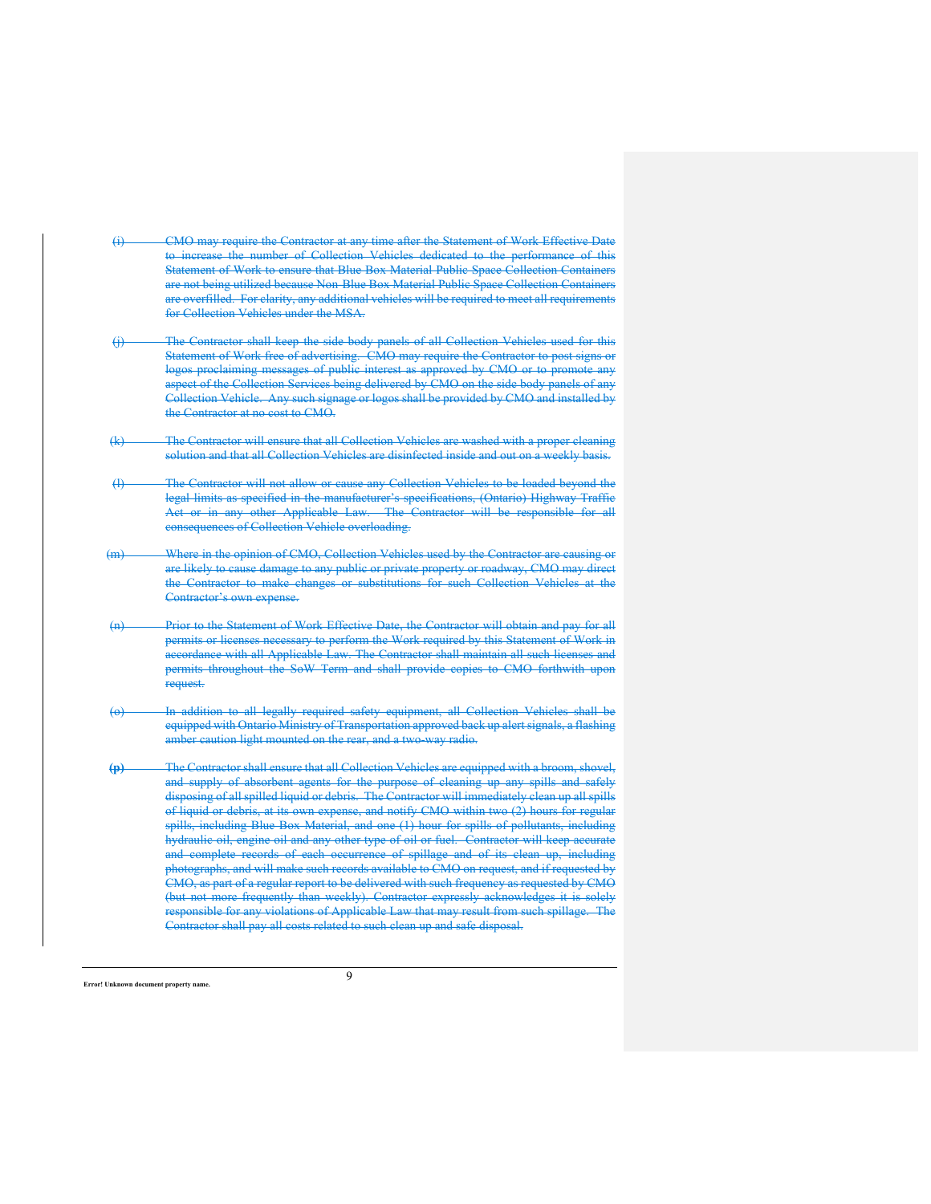- (i) CMO may require the Contractor at any time after the Statement of Work Effective Date to increase the number of Collection Vehicles dedicated to the performance of this Statement of Work to ensure that Blue Box Material Public Space Collection Containers are not being utilized because Non-Blue Box Material Public Space Collection Containers are overfilled. For clarity, any additional vehicles will be required to meet all requirements for Collection Vehicles under the MSA.
- (j) The Contractor shall keep the side body panels of all Collection Vehicles used for this Statement of Work free of advertising. CMO may require the Contractor to post signs or logos proclaiming messages of public interest as approved by CMO or to promote any aspect of the Collection Services being delivered by CMO on the side body panels of any Collection Vehicle. Any such signage or logos shall be provided by CMO and installed by the Contractor at no cost to CMO.
- (k) The Contractor will ensure that all Collection Vehicles are washed with a proper cleaning solution and that all Collection Vehicles are disinfected inside and out on a weekly basis.
- (l) The Contractor will not allow or cause any Collection Vehicles to be loaded beyond the legal limits as specified in the manufacturer's specifications, (Ontario) Highway Traffic Act or in any other Applicable Law. The Contractor will be responsible for all consequences of Collection Vehicle overloading.
- Where in the opinion of CMO, Collection Vehicles used by the Contractor are causing or are likely to cause damage to any public or private property or roadway, CMO may direct the Contractor to make changes or substitutions for such Collection Vehicles at the Contractor's own expense.
- (n) Prior to the Statement of Work Effective Date, the Contractor will obtain and pay for all permits or licenses necessary to perform the Work required by this Statement of Work in accordance with all Applicable Law. The Contractor shall maintain all such licenses and permits throughout the SoW Term and shall provide copies to CMO forthwith upon request.
- (o) In addition to all legally required safety equipment, all Collection Vehicles shall be equipped with Ontario Ministry of Transportation approved back up alert signals, a flashing amber caution light mounted on the rear, and a two-way radio.
- **(p)** The Contractor shall ensure that all Collection Vehicles are equipped with a broom, shovel, and supply of absorbent agents for the purpose of cleaning up any spills and safely disposing of all spilled liquid or debris. The Contractor will immediately clean up all spills of liquid or debris, at its own expense, and notify CMO within two (2) hours for regular spills, including Blue Box Material, and one (1) hour for spills of pollutants, including hydraulic oil, engine oil and any other type of oil or fuel. Contractor will keep and complete records of each occurrence of spillage and of its clean up, including photographs, and will make such records available to CMO on request, and if requested by CMO, as part of a regular report to be delivered with such frequency as requested by CMO (but not more frequently than weekly). Contractor expressly acknowledges it is solely responsible for any violations of Applicable Law that may result from such spillage. The Contractor shall pay all costs related to such clean up and safe disposal.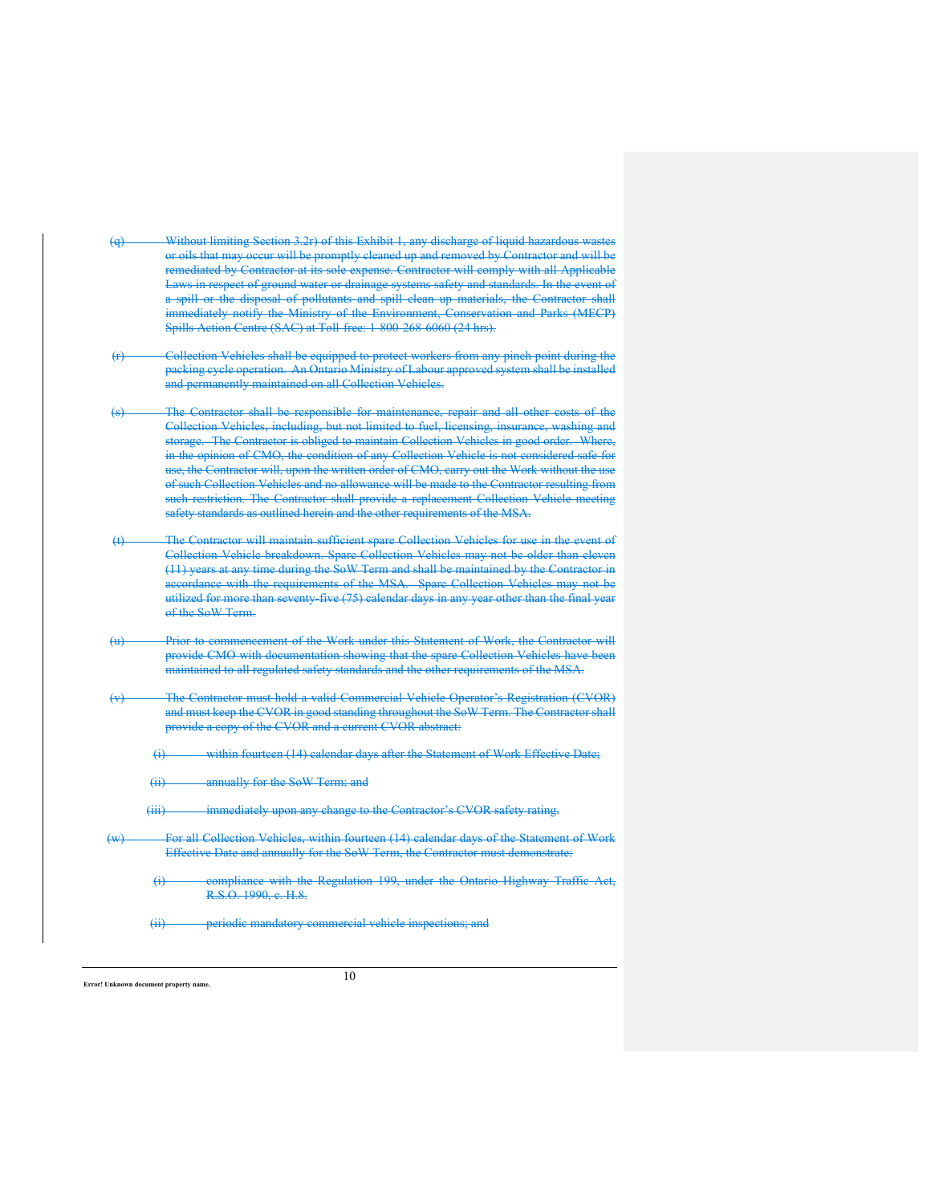- (q) Without limiting Section 3.2r) of this Exhibit 1, any discharge of liquid hazardous was or oils that may occur will be promptly cleaned up and removed by Contractor and will be remediated by Contractor at its sole expense. Contractor will comply with all Applicable Laws in respect of ground water or drainage systems safety and standards. In the event of a spill or the disposal of pollutants and spill clean up materials, the Contractor shall immediately notify the Ministry of the Environment, Conservation and Parks (MECP) Spills Action Centre (SAC) at Toll-free: 1-800-268-6060 (24 hrs).
- Collection Vehicles shall be equipped to protect workers from any pinch point during the packing cycle operation. An Ontario Ministry of Labour approved system shall be installed and permanently maintained on all Collection Vehicles.
- The Contractor shall be responsible for maintenance, repair and all other costs of the Collection Vehicles, including, but not limited to fuel, licensing, insurance, washing and storage. The Contractor is obliged to maintain Collection Vehicles in good order. Where, in the opinion of CMO, the condition of any Collection Vehicle is not considered safe for use, the Contractor will, upon the written order of CMO, carry out the Work without the use of such Collection Vehicles and no allowance will be made to the Contractor resulting from such restriction. The Contractor shall provide a replacement Collection Vehicle meeting safety standards as outlined herein and the other requirements of the MSA.
- (t) The Contractor will maintain sufficient spare Collection Vehicles for use in the event of Collection Vehicle breakdown. Spare Collection Vehicles may not be older than eleven (11) years at any time during the SoW Term and shall be maintained by the Contractor in accordance with the requirements of the MSA. Spare Collection Vehicles may not be utilized for more than seventy-five (75) calendar days in any year other than the final year of the SoW Term.
- (u) Prior to commencement of the Work under this Statement of Work, the Contractor will provide CMO with documentation showing that the spare Collection Vehicles have been maintained to all regulated safety standards and the other requirements of the MSA.
- The Contractor must hold a valid Commercial Vehicle Operator's Registration (CVOR) and must keep the CVOR in good standing throughout the SoW Term. The Contractor shall provide a copy of the CVOR and a current CVOR abstract:

(i) within fourteen (14) calendar days after the Statement of Work Effective Date;

(ii) annually for the SoW Term; and

(iii) immediately upon any change to the Contractor's CVOR safety rating.

For all Collection Vehicles, within fourteen (14) calendar days of the Statement of Work Effective Date and annually for the SoW Term, the Contractor must demonstrate:

(i) compliance with the Regulation 199, under the Ontario Highway Traffic Act, R.S.O. 1990, c. H.8.

(ii) periodic mandatory commercial vehicle inspections; and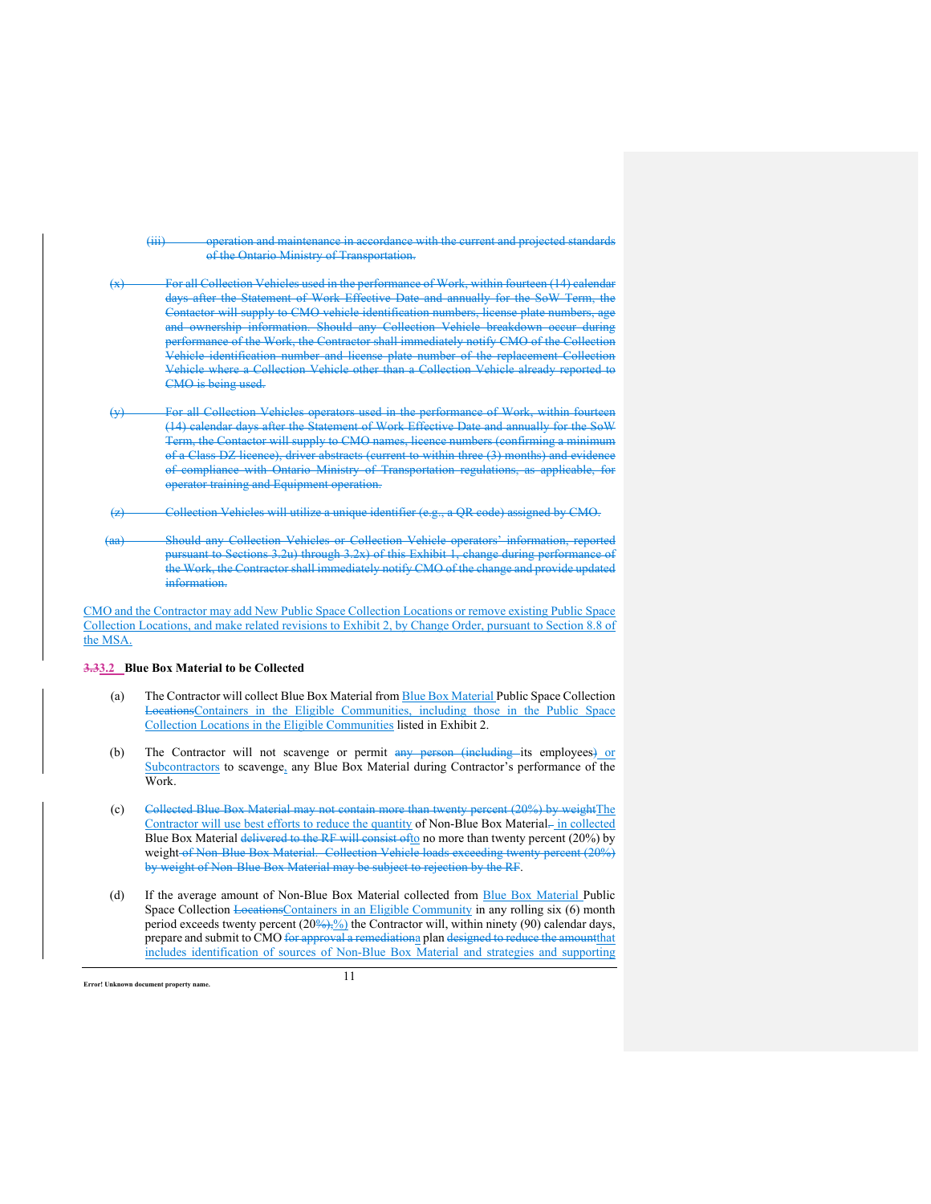(iii) operation and maintenance in accordance with the current and projected standards of the Ontario Ministry of Transportation.

For all Collection Vehicles used in the performance of Work, within fourteen (14) calendar days after the Statement of Work Effective Date and annually for the SoW Term, the Contactor will supply to CMO vehicle identification numbers, license plate numbers, age and ownership information. Should any Collection Vehicle breakdown occur during performance of the Work, the Contractor shall immediately notify CMO of the Collection Vehicle identification number and license plate number of the replacement Collection Vehicle where a Collection Vehicle other than a Collection Vehicle already reported to CMO is being used.

For all Collection Vehicles operators used in the performance of Work, within fourteen (14) calendar days after the Statement of Work Effective Date and annually for the SoW Term, the Contactor will supply to CMO names, licence numbers (confirming a minimum of a Class DZ licence), driver abstracts (current to within three (3) months) and evidence of compliance with Ontario Ministry of Transportation regulations, as applicable, for operator training and Equipment operation.

Collection Vehicles will utilize a unique identifier (e.g., a QR code) assigned by CMO.

Should any Collection Vehicles or Collection Vehicle operators' information, reported pursuant to Sections 3.2u) through 3.2x) of this Exhibit 1, change during performance of the Work, the Contractor shall immediately notify CMO of the change and provide updated information.

CMO and the Contractor may add New Public Space Collection Locations or remove existing Public Space Collection Locations, and make related revisions to Exhibit 2, by Change Order, pursuant to Section 8.8 of the MSA.

#### **3.33.2 Blue Box Material to be Collected**

- (a) The Contractor will collect Blue Box Material from Blue Box Material Public Space Collection LocationsContainers in the Eligible Communities, including those in the Public Space Collection Locations in the Eligible Communities listed in Exhibit 2.
- (b) The Contractor will not scavenge or permit any person (including its employees) or Subcontractors to scavenge, any Blue Box Material during Contractor's performance of the Work.
- (c) Collected Blue Box Material may not contain more than twenty percent (20%) by weightThe Contractor will use best efforts to reduce the quantity of Non-Blue Box Material-in collected Blue Box Material delivered to the RF will consist of to no more than twenty percent (20%) by weight of Non-Blue Box Material. Collection Vehicle loads exceeding twenty percent (20%) by weight of Non-Blue Box Material may be subject to rejection by the RF.
- (d) If the average amount of Non-Blue Box Material collected from Blue Box Material Public Space Collection LocationsContainers in an Eligible Community in any rolling six (6) month period exceeds twenty percent  $(20\frac{9}{22})\frac{6}{20}$  the Contractor will, within ninety (90) calendar days, prepare and submit to CMO for approval a remediationa plan designed to reduce the amountthat includes identification of sources of Non-Blue Box Material and strategies and supporting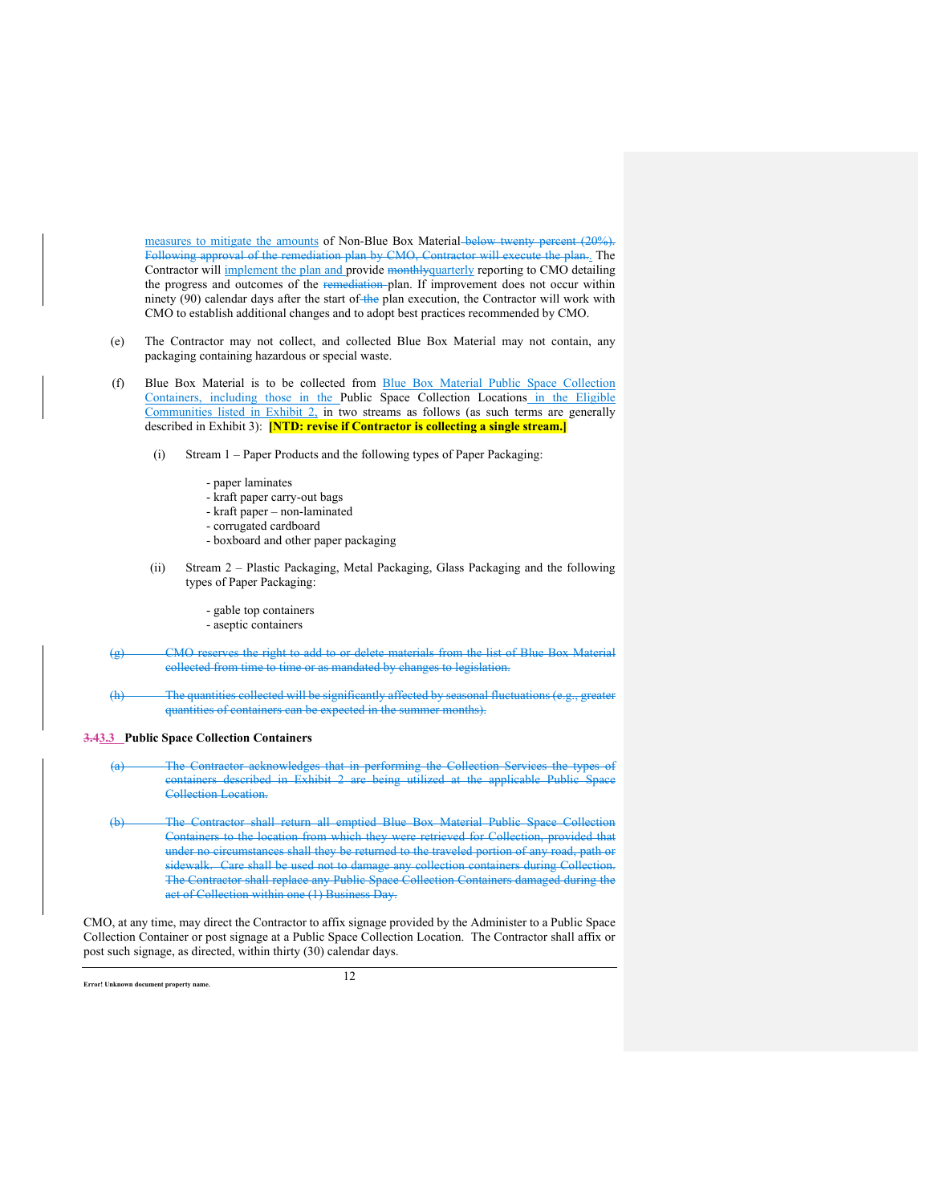measures to mitigate the amounts of Non-Blue Box Material-below twenty percent (20%). Following approval of the remediation plan by CMO, Contractor will execute the plan.. The Contractor will implement the plan and provide monthlyquarterly reporting to CMO detailing the progress and outcomes of the remediation-plan. If improvement does not occur within ninety (90) calendar days after the start of the plan execution, the Contractor will work with CMO to establish additional changes and to adopt best practices recommended by CMO.

- (e) The Contractor may not collect, and collected Blue Box Material may not contain, any packaging containing hazardous or special waste.
- (f) Blue Box Material is to be collected from Blue Box Material Public Space Collection Containers, including those in the Public Space Collection Locations in the Eligible Communities listed in Exhibit  $2$ , in two streams as follows (as such terms are generally described in Exhibit 3): **[NTD: revise if Contractor is collecting a single stream.]**
	- (i) Stream 1 Paper Products and the following types of Paper Packaging:
		- paper laminates
		- kraft paper carry-out bags
		- kraft paper non-laminated
		- corrugated cardboard
		- boxboard and other paper packaging
	- (ii) Stream 2 Plastic Packaging, Metal Packaging, Glass Packaging and the following types of Paper Packaging:
		- gable top containers
		- aseptic containers
- (MO reserves the right to add to or delete materials from the list of Blue Box collected from time to time or as mandated by changes to legislation.
- (h) The quantities collected will be significantly affected by seasonal fluctuations (e.g. quantities of containers can be expected in the summer months).

#### **3.43.3 Public Space Collection Containers**

- Contractor acknowledges that in performing the Collection Services the types containers described in Exhibit 2 are being utilized at the applicable Public Space Collection Location.
- (b) The Contractor shall return all emptied Blue Box Material Public Space Collection Containers to the location from which they were retrieved for Collection, provided that under no circumstances shall they be returned to the traveled portion of any road, path or sidewalk. Care shall be used not to damage any collection containers during Collection. The Contractor shall replace any Public Space Collection Containers damaged during the act of Collection within one (1) Business Day.

CMO, at any time, may direct the Contractor to affix signage provided by the Administer to a Public Space Collection Container or post signage at a Public Space Collection Location. The Contractor shall affix or post such signage, as directed, within thirty (30) calendar days.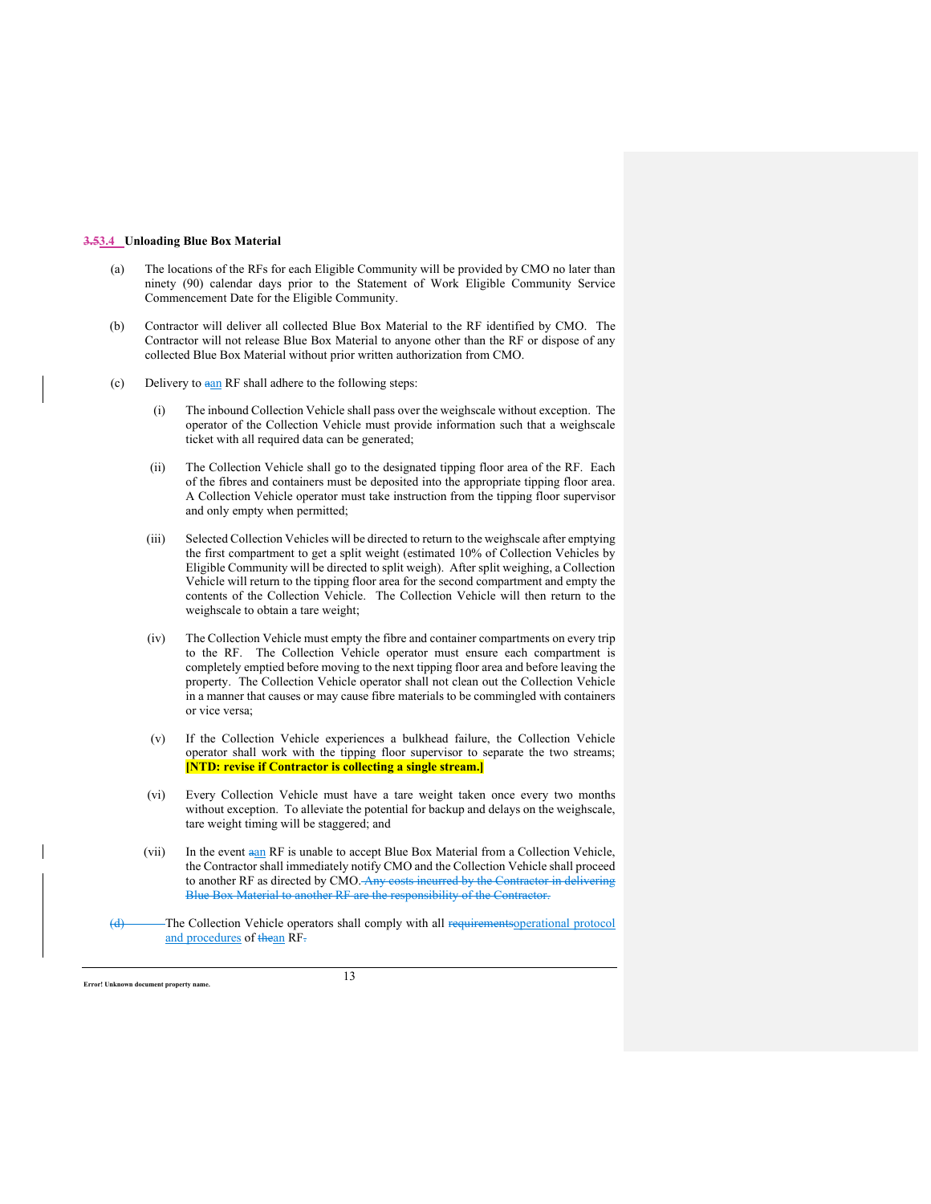## **3.53.4 Unloading Blue Box Material**

- (a) The locations of the RFs for each Eligible Community will be provided by CMO no later than ninety (90) calendar days prior to the Statement of Work Eligible Community Service Commencement Date for the Eligible Community.
- (b) Contractor will deliver all collected Blue Box Material to the RF identified by CMO. The Contractor will not release Blue Box Material to anyone other than the RF or dispose of any collected Blue Box Material without prior written authorization from CMO.
- (c) Delivery to aan RF shall adhere to the following steps:
	- (i) The inbound Collection Vehicle shall pass over the weighscale without exception. The operator of the Collection Vehicle must provide information such that a weighscale ticket with all required data can be generated;
	- (ii) The Collection Vehicle shall go to the designated tipping floor area of the RF. Each of the fibres and containers must be deposited into the appropriate tipping floor area. A Collection Vehicle operator must take instruction from the tipping floor supervisor and only empty when permitted;
	- (iii) Selected Collection Vehicles will be directed to return to the weighscale after emptying the first compartment to get a split weight (estimated 10% of Collection Vehicles by Eligible Community will be directed to split weigh). After split weighing, a Collection Vehicle will return to the tipping floor area for the second compartment and empty the contents of the Collection Vehicle. The Collection Vehicle will then return to the weighscale to obtain a tare weight;
	- (iv) The Collection Vehicle must empty the fibre and container compartments on every trip to the RF. The Collection Vehicle operator must ensure each compartment is completely emptied before moving to the next tipping floor area and before leaving the property. The Collection Vehicle operator shall not clean out the Collection Vehicle in a manner that causes or may cause fibre materials to be commingled with containers or vice versa;
	- (v) If the Collection Vehicle experiences a bulkhead failure, the Collection Vehicle operator shall work with the tipping floor supervisor to separate the two streams; **[NTD: revise if Contractor is collecting a single stream.]**
	- (vi) Every Collection Vehicle must have a tare weight taken once every two months without exception. To alleviate the potential for backup and delays on the weighscale, tare weight timing will be staggered; and
	- (vii) In the event  $a_{n}$  RF is unable to accept Blue Box Material from a Collection Vehicle, the Contractor shall immediately notify CMO and the Collection Vehicle shall proceed to another RF as directed by CMO. Any costs incurred by the Contractor in delivering Blue Box Material to another RF are the responsibility of the Contractor.
- (d) The Collection Vehicle operators shall comply with all requirementsoperational protocol and procedures of thean RF.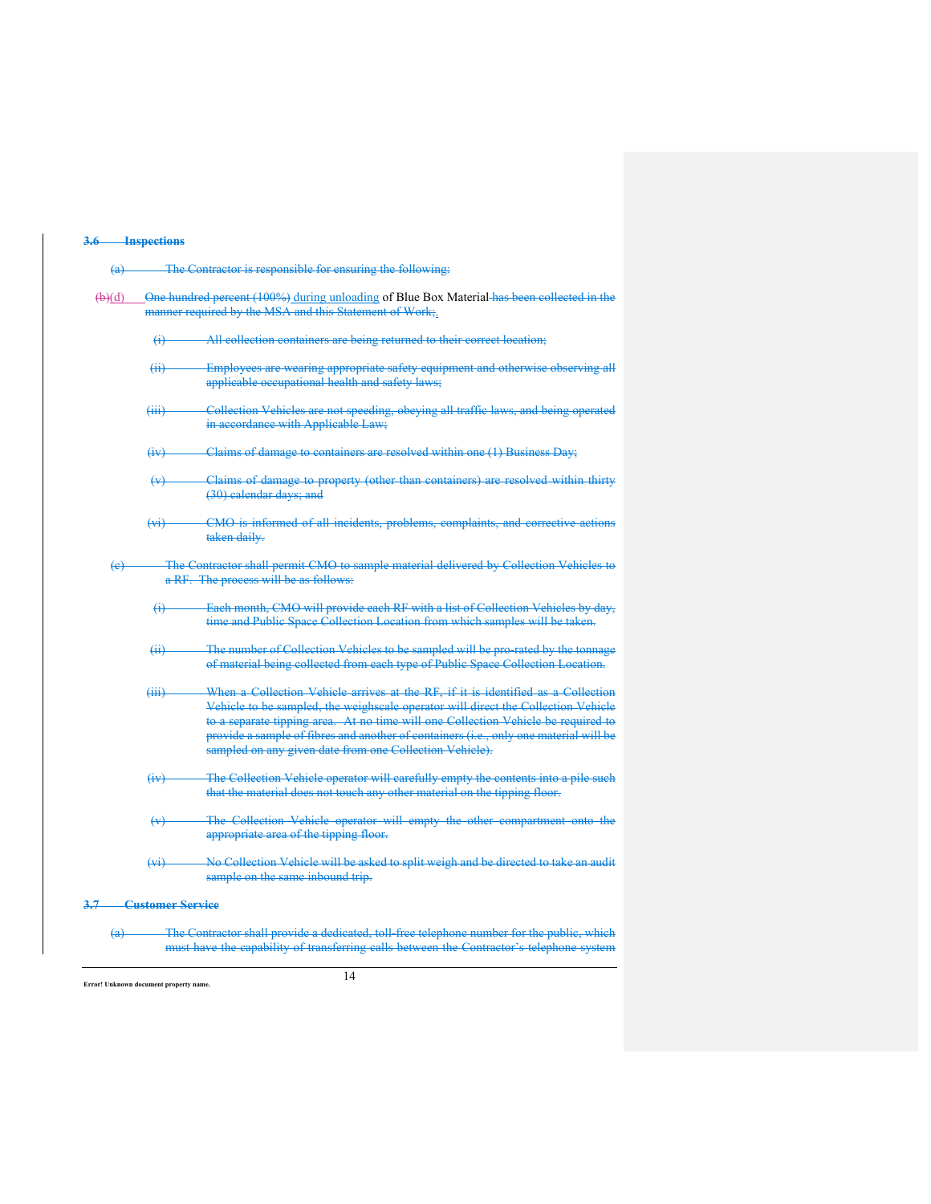## **3.6 Inspections**

| $\left(\mathbf{a}\right)$ |                               | The Contractor is responsible for ensuring the following:                                                                                                                                                                                                                                                                                                                                                      |
|---------------------------|-------------------------------|----------------------------------------------------------------------------------------------------------------------------------------------------------------------------------------------------------------------------------------------------------------------------------------------------------------------------------------------------------------------------------------------------------------|
| $\bigoplus$               |                               | One hundred percent (100%) during unloading of Blue Box Material has been collected in the<br>manner required by the MSA and this Statement of Work;.                                                                                                                                                                                                                                                          |
|                           | $\leftrightarrow$             | All collection containers are being returned to their correct location;                                                                                                                                                                                                                                                                                                                                        |
|                           | (ii)                          | Employees are wearing appropriate safety equipment and otherwise observing all<br>applicable occupational health and safety laws;                                                                                                                                                                                                                                                                              |
|                           | $\overline{(\overline{iii})}$ | Collection Vehicles are not speeding, obeying all traffic laws, and being operated<br>in accordance with Applicable Law;                                                                                                                                                                                                                                                                                       |
|                           | f(x)                          | Claims of damage to containers are resolved within one (1) Business Day;                                                                                                                                                                                                                                                                                                                                       |
|                           | $\leftrightarrow$             | Claims of damage to property (other than containers) are resolved within thirty<br>(30) calendar days; and                                                                                                                                                                                                                                                                                                     |
|                           | $\leftrightarrow$             | CMO is informed of all incidents, problems, complaints, and corrective actions<br>taken daily.                                                                                                                                                                                                                                                                                                                 |
| $\left(\mathrm{e}\right)$ |                               | The Contractor shall permit CMO to sample material delivered by Collection Vehicles to<br>a RF. The process will be as follows:                                                                                                                                                                                                                                                                                |
|                           | $\leftrightarrow$             | Each month, CMO will provide each RF with a list of Collection Vehicles by day,<br>time and Public Space Collection Location from which samples will be taken.                                                                                                                                                                                                                                                 |
|                           | $\overline{(+)}$              | The number of Collection Vehicles to be sampled will be pro-rated by the tonnage<br>of material being collected from each type of Public Space Collection Location.                                                                                                                                                                                                                                            |
|                           | $\overline{(\overline{iii})}$ | When a Collection Vehicle arrives at the RF, if it is identified as a Collection<br>Vehicle to be sampled, the weighscale operator will direct the Collection Vehicle<br>to a separate tipping area. At no time will one Collection Vehicle be required to<br>provide a sample of fibres and another of containers (i.e., only one material will be<br>sampled on any given date from one Collection Vehicle). |
|                           | (y)                           | The Collection Vehicle operator will carefully empty the contents into a pile such<br>that the material does not touch any other material on the tipping floor.                                                                                                                                                                                                                                                |
|                           | $\leftrightarrow$             | The Collection Vehicle operator will empty the other compartment onto the<br>appropriate area of the tipping floor.                                                                                                                                                                                                                                                                                            |
|                           | $(v_i)$                       | No Collection Vehicle will be asked to split weigh and be directed to take an audit<br>sample on the same inbound trip.                                                                                                                                                                                                                                                                                        |
| 3.7                       | <b>Customer Service</b>       |                                                                                                                                                                                                                                                                                                                                                                                                                |
| $\leftrightarrow$         |                               | The Contractor shall provide a dedicated, toll free telephone number for the public, which<br>must have the capability of transferring calls between the Contractor's telephone system                                                                                                                                                                                                                         |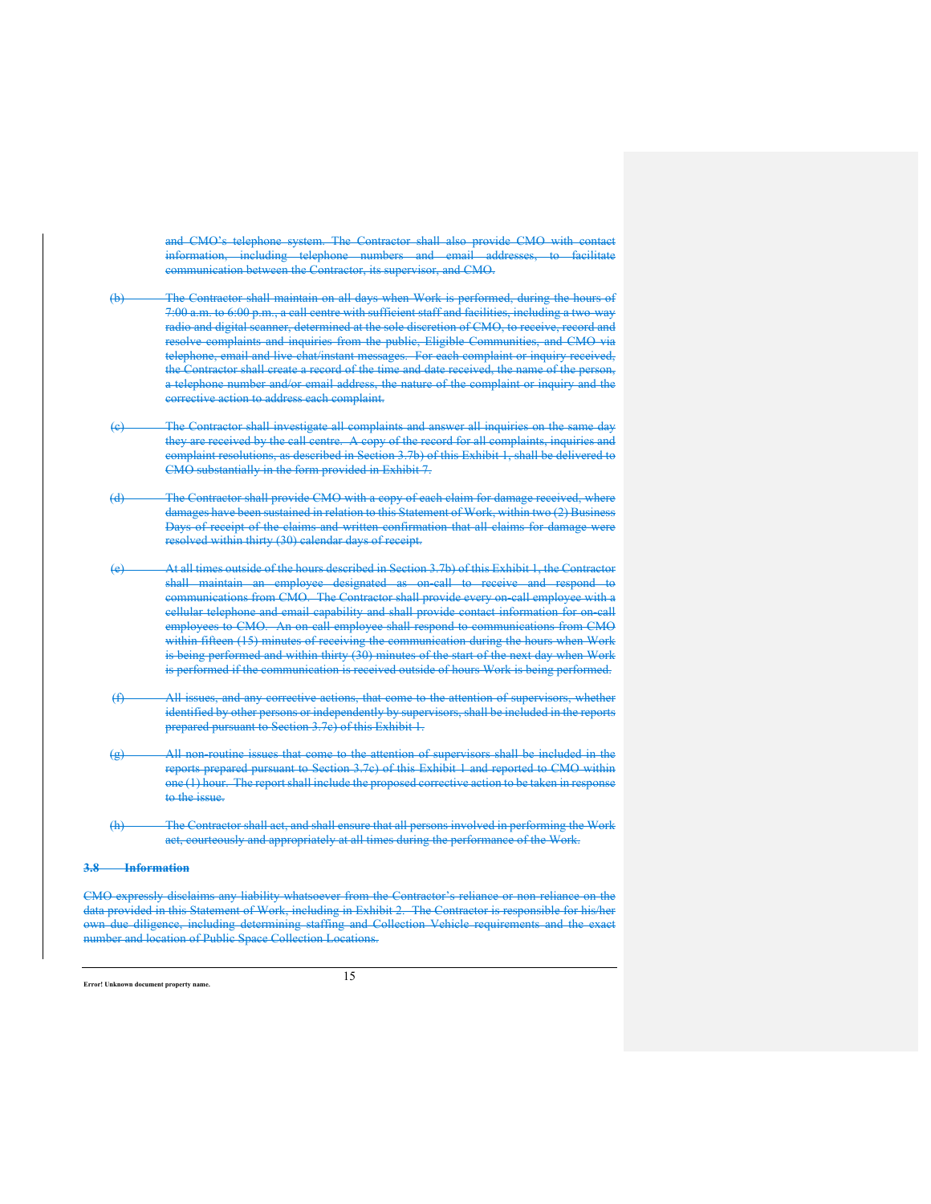and CMO's telephone system. The Contractor shall also provide CMO with contact information, including telephone numbers and email addresses, to facilitate communication between the Contractor, its supervisor, and CMO.

- (b) The Contractor shall maintain on all days when Work is performed, during the hours of 7:00 a.m. to 6:00 p.m., a call centre with sufficient staff and facilities, including a two-way radio and digital scanner, determined at the sole discretion of CMO, to receive, record and resolve complaints and inquiries from the public, Eligible Communities, and CMO via telephone, email and live-chat/instant messages. For each complaint or inquiry received, the Contractor shall create a record of the time and date received, the name of the person, a telephone number and/or email address, the nature of the complaint or inquiry and the corrective action to address each complaint.
- The Contractor shall investigate all complaints and answer all inquiries on the same day they are received by the call centre. A copy of the record for all complaints, inquiries and complaint resolutions, as described in Section 3.7b) of this Exhibit 1, shall be delivered to CMO substantially in the form provided in Exhibit 7.
- (d) The Contractor shall provide CMO with a copy of each claim for damage received, where damages have been sustained in relation to this Statement of Work, within two (2) Business Days of receipt of the claims and written confirmation that all claims for damage were resolved within thirty (30) calendar days of receipt.
- (e) At all times outside of the hours described in Section 3.7b) of this Exhibit 1, the Contractor shall maintain an employee designated as on-call to receive and respond to communications from CMO. The Contractor shall provide every on-call employee with a cellular telephone and email capability and shall provide contact information for on-call employees to CMO. An on-call employee shall respond to communications from CMO within fifteen (15) minutes of receiving the communication during the hours when Work is being performed and within thirty (30) minutes of the start of the next day when Work is performed if the communication is received outside of hours Work is being performed.
- (f) All issues, and any corrective actions, that come to the attention of supervisors, whether identified by other persons or independently by supervisors, shall be included in the reports prepared pursuant to Section 3.7c) of this Exhibit 1.
- (g) All non-routine issues that come to the attention of supervisors shall be included in the reports prepared pursuant to Section 3.7c) of this Exhibit 1 and reported to CMO within one (1) hour. The report shall include the proposed corrective action to be taken in response to the issue.
- (h) The Contractor shall act, and shall ensure that all persons involved in performing the Work act, courteously and appropriately at all times during the performance of the Work.

#### **3.8 Information**

CMO expressly disclaims any liability whatsoever from the Contractor's reliance or non-reliance on the data provided in this Statement of Work, including in Exhibit 2. The Contractor is responsible for his/her own due diligence, including determining staffing and Collection Vehicle requirements and the number and location of Public Space Collection Locations.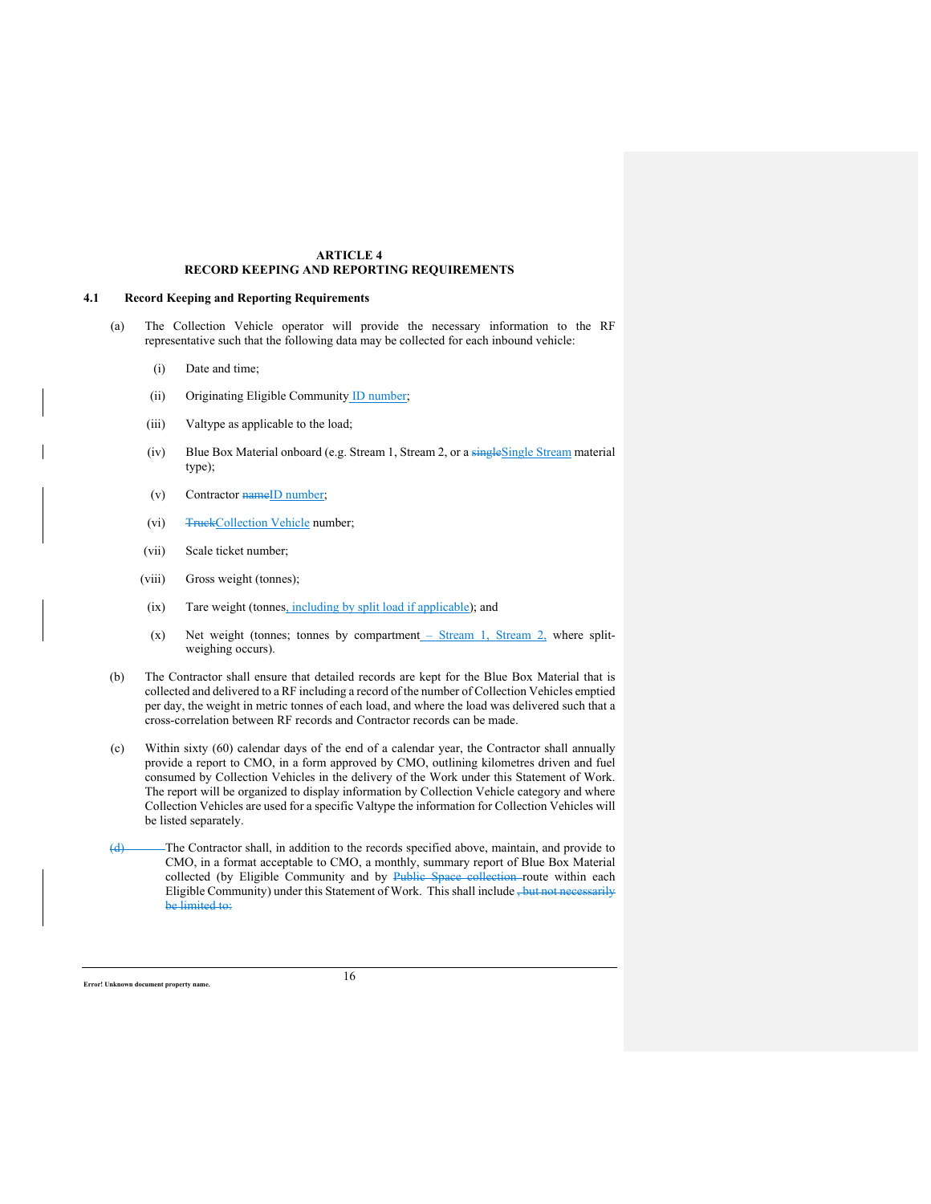#### **ARTICLE 4 RECORD KEEPING AND REPORTING REQUIREMENTS**

### **4.1 Record Keeping and Reporting Requirements**

- (a) The Collection Vehicle operator will provide the necessary information to the RF representative such that the following data may be collected for each inbound vehicle:
	- (i) Date and time;
	- (ii) Originating Eligible Community ID number;
	- (iii) Valtype as applicable to the load;
	- (iv) Blue Box Material onboard (e.g. Stream 1, Stream 2, or a singleSingle Stream material type);
	- (v) Contractor  $nameID$  number;
	- (vi) Truck Collection Vehicle number;
	- (vii) Scale ticket number;
	- (viii) Gross weight (tonnes);
	- (ix) Tare weight (tonnes, including by split load if applicable); and
	- (x) Net weight (tonnes; tonnes by compartment Stream 1, Stream 2, where splitweighing occurs).
- (b) The Contractor shall ensure that detailed records are kept for the Blue Box Material that is collected and delivered to a RF including a record of the number of Collection Vehicles emptied per day, the weight in metric tonnes of each load, and where the load was delivered such that a cross-correlation between RF records and Contractor records can be made.
- (c) Within sixty (60) calendar days of the end of a calendar year, the Contractor shall annually provide a report to CMO, in a form approved by CMO, outlining kilometres driven and fuel consumed by Collection Vehicles in the delivery of the Work under this Statement of Work. The report will be organized to display information by Collection Vehicle category and where Collection Vehicles are used for a specific Valtype the information for Collection Vehicles will be listed separately.
- (d) The Contractor shall, in addition to the records specified above, maintain, and provide to CMO, in a format acceptable to CMO, a monthly, summary report of Blue Box Material collected (by Eligible Community and by Public Space collection route within each Eligible Community) under this Statement of Work. This shall include , but not necessarily be limited to: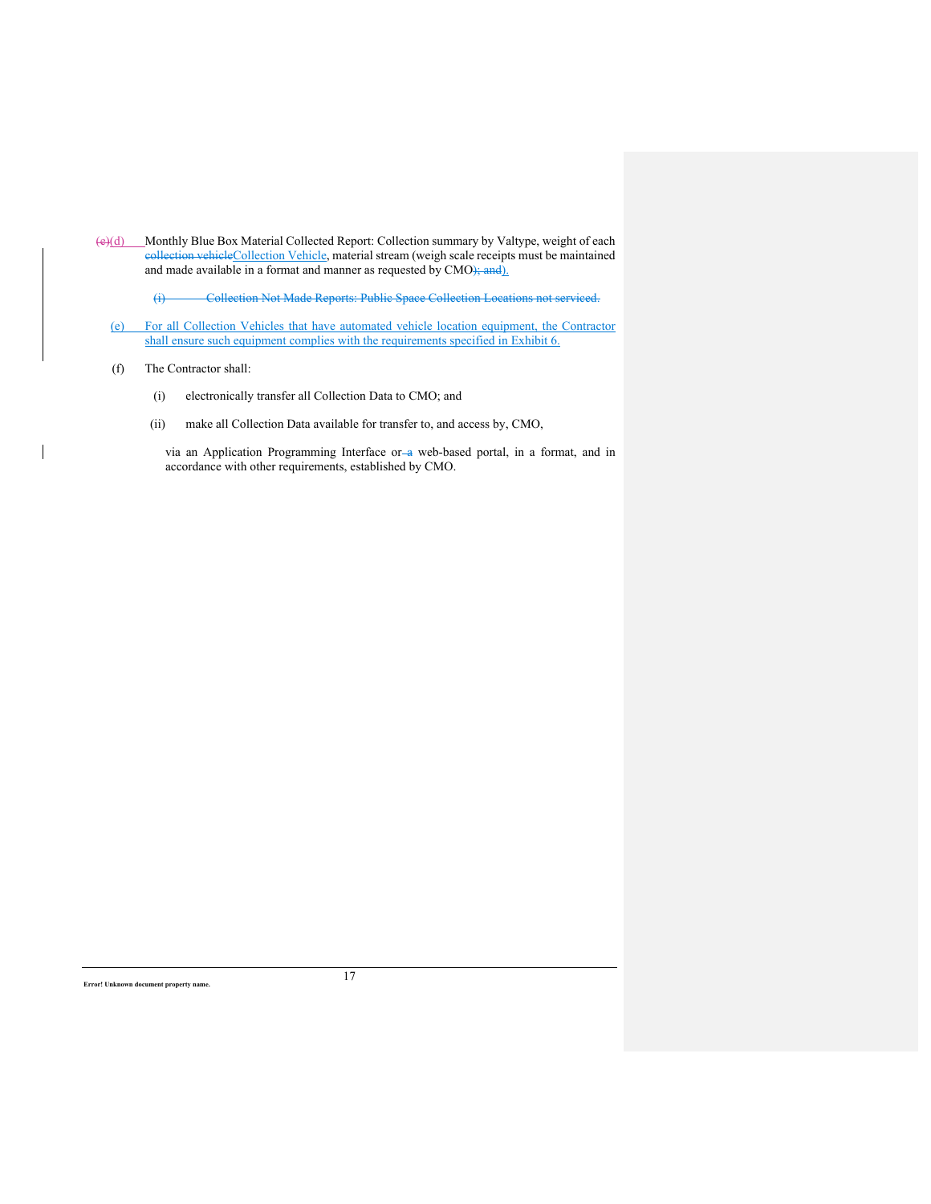(e)(d) Monthly Blue Box Material Collected Report: Collection summary by Valtype, weight of each eollection vehicleCollection Vehicle, material stream (weigh scale receipts must be maintained and made available in a format and manner as requested by CMO); and).

(i) Collection Not Made Reports: Public Space Collection Locations not serviced.

(e) For all Collection Vehicles that have automated vehicle location equipment, the Contractor shall ensure such equipment complies with the requirements specified in Exhibit 6.

## (f) The Contractor shall:

 $\overline{\phantom{a}}$ 

- (i) electronically transfer all Collection Data to CMO; and
- (ii) make all Collection Data available for transfer to, and access by, CMO,

via an Application Programming Interface or a web-based portal, in a format, and in accordance with other requirements, established by CMO.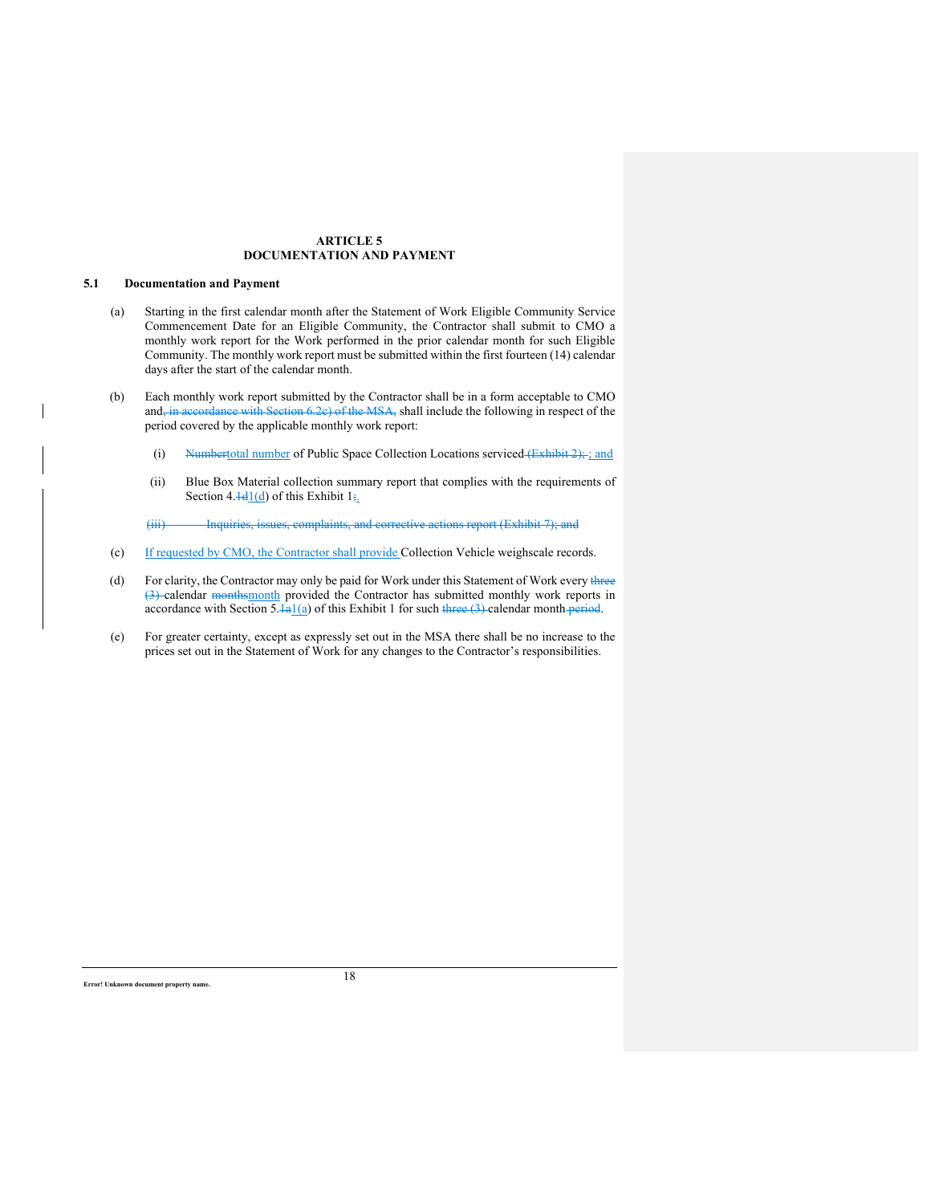## **ARTICLE 5 DOCUMENTATION AND PAYMENT**

## **5.1 Documentation and Payment**

- (a) Starting in the first calendar month after the Statement of Work Eligible Community Service Commencement Date for an Eligible Community, the Contractor shall submit to CMO a monthly work report for the Work performed in the prior calendar month for such Eligible Community. The monthly work report must be submitted within the first fourteen (14) calendar days after the start of the calendar month.
- (b) Each monthly work report submitted by the Contractor shall be in a form acceptable to CMO and, in accordance with Section 6.2c) of the MSA, shall include the following in respect of the period covered by the applicable monthly work report:
	- (i) Numbertotal number of Public Space Collection Locations serviced (Exhibit 2); ; and
	- (ii) Blue Box Material collection summary report that complies with the requirements of Section 4. $\frac{1}{d}$  of this Exhibit  $1_{\frac{1}{2}}$ .
	- (iii) Inquiries, issues, complaints, and corrective actions report (Exhibit 7); and
- (c) If requested by CMO, the Contractor shall provide Collection Vehicle weighscale records.
- (d) For clarity, the Contractor may only be paid for Work under this Statement of Work every three (3) calendar monthsmonth provided the Contractor has submitted monthly work reports in accordance with Section 5. $\frac{1}{a}$  of this Exhibit 1 for such three (3) calendar month period.
- (e) For greater certainty, except as expressly set out in the MSA there shall be no increase to the prices set out in the Statement of Work for any changes to the Contractor's responsibilities.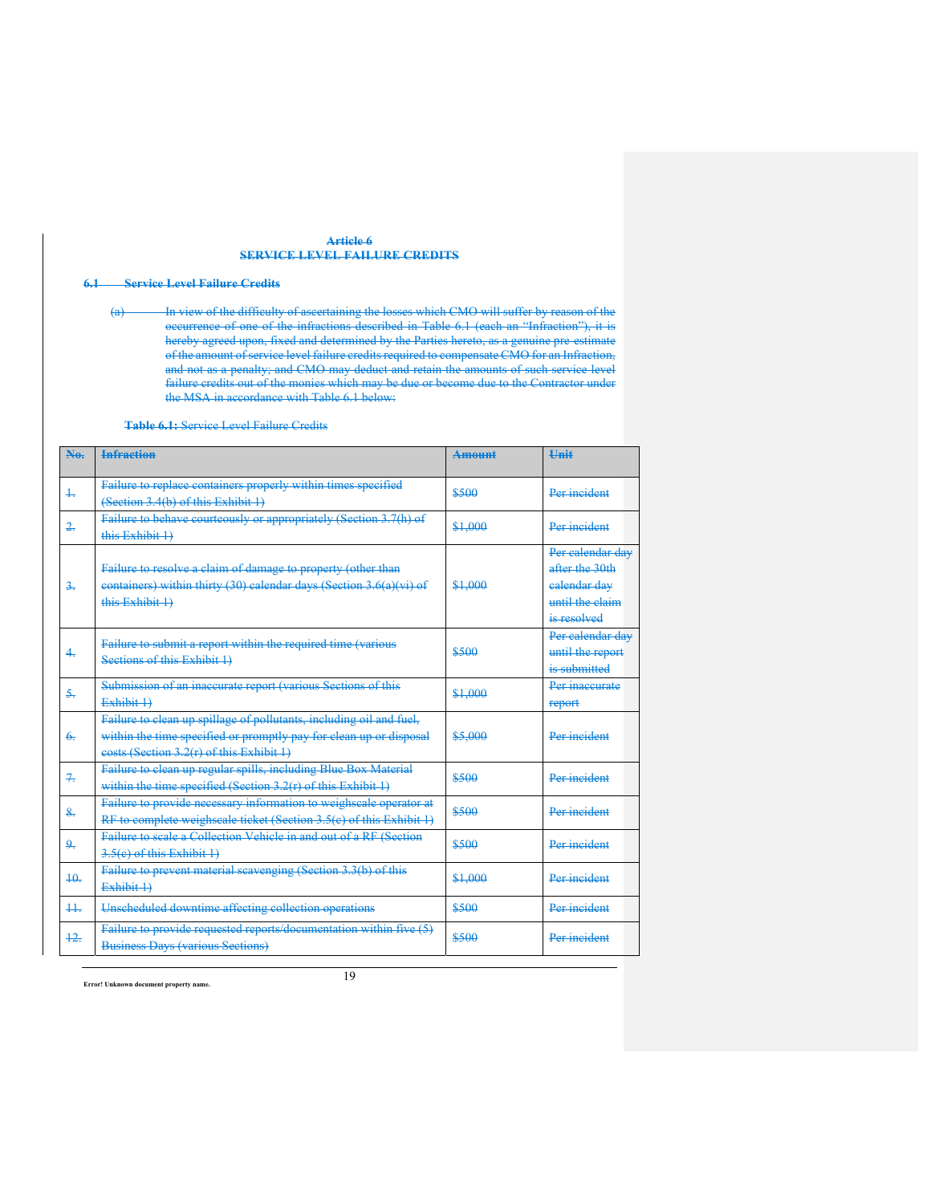### **Article 6 SERVICE LEVEL FAILURE CREDITS**

# **6.1 Service Level Failure Credits**

(a) In view of the difficulty of ascertaining the losses which CMO will suffer by reason of the occurrence of one of the infractions described in Table 6.1 (each an "Infraction"), it is hereby agreed upon, fixed and determined by the Parties hereto, as a genuine pre-estimate of the amount of service level failure credits required to compensate CMO for an Infraction, and not as a penalty; and CMO may deduct and retain the amounts of such service level failure credits out of the monies which may be due or become due to the Contractor under the MSA in accordance with Table 6.1 below:

**Table 6.1:** Service Level Failure Credits

| Ne-            | <b>Infraction</b>                                                                                                                                                                     | <b>Amount</b> | <b>Hnit</b>                                                                          |
|----------------|---------------------------------------------------------------------------------------------------------------------------------------------------------------------------------------|---------------|--------------------------------------------------------------------------------------|
| $\ddagger$     | Failure to replace containers properly within times specified<br>(Section 3.4(b) of this Exhibit 1)                                                                                   | \$500         | Per incident                                                                         |
| $\frac{2}{2}$  | Failure to behave courteously or appropriately (Section 3.7(h) of<br>this Exhibit 1)                                                                                                  | \$1,000       | Per incident                                                                         |
| $\frac{2}{2}$  | Failure to resolve a claim of damage to property (other than<br>eontainers) within thirty (30) calendar days (Section 3.6(a)(vi) of<br>this Exhibit 1)                                | \$1,000       | Per calendar day<br>after the 30th<br>ealendar dav<br>until the claim<br>is resolved |
| 4.             | Failure to submit a report within the required time (various<br>Sections of this Exhibit 1)                                                                                           | ممعه          | Per calendar day<br>until the report<br>is submitted                                 |
| $5 -$          | Submission of an inaccurate report (various Sections of this<br>Exhibit 1                                                                                                             | \$1,000       | Per inaccurate<br>report                                                             |
| 6.             | Failure to clean up spillage of pollutants, including oil and fuel,<br>within the time specified or promptly pay for clean up or disposal<br>eosts (Section 3.2(r) of this Exhibit 1) | \$5,000       | Per incident                                                                         |
| $7 -$          | Failure to clean up regular spills, including Blue Box Material<br>within the time specified (Section $3.2(r)$ of this Exhibit 1)                                                     | \$500         | Per incident                                                                         |
| $\mathbf{R}$ . | Failure to provide necessary information to weighscale operator at<br>RF to complete weighscale ticket (Section 3.5(c) of this Exhibit 1)                                             | \$500         | Per incident                                                                         |
| چو             | Failure to scale a Collection Vehicle in and out of a RF (Section<br>$3.5(e)$ of this Exhibit 1)                                                                                      | \$500         | Per incident                                                                         |
| 40.            | Failure to prevent material scavenging (Section 3.3(b) of this<br>Exhibit 1                                                                                                           | \$1,000       | Per incident                                                                         |
| $++$           | Unscheduled downtime affecting collection operations                                                                                                                                  | \$500         | Per incident                                                                         |
| $+2.$          | Failure to provide requested reports/documentation within five (5)<br><b>Business Days (various Sections)</b>                                                                         | \$500         | Per incident                                                                         |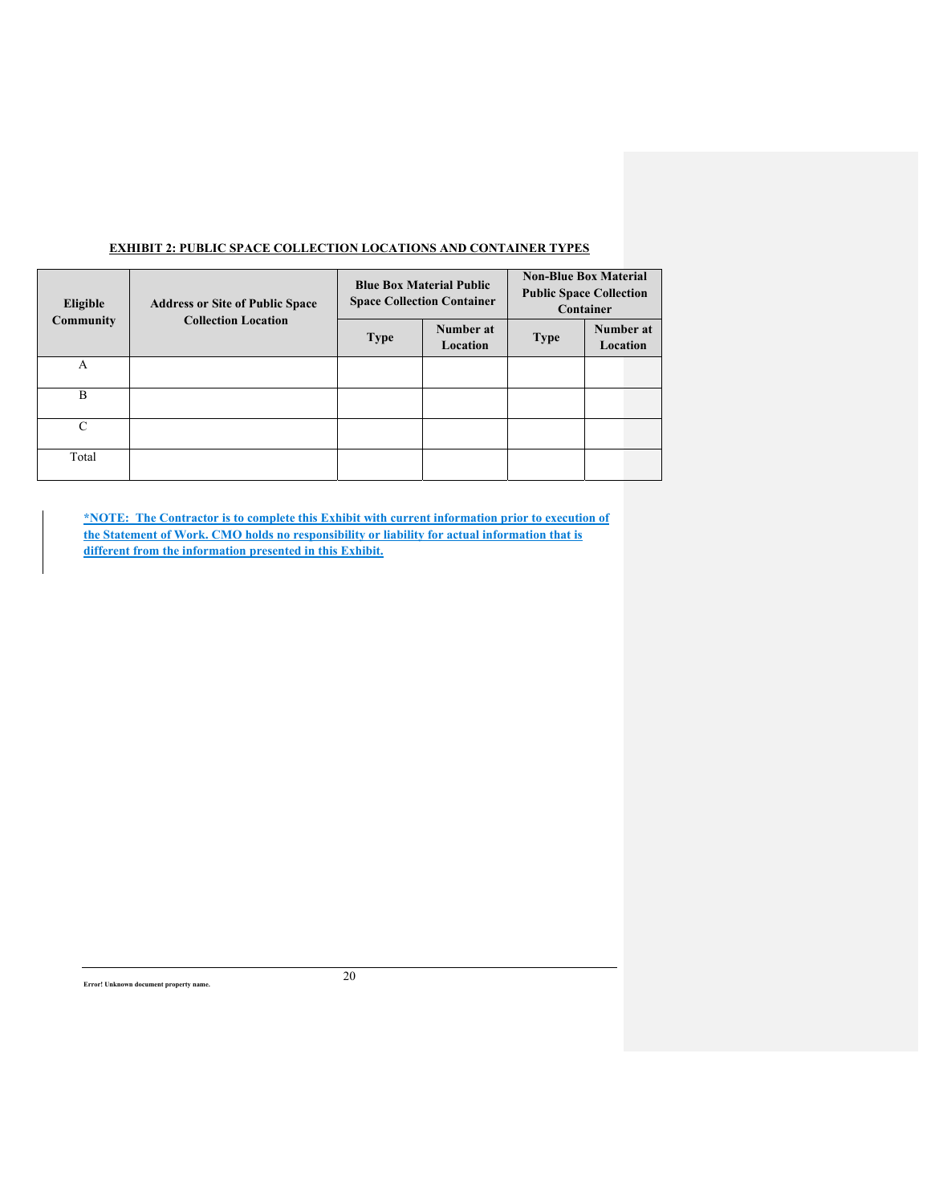| Eligible<br><b>Community</b> | <b>Address or Site of Public Space</b><br><b>Collection Location</b> |             | <b>Blue Box Material Public</b><br><b>Space Collection Container</b> | <b>Non-Blue Box Material</b><br><b>Public Space Collection</b><br>Container |                       |  |  |
|------------------------------|----------------------------------------------------------------------|-------------|----------------------------------------------------------------------|-----------------------------------------------------------------------------|-----------------------|--|--|
|                              |                                                                      | <b>Type</b> | Number at<br>Location                                                | <b>Type</b>                                                                 | Number at<br>Location |  |  |
| A                            |                                                                      |             |                                                                      |                                                                             |                       |  |  |
| B                            |                                                                      |             |                                                                      |                                                                             |                       |  |  |
| C                            |                                                                      |             |                                                                      |                                                                             |                       |  |  |
| Total                        |                                                                      |             |                                                                      |                                                                             |                       |  |  |

# **EXHIBIT 2: PUBLIC SPACE COLLECTION LOCATIONS AND CONTAINER TYPES**

**\*NOTE: The Contractor is to complete this Exhibit with current information prior to execution of the Statement of Work. CMO holds no responsibility or liability for actual information that is different from the information presented in this Exhibit.**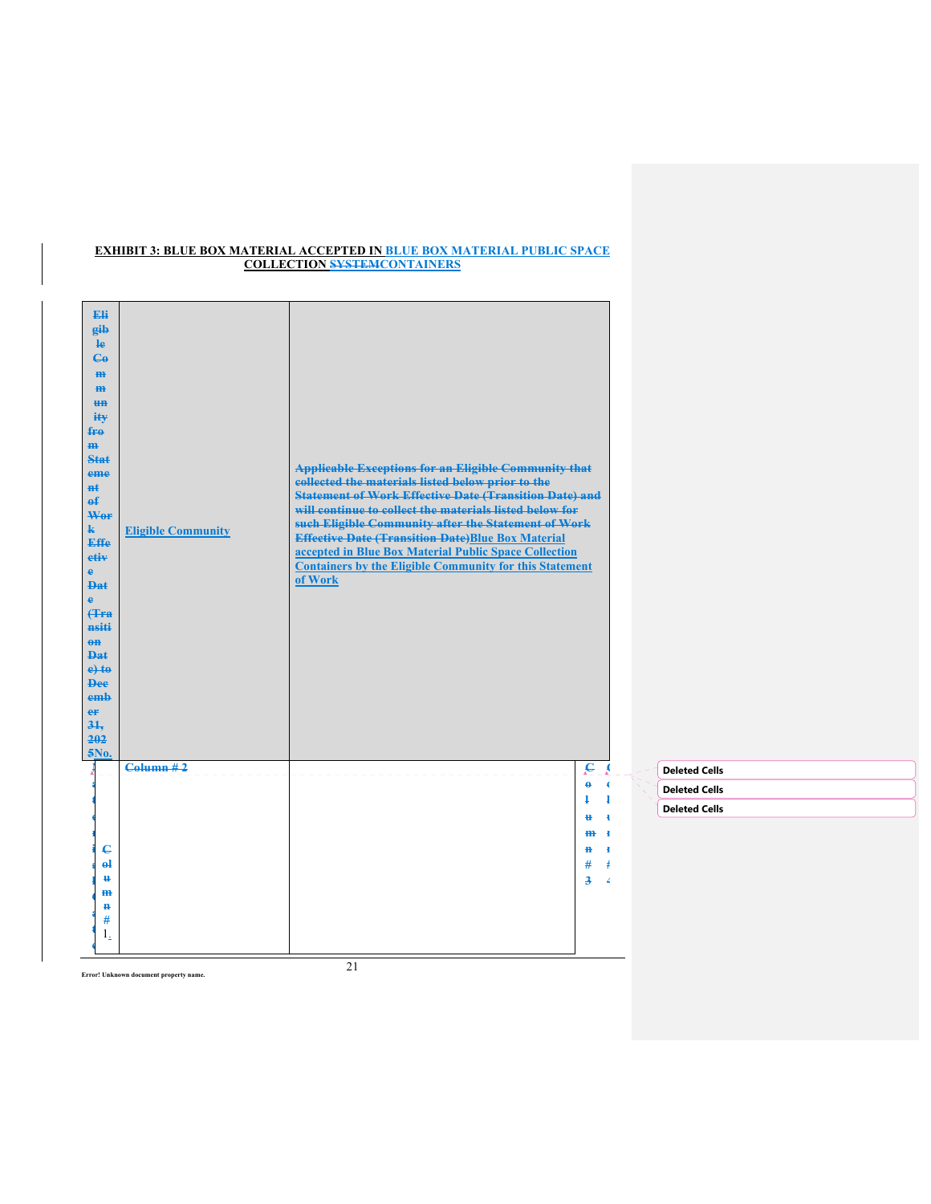## **EXHIBIT 3: BLUE BOX MATERIAL ACCEPTED IN BLUE BOX MATERIAL PUBLIC SPACE COLLECTION SYSTEMCONTAINERS**

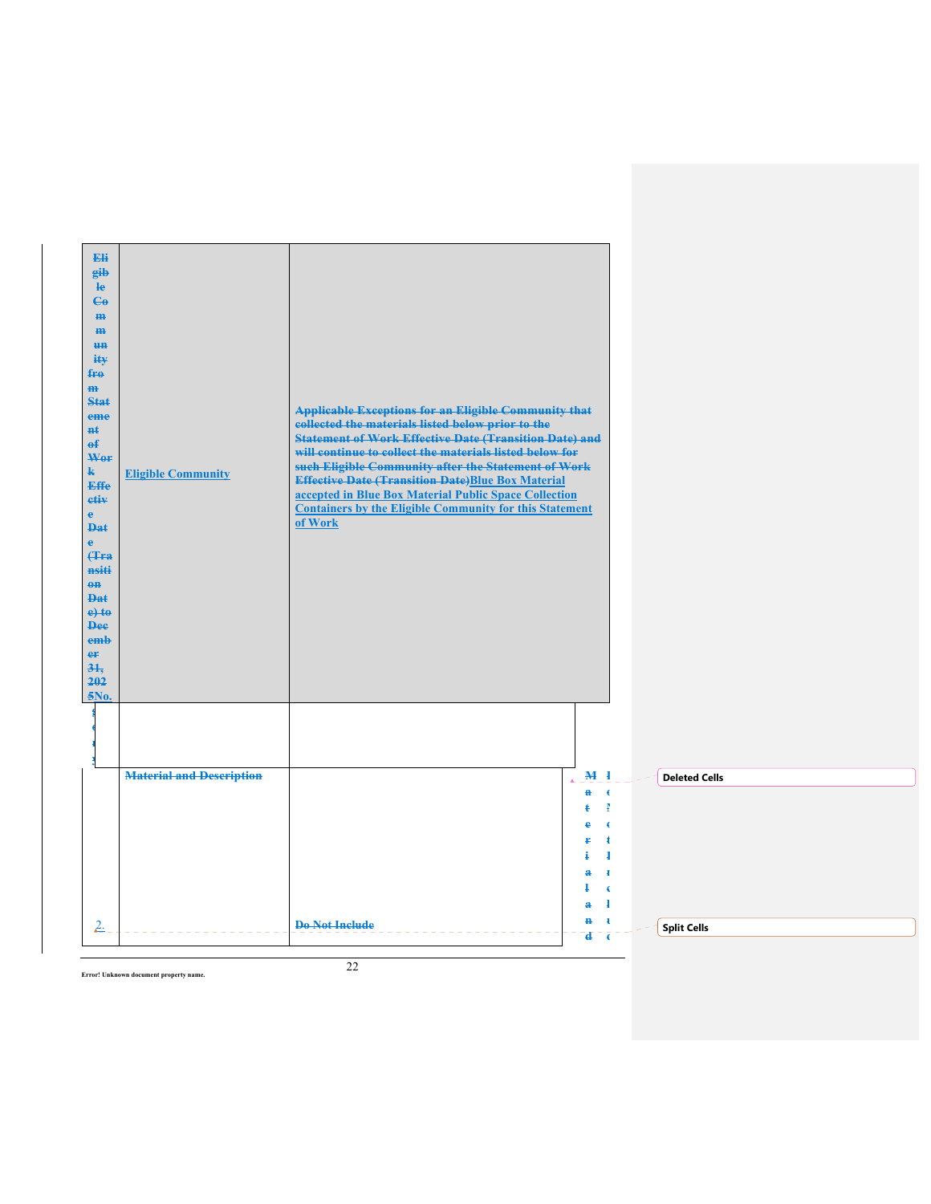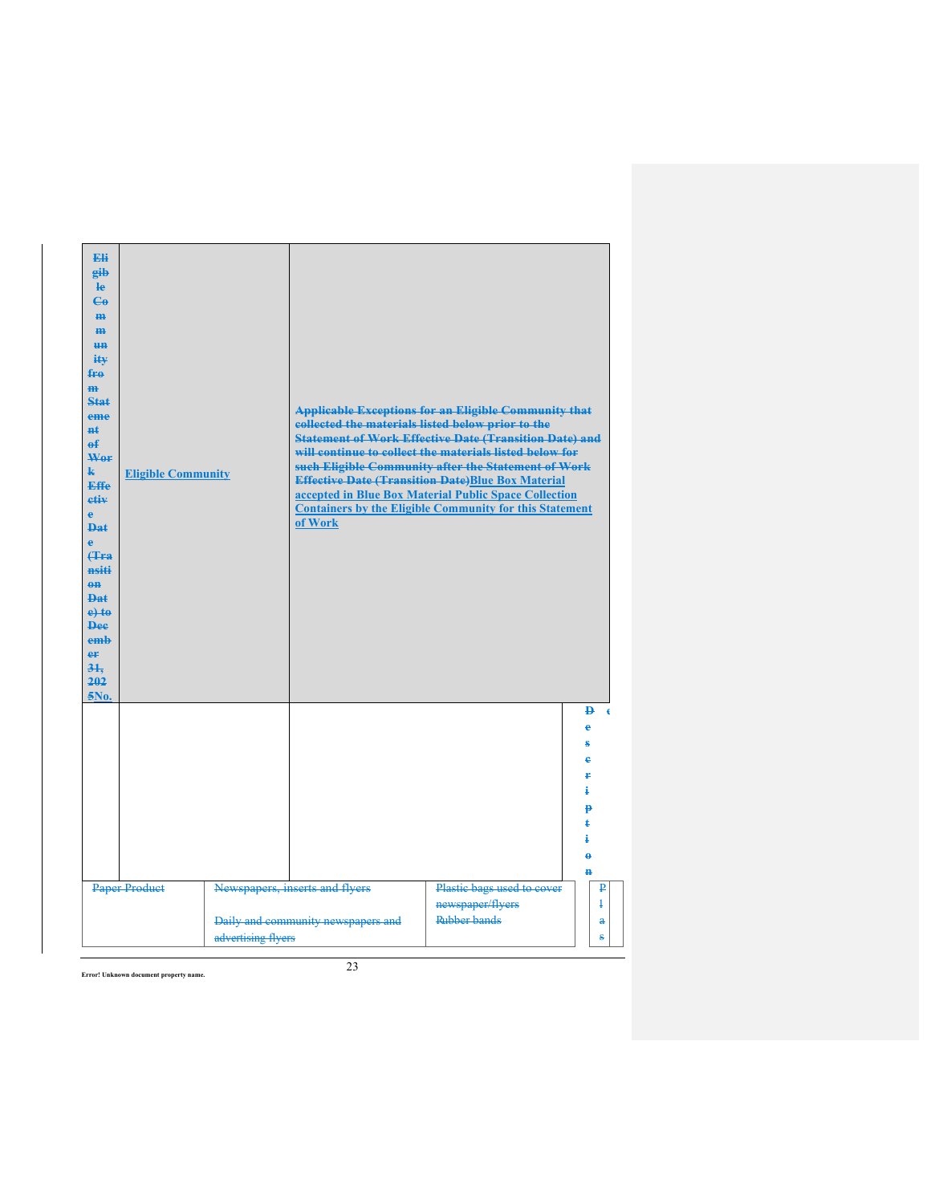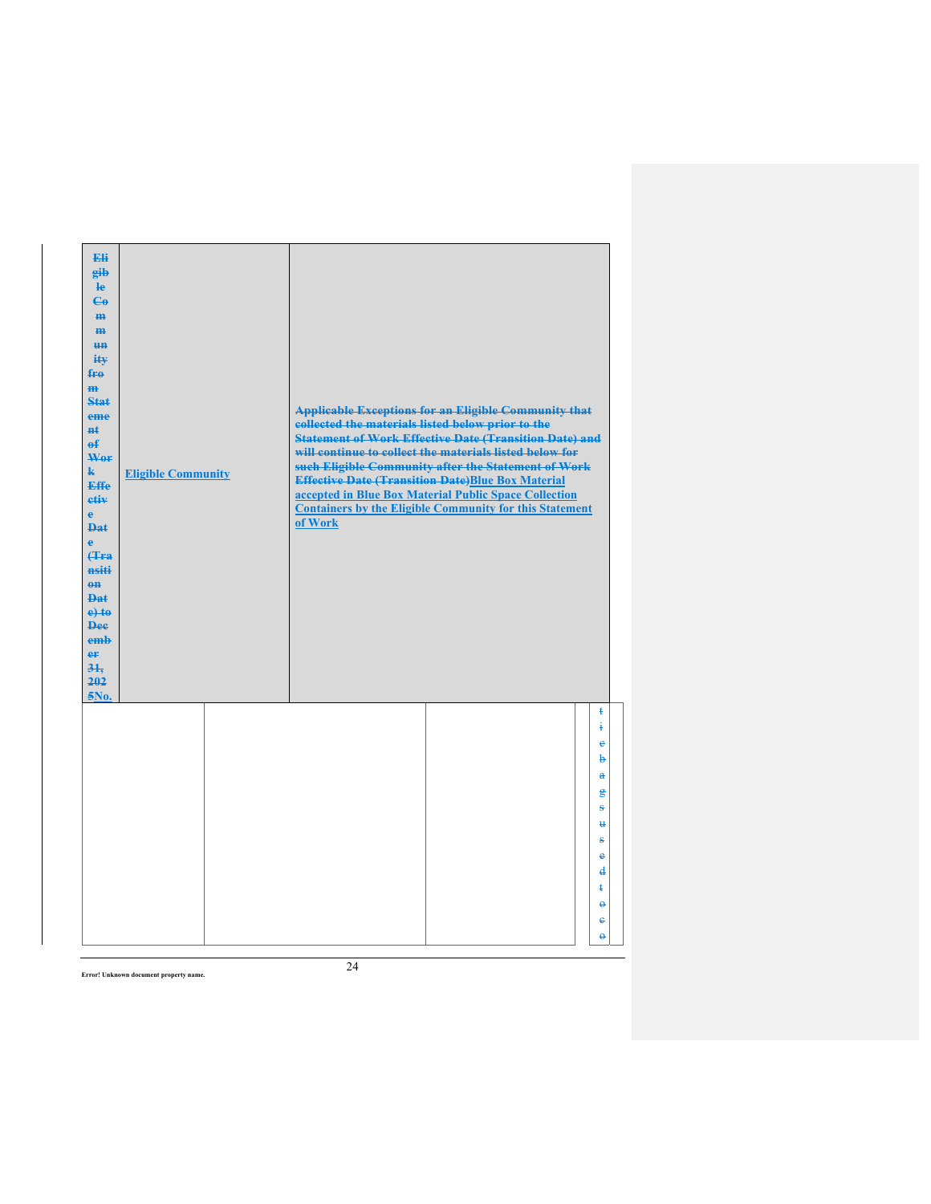| Eli<br>gib<br>He<br>$\epsilon$<br>H <sub>H</sub><br>m<br>H <sub>H</sub><br>ity<br>$f_{\text{H}0}$<br>m<br>Stat<br>eme<br>$H+$<br>$\mathbf{f}$<br>Wer<br>$\mathbf{k}$<br><b>Effe</b><br>etiv<br>$\mathbf{e}$<br><b>Dat</b><br>$\mathbf{e}$<br><b>f</b> Fra<br>nsiti<br>$0$<br><b>Dat</b><br>$e$ +to<br><b>Dee</b><br>emh<br>er<br>31.<br>202<br>5No. | <b>Eligible Community</b> | collected the materials listed below prior to the<br>of Work | <b>Applicable Exceptions for an Eligible Community that</b><br><b>Statement of Work Effective Date (Transition Date) and</b><br>will continue to collect the materials listed below for<br>such Eligible Community after the Statement of Work<br><b>Effective Date (Transition Date)Blue Box Material</b><br>accepted in Blue Box Material Public Space Collection<br><b>Containers by the Eligible Community for this Statement</b> |                                                                                          |
|-----------------------------------------------------------------------------------------------------------------------------------------------------------------------------------------------------------------------------------------------------------------------------------------------------------------------------------------------------|---------------------------|--------------------------------------------------------------|---------------------------------------------------------------------------------------------------------------------------------------------------------------------------------------------------------------------------------------------------------------------------------------------------------------------------------------------------------------------------------------------------------------------------------------|------------------------------------------------------------------------------------------|
|                                                                                                                                                                                                                                                                                                                                                     |                           |                                                              |                                                                                                                                                                                                                                                                                                                                                                                                                                       | ŧ<br>ŧ<br>ė<br>b<br>$\mathbf{a}$<br>鲁<br>÷.<br>$\mathbf{H}$                              |
|                                                                                                                                                                                                                                                                                                                                                     |                           |                                                              |                                                                                                                                                                                                                                                                                                                                                                                                                                       | s<br>$\ddot{\textbf{e}}$<br>$\mathbf{d}$<br>ŧ<br>$\ddot{\theta}$<br>e<br>$\ddot{\theta}$ |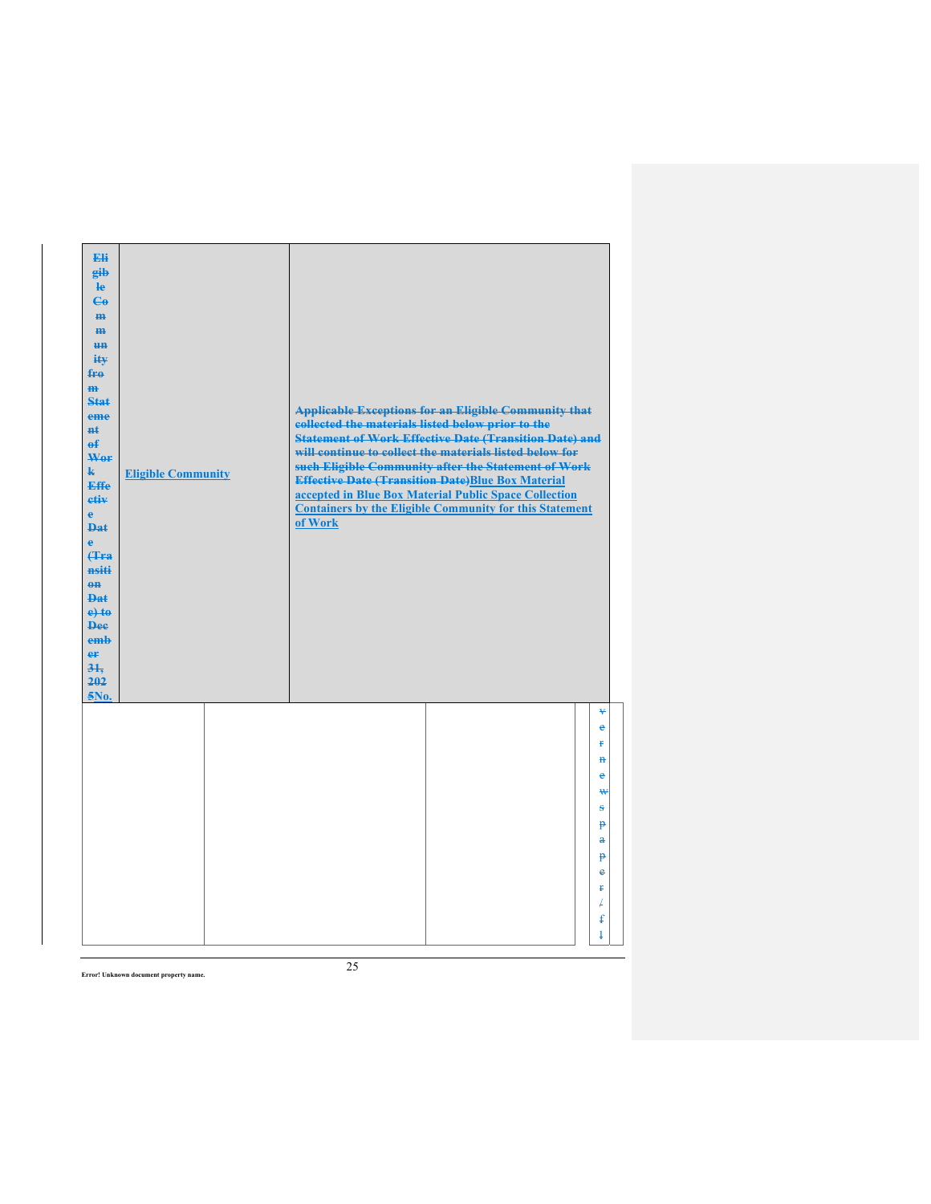| Eli<br>gib<br>$\mathbf{e}$<br>$\epsilon$<br>m-<br>$\mathbf{m}$<br><b>HH</b><br>iŧ¥<br>$f_{\text{H}0}$<br>$\mathbf{m}$<br>Stat<br>eme<br>#ŧ<br>$\mathbf{f}$<br>Wer<br>$\mathbf{k}$<br><b>Effe</b><br>etiv<br>$\mathbf{e}$<br><b>Dat</b><br>$\ddot{\textbf{e}}$<br>Hra<br>nsiti<br>$0$<br><b>Dat</b><br>$e$ + $t$ $e$<br><b>Dee</b><br>emb<br>er<br>31.<br>202<br>5No. | <b>Eligible Community</b> | collected the materials listed below prior to the<br>of Work | <b>Applicable Exceptions for an Eligible Community that</b><br><b>Statement of Work Effective Date (Transition Date) and</b><br>will continue to collect the materials listed below for<br>such Eligible Community after the Statement of Work<br><b>Effective Date (Transition Date)Blue Box Material</b><br>accepted in Blue Box Material Public Space Collection<br><b>Containers by the Eligible Community for this Statement</b> |                           |
|----------------------------------------------------------------------------------------------------------------------------------------------------------------------------------------------------------------------------------------------------------------------------------------------------------------------------------------------------------------------|---------------------------|--------------------------------------------------------------|---------------------------------------------------------------------------------------------------------------------------------------------------------------------------------------------------------------------------------------------------------------------------------------------------------------------------------------------------------------------------------------------------------------------------------------|---------------------------|
|                                                                                                                                                                                                                                                                                                                                                                      |                           |                                                              |                                                                                                                                                                                                                                                                                                                                                                                                                                       | ¥<br>$\epsilon$<br>¥      |
|                                                                                                                                                                                                                                                                                                                                                                      |                           |                                                              |                                                                                                                                                                                                                                                                                                                                                                                                                                       | $\mathbf{H}$<br>$\bullet$ |
|                                                                                                                                                                                                                                                                                                                                                                      |                           |                                                              |                                                                                                                                                                                                                                                                                                                                                                                                                                       | ₩                         |
|                                                                                                                                                                                                                                                                                                                                                                      |                           |                                                              |                                                                                                                                                                                                                                                                                                                                                                                                                                       | s                         |
|                                                                                                                                                                                                                                                                                                                                                                      |                           |                                                              |                                                                                                                                                                                                                                                                                                                                                                                                                                       | $\mathbf{p}$<br>å         |
|                                                                                                                                                                                                                                                                                                                                                                      |                           |                                                              |                                                                                                                                                                                                                                                                                                                                                                                                                                       | p                         |
|                                                                                                                                                                                                                                                                                                                                                                      |                           |                                                              |                                                                                                                                                                                                                                                                                                                                                                                                                                       | $\bullet$<br>Ŧ            |
|                                                                                                                                                                                                                                                                                                                                                                      |                           |                                                              |                                                                                                                                                                                                                                                                                                                                                                                                                                       | ¥                         |
|                                                                                                                                                                                                                                                                                                                                                                      |                           |                                                              |                                                                                                                                                                                                                                                                                                                                                                                                                                       | £                         |
|                                                                                                                                                                                                                                                                                                                                                                      |                           |                                                              |                                                                                                                                                                                                                                                                                                                                                                                                                                       | $\ddagger$                |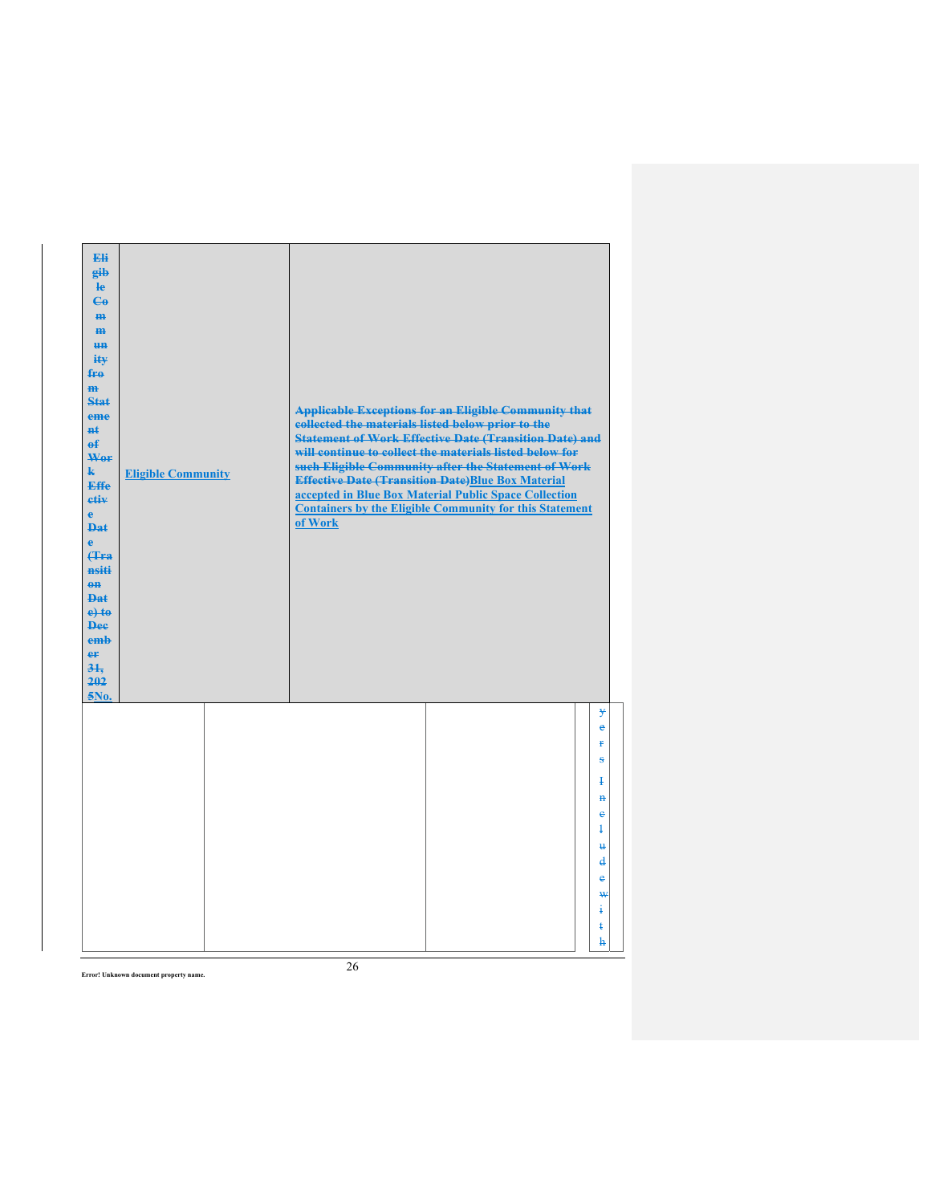| Eli<br>gib<br>$\mathbf{e}$<br>$\mathbf{e}_0$<br>H <sub>H</sub><br>m<br><b>HH</b><br>iŧ¥<br>fre<br>H <sub>H</sub><br><b>Stat</b><br>eme<br><b>H</b> t<br>$\mathbf{f}$<br>Wer<br>$\mathbf{k}$<br>Effe<br>etiv<br>$\mathbf{e}$<br>$PA+$<br>$\mathbf{e}$<br>Hra<br>nsiti<br>$\theta$ <sup><math>\theta</math></sup><br><b>Dat</b><br>$e$ +to<br><b>Dee</b><br>emb<br>er<br>31.<br>202<br>5No. | <b>Eligible Community</b> | collected the materials listed below prior to the<br>of Work | <b>Applicable Exceptions for an Eligible Community that</b><br><b>Statement of Work Effective Date (Transition Date) and</b><br>will continue to collect the materials listed below for<br>such Eligible Community after the Statement of Work<br><b>Effective Date (Transition Date)Blue Box Material</b><br>accepted in Blue Box Material Public Space Collection<br><b>Containers by the Eligible Community for this Statement</b> |                                                                                                      |
|-------------------------------------------------------------------------------------------------------------------------------------------------------------------------------------------------------------------------------------------------------------------------------------------------------------------------------------------------------------------------------------------|---------------------------|--------------------------------------------------------------|---------------------------------------------------------------------------------------------------------------------------------------------------------------------------------------------------------------------------------------------------------------------------------------------------------------------------------------------------------------------------------------------------------------------------------------|------------------------------------------------------------------------------------------------------|
|                                                                                                                                                                                                                                                                                                                                                                                           |                           |                                                              |                                                                                                                                                                                                                                                                                                                                                                                                                                       | ¥<br>ė<br>¥<br>s<br>Ŧ<br>$\ddot{\mathbf{H}}$<br>ė<br>$\ddagger$<br>$\mathbf{u}$<br>$\mathbf{d}$<br>e |
|                                                                                                                                                                                                                                                                                                                                                                                           |                           |                                                              |                                                                                                                                                                                                                                                                                                                                                                                                                                       | ₩<br>ŧ<br>ŧ<br>ħ                                                                                     |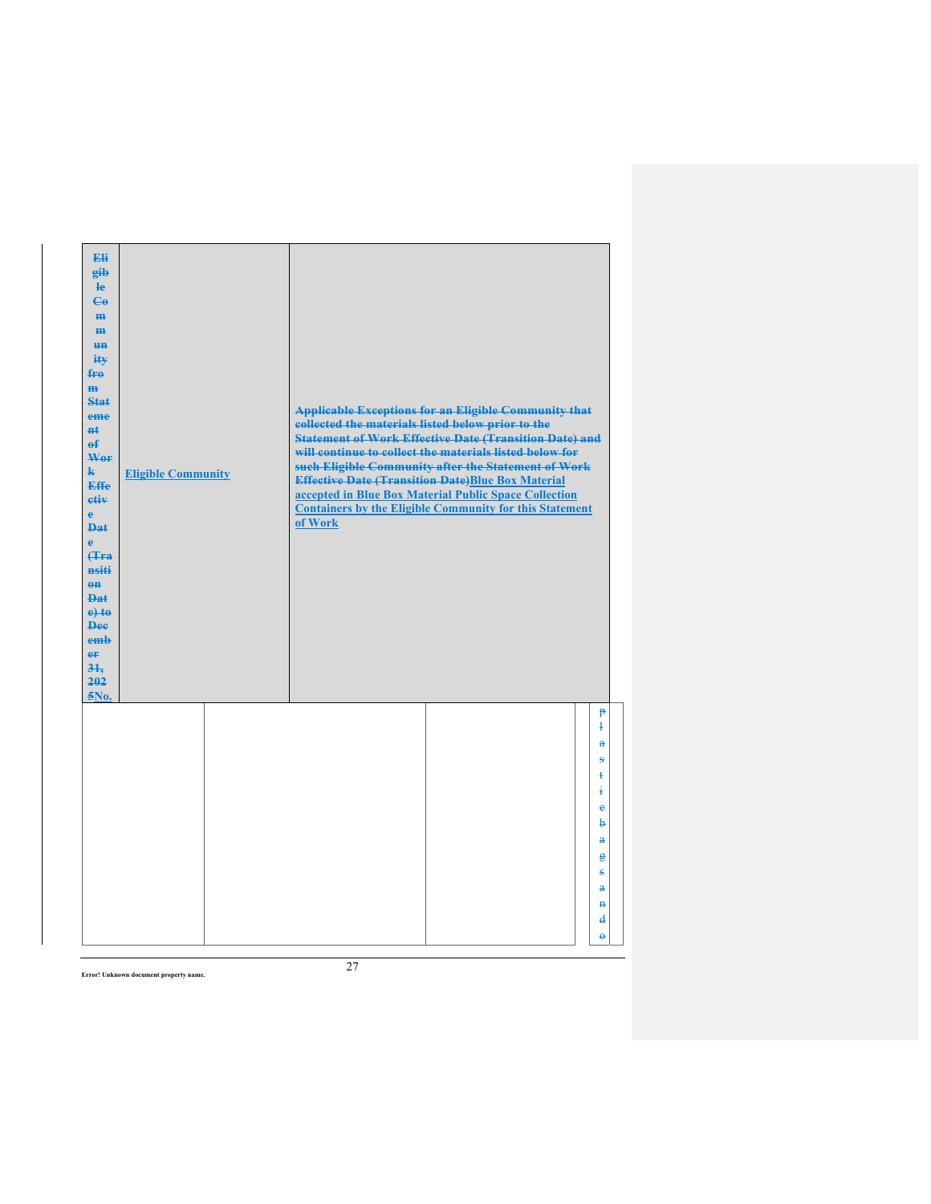| Eli<br>gib<br>He<br>$\mathbf{G}$<br>m-<br>m<br>H <sub>H</sub><br>ity<br>fro<br>$\mathbf{m}$<br><b>Stat</b><br>eme<br><b>n</b> t<br>$\mathbf{f}$<br>Wor<br>$\mathbf{k}$<br><b>Effe</b><br>etiv<br>$\mathbf{e}$<br><b>Dat</b><br>$\ddot{\textbf{e}}$<br>(Tra<br>nsiti<br>$0$<br><b>Dat</b><br>$e$ +to<br><b>Dee</b><br>emb<br>er<br>31.<br>202<br>5No. | <b>Eligible Community</b> | collected the materials listed below prior to the<br>of Work | <b>Applicable Exceptions for an Eligible Community that</b><br><b>Statement of Work Effective Date (Transition Date) and</b><br>will continue to collect the materials listed below for<br>such Eligible Community after the Statement of Work<br><b>Effective Date (Transition Date)Blue Box Material</b><br>accepted in Blue Box Material Public Space Collection<br><b>Containers by the Eligible Community for this Statement</b> |                                 |
|------------------------------------------------------------------------------------------------------------------------------------------------------------------------------------------------------------------------------------------------------------------------------------------------------------------------------------------------------|---------------------------|--------------------------------------------------------------|---------------------------------------------------------------------------------------------------------------------------------------------------------------------------------------------------------------------------------------------------------------------------------------------------------------------------------------------------------------------------------------------------------------------------------------|---------------------------------|
|                                                                                                                                                                                                                                                                                                                                                      |                           |                                                              |                                                                                                                                                                                                                                                                                                                                                                                                                                       | $\mathbf{P}$<br>$\ddagger$<br>a |
|                                                                                                                                                                                                                                                                                                                                                      |                           |                                                              |                                                                                                                                                                                                                                                                                                                                                                                                                                       | s                               |
|                                                                                                                                                                                                                                                                                                                                                      |                           |                                                              |                                                                                                                                                                                                                                                                                                                                                                                                                                       | ŧ                               |
|                                                                                                                                                                                                                                                                                                                                                      |                           |                                                              |                                                                                                                                                                                                                                                                                                                                                                                                                                       | į                               |
|                                                                                                                                                                                                                                                                                                                                                      |                           |                                                              |                                                                                                                                                                                                                                                                                                                                                                                                                                       | e<br>b                          |
|                                                                                                                                                                                                                                                                                                                                                      |                           |                                                              |                                                                                                                                                                                                                                                                                                                                                                                                                                       | a                               |
|                                                                                                                                                                                                                                                                                                                                                      |                           |                                                              |                                                                                                                                                                                                                                                                                                                                                                                                                                       | g                               |
|                                                                                                                                                                                                                                                                                                                                                      |                           |                                                              |                                                                                                                                                                                                                                                                                                                                                                                                                                       | ÷                               |
|                                                                                                                                                                                                                                                                                                                                                      |                           |                                                              |                                                                                                                                                                                                                                                                                                                                                                                                                                       | $\mathbf{a}$                    |
|                                                                                                                                                                                                                                                                                                                                                      |                           |                                                              |                                                                                                                                                                                                                                                                                                                                                                                                                                       | $\mathbf{H}$                    |
|                                                                                                                                                                                                                                                                                                                                                      |                           |                                                              |                                                                                                                                                                                                                                                                                                                                                                                                                                       | $\mathbf{d}$                    |
|                                                                                                                                                                                                                                                                                                                                                      |                           |                                                              |                                                                                                                                                                                                                                                                                                                                                                                                                                       | $\ddot{\theta}$                 |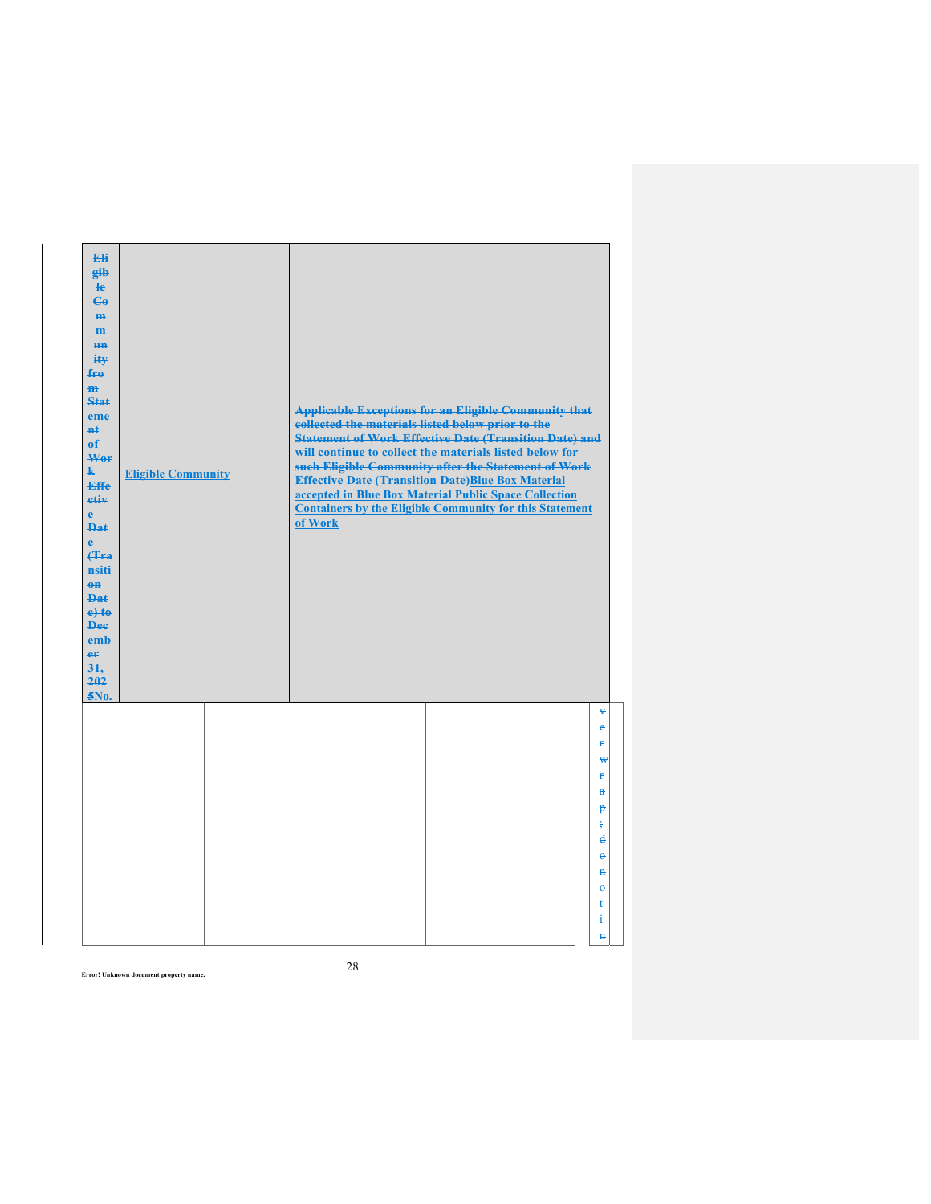| Eli<br>gib<br>$\mathbf{e}$<br>$\epsilon$<br>m-<br>$\mathbf{m}$<br><b>HH</b><br>iŧ¥<br>$f_{\text{H}0}$<br>$\mathbf{m}$<br>Stat<br>eme<br>#ŧ<br>$\mathbf{f}$<br>Wer<br>$\mathbf{k}$<br><b>Effe</b><br>etiv<br>$\mathbf{e}$<br><b>Dat</b><br>$\ddot{\mathbf{e}}$<br>Hra<br>nsiti<br>$0$<br><b>Dat</b><br>$e$ + $t$ $e$<br><b>Dee</b><br>emb<br>er<br>31.<br>202<br>5No. | <b>Eligible Community</b> | collected the materials listed below prior to the<br>of Work | <b>Applicable Exceptions for an Eligible Community that</b><br><b>Statement of Work Effective Date (Transition Date) and</b><br>will continue to collect the materials listed below for<br>such Eligible Community after the Statement of Work<br><b>Effective Date (Transition Date)Blue Box Material</b><br>accepted in Blue Box Material Public Space Collection<br><b>Containers by the Eligible Community for this Statement</b> |                                     |
|----------------------------------------------------------------------------------------------------------------------------------------------------------------------------------------------------------------------------------------------------------------------------------------------------------------------------------------------------------------------|---------------------------|--------------------------------------------------------------|---------------------------------------------------------------------------------------------------------------------------------------------------------------------------------------------------------------------------------------------------------------------------------------------------------------------------------------------------------------------------------------------------------------------------------------|-------------------------------------|
|                                                                                                                                                                                                                                                                                                                                                                      |                           |                                                              |                                                                                                                                                                                                                                                                                                                                                                                                                                       | ¥<br>$\epsilon$<br>¥.               |
|                                                                                                                                                                                                                                                                                                                                                                      |                           |                                                              |                                                                                                                                                                                                                                                                                                                                                                                                                                       | ₩<br>Ŧ                              |
|                                                                                                                                                                                                                                                                                                                                                                      |                           |                                                              |                                                                                                                                                                                                                                                                                                                                                                                                                                       | $\mathbf{a}$                        |
|                                                                                                                                                                                                                                                                                                                                                                      |                           |                                                              |                                                                                                                                                                                                                                                                                                                                                                                                                                       | p<br>$\frac{1}{2}$                  |
|                                                                                                                                                                                                                                                                                                                                                                      |                           |                                                              |                                                                                                                                                                                                                                                                                                                                                                                                                                       | $\mathbf{d}$                        |
|                                                                                                                                                                                                                                                                                                                                                                      |                           |                                                              |                                                                                                                                                                                                                                                                                                                                                                                                                                       | $\ddot{\mathbf{e}}$<br>$\mathbf{H}$ |
|                                                                                                                                                                                                                                                                                                                                                                      |                           |                                                              |                                                                                                                                                                                                                                                                                                                                                                                                                                       | $\ddot{\mathbf{e}}$                 |
|                                                                                                                                                                                                                                                                                                                                                                      |                           |                                                              |                                                                                                                                                                                                                                                                                                                                                                                                                                       | ŧ                                   |
|                                                                                                                                                                                                                                                                                                                                                                      |                           |                                                              |                                                                                                                                                                                                                                                                                                                                                                                                                                       | ÷.                                  |
|                                                                                                                                                                                                                                                                                                                                                                      |                           |                                                              |                                                                                                                                                                                                                                                                                                                                                                                                                                       | $\mathbf{H}$                        |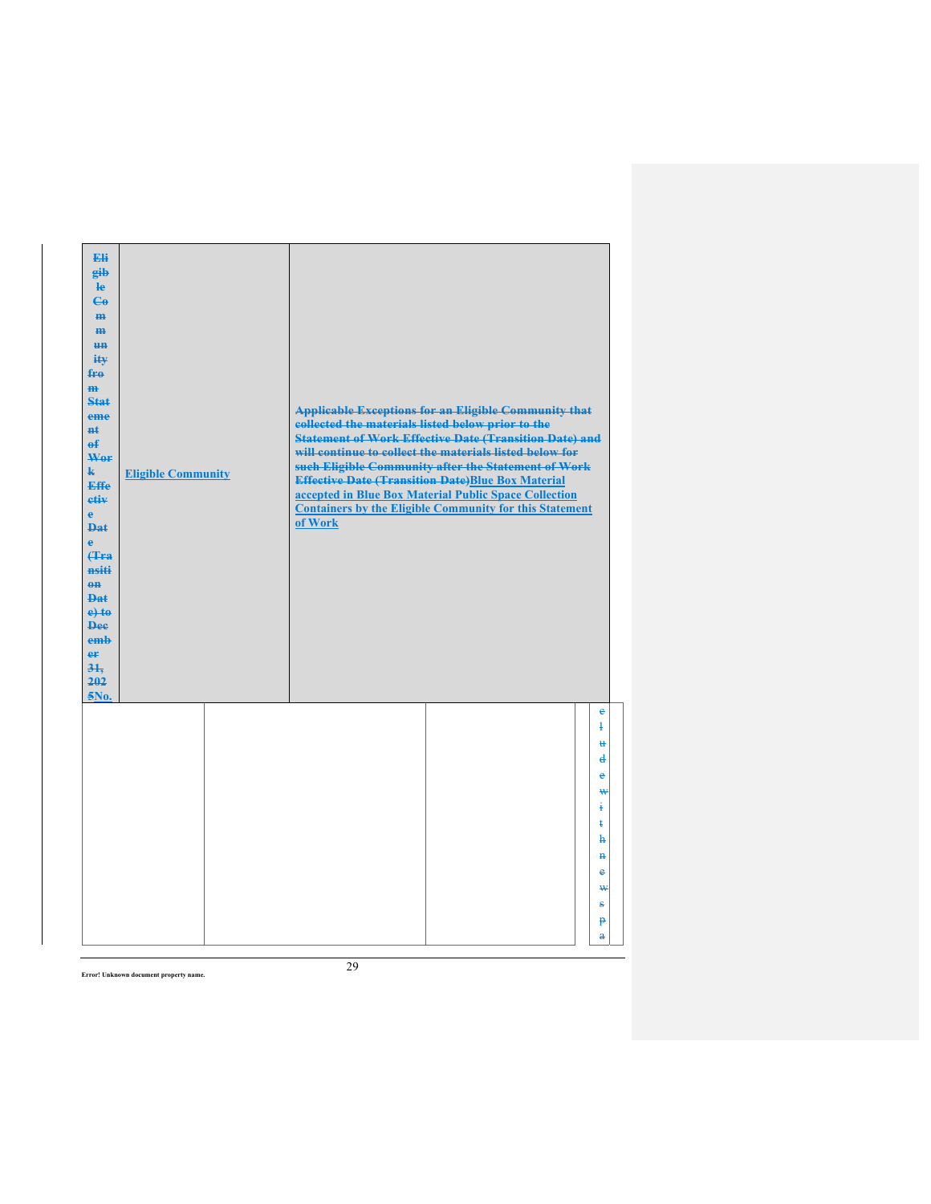| Eli<br>gib<br>$\mathbf{e}$<br>$\epsilon$<br>H <sub>H</sub><br>m<br>H <sub>H</sub><br>ity<br>$f_{\text{H}0}$<br>m<br>Stat<br>eme<br>$H+$<br>$\mathbf{f}$<br>Wer<br>k.<br><b>Effe</b><br>etiv<br>$\mathbf{e}$<br><b>Dat</b><br>$\ddot{\textbf{e}}$<br><b>f</b> Fra<br>nsiti<br>$\theta$ <sup><math>\theta</math></sup><br><b>Dat</b><br>$e$ +to<br><b>Dee</b><br>emb<br>er<br>31.<br>202<br>5No. | <b>Eligible Community</b> | collected the materials listed below prior to the<br>of Work | <b>Applicable Exceptions for an Eligible Community that</b><br><b>Statement of Work Effective Date (Transition Date) and</b><br>will continue to collect the materials listed below for<br>such Eligible Community after the Statement of Work<br><b>Effective Date (Transition Date)Blue Box Material</b><br>accepted in Blue Box Material Public Space Collection<br><b>Containers by the Eligible Community for this Statement</b> |                                                        |
|------------------------------------------------------------------------------------------------------------------------------------------------------------------------------------------------------------------------------------------------------------------------------------------------------------------------------------------------------------------------------------------------|---------------------------|--------------------------------------------------------------|---------------------------------------------------------------------------------------------------------------------------------------------------------------------------------------------------------------------------------------------------------------------------------------------------------------------------------------------------------------------------------------------------------------------------------------|--------------------------------------------------------|
|                                                                                                                                                                                                                                                                                                                                                                                                |                           |                                                              |                                                                                                                                                                                                                                                                                                                                                                                                                                       | $\ddot{\textbf{e}}$<br>$\ddagger$<br>u<br>$\mathbf{d}$ |
|                                                                                                                                                                                                                                                                                                                                                                                                |                           |                                                              |                                                                                                                                                                                                                                                                                                                                                                                                                                       | $\bullet$<br>₩<br>Ŧ                                    |
|                                                                                                                                                                                                                                                                                                                                                                                                |                           |                                                              |                                                                                                                                                                                                                                                                                                                                                                                                                                       | ŧ<br>$\mathbf{h}$                                      |
|                                                                                                                                                                                                                                                                                                                                                                                                |                           |                                                              |                                                                                                                                                                                                                                                                                                                                                                                                                                       | $\mathbf{H}$<br>$\bullet$<br>₩                         |
|                                                                                                                                                                                                                                                                                                                                                                                                |                           |                                                              |                                                                                                                                                                                                                                                                                                                                                                                                                                       | ÷<br>$\mathbf{P}$                                      |
|                                                                                                                                                                                                                                                                                                                                                                                                |                           |                                                              |                                                                                                                                                                                                                                                                                                                                                                                                                                       | $\mathbf{a}$                                           |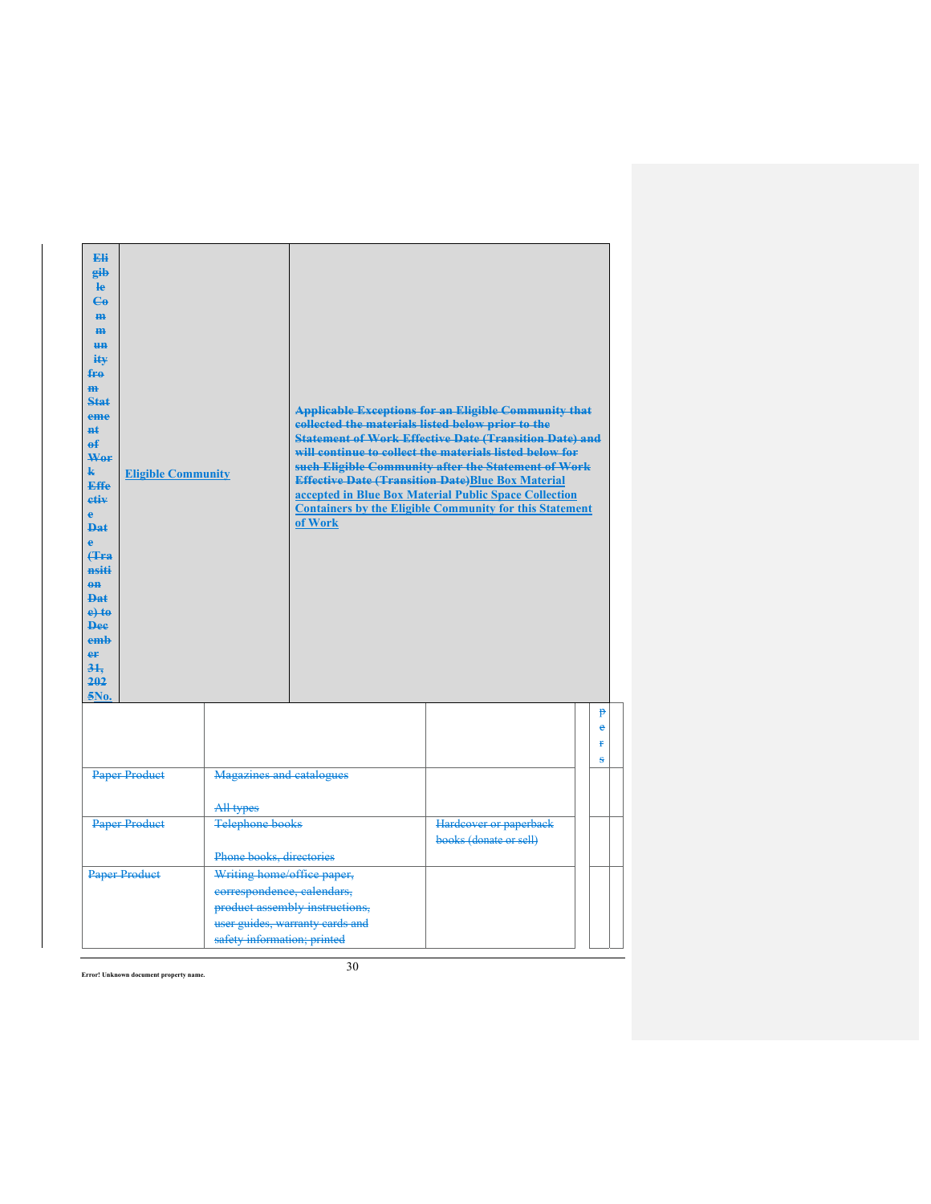| <b>Eli</b><br>eib<br><b>le</b><br>$\mathbf{G}$<br>H <sub>H</sub><br>H <sub>H</sub><br><b>HH</b><br>ity<br>fro<br>H <sub>H</sub><br><b>Stat</b><br>eme<br>#£<br>e£<br>Wer<br>$\mathbf{k}$<br><b>Effe</b><br>etiv<br>ė<br>Dat<br>$\bullet$<br>Hra<br>nsiti<br>$0$<br><b>Dat</b><br>$e$ +to<br><b>Dee</b><br>emb<br>er<br>31.<br>202<br>5No. | <b>Eligible Community</b> |                                                                                         | collected the materials listed below prior to the<br>of Work      | <b>Applicable Exceptions for an Eligible Community that</b><br><b>Statement of Work Effective Date (Transition Date) and</b><br>will continue to collect the materials listed below for<br>such Eligible Community after the Statement of Work<br><b>Effective Date (Transition Date)Blue Box Material</b><br>accepted in Blue Box Material Public Space Collection<br><b>Containers by the Eligible Community for this Statement</b> |                  |
|-------------------------------------------------------------------------------------------------------------------------------------------------------------------------------------------------------------------------------------------------------------------------------------------------------------------------------------------|---------------------------|-----------------------------------------------------------------------------------------|-------------------------------------------------------------------|---------------------------------------------------------------------------------------------------------------------------------------------------------------------------------------------------------------------------------------------------------------------------------------------------------------------------------------------------------------------------------------------------------------------------------------|------------------|
|                                                                                                                                                                                                                                                                                                                                           |                           |                                                                                         |                                                                   |                                                                                                                                                                                                                                                                                                                                                                                                                                       | p<br>ė<br>¥<br>s |
|                                                                                                                                                                                                                                                                                                                                           | <b>Paper Product</b>      | <b>Magazines and catalogues</b><br>All types                                            |                                                                   |                                                                                                                                                                                                                                                                                                                                                                                                                                       |                  |
|                                                                                                                                                                                                                                                                                                                                           | <b>Paper Product</b>      | <b>Telephone books</b><br>Phone books, directories                                      |                                                                   | Hardcover or paperback<br>books (donate or sell)                                                                                                                                                                                                                                                                                                                                                                                      |                  |
| <b>Paper Product</b>                                                                                                                                                                                                                                                                                                                      |                           | Writing home/office paper,<br>correspondence, calendars,<br>safety information; printed | product assembly instructions,<br>user guides, warranty cards and |                                                                                                                                                                                                                                                                                                                                                                                                                                       |                  |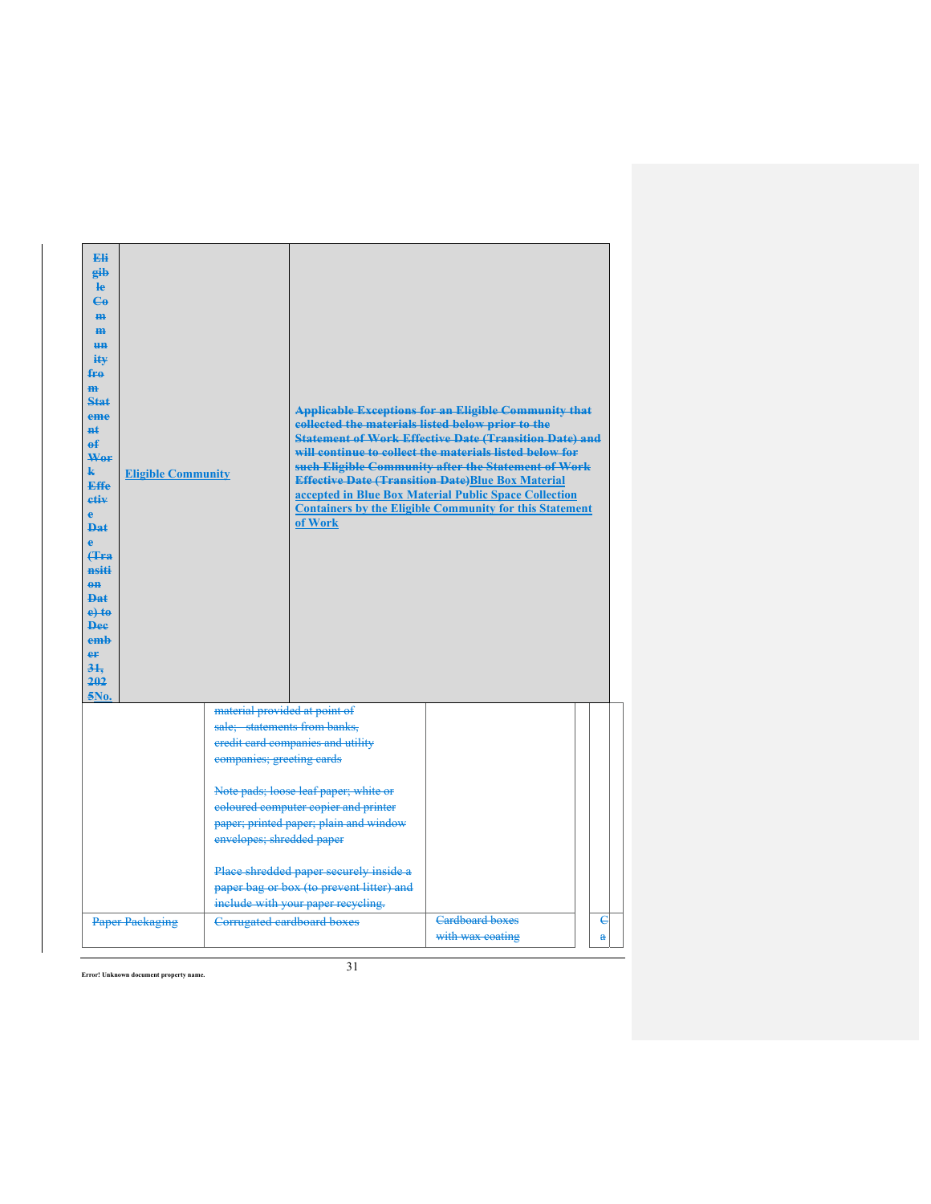| <b>Eli</b><br>eib<br><b>le</b><br>$C_{\theta}$<br>m-<br>H <sub>H</sub><br><b>HH</b><br>$i$ t $\mathbf{v}$<br>fro<br>H <sub>H</sub><br>Stat<br>eme<br>$H+$<br>е£<br>Wer<br>k.<br><b>Effe</b><br>etiv<br>e<br><b>Dat</b><br>ė<br><b>f</b> Fa<br>nsiti<br>$0$<br>Dat<br>$e$ to<br><b>Dee</b><br>emh<br>er<br>31.<br>202<br>5No. | <b>Eligible Community</b> |                                                                                                                         | collected the materials listed below prior to the<br>of Work                                                             | <b>Applicable Exceptions for an Eligible Community that</b><br><b>Statement of Work Effective Date (Transition Date) and</b><br>will continue to collect the materials listed below for<br>such Eligible Community after the Statement of Work<br><b>Effective Date (Transition Date)Blue Box Material</b><br>accepted in Blue Box Material Public Space Collection<br><b>Containers by the Eligible Community for this Statement</b> |                 |  |
|------------------------------------------------------------------------------------------------------------------------------------------------------------------------------------------------------------------------------------------------------------------------------------------------------------------------------|---------------------------|-------------------------------------------------------------------------------------------------------------------------|--------------------------------------------------------------------------------------------------------------------------|---------------------------------------------------------------------------------------------------------------------------------------------------------------------------------------------------------------------------------------------------------------------------------------------------------------------------------------------------------------------------------------------------------------------------------------|-----------------|--|
|                                                                                                                                                                                                                                                                                                                              |                           | material provided at point of<br>sale; statements from banks,<br>companies; greeting cards                              | credit card companies and utility                                                                                        |                                                                                                                                                                                                                                                                                                                                                                                                                                       |                 |  |
| envelopes; shredded paper                                                                                                                                                                                                                                                                                                    |                           | Note pads; loose leaf paper; white or<br>coloured computer copier and printer<br>paper; printed paper; plain and window |                                                                                                                          |                                                                                                                                                                                                                                                                                                                                                                                                                                       |                 |  |
|                                                                                                                                                                                                                                                                                                                              | <b>Paper Packaging</b>    | Corrugated cardboard boxes                                                                                              | Place shredded paper securely inside a<br>paper bag or box (to prevent litter) and<br>include with your paper recycling. | <b>Cardboard boxes</b><br>with wax coating                                                                                                                                                                                                                                                                                                                                                                                            | $\epsilon$<br>å |  |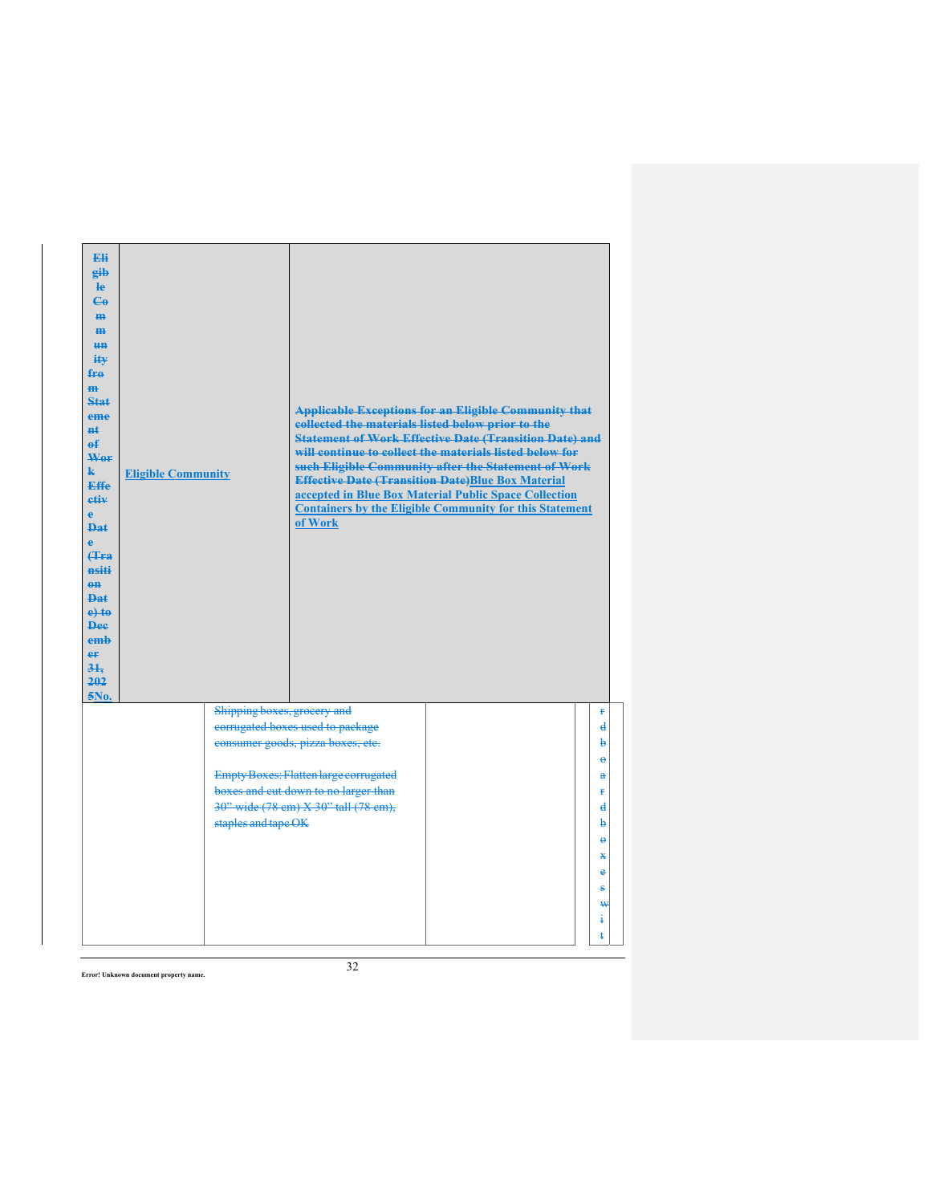| <b>Eli</b><br>eib<br><b>le</b><br>$\mathbf{G}$<br><b>m</b><br>H <sub>H</sub><br>H <sub>H</sub><br>ity<br>fro<br>$\mathbf{m}$<br>Stat<br>eme<br>$H+$<br>ef<br>Wer<br>$\mathbf{k}$<br><b>Effe</b><br>etiv<br>ĕ<br>$\mathbf{p}_{\mathbf{a}\mathbf{f}}$<br>Ä<br><b>(Tra</b><br>nsiti<br>$\theta$ <sup><math>\theta</math></sup><br><b>Dat</b><br>$e$ +to<br><b>Dee</b><br>emb<br>er<br>31.<br>202<br>5No. | <b>Eligible Community</b>                          | <b>Applicable Exceptions for an Eligible Community that</b><br>collected the materials listed below prior to the<br><b>Statement of Work Effective Date (Transition Date) and</b><br>will continue to collect the materials listed below for<br>such Eligible Community after the Statement of Work<br><b>Effective Date (Transition Date)Blue Box Material</b><br>accepted in Blue Box Material Public Space Collection<br><b>Containers by the Eligible Community for this Statement</b><br>of Work |                                                                                                                           |
|-------------------------------------------------------------------------------------------------------------------------------------------------------------------------------------------------------------------------------------------------------------------------------------------------------------------------------------------------------------------------------------------------------|----------------------------------------------------|-------------------------------------------------------------------------------------------------------------------------------------------------------------------------------------------------------------------------------------------------------------------------------------------------------------------------------------------------------------------------------------------------------------------------------------------------------------------------------------------------------|---------------------------------------------------------------------------------------------------------------------------|
|                                                                                                                                                                                                                                                                                                                                                                                                       | Shipping boxes, grocery and<br>staples and tape OK | corrugated boxes used to package<br>consumer goods, pizza boxes, etc.<br><b>Empty Boxes: Flatten large corrugated</b><br>boxes and cut down to no larger than<br>30" wide (78 cm) X 30" tall (78 cm),                                                                                                                                                                                                                                                                                                 | ŧ<br>$\mathbf{d}$<br>þ<br>$\Theta$<br>$\mathbf{a}$<br>ŧ<br>$\mathbf d$<br>þ<br>$\Theta$<br>⋇<br>e<br>s<br>₩<br>$\ddagger$ |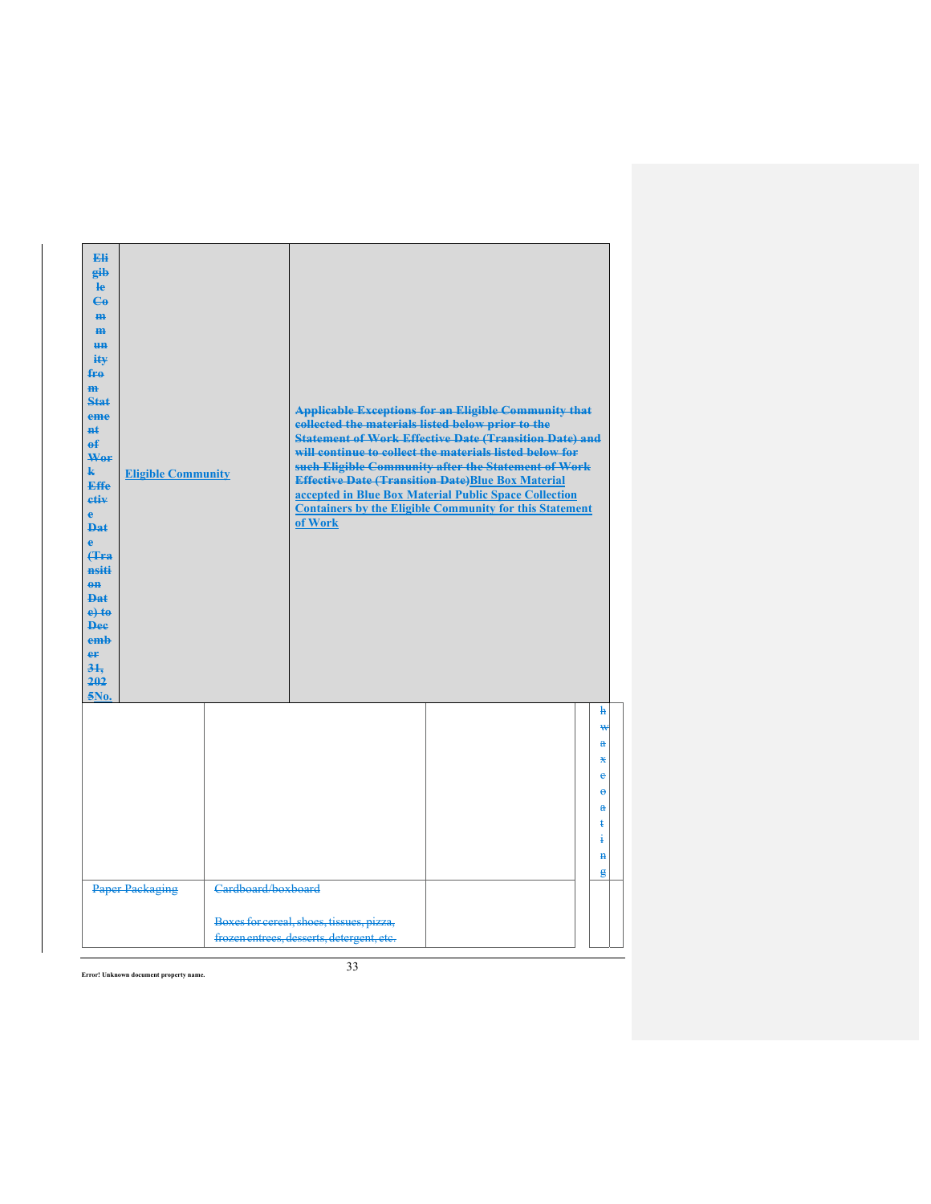| Eli<br>gib<br>le<br>$\mathbf{G}$<br>m.<br>H <sub>H</sub><br><b>HH</b><br>ity<br>fro<br>$\mathbf{m}$<br>Stat<br>eme<br>$H+$<br>$\mathbf{f}$<br>Wer<br>$\mathbf{k}$<br><b>Effe</b><br>etiv<br>$\mathbf{e}$<br><b>Dat</b><br>$\ddot{\textbf{e}}$<br>Hra<br>nsiti<br>$0$<br><b>Dat</b><br>$e$ + $t$ $e$<br><b>Dee</b><br>emb<br>er<br>31.<br>202<br>5No. | <b>Eligible Community</b> |                    | <b>Applicable Exceptions for an Eligible Community that</b><br>collected the materials listed below prior to the<br><b>Statement of Work Effective Date (Transition Date) and</b><br>will continue to collect the materials listed below for<br>such Eligible Community after the Statement of Work<br><b>Effective Date (Transition Date)Blue Box Material</b><br>accepted in Blue Box Material Public Space Collection<br><b>Containers by the Eligible Community for this Statement</b><br>of Work |  |  |                                                        |  |
|------------------------------------------------------------------------------------------------------------------------------------------------------------------------------------------------------------------------------------------------------------------------------------------------------------------------------------------------------|---------------------------|--------------------|-------------------------------------------------------------------------------------------------------------------------------------------------------------------------------------------------------------------------------------------------------------------------------------------------------------------------------------------------------------------------------------------------------------------------------------------------------------------------------------------------------|--|--|--------------------------------------------------------|--|
|                                                                                                                                                                                                                                                                                                                                                      |                           |                    |                                                                                                                                                                                                                                                                                                                                                                                                                                                                                                       |  |  | h<br>₩<br>å<br>Ж<br>ė<br>$\bullet$                     |  |
|                                                                                                                                                                                                                                                                                                                                                      |                           |                    |                                                                                                                                                                                                                                                                                                                                                                                                                                                                                                       |  |  | $\mathbf{a}$<br>ŧ<br>ŧ<br>$\mathbf{H}$<br>$\mathbf{g}$ |  |
|                                                                                                                                                                                                                                                                                                                                                      | <b>Paper Packaging</b>    | Cardboard/boxboard | Boxes for cereal, shoes, tissues, pizza,<br>frozen entrees, desserts, detergent, etc.                                                                                                                                                                                                                                                                                                                                                                                                                 |  |  |                                                        |  |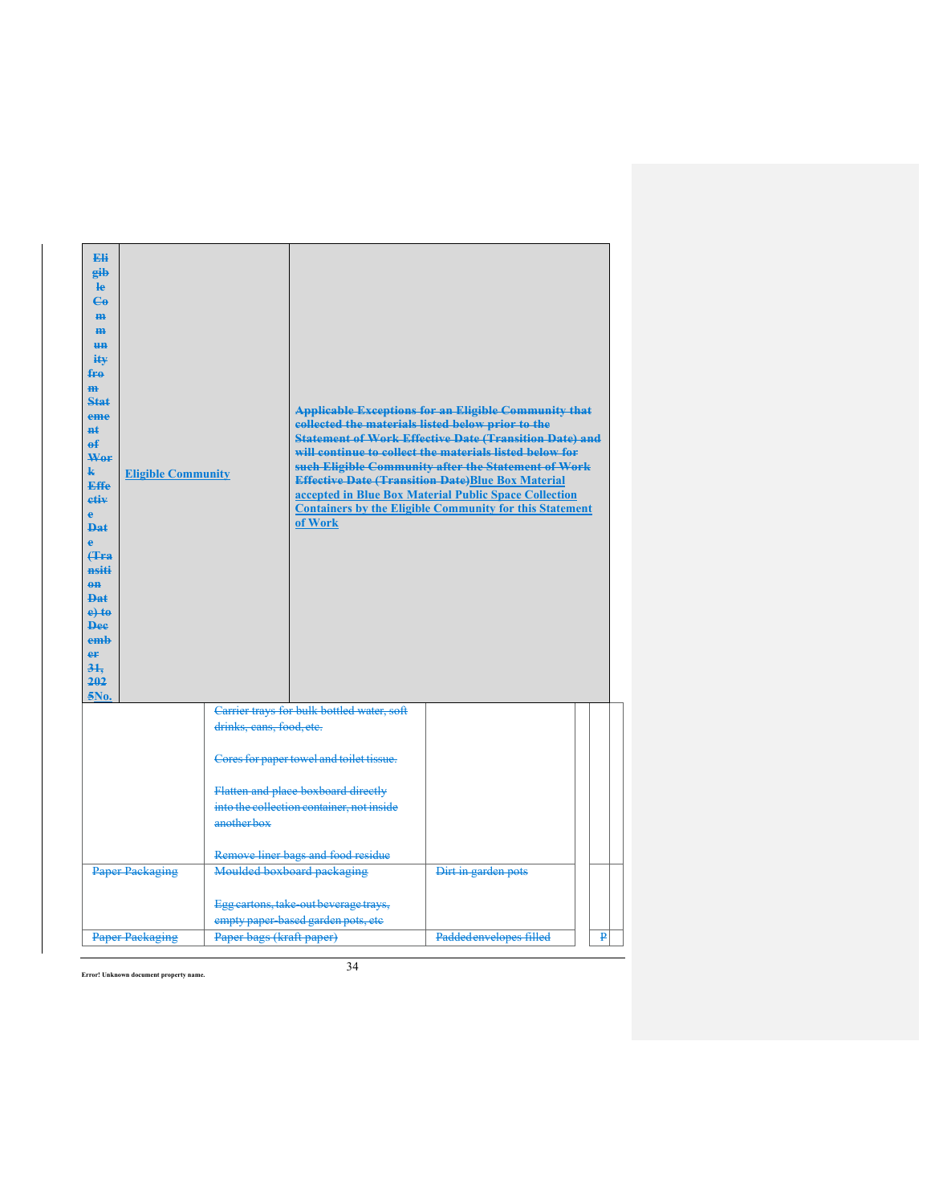| Eli<br>eib<br><b>le</b><br>$\mathbf{G}$<br>H <sub>H</sub><br>H <sub>H</sub><br>H <sub>H</sub><br>$i$ it $\mathbf{v}$<br>fre<br>m.<br>Stat<br>eme<br>#£<br>$\mathbf{f}$<br>Wer<br>k.<br><b>Effe</b><br>etiv<br>e<br><b>Dat</b><br>ė<br><b>(Tra</b><br>nsiti<br>$\theta$ <sup><math>\theta</math></sup><br>$PA+$<br>$e$ +to<br><b>Dee</b><br>emb<br>eF<br>31.<br>202<br>5No. | <b>Eligible Community</b> |                                    | collected the materials listed below prior to the<br>of Work                     | <b>Applicable Exceptions for an Eligible Community that</b><br><b>Statement of Work Effective Date (Transition Date) and</b><br>will continue to collect the materials listed below for<br>such Eligible Community after the Statement of Work<br><b>Effective Date (Transition Date)Blue Box Material</b><br>accepted in Blue Box Material Public Space Collection<br><b>Containers by the Eligible Community for this Statement</b> |   |
|----------------------------------------------------------------------------------------------------------------------------------------------------------------------------------------------------------------------------------------------------------------------------------------------------------------------------------------------------------------------------|---------------------------|------------------------------------|----------------------------------------------------------------------------------|---------------------------------------------------------------------------------------------------------------------------------------------------------------------------------------------------------------------------------------------------------------------------------------------------------------------------------------------------------------------------------------------------------------------------------------|---|
|                                                                                                                                                                                                                                                                                                                                                                            |                           | drinks, cans, food, etc.           | Carrier trays for bulk bottled water, soft                                       |                                                                                                                                                                                                                                                                                                                                                                                                                                       |   |
|                                                                                                                                                                                                                                                                                                                                                                            |                           |                                    | Cores for paper towel and toilet tissue.                                         |                                                                                                                                                                                                                                                                                                                                                                                                                                       |   |
|                                                                                                                                                                                                                                                                                                                                                                            |                           | anotherbox                         | Flatten and place boxboard directly<br>into the collection container, not inside |                                                                                                                                                                                                                                                                                                                                                                                                                                       |   |
|                                                                                                                                                                                                                                                                                                                                                                            |                           | Remove liner bags and food residue |                                                                                  |                                                                                                                                                                                                                                                                                                                                                                                                                                       |   |
| <b>Paper Packaging</b>                                                                                                                                                                                                                                                                                                                                                     |                           | Moulded boxboard packaging         | Dirt in garden pots                                                              |                                                                                                                                                                                                                                                                                                                                                                                                                                       |   |
|                                                                                                                                                                                                                                                                                                                                                                            |                           |                                    | Egg cartons, take-out beverage trays,<br>empty paper based garden pots, etc      |                                                                                                                                                                                                                                                                                                                                                                                                                                       |   |
| <b>Paper Packaging</b>                                                                                                                                                                                                                                                                                                                                                     |                           | Paper bags (kraft paper)           |                                                                                  | Padded envelopes filled                                                                                                                                                                                                                                                                                                                                                                                                               | ₽ |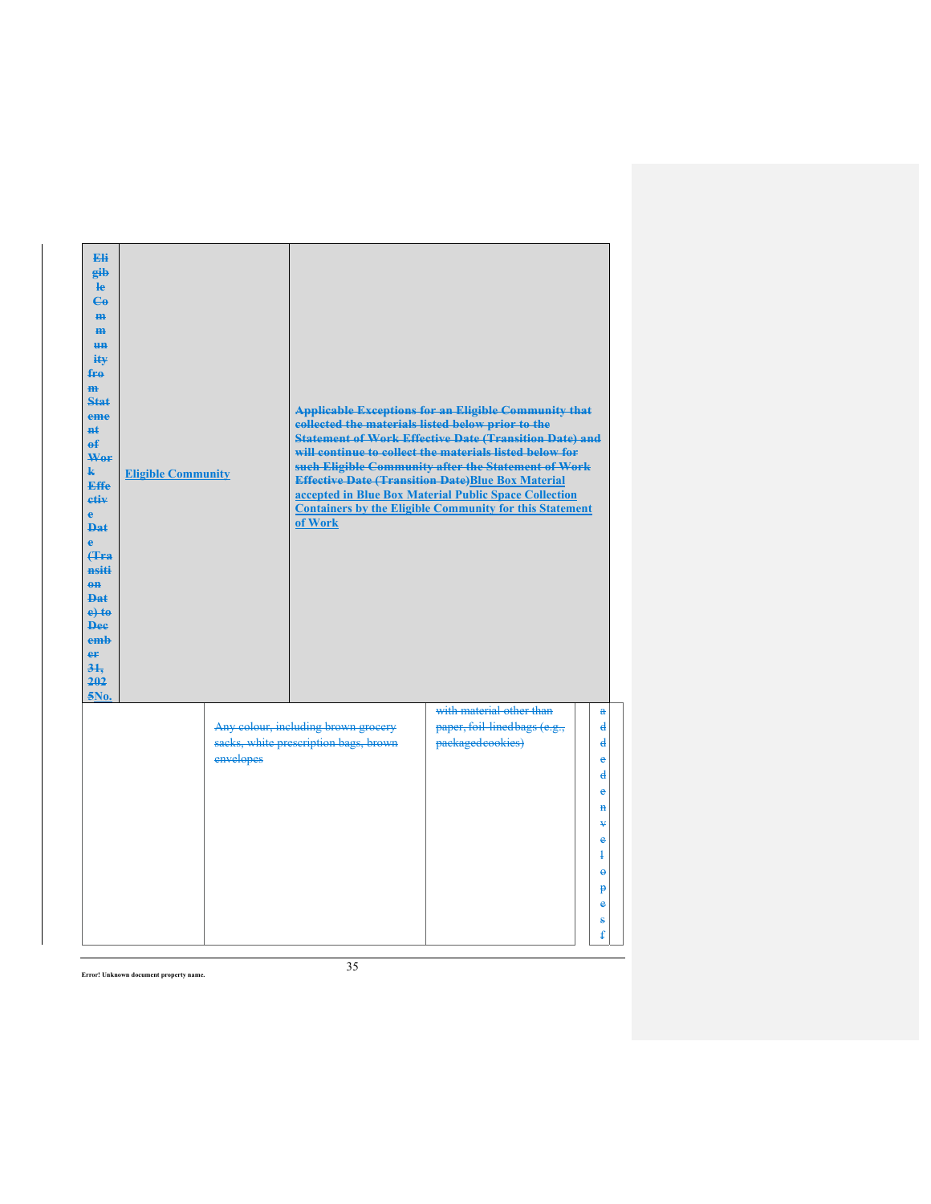| Eli<br>gib<br>$\mathbf{e}$<br>$\mathbf{G}$<br>H <sub>H</sub><br>H <sub>H</sub><br><b>HH</b><br>ity<br>fro<br>$\overline{m}$<br>Stat<br>eme<br><b>n</b> t<br>$\mathbf{f}$<br>Wor<br>$\mathbf{k}$<br><b>Effe</b><br>etiv<br>e.<br><b>Dat</b><br>è<br>Hra<br>nsiti<br>$0$<br>Dat<br>$e$ +to<br><b>Dee</b><br>emb<br>er<br>31.<br>202<br>5No. | <b>Eligible Community</b> |           | collected the materials listed below prior to the<br>of Work                 | <b>Applicable Exceptions for an Eligible Community that</b><br><b>Statement of Work Effective Date (Transition Date) and</b><br>will continue to collect the materials listed below for<br>such Eligible Community after the Statement of Work<br><b>Effective Date (Transition Date)Blue Box Material</b><br>accepted in Blue Box Material Public Space Collection<br><b>Containers by the Eligible Community for this Statement</b> |                                                                              |
|-------------------------------------------------------------------------------------------------------------------------------------------------------------------------------------------------------------------------------------------------------------------------------------------------------------------------------------------|---------------------------|-----------|------------------------------------------------------------------------------|---------------------------------------------------------------------------------------------------------------------------------------------------------------------------------------------------------------------------------------------------------------------------------------------------------------------------------------------------------------------------------------------------------------------------------------|------------------------------------------------------------------------------|
|                                                                                                                                                                                                                                                                                                                                           |                           | envelopes | Any colour, including brown grocery<br>sacks, white prescription bags, brown | with material other than<br>paper, foil-linedbags (e.g.,<br>packagedcookies)                                                                                                                                                                                                                                                                                                                                                          | a<br>$\mathbf{d}$<br>$\overline{\mathbf{d}}$<br>è<br>$\overline{\mathbf{d}}$ |
|                                                                                                                                                                                                                                                                                                                                           |                           |           |                                                                              |                                                                                                                                                                                                                                                                                                                                                                                                                                       | $\ddot{\textbf{e}}$<br>$\mathbf{H}$<br>¥<br>e                                |
|                                                                                                                                                                                                                                                                                                                                           |                           |           |                                                                              |                                                                                                                                                                                                                                                                                                                                                                                                                                       | $\ddagger$<br>$\ddot{\theta}$<br>p<br>e<br>s<br>ŧ                            |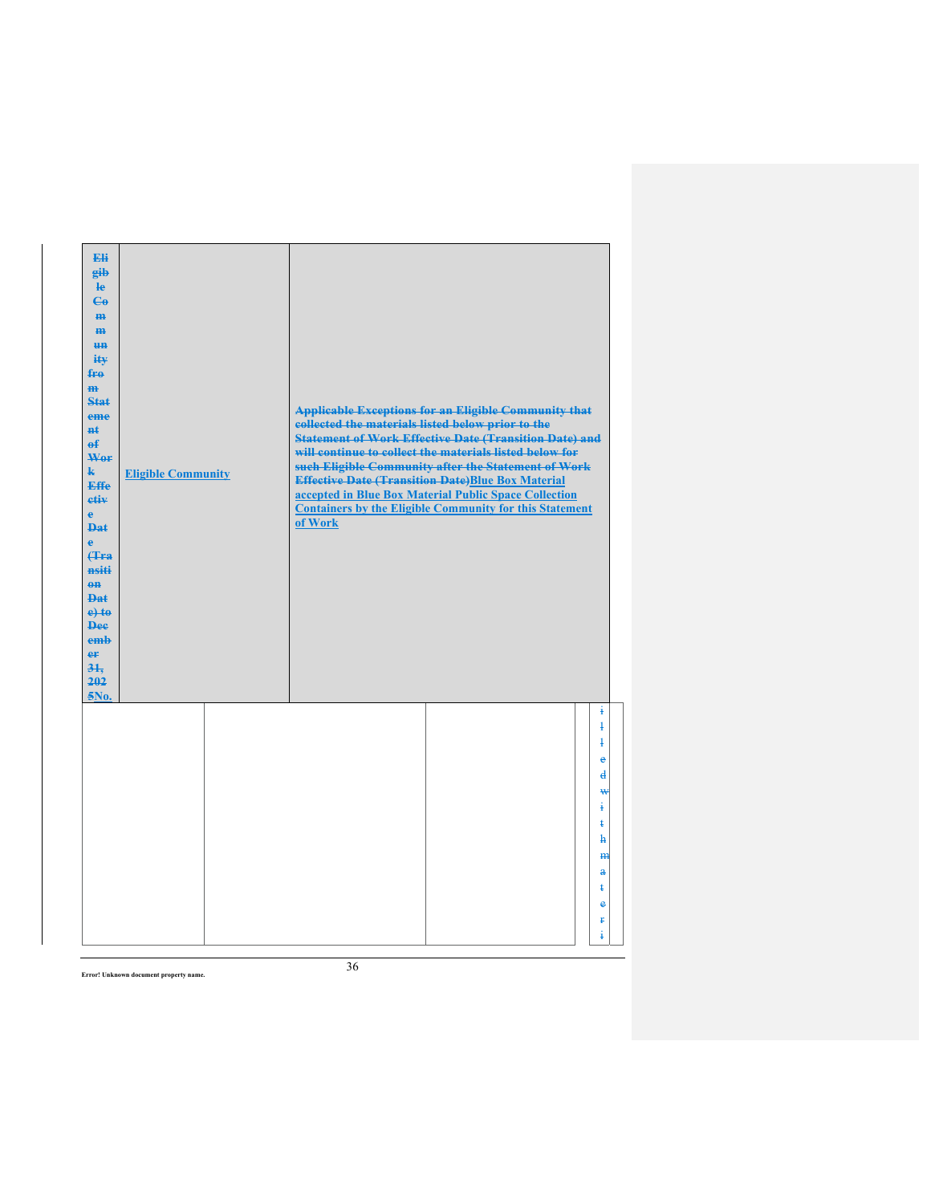| Eli<br>gib<br>He<br>$\epsilon$<br>H <sub>H</sub><br>m<br>H <sub>H</sub><br>ity<br>fro<br>$\mathbf{m}$<br>Stat<br>eme<br>#ŧ<br>$\mathbf{f}$<br>Wer<br>$\mathbf{k}$<br><b>Effe</b><br>etiv<br>$\mathbf{e}$<br><b>Dat</b><br>è<br><b>f</b> Fra<br>nsiti<br>$0$<br>Dat<br>$e$ +to<br><b>Dee</b><br>emb<br>er<br>31.<br>202<br>5No. | <b>Eligible Community</b> | collected the materials listed below prior to the<br>of Work | <b>Applicable Exceptions for an Eligible Community that</b><br><b>Statement of Work Effective Date (Transition Date) and</b><br>will continue to collect the materials listed below for<br>such Eligible Community after the Statement of Work<br><b>Effective Date (Transition Date)Blue Box Material</b><br>accepted in Blue Box Material Public Space Collection<br><b>Containers by the Eligible Community for this Statement</b> |                                                                                                                                                                |
|--------------------------------------------------------------------------------------------------------------------------------------------------------------------------------------------------------------------------------------------------------------------------------------------------------------------------------|---------------------------|--------------------------------------------------------------|---------------------------------------------------------------------------------------------------------------------------------------------------------------------------------------------------------------------------------------------------------------------------------------------------------------------------------------------------------------------------------------------------------------------------------------|----------------------------------------------------------------------------------------------------------------------------------------------------------------|
|                                                                                                                                                                                                                                                                                                                                |                           |                                                              |                                                                                                                                                                                                                                                                                                                                                                                                                                       | ŧ<br>$\overline{1}$<br>$\ddagger$<br>e<br>$\overline{\mathbf{d}}$<br>₩<br>÷.<br>ŧ<br>ħ<br>H <sub>H</sub><br>$\mathbf{a}$<br>ŧ<br>$\ddot{\textbf{e}}$<br>£<br>ŧ |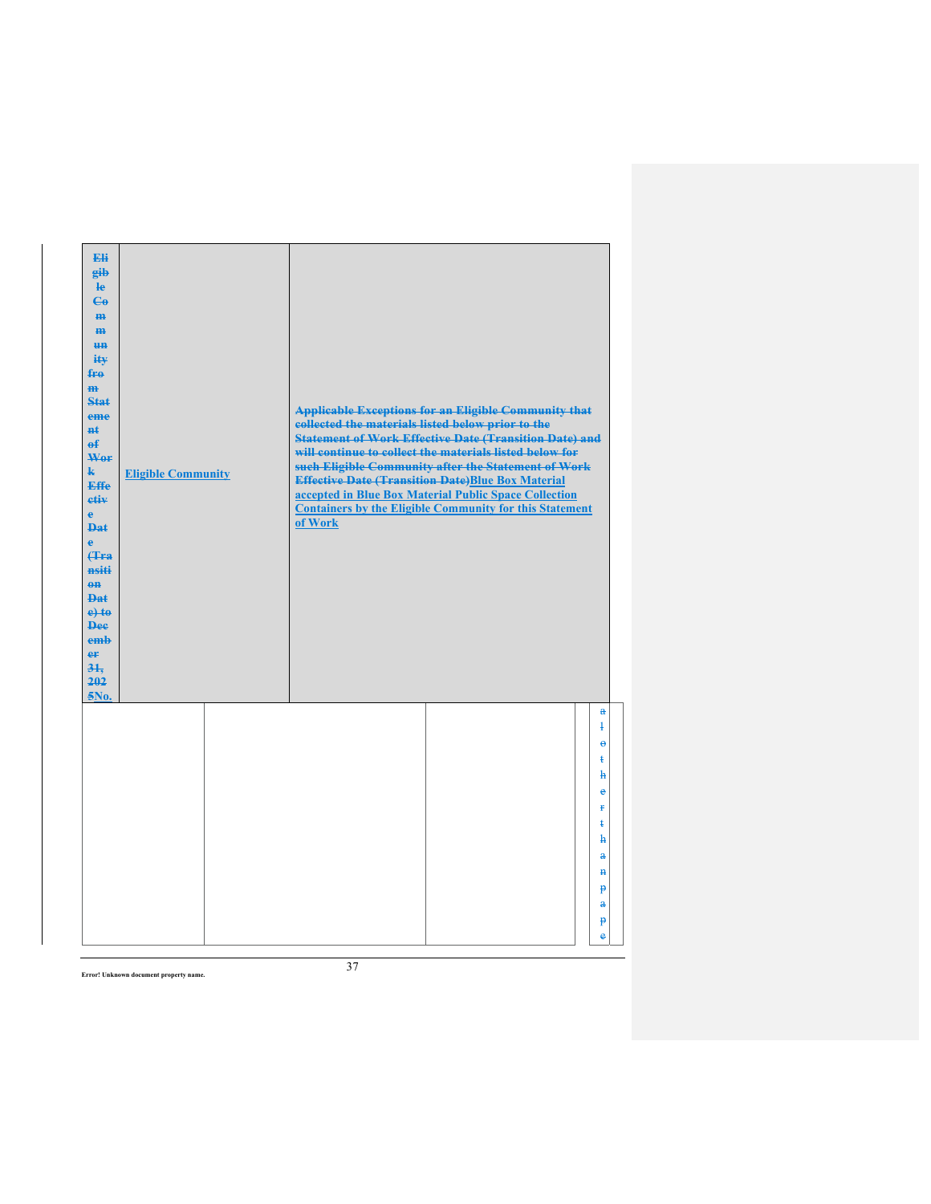| Eli<br>gib<br>$\mathbf{e}$<br>$\epsilon$<br>m-<br>m<br>H <sub>H</sub><br>ity<br>$f_{\text{F}\theta}$<br>m<br><b>Stat</b><br>eme<br><b>H</b> t<br>$\mathbf{f}$<br>Wor<br>$\mathbf{k}$<br><b>Effe</b><br>etiv<br>$\mathbf{e}$<br><b>Dat</b><br>$\ddot{\textbf{e}}$<br>(Tra<br>nsiti<br>$0$<br><b>Dat</b><br>$e$ +to<br><b>Dee</b><br>emb<br>er<br>$3+$<br>202<br>5No. | <b>Eligible Community</b> | <b>Applicable Exceptions for an Eligible Community that</b><br>collected the materials listed below prior to the<br><b>Statement of Work Effective Date (Transition Date) and</b><br>will continue to collect the materials listed below for<br>such Eligible Community after the Statement of Work<br><b>Effective Date (Transition Date)Blue Box Material</b><br>accepted in Blue Box Material Public Space Collection<br><b>Containers by the Eligible Community for this Statement</b><br>of Work |
|---------------------------------------------------------------------------------------------------------------------------------------------------------------------------------------------------------------------------------------------------------------------------------------------------------------------------------------------------------------------|---------------------------|-------------------------------------------------------------------------------------------------------------------------------------------------------------------------------------------------------------------------------------------------------------------------------------------------------------------------------------------------------------------------------------------------------------------------------------------------------------------------------------------------------|
|                                                                                                                                                                                                                                                                                                                                                                     |                           | $\mathbf{a}$<br>$\ddagger$<br>$\ddot{\mathbf{e}}$<br>ŧ<br>ħ<br>è<br>ŧ<br>ŧ<br>$\mathbf{h}$<br>$\mathbf{a}$<br>$\mathbf{H}$<br>p<br>$\mathbf{a}$<br>p<br>è                                                                                                                                                                                                                                                                                                                                             |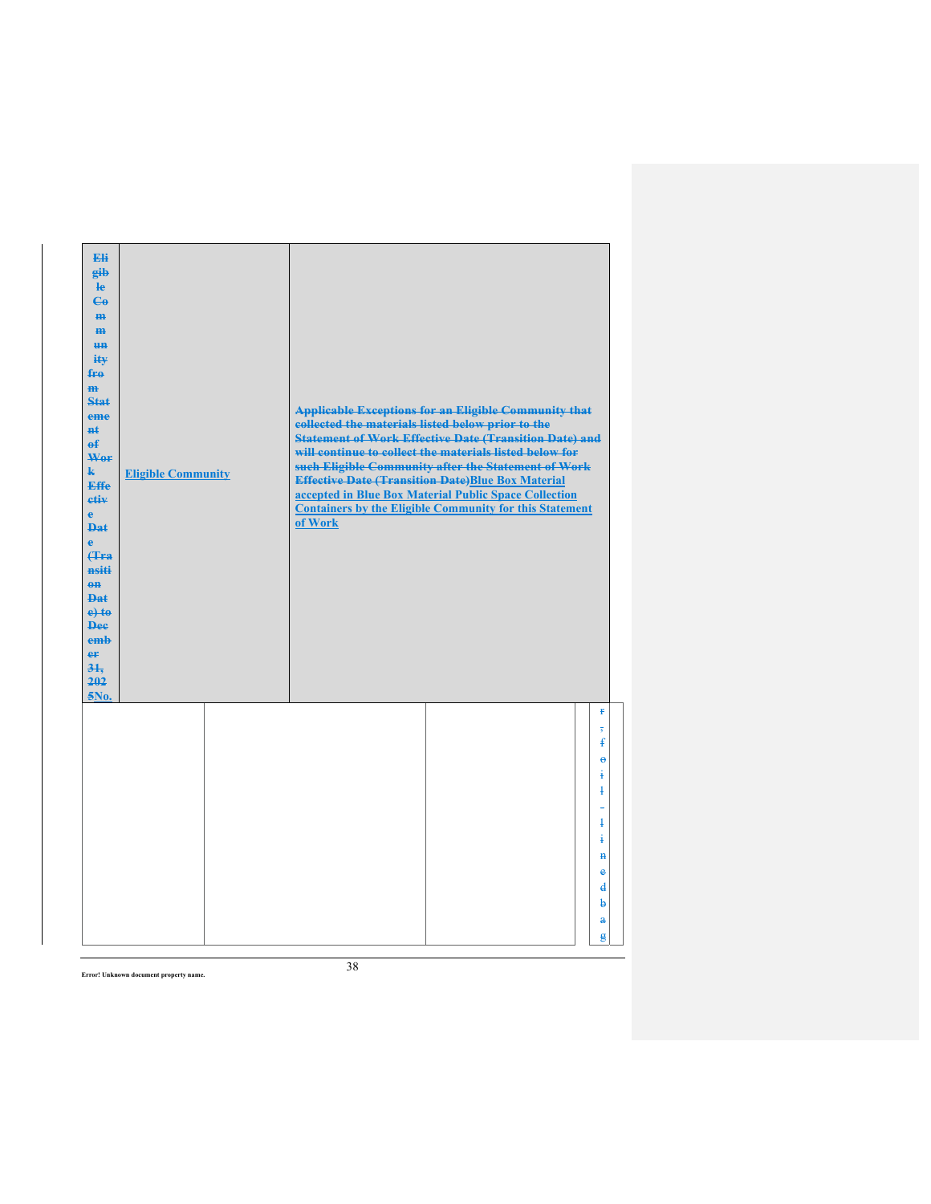| Eli<br>gib<br>le<br>$\mathbf{G}$<br>m-<br>m<br><b>HH</b><br>iŧ¥<br>$f_{\text{H}0}$<br>$\mathbf{m}$<br>$Stat$<br>eme<br>$H+$<br>$\mathbf{f}$<br>Wer<br>k.<br><b>Effe</b><br>etiv<br>$\mathbf{e}$<br><b>Dat</b><br>$\ddot{\textbf{e}}$<br>(Tra<br>nsiti<br>$0$<br><b>Dat</b><br>$e$ + $t$ $e$<br><b>Dee</b><br>emb<br>er<br>31.<br>202<br>5No. | <b>Eligible Community</b> | collected the materials listed below prior to the<br>of Work | <b>Applicable Exceptions for an Eligible Community that</b><br><b>Statement of Work Effective Date (Transition Date) and</b><br>will continue to collect the materials listed below for<br>such Eligible Community after the Statement of Work<br><b>Effective Date (Transition Date)Blue Box Material</b><br>accepted in Blue Box Material Public Space Collection<br><b>Containers by the Eligible Community for this Statement</b> |                                                                                                                                                      |
|----------------------------------------------------------------------------------------------------------------------------------------------------------------------------------------------------------------------------------------------------------------------------------------------------------------------------------------------|---------------------------|--------------------------------------------------------------|---------------------------------------------------------------------------------------------------------------------------------------------------------------------------------------------------------------------------------------------------------------------------------------------------------------------------------------------------------------------------------------------------------------------------------------|------------------------------------------------------------------------------------------------------------------------------------------------------|
|                                                                                                                                                                                                                                                                                                                                              |                           |                                                              |                                                                                                                                                                                                                                                                                                                                                                                                                                       | ŧ<br>$\overline{5}$<br>ŧ<br>$\ddot{\theta}$<br>ŧ<br>$\ddagger$<br>$\overline{1}$<br>i<br>$\mathbf{H}$<br>e<br>$\mathbf{d}$<br>b<br>$\mathbf{a}$<br>ĝ |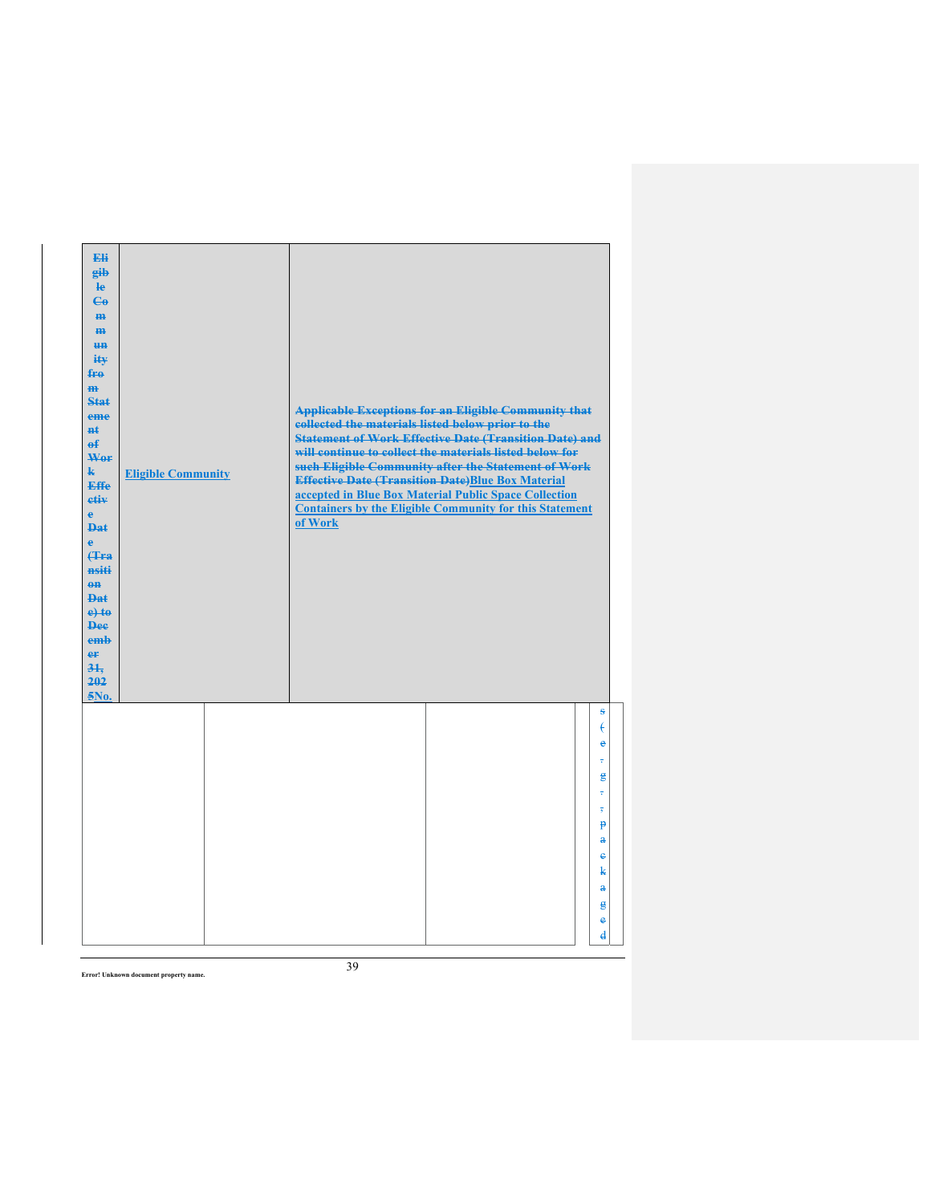| Eli<br>gib<br>He<br>$\epsilon$<br>H <sub>H</sub><br>m<br>H <sub>H</sub><br>ity<br>$f_{\text{H}0}$<br>m<br>Stat<br>eme<br>$H+$<br>$\mathbf{f}$<br>Wer<br>$\mathbf{k}$<br><b>Effe</b><br>etiv<br>$\mathbf{e}$<br><b>Dat</b><br>$\mathbf{e}$<br><b>f</b> Fra<br>nsiti<br>$0$<br><b>Dat</b><br>$e$ +to<br><b>Dee</b><br>emb<br>er<br>31.<br>202<br>5No. | <b>Eligible Community</b> | <b>Applicable Exceptions for an Eligible Community that</b><br>collected the materials listed below prior to the<br><b>Statement of Work Effective Date (Transition Date) and</b><br>will continue to collect the materials listed below for<br>such Eligible Community after the Statement of Work<br><b>Effective Date (Transition Date)Blue Box Material</b><br>accepted in Blue Box Material Public Space Collection<br><b>Containers by the Eligible Community for this Statement</b><br>of Work |                                                                                                                                 |
|-----------------------------------------------------------------------------------------------------------------------------------------------------------------------------------------------------------------------------------------------------------------------------------------------------------------------------------------------------|---------------------------|-------------------------------------------------------------------------------------------------------------------------------------------------------------------------------------------------------------------------------------------------------------------------------------------------------------------------------------------------------------------------------------------------------------------------------------------------------------------------------------------------------|---------------------------------------------------------------------------------------------------------------------------------|
|                                                                                                                                                                                                                                                                                                                                                     |                           |                                                                                                                                                                                                                                                                                                                                                                                                                                                                                                       | s<br>€<br>ė<br>÷<br>鲁<br>÷<br>$\overline{\phantom{a}}$<br>$\mathbf{P}$<br>å<br>ė<br>k<br>$\mathbf{a}$<br>g<br>e<br>$\mathbf{d}$ |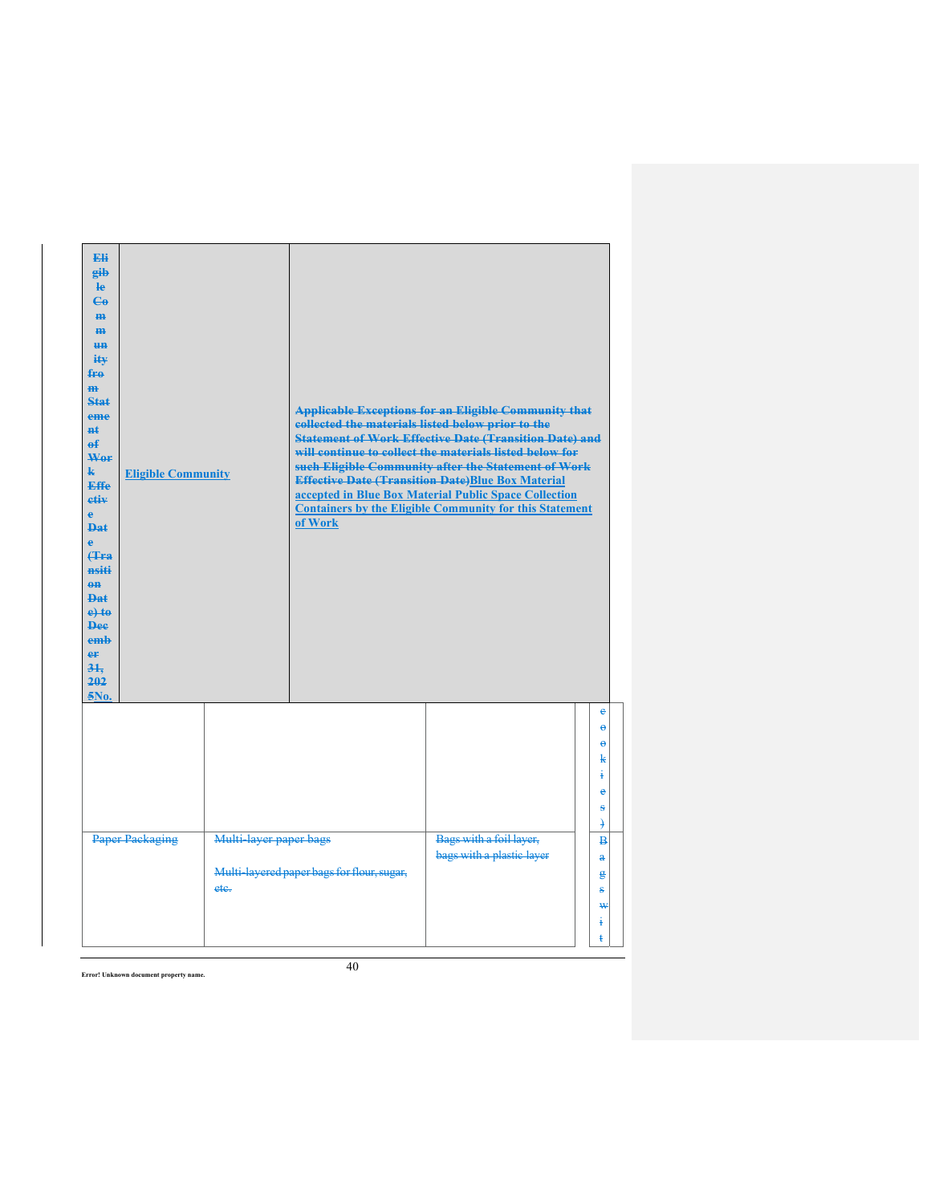| <b>Eli</b><br>gib<br>le<br>$\mathbf{G}$<br>m<br>$\mathbf{m}$<br><b>HH</b><br>ity<br>fro<br>H <sub>H</sub><br>Stat<br>eme<br>#ŧ<br>$\mathbf{f}$<br>Wer<br>$\mathbf{k}$<br><b>Effe</b><br>etiv<br>e.<br><b>Dat</b><br>è<br><b>f</b> Fra<br>nsiti<br>$\theta$ <sup><math>\theta</math></sup><br><b>Dat</b><br>$e$ +to<br><b>Dee</b><br>emh<br>er<br>31.<br>202<br>5No. | <b>Eligible Community</b> |                                | collected the materials listed below prior to the<br>of Work | <b>Applicable Exceptions for an Eligible Community that</b><br><b>Statement of Work Effective Date (Transition Date) and</b><br>will continue to collect the materials listed below for<br>such Eligible Community after the Statement of Work<br><b>Effective Date (Transition Date)Blue Box Material</b><br>accepted in Blue Box Material Public Space Collection<br><b>Containers by the Eligible Community for this Statement</b> |                                                                             |
|---------------------------------------------------------------------------------------------------------------------------------------------------------------------------------------------------------------------------------------------------------------------------------------------------------------------------------------------------------------------|---------------------------|--------------------------------|--------------------------------------------------------------|---------------------------------------------------------------------------------------------------------------------------------------------------------------------------------------------------------------------------------------------------------------------------------------------------------------------------------------------------------------------------------------------------------------------------------------|-----------------------------------------------------------------------------|
|                                                                                                                                                                                                                                                                                                                                                                     |                           |                                |                                                              |                                                                                                                                                                                                                                                                                                                                                                                                                                       | è<br>$\ddot{\mathbf{e}}$<br>٥<br>k<br>ŧ<br>è<br>ŝ<br>$\mathcal{F}$          |
|                                                                                                                                                                                                                                                                                                                                                                     | Paper Packaging           | Multi-layer paper bags<br>ete. | Multi-layered paper bags for flour, sugar,                   | Bags with a foil layer,<br>bags with a plastic layer                                                                                                                                                                                                                                                                                                                                                                                  | $\overline{B}$<br>$\mathbf{a}$<br>$\mathbf{g}$<br>ŝ<br>₩<br>ŧ<br>$\ddagger$ |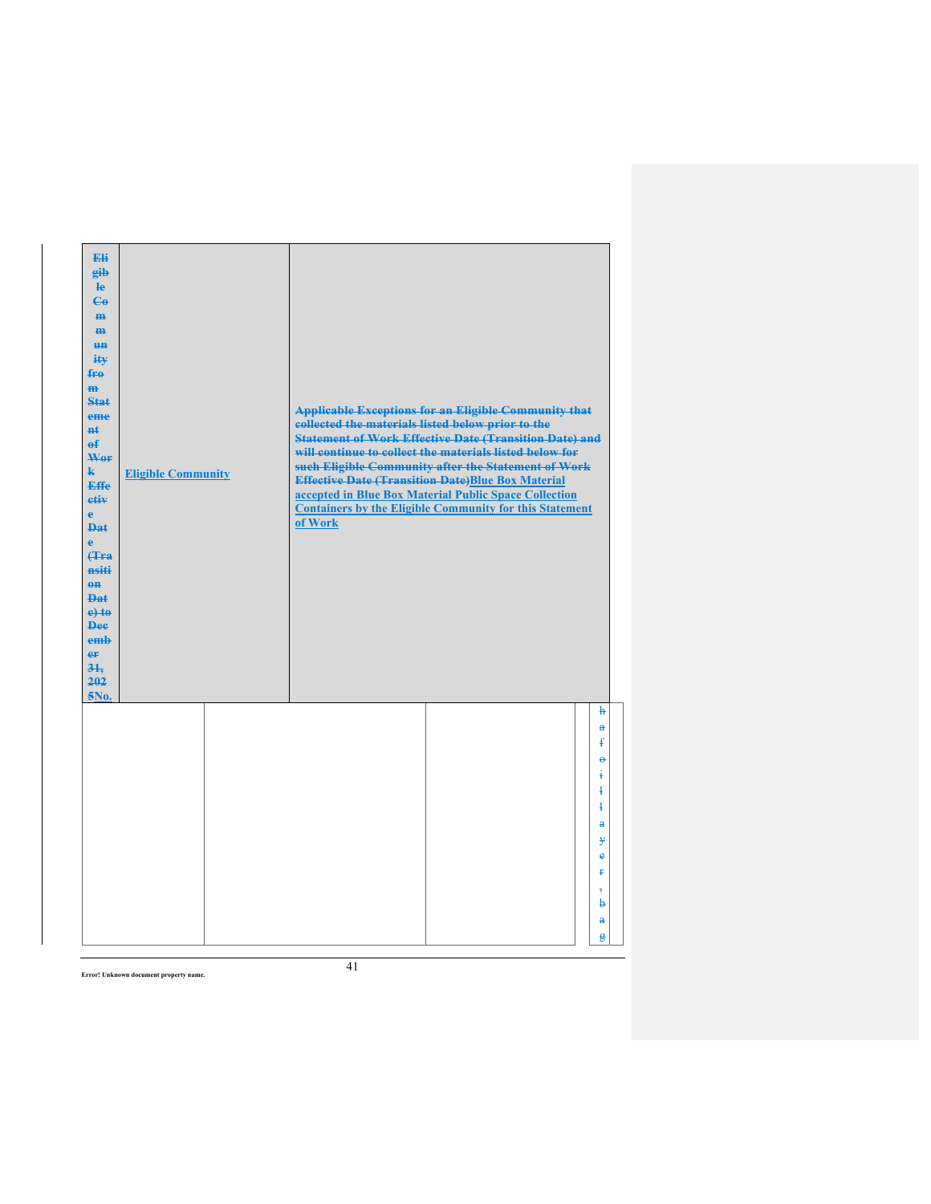| Eli<br>eib<br>$\mathbf{e}$<br>$\epsilon$<br>H <sub>H</sub><br>m<br>H <sub>H</sub><br>ity<br>fro<br>$\mathbf{m}$<br><b>Stat</b><br>eme<br><b>n</b> t<br>$\overline{ef}$<br>Wor<br>$\mathbf{k}$<br><b>Effe</b><br>etiv<br>$\mathbf{e}$<br><b>Dat</b><br>$\ddot{\textbf{e}}$<br><b>(Tra</b><br>nsiti<br>$\theta$ <sup><math>\theta</math></sup><br><b>Dat</b><br>$e$ +to<br><b>Dee</b><br>emb<br>er<br>31.<br>202<br>5No. | <b>Eligible Community</b> | collected the materials listed below prior to the<br>of Work | <b>Applicable Exceptions for an Eligible Community that</b><br><b>Statement of Work Effective Date (Transition Date) and</b><br>will continue to collect the materials listed below for<br>such Eligible Community after the Statement of Work<br><b>Effective Date (Transition Date)Blue Box Material</b><br>accepted in Blue Box Material Public Space Collection<br><b>Containers by the Eligible Community for this Statement</b> |                                                                               |
|------------------------------------------------------------------------------------------------------------------------------------------------------------------------------------------------------------------------------------------------------------------------------------------------------------------------------------------------------------------------------------------------------------------------|---------------------------|--------------------------------------------------------------|---------------------------------------------------------------------------------------------------------------------------------------------------------------------------------------------------------------------------------------------------------------------------------------------------------------------------------------------------------------------------------------------------------------------------------------|-------------------------------------------------------------------------------|
|                                                                                                                                                                                                                                                                                                                                                                                                                        |                           |                                                              |                                                                                                                                                                                                                                                                                                                                                                                                                                       | $\mathbf{h}$<br>$\ddot{\mathbf{a}}$<br>£<br>$\ddot{\boldsymbol{\theta}}$<br>ŧ |
|                                                                                                                                                                                                                                                                                                                                                                                                                        |                           |                                                              |                                                                                                                                                                                                                                                                                                                                                                                                                                       | $\ddagger$<br>$\ddagger$                                                      |
|                                                                                                                                                                                                                                                                                                                                                                                                                        |                           |                                                              |                                                                                                                                                                                                                                                                                                                                                                                                                                       | $\mathbf{a}$<br>¥<br>ė                                                        |
|                                                                                                                                                                                                                                                                                                                                                                                                                        |                           |                                                              |                                                                                                                                                                                                                                                                                                                                                                                                                                       | ŧ                                                                             |
|                                                                                                                                                                                                                                                                                                                                                                                                                        |                           |                                                              |                                                                                                                                                                                                                                                                                                                                                                                                                                       | 7<br>b                                                                        |
|                                                                                                                                                                                                                                                                                                                                                                                                                        |                           |                                                              |                                                                                                                                                                                                                                                                                                                                                                                                                                       | $\mathbf{a}$<br>ĝ                                                             |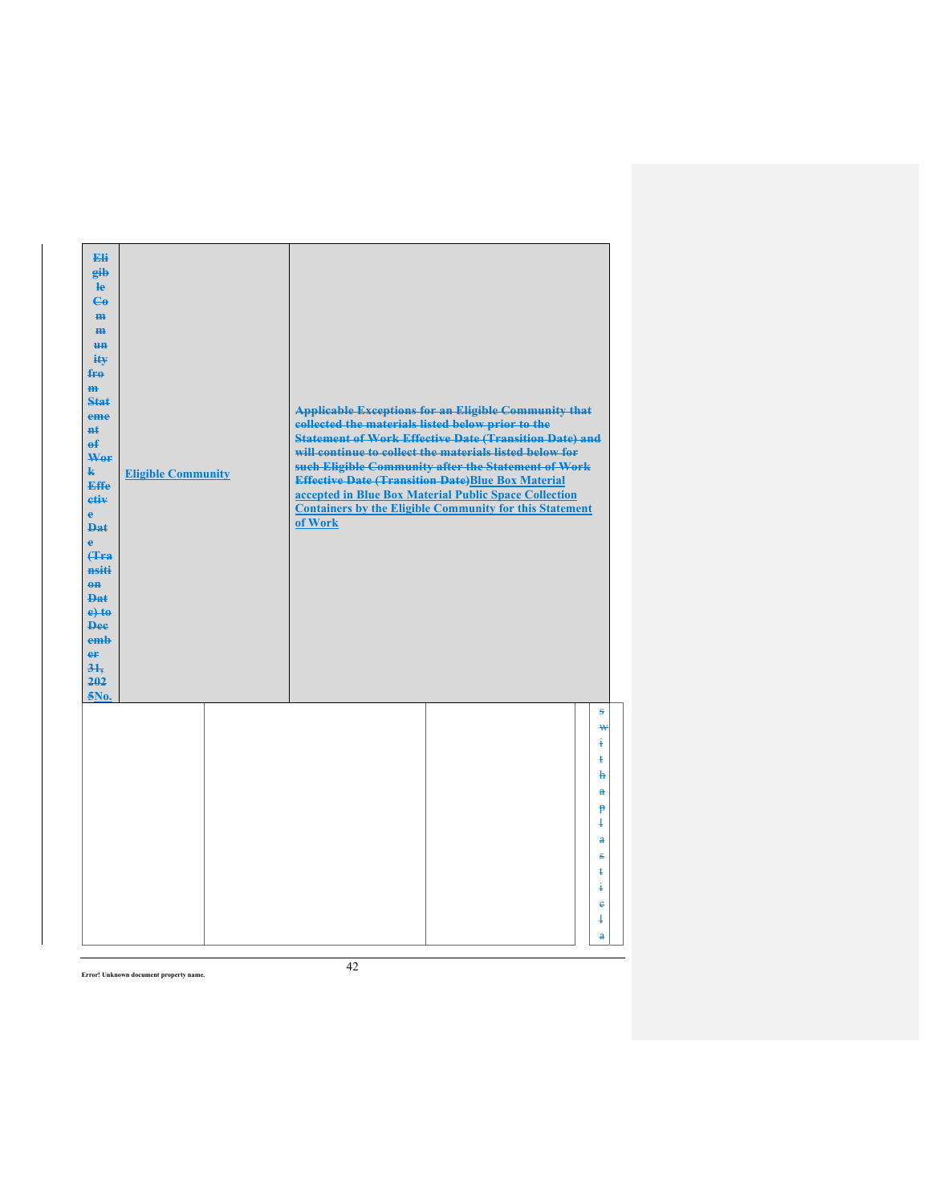| Eli<br>gib<br>$\mathbf{e}$<br>$\epsilon$<br>H <sub>H</sub><br>m<br>H <sub>H</sub><br>ity<br>$f_{\text{H}0}$<br>m<br>Stat<br>eme<br>$H+$<br>$\mathbf{f}$<br>Wer<br>k.<br><b>Effe</b><br>etiv<br>$\mathbf{e}$<br><b>Dat</b><br>$\ddot{\textbf{e}}$<br><b>f</b> Fra<br>nsiti<br>$\theta$ <sup><math>\theta</math></sup><br><b>Dat</b><br>$e$ +to<br><b>Dee</b><br>emb<br>er<br>31.<br>202<br>5No. | <b>Eligible Community</b> | collected the materials listed below prior to the<br>of Work | <b>Applicable Exceptions for an Eligible Community that</b><br><b>Statement of Work Effective Date (Transition Date) and</b><br>will continue to collect the materials listed below for<br>such Eligible Community after the Statement of Work<br><b>Effective Date (Transition Date)Blue Box Material</b><br>accepted in Blue Box Material Public Space Collection<br><b>Containers by the Eligible Community for this Statement</b> |                                                                                                                                                                  |
|------------------------------------------------------------------------------------------------------------------------------------------------------------------------------------------------------------------------------------------------------------------------------------------------------------------------------------------------------------------------------------------------|---------------------------|--------------------------------------------------------------|---------------------------------------------------------------------------------------------------------------------------------------------------------------------------------------------------------------------------------------------------------------------------------------------------------------------------------------------------------------------------------------------------------------------------------------|------------------------------------------------------------------------------------------------------------------------------------------------------------------|
|                                                                                                                                                                                                                                                                                                                                                                                                |                           |                                                              |                                                                                                                                                                                                                                                                                                                                                                                                                                       | S<br>₩<br>į.<br>ŧ<br>$\mathbf{h}$<br>$\mathbf{a}$<br>p<br>$\overline{1}$<br>$\mathbf{a}$<br>ŝ<br>ŧ<br>ŧ<br>$\ddot{\mathbf{e}}$<br>$\overline{1}$<br>$\mathbf{a}$ |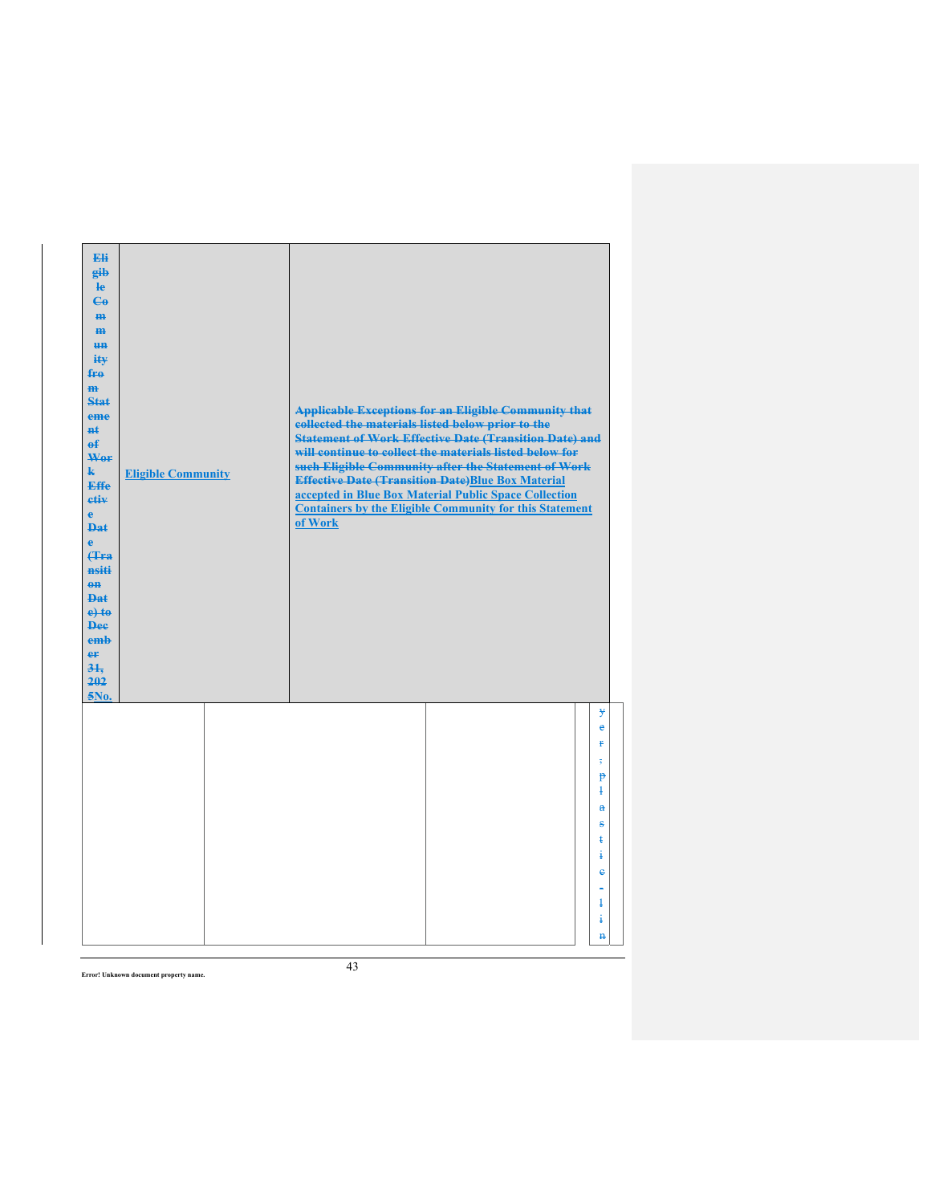| Eli<br>eib<br>$\mathbf{e}$<br>$\mathbf{G}$<br>H <sub>H</sub><br>m<br><b>un</b><br>ity<br>$f_{\text{H}0}$<br>$\mathbf{m}$<br><b>Stat</b><br>eme<br><b>H</b> t<br>$\theta$<br>Wor<br>$\mathbf{k}$<br><b>Effe</b><br>etiv<br>$\mathbf{e}$<br><b>Dat</b><br>$\ddot{\textbf{e}}$<br><b>(Tra</b><br>nsiti<br>$\theta$ <sup><math>\theta</math></sup><br><b>Dat</b><br>$e$ + $t$ $e$<br><b>Dee</b><br>emb<br>er<br>31.<br>202<br>5No. | <b>Eligible Community</b> | collected the materials listed below prior to the<br>of Work | <b>Applicable Exceptions for an Eligible Community that</b><br><b>Statement of Work Effective Date (Transition Date) and</b><br>will continue to collect the materials listed below for<br>such Eligible Community after the Statement of Work<br><b>Effective Date (Transition Date)Blue Box Material</b><br>accepted in Blue Box Material Public Space Collection<br><b>Containers by the Eligible Community for this Statement</b> |                                                                                                                                                               |
|--------------------------------------------------------------------------------------------------------------------------------------------------------------------------------------------------------------------------------------------------------------------------------------------------------------------------------------------------------------------------------------------------------------------------------|---------------------------|--------------------------------------------------------------|---------------------------------------------------------------------------------------------------------------------------------------------------------------------------------------------------------------------------------------------------------------------------------------------------------------------------------------------------------------------------------------------------------------------------------------|---------------------------------------------------------------------------------------------------------------------------------------------------------------|
|                                                                                                                                                                                                                                                                                                                                                                                                                                |                           |                                                              |                                                                                                                                                                                                                                                                                                                                                                                                                                       | ¥<br>e<br>p<br>$\overline{\mathbf{s}}$<br>$\mathbf{P}$<br>$\ddagger$<br>$\mathbf{a}$<br>s<br>ŧ<br>ŧ<br>$\ddot{\textbf{e}}$<br>$\ddagger$<br>ŧ<br>$\mathbf{H}$ |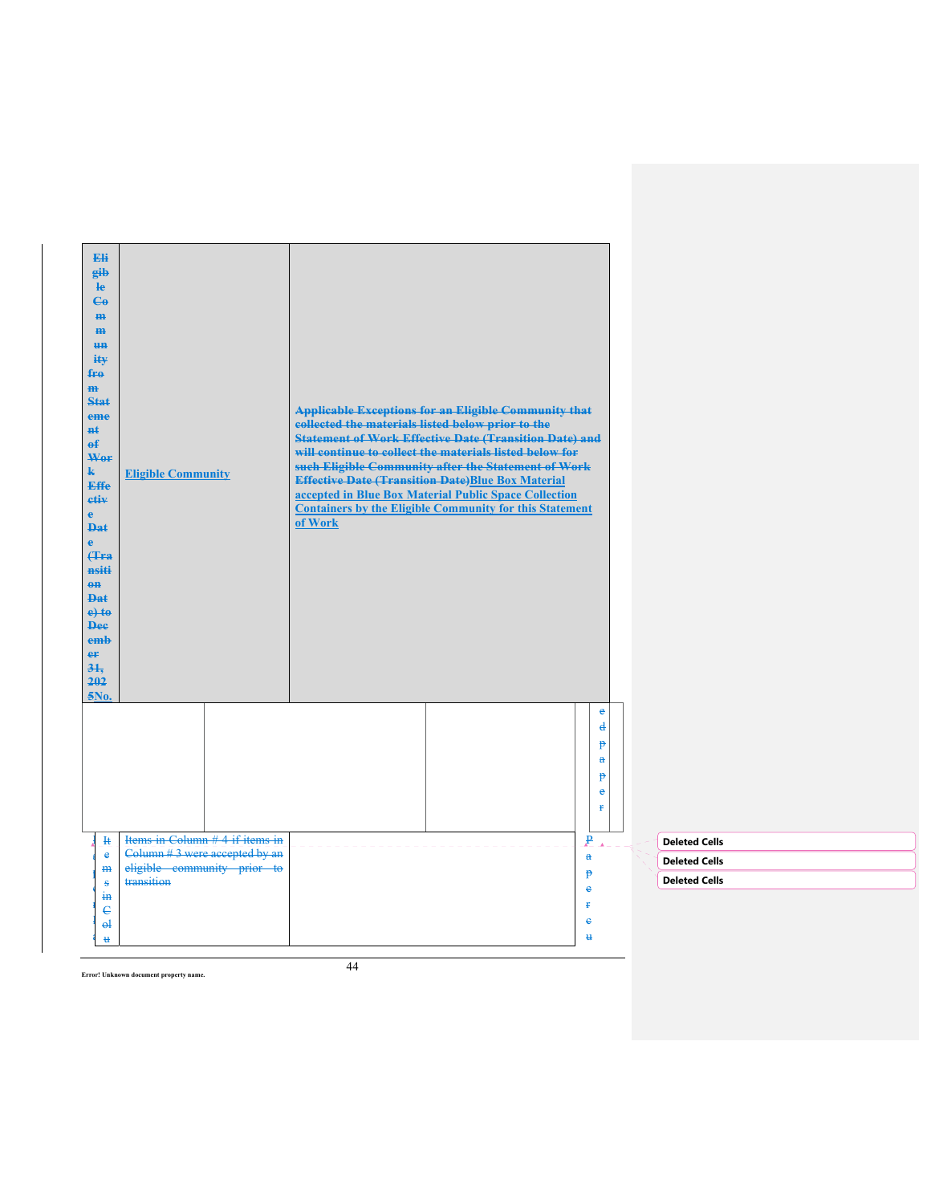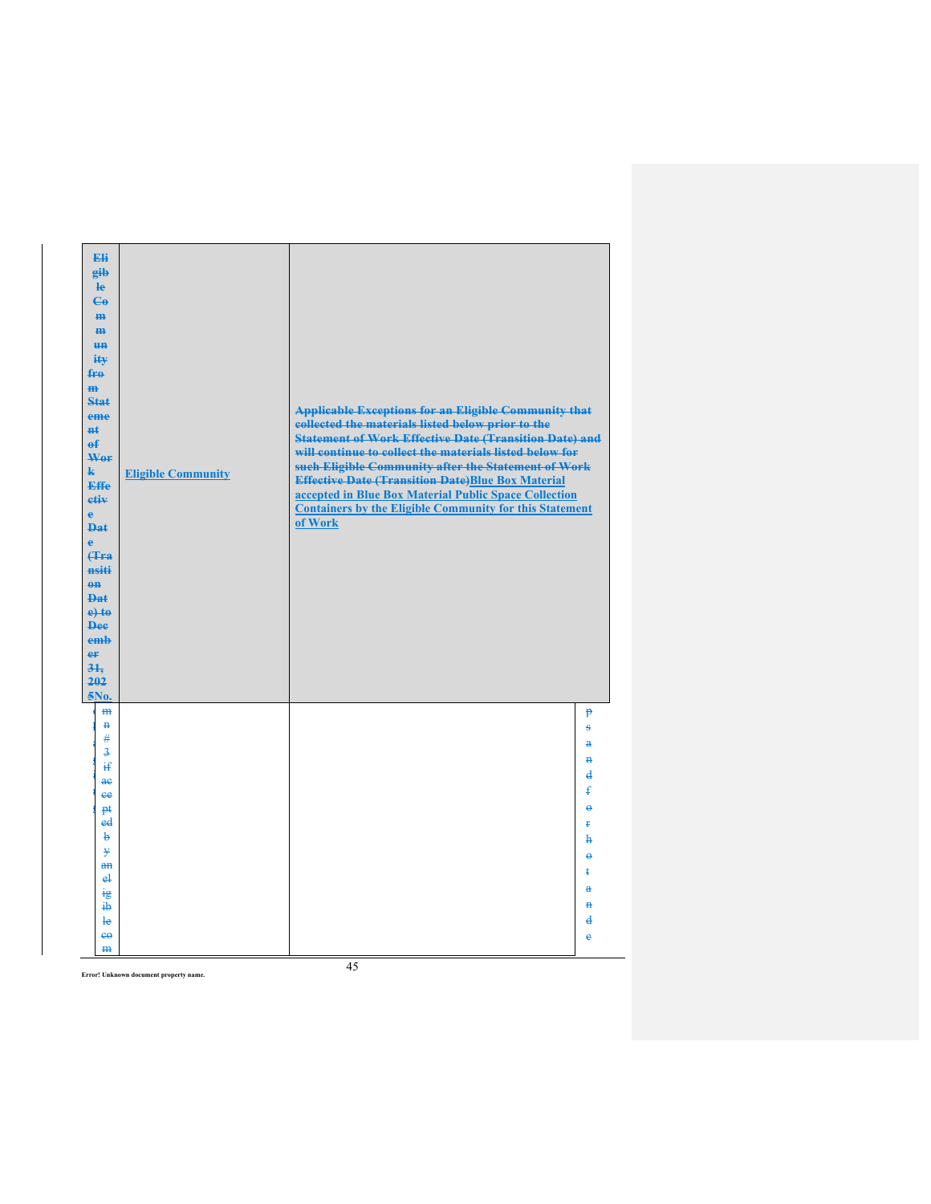| Eli<br>gib<br>He<br>$\mathbf{e}_0$<br>m-<br>$\mathbf{m}$<br><b>HH</b><br>$i$ it $\mathbf{v}$<br>fro<br>$\mathbf{m}$<br>Stat<br>eme<br><b>H</b> t<br>$\theta$<br>Wer<br>$\mathbf{k}$<br><b>Effe</b><br>etiv<br>$\ddot{\textbf{e}}$<br><b>Dat</b><br>ė<br><b>(Tra</b><br>nsiti<br>$\theta$ <sup><math>\theta</math></sup><br><b>Dat</b><br>$e$ + $t$ $e$<br><b>Dee</b><br>emb<br>er<br>31.<br>202<br>5No. | <b>Eligible Community</b> | <b>Applicable Exceptions for an Eligible Community that</b><br>collected the materials listed below prior to the<br><b>Statement of Work Effective Date (Transition Date) and</b><br>will continue to collect the materials listed below for<br>such Eligible Community after the Statement of Work<br><b>Effective Date (Transition Date)Blue Box Material</b><br>accepted in Blue Box Material Public Space Collection<br><b>Containers by the Eligible Community for this Statement</b><br>of Work |                                                                                                                                                    |
|---------------------------------------------------------------------------------------------------------------------------------------------------------------------------------------------------------------------------------------------------------------------------------------------------------------------------------------------------------------------------------------------------------|---------------------------|-------------------------------------------------------------------------------------------------------------------------------------------------------------------------------------------------------------------------------------------------------------------------------------------------------------------------------------------------------------------------------------------------------------------------------------------------------------------------------------------------------|----------------------------------------------------------------------------------------------------------------------------------------------------|
| m<br>$\mathbf{H}$<br>#<br>$\overline{3}$<br>₩<br>ae<br>ee<br>pŧ<br>ed<br>b<br>¥<br>a <sub>n</sub><br>e <sup>1</sup><br>ig<br>ib<br>$l_{\rm e}$<br>$e^{\theta}$<br>m                                                                                                                                                                                                                                     |                           |                                                                                                                                                                                                                                                                                                                                                                                                                                                                                                       | $\mathbf{P}$<br>ŝ<br>a<br>$\mathbf{H}$<br>₫<br>£<br>$\ddot{\mathbf{e}}$<br>£<br>h<br>$\ddot{\theta}$<br>ŧ<br>$\mathbf{a}$<br>Ħ<br>$\mathbf d$<br>ë |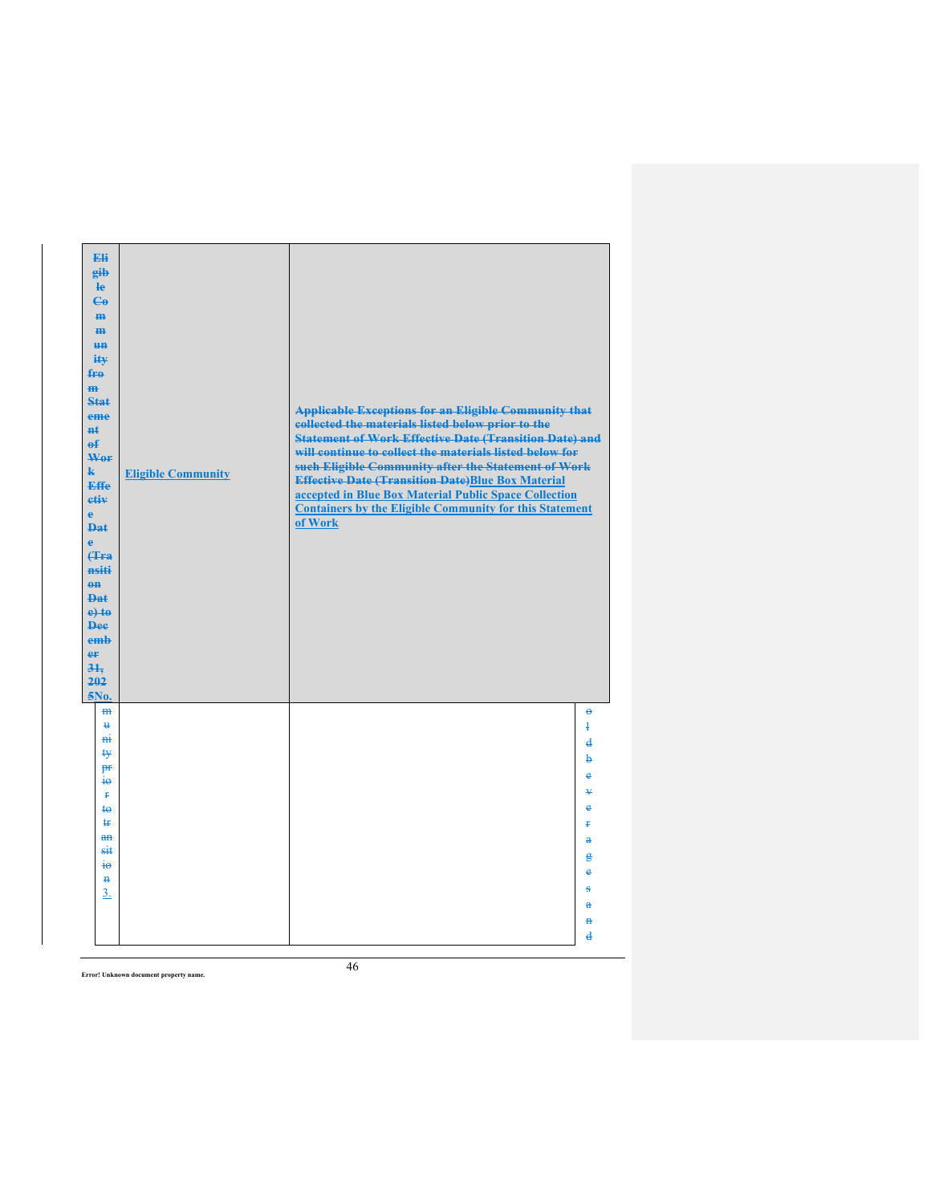| Eli<br>gib<br>$\mathbf{e}$<br>$\mathbf{e}_0$<br>H <sub>H</sub><br>H <sub>H</sub><br>H <sub>H</sub><br>itv<br>fre<br>$\overline{m}$<br><b>Stat</b><br>eme<br><b>H</b> t<br>$\theta$<br>Wor<br>$\mathbf{k}$<br><b>Effe</b><br>etiv<br>e<br>Dat<br>è<br><b>f</b> Fra<br>nsiti<br>$\theta$ <sup><math>\theta</math></sup><br><b>Dat</b><br>$e$ +to<br><b>Dee</b><br>emb<br>er<br>34.<br>202<br>5No. | <b>Eligible Community</b> | <b>Applicable Exceptions for an Eligible Community that</b><br>collected the materials listed below prior to the<br><b>Statement of Work Effective Date (Transition Date) and</b><br>will continue to collect the materials listed below for<br>such Eligible Community after the Statement of Work<br><b>Effective Date (Transition Date)Blue Box Material</b><br>accepted in Blue Box Material Public Space Collection<br><b>Containers by the Eligible Community for this Statement</b><br>of Work |                                                                                                                                                                  |
|-------------------------------------------------------------------------------------------------------------------------------------------------------------------------------------------------------------------------------------------------------------------------------------------------------------------------------------------------------------------------------------------------|---------------------------|-------------------------------------------------------------------------------------------------------------------------------------------------------------------------------------------------------------------------------------------------------------------------------------------------------------------------------------------------------------------------------------------------------------------------------------------------------------------------------------------------------|------------------------------------------------------------------------------------------------------------------------------------------------------------------|
| H <sub>H</sub><br>$\mathbf{H}$<br><b>H</b><br>ŧy<br>pr<br>$\frac{1}{10}$<br>ŧ<br>$\mathbf{a}$<br>ŧr<br>$\frac{a}{b}$<br>sit<br>$\ddot{t}$<br>$\mathbf{H}$<br>3.                                                                                                                                                                                                                                 |                           |                                                                                                                                                                                                                                                                                                                                                                                                                                                                                                       | $\ddot{\theta}$<br>$\ddagger$<br>$\overline{\mathbf{d}}$<br>þ<br>ĕ<br>¥<br>ė<br>p<br>$\mathbf{a}$<br>g<br>e<br>ŝ<br>a<br>$\mathbf{H}$<br>$\overline{\mathbf{d}}$ |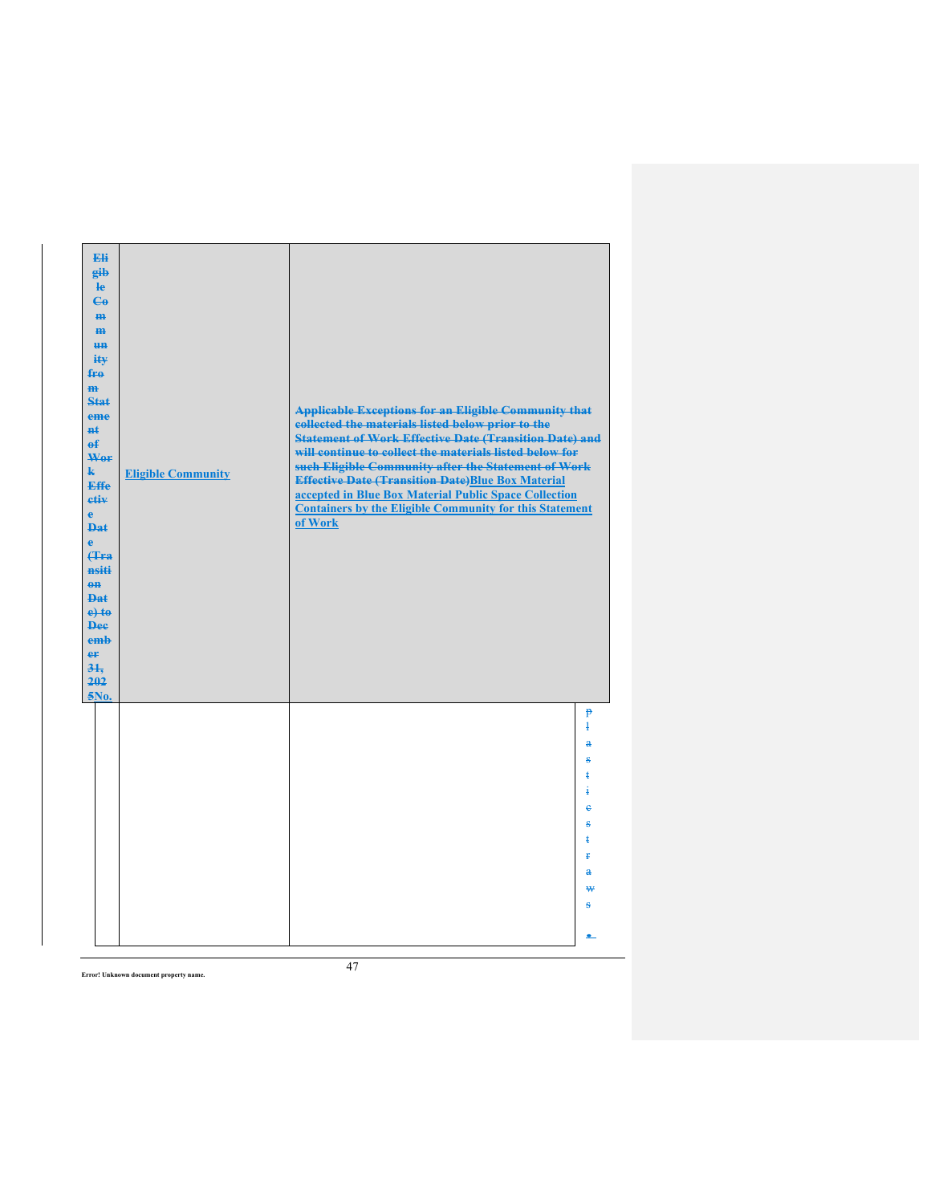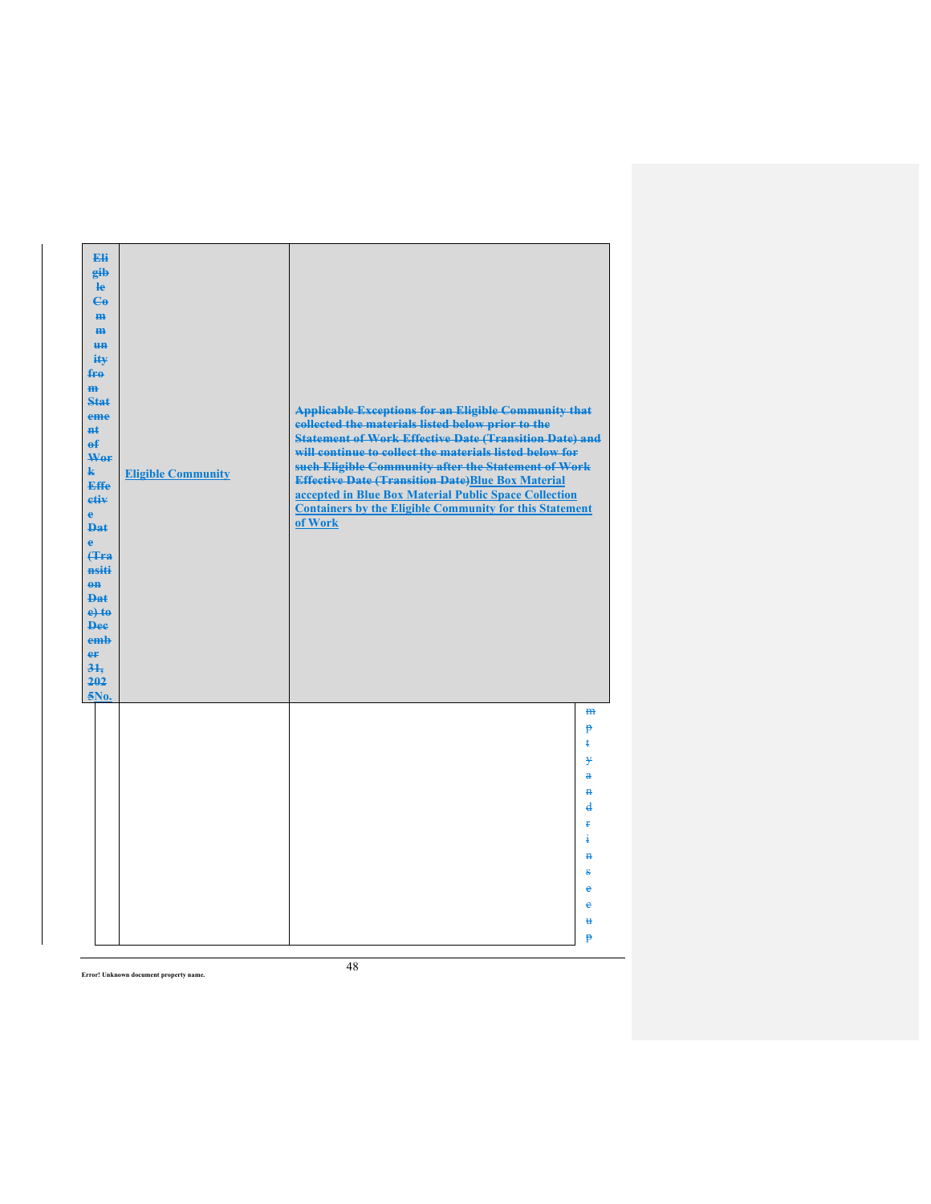| Eli<br>gib<br>le<br>$\mathbf{G}$<br>$\mathbf{H}$<br>$\mathbf{m}$<br><b>HH</b><br>ity<br>$f_{\text{FA}}$<br>H <sub>H</sub><br><b>Stat</b><br>eme<br><b>n</b> t<br>$\theta$<br>Wor<br>$\mathbf{k}$<br><b>Effe</b><br>etiv<br>$\mathbf{e}$<br><b>Dat</b><br>$\ddot{\mathbf{e}}$<br><b>f</b> Fra<br>nsiti<br>$\theta$ <sup><math>\theta</math></sup><br><b>Dat</b><br>$e$ + $t$ $e$<br><b>Dee</b><br>emb<br>er<br>31.<br>202<br>5No. | <b>Eligible Community</b> | <b>Applicable Exceptions for an Eligible Community that</b><br>collected the materials listed below prior to the<br><b>Statement of Work Effective Date (Transition Date) and</b><br>will continue to collect the materials listed below for<br>such Eligible Community after the Statement of Work<br><b>Effective Date (Transition Date)Blue Box Material</b><br>accepted in Blue Box Material Public Space Collection<br><b>Containers by the Eligible Community for this Statement</b><br>of Work |                                                                                                                             |
|----------------------------------------------------------------------------------------------------------------------------------------------------------------------------------------------------------------------------------------------------------------------------------------------------------------------------------------------------------------------------------------------------------------------------------|---------------------------|-------------------------------------------------------------------------------------------------------------------------------------------------------------------------------------------------------------------------------------------------------------------------------------------------------------------------------------------------------------------------------------------------------------------------------------------------------------------------------------------------------|-----------------------------------------------------------------------------------------------------------------------------|
|                                                                                                                                                                                                                                                                                                                                                                                                                                  |                           |                                                                                                                                                                                                                                                                                                                                                                                                                                                                                                       | m<br>p<br>ŧ<br>¥<br>$\ddot{\textbf{a}}$<br>Ħ<br>$\overline{\mathbf{d}}$<br>ŧ.<br>4<br>$\mathbf{H}$<br>g<br>è<br>ė<br>Ħ<br>p |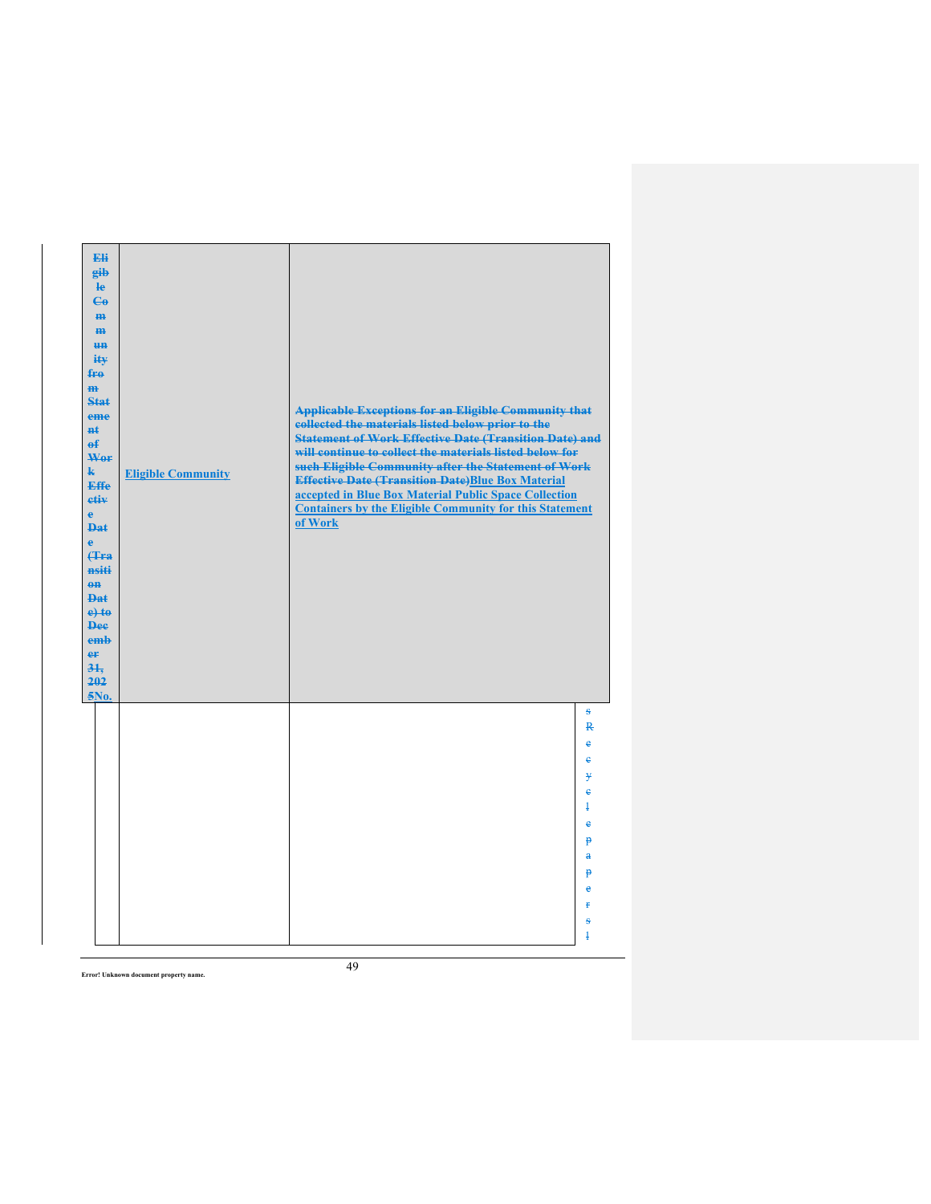| Eli<br>gib<br>$\mathbf{e}$<br>$\mathbf{G}$<br>H <sub>H</sub><br>$\mathbf{m}$<br>H <sub>H</sub><br>ity<br>fro<br>$\overline{m}$<br><b>Stat</b><br>eme<br>#£<br>$\mathbf{f}$<br>Wer<br>$\mathbf{k}$<br><b>Effe</b><br>etiv<br>$\ddot{\textbf{e}}$<br><b>Dat</b><br>ė<br><b>(Tra</b><br>nsiti<br>$\theta$ <sup><math>\theta</math></sup><br><b>Dat</b><br>$e$ +to<br><b>Dee</b><br>emb<br>er<br>31.<br>202<br>5No. | <b>Eligible Community</b> | <b>Applicable Exceptions for an Eligible Community that</b><br>collected the materials listed below prior to the<br><b>Statement of Work Effective Date (Transition Date) and</b><br>will continue to collect the materials listed below for<br>such Eligible Community after the Statement of Work<br><b>Effective Date (Transition Date)Blue Box Material</b><br>accepted in Blue Box Material Public Space Collection<br><b>Containers by the Eligible Community for this Statement</b><br>of Work |                                                                                                                           |
|-----------------------------------------------------------------------------------------------------------------------------------------------------------------------------------------------------------------------------------------------------------------------------------------------------------------------------------------------------------------------------------------------------------------|---------------------------|-------------------------------------------------------------------------------------------------------------------------------------------------------------------------------------------------------------------------------------------------------------------------------------------------------------------------------------------------------------------------------------------------------------------------------------------------------------------------------------------------------|---------------------------------------------------------------------------------------------------------------------------|
|                                                                                                                                                                                                                                                                                                                                                                                                                 |                           |                                                                                                                                                                                                                                                                                                                                                                                                                                                                                                       | s<br>$\overline{R}$<br>e<br>ė<br>¥<br>ė<br>$\overline{1}$<br>ė<br>p<br>$\mathbf{a}$<br>p<br>è<br>ŧ<br>ŝ<br>$\overline{1}$ |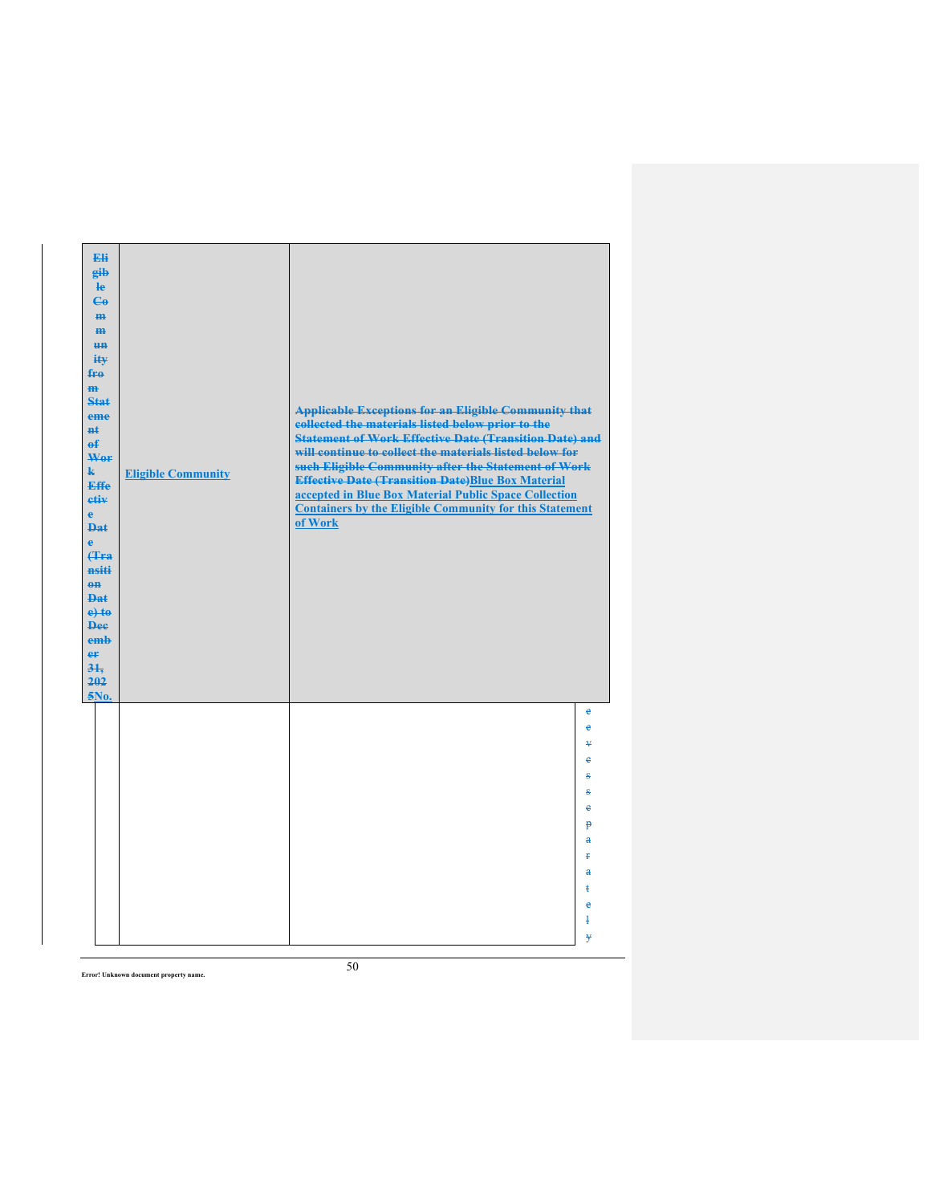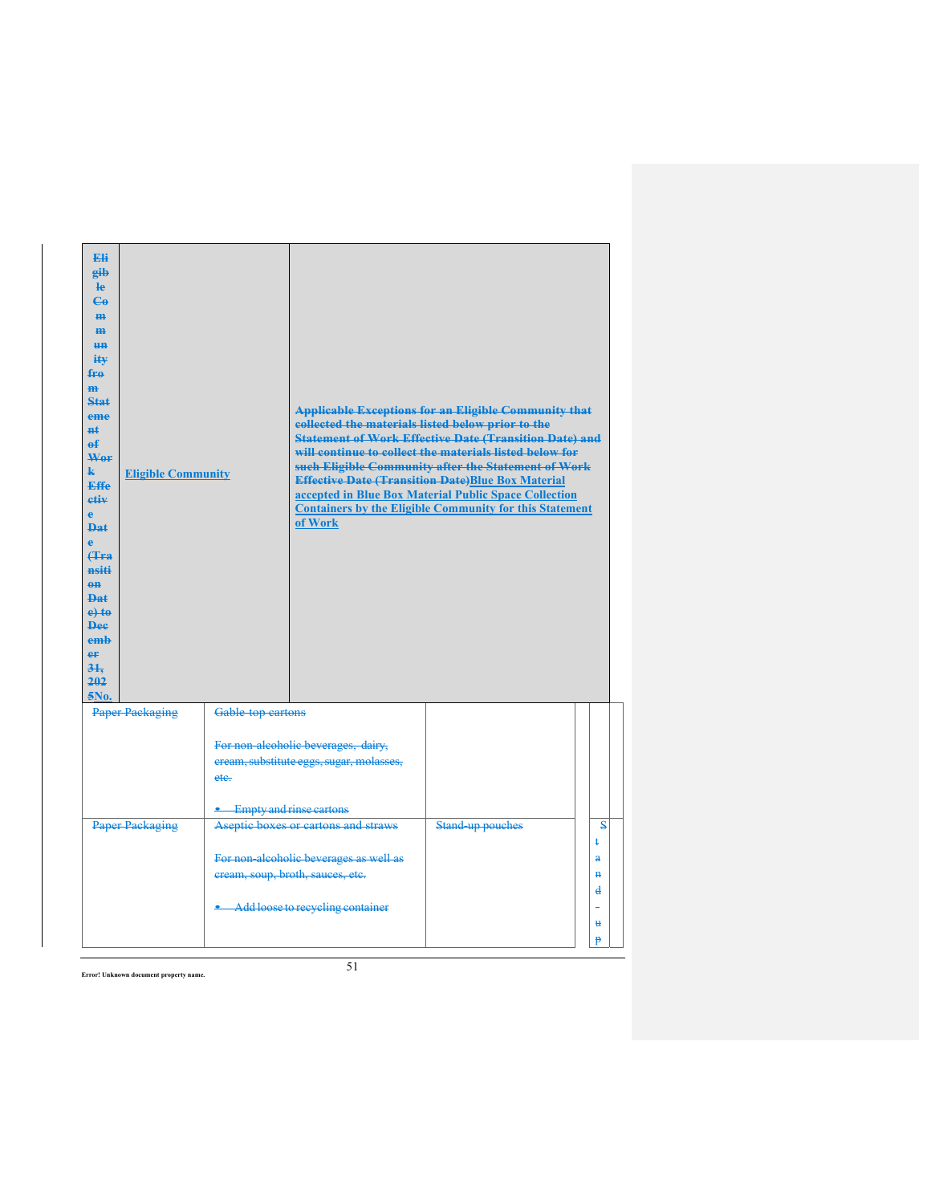| <b>Eli</b><br>eib<br><b>le</b><br>$\mathbf{G}$<br>H <sub>H</sub><br>H <sub>H</sub><br><b>HH</b><br>iŧ¥<br>fro<br>m<br>Stat<br>eme<br>#£<br>e£<br>Wer<br>k.<br><b>Effe</b><br>etiv<br>è<br><b>Dat</b><br>è<br>Hra<br>nsiti<br>$\theta$ <sup><math>\theta</math></sup><br><b>Dat</b><br>$e$ to<br><b>Dee</b><br>emh<br>eF<br>31.<br>202<br>5No. | <b>Eligible Community</b> |                   | collected the materials listed below prior to the<br>of Work               | <b>Applicable Exceptions for an Eligible Community that</b><br><b>Statement of Work Effective Date (Transition Date) and</b><br>will continue to collect the materials listed below for<br>such Eligible Community after the Statement of Work<br><b>Effective Date (Transition Date)Blue Box Material</b><br>accepted in Blue Box Material Public Space Collection<br><b>Containers by the Eligible Community for this Statement</b> |                        |
|-----------------------------------------------------------------------------------------------------------------------------------------------------------------------------------------------------------------------------------------------------------------------------------------------------------------------------------------------|---------------------------|-------------------|----------------------------------------------------------------------------|---------------------------------------------------------------------------------------------------------------------------------------------------------------------------------------------------------------------------------------------------------------------------------------------------------------------------------------------------------------------------------------------------------------------------------------|------------------------|
|                                                                                                                                                                                                                                                                                                                                               | <b>Paper Packaging</b>    | Gable top cartons | For non alcoholic beverages, dairy,                                        |                                                                                                                                                                                                                                                                                                                                                                                                                                       |                        |
|                                                                                                                                                                                                                                                                                                                                               |                           | etc.              | eream, substitute eggs, sugar, molasses,                                   |                                                                                                                                                                                                                                                                                                                                                                                                                                       |                        |
|                                                                                                                                                                                                                                                                                                                                               | <b>Paper Packaging</b>    |                   | Empty and rinse cartons<br>Aseptic boxes or cartons and straws             | Stand-up pouches                                                                                                                                                                                                                                                                                                                                                                                                                      | $\mathbf{s}$           |
|                                                                                                                                                                                                                                                                                                                                               |                           |                   |                                                                            |                                                                                                                                                                                                                                                                                                                                                                                                                                       | ŧ                      |
|                                                                                                                                                                                                                                                                                                                                               |                           |                   | For non-alcoholic beverages as well as<br>cream, soup, broth, sauces, etc. |                                                                                                                                                                                                                                                                                                                                                                                                                                       | $\bf{a}$<br>$\ddot{H}$ |
|                                                                                                                                                                                                                                                                                                                                               |                           |                   |                                                                            |                                                                                                                                                                                                                                                                                                                                                                                                                                       | d                      |
|                                                                                                                                                                                                                                                                                                                                               |                           |                   | Add loose to recycling container                                           |                                                                                                                                                                                                                                                                                                                                                                                                                                       |                        |
|                                                                                                                                                                                                                                                                                                                                               |                           |                   |                                                                            |                                                                                                                                                                                                                                                                                                                                                                                                                                       | u<br>p                 |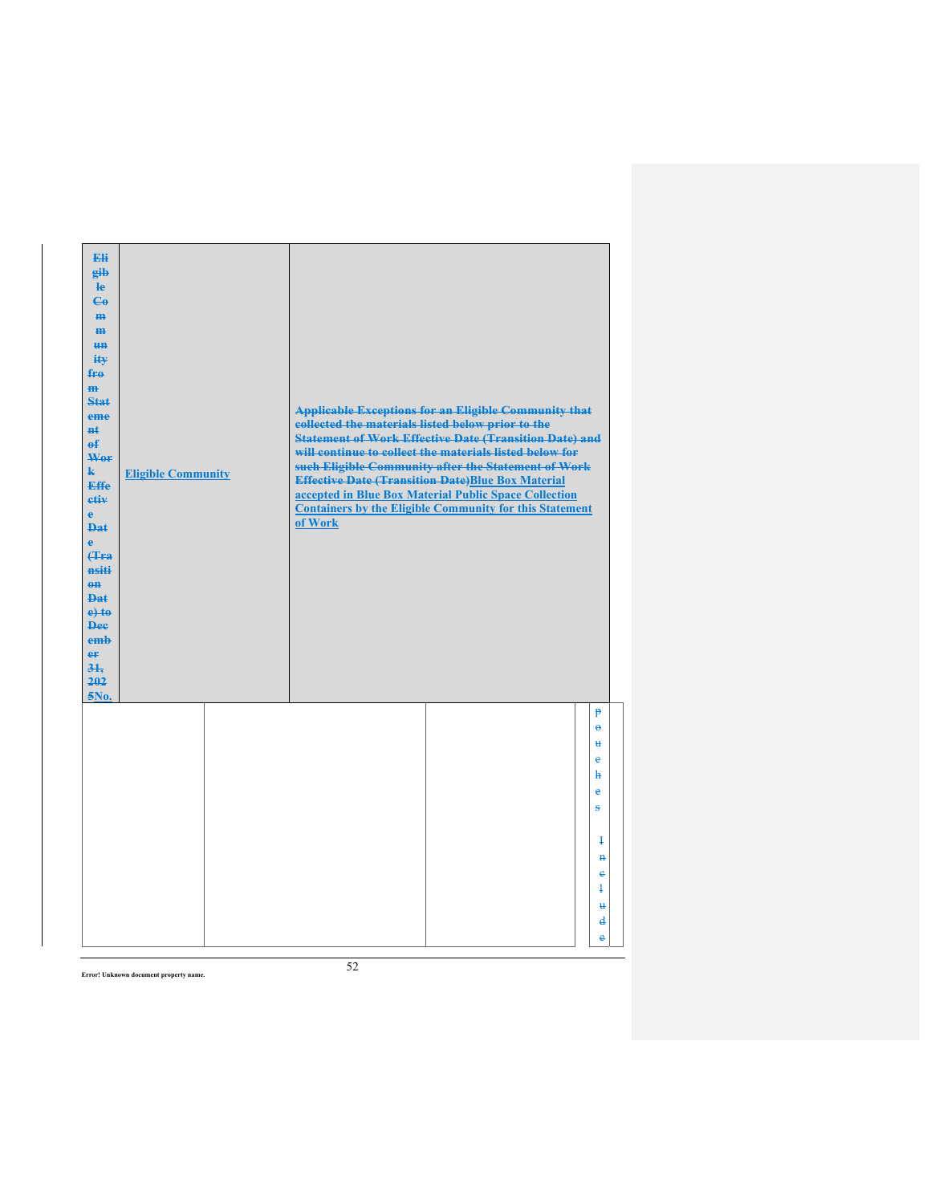| Eli<br>gib<br>$\mathbf{e}$<br>$\mathbf{G}$<br>m-<br>H <sub>H</sub><br><b>HH</b><br>ity<br>$f_{\text{H}0}$<br>$\mathbf{m}$<br><b>Stat</b><br>eme<br><b>n</b> t<br>$\theta$<br>Wer<br>$\mathbf{k}$<br>Effe<br>etiv<br>$\mathbf{e}$<br><b>Dat</b><br>è<br><b>(Tra</b><br>nsiti<br>$\theta$ <sup><math>\theta</math></sup><br><b>Dat</b><br>$e$ + $t$ $e$<br><b>Dee</b><br>emb<br>er<br>$3+$<br>202<br>5No. | <b>Eligible Community</b> | collected the materials listed below prior to the<br>of Work | <b>Applicable Exceptions for an Eligible Community that</b><br><b>Statement of Work Effective Date (Transition Date) and</b><br>will continue to collect the materials listed below for<br>such Eligible Community after the Statement of Work<br><b>Effective Date (Transition Date)Blue Box Material</b><br>accepted in Blue Box Material Public Space Collection<br><b>Containers by the Eligible Community for this Statement</b> |                                          |
|---------------------------------------------------------------------------------------------------------------------------------------------------------------------------------------------------------------------------------------------------------------------------------------------------------------------------------------------------------------------------------------------------------|---------------------------|--------------------------------------------------------------|---------------------------------------------------------------------------------------------------------------------------------------------------------------------------------------------------------------------------------------------------------------------------------------------------------------------------------------------------------------------------------------------------------------------------------------|------------------------------------------|
|                                                                                                                                                                                                                                                                                                                                                                                                         |                           |                                                              |                                                                                                                                                                                                                                                                                                                                                                                                                                       | p<br>$\ddot{\mathbf{e}}$<br>ų<br>ė<br>ħ  |
|                                                                                                                                                                                                                                                                                                                                                                                                         |                           |                                                              |                                                                                                                                                                                                                                                                                                                                                                                                                                       | e<br>s                                   |
|                                                                                                                                                                                                                                                                                                                                                                                                         |                           |                                                              |                                                                                                                                                                                                                                                                                                                                                                                                                                       | Ŧ                                        |
|                                                                                                                                                                                                                                                                                                                                                                                                         |                           |                                                              |                                                                                                                                                                                                                                                                                                                                                                                                                                       | $\mathbf{H}$<br>$\epsilon$<br>$\ddagger$ |
|                                                                                                                                                                                                                                                                                                                                                                                                         |                           |                                                              |                                                                                                                                                                                                                                                                                                                                                                                                                                       | ₩                                        |
|                                                                                                                                                                                                                                                                                                                                                                                                         |                           |                                                              |                                                                                                                                                                                                                                                                                                                                                                                                                                       | $\mathbf{d}$<br>e                        |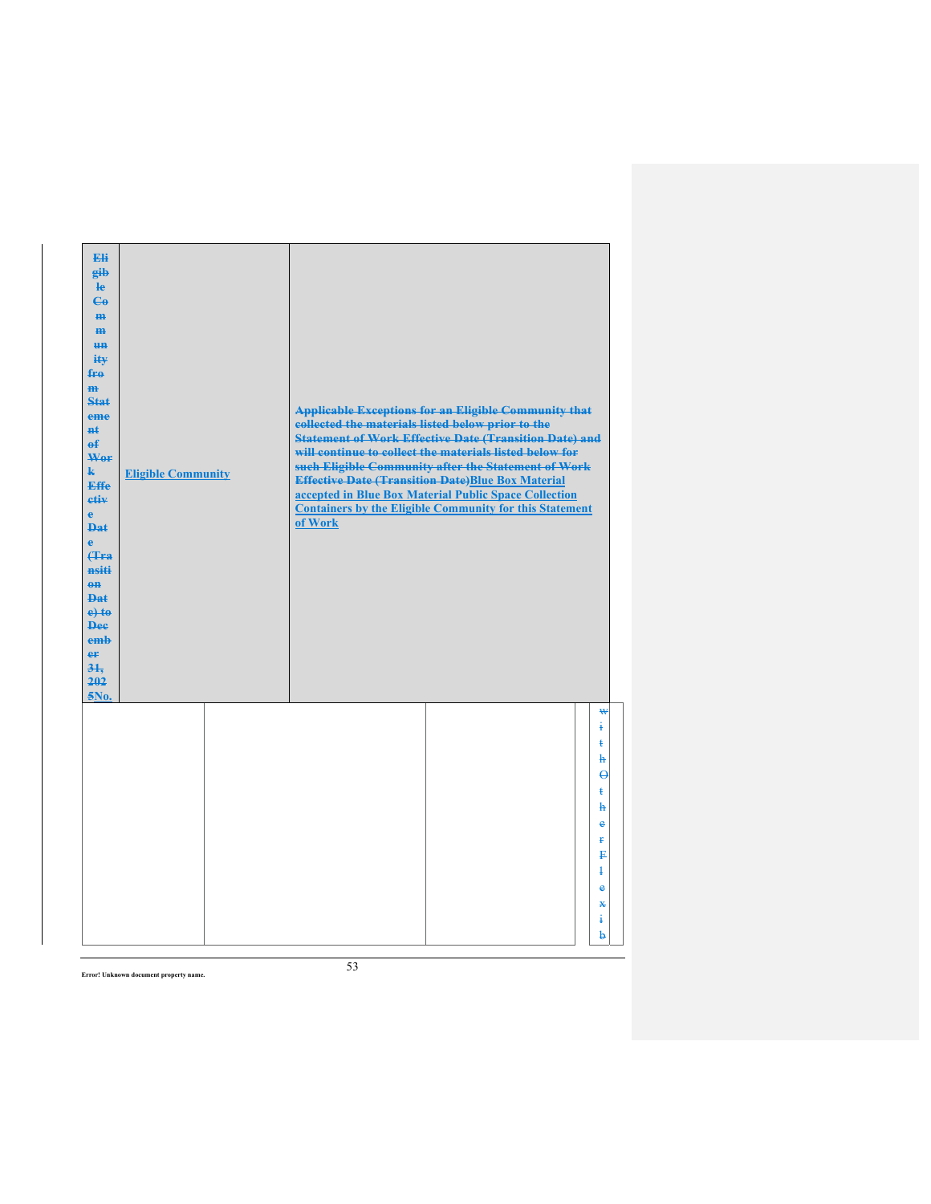| Eli<br>gib<br>$\mathbf{e}$<br>$\mathbf{G}$<br>m.<br>H <sub>H</sub><br><b>HH</b><br>ity<br>$f_{\text{H}0}$<br>$\mathbf{m}$<br>Stat<br>eme<br>#ŧ<br>$\mathbf{f}$<br>Wer<br>$\mathbf{k}$<br>Effe<br>etiv<br>$\mathbf{e}$<br><b>Dat</b><br>$\ddot{\textbf{e}}$<br><b>(Tra</b><br>nsiti<br>$0$<br><b>Dat</b><br>$e$ + $t$ $e$<br><b>Dee</b><br>emb<br>er<br>31.<br>202<br>5No. | <b>Eligible Community</b> | collected the materials listed below prior to the<br>of Work | <b>Applicable Exceptions for an Eligible Community that</b><br><b>Statement of Work Effective Date (Transition Date) and</b><br>will continue to collect the materials listed below for<br>such Eligible Community after the Statement of Work<br><b>Effective Date (Transition Date)Blue Box Material</b><br>accepted in Blue Box Material Public Space Collection<br><b>Containers by the Eligible Community for this Statement</b> |
|---------------------------------------------------------------------------------------------------------------------------------------------------------------------------------------------------------------------------------------------------------------------------------------------------------------------------------------------------------------------------|---------------------------|--------------------------------------------------------------|---------------------------------------------------------------------------------------------------------------------------------------------------------------------------------------------------------------------------------------------------------------------------------------------------------------------------------------------------------------------------------------------------------------------------------------|
|                                                                                                                                                                                                                                                                                                                                                                           |                           |                                                              | ₩<br>ŧ<br>ŧ<br>h<br>$\boldsymbol{\Theta}$<br>$\ddagger$<br>$\mathbf{h}$<br>e<br>Ŧ<br>₽<br>$\ddagger$<br>$\ddot{\textbf{e}}$<br>⋇                                                                                                                                                                                                                                                                                                      |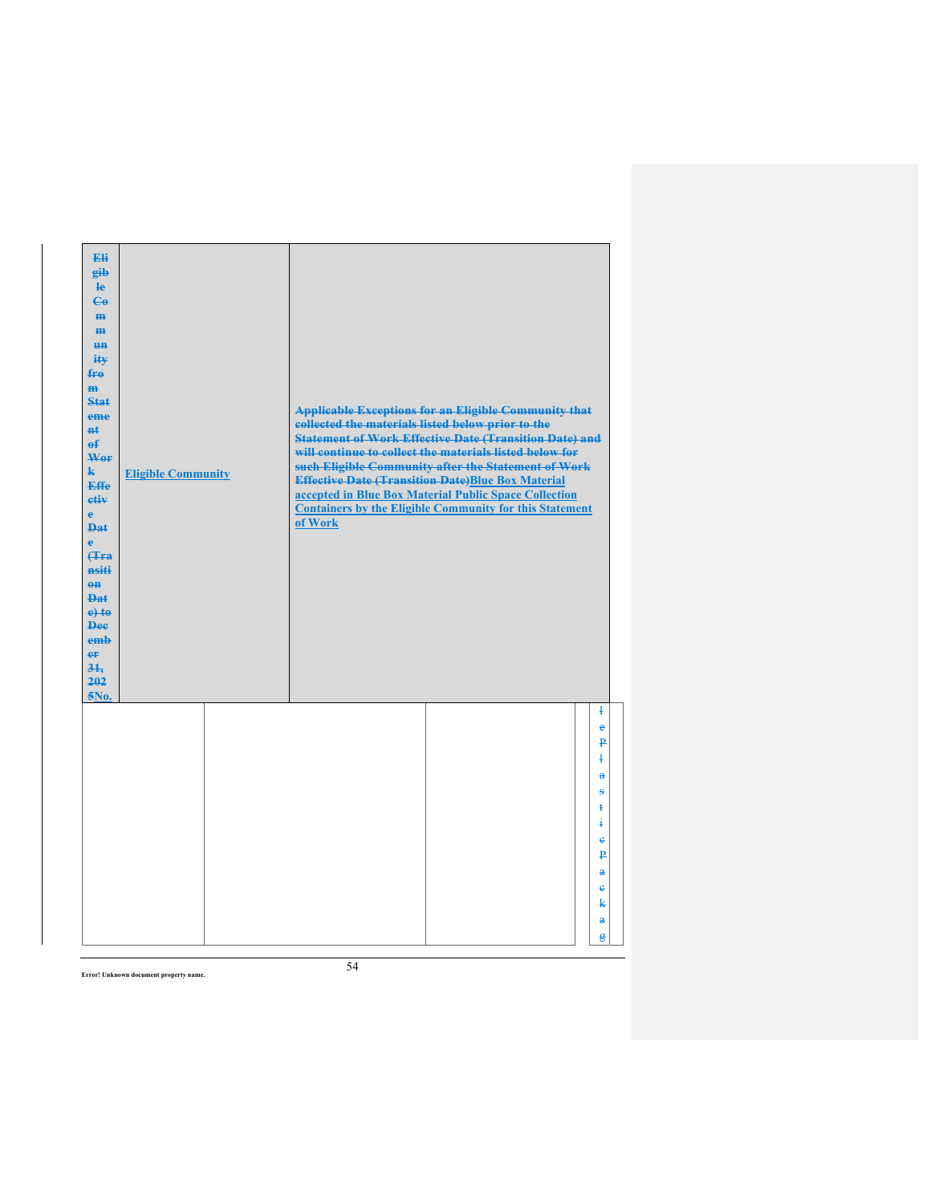|  | of Work                   |                                                                                                               |                                                                                                                                                                                                                                                                                                                                                                           |
|--|---------------------------|---------------------------------------------------------------------------------------------------------------|---------------------------------------------------------------------------------------------------------------------------------------------------------------------------------------------------------------------------------------------------------------------------------------------------------------------------------------------------------------------------|
|  |                           |                                                                                                               | $\overline{1}$<br>e<br>₽<br>$\ddagger$<br>$\mathbf{a}$<br>s<br>ŧ<br>ŧ<br>ė<br>₽<br>$\mathbf{a}$<br>$\ddot{\mathbf{e}}$<br>k                                                                                                                                                                                                                                               |
|  | <b>Eligible Community</b> | collected the materials listed below prior to the<br><b>Effective Date (Transition Date)Blue Box Material</b> | <b>Applicable Exceptions for an Eligible Community that</b><br><b>Statement of Work Effective Date (Transition Date) and</b><br>will continue to collect the materials listed below for<br>such Eligible Community after the Statement of Work<br>accepted in Blue Box Material Public Space Collection<br><b>Containers by the Eligible Community for this Statement</b> |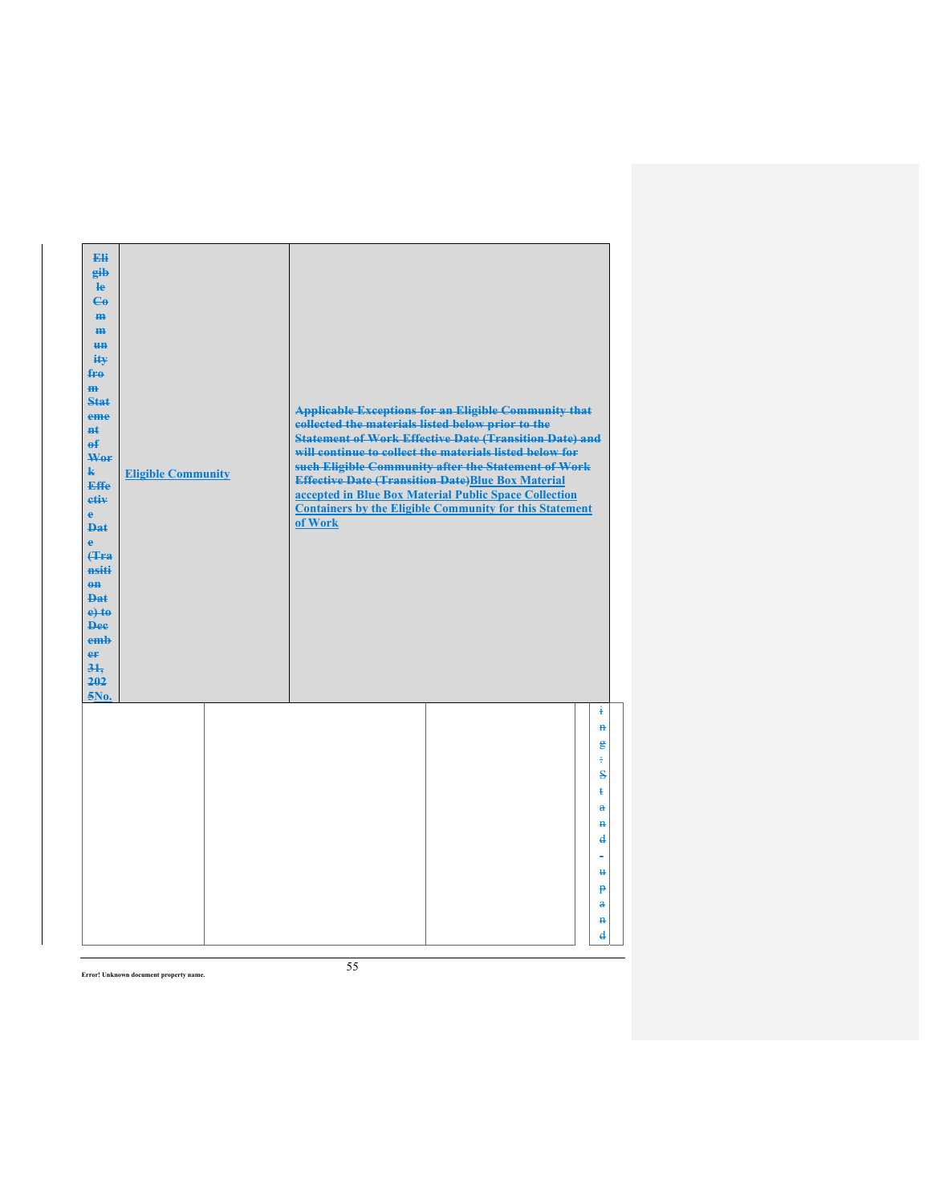| Eli<br>eib<br>$\mathbf{e}$<br>$\mathbf{G}$<br>H <sub>H</sub><br>H <sub>H</sub><br><b>un</b><br>ity<br>$f_{\text{H}0}$<br>$\mathbf{m}$<br><b>Stat</b><br>eme<br><b>Ht</b><br>$\theta$<br>Wer<br>$\mathbf{k}$<br><b>Effe</b><br>etiv<br>$\mathbf{e}$<br><b>Dat</b><br>$\ddot{\textbf{e}}$<br><b>(Tra</b><br>nsiti<br>$\theta$ <sup><math>\theta</math></sup><br><b>Dat</b><br>$e$ + $te$<br><b>Dee</b><br>emb<br>er<br>31.<br>202<br>5No. | <b>Eligible Community</b> | collected the materials listed below prior to the<br>of Work | <b>Applicable Exceptions for an Eligible Community that</b><br><b>Statement of Work Effective Date (Transition Date) and</b><br>will continue to collect the materials listed below for<br>such Eligible Community after the Statement of Work<br><b>Effective Date (Transition Date)Blue Box Material</b><br>accepted in Blue Box Material Public Space Collection<br><b>Containers by the Eligible Community for this Statement</b> |                                               |  |
|-----------------------------------------------------------------------------------------------------------------------------------------------------------------------------------------------------------------------------------------------------------------------------------------------------------------------------------------------------------------------------------------------------------------------------------------|---------------------------|--------------------------------------------------------------|---------------------------------------------------------------------------------------------------------------------------------------------------------------------------------------------------------------------------------------------------------------------------------------------------------------------------------------------------------------------------------------------------------------------------------------|-----------------------------------------------|--|
|                                                                                                                                                                                                                                                                                                                                                                                                                                         |                           |                                                              |                                                                                                                                                                                                                                                                                                                                                                                                                                       | ŧ<br>$\overline{a}$<br>€<br>÷<br>Š            |  |
|                                                                                                                                                                                                                                                                                                                                                                                                                                         |                           |                                                              |                                                                                                                                                                                                                                                                                                                                                                                                                                       | ŧ<br>$\mathbf{a}$<br>$\ddot{\mathbf{H}}$<br>₫ |  |
|                                                                                                                                                                                                                                                                                                                                                                                                                                         |                           |                                                              |                                                                                                                                                                                                                                                                                                                                                                                                                                       | $\mathbf{H}$<br><sup>+</sup>                  |  |
|                                                                                                                                                                                                                                                                                                                                                                                                                                         |                           |                                                              |                                                                                                                                                                                                                                                                                                                                                                                                                                       | $\mathbf{a}$<br>$\mathbf{H}$<br>$\mathbf d$   |  |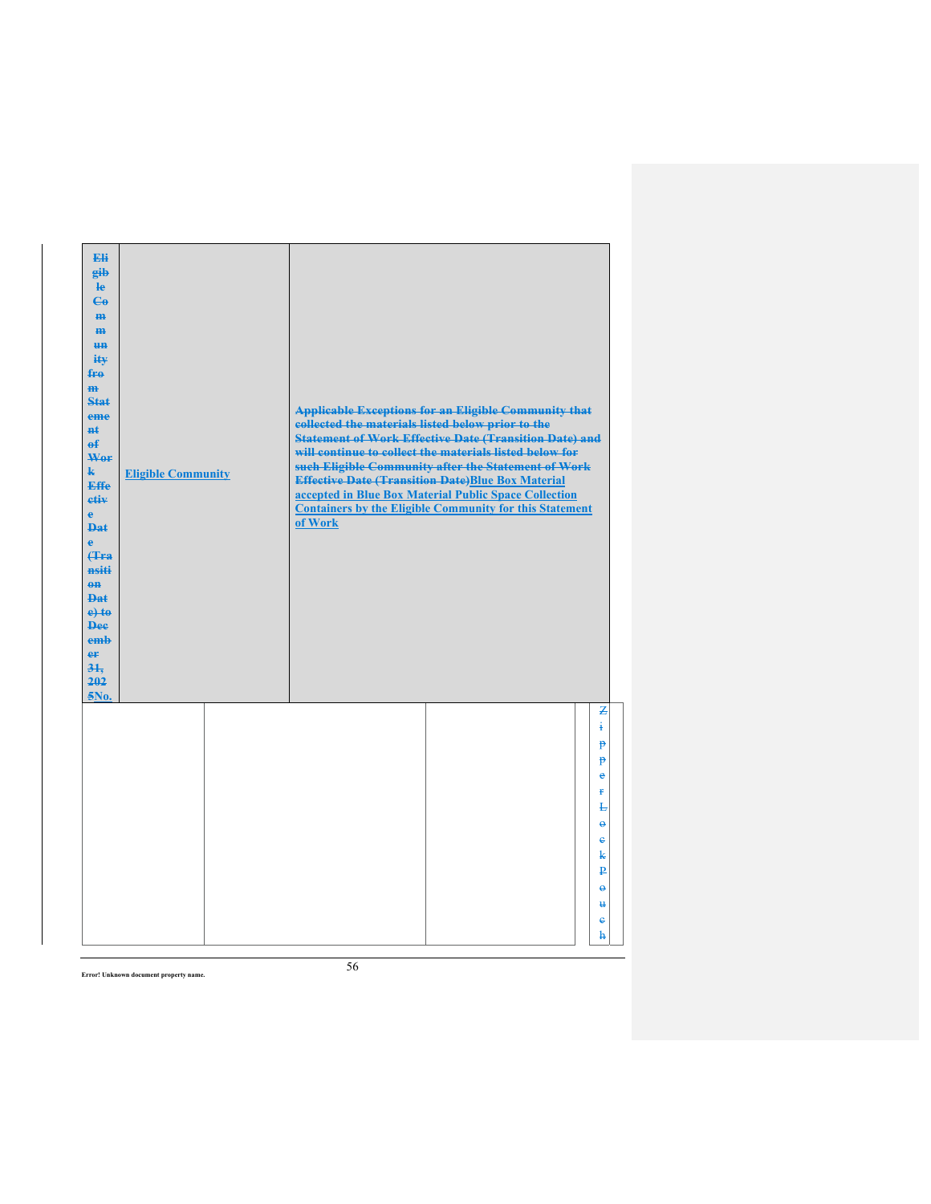| Eli<br>gib<br>He<br>$\epsilon$<br>H <sub>H</sub><br>m<br>H <sub>H</sub><br>ity<br>fro<br>$\mathbf{m}$<br>Stat<br>eme<br>#£<br>$\mathbf{f}$<br>Wer<br>$\mathbf{k}$<br><b>Effe</b><br>etiv<br>$\mathbf{e}$<br><b>Dat</b><br>è<br><b>f</b> Fra<br>nsiti<br>$0$<br>Dat<br>$e$ +to<br><b>Dee</b><br>emb<br>er<br>31.<br>202<br>5No. | <b>Eligible Community</b> | of Work | collected the materials listed below prior to the<br><b>Effective Date (Transition Date)Blue Box Material</b> | <b>Applicable Exceptions for an Eligible Community that</b><br><b>Statement of Work Effective Date (Transition Date) and</b><br>will continue to collect the materials listed below for<br>such Eligible Community after the Statement of Work<br>accepted in Blue Box Material Public Space Collection<br><b>Containers by the Eligible Community for this Statement</b> |                                   |
|--------------------------------------------------------------------------------------------------------------------------------------------------------------------------------------------------------------------------------------------------------------------------------------------------------------------------------|---------------------------|---------|---------------------------------------------------------------------------------------------------------------|---------------------------------------------------------------------------------------------------------------------------------------------------------------------------------------------------------------------------------------------------------------------------------------------------------------------------------------------------------------------------|-----------------------------------|
|                                                                                                                                                                                                                                                                                                                                |                           |         |                                                                                                               |                                                                                                                                                                                                                                                                                                                                                                           | Z<br>ŧ<br>₱                       |
|                                                                                                                                                                                                                                                                                                                                |                           |         |                                                                                                               |                                                                                                                                                                                                                                                                                                                                                                           | P<br>$\bullet$                    |
|                                                                                                                                                                                                                                                                                                                                |                           |         |                                                                                                               |                                                                                                                                                                                                                                                                                                                                                                           | Ŧ                                 |
|                                                                                                                                                                                                                                                                                                                                |                           |         |                                                                                                               |                                                                                                                                                                                                                                                                                                                                                                           | F<br>$\ddot{\boldsymbol{\theta}}$ |
|                                                                                                                                                                                                                                                                                                                                |                           |         |                                                                                                               |                                                                                                                                                                                                                                                                                                                                                                           | $\mathbf{e}$<br>k                 |
|                                                                                                                                                                                                                                                                                                                                |                           |         |                                                                                                               |                                                                                                                                                                                                                                                                                                                                                                           | ₽                                 |
|                                                                                                                                                                                                                                                                                                                                |                           |         |                                                                                                               |                                                                                                                                                                                                                                                                                                                                                                           | $\ddot{\mathbf{e}}$               |
|                                                                                                                                                                                                                                                                                                                                |                           |         |                                                                                                               |                                                                                                                                                                                                                                                                                                                                                                           | $\ddot{u}$<br>ė                   |
|                                                                                                                                                                                                                                                                                                                                |                           |         |                                                                                                               |                                                                                                                                                                                                                                                                                                                                                                           | ħ                                 |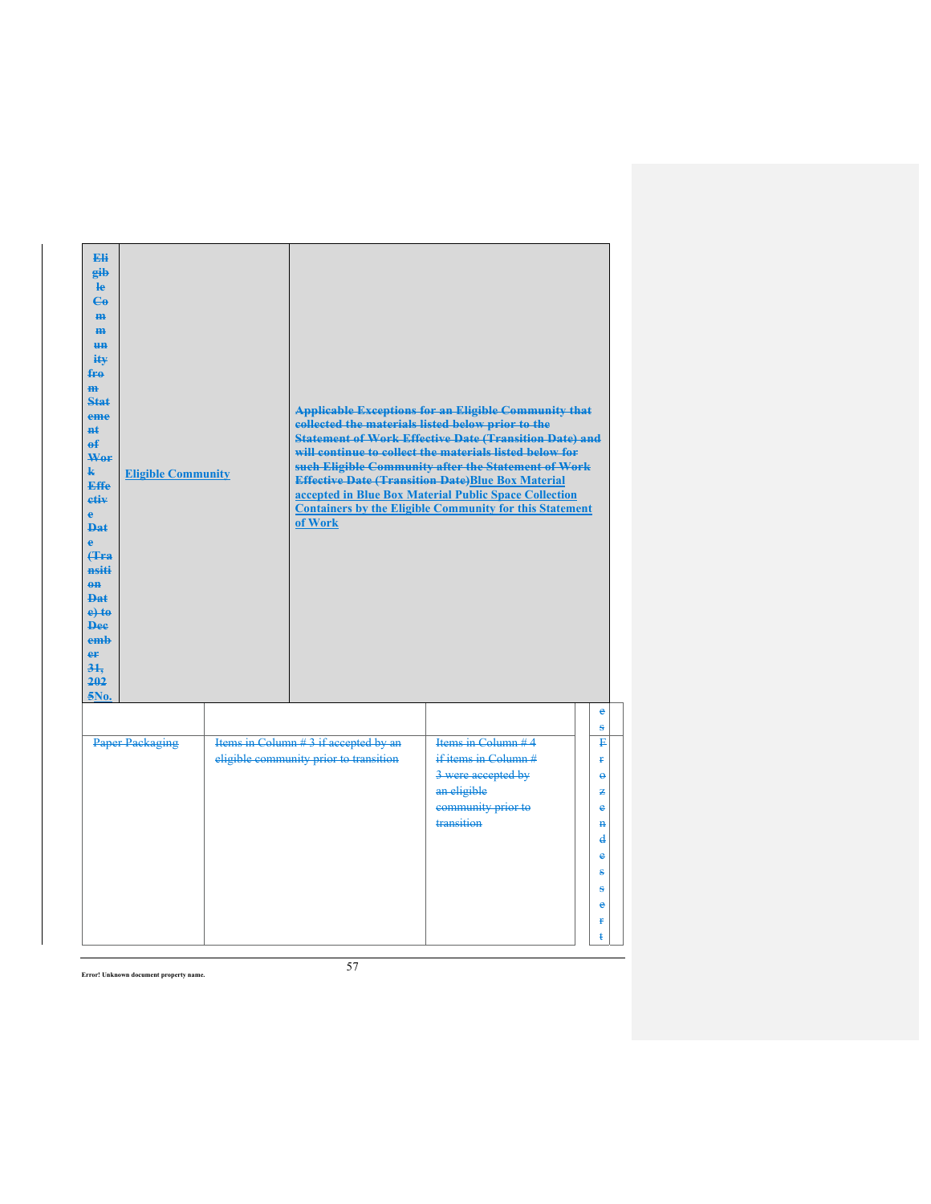| Eli<br>gib<br>$\mathbf{e}$<br>$\mathbf{G}$<br>H <sub>H</sub><br>H <sub>H</sub><br><b>HH</b><br>ity<br>fro<br>$\overline{m}$<br>Stat<br>eme<br>#ŧ<br>$\mathbf{f}$<br>Wer<br>$\mathbf{k}$<br><b>Effe</b><br>etiv<br>e<br>Dat<br>Ä<br><b>f</b> Fra<br>nsiti<br>$0$<br>$PA+$<br>$e$ to<br><b>Dee</b><br>emb<br>er<br>31.<br>202<br>5No. | <b>Eligible Community</b> | of Work                                                                        | <b>Applicable Exceptions for an Eligible Community that</b><br>collected the materials listed below prior to the<br><b>Statement of Work Effective Date (Transition Date) and</b><br>will continue to collect the materials listed below for<br>such Eligible Community after the Statement of Work<br><b>Effective Date (Transition Date)Blue Box Material</b><br>accepted in Blue Box Material Public Space Collection<br><b>Containers by the Eligible Community for this Statement</b> |                                                                                                        |
|-------------------------------------------------------------------------------------------------------------------------------------------------------------------------------------------------------------------------------------------------------------------------------------------------------------------------------------|---------------------------|--------------------------------------------------------------------------------|--------------------------------------------------------------------------------------------------------------------------------------------------------------------------------------------------------------------------------------------------------------------------------------------------------------------------------------------------------------------------------------------------------------------------------------------------------------------------------------------|--------------------------------------------------------------------------------------------------------|
|                                                                                                                                                                                                                                                                                                                                     |                           |                                                                                |                                                                                                                                                                                                                                                                                                                                                                                                                                                                                            | e<br>ŝ                                                                                                 |
|                                                                                                                                                                                                                                                                                                                                     | <b>Paper Packaging</b>    | Items in Column #3 if accepted by an<br>eligible community prior to transition | Items in Column $#4$<br>if items in Column #<br>3 were accepted by<br>an eligible<br>community prior to<br>transition                                                                                                                                                                                                                                                                                                                                                                      | P<br>¥.<br>$\ddot{\phantom{1}}$<br>z<br>ė<br>$\mathbf{H}$<br>$\mathbf d$<br>e<br>ŝ<br>ŝ<br>è<br>Ŧ<br>ŧ |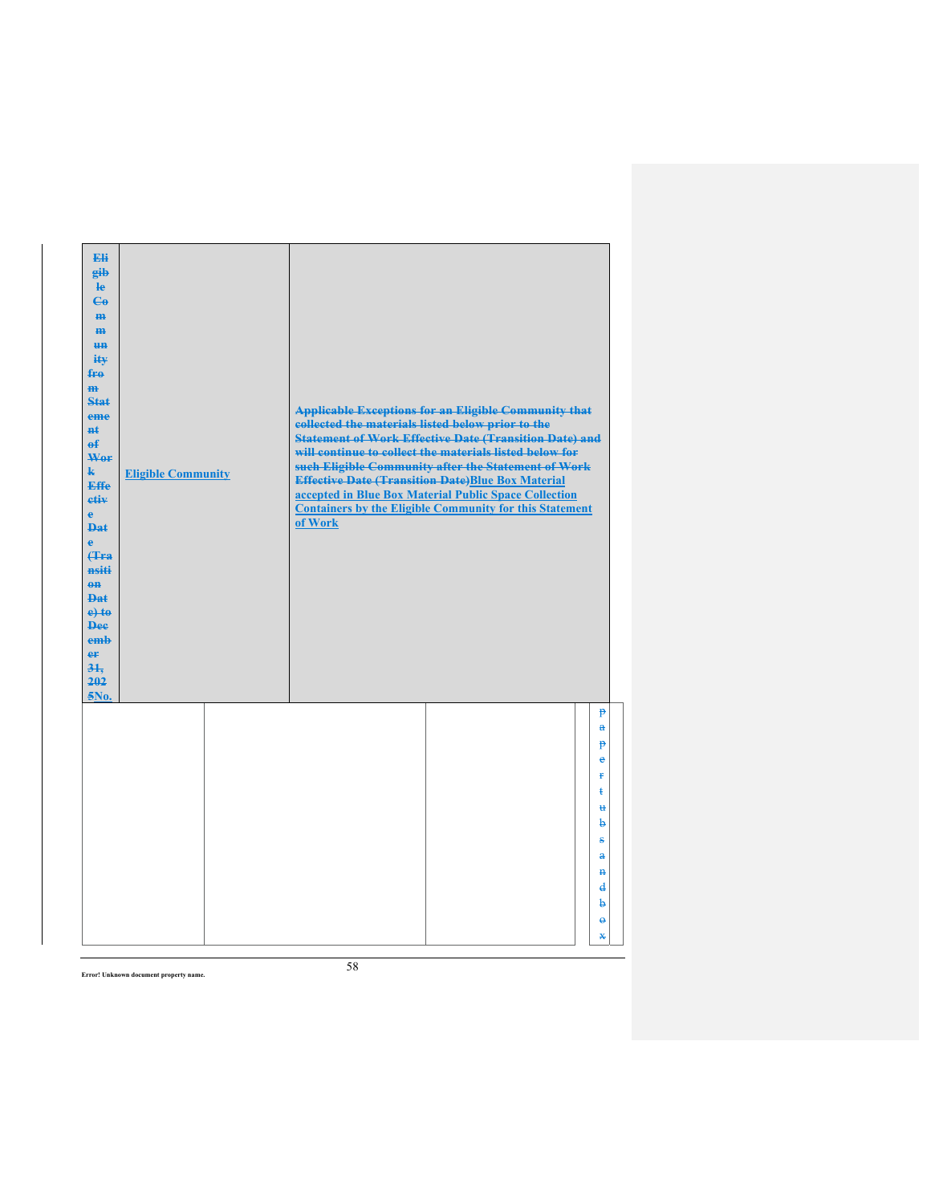| Eli<br>gib<br>He<br>$\mathbf{G}$<br>H <sub>H</sub><br>m<br>H <sub>H</sub><br>ity<br>fro<br>$\mathbf{m}$<br><b>Stat</b><br>eme<br><b>n</b> t<br>$\mathbf{f}$<br>Wor<br>$\mathbf{k}$<br><b>Effe</b><br>etiv<br>$\mathbf{e}$<br><b>Dat</b><br>$\ddot{\textbf{e}}$<br>(Tra<br>nsiti<br>$0$<br>Dat<br>$e$ +to<br><b>Dee</b><br>emb<br>er<br>31.<br>202<br>5No. | <b>Eligible Community</b> | collected the materials listed below prior to the<br>of Work | <b>Applicable Exceptions for an Eligible Community that</b><br><b>Statement of Work Effective Date (Transition Date) and</b><br>will continue to collect the materials listed below for<br>such Eligible Community after the Statement of Work<br><b>Effective Date (Transition Date)Blue Box Material</b><br>accepted in Blue Box Material Public Space Collection<br><b>Containers by the Eligible Community for this Statement</b> |                                     |
|-----------------------------------------------------------------------------------------------------------------------------------------------------------------------------------------------------------------------------------------------------------------------------------------------------------------------------------------------------------|---------------------------|--------------------------------------------------------------|---------------------------------------------------------------------------------------------------------------------------------------------------------------------------------------------------------------------------------------------------------------------------------------------------------------------------------------------------------------------------------------------------------------------------------------|-------------------------------------|
|                                                                                                                                                                                                                                                                                                                                                           |                           |                                                              |                                                                                                                                                                                                                                                                                                                                                                                                                                       | $\mathbf{P}$<br>$\mathbf{a}$        |
|                                                                                                                                                                                                                                                                                                                                                           |                           |                                                              |                                                                                                                                                                                                                                                                                                                                                                                                                                       | P<br>ė                              |
|                                                                                                                                                                                                                                                                                                                                                           |                           |                                                              |                                                                                                                                                                                                                                                                                                                                                                                                                                       | Ŧ                                   |
|                                                                                                                                                                                                                                                                                                                                                           |                           |                                                              |                                                                                                                                                                                                                                                                                                                                                                                                                                       | ŧ                                   |
|                                                                                                                                                                                                                                                                                                                                                           |                           |                                                              |                                                                                                                                                                                                                                                                                                                                                                                                                                       | $\mathbf{H}$<br>b                   |
|                                                                                                                                                                                                                                                                                                                                                           |                           |                                                              |                                                                                                                                                                                                                                                                                                                                                                                                                                       | s                                   |
|                                                                                                                                                                                                                                                                                                                                                           |                           |                                                              |                                                                                                                                                                                                                                                                                                                                                                                                                                       | $\mathbf{a}$                        |
|                                                                                                                                                                                                                                                                                                                                                           |                           |                                                              |                                                                                                                                                                                                                                                                                                                                                                                                                                       | $\ddot{\textbf{H}}$<br>$\mathbf{d}$ |
|                                                                                                                                                                                                                                                                                                                                                           |                           |                                                              |                                                                                                                                                                                                                                                                                                                                                                                                                                       | þ                                   |
|                                                                                                                                                                                                                                                                                                                                                           |                           |                                                              |                                                                                                                                                                                                                                                                                                                                                                                                                                       | $\ddot{\mathbf{e}}$                 |
|                                                                                                                                                                                                                                                                                                                                                           |                           |                                                              |                                                                                                                                                                                                                                                                                                                                                                                                                                       | $\ast$                              |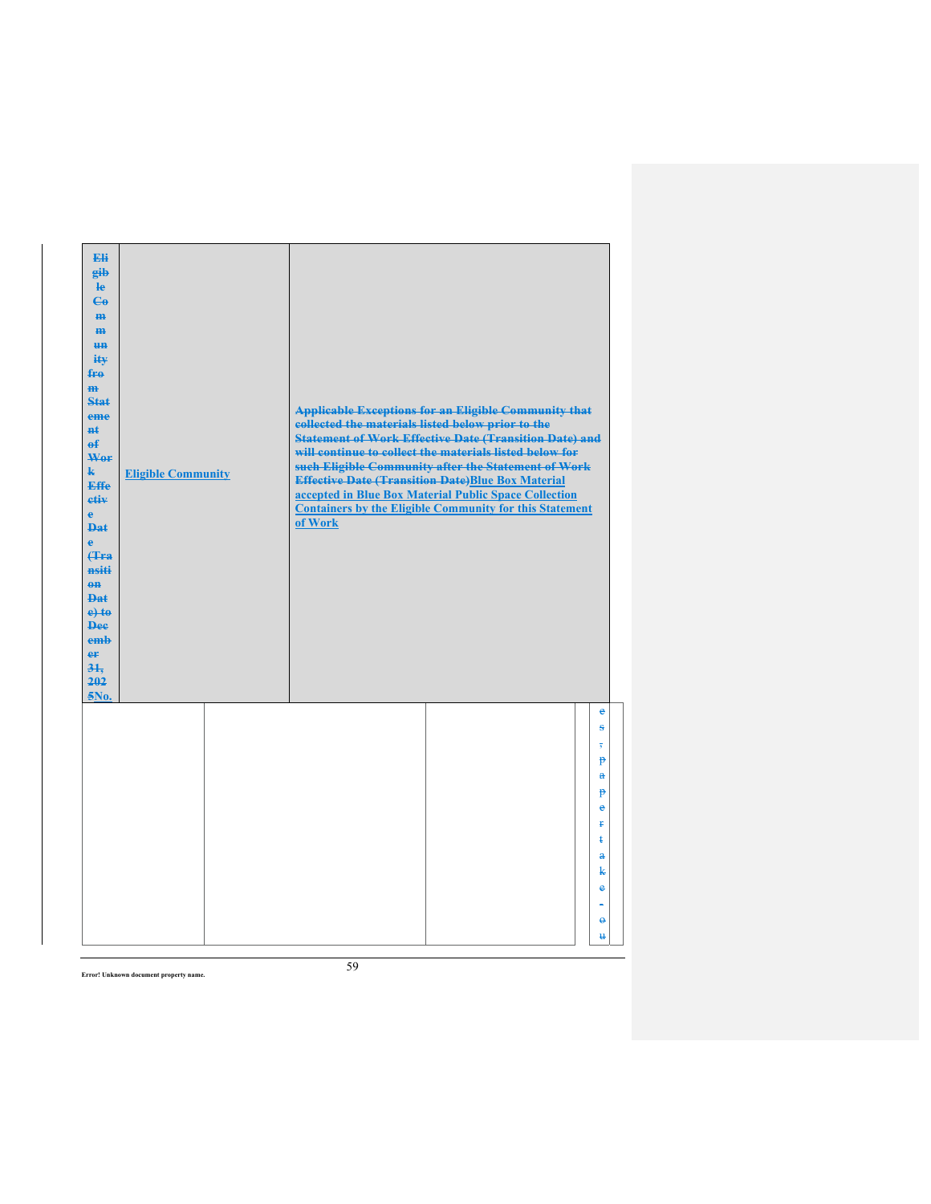| Eli<br>gib<br>le<br>$\mathbf{G}$<br>H <sub>H</sub><br>m<br><del>un</del><br>ity<br>fro<br>m<br><b>Stat</b><br>eme<br><b>H</b> t<br>$\mathbf{f}$<br>Wer<br>k.<br><b>Effe</b><br>etiv<br>$\mathbf{e}$<br><b>Dat</b><br>$\ddot{\textbf{e}}$<br><b>(Tra</b><br>nsiti<br>$\theta$ ff<br><b>Dat</b><br>$e$ +to<br><b>Dee</b><br>emb<br>er<br>31.<br>202<br>5No. | <b>Eligible Community</b> | collected the materials listed below prior to the<br>of Work | <b>Applicable Exceptions for an Eligible Community that</b><br><b>Statement of Work Effective Date (Transition Date) and</b><br>will continue to collect the materials listed below for<br>such Eligible Community after the Statement of Work<br><b>Effective Date (Transition Date)Blue Box Material</b><br>accepted in Blue Box Material Public Space Collection<br><b>Containers by the Eligible Community for this Statement</b> |                                                                                                                                                      |
|-----------------------------------------------------------------------------------------------------------------------------------------------------------------------------------------------------------------------------------------------------------------------------------------------------------------------------------------------------------|---------------------------|--------------------------------------------------------------|---------------------------------------------------------------------------------------------------------------------------------------------------------------------------------------------------------------------------------------------------------------------------------------------------------------------------------------------------------------------------------------------------------------------------------------|------------------------------------------------------------------------------------------------------------------------------------------------------|
|                                                                                                                                                                                                                                                                                                                                                           |                           |                                                              |                                                                                                                                                                                                                                                                                                                                                                                                                                       | $\epsilon$<br>s<br>$\overline{\mathbf{5}}$<br>P<br>$\mathbf{a}$<br>$\mathbf{P}$<br>e<br>ŧ<br>ŧ<br>$\mathbf{a}$<br>k<br>e<br>$\Theta$<br>$\mathbf{H}$ |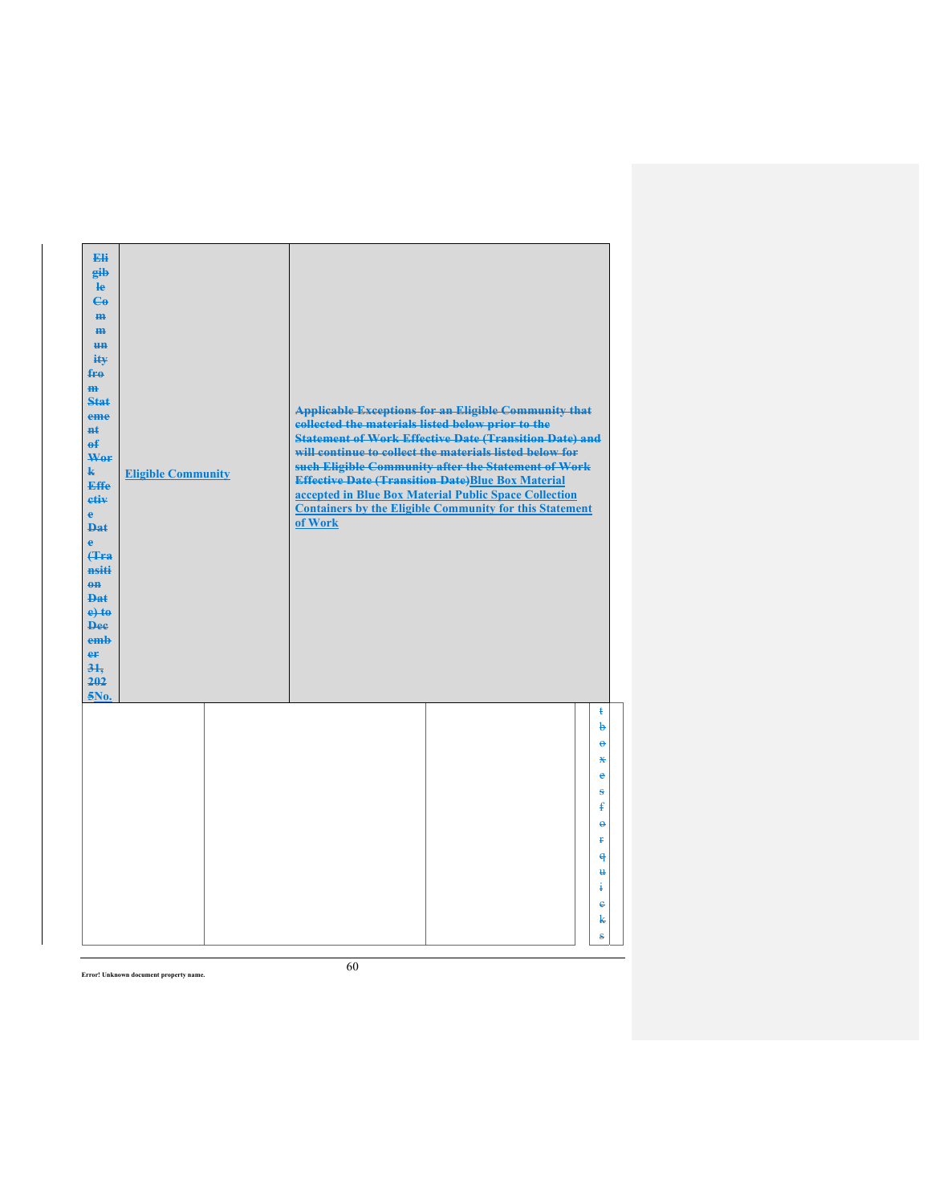| Eli<br>gib<br>$\mathbf{e}$<br>$\mathbf{G}$<br>H <sub>H</sub><br>m<br>H <sub>H</sub><br>ity<br>fro<br>$\mathbf{m}$<br><b>Stat</b><br>eme<br><b>n</b> t<br>$\mathbf{f}$<br>Wer<br>$\mathbf{k}$<br><b>Effe</b><br>etiv<br>$\mathbf{e}$<br><b>Dat</b><br>$\ddot{\textbf{e}}$<br><b>(Tra</b><br>nsiti<br>$\theta$<br>Dat<br>$e$ +to<br><b>Dee</b><br>emb<br>er<br>31.<br>202<br>5No. | <b>Eligible Community</b> | collected the materials listed below prior to the<br>of Work | <b>Applicable Exceptions for an Eligible Community that</b><br><b>Statement of Work Effective Date (Transition Date) and</b><br>will continue to collect the materials listed below for<br>such Eligible Community after the Statement of Work<br><b>Effective Date (Transition Date)Blue Box Material</b><br>accepted in Blue Box Material Public Space Collection<br><b>Containers by the Eligible Community for this Statement</b> |                          |
|---------------------------------------------------------------------------------------------------------------------------------------------------------------------------------------------------------------------------------------------------------------------------------------------------------------------------------------------------------------------------------|---------------------------|--------------------------------------------------------------|---------------------------------------------------------------------------------------------------------------------------------------------------------------------------------------------------------------------------------------------------------------------------------------------------------------------------------------------------------------------------------------------------------------------------------------|--------------------------|
|                                                                                                                                                                                                                                                                                                                                                                                 |                           |                                                              |                                                                                                                                                                                                                                                                                                                                                                                                                                       | $\ddagger$<br>þ          |
|                                                                                                                                                                                                                                                                                                                                                                                 |                           |                                                              |                                                                                                                                                                                                                                                                                                                                                                                                                                       | $\ddot{a}$               |
|                                                                                                                                                                                                                                                                                                                                                                                 |                           |                                                              |                                                                                                                                                                                                                                                                                                                                                                                                                                       | $\mathbf x$<br>$\bullet$ |
|                                                                                                                                                                                                                                                                                                                                                                                 |                           |                                                              |                                                                                                                                                                                                                                                                                                                                                                                                                                       | s                        |
|                                                                                                                                                                                                                                                                                                                                                                                 |                           |                                                              |                                                                                                                                                                                                                                                                                                                                                                                                                                       | $\mathbf{f}$             |
|                                                                                                                                                                                                                                                                                                                                                                                 |                           |                                                              |                                                                                                                                                                                                                                                                                                                                                                                                                                       | $\ddot{\theta}$<br>Ŧ     |
|                                                                                                                                                                                                                                                                                                                                                                                 |                           |                                                              |                                                                                                                                                                                                                                                                                                                                                                                                                                       | $\theta$                 |
|                                                                                                                                                                                                                                                                                                                                                                                 |                           |                                                              |                                                                                                                                                                                                                                                                                                                                                                                                                                       | $\ddot{u}$               |
|                                                                                                                                                                                                                                                                                                                                                                                 |                           |                                                              |                                                                                                                                                                                                                                                                                                                                                                                                                                       | ŧ<br>e                   |
|                                                                                                                                                                                                                                                                                                                                                                                 |                           |                                                              |                                                                                                                                                                                                                                                                                                                                                                                                                                       | k                        |
|                                                                                                                                                                                                                                                                                                                                                                                 |                           |                                                              |                                                                                                                                                                                                                                                                                                                                                                                                                                       | ŝ                        |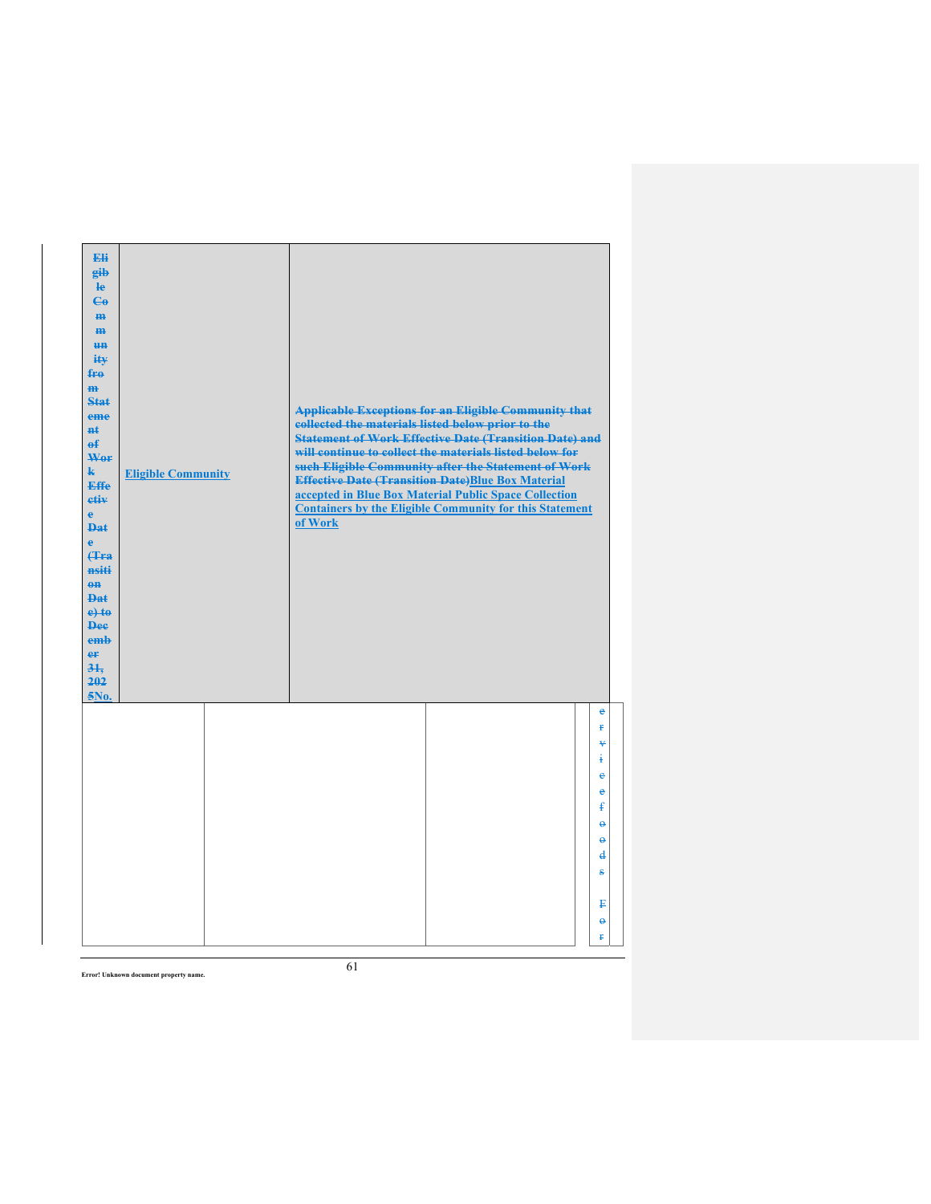| Eli<br>gib<br>He<br>$\mathbf{G}$<br>H <sub>H</sub><br>m<br>H <sub>H</sub><br>ity<br>fro<br>m<br><b>Stat</b><br>eme<br>nŧ.<br>$\mathbf{f}$<br>Wer<br>$\mathbf{k}$<br><b>Effe</b><br>etiv<br>$\mathbf{e}$<br><b>Dat</b><br>è<br><b>f</b> Fra<br>nsiti<br>$eff$<br>Dat.<br>$e$ +to<br><b>Dee</b><br>emb<br>er<br>31.<br>202<br>5No. | <b>Eligible Community</b> | collected the materials listed below prior to the<br>of Work | <b>Applicable Exceptions for an Eligible Community that</b><br><b>Statement of Work Effective Date (Transition Date) and</b><br>will continue to collect the materials listed below for<br>such Eligible Community after the Statement of Work<br><b>Effective Date (Transition Date)Blue Box Material</b><br>accepted in Blue Box Material Public Space Collection<br><b>Containers by the Eligible Community for this Statement</b> |                      |
|----------------------------------------------------------------------------------------------------------------------------------------------------------------------------------------------------------------------------------------------------------------------------------------------------------------------------------|---------------------------|--------------------------------------------------------------|---------------------------------------------------------------------------------------------------------------------------------------------------------------------------------------------------------------------------------------------------------------------------------------------------------------------------------------------------------------------------------------------------------------------------------------|----------------------|
|                                                                                                                                                                                                                                                                                                                                  |                           |                                                              |                                                                                                                                                                                                                                                                                                                                                                                                                                       | e<br>Ŧ<br>¥<br>ŧ     |
|                                                                                                                                                                                                                                                                                                                                  |                           |                                                              |                                                                                                                                                                                                                                                                                                                                                                                                                                       | $\ddot{\textbf{e}}$  |
|                                                                                                                                                                                                                                                                                                                                  |                           |                                                              |                                                                                                                                                                                                                                                                                                                                                                                                                                       | ė                    |
|                                                                                                                                                                                                                                                                                                                                  |                           |                                                              |                                                                                                                                                                                                                                                                                                                                                                                                                                       | ŧ<br>$\ddot{\theta}$ |
|                                                                                                                                                                                                                                                                                                                                  |                           |                                                              |                                                                                                                                                                                                                                                                                                                                                                                                                                       | $\theta$             |
|                                                                                                                                                                                                                                                                                                                                  |                           |                                                              |                                                                                                                                                                                                                                                                                                                                                                                                                                       | d                    |
|                                                                                                                                                                                                                                                                                                                                  |                           |                                                              |                                                                                                                                                                                                                                                                                                                                                                                                                                       | s                    |
|                                                                                                                                                                                                                                                                                                                                  |                           |                                                              |                                                                                                                                                                                                                                                                                                                                                                                                                                       | ₽                    |
|                                                                                                                                                                                                                                                                                                                                  |                           |                                                              |                                                                                                                                                                                                                                                                                                                                                                                                                                       | $\ddot{\theta}$      |
|                                                                                                                                                                                                                                                                                                                                  |                           |                                                              |                                                                                                                                                                                                                                                                                                                                                                                                                                       | ŧ                    |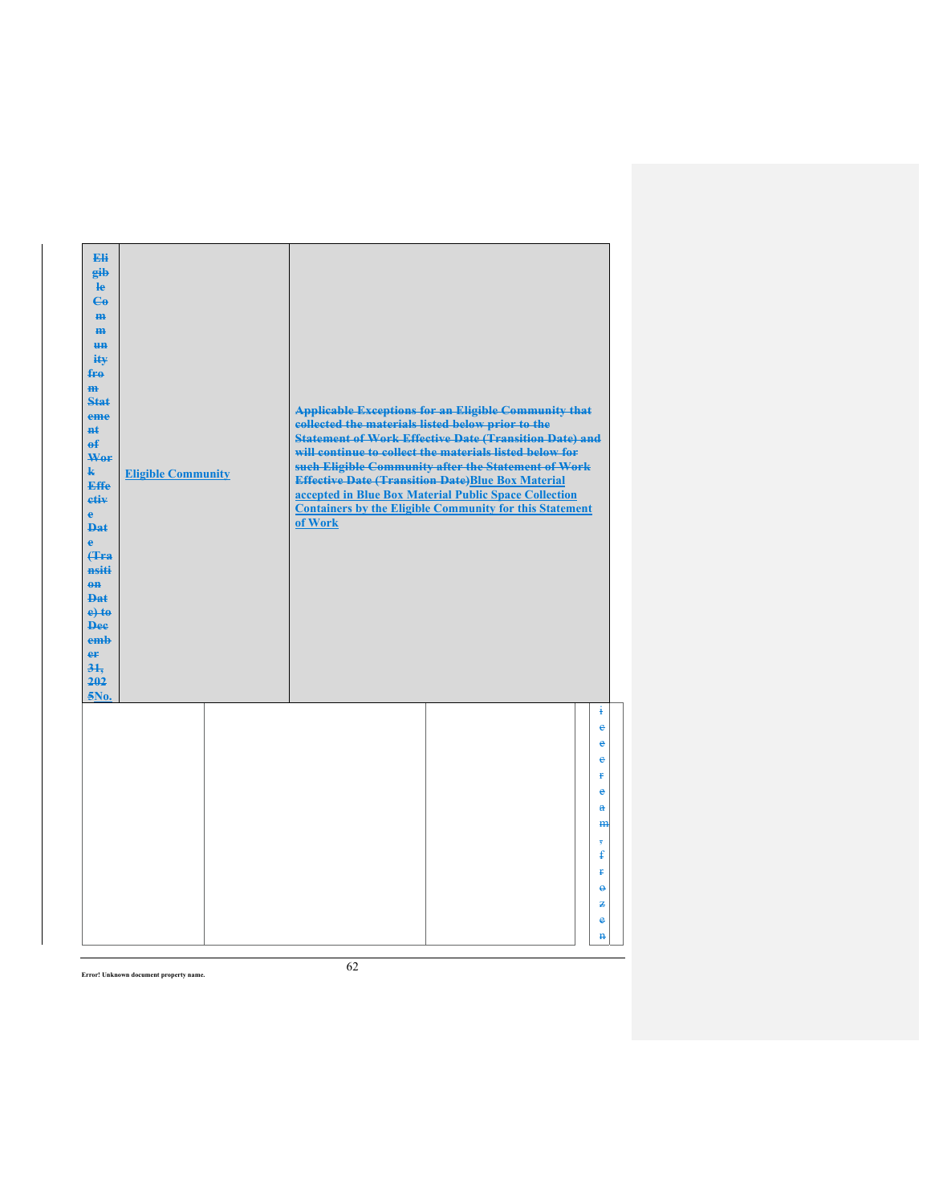| Eli<br>gib<br>He<br>$\epsilon$<br>H <sub>H</sub><br>m<br>H <sub>H</sub><br>ity<br>fro<br>$\mathbf{m}$<br>Stat<br>eme<br>#ŧ<br>$\mathbf{f}$<br>Wer<br>$\mathbf{k}$<br><b>Effe</b><br>etiv<br>$\mathbf{e}$<br><b>Dat</b><br>è<br><b>f</b> Fra<br>nsiti<br>$0$<br>Dat<br>$e$ +to<br><b>Dee</b><br>emb<br>er<br>31.<br>202<br>5No. | <b>Eligible Community</b> | collected the materials listed below prior to the<br>of Work | <b>Applicable Exceptions for an Eligible Community that</b><br><b>Statement of Work Effective Date (Transition Date) and</b><br>will continue to collect the materials listed below for<br>such Eligible Community after the Statement of Work<br><b>Effective Date (Transition Date)Blue Box Material</b><br>accepted in Blue Box Material Public Space Collection<br><b>Containers by the Eligible Community for this Statement</b> |                          |
|--------------------------------------------------------------------------------------------------------------------------------------------------------------------------------------------------------------------------------------------------------------------------------------------------------------------------------|---------------------------|--------------------------------------------------------------|---------------------------------------------------------------------------------------------------------------------------------------------------------------------------------------------------------------------------------------------------------------------------------------------------------------------------------------------------------------------------------------------------------------------------------------|--------------------------|
|                                                                                                                                                                                                                                                                                                                                |                           |                                                              |                                                                                                                                                                                                                                                                                                                                                                                                                                       | ŧ<br>$\epsilon$          |
|                                                                                                                                                                                                                                                                                                                                |                           |                                                              |                                                                                                                                                                                                                                                                                                                                                                                                                                       | e                        |
|                                                                                                                                                                                                                                                                                                                                |                           |                                                              |                                                                                                                                                                                                                                                                                                                                                                                                                                       | $\ddot{\textbf{e}}$<br>Ŧ |
|                                                                                                                                                                                                                                                                                                                                |                           |                                                              |                                                                                                                                                                                                                                                                                                                                                                                                                                       | $\bullet$                |
|                                                                                                                                                                                                                                                                                                                                |                           |                                                              |                                                                                                                                                                                                                                                                                                                                                                                                                                       | $\mathbf{a}$             |
|                                                                                                                                                                                                                                                                                                                                |                           |                                                              |                                                                                                                                                                                                                                                                                                                                                                                                                                       | m                        |
|                                                                                                                                                                                                                                                                                                                                |                           |                                                              |                                                                                                                                                                                                                                                                                                                                                                                                                                       | 7<br>£                   |
|                                                                                                                                                                                                                                                                                                                                |                           |                                                              |                                                                                                                                                                                                                                                                                                                                                                                                                                       | Ŧ                        |
|                                                                                                                                                                                                                                                                                                                                |                           |                                                              |                                                                                                                                                                                                                                                                                                                                                                                                                                       | $\ddot{\mathbf{e}}$      |
|                                                                                                                                                                                                                                                                                                                                |                           |                                                              |                                                                                                                                                                                                                                                                                                                                                                                                                                       | 老                        |
|                                                                                                                                                                                                                                                                                                                                |                           |                                                              |                                                                                                                                                                                                                                                                                                                                                                                                                                       | e                        |
|                                                                                                                                                                                                                                                                                                                                |                           |                                                              |                                                                                                                                                                                                                                                                                                                                                                                                                                       | $\mathbf{H}$             |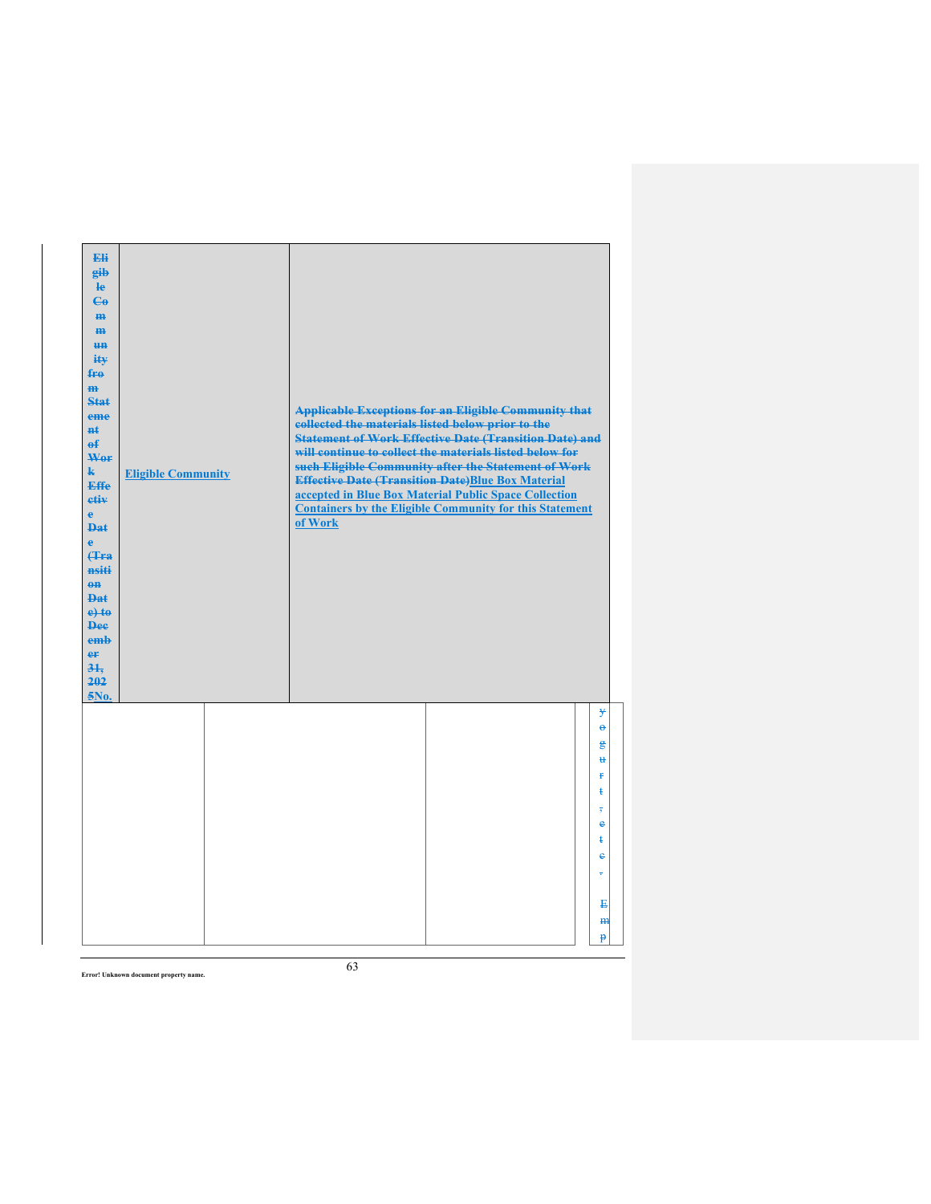| Eli<br>gib<br>$\mathbf{e}$<br>$\mathbf{G}$<br>H <sub>H</sub><br>m<br>H <sub>H</sub><br>ity<br>fro<br>$\mathbf{m}$<br><b>Stat</b><br>eme<br><b>n</b> t<br>$\mathbf{f}$<br>Wer<br>$\mathbf{k}$<br><b>Effe</b><br>etiv<br>$\mathbf{e}$<br><b>Dat</b><br>$\ddot{\textbf{e}}$<br><b>(Tra</b><br>nsiti<br>$\theta$<br>Dat<br>$e$ +to<br><b>Dee</b><br>emb<br>er<br>31.<br>202<br>5No. | <b>Eligible Community</b> | collected the materials listed below prior to the<br>of Work | <b>Applicable Exceptions for an Eligible Community that</b><br><b>Statement of Work Effective Date (Transition Date) and</b><br>will continue to collect the materials listed below for<br>such Eligible Community after the Statement of Work<br><b>Effective Date (Transition Date)Blue Box Material</b><br>accepted in Blue Box Material Public Space Collection<br><b>Containers by the Eligible Community for this Statement</b> |                                                  |
|---------------------------------------------------------------------------------------------------------------------------------------------------------------------------------------------------------------------------------------------------------------------------------------------------------------------------------------------------------------------------------|---------------------------|--------------------------------------------------------------|---------------------------------------------------------------------------------------------------------------------------------------------------------------------------------------------------------------------------------------------------------------------------------------------------------------------------------------------------------------------------------------------------------------------------------------|--------------------------------------------------|
|                                                                                                                                                                                                                                                                                                                                                                                 |                           |                                                              |                                                                                                                                                                                                                                                                                                                                                                                                                                       | y<br>$\ddot{\mathbf{e}}$<br>g<br>$\ddot{u}$<br>ŧ |
|                                                                                                                                                                                                                                                                                                                                                                                 |                           |                                                              |                                                                                                                                                                                                                                                                                                                                                                                                                                       | ŧ<br>$\overline{5}$                              |
|                                                                                                                                                                                                                                                                                                                                                                                 |                           |                                                              |                                                                                                                                                                                                                                                                                                                                                                                                                                       | e<br>ŧ                                           |
|                                                                                                                                                                                                                                                                                                                                                                                 |                           |                                                              |                                                                                                                                                                                                                                                                                                                                                                                                                                       | $\ddot{\textbf{e}}$                              |
|                                                                                                                                                                                                                                                                                                                                                                                 |                           |                                                              |                                                                                                                                                                                                                                                                                                                                                                                                                                       | ÷                                                |
|                                                                                                                                                                                                                                                                                                                                                                                 |                           |                                                              |                                                                                                                                                                                                                                                                                                                                                                                                                                       | E<br>H <sub>H</sub>                              |
|                                                                                                                                                                                                                                                                                                                                                                                 |                           |                                                              |                                                                                                                                                                                                                                                                                                                                                                                                                                       | p                                                |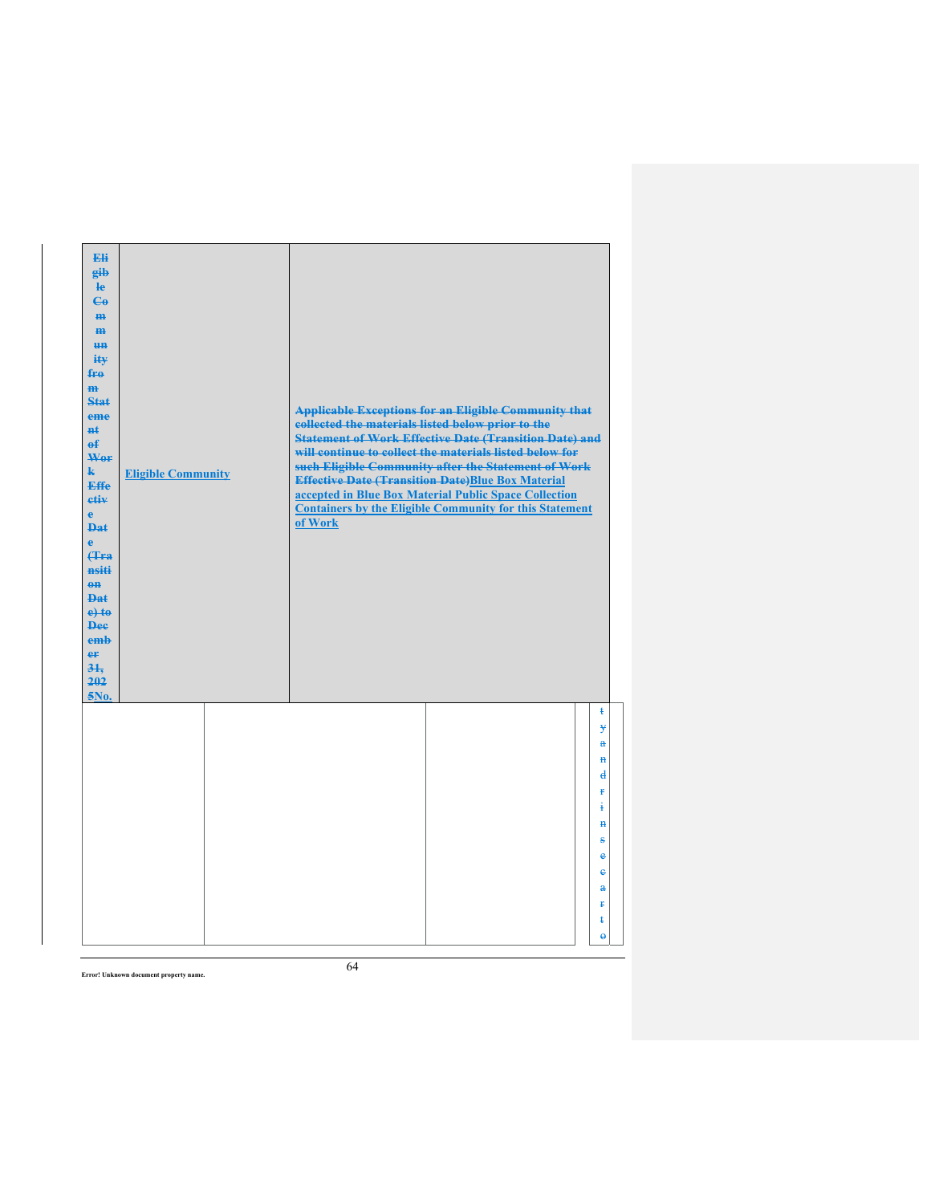| Eli<br>gib<br>$\mathbf{e}$<br>$\mathbf{G}$<br>m.<br>H <sub>H</sub><br><b>HH</b><br>ity<br>$f_{\text{H}0}$<br>$\mathbf{m}$<br>Stat<br>eme<br>#ŧ<br>$\mathbf{f}$<br>Wer<br>$\mathbf{k}$<br>Effe<br>etiv<br>$\mathbf{e}$<br><b>Dat</b><br>$\ddot{\textbf{e}}$<br><b>(Tra</b><br>nsiti<br>$0$<br><b>Dat</b><br>$e$ +to<br><b>Dee</b><br>emb<br>er<br>31.<br>202<br>5No. | <b>Eligible Community</b> | collected the materials listed below prior to the<br>of Work | <b>Applicable Exceptions for an Eligible Community that</b><br><b>Statement of Work Effective Date (Transition Date) and</b><br>will continue to collect the materials listed below for<br>such Eligible Community after the Statement of Work<br><b>Effective Date (Transition Date)Blue Box Material</b><br>accepted in Blue Box Material Public Space Collection<br><b>Containers by the Eligible Community for this Statement</b> |                                     |
|---------------------------------------------------------------------------------------------------------------------------------------------------------------------------------------------------------------------------------------------------------------------------------------------------------------------------------------------------------------------|---------------------------|--------------------------------------------------------------|---------------------------------------------------------------------------------------------------------------------------------------------------------------------------------------------------------------------------------------------------------------------------------------------------------------------------------------------------------------------------------------------------------------------------------------|-------------------------------------|
|                                                                                                                                                                                                                                                                                                                                                                     |                           |                                                              |                                                                                                                                                                                                                                                                                                                                                                                                                                       | ŧ<br>¥<br>a<br>$\mathbf{H}$         |
|                                                                                                                                                                                                                                                                                                                                                                     |                           |                                                              |                                                                                                                                                                                                                                                                                                                                                                                                                                       | $\mathbf{d}$<br>ŧ                   |
|                                                                                                                                                                                                                                                                                                                                                                     |                           |                                                              |                                                                                                                                                                                                                                                                                                                                                                                                                                       | ŧ<br>$\mathbf{H}$                   |
|                                                                                                                                                                                                                                                                                                                                                                     |                           |                                                              |                                                                                                                                                                                                                                                                                                                                                                                                                                       | s<br>$\ddot{\textbf{e}}$            |
|                                                                                                                                                                                                                                                                                                                                                                     |                           |                                                              |                                                                                                                                                                                                                                                                                                                                                                                                                                       | $\ddot{\textbf{e}}$<br>$\mathbf{a}$ |
|                                                                                                                                                                                                                                                                                                                                                                     |                           |                                                              |                                                                                                                                                                                                                                                                                                                                                                                                                                       | Ŧ                                   |
|                                                                                                                                                                                                                                                                                                                                                                     |                           |                                                              |                                                                                                                                                                                                                                                                                                                                                                                                                                       | ŧ<br>$\ddot{\theta}$                |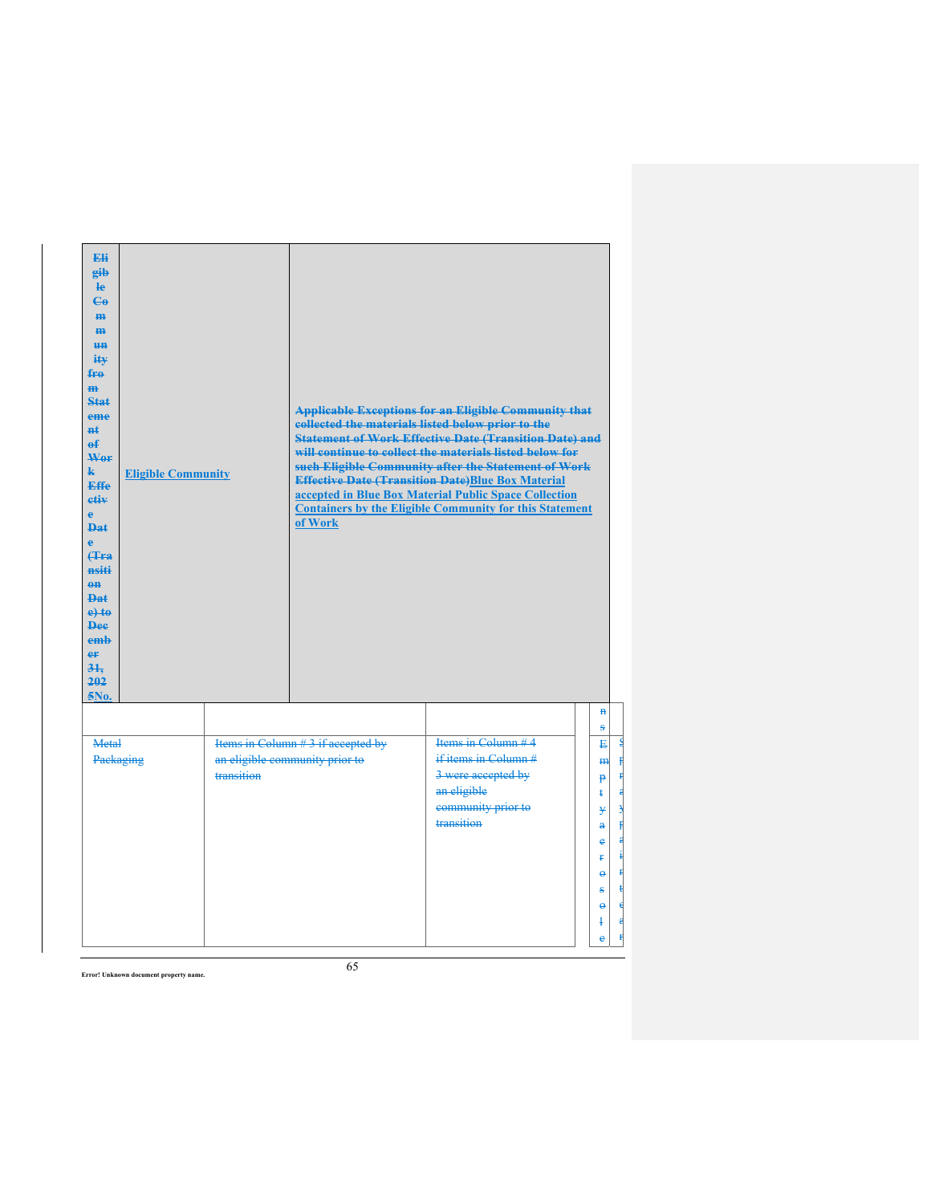| <b>Eli</b><br>gib<br>$\mathbf{e}$<br>$\mathbf{G}$<br>H <sub>H</sub><br>$\mathbf{m}$<br><b>HH</b><br>iŧ¥<br>$f_{\text{FA}}$<br>H <sub>H</sub><br>$Stat$<br>eme<br><b>H</b> t<br>$\mathbf{f}$<br>Wer<br>$\mathbf{k}$<br><b>Eligible Community</b><br><b>Effe</b><br>etiv<br>$\mathbf{e}$<br><b>Dat</b><br>$\bullet$<br><b>f</b> Fra<br>nsiti<br>$em$<br><b>Dat</b><br>$e$ +to<br><b>Dee</b><br>emb<br>eF<br>$3+$<br>202<br>5No. |            | collected the materials listed below prior to the<br>of Work        | <b>Applicable Exceptions for an Eligible Community that</b><br><b>Statement of Work Effective Date (Transition Date) and</b><br>will continue to collect the materials listed below for<br>such Eligible Community after the Statement of Work<br><b>Effective Date (Transition Date)Blue Box Material</b><br>accepted in Blue Box Material Public Space Collection<br><b>Containers by the Eligible Community for this Statement</b> |                                                                                                                                            |
|-------------------------------------------------------------------------------------------------------------------------------------------------------------------------------------------------------------------------------------------------------------------------------------------------------------------------------------------------------------------------------------------------------------------------------|------------|---------------------------------------------------------------------|---------------------------------------------------------------------------------------------------------------------------------------------------------------------------------------------------------------------------------------------------------------------------------------------------------------------------------------------------------------------------------------------------------------------------------------|--------------------------------------------------------------------------------------------------------------------------------------------|
|                                                                                                                                                                                                                                                                                                                                                                                                                               |            |                                                                     |                                                                                                                                                                                                                                                                                                                                                                                                                                       | $\mathbf{H}$<br>s                                                                                                                          |
| Metal<br>Packaging                                                                                                                                                                                                                                                                                                                                                                                                            | transition | Items in Column #3 if accepted by<br>an eligible community prior to | Items in Column #4<br>if items in Column#<br>3 were accepted by<br>an eligible<br>community prior to<br>transition                                                                                                                                                                                                                                                                                                                    | E<br>$Th$<br><sup>p</sup><br>ŧ<br>¥<br>$\ddot{\mathbf{a}}$<br>e<br>ŧ<br>$\ddot{\boldsymbol{\theta}}$<br>ŝ<br>$\ddot{\mathbf{e}}$<br>4<br>e |

S ŧ r a y ŧ a i n t  $\overline{\mathsf{d}}$ a n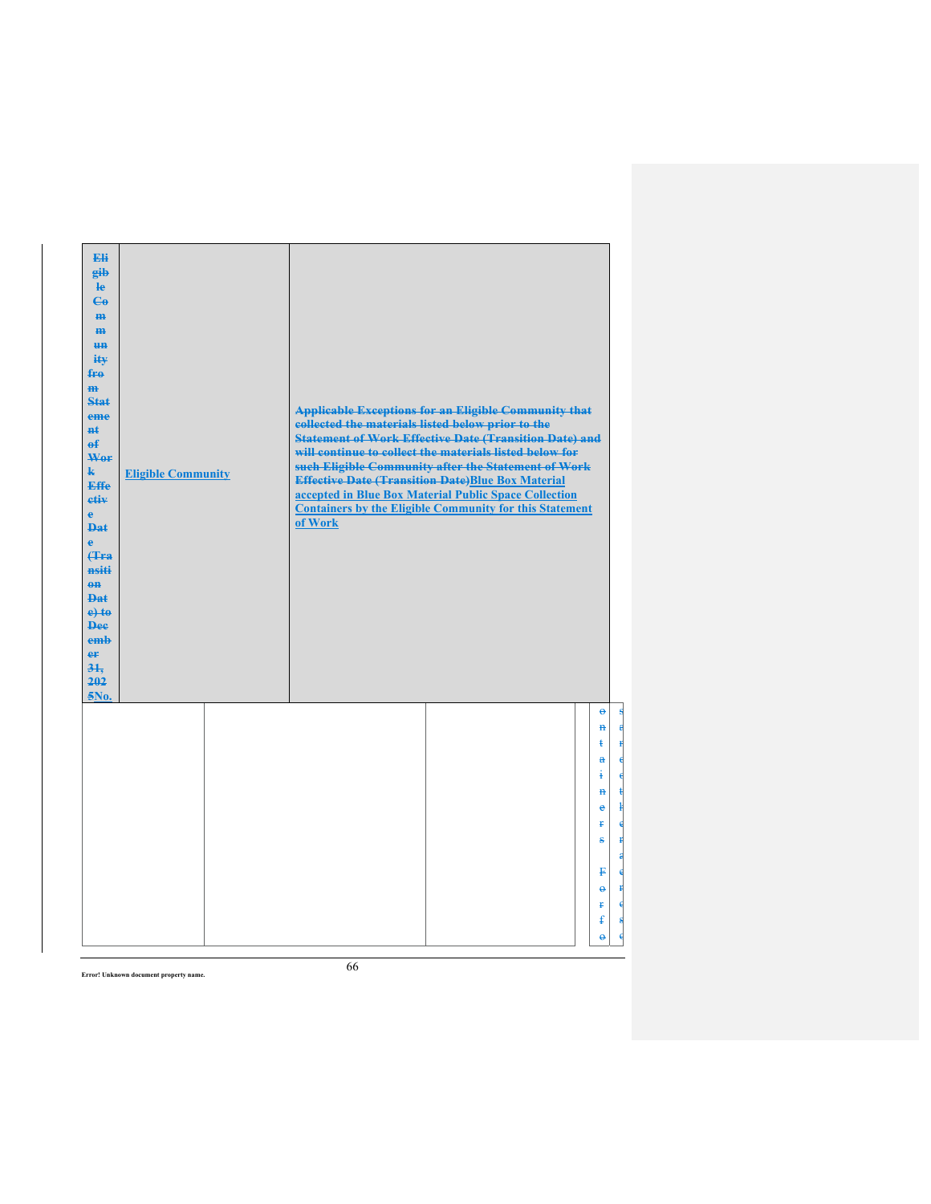| Eli<br>gib<br>He<br>$\mathbf{G}$<br>H <sub>H</sub><br>$\mathbf{m}$<br>H <sub>H</sub><br>ity<br>fro<br>$\mathbf{m}$<br>Stat<br>eme<br><b>n</b> t<br>$\theta$<br>Wor<br>$\mathbf{k}$<br><b>Effe</b><br>etiv<br>e.<br><b>Dat</b><br>ė<br><b>(Tra</b><br>nsiti<br>$\theta$ <sup><math>\theta</math></sup><br>Dat.<br>$e$ + $t$ $e$<br><b>Dee</b><br>emb<br>er<br>$3+$<br>202<br>5No. | <b>Eligible Community</b> | collected the materials listed below prior to the<br>of Work | <b>Applicable Exceptions for an Eligible Community that</b><br><b>Statement of Work Effective Date (Transition Date) and</b><br>will continue to collect the materials listed below for<br>such Eligible Community after the Statement of Work<br><b>Effective Date (Transition Date)Blue Box Material</b><br>accepted in Blue Box Material Public Space Collection<br><b>Containers by the Eligible Community for this Statement</b> |                                                                                                                                                                            |
|----------------------------------------------------------------------------------------------------------------------------------------------------------------------------------------------------------------------------------------------------------------------------------------------------------------------------------------------------------------------------------|---------------------------|--------------------------------------------------------------|---------------------------------------------------------------------------------------------------------------------------------------------------------------------------------------------------------------------------------------------------------------------------------------------------------------------------------------------------------------------------------------------------------------------------------------|----------------------------------------------------------------------------------------------------------------------------------------------------------------------------|
|                                                                                                                                                                                                                                                                                                                                                                                  |                           |                                                              |                                                                                                                                                                                                                                                                                                                                                                                                                                       | $\ddot{\theta}$<br>$\overline{\mathbf{H}}$<br>ŧ<br>Ħ<br>$\mathbf{a}$<br>4<br>$\ddot{\mathbf{H}}$<br>è<br>Ŧ.<br>s<br>ŧ<br>P<br>$\ddot{\mathbf{e}}$<br>Ŧ.<br>£<br>$\ddot{ }$ |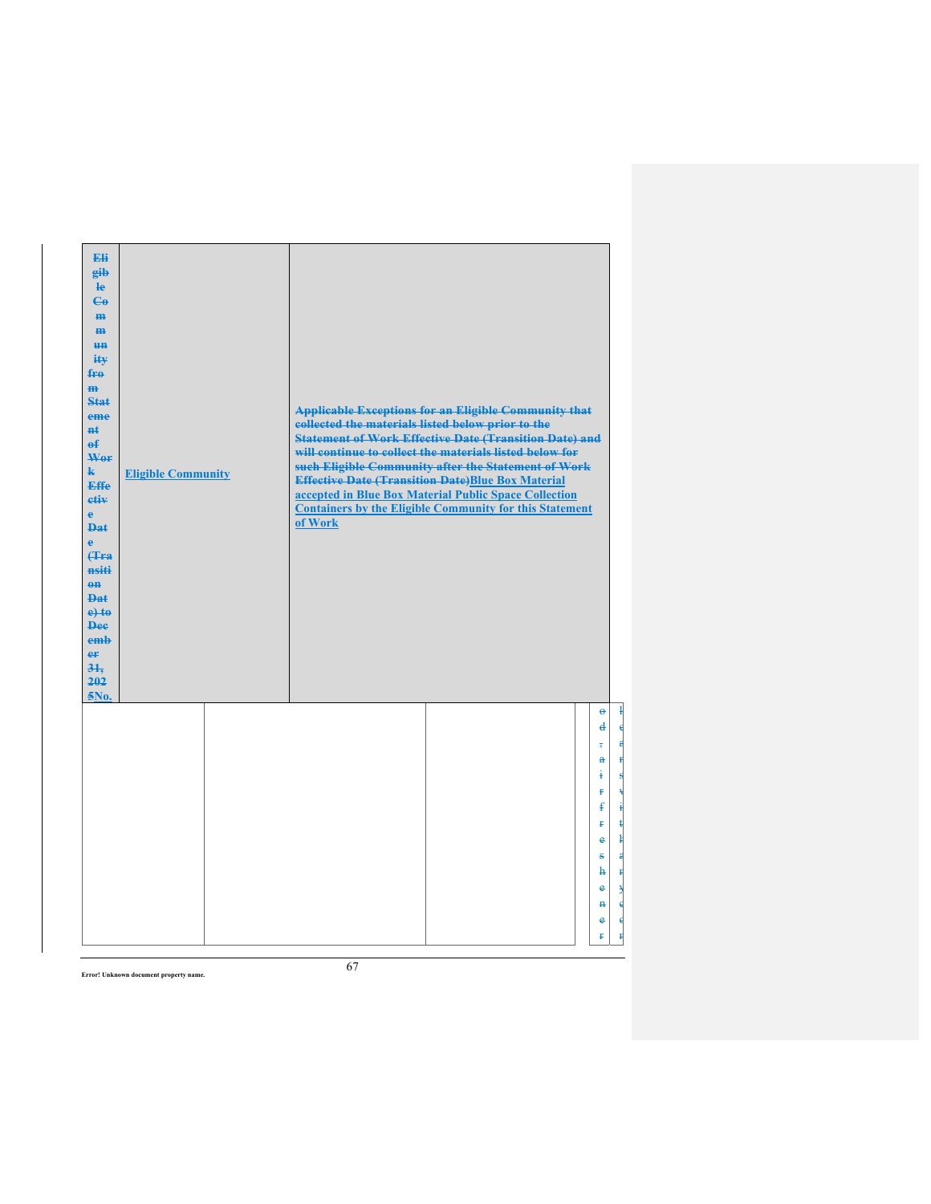| Eli<br>gib<br>$\mathbf{e}$<br>$\mathbf{G}$<br>m-<br>m<br><b>HH</b><br>ity<br>fro<br>$\mathbf{m}$<br><b>Stat</b><br>eme<br><b>Ht</b><br>$\theta$<br>Wor<br>$\mathbf{k}$<br>Effe<br>etiv<br>$\ddot{e}$<br><b>Dat</b><br>ė<br><b>(Tra</b><br>nsiti<br>$\theta$ <sup><math>\theta</math></sup><br><b>Dat</b><br>$e$ + $t$ $e$<br><b>Dee</b><br>emb<br>er<br>31.<br>202<br>$5N0$ . | <b>Eligible Community</b> | collected the materials listed below prior to the<br>of Work | <b>Applicable Exceptions for an Eligible Community that</b><br><b>Statement of Work Effective Date (Transition Date) and</b><br>will continue to collect the materials listed below for<br>such Eligible Community after the Statement of Work<br><b>Effective Date (Transition Date)Blue Box Material</b><br>accepted in Blue Box Material Public Space Collection<br><b>Containers by the Eligible Community for this Statement</b> |                                                                                                                                                                                                  |
|-------------------------------------------------------------------------------------------------------------------------------------------------------------------------------------------------------------------------------------------------------------------------------------------------------------------------------------------------------------------------------|---------------------------|--------------------------------------------------------------|---------------------------------------------------------------------------------------------------------------------------------------------------------------------------------------------------------------------------------------------------------------------------------------------------------------------------------------------------------------------------------------------------------------------------------------|--------------------------------------------------------------------------------------------------------------------------------------------------------------------------------------------------|
|                                                                                                                                                                                                                                                                                                                                                                               |                           |                                                              |                                                                                                                                                                                                                                                                                                                                                                                                                                       | ł<br>$\Theta$<br>$\mathbf{d}$<br>₫<br>ą<br>a<br>Ŧ<br>ŧ<br>€<br>ŧ<br>£<br>ŧ<br>ŧ<br>ŧ<br>$\frac{1}{2}$<br>e<br>ŧ<br>s<br>ħ<br>Ħ<br>e<br>ð<br>€<br>$\ddot{\mathbf{H}}$<br>$\bullet$<br>€<br>ť<br>ť |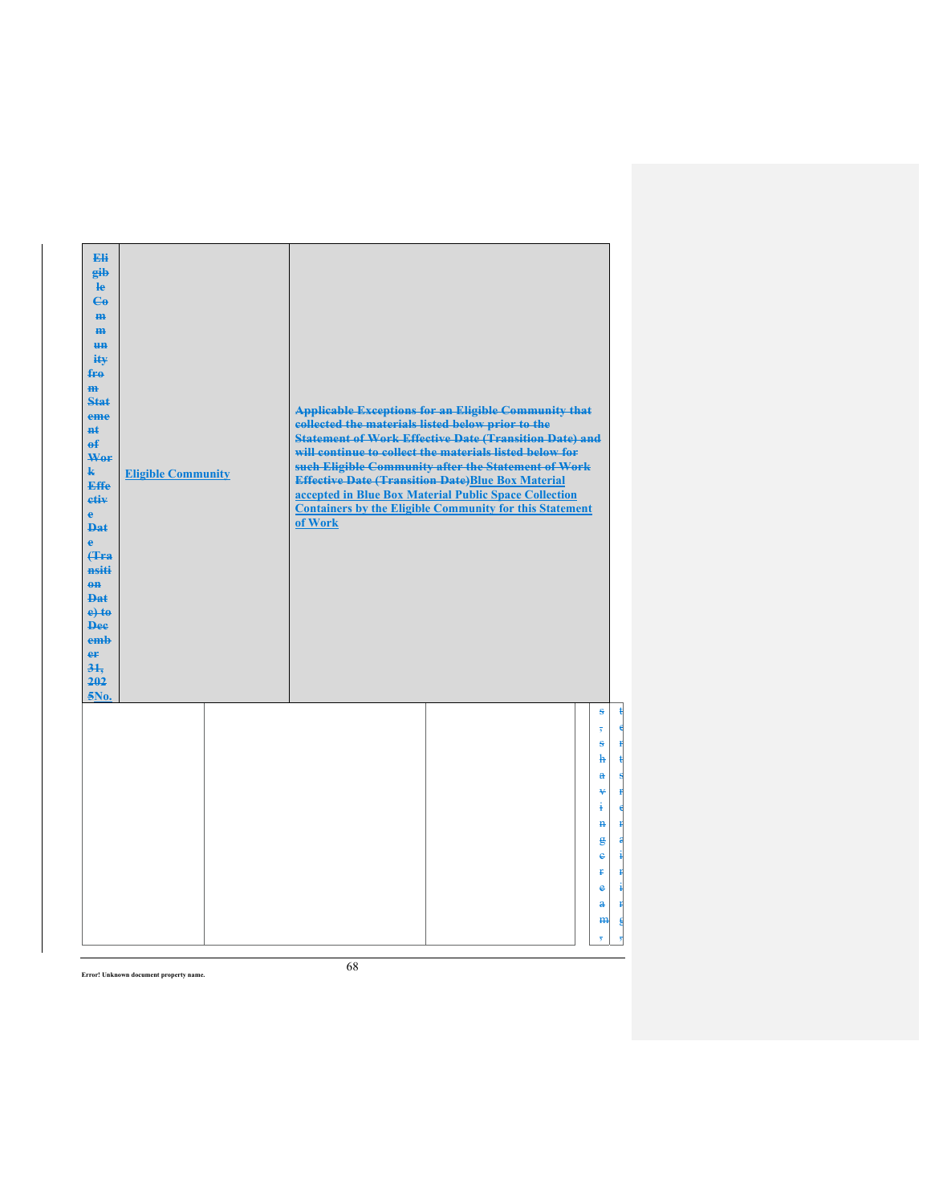| Eli<br>eib<br>$\mathbf{e}$<br>$\mathbf{e}_0$<br>H <sub>H</sub><br>$\mathbf{m}$<br>H <sub>H</sub><br>ity<br>$f_{\text{H}\theta}$<br>$\mathbf{m}$<br>Stat<br>eme<br>#£<br>$\mathbf{f}$<br>Wer<br>$\mathbf{k}$<br><b>Effe</b><br>etiv<br>$\mathbf{e}$<br><b>Dat</b><br>è<br>Hra<br>nsiti<br>$eff$<br>$_{\text{Phi}}$<br>$e$ +to<br><b>Dee</b><br>emb<br>er<br>31.<br>202<br>5No. | <b>Eligible Community</b> | <b>Applicable Exceptions for an Eligible Community that</b><br>collected the materials listed below prior to the<br><b>Statement of Work Effective Date (Transition Date) and</b><br>will continue to collect the materials listed below for<br>such Eligible Community after the Statement of Work<br><b>Effective Date (Transition Date)Blue Box Material</b><br>accepted in Blue Box Material Public Space Collection<br><b>Containers by the Eligible Community for this Statement</b><br>of Work |
|-------------------------------------------------------------------------------------------------------------------------------------------------------------------------------------------------------------------------------------------------------------------------------------------------------------------------------------------------------------------------------|---------------------------|-------------------------------------------------------------------------------------------------------------------------------------------------------------------------------------------------------------------------------------------------------------------------------------------------------------------------------------------------------------------------------------------------------------------------------------------------------------------------------------------------------|
|                                                                                                                                                                                                                                                                                                                                                                               |                           | ŝ<br>$\overline{\mathbf{5}}$<br>S<br>Ħ<br>ħ<br>$\mathbf{a}$<br>¥<br>$\ddagger$<br>€<br>$\mathbf{H}$<br>Ħ<br>g<br>a<br>į<br>e<br>Ŧ<br>ŧ<br>į<br>e<br>$\mathbf{a}$<br>ŧ<br>m<br>륌<br>7                                                                                                                                                                                                                                                                                                                  |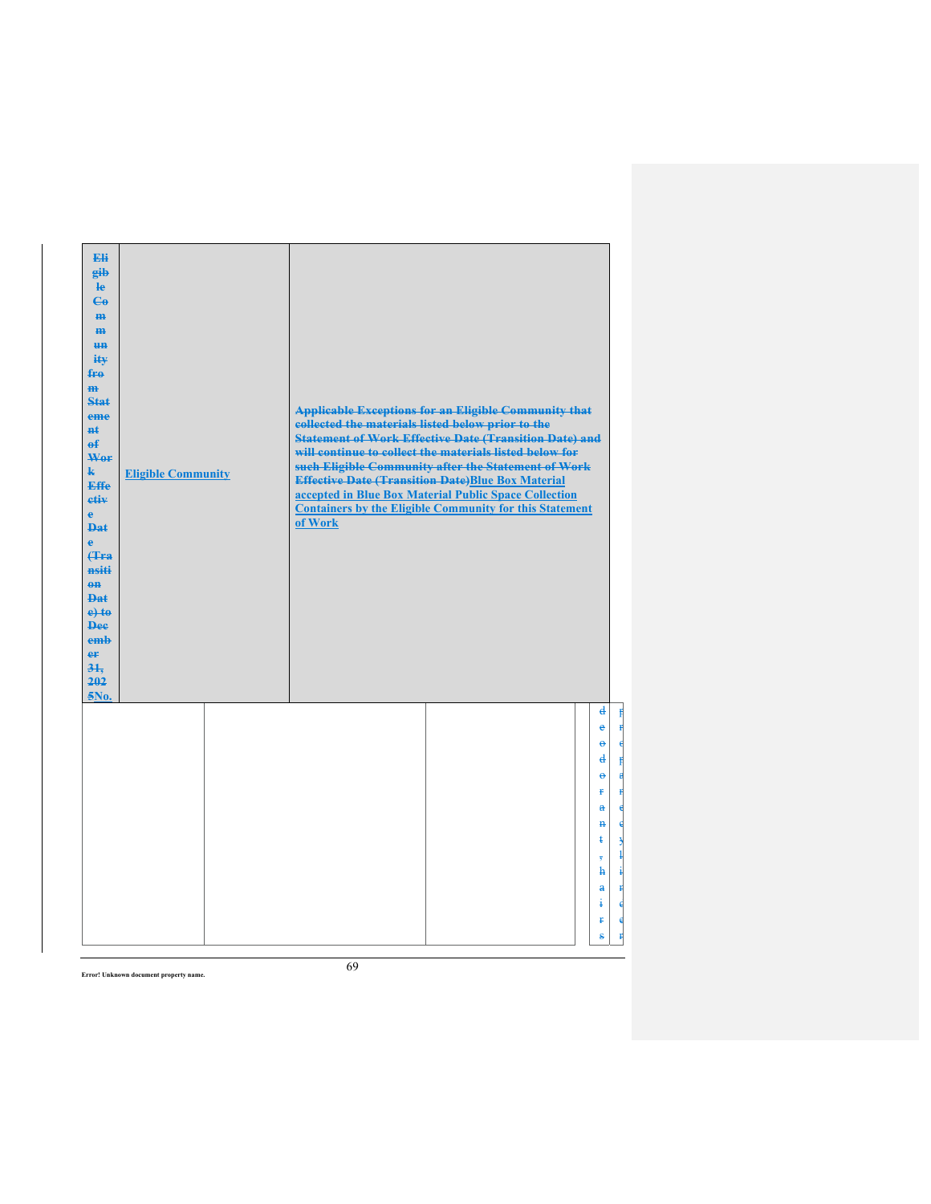| Eli<br>eib<br>He<br>$\mathbf{e}_0$<br>m-<br>$\mathbf{m}$<br>H <sub>H</sub><br>ity<br>fro<br>m<br>Stat<br>eme<br>nŧ.<br>$\mathbf{f}$<br>Wer<br>$\mathbf{k}$<br><b>Effe</b><br>etiv<br>$\ddot{e}$<br><b>Dat</b><br>Ä<br>Hra<br>nsiti<br>$eff$<br><b>Dat</b><br>$e$ +to<br><b>Dee</b><br>emb<br>er<br>31.<br>202<br>5No. | <b>Eligible Community</b> | collected the materials listed below prior to the<br>of Work | <b>Applicable Exceptions for an Eligible Community that</b><br><b>Statement of Work Effective Date (Transition Date) and</b><br>will continue to collect the materials listed below for<br>such Eligible Community after the Statement of Work<br><b>Effective Date (Transition Date)Blue Box Material</b><br>accepted in Blue Box Material Public Space Collection<br><b>Containers by the Eligible Community for this Statement</b> |                                                                                                                                                                                               |
|-----------------------------------------------------------------------------------------------------------------------------------------------------------------------------------------------------------------------------------------------------------------------------------------------------------------------|---------------------------|--------------------------------------------------------------|---------------------------------------------------------------------------------------------------------------------------------------------------------------------------------------------------------------------------------------------------------------------------------------------------------------------------------------------------------------------------------------------------------------------------------------|-----------------------------------------------------------------------------------------------------------------------------------------------------------------------------------------------|
|                                                                                                                                                                                                                                                                                                                       |                           |                                                              |                                                                                                                                                                                                                                                                                                                                                                                                                                       | $\mathbf{d}$<br>$\mathbf{f}$<br>$\mathbf{f}$<br>e<br>ĕ<br>d<br>Ħ<br>$\ddot{\mathbf{e}}$<br>Ŧ.<br>$\mathbf{a}$<br>$\mathbf{H}$<br>ŧ<br>٦<br>$\mathbf{h}$<br>$\mathbf{a}$<br>ŧ<br>i<br>ŧ.<br>Š. |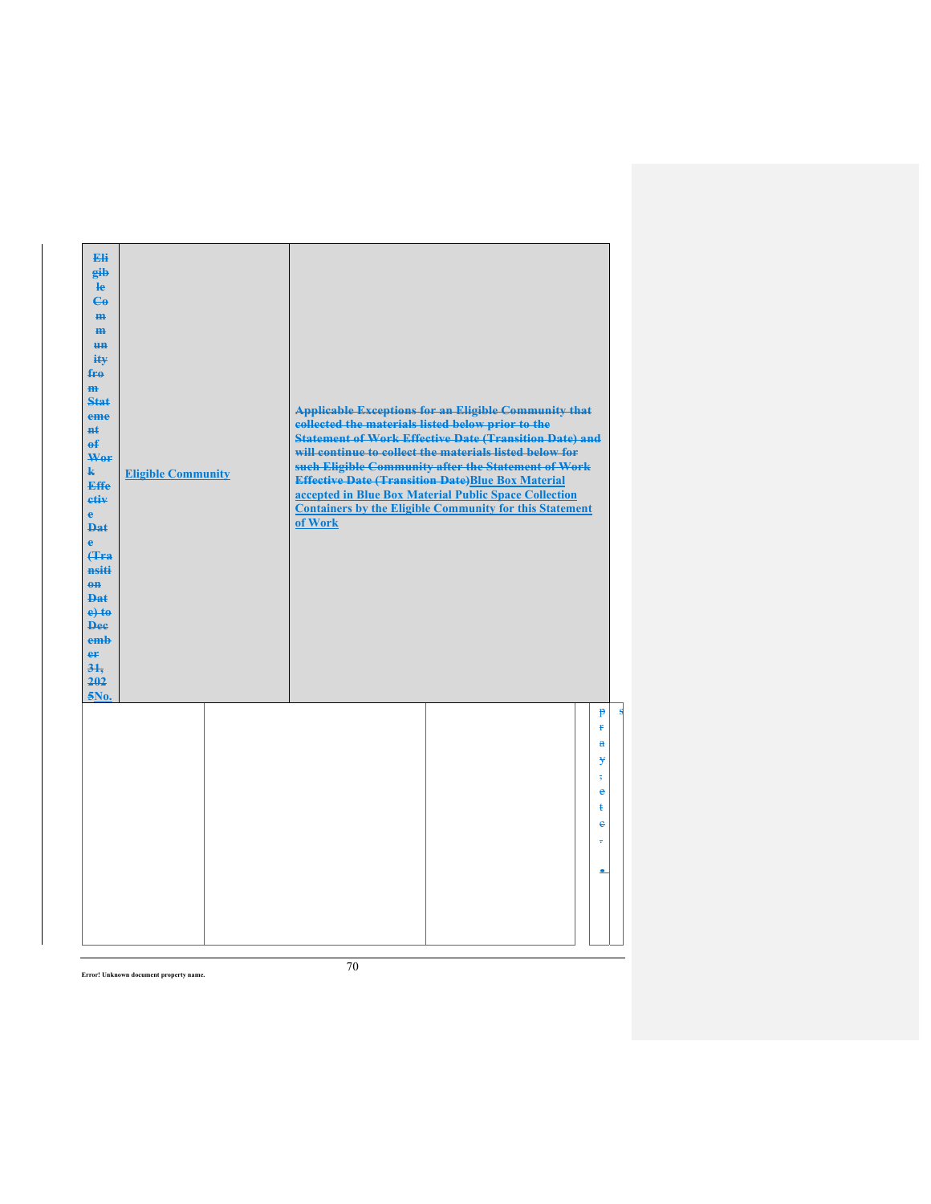| Eli<br>gib<br>$\mathbf{e}$<br>$\epsilon$<br>H <sub>H</sub><br>m<br><b>HH</b><br>ity<br>fro<br>$\mathbf{m}$<br>Stat<br>eme<br>$H+$<br>$\mathbf{f}$<br>Wer<br>$\mathbf{k}$<br><b>Effe</b><br>etiv<br>$\mathbf{e}$<br><b>Dat</b><br>$\ddot{\textbf{e}}$<br><b>(Tra</b><br>nsiti<br>$\theta$ <sup><math>\theta</math></sup><br><b>Dat</b><br>$e$ + $t$ $e$<br><b>Dee</b><br>emb<br>er<br>31.<br>202<br>5No. | <b>Eligible Community</b> | collected the materials listed below prior to the<br>of Work | <b>Applicable Exceptions for an Eligible Community that</b><br><b>Statement of Work Effective Date (Transition Date) and</b><br>will continue to collect the materials listed below for<br>such Eligible Community after the Statement of Work<br><b>Effective Date (Transition Date)Blue Box Material</b><br>accepted in Blue Box Material Public Space Collection<br><b>Containers by the Eligible Community for this Statement</b> |                                                                  |
|---------------------------------------------------------------------------------------------------------------------------------------------------------------------------------------------------------------------------------------------------------------------------------------------------------------------------------------------------------------------------------------------------------|---------------------------|--------------------------------------------------------------|---------------------------------------------------------------------------------------------------------------------------------------------------------------------------------------------------------------------------------------------------------------------------------------------------------------------------------------------------------------------------------------------------------------------------------------|------------------------------------------------------------------|
|                                                                                                                                                                                                                                                                                                                                                                                                         |                           |                                                              |                                                                                                                                                                                                                                                                                                                                                                                                                                       | P<br>p.<br>a<br>¥<br>$\overline{\mathbf{s}}$<br>e<br>ŧ<br>e<br>÷ |

s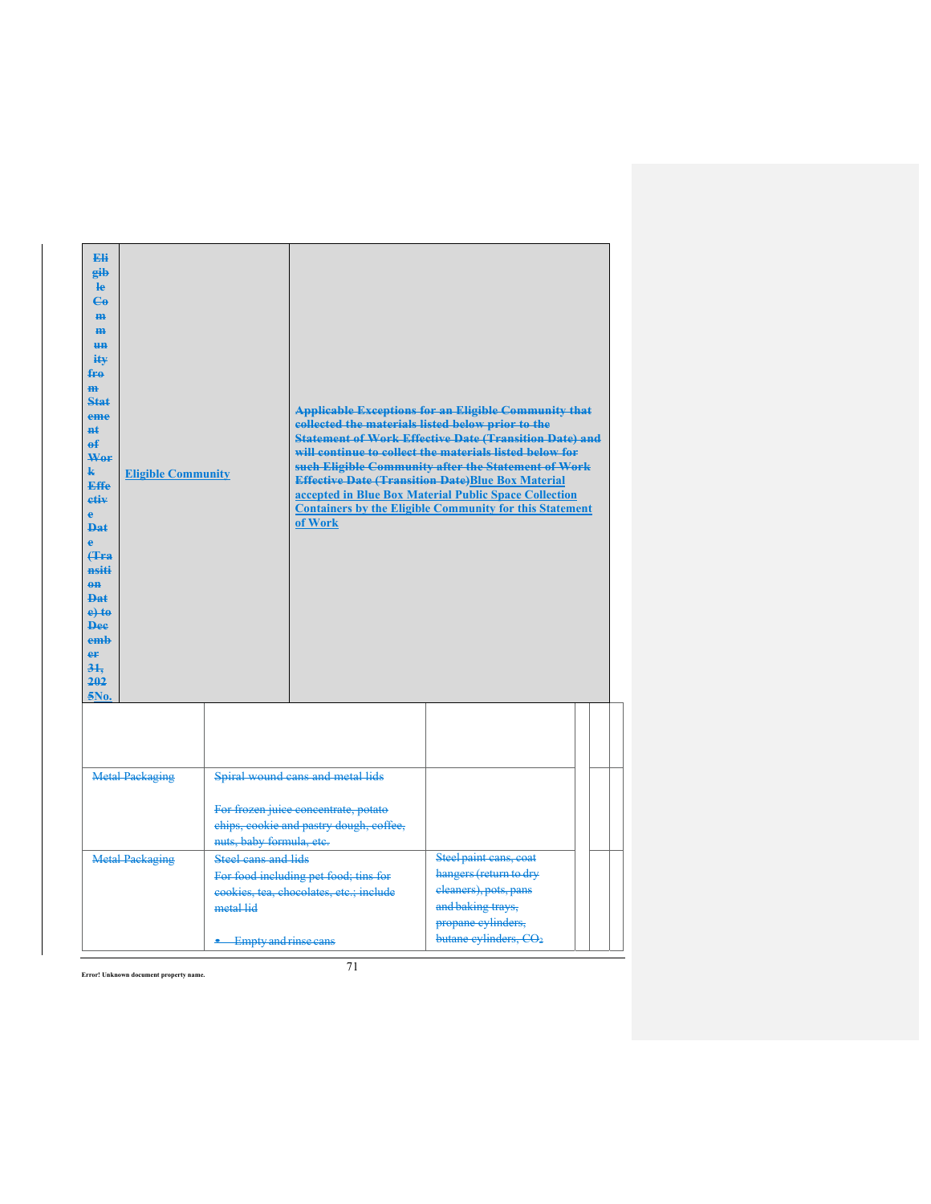| Eli<br>eib<br><b>le</b><br>$\mathbf{G}$<br>H <sub>H</sub><br>H <sub>H</sub><br><b>HH</b><br>$i$ it $\mathbf{v}$<br>fro<br>m<br>$5 + 6 + 5 = 5$<br>eme<br><b>Ht</b><br>$\theta$<br>Wor<br>k.<br><b>Eligible Community</b><br>Effe<br>etiv<br>ė<br><b>Dat</b><br>ė<br>Hra<br>nsiti<br>$0$<br>$\mathbf{p}_{\mathbf{a}\mathbf{f}}$<br>$e$ +to<br><b>Dee</b><br>emb<br>er<br>31.<br>202<br>5No. |                                                                        | of Work                                                                                                             | <b>Applicable Exceptions for an Eligible Community that</b><br>collected the materials listed below prior to the<br><b>Statement of Work Effective Date (Transition Date) and</b><br>will continue to collect the materials listed below for<br>such Eligible Community after the Statement of Work<br><b>Effective Date (Transition Date)Blue Box Material</b><br>accepted in Blue Box Material Public Space Collection<br><b>Containers by the Eligible Community for this Statement</b> |  |
|--------------------------------------------------------------------------------------------------------------------------------------------------------------------------------------------------------------------------------------------------------------------------------------------------------------------------------------------------------------------------------------------|------------------------------------------------------------------------|---------------------------------------------------------------------------------------------------------------------|--------------------------------------------------------------------------------------------------------------------------------------------------------------------------------------------------------------------------------------------------------------------------------------------------------------------------------------------------------------------------------------------------------------------------------------------------------------------------------------------|--|
|                                                                                                                                                                                                                                                                                                                                                                                            |                                                                        |                                                                                                                     |                                                                                                                                                                                                                                                                                                                                                                                                                                                                                            |  |
| <b>Metal Packaging</b>                                                                                                                                                                                                                                                                                                                                                                     | nuts, baby formula, etc.                                               | Spiral wound cans and metal lids<br>For frozen juice concentrate, potato<br>chips, cookie and pastry dough, coffee, |                                                                                                                                                                                                                                                                                                                                                                                                                                                                                            |  |
| <b>Metal Packaging</b>                                                                                                                                                                                                                                                                                                                                                                     | <b>Steel cans and lids</b><br>metal lid<br><b>Empty and rinse cans</b> | For food including pet food; tins for<br>cookies, tea, chocolates, etc.; include                                    | Steel paint cans, coat<br>hangers (return to dry<br>cleaners), pots, pans<br>and baking trays,<br>propane cylinders,<br>butane cylinders, CO <sub>2</sub>                                                                                                                                                                                                                                                                                                                                  |  |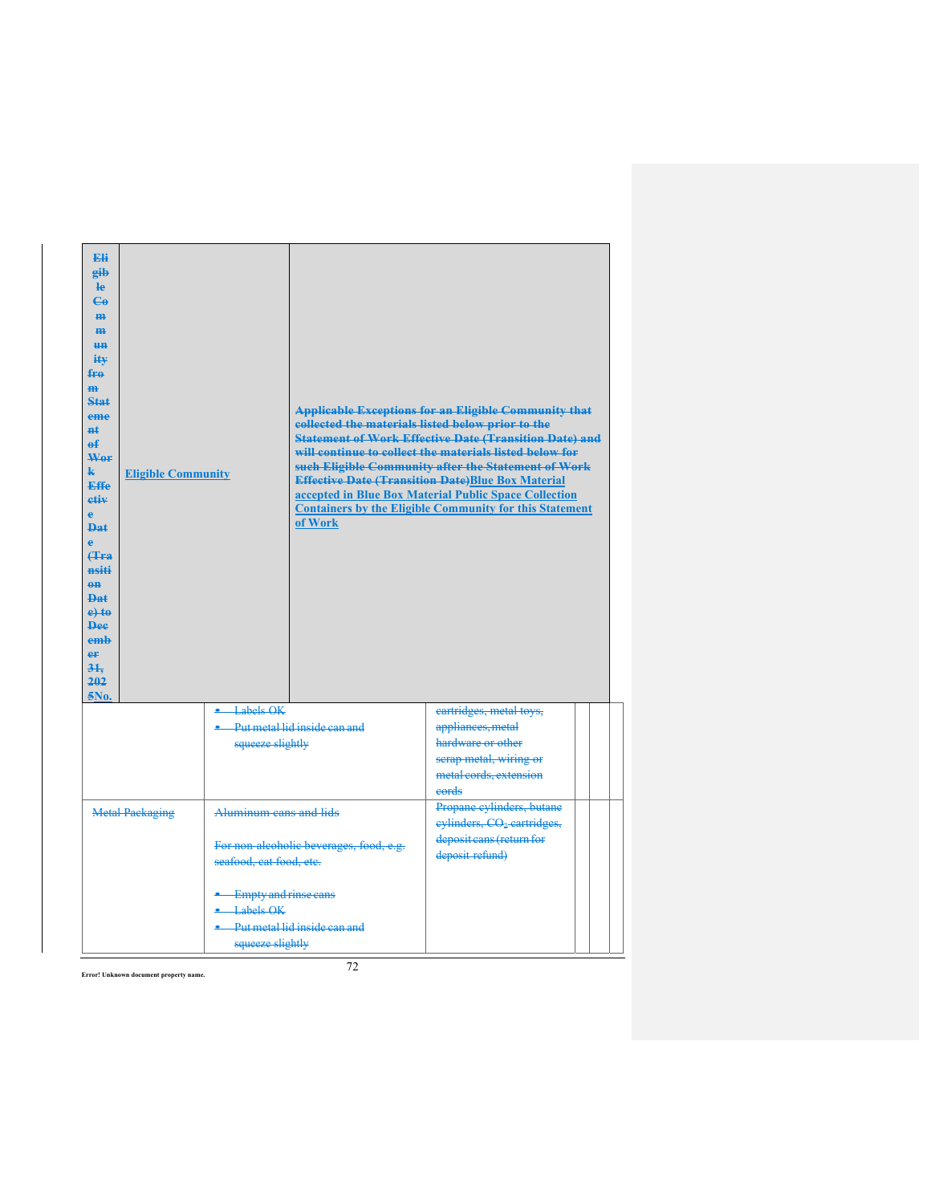| <b>Eli</b><br>eib<br><b>le</b><br>$\mathbf{G}$<br>H <sub>H</sub><br>H <sub>H</sub><br><b>HH</b><br>iŧ¥<br>fro<br>m.<br>Stat<br>eme<br>$H+$<br>$\mathbf{f}$<br>Wer<br>k.<br><b>Eligible Community</b><br><b>Effe</b><br>etiv<br>è<br><b>Dat</b><br><b>f</b> Fra<br>nsiti<br>$\theta$<br><b>Dat</b><br>$e$ +to<br><b>Dee</b><br>emb<br>er<br>31.<br>202<br>5No. |                                                       | of Work                                 | <b>Applicable Exceptions for an Eligible Community that</b><br>collected the materials listed below prior to the<br><b>Statement of Work Effective Date (Transition Date) and</b><br>will continue to collect the materials listed below for<br>such Eligible Community after the Statement of Work<br><b>Effective Date (Transition Date)Blue Box Material</b><br>accepted in Blue Box Material Public Space Collection<br><b>Containers by the Eligible Community for this Statement</b> |  |
|---------------------------------------------------------------------------------------------------------------------------------------------------------------------------------------------------------------------------------------------------------------------------------------------------------------------------------------------------------------|-------------------------------------------------------|-----------------------------------------|--------------------------------------------------------------------------------------------------------------------------------------------------------------------------------------------------------------------------------------------------------------------------------------------------------------------------------------------------------------------------------------------------------------------------------------------------------------------------------------------|--|
|                                                                                                                                                                                                                                                                                                                                                               | Labels OK<br>squeeze slightly                         | Put metal lid inside can and            | cartridges, metal toys,<br>appliances, metal<br>hardware or other<br>serap metal, wiring or<br>metal cords, extension<br>eords                                                                                                                                                                                                                                                                                                                                                             |  |
| <b>Metal Packaging</b>                                                                                                                                                                                                                                                                                                                                        | Aluminum cans and lids<br>seafood, cat food, etc.     | For non-alcoholic beverages, food, e.g. | Propane cylinders, butane<br>eylinders, CO <sub>2</sub> cartridges,<br>deposit cans (return for<br>deposit refund)                                                                                                                                                                                                                                                                                                                                                                         |  |
|                                                                                                                                                                                                                                                                                                                                                               | Empty and rinse cans<br>Labels OK<br>squeeze slightly | Put metal lid inside can and            |                                                                                                                                                                                                                                                                                                                                                                                                                                                                                            |  |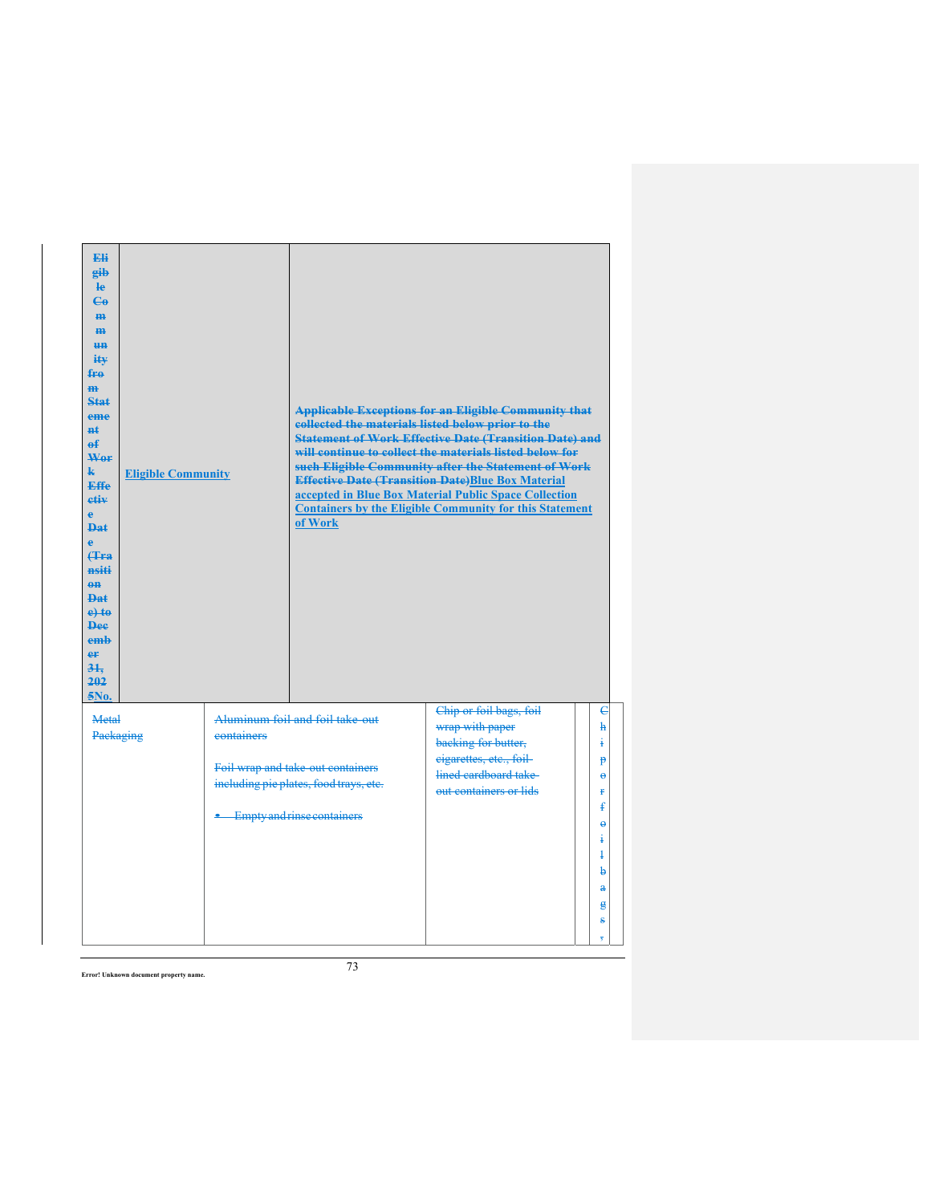| Eli<br>gib<br><b>le</b><br>$\mathbf{e}_0$<br>H <sub>H</sub><br>H <sub>H</sub><br>H <sub>H</sub><br>iŧ¥<br>fro<br>m<br>Stat<br>eme<br>nŧ.<br>$\mathbf{f}$<br>Wor<br>$\mathbf{k}$<br><b>Effe</b><br>etiv<br>ė<br><b>Dat</b><br>ė<br>Hra<br>nsiti<br>$\theta$ <sup><math>\theta</math></sup><br><b>Dat</b><br>$e$ + $t$ $e$<br><b>Dee</b><br>emb<br>er<br>31.<br>202<br>5No. | <b>Eligible Community</b> |                              | of Work                                                                     | <b>Applicable Exceptions for an Eligible Community that</b><br>collected the materials listed below prior to the<br><b>Statement of Work Effective Date (Transition Date) and</b><br>will continue to collect the materials listed below for<br>such Eligible Community after the Statement of Work<br><b>Effective Date (Transition Date)Blue Box Material</b><br>accepted in Blue Box Material Public Space Collection<br><b>Containers by the Eligible Community for this Statement</b> |                     |
|---------------------------------------------------------------------------------------------------------------------------------------------------------------------------------------------------------------------------------------------------------------------------------------------------------------------------------------------------------------------------|---------------------------|------------------------------|-----------------------------------------------------------------------------|--------------------------------------------------------------------------------------------------------------------------------------------------------------------------------------------------------------------------------------------------------------------------------------------------------------------------------------------------------------------------------------------------------------------------------------------------------------------------------------------|---------------------|
| Metal<br>Packaging                                                                                                                                                                                                                                                                                                                                                        |                           | containers                   | Aluminum foil and foil take-out                                             | Chip or foil bags, foil<br>wrap with paper                                                                                                                                                                                                                                                                                                                                                                                                                                                 | $\epsilon$<br>ħ     |
|                                                                                                                                                                                                                                                                                                                                                                           |                           |                              |                                                                             | backing for butter,<br>eigarettes, etc., foil-                                                                                                                                                                                                                                                                                                                                                                                                                                             | į.<br>p             |
|                                                                                                                                                                                                                                                                                                                                                                           |                           |                              | Foil wrap and take out containers<br>including pie plates, food trays, etc. | lined cardboard take                                                                                                                                                                                                                                                                                                                                                                                                                                                                       | $\ddot{\mathbf{e}}$ |
|                                                                                                                                                                                                                                                                                                                                                                           |                           |                              |                                                                             | out containers or lids                                                                                                                                                                                                                                                                                                                                                                                                                                                                     | ŧ<br>ŧ              |
|                                                                                                                                                                                                                                                                                                                                                                           |                           | • Empty and rinse containers |                                                                             |                                                                                                                                                                                                                                                                                                                                                                                                                                                                                            | $\ddot{\theta}$     |
|                                                                                                                                                                                                                                                                                                                                                                           |                           |                              |                                                                             |                                                                                                                                                                                                                                                                                                                                                                                                                                                                                            | i                   |
|                                                                                                                                                                                                                                                                                                                                                                           |                           |                              |                                                                             |                                                                                                                                                                                                                                                                                                                                                                                                                                                                                            | $\ddagger$<br>þ     |
|                                                                                                                                                                                                                                                                                                                                                                           |                           |                              |                                                                             |                                                                                                                                                                                                                                                                                                                                                                                                                                                                                            | $\mathbf{a}$        |
|                                                                                                                                                                                                                                                                                                                                                                           |                           |                              |                                                                             |                                                                                                                                                                                                                                                                                                                                                                                                                                                                                            | g                   |
|                                                                                                                                                                                                                                                                                                                                                                           |                           |                              |                                                                             |                                                                                                                                                                                                                                                                                                                                                                                                                                                                                            | ŝ                   |
|                                                                                                                                                                                                                                                                                                                                                                           |                           |                              |                                                                             |                                                                                                                                                                                                                                                                                                                                                                                                                                                                                            | $\overline{5}$      |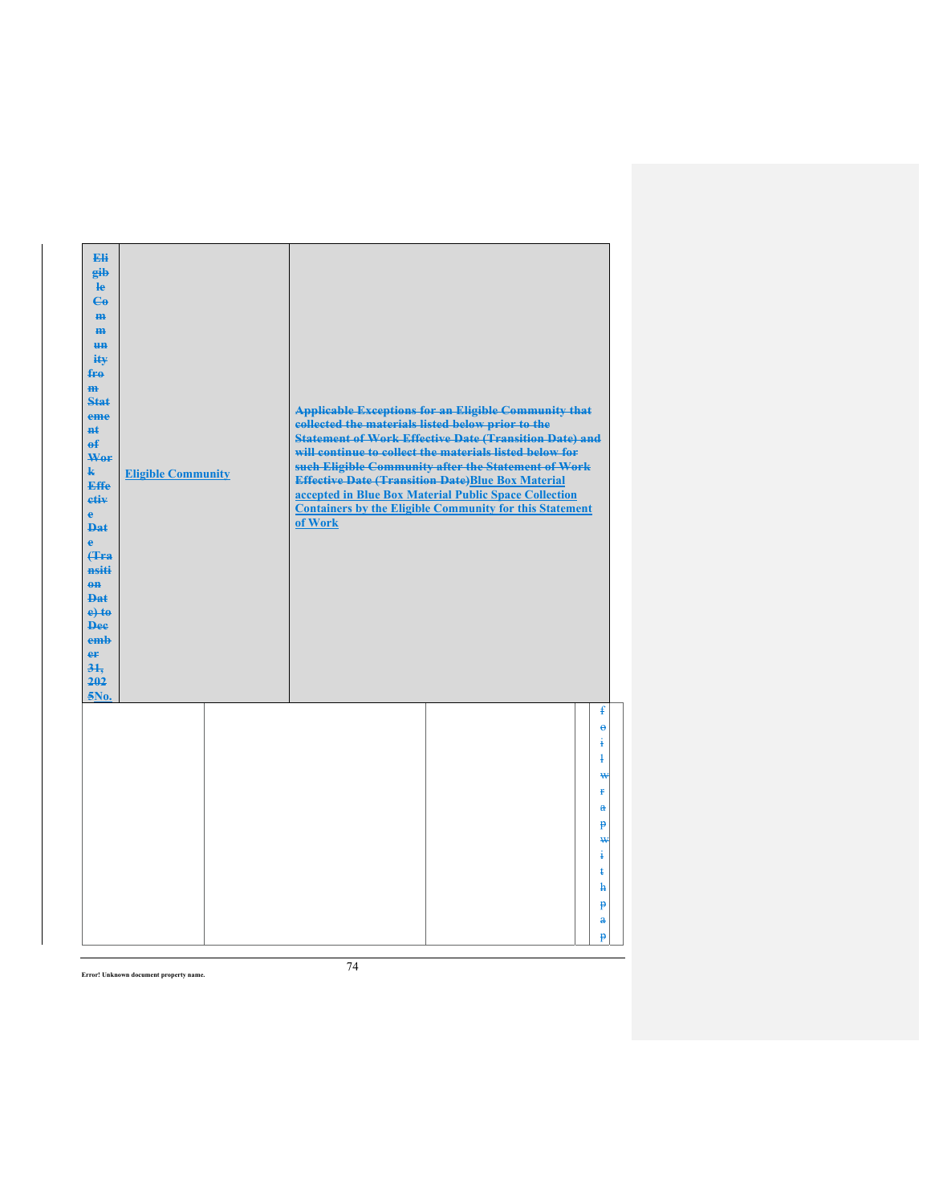| Eli<br>gib<br>$\mathbf{e}$<br>$C_{\theta}$<br>m-<br>$\mathbf{m}$<br><b>un</b><br>ity<br>$f_{\text{H}0}$<br>$\mathbf{m}$<br>Stat<br>eme<br>#ŧ<br>$\mathbf{f}$<br>Wer<br>$\mathbf{k}$<br>Effe<br>etiv<br>$\mathbf{e}$<br><b>Dat</b><br>è<br>Hra<br>nsiti<br>$0$<br>$PA+$<br>$e$ +to<br><b>Dee</b><br>emb<br>er<br>31.<br>202<br>5No. | <b>Eligible Community</b> | <b>Applicable Exceptions for an Eligible Community that</b><br>collected the materials listed below prior to the<br><b>Statement of Work Effective Date (Transition Date) and</b><br>will continue to collect the materials listed below for<br>such Eligible Community after the Statement of Work<br><b>Effective Date (Transition Date)Blue Box Material</b><br>accepted in Blue Box Material Public Space Collection<br><b>Containers by the Eligible Community for this Statement</b><br>of Work |  |
|------------------------------------------------------------------------------------------------------------------------------------------------------------------------------------------------------------------------------------------------------------------------------------------------------------------------------------|---------------------------|-------------------------------------------------------------------------------------------------------------------------------------------------------------------------------------------------------------------------------------------------------------------------------------------------------------------------------------------------------------------------------------------------------------------------------------------------------------------------------------------------------|--|
|                                                                                                                                                                                                                                                                                                                                    |                           | £<br>$\ddot{\theta}$<br>į<br>4<br>₩<br>ŧ<br>$\mathbf{a}$<br>Þ<br>₩<br>ŧ<br>ŧ<br>h<br>p<br>$\mathbf{a}$<br>p                                                                                                                                                                                                                                                                                                                                                                                           |  |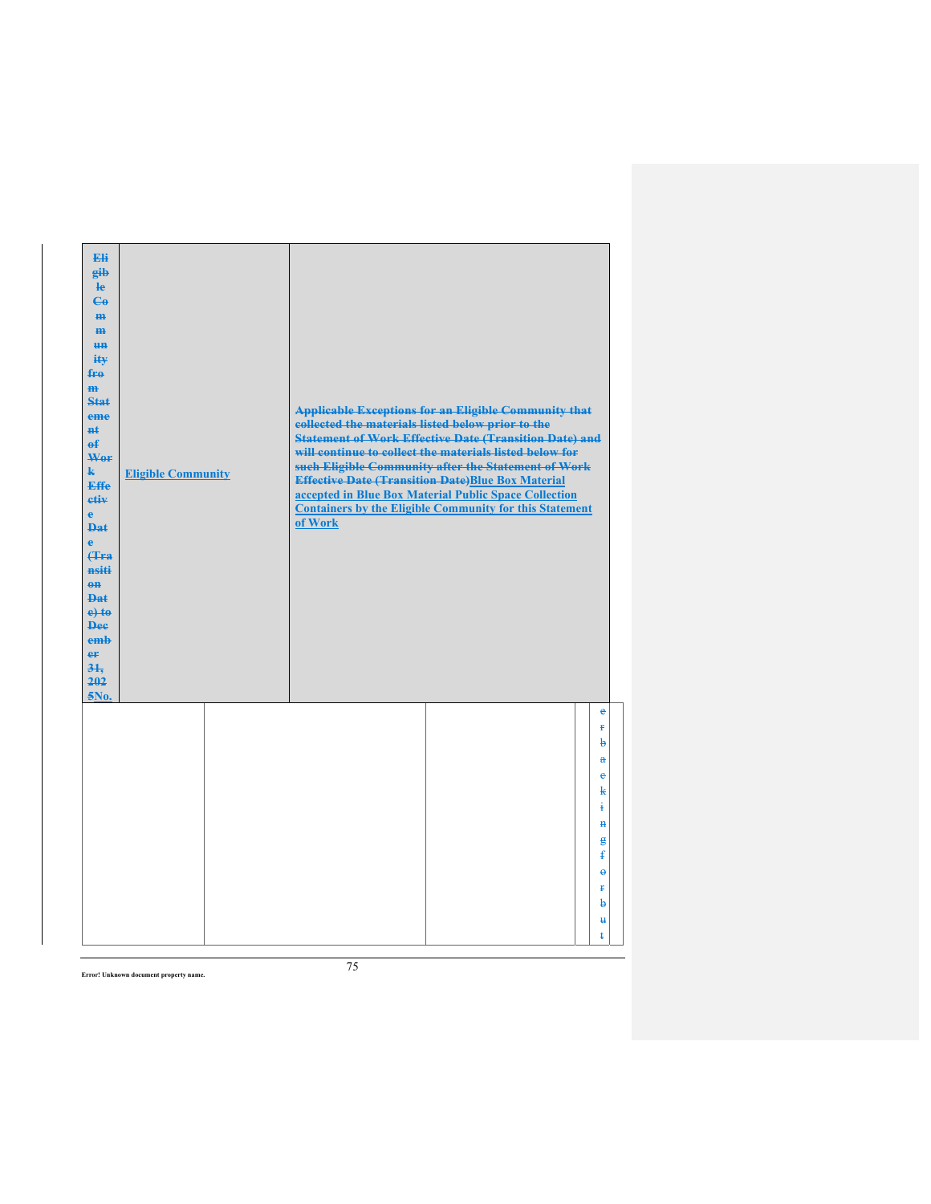| Eli<br>gib<br>$\mathbf{e}$<br>$\mathbf{G}$<br>m-<br>$\mathbf{m}$<br><b>un</b><br>ity<br>$f_{\text{H}0}$<br>$\mathbf{m}$<br><b>Stat</b><br>eme<br><b>n</b> t<br>$\mathbf{f}$<br>Wer<br>$\mathbf{k}$<br>Effe<br>etiv<br>$\mathbf{e}$<br><b>Dat</b><br>$\ddot{\textbf{e}}$<br>(Tra<br>nsiti<br>$0$<br><b>Dat</b><br>$e$ + $t$ $e$<br><b>Dee</b><br>emb<br>er<br>31.<br>202<br>$5N0$ . | <b>Eligible Community</b> | collected the materials listed below prior to the<br>of Work | <b>Applicable Exceptions for an Eligible Community that</b><br><b>Statement of Work Effective Date (Transition Date) and</b><br>will continue to collect the materials listed below for<br>such Eligible Community after the Statement of Work<br><b>Effective Date (Transition Date)Blue Box Material</b><br>accepted in Blue Box Material Public Space Collection<br><b>Containers by the Eligible Community for this Statement</b> |                                                                                                                                          |
|------------------------------------------------------------------------------------------------------------------------------------------------------------------------------------------------------------------------------------------------------------------------------------------------------------------------------------------------------------------------------------|---------------------------|--------------------------------------------------------------|---------------------------------------------------------------------------------------------------------------------------------------------------------------------------------------------------------------------------------------------------------------------------------------------------------------------------------------------------------------------------------------------------------------------------------------|------------------------------------------------------------------------------------------------------------------------------------------|
|                                                                                                                                                                                                                                                                                                                                                                                    |                           |                                                              |                                                                                                                                                                                                                                                                                                                                                                                                                                       | e<br>Ŧ<br>b<br>$\mathbf{a}$<br>$\ddot{\textbf{e}}$<br>k<br>ŧ<br>$\mathbf{H}$<br>g<br>ŧ<br>$\ddot{\theta}$<br>Ŧ<br>b<br>$\mathbf{u}$<br>ŧ |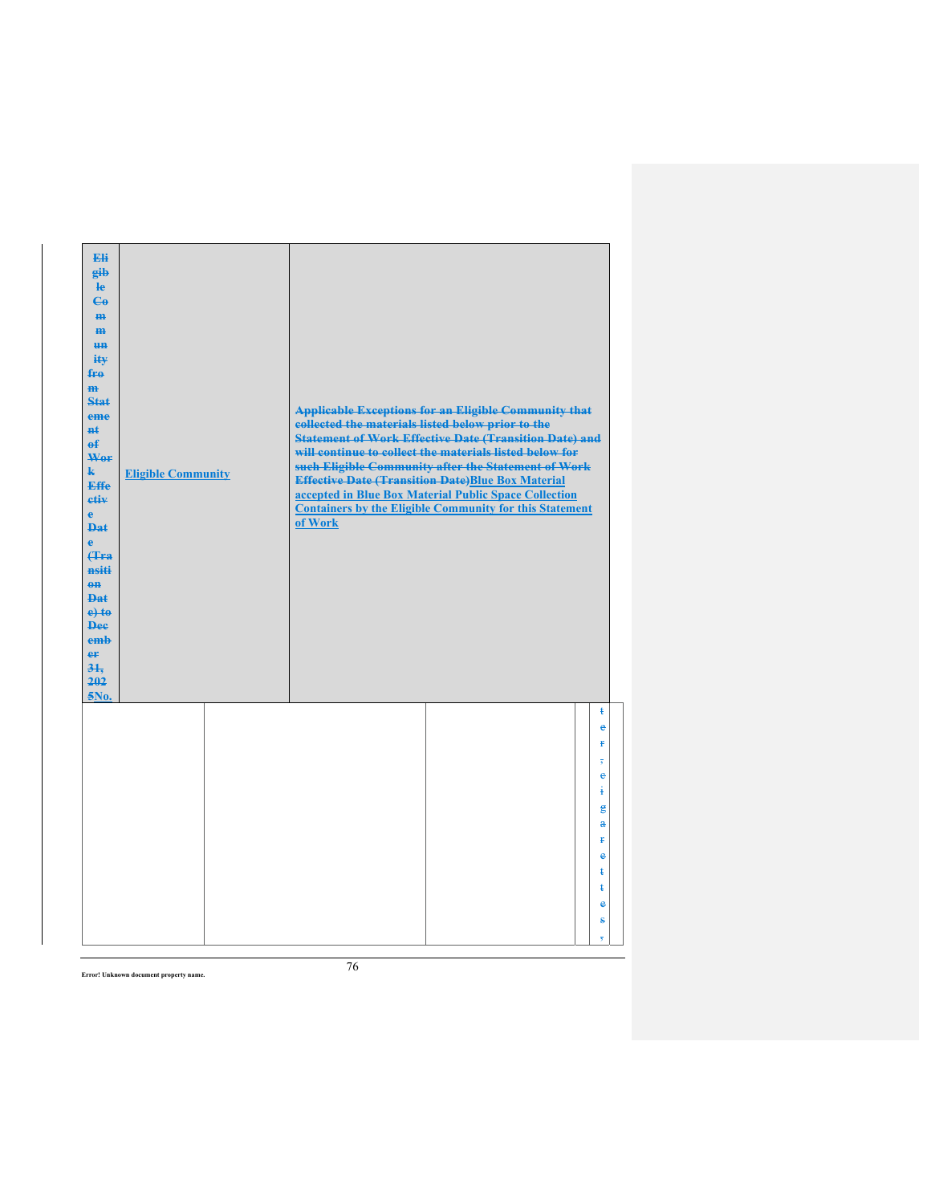| Eli<br>gib<br>He<br>$\epsilon$<br>H <sub>H</sub><br>m<br>H <sub>H</sub><br>ity<br>$f_{\text{H}0}$<br>m<br>Stat<br>eme<br>$H+$<br>$\mathbf{f}$<br>Wer<br>$\mathbf{k}$<br><b>Effe</b><br>etiv<br>$\mathbf{e}$<br><b>Dat</b><br>$\mathbf{e}$<br><b>f</b> Fra<br>nsiti<br>$0$<br><b>Dat</b><br>$e$ +to<br><b>Dee</b><br>emb<br>er<br>31.<br>202<br>5No. | <b>Eligible Community</b> | collected the materials listed below prior to the<br>of Work | <b>Applicable Exceptions for an Eligible Community that</b><br><b>Statement of Work Effective Date (Transition Date) and</b><br>will continue to collect the materials listed below for<br>such Eligible Community after the Statement of Work<br><b>Effective Date (Transition Date)Blue Box Material</b><br>accepted in Blue Box Material Public Space Collection<br><b>Containers by the Eligible Community for this Statement</b> |                                          |
|-----------------------------------------------------------------------------------------------------------------------------------------------------------------------------------------------------------------------------------------------------------------------------------------------------------------------------------------------------|---------------------------|--------------------------------------------------------------|---------------------------------------------------------------------------------------------------------------------------------------------------------------------------------------------------------------------------------------------------------------------------------------------------------------------------------------------------------------------------------------------------------------------------------------|------------------------------------------|
|                                                                                                                                                                                                                                                                                                                                                     |                           |                                                              |                                                                                                                                                                                                                                                                                                                                                                                                                                       | ŧ<br>e<br>¥<br>$\overline{\overline{s}}$ |
|                                                                                                                                                                                                                                                                                                                                                     |                           |                                                              |                                                                                                                                                                                                                                                                                                                                                                                                                                       | ė<br>¥<br>$\mathbf{g}$                   |
|                                                                                                                                                                                                                                                                                                                                                     |                           |                                                              |                                                                                                                                                                                                                                                                                                                                                                                                                                       | $\mathbf{a}$<br>Ŧ<br>è                   |
|                                                                                                                                                                                                                                                                                                                                                     |                           |                                                              |                                                                                                                                                                                                                                                                                                                                                                                                                                       | ŧ<br>ŧ<br>e                              |
|                                                                                                                                                                                                                                                                                                                                                     |                           |                                                              |                                                                                                                                                                                                                                                                                                                                                                                                                                       | ŝ<br>$\overline{5}$                      |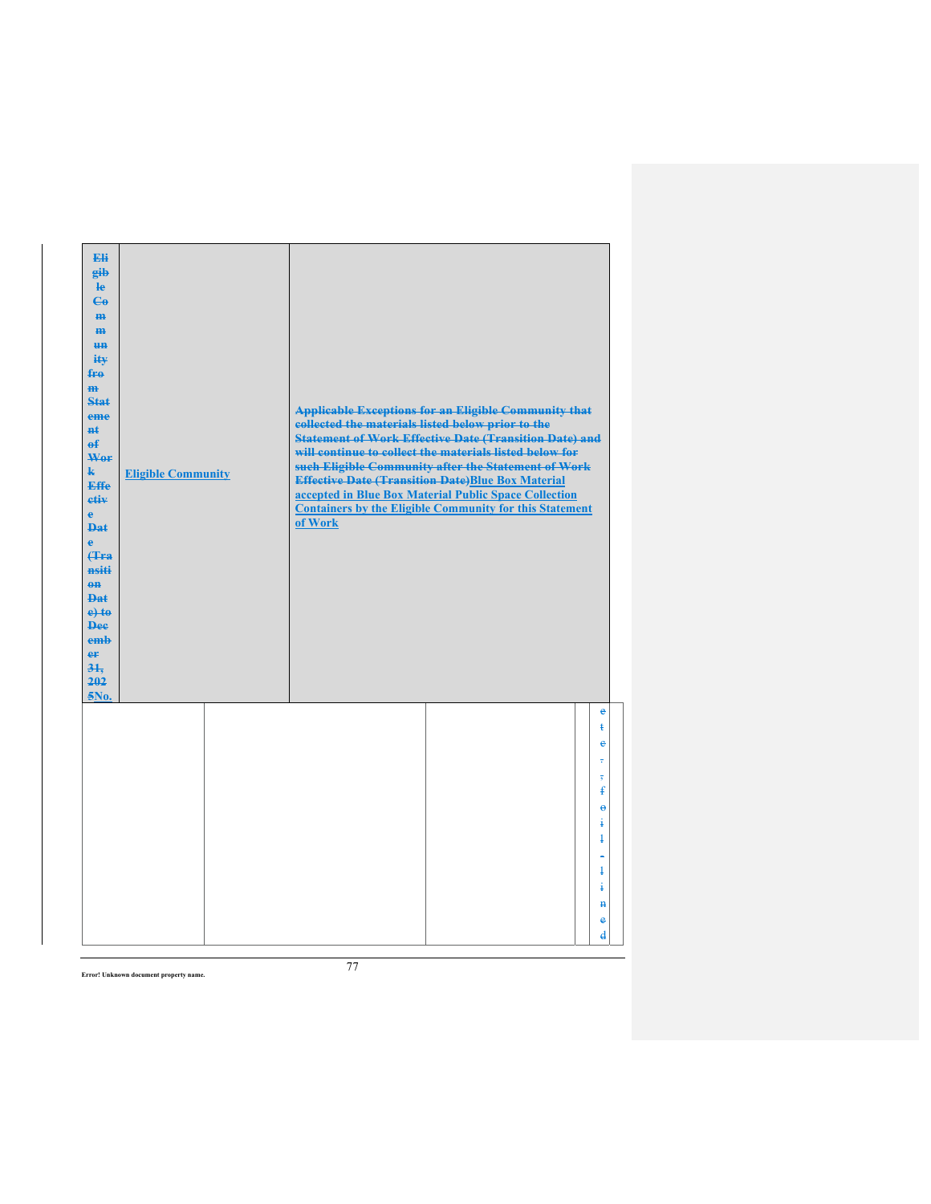| Eli<br>gib<br>He<br>$\epsilon$<br>H <sub>H</sub><br>m<br>H <sub>H</sub><br>ity<br>$f_{\text{H}0}$<br>m<br>Stat<br>eme<br>$H+$<br>$\mathbf{f}$<br>Wer<br>$\mathbf{k}$<br><b>Effe</b><br>etiv<br>$\mathbf{e}$<br><b>Dat</b><br>$\mathbf{e}$<br><b>f</b> Fra<br>nsiti<br>$0$<br><b>Dat</b><br>$e$ +to<br><b>Dee</b><br>emb<br>er<br>31.<br>202<br>5No. | <b>Eligible Community</b> | collected the materials listed below prior to the<br>of Work | <b>Applicable Exceptions for an Eligible Community that</b><br><b>Statement of Work Effective Date (Transition Date) and</b><br>will continue to collect the materials listed below for<br>such Eligible Community after the Statement of Work<br><b>Effective Date (Transition Date)Blue Box Material</b><br>accepted in Blue Box Material Public Space Collection<br><b>Containers by the Eligible Community for this Statement</b> |                                              |
|-----------------------------------------------------------------------------------------------------------------------------------------------------------------------------------------------------------------------------------------------------------------------------------------------------------------------------------------------------|---------------------------|--------------------------------------------------------------|---------------------------------------------------------------------------------------------------------------------------------------------------------------------------------------------------------------------------------------------------------------------------------------------------------------------------------------------------------------------------------------------------------------------------------------|----------------------------------------------|
|                                                                                                                                                                                                                                                                                                                                                     |                           |                                                              |                                                                                                                                                                                                                                                                                                                                                                                                                                       | e<br>ŧ<br>ė<br>÷                             |
|                                                                                                                                                                                                                                                                                                                                                     |                           |                                                              |                                                                                                                                                                                                                                                                                                                                                                                                                                       | $\overline{5}$<br>ŧ<br>$\ddot{\theta}$       |
|                                                                                                                                                                                                                                                                                                                                                     |                           |                                                              |                                                                                                                                                                                                                                                                                                                                                                                                                                       | ŧ<br>$\ddagger$                              |
|                                                                                                                                                                                                                                                                                                                                                     |                           |                                                              |                                                                                                                                                                                                                                                                                                                                                                                                                                       | $\ddagger$<br>ŧ                              |
|                                                                                                                                                                                                                                                                                                                                                     |                           |                                                              |                                                                                                                                                                                                                                                                                                                                                                                                                                       | $\mathbf{H}$<br>e<br>$\overline{\mathbf{d}}$ |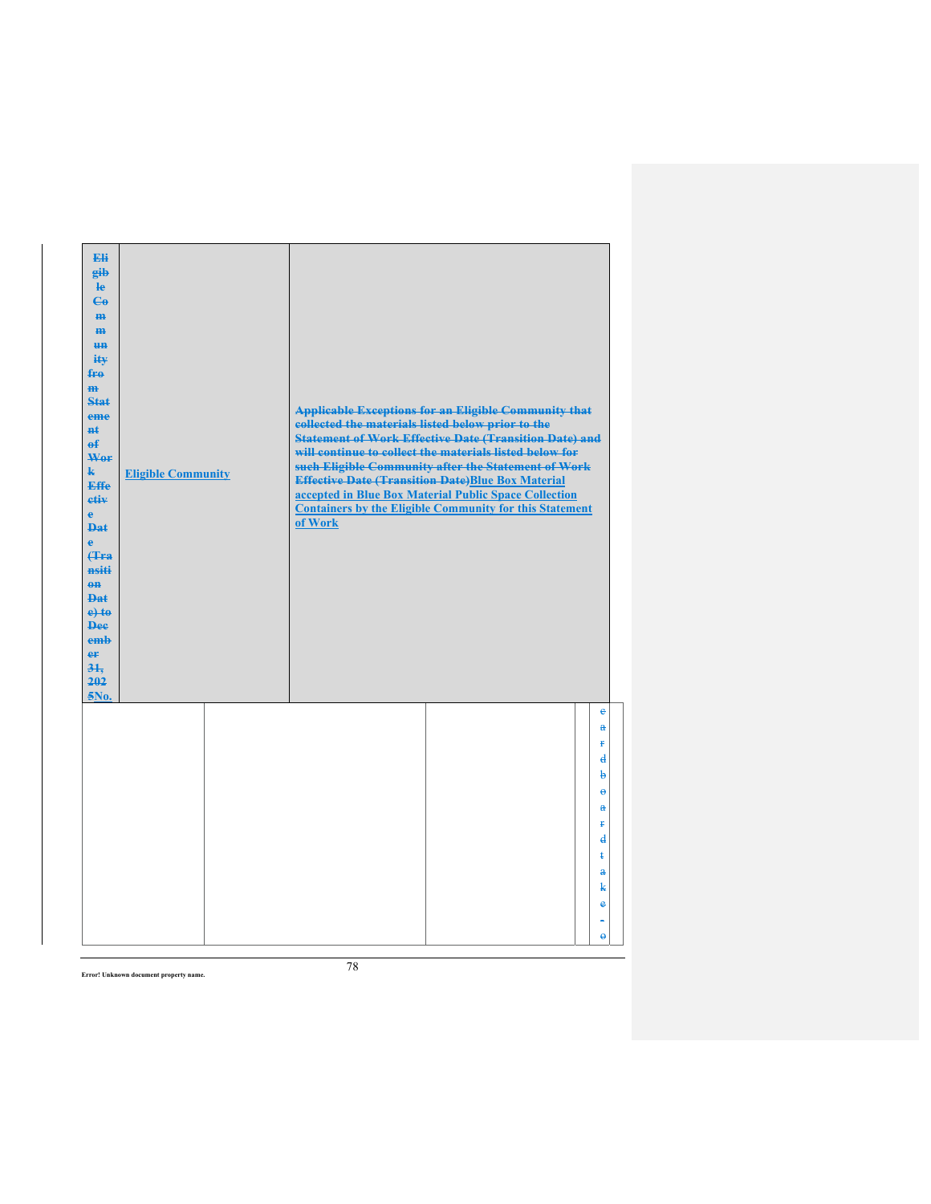| Eli<br>gib<br>$\mathbf{e}$<br>$\epsilon$<br>m-<br>$\mathbf{m}$<br><b>HH</b><br>iŧ¥<br>$f_{\text{H}0}$<br>$\mathbf{m}$<br>Stat<br>eme<br>#£<br>$\mathbf{f}$<br>Wer<br>$\mathbf{k}$<br><b>Effe</b><br>etiv<br>$\mathbf{e}$<br><b>Dat</b><br>$\ddot{\textbf{e}}$<br>Hra<br>nsiti<br>$0$<br><b>Dat</b><br>$e$ + $t$ $e$<br><b>Dee</b><br>emb<br>er<br>31.<br>202<br>5No. | <b>Eligible Community</b> | collected the materials listed below prior to the<br>of Work | <b>Applicable Exceptions for an Eligible Community that</b><br><b>Statement of Work Effective Date (Transition Date) and</b><br>will continue to collect the materials listed below for<br>such Eligible Community after the Statement of Work<br><b>Effective Date (Transition Date)Blue Box Material</b><br>accepted in Blue Box Material Public Space Collection<br><b>Containers by the Eligible Community for this Statement</b> |                                                                                                                                                                         |  |
|----------------------------------------------------------------------------------------------------------------------------------------------------------------------------------------------------------------------------------------------------------------------------------------------------------------------------------------------------------------------|---------------------------|--------------------------------------------------------------|---------------------------------------------------------------------------------------------------------------------------------------------------------------------------------------------------------------------------------------------------------------------------------------------------------------------------------------------------------------------------------------------------------------------------------------|-------------------------------------------------------------------------------------------------------------------------------------------------------------------------|--|
|                                                                                                                                                                                                                                                                                                                                                                      |                           |                                                              |                                                                                                                                                                                                                                                                                                                                                                                                                                       | e<br>$\mathbf{a}$<br>¥<br>$\mathbf{d}$<br>þ<br>$\ddot{\theta}$<br>$\mathbf{a}$<br>ŧ<br>$\mathbf{d}$<br>ŧ<br>$\mathbf{a}$<br>k<br>$\ddot{\textbf{e}}$<br>$\ddot{\theta}$ |  |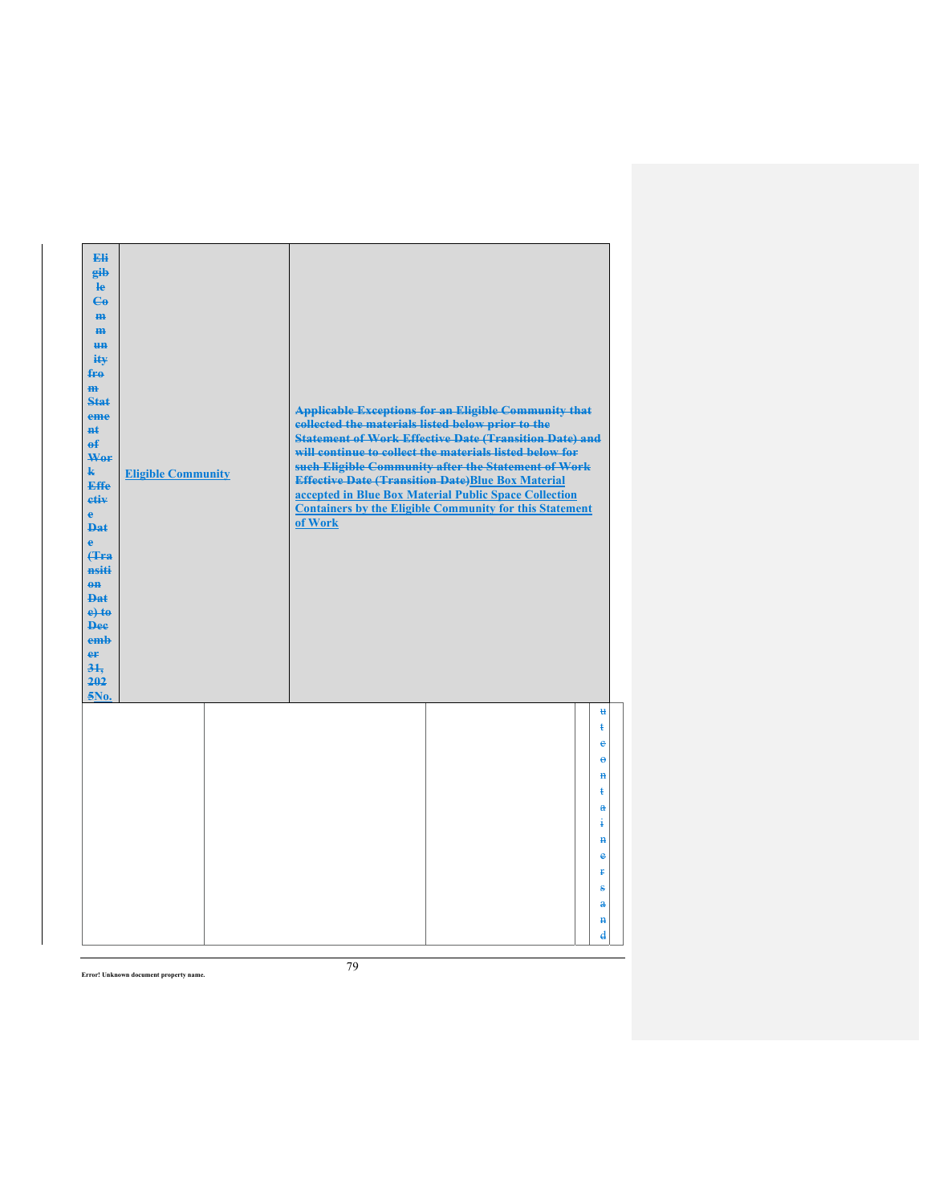| Eli<br>gib<br>$\mathbf{e}$<br>$\mathbf{G}$<br>m-<br>$\mathbf{m}$<br><b>HH</b><br>iŧ¥<br>$f_{\text{H}0}$<br>$\mathbf{m}$<br>Stat<br>eme<br>#£<br>$\mathbf{f}$<br>Wer<br>$\mathbf{k}$<br><b>Effe</b><br>etiv<br>$\mathbf{e}$<br><b>Dat</b><br>$\ddot{\textbf{e}}$<br>Hra<br>nsiti<br>$0$<br><b>Dat</b><br>$e$ + $t$ $e$<br><b>Dee</b><br>emb<br>er<br>31.<br>202<br>5No. | <b>Eligible Community</b> | collected the materials listed below prior to the<br>of Work | <b>Applicable Exceptions for an Eligible Community that</b><br><b>Statement of Work Effective Date (Transition Date) and</b><br>will continue to collect the materials listed below for<br>such Eligible Community after the Statement of Work<br><b>Effective Date (Transition Date)Blue Box Material</b><br>accepted in Blue Box Material Public Space Collection<br><b>Containers by the Eligible Community for this Statement</b> |                                                        |  |
|------------------------------------------------------------------------------------------------------------------------------------------------------------------------------------------------------------------------------------------------------------------------------------------------------------------------------------------------------------------------|---------------------------|--------------------------------------------------------------|---------------------------------------------------------------------------------------------------------------------------------------------------------------------------------------------------------------------------------------------------------------------------------------------------------------------------------------------------------------------------------------------------------------------------------------|--------------------------------------------------------|--|
|                                                                                                                                                                                                                                                                                                                                                                        |                           |                                                              |                                                                                                                                                                                                                                                                                                                                                                                                                                       | $\mathbf{H}$<br>ŧ<br>ė<br>$\ddot{\boldsymbol{\theta}}$ |  |
|                                                                                                                                                                                                                                                                                                                                                                        |                           |                                                              |                                                                                                                                                                                                                                                                                                                                                                                                                                       | $\mathbf{H}$<br>ŧ                                      |  |
|                                                                                                                                                                                                                                                                                                                                                                        |                           |                                                              |                                                                                                                                                                                                                                                                                                                                                                                                                                       | $\mathbf{a}$<br>ŧ<br>$\mathbf{H}$                      |  |
|                                                                                                                                                                                                                                                                                                                                                                        |                           |                                                              |                                                                                                                                                                                                                                                                                                                                                                                                                                       | $\ddot{\textbf{e}}$<br>Ŧ                               |  |
|                                                                                                                                                                                                                                                                                                                                                                        |                           |                                                              |                                                                                                                                                                                                                                                                                                                                                                                                                                       | s                                                      |  |
|                                                                                                                                                                                                                                                                                                                                                                        |                           |                                                              |                                                                                                                                                                                                                                                                                                                                                                                                                                       | $\mathbf{a}$<br>$\mathbf{H}$                           |  |
|                                                                                                                                                                                                                                                                                                                                                                        |                           |                                                              |                                                                                                                                                                                                                                                                                                                                                                                                                                       | $\mathbf{d}$                                           |  |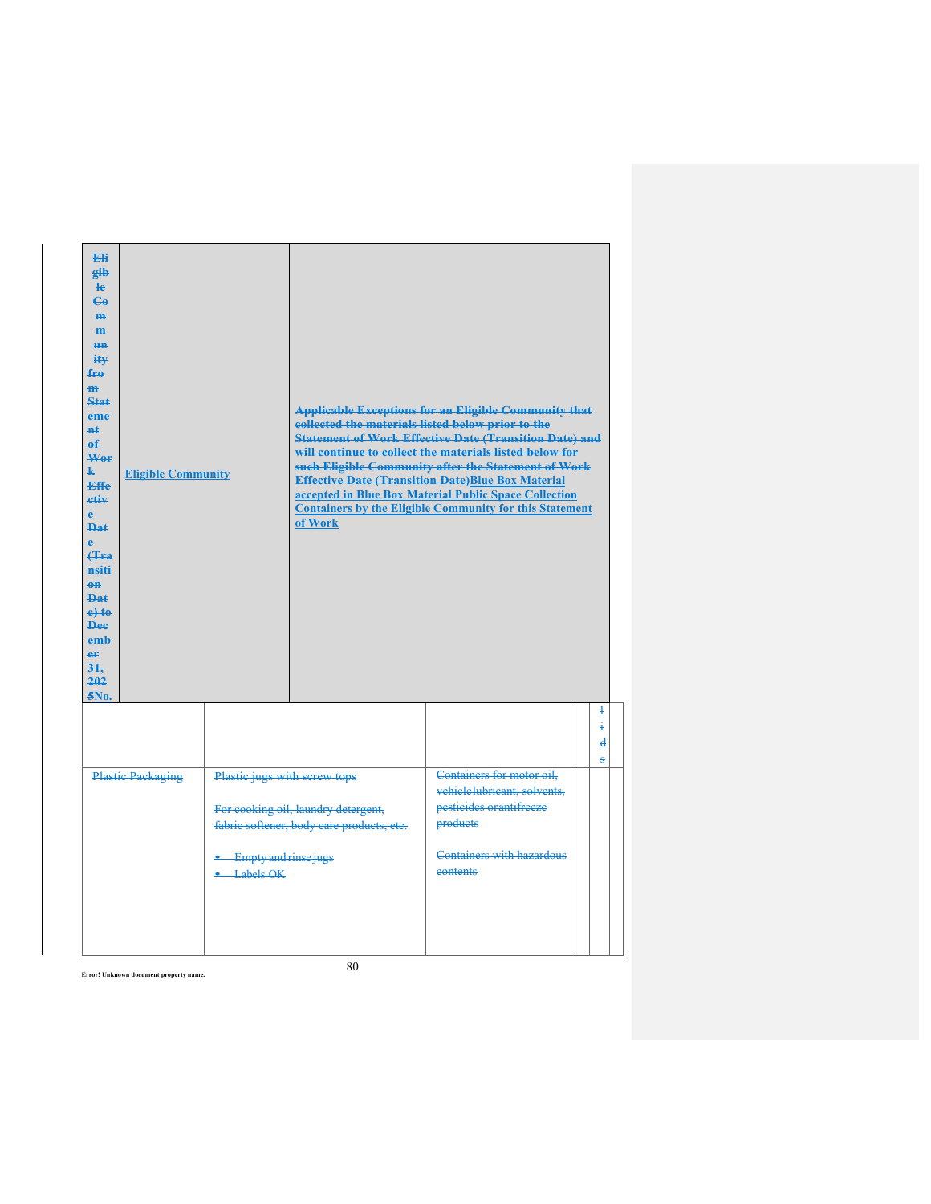| Eli<br>eib<br>$\mathbf{e}$<br>$C_{\theta}$<br>an-<br>m<br>H <sub>H</sub><br>ity<br>fre<br>m<br>Stat<br>eme<br>$H+$<br>$\mathbf{f}$<br>Wer<br>$\mathbf{k}$<br><b>Effe</b><br>etiv<br>ė<br>Dat.<br>Ā<br>4a<br>nsiti<br>$0$<br>$\mathbf{p}_{\mathbf{a}\mathbf{f}}$<br>$e$ + $t$ $e$<br><b>Dee</b><br>emh<br>er<br>$3+$<br>202<br>5No. | <b>Eligible Community</b> |                                                        | collected the materials listed below prior to the<br>of Work                     | <b>Applicable Exceptions for an Eligible Community that</b><br><b>Statement of Work Effective Date (Transition Date) and</b><br>will continue to collect the materials listed below for<br>such Eligible Community after the Statement of Work<br><b>Effective Date (Transition Date)Blue Box Material</b><br>accepted in Blue Box Material Public Space Collection<br><b>Containers by the Eligible Community for this Statement</b> |                                         |
|------------------------------------------------------------------------------------------------------------------------------------------------------------------------------------------------------------------------------------------------------------------------------------------------------------------------------------|---------------------------|--------------------------------------------------------|----------------------------------------------------------------------------------|---------------------------------------------------------------------------------------------------------------------------------------------------------------------------------------------------------------------------------------------------------------------------------------------------------------------------------------------------------------------------------------------------------------------------------------|-----------------------------------------|
|                                                                                                                                                                                                                                                                                                                                    |                           |                                                        |                                                                                  |                                                                                                                                                                                                                                                                                                                                                                                                                                       | ļ<br>į<br>$\overline{\mathbf{d}}$<br>ġ. |
|                                                                                                                                                                                                                                                                                                                                    | <b>Plastic Packaging</b>  | Plastic jugs with screw tops<br>• Empty and rinse jugs | For cooking oil, laundry detergent,<br>fabric softener, body care products, etc. | Containers for motor oil.<br>vehiclelubricant, solvents.<br>pesticides or antifreeze<br>products<br>Containers with hazardous                                                                                                                                                                                                                                                                                                         |                                         |
|                                                                                                                                                                                                                                                                                                                                    |                           | $-Labels OK$                                           |                                                                                  | eontents                                                                                                                                                                                                                                                                                                                                                                                                                              |                                         |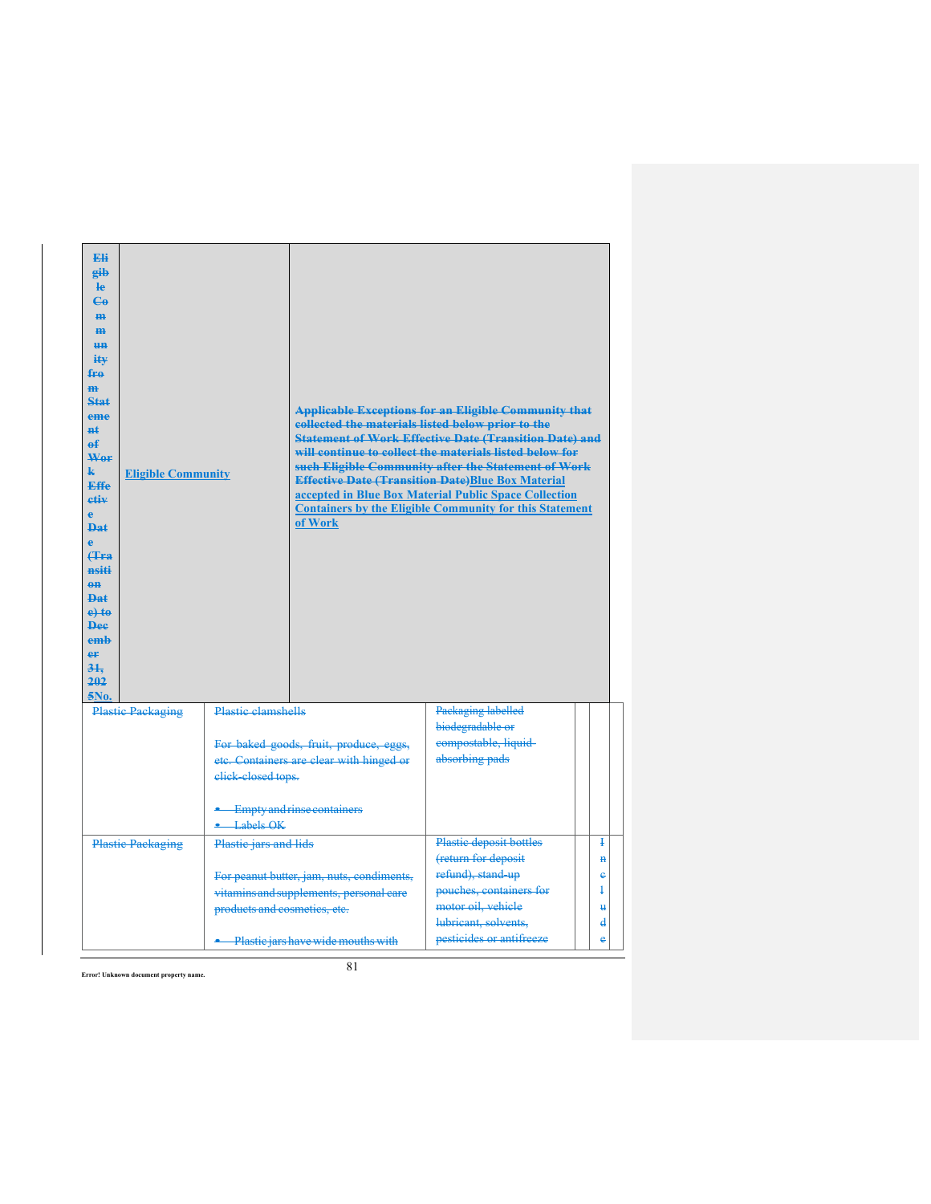| Fli<br>eib<br>le<br>$\mathbf{G}$<br><b>m</b><br>H <sub>H</sub><br><b>HH</b><br>$i$ it $\mathbf{v}$<br>fro<br>m<br>Stat<br>eme<br>#£<br>$\mathbf{f}$<br>Wor<br>k.<br><b>Eligible Community</b><br>Effe<br>etiv<br>è<br>$\mathbf{p}_{\mathbf{a}\mathbf{f}}$<br>Ä<br>4a<br>nsiti<br>$eff$<br>Dat<br>$e$ +to<br><b>Dee</b><br>emb<br>er<br>31.<br>202<br>5No. |                              | collected the materials listed below prior to the<br>of Work                         | <b>Applicable Exceptions for an Eligible Community that</b><br><b>Statement of Work Effective Date (Transition Date) and</b><br>will continue to collect the materials listed below for<br>such Eligible Community after the Statement of Work<br><b>Effective Date (Transition Date)Blue Box Material</b><br>accepted in Blue Box Material Public Space Collection<br><b>Containers by the Eligible Community for this Statement</b> |                                                     |
|-----------------------------------------------------------------------------------------------------------------------------------------------------------------------------------------------------------------------------------------------------------------------------------------------------------------------------------------------------------|------------------------------|--------------------------------------------------------------------------------------|---------------------------------------------------------------------------------------------------------------------------------------------------------------------------------------------------------------------------------------------------------------------------------------------------------------------------------------------------------------------------------------------------------------------------------------|-----------------------------------------------------|
| <b>Plastic Packaging</b>                                                                                                                                                                                                                                                                                                                                  | <b>Plastic clamshells</b>    |                                                                                      | Packaging labelled<br>biodegradable or                                                                                                                                                                                                                                                                                                                                                                                                |                                                     |
|                                                                                                                                                                                                                                                                                                                                                           | elick-closed tops.           | For baked goods, fruit, produce, eggs,<br>etc. Containers are clear with hinged or   | compostable, liquid-<br>absorbing pads                                                                                                                                                                                                                                                                                                                                                                                                |                                                     |
|                                                                                                                                                                                                                                                                                                                                                           | $\triangle$ Labels OK        | <b>Empty and rinse containers</b>                                                    |                                                                                                                                                                                                                                                                                                                                                                                                                                       |                                                     |
| <b>Plastic Packaging</b>                                                                                                                                                                                                                                                                                                                                  | Plastic jars and lids        |                                                                                      | Plastic deposit bottles                                                                                                                                                                                                                                                                                                                                                                                                               | Ŧ                                                   |
|                                                                                                                                                                                                                                                                                                                                                           | products and cosmetics, etc. | For peanut butter, jam, nuts, condiments,<br>vitamins and supplements, personal care | (return for deposit<br>refund), stand-up<br>pouches, containers for<br>motor oil, vehicle<br>lubricant, solvents.                                                                                                                                                                                                                                                                                                                     | $\mathbf{H}$<br>$\mathbf e$<br>$\ddagger$<br>u<br>d |
|                                                                                                                                                                                                                                                                                                                                                           |                              | • Plastic jars have wide mouths with                                                 | pesticides or antifreeze                                                                                                                                                                                                                                                                                                                                                                                                              | e                                                   |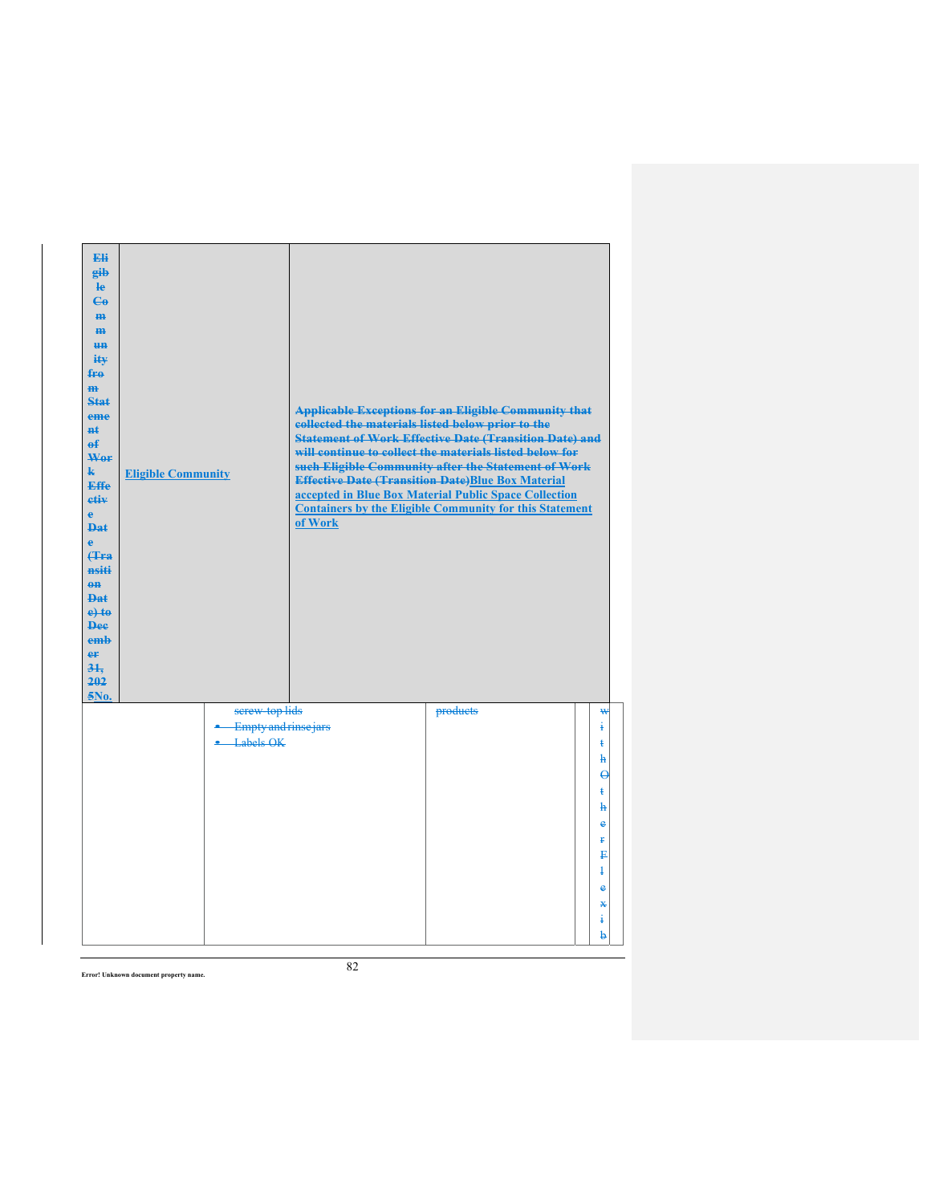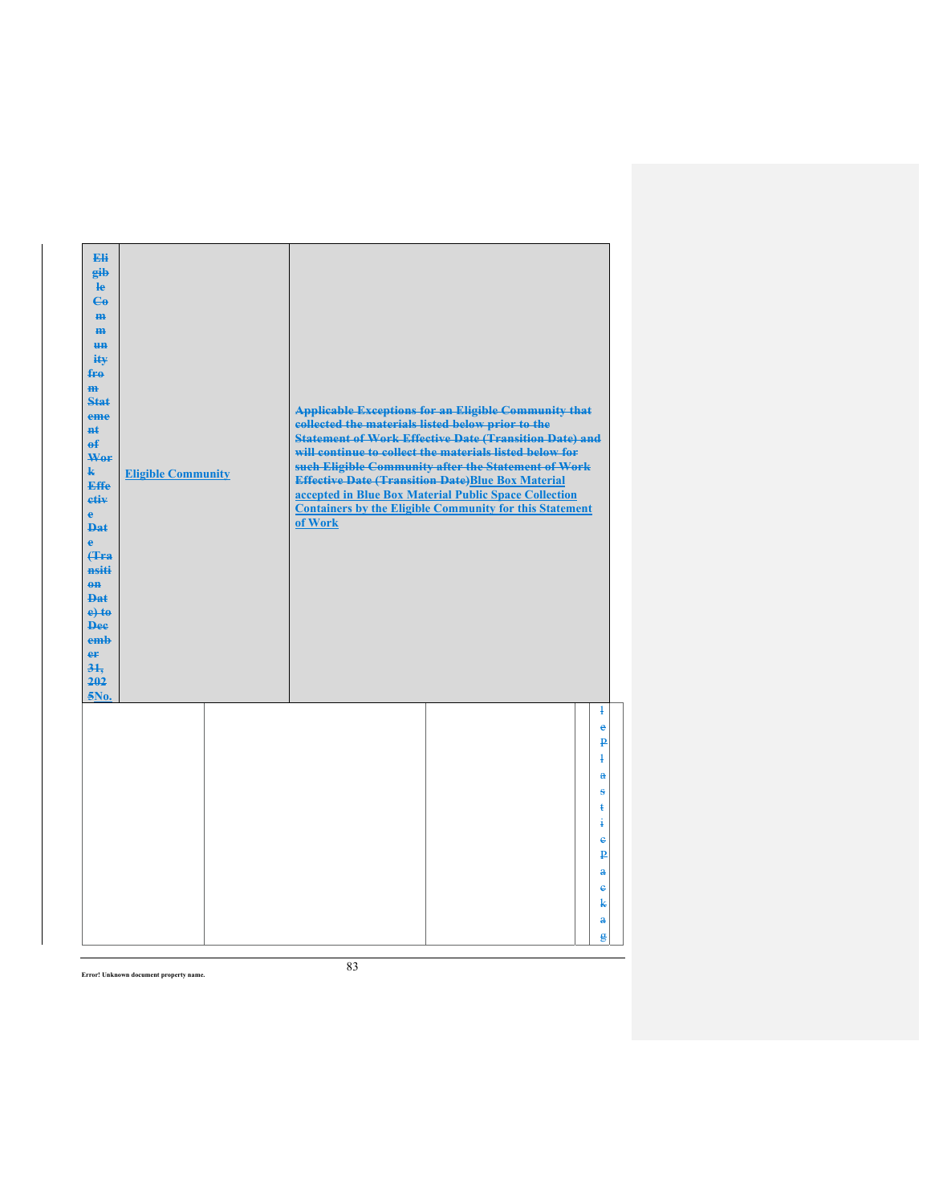| Eli<br>eib<br>$\mathbf{e}$<br>$\mathbf{G}$<br>H <sub>H</sub><br>m<br><b>un</b><br>ity<br>$f_{\text{H}0}$<br>$\mathbf{m}$<br><b>Stat</b><br>eme<br><b>Ht</b><br>$\theta$<br>Wer<br>$\mathbf{k}$<br><b>Effe</b><br>etiv<br>$\mathbf{e}$<br><b>Dat</b><br>$\ddot{\textbf{e}}$<br><b>(Tra</b><br>nsiti<br>$\theta$ <sup><math>\theta</math></sup><br><b>Dat</b><br>$e$ + $t$ $e$<br><b>Dee</b><br>emb<br>er<br>31.<br>202<br>5No. | <b>Eligible Community</b> | <b>Applicable Exceptions for an Eligible Community that</b><br>collected the materials listed below prior to the<br><b>Statement of Work Effective Date (Transition Date) and</b><br>will continue to collect the materials listed below for<br>such Eligible Community after the Statement of Work<br><b>Effective Date (Transition Date)Blue Box Material</b><br>accepted in Blue Box Material Public Space Collection<br><b>Containers by the Eligible Community for this Statement</b><br>of Work |                                                                                                                                                                    |
|-------------------------------------------------------------------------------------------------------------------------------------------------------------------------------------------------------------------------------------------------------------------------------------------------------------------------------------------------------------------------------------------------------------------------------|---------------------------|-------------------------------------------------------------------------------------------------------------------------------------------------------------------------------------------------------------------------------------------------------------------------------------------------------------------------------------------------------------------------------------------------------------------------------------------------------------------------------------------------------|--------------------------------------------------------------------------------------------------------------------------------------------------------------------|
|                                                                                                                                                                                                                                                                                                                                                                                                                               |                           |                                                                                                                                                                                                                                                                                                                                                                                                                                                                                                       | $\overline{1}$<br>e<br>₽<br>ł<br>$\ddot{\mathbf{a}}$<br>s<br>ŧ<br>ŧ<br>$\epsilon$<br>$\mathbf{p}$<br>$\mathbf{a}$<br>$\ddot{\textbf{e}}$<br>k<br>$\mathbf{a}$<br>g |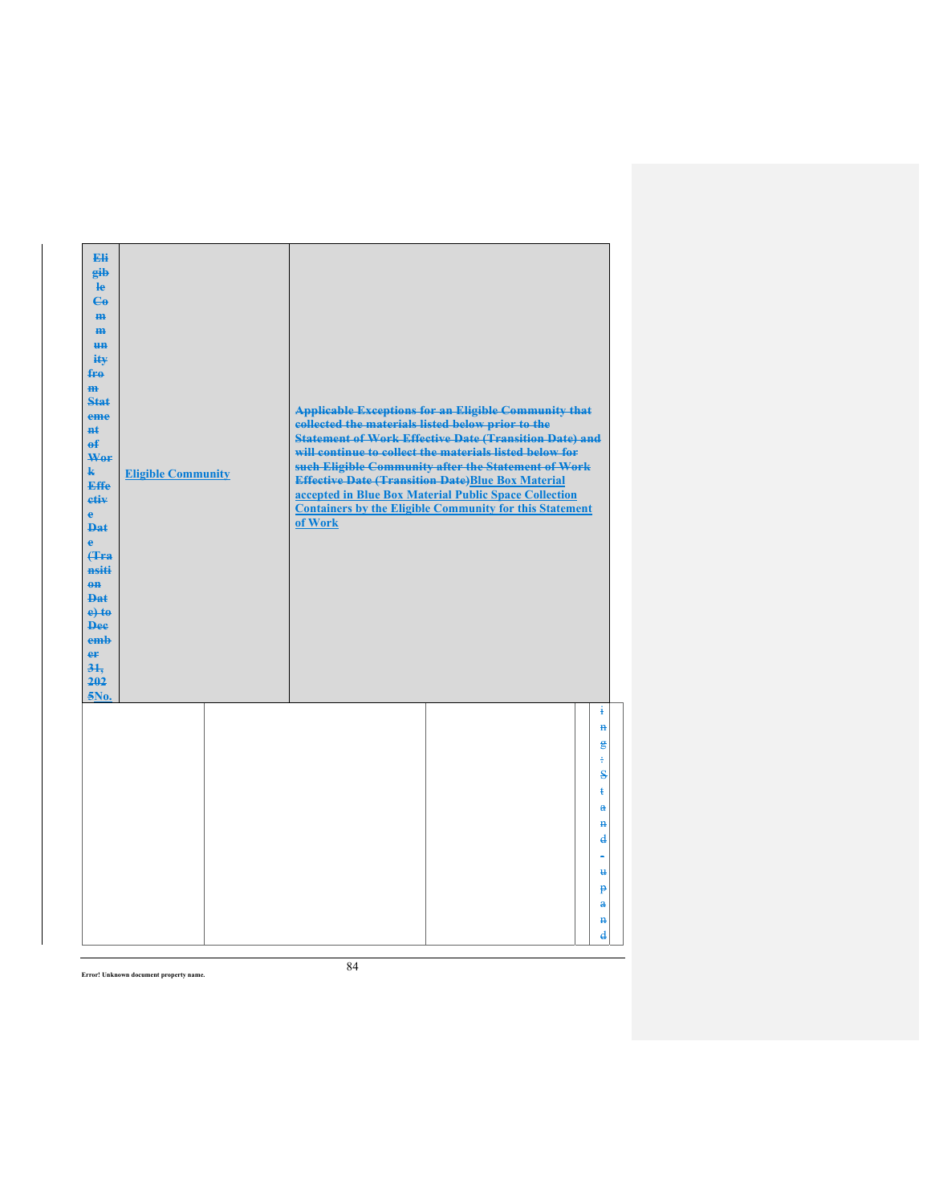| Eli<br>gib<br>$\mathbf{e}$<br>$\mathbf{G}$<br>m-<br>$\mathbf{m}$<br><b>un</b><br>ity<br>$f_{\text{H}0}$<br>$\mathbf{m}$<br><b>Stat</b><br>eme<br><b>n</b> t<br>$\mathbf{f}$<br>Wer<br>$\mathbf{k}$<br>Effe<br>etiv<br>$\mathbf{e}$<br><b>Dat</b><br>$\ddot{\textbf{e}}$<br>(Tra<br>nsiti<br>$0$<br><b>Dat</b><br>$e$ + $t$ $e$<br><b>Dee</b><br>emb<br>er<br>31.<br>202<br>5No. | <b>Eligible Community</b> | <b>Applicable Exceptions for an Eligible Community that</b><br>collected the materials listed below prior to the<br><b>Statement of Work Effective Date (Transition Date) and</b><br>will continue to collect the materials listed below for<br>such Eligible Community after the Statement of Work<br><b>Effective Date (Transition Date)Blue Box Material</b><br>accepted in Blue Box Material Public Space Collection<br><b>Containers by the Eligible Community for this Statement</b><br>of Work |                                                                                                                                                                                                   |
|---------------------------------------------------------------------------------------------------------------------------------------------------------------------------------------------------------------------------------------------------------------------------------------------------------------------------------------------------------------------------------|---------------------------|-------------------------------------------------------------------------------------------------------------------------------------------------------------------------------------------------------------------------------------------------------------------------------------------------------------------------------------------------------------------------------------------------------------------------------------------------------------------------------------------------------|---------------------------------------------------------------------------------------------------------------------------------------------------------------------------------------------------|
|                                                                                                                                                                                                                                                                                                                                                                                 |                           |                                                                                                                                                                                                                                                                                                                                                                                                                                                                                                       | ŧ<br>$\overline{\mathbf{H}}$<br>$\mathbf{g}$<br>÷<br>$\mathbf{s}$<br>$\ddagger$<br>$\mathbf{a}$<br>$\mathbf{H}$<br>$\bf{d}$<br>Ħ.<br>P<br>$\mathbf{a}$<br>$\overline{\mathbf{H}}$<br>$\mathbf{d}$ |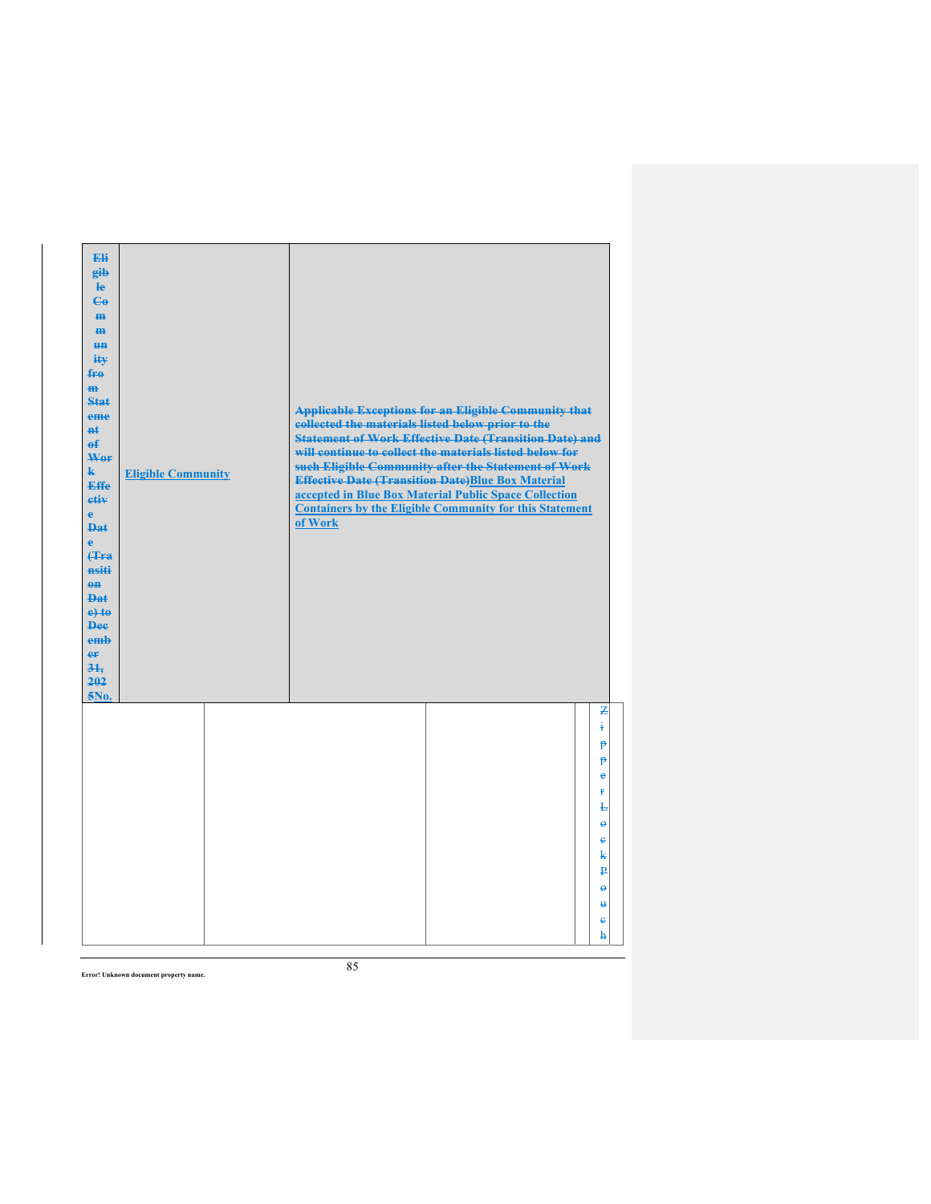| Eli<br>gib<br>$\mathbf{e}$<br>$\epsilon$<br>H <sub>H</sub><br>H <sub>H</sub><br>H <sub>H</sub><br>ity<br>fro<br>$\mathbf{m}$<br>Stat<br>eme<br>#£<br>$\mathbf{f}$<br>Wer<br>k.<br><b>Effe</b><br>etiv<br>$\ddot{\textbf{e}}$<br>Dat<br>è<br>(Tra<br>nsiti<br>$eff$<br><b>Dat</b><br>$e$ +to<br><b>Dee</b><br>emb<br>er<br>31.<br>202<br>5No. | <b>Eligible Community</b> | <b>Applicable Exceptions for an Eligible Community that</b><br>collected the materials listed below prior to the<br><b>Statement of Work Effective Date (Transition Date) and</b><br>will continue to collect the materials listed below for<br>such Eligible Community after the Statement of Work<br><b>Effective Date (Transition Date)Blue Box Material</b><br>accepted in Blue Box Material Public Space Collection<br><b>Containers by the Eligible Community for this Statement</b><br>of Work |
|----------------------------------------------------------------------------------------------------------------------------------------------------------------------------------------------------------------------------------------------------------------------------------------------------------------------------------------------|---------------------------|-------------------------------------------------------------------------------------------------------------------------------------------------------------------------------------------------------------------------------------------------------------------------------------------------------------------------------------------------------------------------------------------------------------------------------------------------------------------------------------------------------|
|                                                                                                                                                                                                                                                                                                                                              |                           | z<br>i.<br>$\mathbf{P}$<br>p<br>$\bullet$<br>ŧ<br>Ł<br>$\ddot{\theta}$<br>$\mathbf{e}$<br>k<br>₽<br>$\ddot{\boldsymbol{\theta}}$<br>$\mathbf{H}$<br>ė<br>h                                                                                                                                                                                                                                                                                                                                            |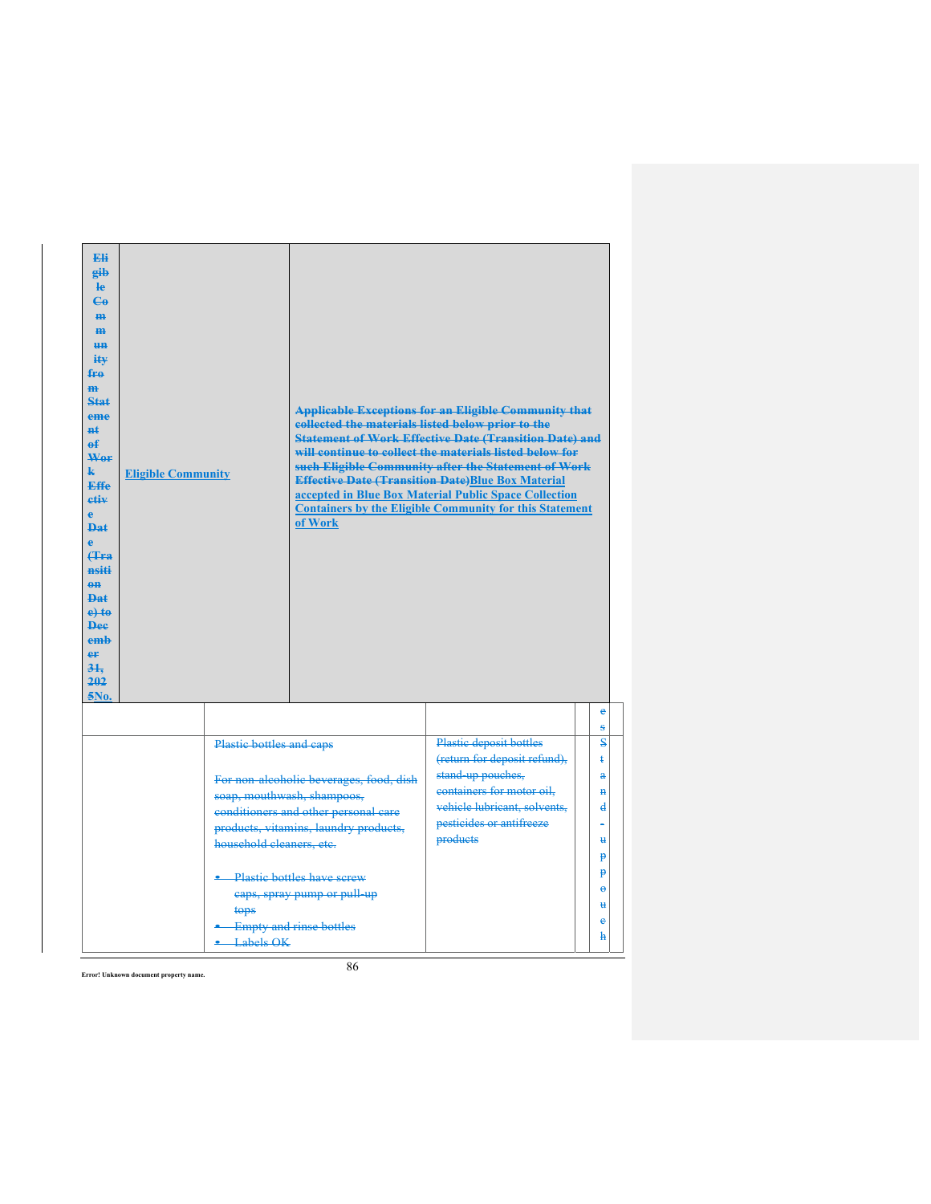| Eli<br>eib<br>$\mathbf{e}$<br>$C_{\theta}$<br>H <sub>H</sub><br>$\overline{m}$<br><b>HH</b><br>$i$ it $\mathbf{v}$<br>fro<br>m<br>Stat<br>eme<br>##<br>е£<br>Wer<br>k.<br><b>Effe</b><br>etiv<br>e.<br>$\mathbf{p}_{\mathbf{a}\mathbf{f}}$<br>è<br><b>f</b> Fa<br>nsiti<br>$0$<br><b>Dat</b><br>$e$ +to<br><b>Dee</b><br>emb<br>er<br>31.<br>202<br>5No. | <b>Eligible Community</b> |                                                                              | collected the materials listed below prior to the<br>of Work                                                                                                                                                                                          | <b>Applicable Exceptions for an Eligible Community that</b><br><b>Statement of Work Effective Date (Transition Date) and</b><br>will continue to collect the materials listed below for<br>such Eligible Community after the Statement of Work<br><b>Effective Date (Transition Date)Blue Box Material</b><br>accepted in Blue Box Material Public Space Collection<br><b>Containers by the Eligible Community for this Statement</b> |                                                                                                                             |
|----------------------------------------------------------------------------------------------------------------------------------------------------------------------------------------------------------------------------------------------------------------------------------------------------------------------------------------------------------|---------------------------|------------------------------------------------------------------------------|-------------------------------------------------------------------------------------------------------------------------------------------------------------------------------------------------------------------------------------------------------|---------------------------------------------------------------------------------------------------------------------------------------------------------------------------------------------------------------------------------------------------------------------------------------------------------------------------------------------------------------------------------------------------------------------------------------|-----------------------------------------------------------------------------------------------------------------------------|
|                                                                                                                                                                                                                                                                                                                                                          |                           |                                                                              |                                                                                                                                                                                                                                                       |                                                                                                                                                                                                                                                                                                                                                                                                                                       | e<br>s                                                                                                                      |
|                                                                                                                                                                                                                                                                                                                                                          |                           | Plastic bottles and caps<br>household cleaners, etc.<br>tops<br>$-Labels OK$ | For non-alcoholic beverages, food, dish<br>soap, mouthwash, shampoos,<br>conditioners and other personal care<br>products, vitamins, laundry products,<br>Plastic bottles have screw<br>caps, spray pump or pull-up<br><b>Empty and rinse bottles</b> | Plastic deposit bottles<br>(return for deposit refund),<br>stand up pouches,<br>containers for motor oil.<br>vehicle lubricant, solvents,<br>pesticides or antifreeze<br>products                                                                                                                                                                                                                                                     | $\mathbf{s}$<br>$\ddagger$<br>$\ddot{\textbf{a}}$<br>$\mathbf{H}$<br>d<br>$\mathbf{H}$<br>p<br>p<br>$\Theta$<br>₩<br>ė<br>ħ |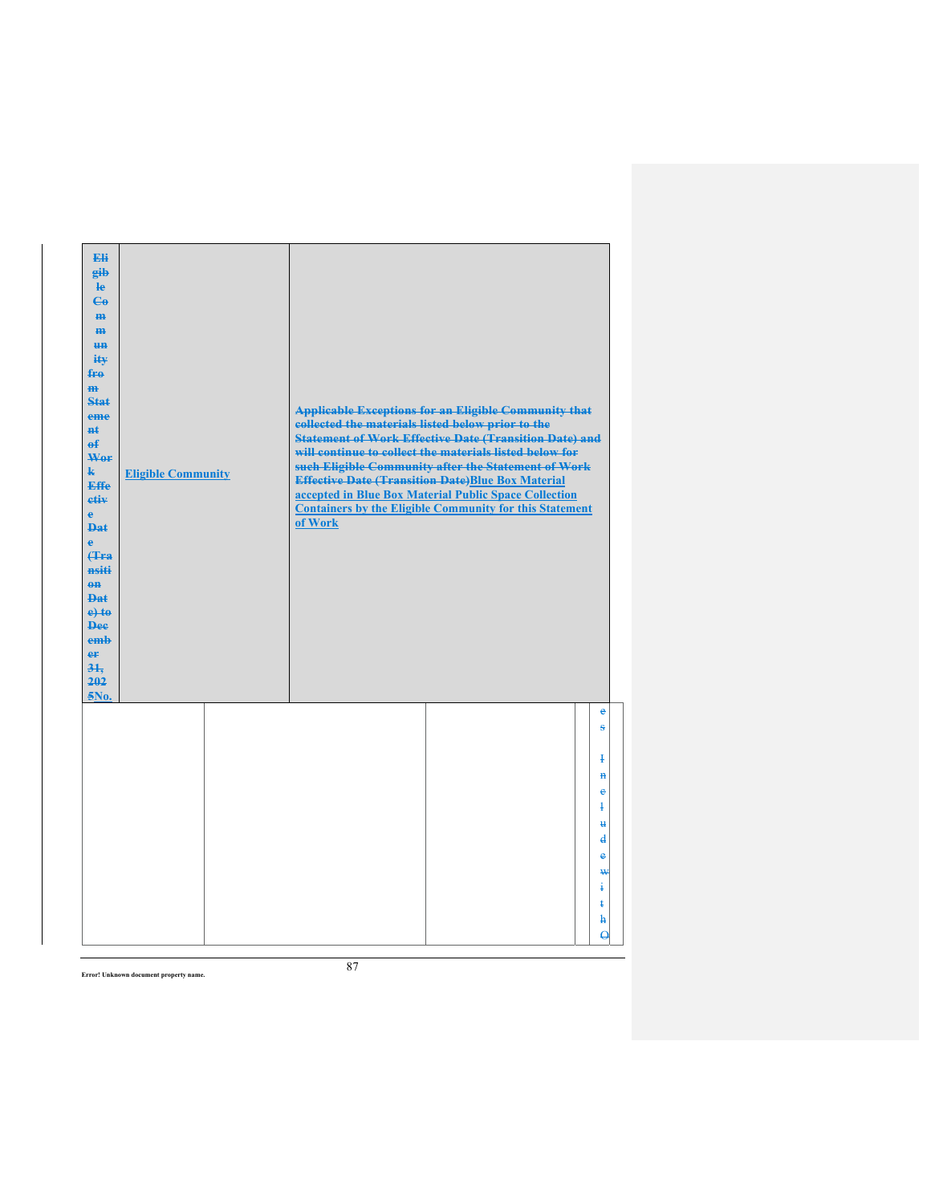| Eli<br>gib<br>He<br>$\mathbf{G}$<br>H <sub>H</sub><br>m<br>H <sub>H</sub><br>ity<br>fro<br>m<br><b>Stat</b><br>eme<br>nŧ.<br>$\mathbf{f}$<br>Wer<br>$\mathbf{k}$<br><b>Effe</b><br>etiv<br>$\mathbf{e}$<br>Dat<br>è<br><b>f</b> Fra<br>nsiti<br>$eff$<br><b>Dat</b><br>$e$ +to<br><b>Dee</b><br>emb<br>er<br>$3+$<br>202<br>5No. | <b>Eligible Community</b> | collected the materials listed below prior to the<br>of Work | <b>Applicable Exceptions for an Eligible Community that</b><br><b>Statement of Work Effective Date (Transition Date) and</b><br>will continue to collect the materials listed below for<br>such Eligible Community after the Statement of Work<br><b>Effective Date (Transition Date)Blue Box Material</b><br>accepted in Blue Box Material Public Space Collection<br><b>Containers by the Eligible Community for this Statement</b> |                                                                                                             |
|----------------------------------------------------------------------------------------------------------------------------------------------------------------------------------------------------------------------------------------------------------------------------------------------------------------------------------|---------------------------|--------------------------------------------------------------|---------------------------------------------------------------------------------------------------------------------------------------------------------------------------------------------------------------------------------------------------------------------------------------------------------------------------------------------------------------------------------------------------------------------------------------|-------------------------------------------------------------------------------------------------------------|
|                                                                                                                                                                                                                                                                                                                                  |                           |                                                              |                                                                                                                                                                                                                                                                                                                                                                                                                                       | e<br>$\bf{s}$                                                                                               |
|                                                                                                                                                                                                                                                                                                                                  |                           |                                                              |                                                                                                                                                                                                                                                                                                                                                                                                                                       | Ŧ<br>$\mathbf{H}$<br>ė<br>$\mathbf{1}$<br>$\mathbf{H}$<br>$\mathbf{d}$<br>e<br>₩<br>ŧ<br>ŧ<br>h<br>$\Theta$ |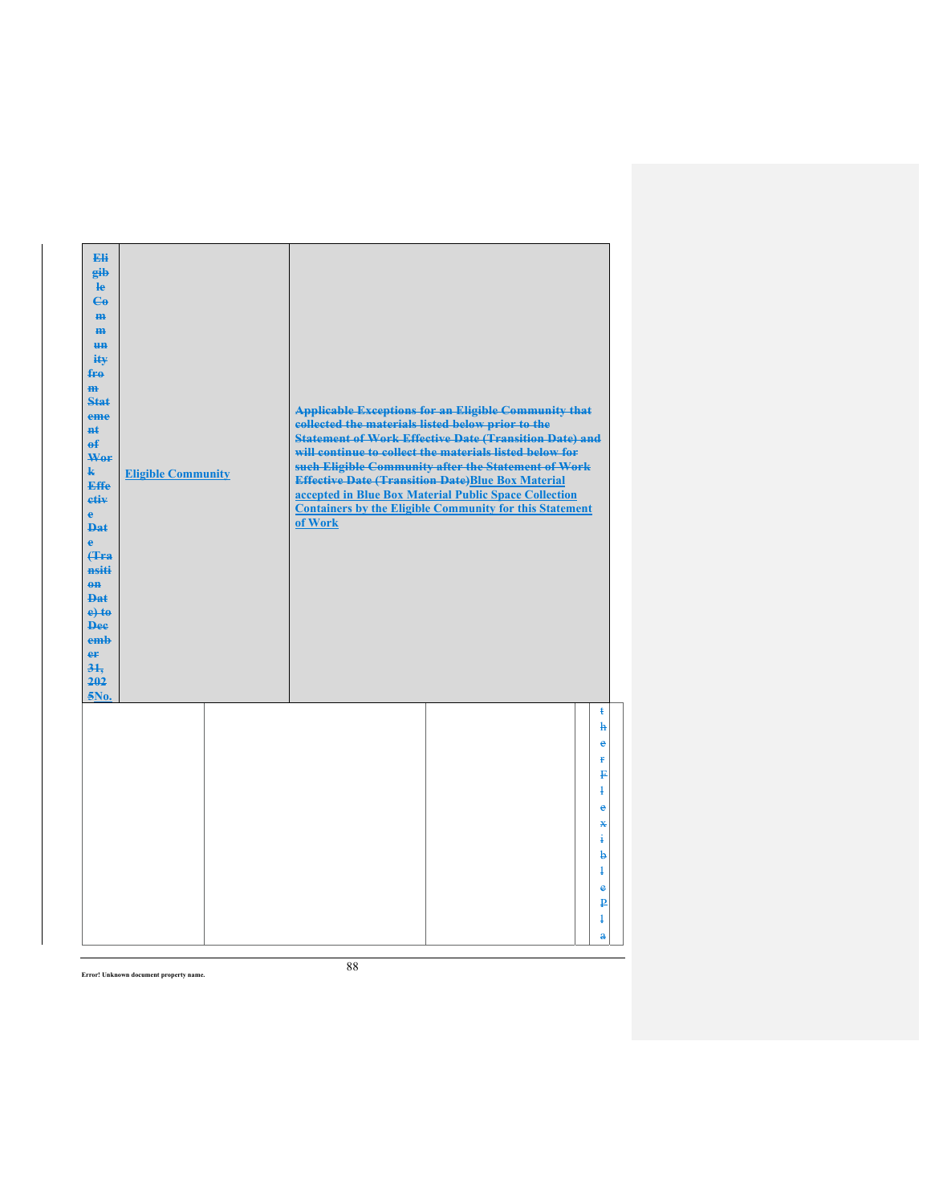| Eli<br>gib<br>$\mathbf{e}$<br>$\epsilon$<br>m-<br>$\mathbf{m}$<br><b>un</b><br>ity<br>$f_{\text{H}0}$<br>$\mathbf{m}$<br><b>Stat</b><br>eme<br><b>n</b> t<br>$\mathbf{f}$<br>Wer<br>$\mathbf{k}$<br>Effe<br>etiv<br>$\mathbf{e}$<br><b>Dat</b><br>$\ddot{\textbf{e}}$<br>(Tra<br>nsiti<br>$0$<br><b>Dat</b><br>$e$ + $t$ $e$<br><b>Dee</b><br>emb<br>er<br>31.<br>202<br>$5N0$ . | <b>Eligible Community</b> | <b>Applicable Exceptions for an Eligible Community that</b><br>collected the materials listed below prior to the<br><b>Statement of Work Effective Date (Transition Date) and</b><br>will continue to collect the materials listed below for<br>such Eligible Community after the Statement of Work<br><b>Effective Date (Transition Date)Blue Box Material</b><br>accepted in Blue Box Material Public Space Collection<br><b>Containers by the Eligible Community for this Statement</b><br>of Work |
|----------------------------------------------------------------------------------------------------------------------------------------------------------------------------------------------------------------------------------------------------------------------------------------------------------------------------------------------------------------------------------|---------------------------|-------------------------------------------------------------------------------------------------------------------------------------------------------------------------------------------------------------------------------------------------------------------------------------------------------------------------------------------------------------------------------------------------------------------------------------------------------------------------------------------------------|
|                                                                                                                                                                                                                                                                                                                                                                                  |                           | $\ddagger$<br>$\mathbf{h}$<br>$\ddot{\textbf{e}}$<br>ŧ<br>₽<br>$\ddagger$<br>$\mathbf e$<br>$\mathbf x$<br>4<br>b<br>$\ddagger$<br>e<br>₽<br>$\overline{1}$<br>$\ddot{\textbf{a}}$                                                                                                                                                                                                                                                                                                                    |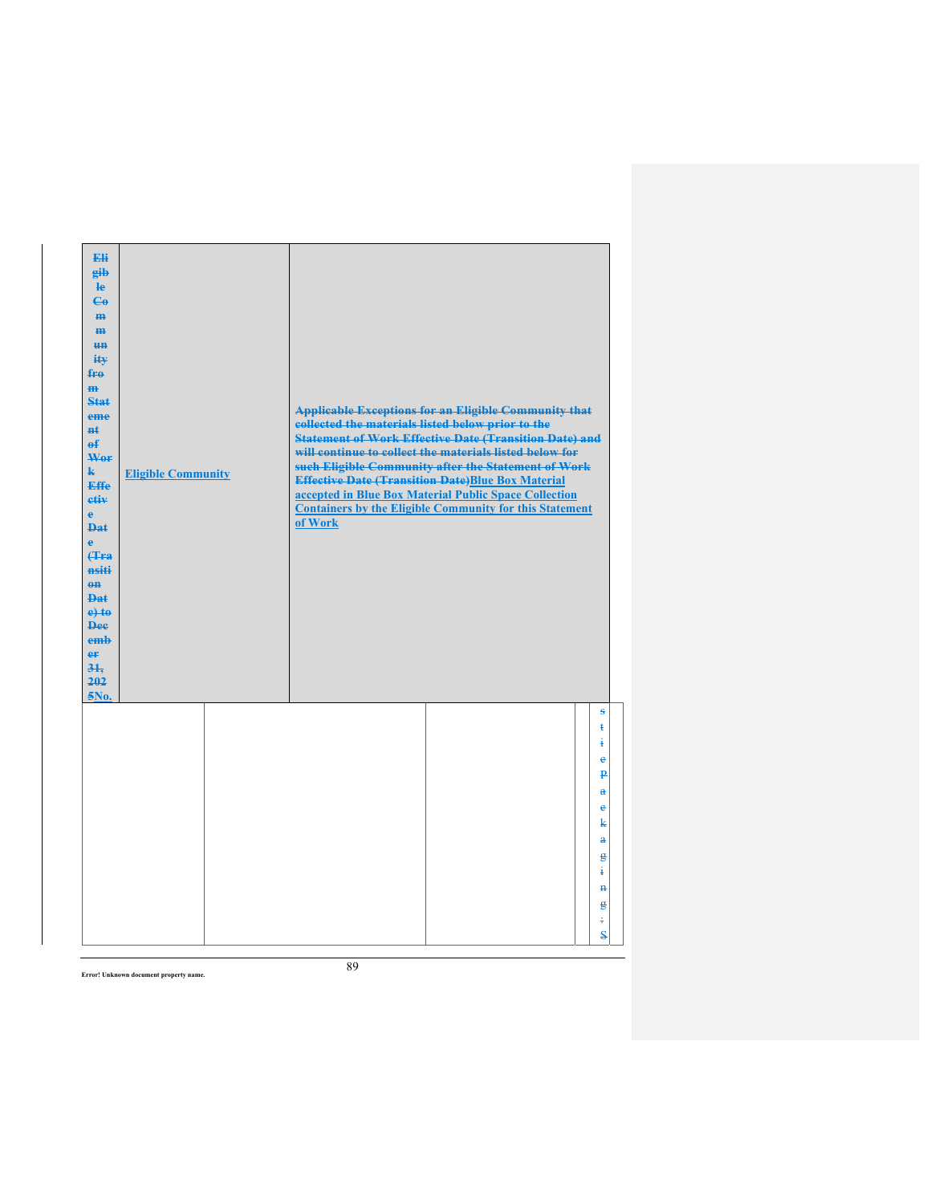| Eli<br>gib<br>He<br>$\epsilon$<br>H <sub>H</sub><br>m<br>H <sub>H</sub><br>ity<br>fro<br>$\mathbf{m}$<br><b>Stat</b><br>eme<br><b>n</b> t<br>$\mathbf{f}$<br>Wor<br>$\mathbf{k}$<br><b>Effe</b><br>etiv<br>$\mathbf{e}$<br><b>Dat</b><br>$\ddot{\textbf{e}}$<br>(Tra<br>nsiti<br>$eff$<br><b>Dat</b><br>$e$ +to<br><b>Dee</b><br>emb<br>er<br>$3+$<br>202<br>5No. | <b>Eligible Community</b> | collected the materials listed below prior to the<br>of Work | <b>Applicable Exceptions for an Eligible Community that</b><br><b>Statement of Work Effective Date (Transition Date) and</b><br>will continue to collect the materials listed below for<br>such Eligible Community after the Statement of Work<br><b>Effective Date (Transition Date)Blue Box Material</b><br>accepted in Blue Box Material Public Space Collection<br><b>Containers by the Eligible Community for this Statement</b> |                                                                                                                                                                  |
|-------------------------------------------------------------------------------------------------------------------------------------------------------------------------------------------------------------------------------------------------------------------------------------------------------------------------------------------------------------------|---------------------------|--------------------------------------------------------------|---------------------------------------------------------------------------------------------------------------------------------------------------------------------------------------------------------------------------------------------------------------------------------------------------------------------------------------------------------------------------------------------------------------------------------------|------------------------------------------------------------------------------------------------------------------------------------------------------------------|
|                                                                                                                                                                                                                                                                                                                                                                   |                           |                                                              |                                                                                                                                                                                                                                                                                                                                                                                                                                       | s<br>$\ddagger$<br>4<br>$\ddot{\textbf{e}}$<br>$\overline{\mathbf{p}}$<br>$\ddot{\textbf{a}}$<br>e<br>k<br>$\mathbf{a}$<br>g<br>÷<br>$\mathbf{H}$<br>g<br>÷<br>S |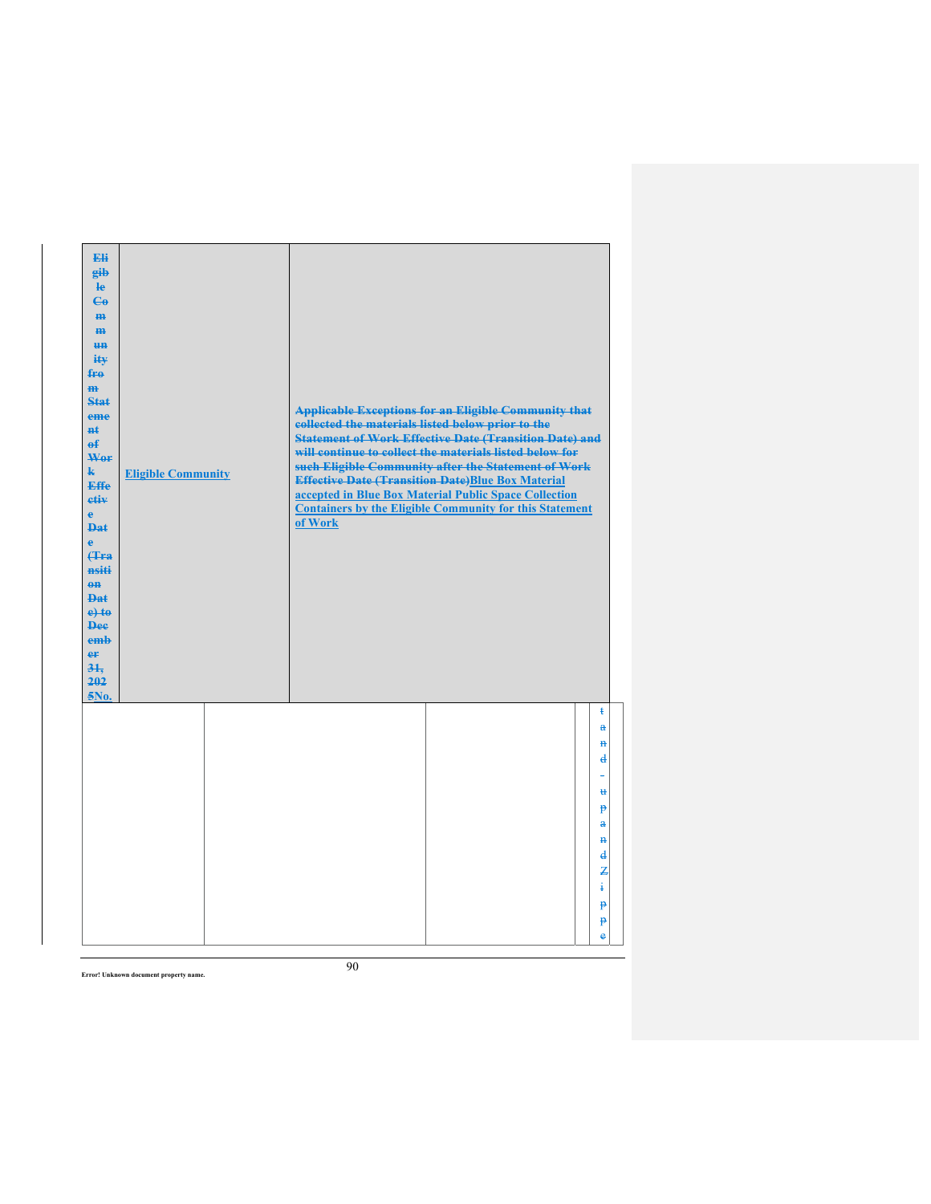| Eli<br>gib<br>$\mathbf{e}$<br>$\mathbf{G}$<br>m-<br>$\mathbf{m}$<br><b>HH</b><br>iŧ¥<br>$f_{\text{H}0}$<br>$\mathbf{m}$<br>Stat<br>eme<br>#ŧ<br>$\mathbf{f}$<br>Wer<br>$\mathbf{k}$<br><b>Effe</b><br>etiv<br>$\mathbf{e}$<br><b>Dat</b><br>$\mathbf{e}$<br>Hra<br>nsiti<br>$0$<br><b>Dat</b><br>$e$ + $t$ $e$<br><b>Dee</b><br>emb<br>er<br>31.<br>202<br>5No. | <b>Eligible Community</b> | <b>Applicable Exceptions for an Eligible Community that</b><br>collected the materials listed below prior to the<br><b>Statement of Work Effective Date (Transition Date) and</b><br>will continue to collect the materials listed below for<br>such Eligible Community after the Statement of Work<br><b>Effective Date (Transition Date)Blue Box Material</b><br>accepted in Blue Box Material Public Space Collection<br><b>Containers by the Eligible Community for this Statement</b><br>of Work |
|-----------------------------------------------------------------------------------------------------------------------------------------------------------------------------------------------------------------------------------------------------------------------------------------------------------------------------------------------------------------|---------------------------|-------------------------------------------------------------------------------------------------------------------------------------------------------------------------------------------------------------------------------------------------------------------------------------------------------------------------------------------------------------------------------------------------------------------------------------------------------------------------------------------------------|
|                                                                                                                                                                                                                                                                                                                                                                 |                           | $\ddagger$<br>$\mathbf{a}$<br>$\mathbf{H}$<br>$\mathbf{d}$<br>₩<br>p<br>$\mathbf a$<br>$\mathbf{H}$<br>$\mathbf{d}$<br>Z<br>÷<br>$\mathbf{P}$<br>p-<br>è                                                                                                                                                                                                                                                                                                                                              |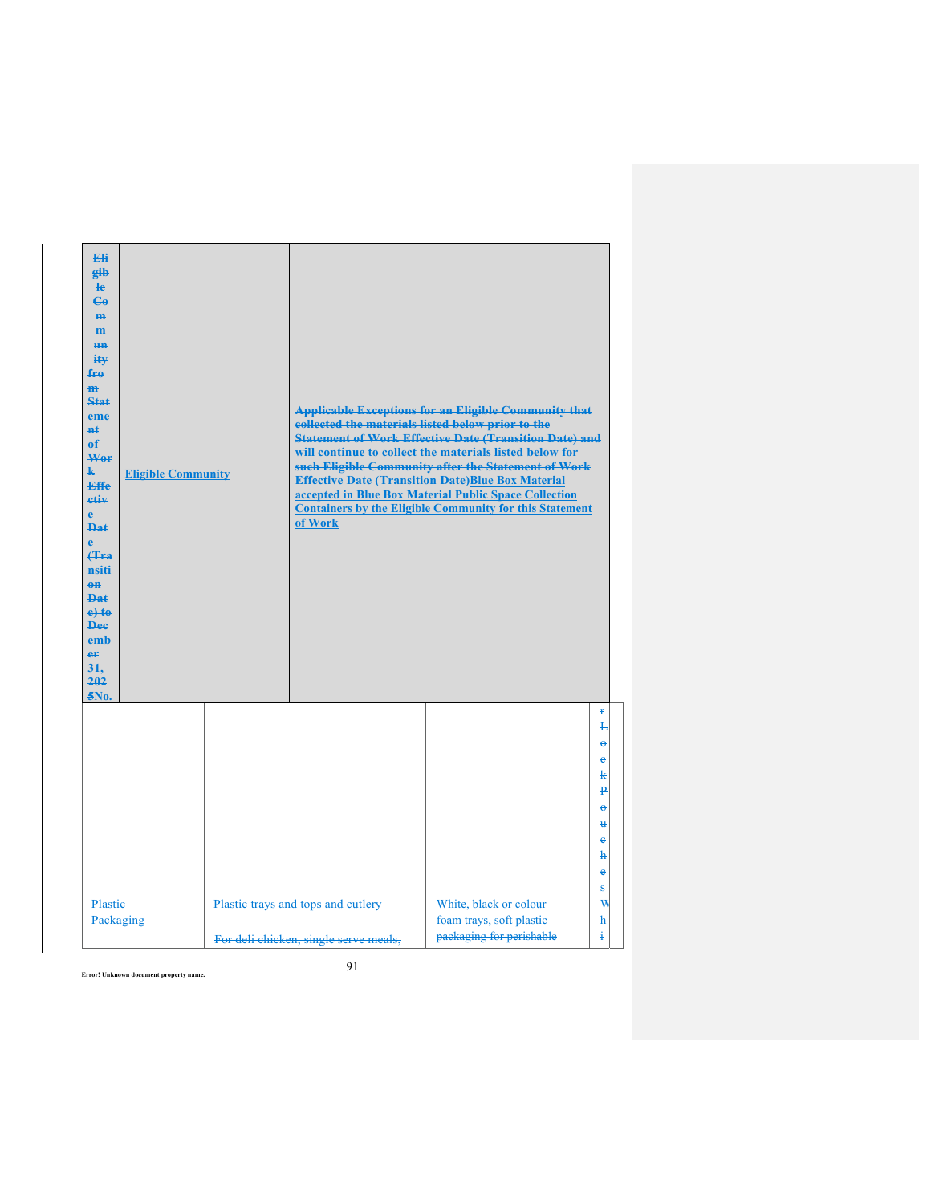| <b>Eli</b><br>gib<br>le<br>$\mathbf{e}_0$<br>H <sub>H</sub><br>m<br><b>HH</b><br>iŧ¥<br>$f_{\text{FA}}$<br>$\overline{m}$<br>Stat<br>eme<br>$H+$<br>$\theta$<br>Wer<br>$\mathbf{k}$<br><b>Effe</b><br>etiv<br>e<br>Dat.<br>ė<br><b>(Tra</b><br>nsiti<br>$0$<br>$PA+$<br>$e$ +to<br><b>Dee</b><br>emb<br>eF<br>31.<br>202<br>5No. | <b>Eligible Community</b> | collected the materials listed below prior to the<br>of Work                | <b>Applicable Exceptions for an Eligible Community that</b><br><b>Statement of Work Effective Date (Transition Date) and</b><br>will continue to collect the materials listed below for<br>such Eligible Community after the Statement of Work<br><b>Effective Date (Transition Date)Blue Box Material</b><br>accepted in Blue Box Material Public Space Collection<br><b>Containers by the Eligible Community for this Statement</b> |                                                                                                               |
|----------------------------------------------------------------------------------------------------------------------------------------------------------------------------------------------------------------------------------------------------------------------------------------------------------------------------------|---------------------------|-----------------------------------------------------------------------------|---------------------------------------------------------------------------------------------------------------------------------------------------------------------------------------------------------------------------------------------------------------------------------------------------------------------------------------------------------------------------------------------------------------------------------------|---------------------------------------------------------------------------------------------------------------|
|                                                                                                                                                                                                                                                                                                                                  |                           |                                                                             |                                                                                                                                                                                                                                                                                                                                                                                                                                       | r<br>Ł<br>$\ddot{\mathbf{e}}$<br>e<br>k<br>$\overline{\mathbf{p}}$<br>$\Theta$<br>$\mathbf{u}$<br>e<br>ħ<br>ė |
| Plastie<br>Packaging                                                                                                                                                                                                                                                                                                             |                           | Plastic trays and tops and cutlery<br>For deli chicken, single serve meals, | White, black or colour<br>foam trays, soft plastic<br>packaging for perishable                                                                                                                                                                                                                                                                                                                                                        | s<br>₩<br>$\mathbf{h}$<br>i                                                                                   |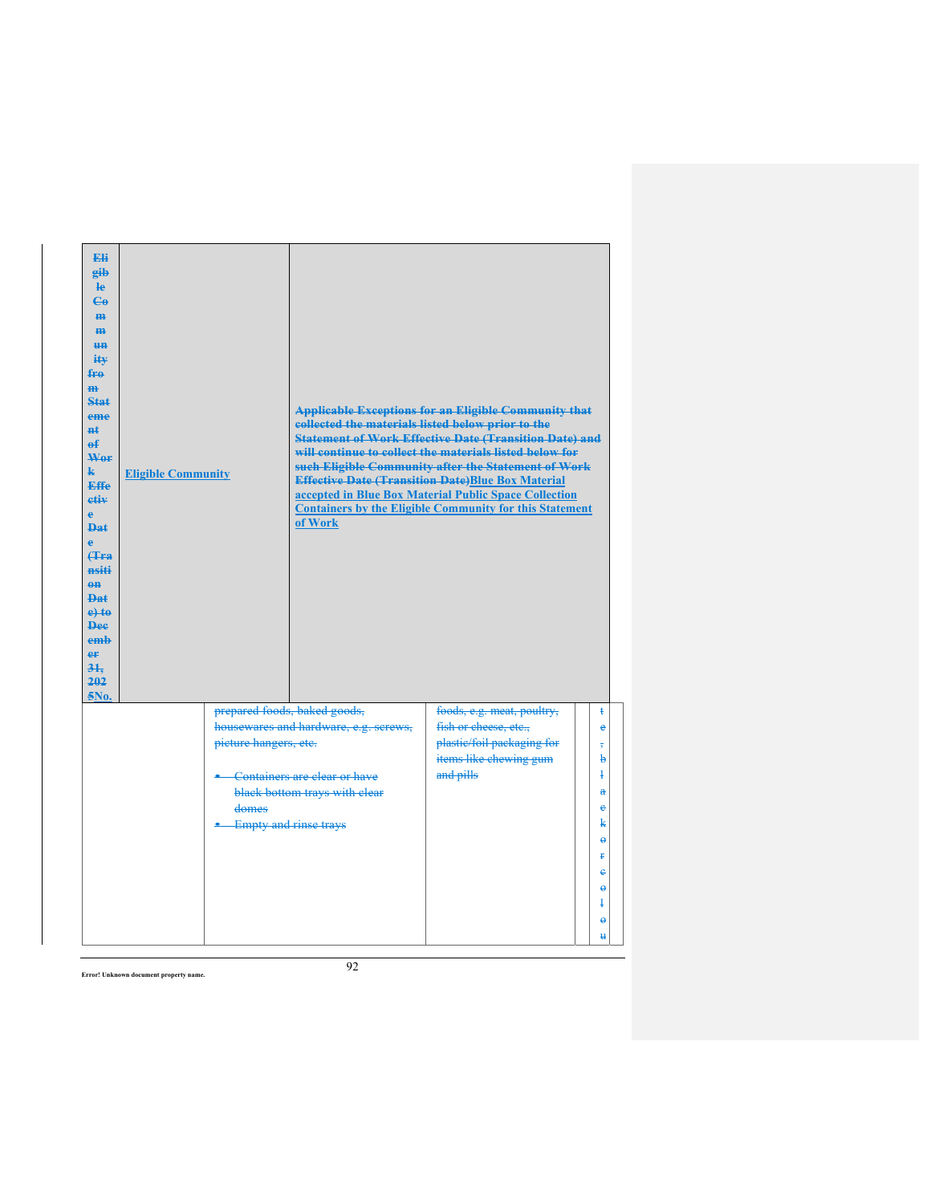| <b>Fli</b><br>eib<br><b>le</b><br>$\mathbf{G}$<br>m-<br>H <sub>H</sub><br>H <sub>H</sub><br>ity<br>fro<br>m<br>Stat<br>eme<br>#ŧ<br>$\mathbf{f}$<br>Wer<br>$\mathbf{k}$<br><b>Effe</b><br>etiv<br>ė<br><b>Dat</b><br>ė<br><b>f</b> Fra<br>nsiti<br>$\theta$ <sup><math>\theta</math></sup><br><b>Dat</b><br>$e$ + $t$ $e$<br><b>Dee</b><br>emb<br>er<br>31.<br>202<br>5No. | <b>Eligible Community</b> | collected the materials listed below prior to the<br>of Work | <b>Applicable Exceptions for an Eligible Community that</b><br><b>Statement of Work Effective Date (Transition Date) and</b><br>will continue to collect the materials listed below for<br>such Eligible Community after the Statement of Work<br><b>Effective Date (Transition Date)Blue Box Material</b><br>accepted in Blue Box Material Public Space Collection<br><b>Containers by the Eligible Community for this Statement</b> |                         |
|----------------------------------------------------------------------------------------------------------------------------------------------------------------------------------------------------------------------------------------------------------------------------------------------------------------------------------------------------------------------------|---------------------------|--------------------------------------------------------------|---------------------------------------------------------------------------------------------------------------------------------------------------------------------------------------------------------------------------------------------------------------------------------------------------------------------------------------------------------------------------------------------------------------------------------------|-------------------------|
|                                                                                                                                                                                                                                                                                                                                                                            |                           | prepared foods, baked goods,                                 | foods, e.g. meat, poultry,                                                                                                                                                                                                                                                                                                                                                                                                            | ŧ                       |
|                                                                                                                                                                                                                                                                                                                                                                            |                           | housewares and hardware, e.g. screws,                        | fish or cheese, etc.,                                                                                                                                                                                                                                                                                                                                                                                                                 | e                       |
|                                                                                                                                                                                                                                                                                                                                                                            | picture hangers, etc.     |                                                              | plastic/foil packaging for                                                                                                                                                                                                                                                                                                                                                                                                            | $\overline{\mathbf{5}}$ |
|                                                                                                                                                                                                                                                                                                                                                                            |                           |                                                              | items like chewing gum                                                                                                                                                                                                                                                                                                                                                                                                                | b                       |
|                                                                                                                                                                                                                                                                                                                                                                            |                           | Containers are clear or have                                 | and pills                                                                                                                                                                                                                                                                                                                                                                                                                             | $\ddagger$              |
|                                                                                                                                                                                                                                                                                                                                                                            | domes                     | black bottom trays with clear                                |                                                                                                                                                                                                                                                                                                                                                                                                                                       | $\mathbf{a}$<br>e       |
|                                                                                                                                                                                                                                                                                                                                                                            |                           | <b>Empty and rinse trays</b>                                 |                                                                                                                                                                                                                                                                                                                                                                                                                                       | k                       |
|                                                                                                                                                                                                                                                                                                                                                                            |                           |                                                              |                                                                                                                                                                                                                                                                                                                                                                                                                                       | $\ddot{\mathbf{e}}$     |
|                                                                                                                                                                                                                                                                                                                                                                            |                           |                                                              |                                                                                                                                                                                                                                                                                                                                                                                                                                       | ŧ                       |
|                                                                                                                                                                                                                                                                                                                                                                            |                           |                                                              |                                                                                                                                                                                                                                                                                                                                                                                                                                       | e                       |
|                                                                                                                                                                                                                                                                                                                                                                            |                           |                                                              |                                                                                                                                                                                                                                                                                                                                                                                                                                       | $\ddot{\mathbf{e}}$     |
|                                                                                                                                                                                                                                                                                                                                                                            |                           |                                                              |                                                                                                                                                                                                                                                                                                                                                                                                                                       | ļ                       |
|                                                                                                                                                                                                                                                                                                                                                                            |                           |                                                              |                                                                                                                                                                                                                                                                                                                                                                                                                                       | $\Theta$                |
|                                                                                                                                                                                                                                                                                                                                                                            |                           |                                                              |                                                                                                                                                                                                                                                                                                                                                                                                                                       | $\mathbf{H}$            |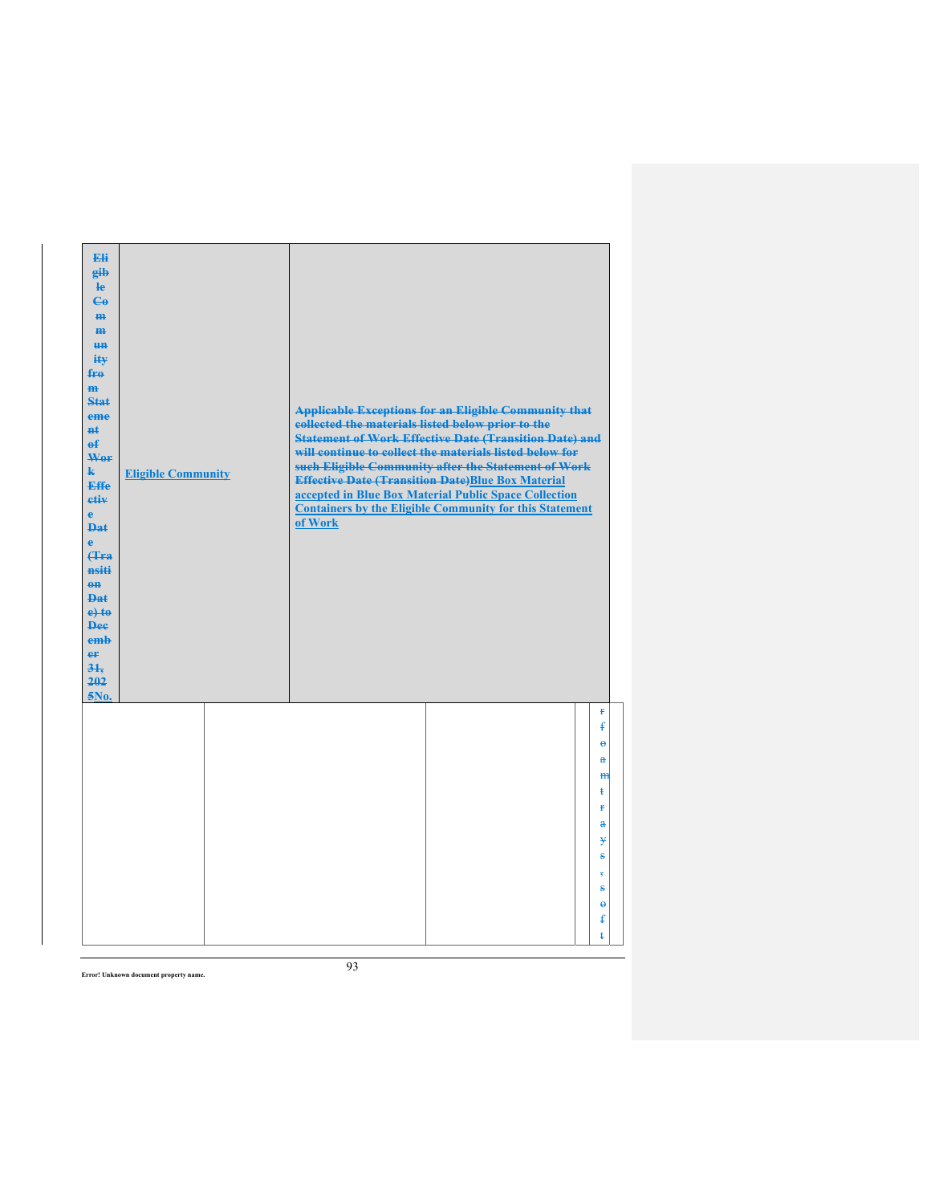| Eli<br>gib<br>He<br>$\epsilon$<br>H <sub>H</sub><br>m<br>H <sub>H</sub><br>ity<br>$f_{\text{H}0}$<br>m<br>Stat<br>eme<br>$H+$<br>$\mathbf{f}$<br>Wer<br>$\mathbf{k}$<br><b>Effe</b><br>etiv<br>$\mathbf{e}$<br><b>Dat</b><br>$\mathbf{e}$<br><b>f</b> Fra<br>nsiti<br>$0$<br><b>Dat</b><br>$e$ +to<br><b>Dee</b><br>emb<br>er<br>31.<br>202<br>5No. | <b>Eligible Community</b> | collected the materials listed below prior to the<br>of Work | <b>Applicable Exceptions for an Eligible Community that</b><br><b>Statement of Work Effective Date (Transition Date) and</b><br>will continue to collect the materials listed below for<br>such Eligible Community after the Statement of Work<br><b>Effective Date (Transition Date)Blue Box Material</b><br>accepted in Blue Box Material Public Space Collection<br><b>Containers by the Eligible Community for this Statement</b> |                                        |
|-----------------------------------------------------------------------------------------------------------------------------------------------------------------------------------------------------------------------------------------------------------------------------------------------------------------------------------------------------|---------------------------|--------------------------------------------------------------|---------------------------------------------------------------------------------------------------------------------------------------------------------------------------------------------------------------------------------------------------------------------------------------------------------------------------------------------------------------------------------------------------------------------------------------|----------------------------------------|
|                                                                                                                                                                                                                                                                                                                                                     |                           |                                                              |                                                                                                                                                                                                                                                                                                                                                                                                                                       | Ŧ<br>$\mathbf{f}$<br>ĕ<br>$\mathbf{a}$ |
|                                                                                                                                                                                                                                                                                                                                                     |                           |                                                              |                                                                                                                                                                                                                                                                                                                                                                                                                                       | H <sub>H</sub><br>ŧ<br><b>f</b>        |
|                                                                                                                                                                                                                                                                                                                                                     |                           |                                                              |                                                                                                                                                                                                                                                                                                                                                                                                                                       | $\mathbf{a}$<br>¥                      |
|                                                                                                                                                                                                                                                                                                                                                     |                           |                                                              |                                                                                                                                                                                                                                                                                                                                                                                                                                       | ŝ<br>$\overline{\mathbf{5}}$           |
|                                                                                                                                                                                                                                                                                                                                                     |                           |                                                              |                                                                                                                                                                                                                                                                                                                                                                                                                                       | s<br>$\ddot{\boldsymbol{\theta}}$      |
|                                                                                                                                                                                                                                                                                                                                                     |                           |                                                              |                                                                                                                                                                                                                                                                                                                                                                                                                                       | $\mathbf{f}$<br>ŧ                      |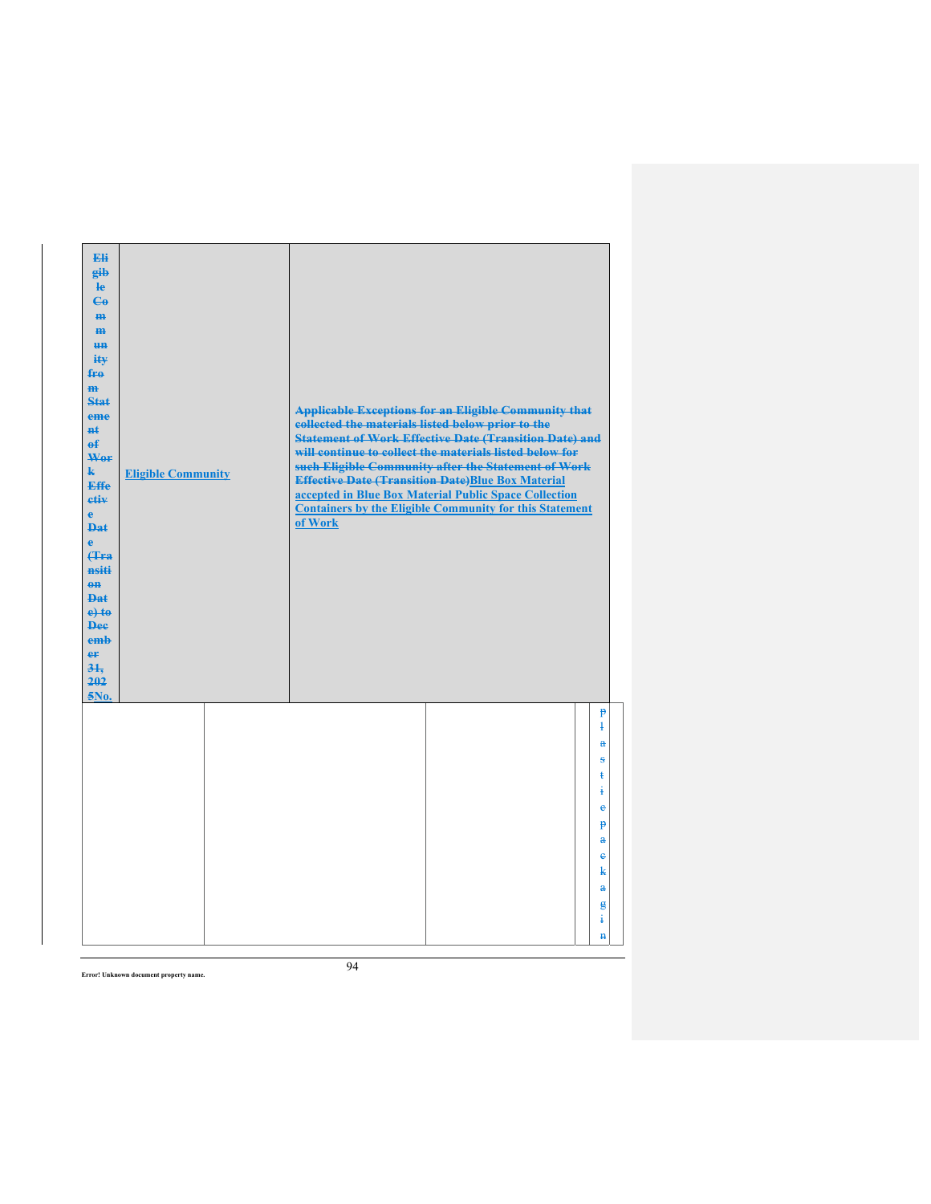| Eli<br>gib<br>He<br>$\epsilon$<br>H <sub>H</sub><br>m<br>H <sub>H</sub><br>ity<br>fro<br>$\mathbf{m}$<br>Stat<br>eme<br>#£<br>$\mathbf{f}$<br>Wer<br>$\mathbf{k}$<br><b>Effe</b><br>etiv<br>$\mathbf{e}$<br><b>Dat</b><br>è<br><b>f</b> Fra<br>nsiti<br>$0$<br>Dat<br>$e$ +to<br><b>Dee</b><br>emb<br>er<br>31.<br>202<br>5No. | <b>Eligible Community</b> | collected the materials listed below prior to the<br>of Work | <b>Applicable Exceptions for an Eligible Community that</b><br><b>Statement of Work Effective Date (Transition Date) and</b><br>will continue to collect the materials listed below for<br>such Eligible Community after the Statement of Work<br><b>Effective Date (Transition Date)Blue Box Material</b><br>accepted in Blue Box Material Public Space Collection<br><b>Containers by the Eligible Community for this Statement</b> |                                |
|--------------------------------------------------------------------------------------------------------------------------------------------------------------------------------------------------------------------------------------------------------------------------------------------------------------------------------|---------------------------|--------------------------------------------------------------|---------------------------------------------------------------------------------------------------------------------------------------------------------------------------------------------------------------------------------------------------------------------------------------------------------------------------------------------------------------------------------------------------------------------------------------|--------------------------------|
|                                                                                                                                                                                                                                                                                                                                |                           |                                                              |                                                                                                                                                                                                                                                                                                                                                                                                                                       | $\mathbf{P}$<br>$\overline{1}$ |
|                                                                                                                                                                                                                                                                                                                                |                           |                                                              |                                                                                                                                                                                                                                                                                                                                                                                                                                       | å                              |
|                                                                                                                                                                                                                                                                                                                                |                           |                                                              |                                                                                                                                                                                                                                                                                                                                                                                                                                       | s                              |
|                                                                                                                                                                                                                                                                                                                                |                           |                                                              |                                                                                                                                                                                                                                                                                                                                                                                                                                       | ŧ<br>ŧ                         |
|                                                                                                                                                                                                                                                                                                                                |                           |                                                              |                                                                                                                                                                                                                                                                                                                                                                                                                                       | e                              |
|                                                                                                                                                                                                                                                                                                                                |                           |                                                              |                                                                                                                                                                                                                                                                                                                                                                                                                                       | $\mathbf{p}$                   |
|                                                                                                                                                                                                                                                                                                                                |                           |                                                              |                                                                                                                                                                                                                                                                                                                                                                                                                                       | a                              |
|                                                                                                                                                                                                                                                                                                                                |                           |                                                              |                                                                                                                                                                                                                                                                                                                                                                                                                                       | $\ddot{\textbf{e}}$            |
|                                                                                                                                                                                                                                                                                                                                |                           |                                                              |                                                                                                                                                                                                                                                                                                                                                                                                                                       | k                              |
|                                                                                                                                                                                                                                                                                                                                |                           |                                                              |                                                                                                                                                                                                                                                                                                                                                                                                                                       | $\mathbf{a}$                   |
|                                                                                                                                                                                                                                                                                                                                |                           |                                                              |                                                                                                                                                                                                                                                                                                                                                                                                                                       | g<br>÷.                        |
|                                                                                                                                                                                                                                                                                                                                |                           |                                                              |                                                                                                                                                                                                                                                                                                                                                                                                                                       | $\mathbf{H}$                   |
|                                                                                                                                                                                                                                                                                                                                |                           |                                                              |                                                                                                                                                                                                                                                                                                                                                                                                                                       |                                |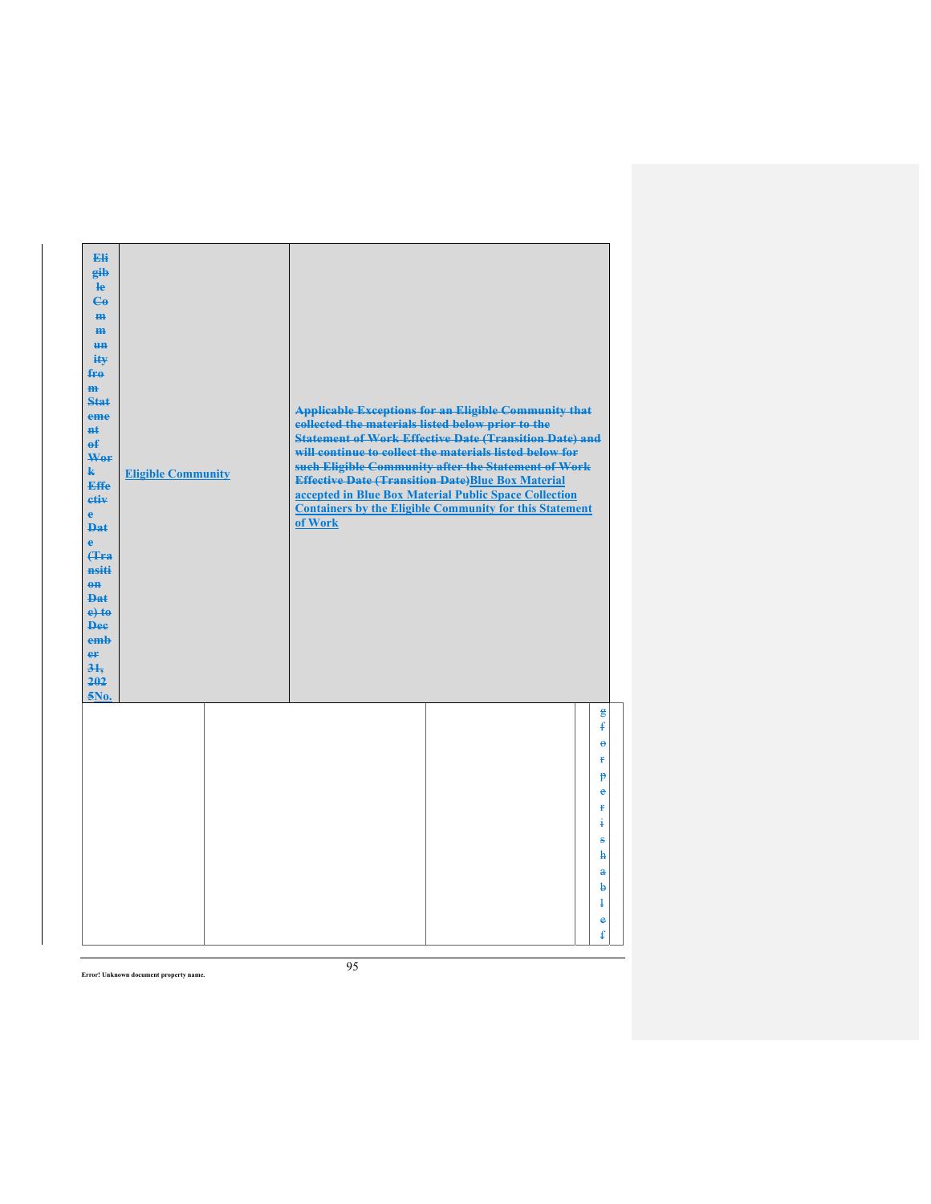| Eli<br>gib<br>He<br>$\epsilon$<br>H <sub>H</sub><br>m<br>H <sub>H</sub><br>ity<br>fro<br>$\mathbf{m}$<br>Stat<br>eme<br>#£<br>$\mathbf{f}$<br>Wer<br>$\mathbf{k}$<br><b>Effe</b><br>etiv<br>$\mathbf{e}$<br><b>Dat</b><br>è<br><b>f</b> Fra<br>nsiti<br>$0$<br>Dat<br>$e$ +to<br><b>Dee</b><br>emb<br>er<br>31.<br>202<br>5No. | <b>Eligible Community</b> | collected the materials listed below prior to the<br>of Work | <b>Applicable Exceptions for an Eligible Community that</b><br><b>Statement of Work Effective Date (Transition Date) and</b><br>will continue to collect the materials listed below for<br>such Eligible Community after the Statement of Work<br><b>Effective Date (Transition Date)Blue Box Material</b><br>accepted in Blue Box Material Public Space Collection<br><b>Containers by the Eligible Community for this Statement</b> |                          |
|--------------------------------------------------------------------------------------------------------------------------------------------------------------------------------------------------------------------------------------------------------------------------------------------------------------------------------|---------------------------|--------------------------------------------------------------|---------------------------------------------------------------------------------------------------------------------------------------------------------------------------------------------------------------------------------------------------------------------------------------------------------------------------------------------------------------------------------------------------------------------------------------|--------------------------|
|                                                                                                                                                                                                                                                                                                                                |                           |                                                              |                                                                                                                                                                                                                                                                                                                                                                                                                                       | g<br>$\mathbf{f}$        |
|                                                                                                                                                                                                                                                                                                                                |                           |                                                              |                                                                                                                                                                                                                                                                                                                                                                                                                                       | ĕ                        |
|                                                                                                                                                                                                                                                                                                                                |                           |                                                              |                                                                                                                                                                                                                                                                                                                                                                                                                                       | Ŧ                        |
|                                                                                                                                                                                                                                                                                                                                |                           |                                                              |                                                                                                                                                                                                                                                                                                                                                                                                                                       | p                        |
|                                                                                                                                                                                                                                                                                                                                |                           |                                                              |                                                                                                                                                                                                                                                                                                                                                                                                                                       | $\ddot{\textbf{e}}$<br>ŧ |
|                                                                                                                                                                                                                                                                                                                                |                           |                                                              |                                                                                                                                                                                                                                                                                                                                                                                                                                       | ŧ                        |
|                                                                                                                                                                                                                                                                                                                                |                           |                                                              |                                                                                                                                                                                                                                                                                                                                                                                                                                       | s                        |
|                                                                                                                                                                                                                                                                                                                                |                           |                                                              |                                                                                                                                                                                                                                                                                                                                                                                                                                       | ħ                        |
|                                                                                                                                                                                                                                                                                                                                |                           |                                                              |                                                                                                                                                                                                                                                                                                                                                                                                                                       | $\mathbf{a}$             |
|                                                                                                                                                                                                                                                                                                                                |                           |                                                              |                                                                                                                                                                                                                                                                                                                                                                                                                                       | b                        |
|                                                                                                                                                                                                                                                                                                                                |                           |                                                              |                                                                                                                                                                                                                                                                                                                                                                                                                                       | ŧ                        |
|                                                                                                                                                                                                                                                                                                                                |                           |                                                              |                                                                                                                                                                                                                                                                                                                                                                                                                                       | e                        |
|                                                                                                                                                                                                                                                                                                                                |                           |                                                              |                                                                                                                                                                                                                                                                                                                                                                                                                                       | ŧ                        |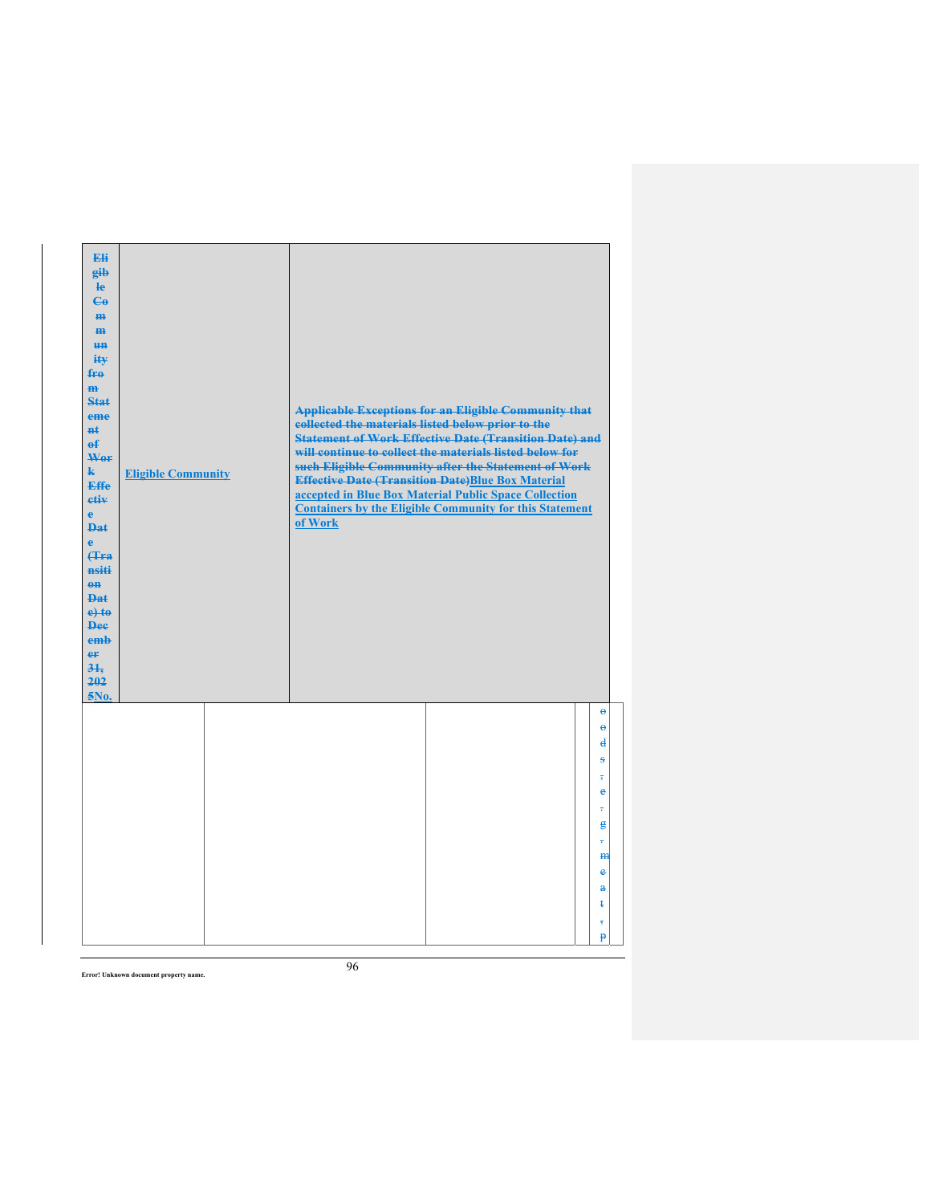| Eli<br>gib<br>He<br>$\epsilon$<br>H <sub>H</sub><br>m<br>H <sub>H</sub><br>ity<br>fro<br>$\mathbf{m}$<br>Stat<br>eme<br>#£<br>$\mathbf{f}$<br>Wer<br>$\mathbf{k}$<br><b>Effe</b><br>etiv<br>$\mathbf{e}$<br><b>Dat</b><br>è<br><b>f</b> Fra<br>nsiti<br>$0$<br>Dat<br>$e$ +to<br><b>Dee</b><br>emb<br>er<br>31.<br>202<br>5No. | <b>Eligible Community</b> | of Work | <b>Applicable Exceptions for an Eligible Community that</b><br>collected the materials listed below prior to the<br><b>Statement of Work Effective Date (Transition Date) and</b><br>will continue to collect the materials listed below for<br>such Eligible Community after the Statement of Work<br><b>Effective Date (Transition Date)Blue Box Material</b><br>accepted in Blue Box Material Public Space Collection<br><b>Containers by the Eligible Community for this Statement</b> |                                               |
|--------------------------------------------------------------------------------------------------------------------------------------------------------------------------------------------------------------------------------------------------------------------------------------------------------------------------------|---------------------------|---------|--------------------------------------------------------------------------------------------------------------------------------------------------------------------------------------------------------------------------------------------------------------------------------------------------------------------------------------------------------------------------------------------------------------------------------------------------------------------------------------------|-----------------------------------------------|
|                                                                                                                                                                                                                                                                                                                                |                           |         |                                                                                                                                                                                                                                                                                                                                                                                                                                                                                            | $\Theta$<br>$\ddot{\theta}$<br>₫<br>s<br>e    |
|                                                                                                                                                                                                                                                                                                                                |                           |         |                                                                                                                                                                                                                                                                                                                                                                                                                                                                                            | ÷<br>$\mathbf{g}$<br>÷<br>H <sub>H</sub><br>e |
|                                                                                                                                                                                                                                                                                                                                |                           |         |                                                                                                                                                                                                                                                                                                                                                                                                                                                                                            | $\mathbf{a}$<br>ŧ<br>$\overline{5}$<br>p      |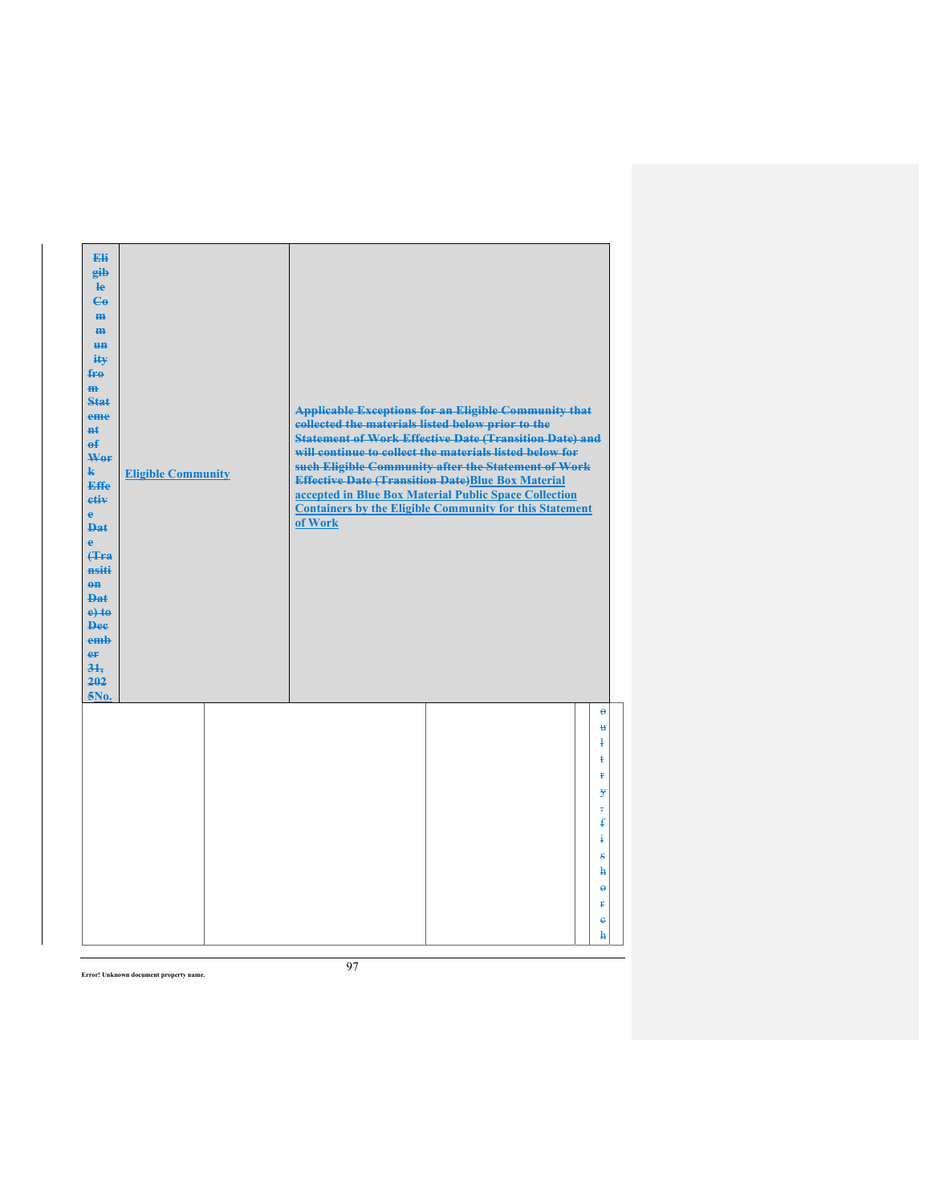| Eli<br>gib<br>He<br>$\epsilon$<br>H <sub>H</sub><br>m<br>H <sub>H</sub><br>ity<br>fro<br>$\mathbf{m}$<br>Stat<br>eme<br>#£<br>$\mathbf{f}$<br>Wer<br>$\mathbf{k}$<br><b>Effe</b><br>etiv<br>$\mathbf{e}$<br><b>Dat</b><br>è<br><b>f</b> Fra<br>nsiti<br>$0$<br>Dat<br>$e$ +to<br><b>Dee</b><br>emb<br>er<br>31.<br>202<br>5No. | <b>Eligible Community</b> | collected the materials listed below prior to the<br>of Work | <b>Applicable Exceptions for an Eligible Community that</b><br><b>Statement of Work Effective Date (Transition Date) and</b><br>will continue to collect the materials listed below for<br>such Eligible Community after the Statement of Work<br><b>Effective Date (Transition Date)Blue Box Material</b><br>accepted in Blue Box Material Public Space Collection<br><b>Containers by the Eligible Community for this Statement</b> |                                          |
|--------------------------------------------------------------------------------------------------------------------------------------------------------------------------------------------------------------------------------------------------------------------------------------------------------------------------------|---------------------------|--------------------------------------------------------------|---------------------------------------------------------------------------------------------------------------------------------------------------------------------------------------------------------------------------------------------------------------------------------------------------------------------------------------------------------------------------------------------------------------------------------------|------------------------------------------|
|                                                                                                                                                                                                                                                                                                                                |                           |                                                              |                                                                                                                                                                                                                                                                                                                                                                                                                                       | $\ddot{\theta}$<br>u<br>ļ<br>ŧ<br>Ŧ<br>¥ |
|                                                                                                                                                                                                                                                                                                                                |                           |                                                              |                                                                                                                                                                                                                                                                                                                                                                                                                                       | $\overline{5}$<br>ŧ<br>į<br>s            |
|                                                                                                                                                                                                                                                                                                                                |                           |                                                              |                                                                                                                                                                                                                                                                                                                                                                                                                                       | ħ<br>$\ddot{\mathbf{e}}$<br>Ŧ<br>ė<br>ħ  |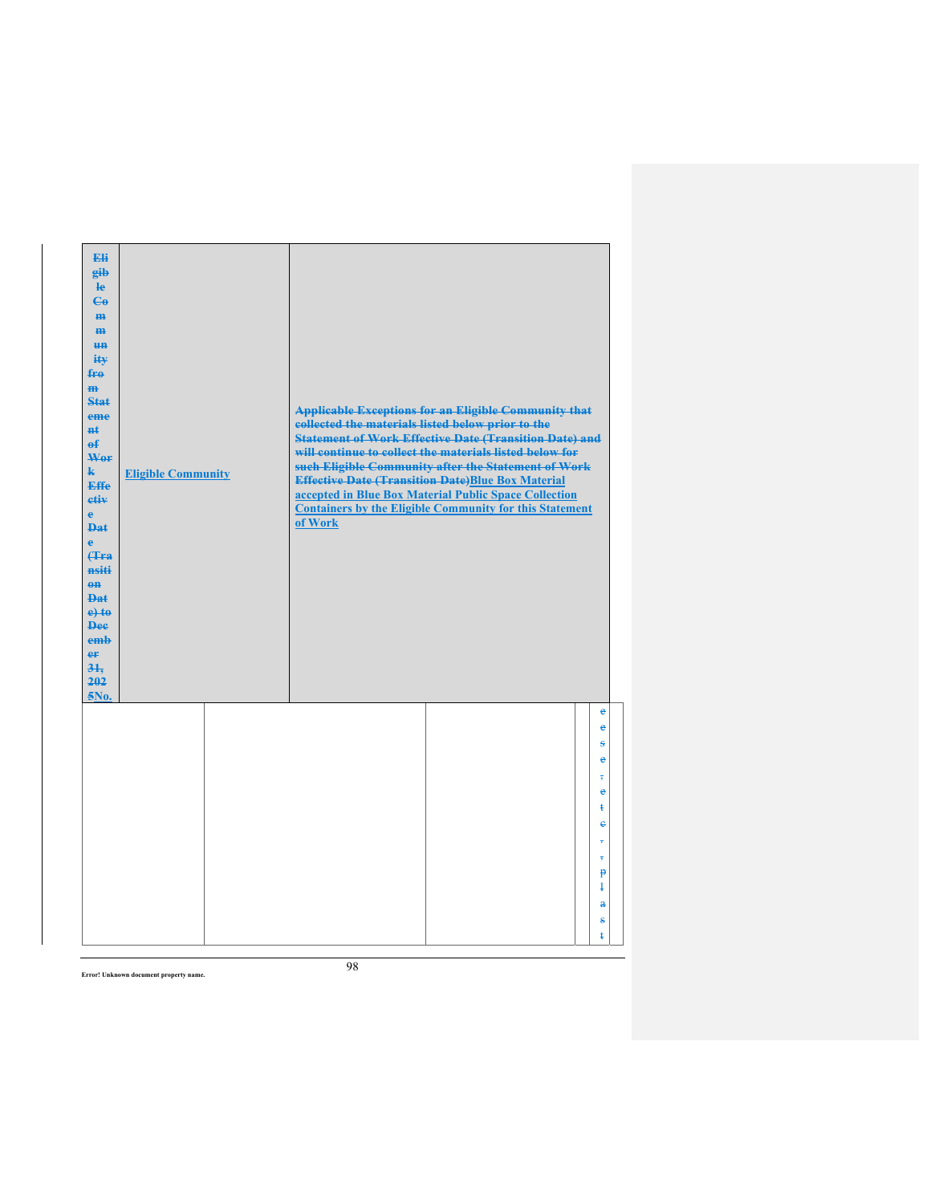|  | of Work                   |                                                                                                               |                                                                                                                                                                                                                                                                                                                                                                           |
|--|---------------------------|---------------------------------------------------------------------------------------------------------------|---------------------------------------------------------------------------------------------------------------------------------------------------------------------------------------------------------------------------------------------------------------------------------------------------------------------------------------------------------------------------|
|  |                           |                                                                                                               | ė<br>e<br>Ŝ<br>e<br>è                                                                                                                                                                                                                                                                                                                                                     |
|  |                           |                                                                                                               | ŧ<br>e<br>÷<br>$\overline{\overline{s}}$<br>$\mathbf{P}$<br>$\ddagger$<br>$\mathbf{a}$<br>$\bf{s}$                                                                                                                                                                                                                                                                        |
|  | <b>Eligible Community</b> | collected the materials listed below prior to the<br><b>Effective Date (Transition Date)Blue Box Material</b> | <b>Applicable Exceptions for an Eligible Community that</b><br><b>Statement of Work Effective Date (Transition Date) and</b><br>will continue to collect the materials listed below for<br>such Eligible Community after the Statement of Work<br>accepted in Blue Box Material Public Space Collection<br><b>Containers by the Eligible Community for this Statement</b> |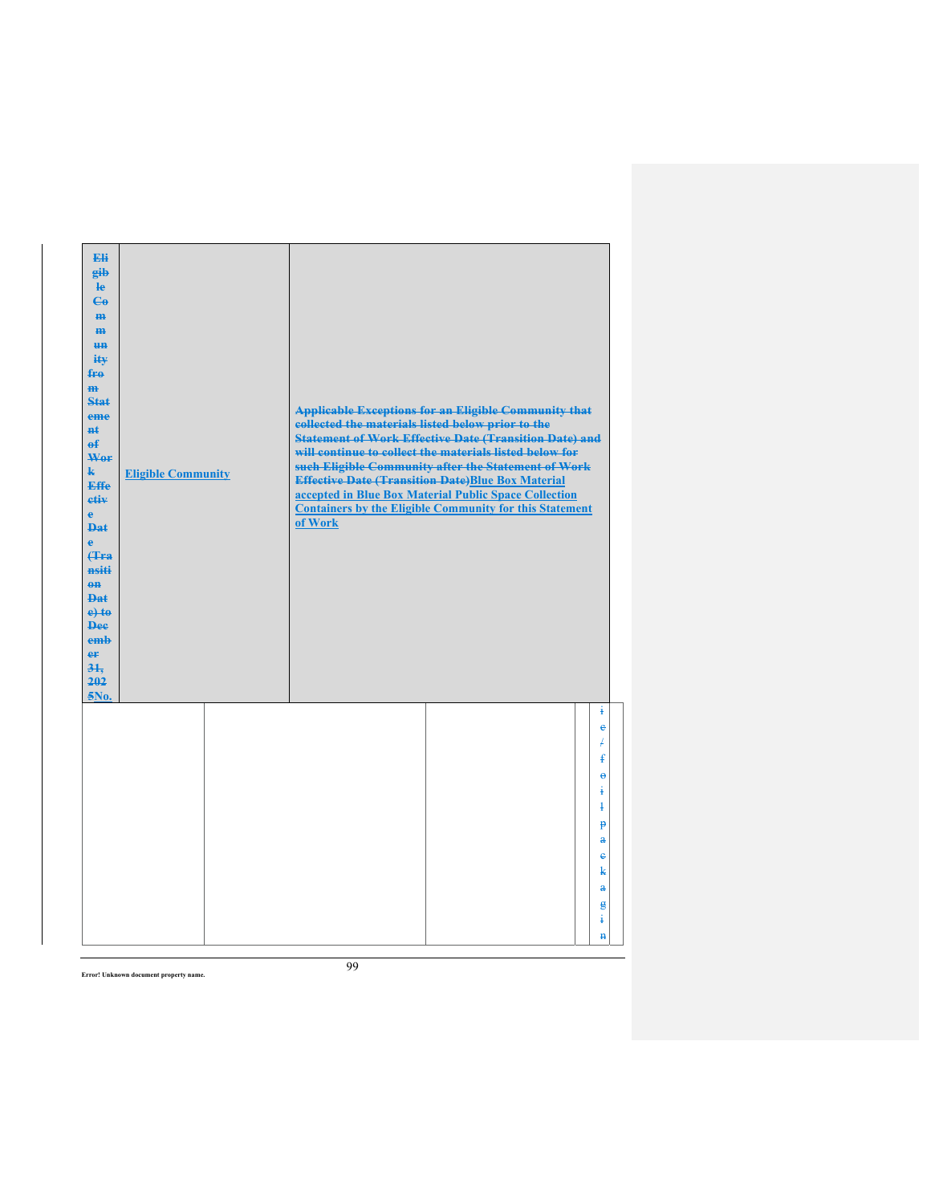| Eli<br>gib<br>$\mathbf{e}$<br>$\epsilon$<br>m-<br>$\mathbf{m}$<br><b>HH</b><br>iŧ¥<br>$f_{\text{H}0}$<br>$\mathbf{m}$<br>Stat<br>eme<br>#£<br>$\mathbf{f}$<br>Wer<br>$\mathbf{k}$<br><b>Effe</b><br>etiv<br>$\mathbf{e}$<br><b>Dat</b><br>$\ddot{\mathbf{e}}$<br>Hra<br>nsiti<br>$0$<br><b>Dat</b><br>$e$ + $t$ $e$<br><b>Dee</b><br>emh<br>er<br>31.<br>202<br>5No. | <b>Eligible Community</b> | collected the materials listed below prior to the<br>of Work | <b>Applicable Exceptions for an Eligible Community that</b><br><b>Statement of Work Effective Date (Transition Date) and</b><br>will continue to collect the materials listed below for<br>such Eligible Community after the Statement of Work<br><b>Effective Date (Transition Date)Blue Box Material</b><br>accepted in Blue Box Material Public Space Collection<br><b>Containers by the Eligible Community for this Statement</b> |                                                                                                                                                                       |
|----------------------------------------------------------------------------------------------------------------------------------------------------------------------------------------------------------------------------------------------------------------------------------------------------------------------------------------------------------------------|---------------------------|--------------------------------------------------------------|---------------------------------------------------------------------------------------------------------------------------------------------------------------------------------------------------------------------------------------------------------------------------------------------------------------------------------------------------------------------------------------------------------------------------------------|-----------------------------------------------------------------------------------------------------------------------------------------------------------------------|
|                                                                                                                                                                                                                                                                                                                                                                      |                           |                                                              |                                                                                                                                                                                                                                                                                                                                                                                                                                       | ŧ<br>e<br>Ŧ<br>ŧ<br>$\ddot{\theta}$<br>÷<br>$\ddagger$<br>$\mathbf{p}$<br>$\mathbf{a}$<br>$\ddot{\textbf{e}}$<br>k<br>$\mathbf{a}$<br>$\epsilon$<br>ŧ<br>$\mathbf{H}$ |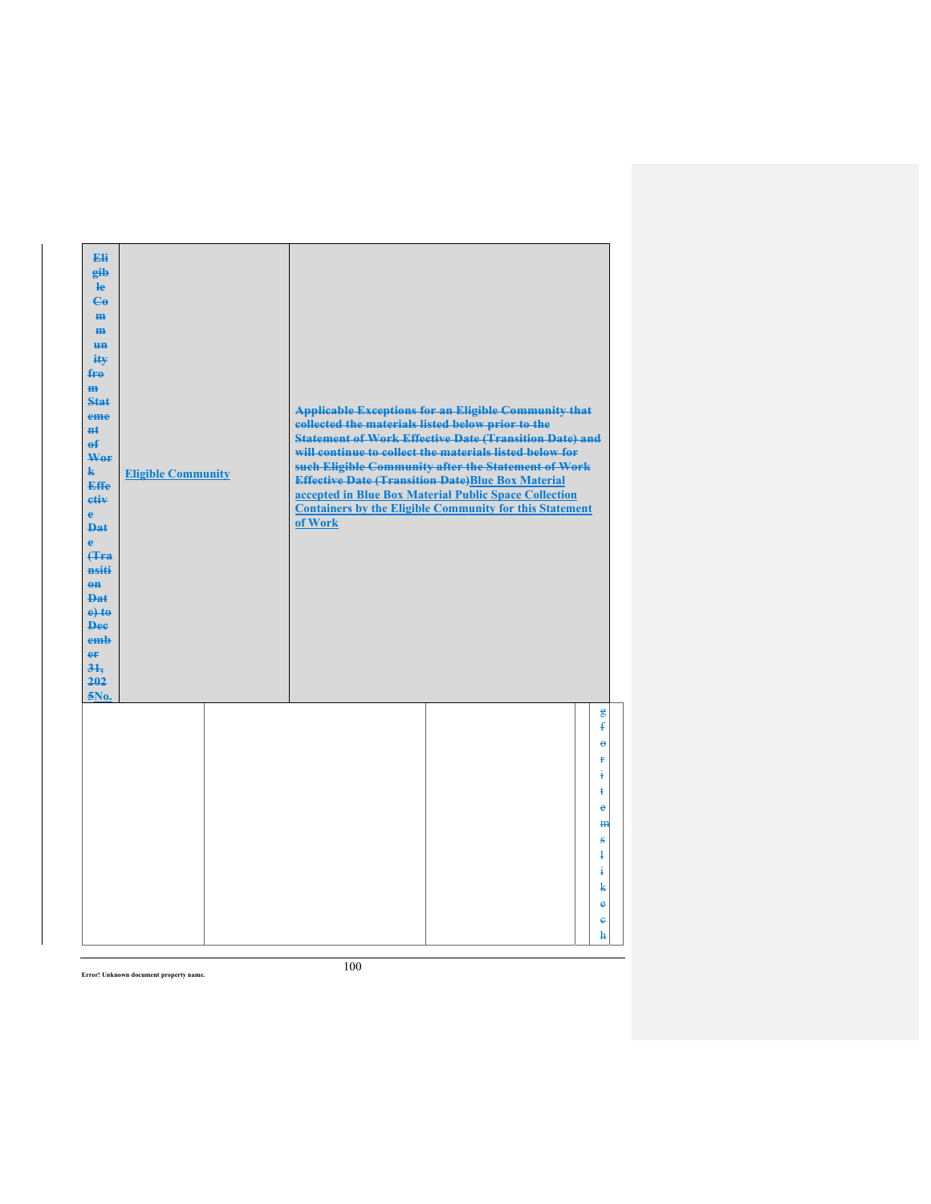| Eli<br>gib<br>$\mathbf{e}$<br>$\mathbf{G}$<br>m-<br>m<br><b>HH</b><br>iŧ¥<br>$f_{\text{H}0}$<br>$\mathbf{m}$<br>Stat<br>eme<br>#£<br>$\mathbf{f}$<br>Wer<br>$\mathbf{k}$<br><b>Effe</b><br>etiv<br>$\mathbf{e}$<br><b>Dat</b><br>$\mathbf{e}$<br>Hra<br>nsiti<br>$0$<br><b>Dat</b><br>$e$ + $t$ $e$<br><b>Dee</b><br>emh<br>er<br>31.<br>202<br>5No. | <b>Eligible Community</b> | collected the materials listed below prior to the<br>of Work | <b>Applicable Exceptions for an Eligible Community that</b><br><b>Statement of Work Effective Date (Transition Date) and</b><br>will continue to collect the materials listed below for<br>such Eligible Community after the Statement of Work<br><b>Effective Date (Transition Date)Blue Box Material</b><br>accepted in Blue Box Material Public Space Collection<br><b>Containers by the Eligible Community for this Statement</b> |                                                                                                                                        |
|------------------------------------------------------------------------------------------------------------------------------------------------------------------------------------------------------------------------------------------------------------------------------------------------------------------------------------------------------|---------------------------|--------------------------------------------------------------|---------------------------------------------------------------------------------------------------------------------------------------------------------------------------------------------------------------------------------------------------------------------------------------------------------------------------------------------------------------------------------------------------------------------------------------|----------------------------------------------------------------------------------------------------------------------------------------|
|                                                                                                                                                                                                                                                                                                                                                      |                           |                                                              |                                                                                                                                                                                                                                                                                                                                                                                                                                       | g<br>$\mathbf{f}$<br>ĕ<br>Ŧ<br>ŧ<br>ŧ<br>è<br>m<br>$\bf{s}$<br>$\ddagger$<br>ŧ<br>k<br>$\ddot{\textbf{e}}$<br>$\ddot{\textbf{e}}$<br>h |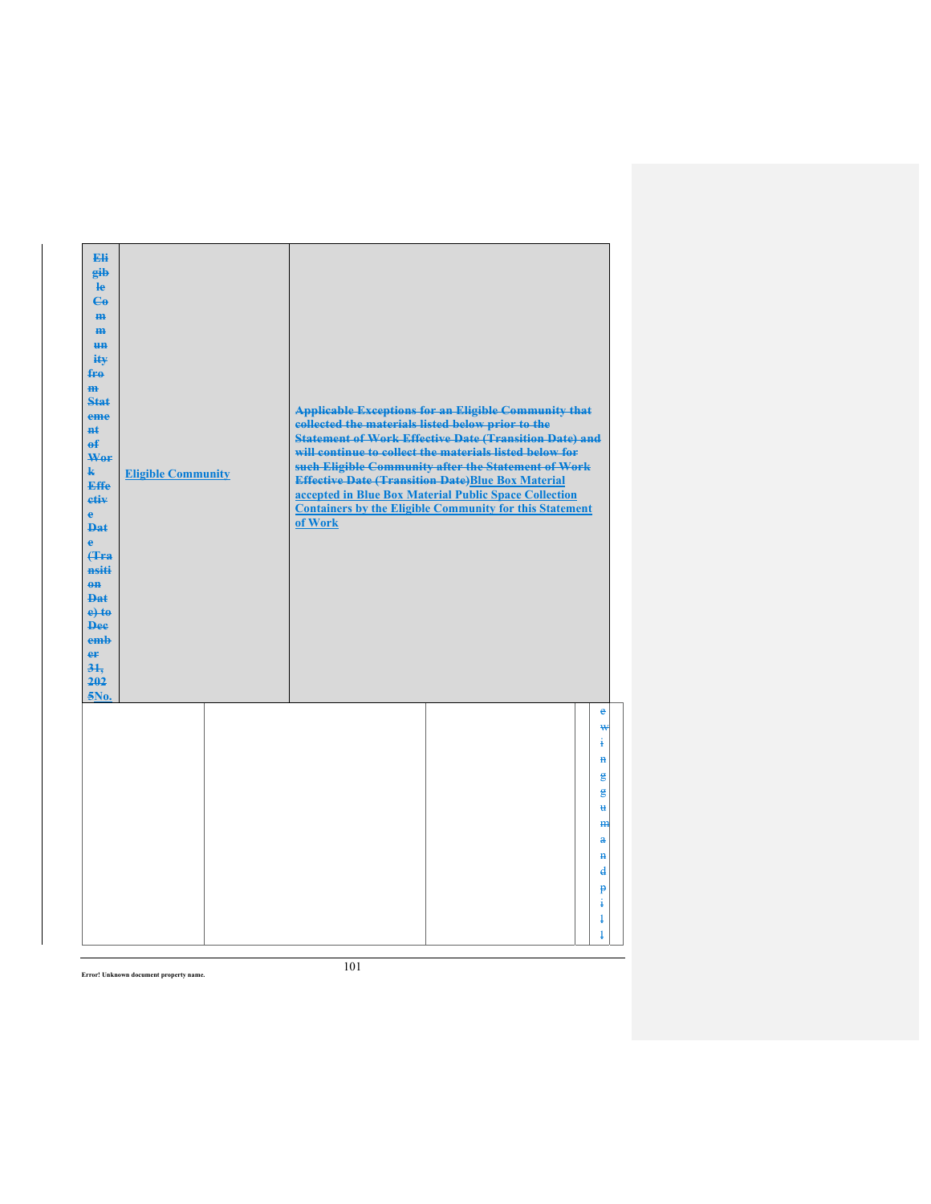| Eli<br>eib<br>$\mathbf{e}$<br>$\mathbf{e}_0$<br>H <sub>H</sub><br>$\mathbf{m}$<br><b>un</b><br>iŧ¥<br>fro<br>$\mathbf{m}$<br><b>Stat</b><br>eme<br>$H+$<br>$\mathbf{f}$<br>Wer<br>$\mathbf{k}$<br><b>Effe</b><br>etiv<br>$\mathbf{e}$<br><b>Dat</b><br>$\ddot{\textbf{e}}$<br><b>(Tra</b><br>nsiti<br>$0$<br><b>Dat</b><br>$e$ + $t$ $e$<br><b>Dee</b><br>emb<br>er<br>31 <sub>1</sub><br>202<br>5No. | <b>Eligible Community</b> | collected the materials listed below prior to the<br>of Work | <b>Applicable Exceptions for an Eligible Community that</b><br><b>Statement of Work Effective Date (Transition Date) and</b><br>will continue to collect the materials listed below for<br>such Eligible Community after the Statement of Work<br><b>Effective Date (Transition Date)Blue Box Material</b><br>accepted in Blue Box Material Public Space Collection<br><b>Containers by the Eligible Community for this Statement</b> |                                                                                                             |
|-------------------------------------------------------------------------------------------------------------------------------------------------------------------------------------------------------------------------------------------------------------------------------------------------------------------------------------------------------------------------------------------------------|---------------------------|--------------------------------------------------------------|---------------------------------------------------------------------------------------------------------------------------------------------------------------------------------------------------------------------------------------------------------------------------------------------------------------------------------------------------------------------------------------------------------------------------------------|-------------------------------------------------------------------------------------------------------------|
|                                                                                                                                                                                                                                                                                                                                                                                                       |                           |                                                              |                                                                                                                                                                                                                                                                                                                                                                                                                                       | e<br>₩<br>į.<br>$\mathbf{H}$<br>g<br>g<br>$\mathbf{H}$<br>m<br>$\mathbf{a}$<br>$\mathbf{H}$<br>$\mathbf{d}$ |
|                                                                                                                                                                                                                                                                                                                                                                                                       |                           |                                                              |                                                                                                                                                                                                                                                                                                                                                                                                                                       | P<br>ŧ<br>$\ddagger$<br>$\ddagger$                                                                          |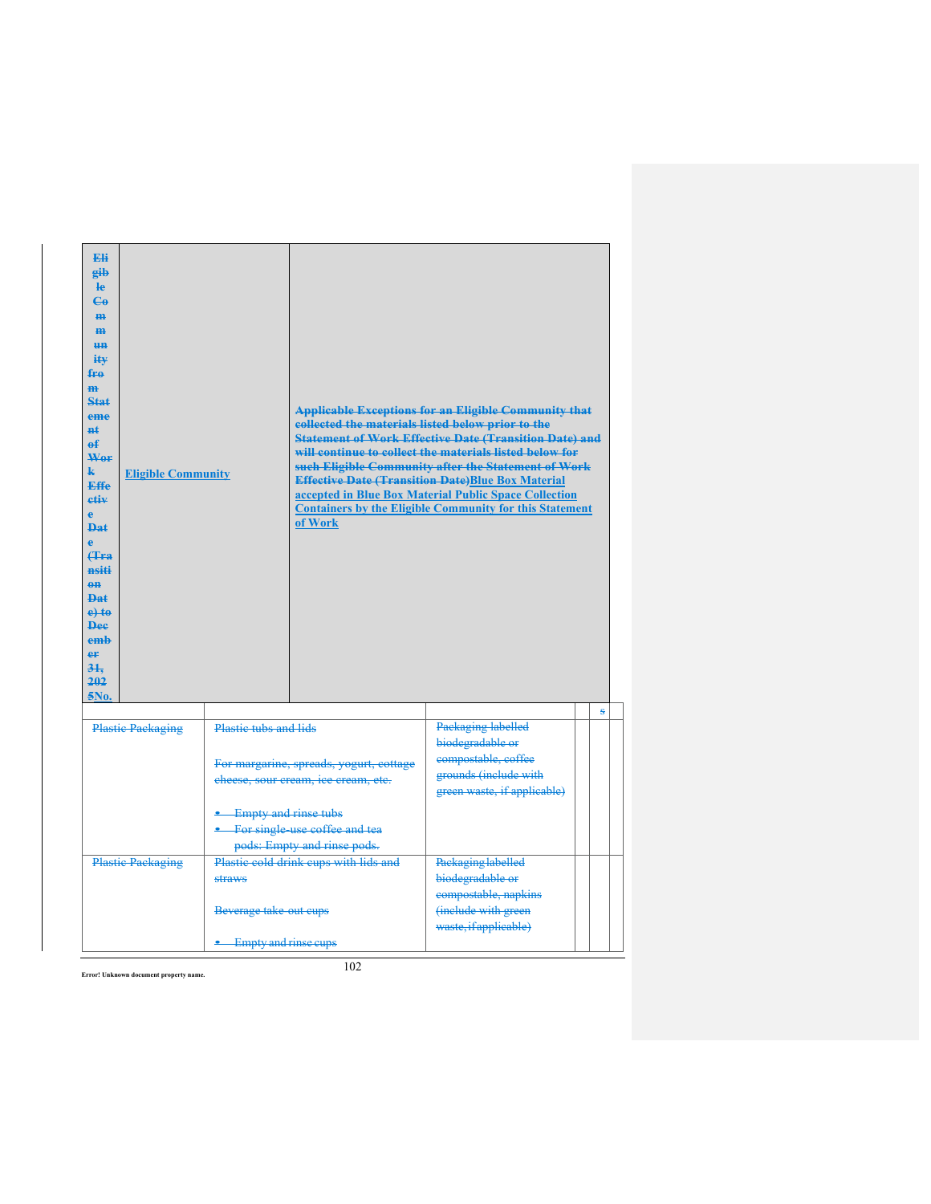| Fli<br>eib<br>$\mathbf{e}$<br>$C_{\theta}$<br>m-<br>$III$<br><b>HH</b><br>iŧ¥<br>fro<br>m.<br>Stat<br>eme<br>#ŧ<br>$\mathbf{f}$<br>Wer<br>k.<br><b>Eligible Community</b><br><b>Effe</b><br>etiv<br>Ā<br><b>Dat</b><br>Ä<br>Hra<br>nsiti<br>$0$<br>Dat<br>$e$ <sup>+</sup><br><b>Dee</b><br>emh<br>er<br>31.<br>202<br>5No. |                                                                                                                                                                                                     | collected the materials listed below prior to the<br>of Work | <b>Applicable Exceptions for an Eligible Community that</b><br><b>Statement of Work Effective Date (Transition Date) and</b><br>will continue to collect the materials listed below for<br>such Eligible Community after the Statement of Work<br><b>Effective Date (Transition Date)Blue Box Material</b><br>accepted in Blue Box Material Public Space Collection<br><b>Containers by the Eligible Community for this Statement</b> |   |
|-----------------------------------------------------------------------------------------------------------------------------------------------------------------------------------------------------------------------------------------------------------------------------------------------------------------------------|-----------------------------------------------------------------------------------------------------------------------------------------------------------------------------------------------------|--------------------------------------------------------------|---------------------------------------------------------------------------------------------------------------------------------------------------------------------------------------------------------------------------------------------------------------------------------------------------------------------------------------------------------------------------------------------------------------------------------------|---|
|                                                                                                                                                                                                                                                                                                                             |                                                                                                                                                                                                     |                                                              |                                                                                                                                                                                                                                                                                                                                                                                                                                       | Ŝ |
| <b>Plastic Packaging</b>                                                                                                                                                                                                                                                                                                    | Plastic tubs and lids<br>For margarine, spreads, yogurt, cottage<br>cheese, sour cream, ice cream, etc.<br>• Empty and rinse tubs<br>• For single-use coffee and tea<br>pods: Empty and rinse pods. |                                                              | Packaging labelled<br>biodegradable or<br>compostable, coffee<br>grounds (include with<br>green waste, if applicable)                                                                                                                                                                                                                                                                                                                 |   |
| <b>Plastic Packaging</b>                                                                                                                                                                                                                                                                                                    | straws<br>Beverage take out cups                                                                                                                                                                    | Plastic cold drink cups with lids and                        | Packaging labelled<br>biodegradable or<br>compostable, napkins<br>(include with green                                                                                                                                                                                                                                                                                                                                                 |   |
|                                                                                                                                                                                                                                                                                                                             | <b>Empty and rinse cups</b>                                                                                                                                                                         |                                                              | waste, if applicable)                                                                                                                                                                                                                                                                                                                                                                                                                 |   |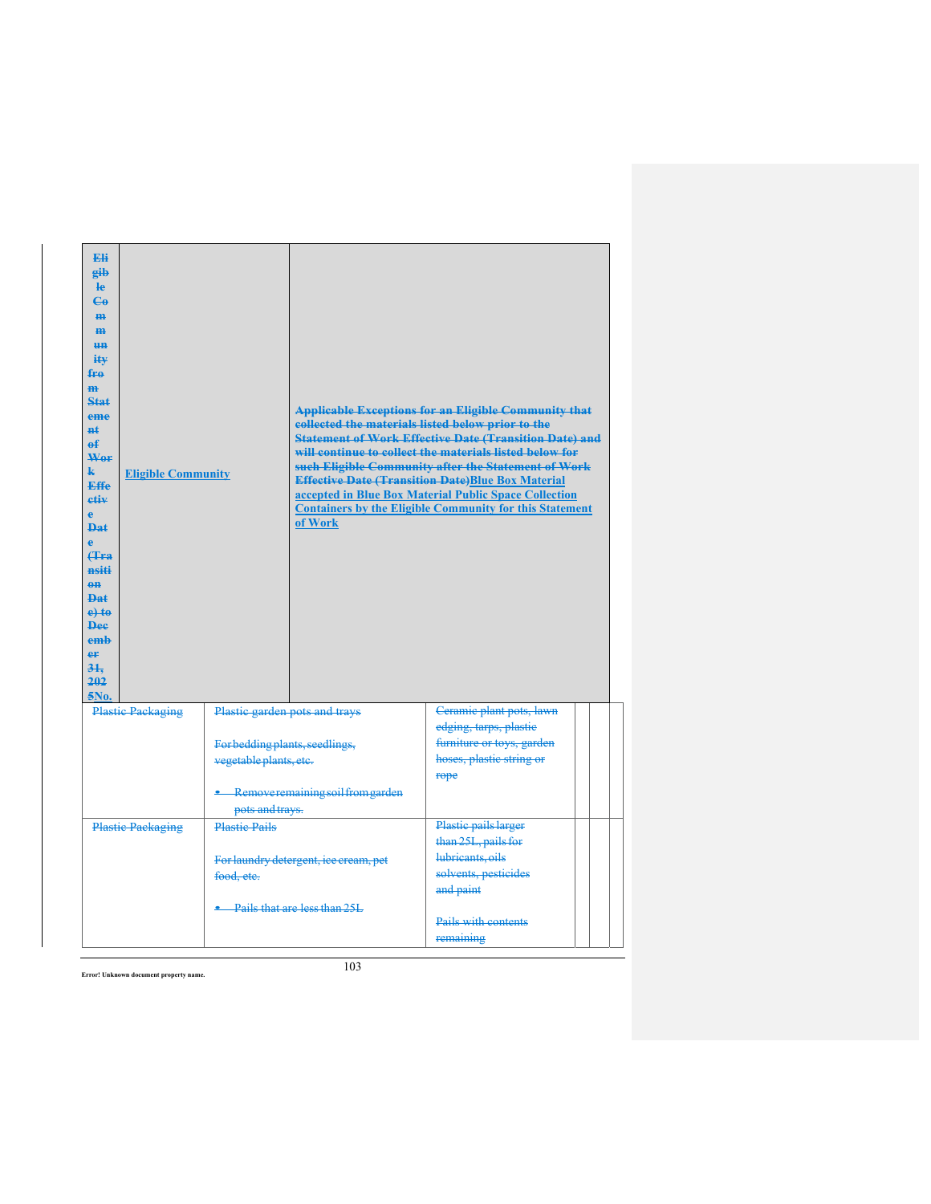| <b>Eli</b><br>eib<br><b>le</b><br>$\mathbf{G}$<br>H <sub>H</sub><br>H <sub>H</sub><br>H <sub>H</sub><br>iŧ¥<br>fro<br>m<br>Stat<br>eme<br>$H+$<br>е£<br>Wer<br>k.<br><b>Eligible Community</b><br><b>Effe</b><br>etiv<br>è<br><b>Dat</b><br>ė<br><b>f</b> Fra<br>nsiti<br>$0$<br><b>Dat</b><br>$e$ <sup>+</sup><br><b>Dee</b><br>emb<br>eF<br>31.<br>202<br>5No. |                                                          | of Work                               | <b>Applicable Exceptions for an Eligible Community that</b><br>collected the materials listed below prior to the<br><b>Statement of Work Effective Date (Transition Date) and</b><br>will continue to collect the materials listed below for<br>such Eligible Community after the Statement of Work<br><b>Effective Date (Transition Date)Blue Box Material</b><br>accepted in Blue Box Material Public Space Collection<br><b>Containers by the Eligible Community for this Statement</b> |  |
|------------------------------------------------------------------------------------------------------------------------------------------------------------------------------------------------------------------------------------------------------------------------------------------------------------------------------------------------------------------|----------------------------------------------------------|---------------------------------------|--------------------------------------------------------------------------------------------------------------------------------------------------------------------------------------------------------------------------------------------------------------------------------------------------------------------------------------------------------------------------------------------------------------------------------------------------------------------------------------------|--|
| <b>Plastic Packaging</b>                                                                                                                                                                                                                                                                                                                                         | Plastic garden pots and trays                            |                                       | Ceramic plant pots, lawn<br>edging, tarps, plastic                                                                                                                                                                                                                                                                                                                                                                                                                                         |  |
|                                                                                                                                                                                                                                                                                                                                                                  | For bedding plants, seedlings,<br>vegetable plants, etc. |                                       | furniture or toys, garden<br>hoses, plastic string or<br>rope                                                                                                                                                                                                                                                                                                                                                                                                                              |  |
|                                                                                                                                                                                                                                                                                                                                                                  | pots and trays.                                          | Remove remaining soil from garden     |                                                                                                                                                                                                                                                                                                                                                                                                                                                                                            |  |
| <b>Plastic Packaging</b>                                                                                                                                                                                                                                                                                                                                         | <b>Plastic Pails</b>                                     |                                       | Plastic pails larger<br>than 25L, pails for                                                                                                                                                                                                                                                                                                                                                                                                                                                |  |
|                                                                                                                                                                                                                                                                                                                                                                  | food, etc.                                               | For laundry detergent, ice cream, pet | lubricants, oils<br>solvents, pesticides<br>and paint                                                                                                                                                                                                                                                                                                                                                                                                                                      |  |
|                                                                                                                                                                                                                                                                                                                                                                  |                                                          | Pails that are less than 25L          | Pails with contents<br>remaining                                                                                                                                                                                                                                                                                                                                                                                                                                                           |  |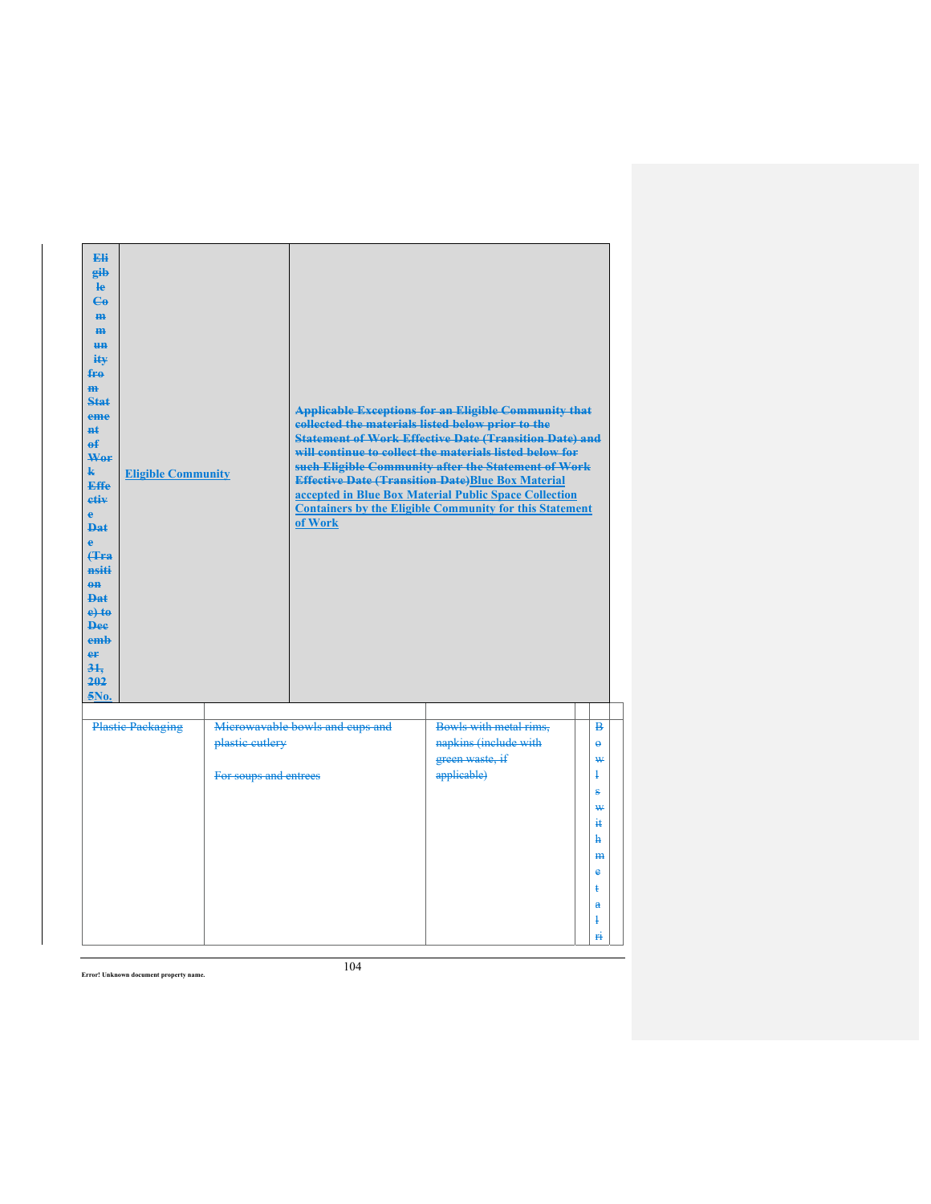| Eli<br>gib<br>He<br>$\mathbf{e}_0$<br><b>m</b><br>H <sub>H</sub><br>H <sub>H</sub><br>ity<br>fro<br>m<br><b>Stat</b><br>eme<br>$n+$<br>е£<br>Wor<br>$\mathbf{k}$<br><b>Effe</b><br>etiv<br>e.<br><b>Dat</b><br>è<br><b>f</b> Fra<br>nsiti<br>$\theta$ <sup><math>\theta</math></sup><br><b>Dat</b><br>$e$ + $t$ $e$<br><b>Dee</b><br>emh<br>er<br>$3+$<br>202<br>5No. | <b>Eligible Community</b> |                                          | collected the materials listed below prior to the<br>of Work | <b>Applicable Exceptions for an Eligible Community that</b><br><b>Statement of Work Effective Date (Transition Date) and</b><br>will continue to collect the materials listed below for<br>such Eligible Community after the Statement of Work<br><b>Effective Date (Transition Date)Blue Box Material</b><br>accepted in Blue Box Material Public Space Collection<br><b>Containers by the Eligible Community for this Statement</b> |                                                                                                                  |  |
|-----------------------------------------------------------------------------------------------------------------------------------------------------------------------------------------------------------------------------------------------------------------------------------------------------------------------------------------------------------------------|---------------------------|------------------------------------------|--------------------------------------------------------------|---------------------------------------------------------------------------------------------------------------------------------------------------------------------------------------------------------------------------------------------------------------------------------------------------------------------------------------------------------------------------------------------------------------------------------------|------------------------------------------------------------------------------------------------------------------|--|
|                                                                                                                                                                                                                                                                                                                                                                       | <b>Plastic Packaging</b>  |                                          | Microwavable bowls and cups and                              | Bowls with metal rims,                                                                                                                                                                                                                                                                                                                                                                                                                | в                                                                                                                |  |
|                                                                                                                                                                                                                                                                                                                                                                       |                           | plastic cutlery<br>For soups and entrees |                                                              | napkins (include with<br>green waste, if<br>applicable)                                                                                                                                                                                                                                                                                                                                                                               | $\ddot{\mathbf{e}}$<br>₩<br>Ŧ<br>÷,<br>₩<br>äŧ.<br>ħ.<br>m<br>$\ddot{\textbf{e}}$<br>ŧ<br>$\mathbf{a}$<br>ł<br>Ĥ |  |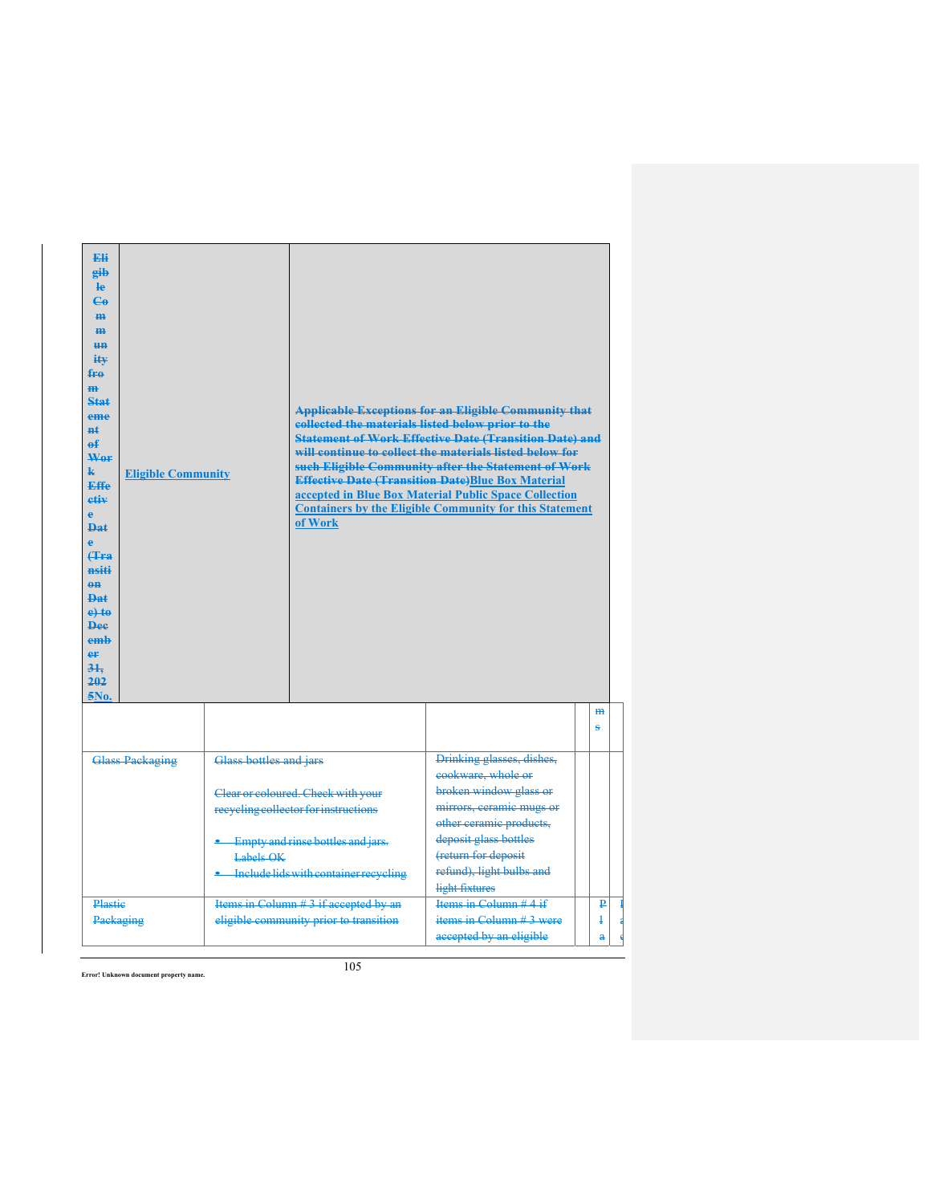| <b>Eli</b><br>eib<br><b>le</b><br>$\mathbf{G}$<br>H <sub>H</sub><br>H <sub>H</sub><br>H <sub>H</sub><br>iŧ¥<br>fro<br>H <sub>H</sub><br>Stat<br>eme<br>$H+$<br>ef<br>Wer<br>$\mathbf{k}$<br><b>Effe</b><br>etiv<br>$\Delta$<br>$\mathbf{p}_{\mathbf{a}\mathbf{f}}$<br>$\bullet$<br>$4F$ ra<br>nsiti<br>$\theta$ <sup><math>\theta</math></sup><br><b>Dat</b><br>$e$ +to<br><b>Dee</b><br>emb<br>er<br>31.<br>202<br>5No. | <b>Eligible Community</b> |                                                                                                                                                                                                          | collected the materials listed below prior to the<br>of Work                    | <b>Applicable Exceptions for an Eligible Community that</b><br><b>Statement of Work Effective Date (Transition Date) and</b><br>will continue to collect the materials listed below for<br>such Eligible Community after the Statement of Work<br><b>Effective Date (Transition Date)Blue Box Material</b><br>accepted in Blue Box Material Public Space Collection<br><b>Containers by the Eligible Community for this Statement</b> |                      |
|--------------------------------------------------------------------------------------------------------------------------------------------------------------------------------------------------------------------------------------------------------------------------------------------------------------------------------------------------------------------------------------------------------------------------|---------------------------|----------------------------------------------------------------------------------------------------------------------------------------------------------------------------------------------------------|---------------------------------------------------------------------------------|---------------------------------------------------------------------------------------------------------------------------------------------------------------------------------------------------------------------------------------------------------------------------------------------------------------------------------------------------------------------------------------------------------------------------------------|----------------------|
|                                                                                                                                                                                                                                                                                                                                                                                                                          |                           |                                                                                                                                                                                                          |                                                                                 |                                                                                                                                                                                                                                                                                                                                                                                                                                       | $\overline{m}$<br>Š. |
| <b>Glass Packaging</b>                                                                                                                                                                                                                                                                                                                                                                                                   |                           | Glass bottles and jars<br>Clear or coloured. Check with your<br>recycling collector for instructions<br><b>Empty and rinse bottles and jars.</b><br>Labels OK<br>• Include lids with container recycling |                                                                                 | Drinking glasses, dishes,<br>cookware, whole or<br>broken window glass or<br>mirrors, ceramic mugs or<br>other ceramic products,<br>deposit glass bottles<br>(return for deposit<br>refund), light bulbs and<br>light fixtures                                                                                                                                                                                                        |                      |
| Plastie<br>Packaging                                                                                                                                                                                                                                                                                                                                                                                                     |                           | Items in Column #3 if accepted by an<br>eligible community prior to transition                                                                                                                           | Items in Column $#4$ if<br>items in Column $#3$ were<br>accepted by an eligible | ₽<br>$\ddagger$<br>å                                                                                                                                                                                                                                                                                                                                                                                                                  |                      |

P a  $\overline{\phantom{a}}$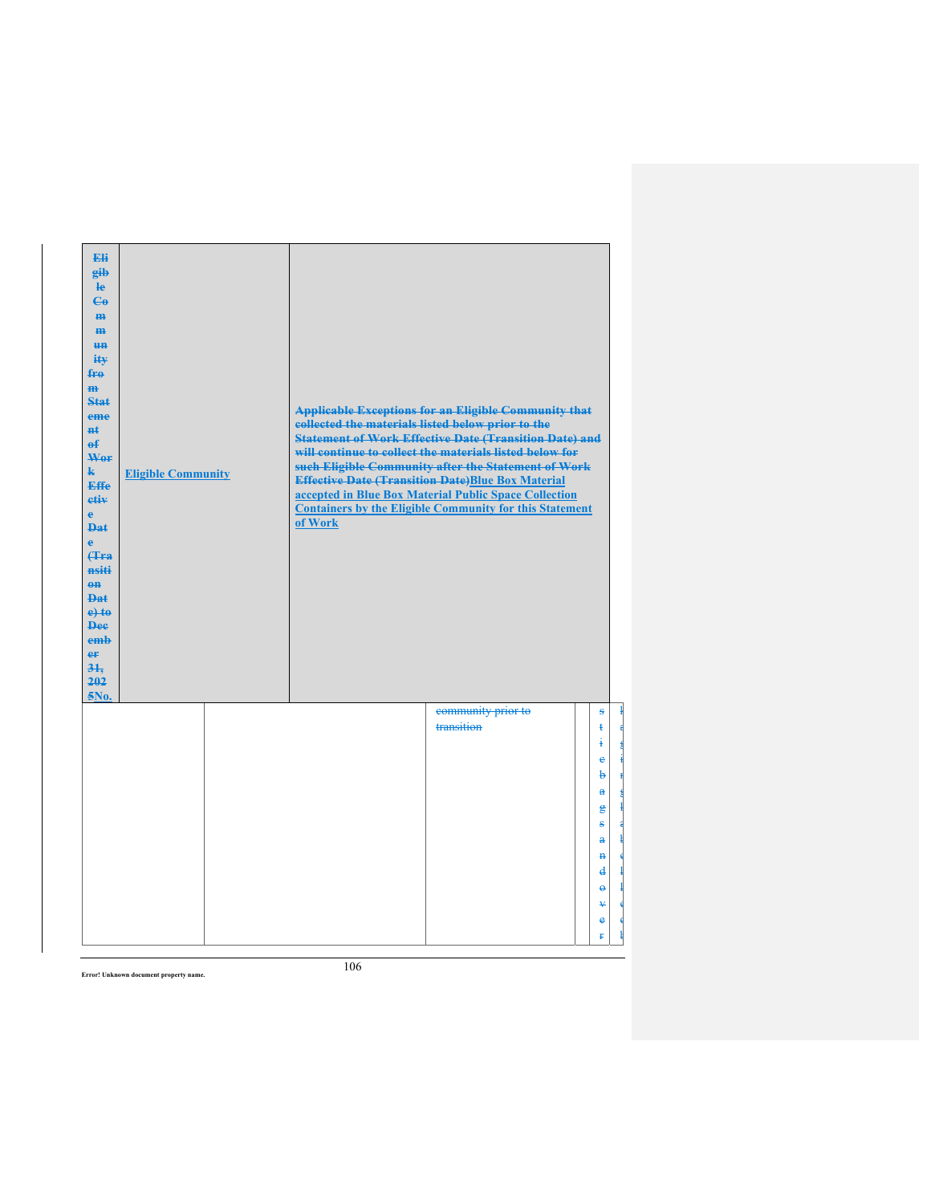| Eli<br>gib<br>$\mathbf{e}$<br>$\mathbf{e}_0$<br>H <sub>H</sub><br>$\mathbf{m}$<br>H <sub>H</sub><br>ity<br>$f_{\text{FA}}$<br>$\overline{m}$<br>Stat<br>eme<br><b>nt</b><br>$\theta$<br>Wor<br>$\mathbf{k}$<br><b>Effe</b><br>etiv<br>$\mathbf{e}$<br><b>Dat</b><br>è<br><b>f</b> Fra<br>nsiti<br>$eff$<br>Dat<br>$e$ +to<br><b>Dee</b><br>emb<br>er<br>31.<br>202<br>5No. | <b>Eligible Community</b> | collected the materials listed below prior to the<br>of Work | <b>Applicable Exceptions for an Eligible Community that</b><br><b>Statement of Work Effective Date (Transition Date) and</b><br>will continue to collect the materials listed below for<br>such Eligible Community after the Statement of Work<br><b>Effective Date (Transition Date)Blue Box Material</b><br>accepted in Blue Box Material Public Space Collection<br><b>Containers by the Eligible Community for this Statement</b> |                                                                                    |
|----------------------------------------------------------------------------------------------------------------------------------------------------------------------------------------------------------------------------------------------------------------------------------------------------------------------------------------------------------------------------|---------------------------|--------------------------------------------------------------|---------------------------------------------------------------------------------------------------------------------------------------------------------------------------------------------------------------------------------------------------------------------------------------------------------------------------------------------------------------------------------------------------------------------------------------|------------------------------------------------------------------------------------|
|                                                                                                                                                                                                                                                                                                                                                                            |                           |                                                              | community prior to<br>transition                                                                                                                                                                                                                                                                                                                                                                                                      | s<br>$\ddagger$<br>4<br>ė<br>$\ddot{a}$<br>$\mathbf{a}$                            |
|                                                                                                                                                                                                                                                                                                                                                                            |                           |                                                              |                                                                                                                                                                                                                                                                                                                                                                                                                                       | $\epsilon$<br>ŝ<br>å<br>$\ddot{\mathbf{H}}$<br>d<br>$\ddot{\phantom{1}}$<br>¥<br>e |

 $\mathbf{k}$ a g i n g l a ł e l l e d ł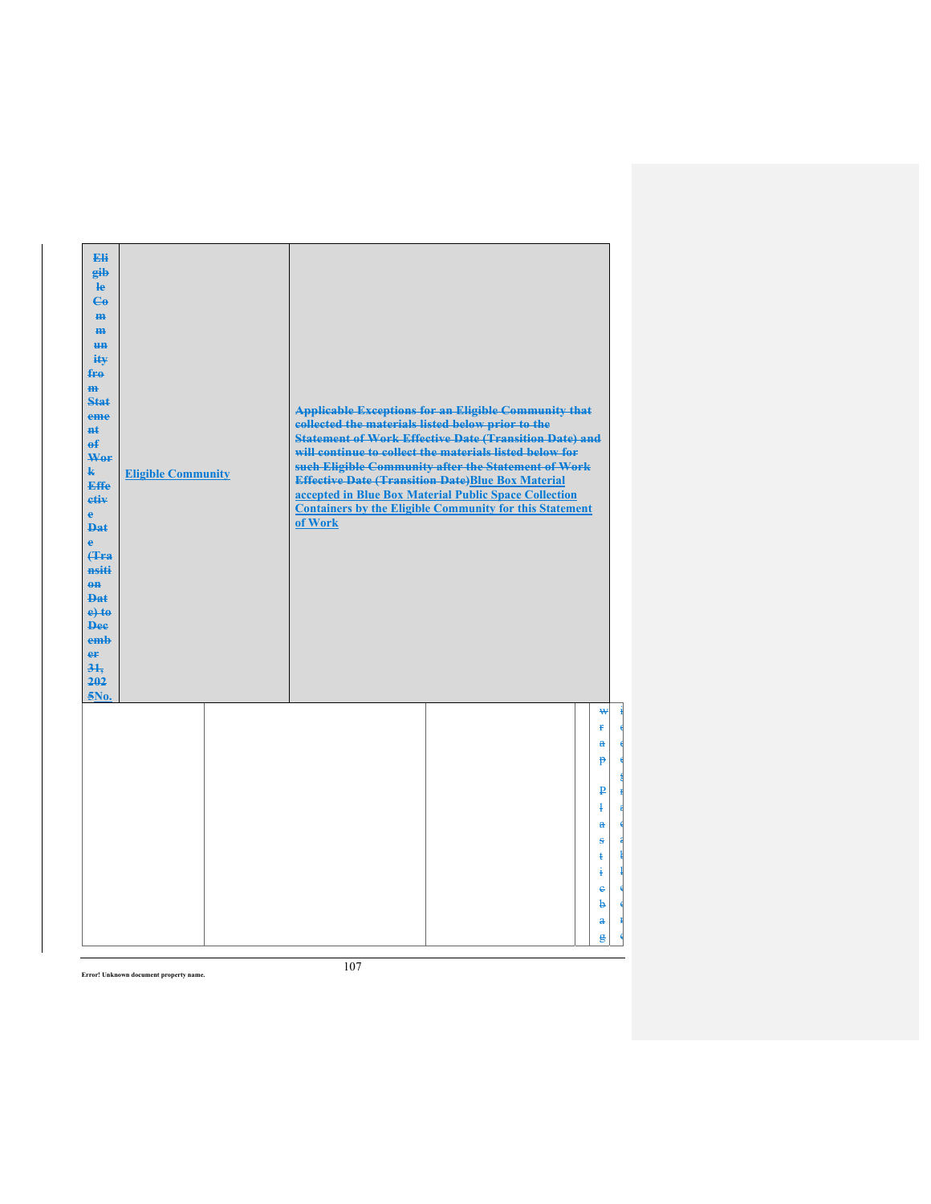| Eli<br>eib<br>He<br>$\mathbf{e}_0$<br>H <sub>H</sub><br>$\mathbf{m}$<br>H <sub>H</sub><br>ity<br>fro<br>m<br>Stat<br>eme<br>$H+$<br>$\theta$<br>Wor<br>$\mathbf{k}$<br><b>Effe</b><br>etiv<br>$\ddot{\textbf{e}}$<br><b>Dat</b><br>ė<br>(Tra<br>nsiti<br>$\theta$ <sup><math>\theta</math></sup><br><b>Dat</b><br>$e$ +to<br><b>Dee</b><br>emb<br>er<br>31.<br>202<br>5No. | <b>Eligible Community</b> | collected the materials listed below prior to the<br>of Work | <b>Applicable Exceptions for an Eligible Community that</b><br><b>Statement of Work Effective Date (Transition Date) and</b><br>will continue to collect the materials listed below for<br>such Eligible Community after the Statement of Work<br><b>Effective Date (Transition Date)Blue Box Material</b><br>accepted in Blue Box Material Public Space Collection<br><b>Containers by the Eligible Community for this Statement</b> |                     |
|----------------------------------------------------------------------------------------------------------------------------------------------------------------------------------------------------------------------------------------------------------------------------------------------------------------------------------------------------------------------------|---------------------------|--------------------------------------------------------------|---------------------------------------------------------------------------------------------------------------------------------------------------------------------------------------------------------------------------------------------------------------------------------------------------------------------------------------------------------------------------------------------------------------------------------------|---------------------|
|                                                                                                                                                                                                                                                                                                                                                                            |                           |                                                              |                                                                                                                                                                                                                                                                                                                                                                                                                                       | ₩<br>Ŧ              |
|                                                                                                                                                                                                                                                                                                                                                                            |                           |                                                              |                                                                                                                                                                                                                                                                                                                                                                                                                                       | $\mathbf{a}$        |
|                                                                                                                                                                                                                                                                                                                                                                            |                           |                                                              |                                                                                                                                                                                                                                                                                                                                                                                                                                       | <sup>p</sup>        |
|                                                                                                                                                                                                                                                                                                                                                                            |                           |                                                              |                                                                                                                                                                                                                                                                                                                                                                                                                                       | ₽                   |
|                                                                                                                                                                                                                                                                                                                                                                            |                           |                                                              |                                                                                                                                                                                                                                                                                                                                                                                                                                       | Ŧ<br>$\mathbf{a}$   |
|                                                                                                                                                                                                                                                                                                                                                                            |                           |                                                              |                                                                                                                                                                                                                                                                                                                                                                                                                                       | s                   |
|                                                                                                                                                                                                                                                                                                                                                                            |                           |                                                              |                                                                                                                                                                                                                                                                                                                                                                                                                                       | ŧ<br>į              |
|                                                                                                                                                                                                                                                                                                                                                                            |                           |                                                              |                                                                                                                                                                                                                                                                                                                                                                                                                                       | $\ddot{\textbf{e}}$ |
|                                                                                                                                                                                                                                                                                                                                                                            |                           |                                                              |                                                                                                                                                                                                                                                                                                                                                                                                                                       | þ<br>$\mathbf{a}$   |
|                                                                                                                                                                                                                                                                                                                                                                            |                           |                                                              |                                                                                                                                                                                                                                                                                                                                                                                                                                       | g                   |

i o d e g r a d a ł l e o r c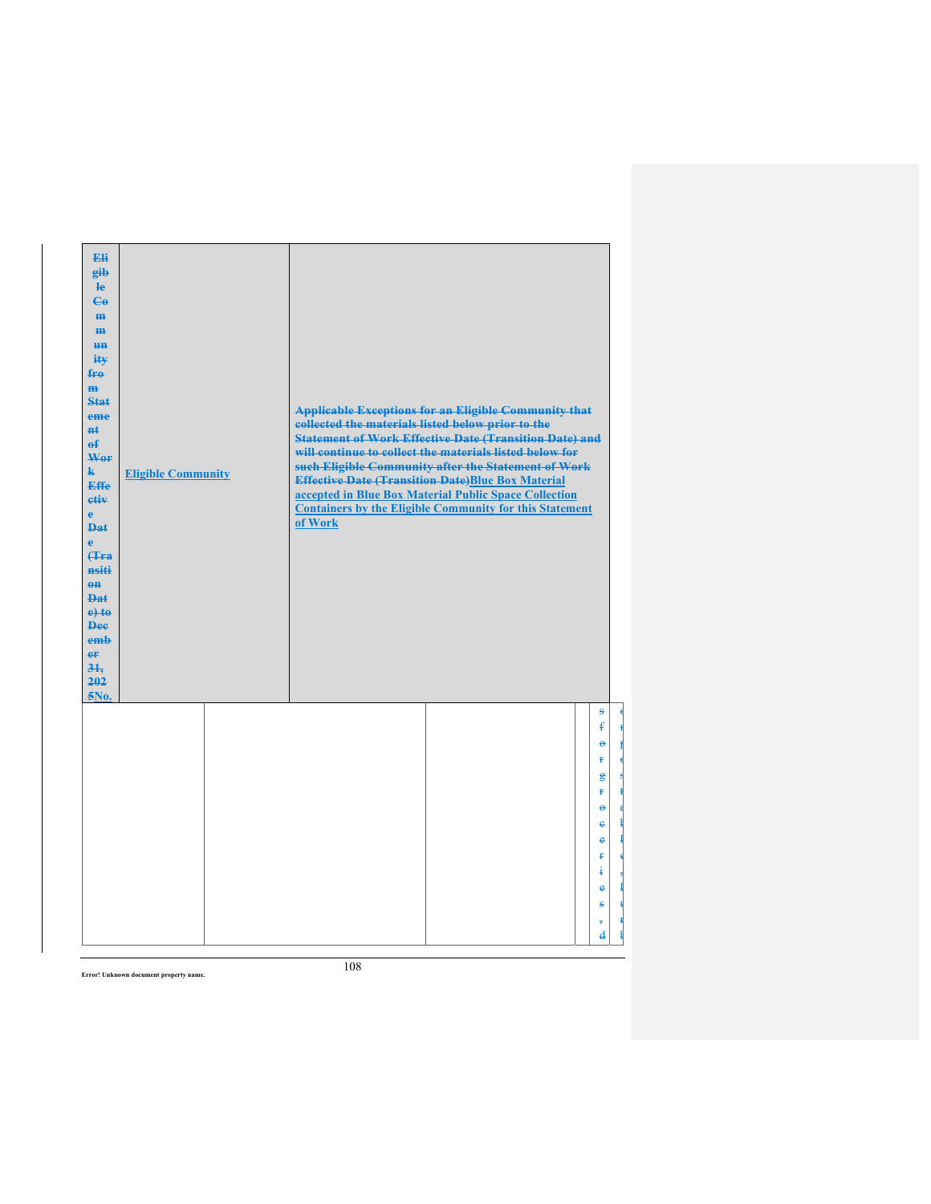| Eli<br>gib<br>$\mathbf{e}$<br>$\mathbf{G}$<br>H <sub>H</sub><br>$\mathbf{m}$<br><b>un</b><br>ity<br>$f_{\text{H}0}$<br>$\mathbf{m}$<br>Stat<br>eme<br>nŧ.<br>$\mathbf{f}$<br>Wer<br>$\mathbf{k}$<br><b>Effe</b><br>etiv<br>$\mathbf{e}$<br><b>Dat</b><br>ė<br>Hra<br>nsiti<br>$0$<br>$PA+$<br>$e$ +to<br><b>Dee</b><br>emb<br>er<br>31.<br>202<br>5No. | <b>Eligible Community</b> | collected the materials listed below prior to the<br>of Work | <b>Applicable Exceptions for an Eligible Community that</b><br><b>Statement of Work Effective Date (Transition Date) and</b><br>will continue to collect the materials listed below for<br>such Eligible Community after the Statement of Work<br><b>Effective Date (Transition Date)Blue Box Material</b><br>accepted in Blue Box Material Public Space Collection<br><b>Containers by the Eligible Community for this Statement</b> |                                                                                                                                                          |
|--------------------------------------------------------------------------------------------------------------------------------------------------------------------------------------------------------------------------------------------------------------------------------------------------------------------------------------------------------|---------------------------|--------------------------------------------------------------|---------------------------------------------------------------------------------------------------------------------------------------------------------------------------------------------------------------------------------------------------------------------------------------------------------------------------------------------------------------------------------------------------------------------------------------|----------------------------------------------------------------------------------------------------------------------------------------------------------|
|                                                                                                                                                                                                                                                                                                                                                        |                           |                                                              |                                                                                                                                                                                                                                                                                                                                                                                                                                       | S<br>$\mathbf{f}$<br>ĕ<br>Ŧ.<br>$\epsilon$<br>ŧ<br>$\Theta$<br>e<br>e<br>Ŧ<br>ŧ<br>$\ddot{\textbf{e}}$<br>s<br>$\overline{3}$<br>$\overline{\mathbf{d}}$ |

o m p o s t a ł l e , l u m ł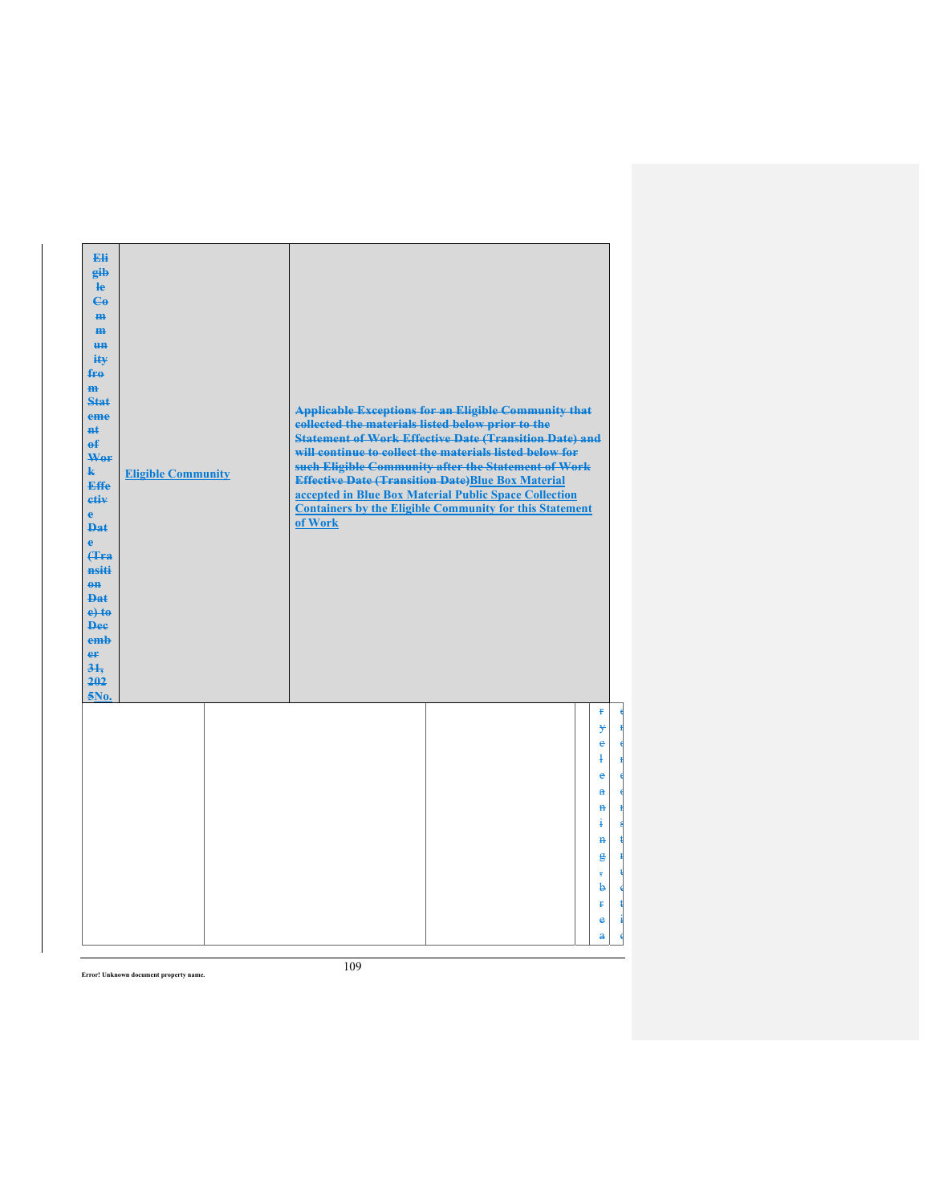| Eli<br>gib<br>$\mathbf{e}$<br>$\mathbf{G}$<br>H <sub>H</sub><br>$\mathbf{m}$<br><b>HH</b><br>ity<br>fro<br>$\mathbf{m}$<br>Stat:<br>eme<br>$H+$<br>$\theta$<br>Wor<br>$\mathbf{k}$<br>Effe<br>etiv<br>$\mathbf{e}$<br><b>Dat</b><br>ė<br>(Tra<br>nsiti<br>$\theta$ <sup><math>\theta</math></sup><br><b>Dat</b><br>$e$ +to<br><b>Dee</b><br>emb<br>er<br>$3+$<br>202<br>5No. | <b>Eligible Community</b> | <b>Applicable Exceptions for an Eligible Community that</b><br>collected the materials listed below prior to the<br><b>Statement of Work Effective Date (Transition Date) and</b><br>will continue to collect the materials listed below for<br>such Eligible Community after the Statement of Work<br><b>Effective Date (Transition Date)Blue Box Material</b><br>accepted in Blue Box Material Public Space Collection<br><b>Containers by the Eligible Community for this Statement</b><br>of Work |
|------------------------------------------------------------------------------------------------------------------------------------------------------------------------------------------------------------------------------------------------------------------------------------------------------------------------------------------------------------------------------|---------------------------|-------------------------------------------------------------------------------------------------------------------------------------------------------------------------------------------------------------------------------------------------------------------------------------------------------------------------------------------------------------------------------------------------------------------------------------------------------------------------------------------------------|
|                                                                                                                                                                                                                                                                                                                                                                              |                           | ŧ<br>¥<br>e<br>ł<br>e<br>$\mathbf{a}$<br>$\mathbf H$<br>ŧ<br>$\mathbf{H}$<br>g<br>b<br>Ŧ<br>$\bullet$<br>$\overline{a}$                                                                                                                                                                                                                                                                                                                                                                               |

e r o r c o n s t r u c t i o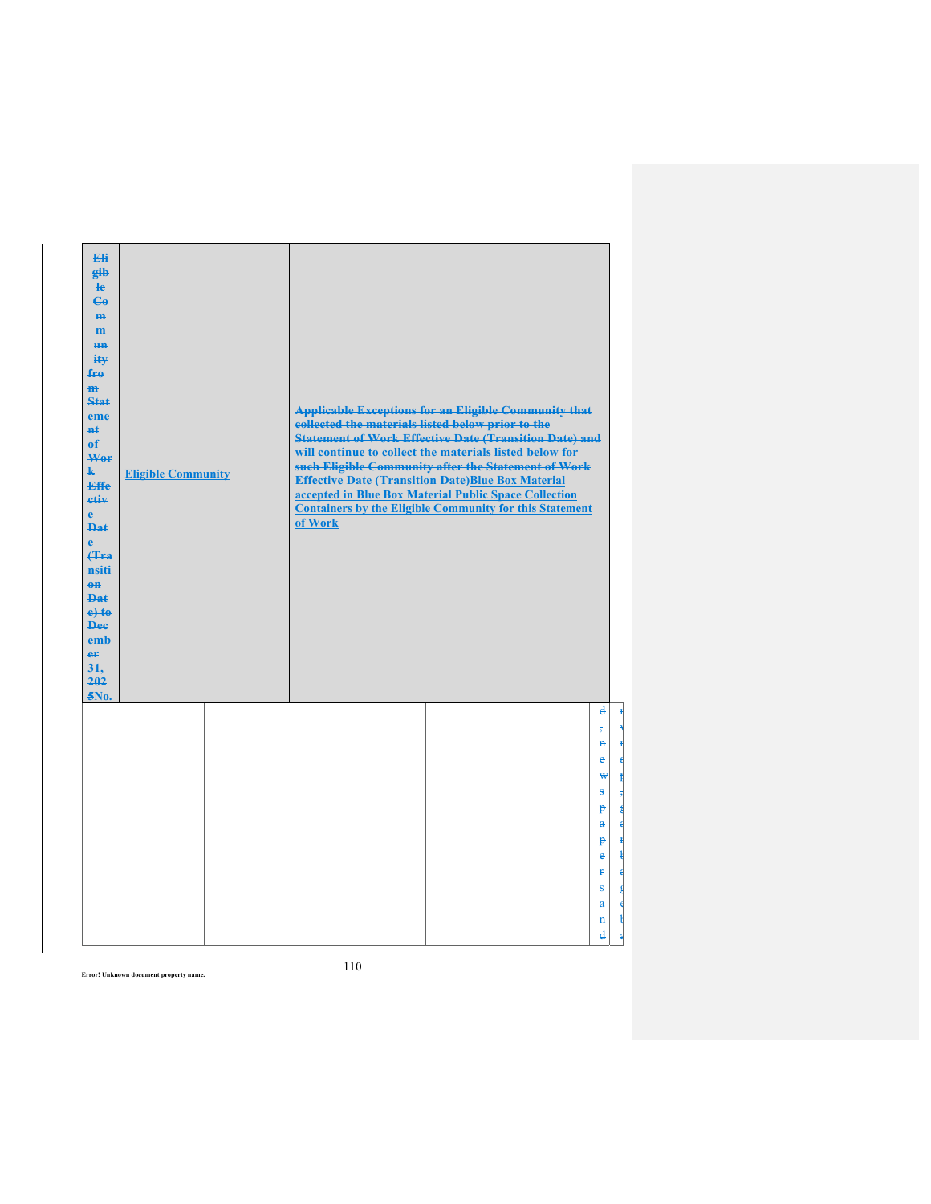| Eli<br>eib<br>He<br>$\mathbf{G}$<br>H <sub>H</sub><br>$\mathbf{m}$<br>H <sub>H</sub><br>ity<br>fro<br>$\mathbf{m}$<br>Stat<br>eme<br>$H+$<br>$\mathbf{f}$<br>Wer<br>$\mathbf{k}$<br><b>Effe</b><br>etiv<br>$\mathbf{e}$<br><b>Dat</b><br>è<br><b>(Tra</b><br>nsiti<br>$\theta$ <sup><math>\theta</math></sup><br><b>Dat</b><br>$e$ +to<br><b>Dee</b><br>emb<br>er<br>31.<br>202<br>5No. | <b>Eligible Community</b> | collected the materials listed below prior to the<br>of Work | <b>Applicable Exceptions for an Eligible Community that</b><br><b>Statement of Work Effective Date (Transition Date) and</b><br>will continue to collect the materials listed below for<br>such Eligible Community after the Statement of Work<br><b>Effective Date (Transition Date)Blue Box Material</b><br>accepted in Blue Box Material Public Space Collection<br><b>Containers by the Eligible Community for this Statement</b> |                              |
|-----------------------------------------------------------------------------------------------------------------------------------------------------------------------------------------------------------------------------------------------------------------------------------------------------------------------------------------------------------------------------------------|---------------------------|--------------------------------------------------------------|---------------------------------------------------------------------------------------------------------------------------------------------------------------------------------------------------------------------------------------------------------------------------------------------------------------------------------------------------------------------------------------------------------------------------------------|------------------------------|
|                                                                                                                                                                                                                                                                                                                                                                                         |                           |                                                              |                                                                                                                                                                                                                                                                                                                                                                                                                                       | d<br>$\overline{\mathbf{5}}$ |
|                                                                                                                                                                                                                                                                                                                                                                                         |                           |                                                              |                                                                                                                                                                                                                                                                                                                                                                                                                                       | $\mathbf{a}$                 |
|                                                                                                                                                                                                                                                                                                                                                                                         |                           |                                                              |                                                                                                                                                                                                                                                                                                                                                                                                                                       | e<br>₩                       |
|                                                                                                                                                                                                                                                                                                                                                                                         |                           |                                                              |                                                                                                                                                                                                                                                                                                                                                                                                                                       | ÷                            |
|                                                                                                                                                                                                                                                                                                                                                                                         |                           |                                                              |                                                                                                                                                                                                                                                                                                                                                                                                                                       | $\mathbf{P}$                 |
|                                                                                                                                                                                                                                                                                                                                                                                         |                           |                                                              |                                                                                                                                                                                                                                                                                                                                                                                                                                       | $\mathbf{a}$                 |
|                                                                                                                                                                                                                                                                                                                                                                                         |                           |                                                              |                                                                                                                                                                                                                                                                                                                                                                                                                                       | $\mathbf{P}$                 |
|                                                                                                                                                                                                                                                                                                                                                                                         |                           |                                                              |                                                                                                                                                                                                                                                                                                                                                                                                                                       | e<br>Ŧ                       |
|                                                                                                                                                                                                                                                                                                                                                                                         |                           |                                                              |                                                                                                                                                                                                                                                                                                                                                                                                                                       | s                            |
|                                                                                                                                                                                                                                                                                                                                                                                         |                           |                                                              |                                                                                                                                                                                                                                                                                                                                                                                                                                       | $\ddot{\mathbf{a}}$          |
|                                                                                                                                                                                                                                                                                                                                                                                         |                           |                                                              |                                                                                                                                                                                                                                                                                                                                                                                                                                       | $\mathbf{H}$                 |
|                                                                                                                                                                                                                                                                                                                                                                                         |                           |                                                              |                                                                                                                                                                                                                                                                                                                                                                                                                                       | $\mathbf{d}$                 |

n ×. r a p , g a r ł a g e ł a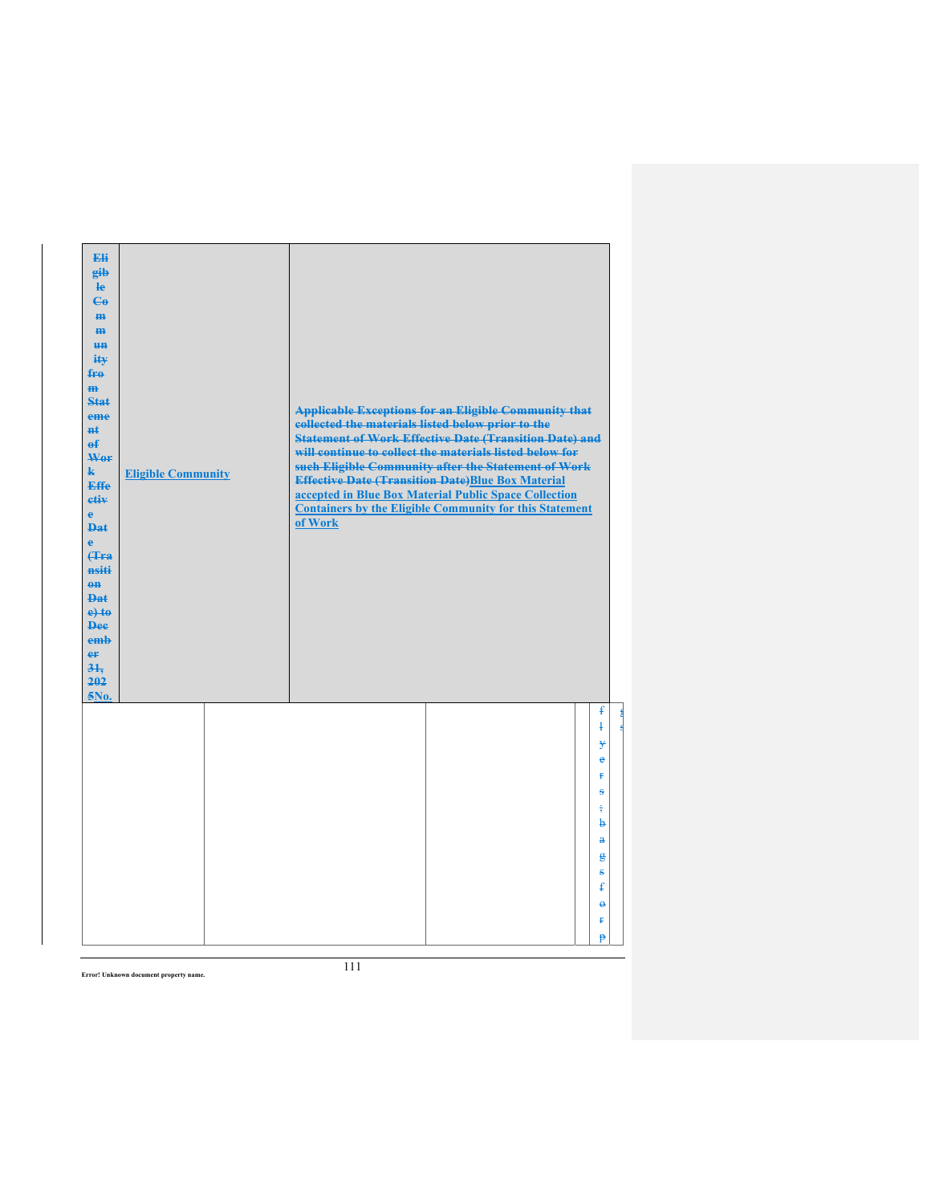| Eli<br>gib<br>He<br>$\mathbf{G}$<br>H <sub>H</sub><br>m<br>H <sub>H</sub><br>ity<br>fro<br>$\mathbf{m}$<br>Stat<br>eme<br>$H+$<br>$\mathbf{f}$<br>Wer<br>$\mathbf{k}$<br><b>Effe</b><br>etiv<br>$\mathbf{e}$<br><b>Dat</b><br>è<br><b>f</b> Fra<br>nsiti<br>$eff$<br>Dat<br>$e$ +to<br><b>Dee</b><br>emb<br>er<br>31.<br>202<br>5No. | <b>Eligible Community</b> | collected the materials listed below prior to the<br>of Work | <b>Applicable Exceptions for an Eligible Community that</b><br><b>Statement of Work Effective Date (Transition Date) and</b><br>will continue to collect the materials listed below for<br>such Eligible Community after the Statement of Work<br><b>Effective Date (Transition Date)Blue Box Material</b><br>accepted in Blue Box Material Public Space Collection<br><b>Containers by the Eligible Community for this Statement</b> |                           |
|--------------------------------------------------------------------------------------------------------------------------------------------------------------------------------------------------------------------------------------------------------------------------------------------------------------------------------------|---------------------------|--------------------------------------------------------------|---------------------------------------------------------------------------------------------------------------------------------------------------------------------------------------------------------------------------------------------------------------------------------------------------------------------------------------------------------------------------------------------------------------------------------------|---------------------------|
|                                                                                                                                                                                                                                                                                                                                      |                           |                                                              |                                                                                                                                                                                                                                                                                                                                                                                                                                       | ŧ<br>$\ddagger$<br>¥<br>ė |
|                                                                                                                                                                                                                                                                                                                                      |                           |                                                              |                                                                                                                                                                                                                                                                                                                                                                                                                                       | Ŧ<br>s                    |
|                                                                                                                                                                                                                                                                                                                                      |                           |                                                              |                                                                                                                                                                                                                                                                                                                                                                                                                                       | $\frac{1}{2}$             |
|                                                                                                                                                                                                                                                                                                                                      |                           |                                                              |                                                                                                                                                                                                                                                                                                                                                                                                                                       | b<br>$\bf{a}$             |
|                                                                                                                                                                                                                                                                                                                                      |                           |                                                              |                                                                                                                                                                                                                                                                                                                                                                                                                                       | g                         |
|                                                                                                                                                                                                                                                                                                                                      |                           |                                                              |                                                                                                                                                                                                                                                                                                                                                                                                                                       | ŝ<br>$\mathbf{f}$         |
|                                                                                                                                                                                                                                                                                                                                      |                           |                                                              |                                                                                                                                                                                                                                                                                                                                                                                                                                       | $\ddot{\theta}$           |
|                                                                                                                                                                                                                                                                                                                                      |                           |                                                              |                                                                                                                                                                                                                                                                                                                                                                                                                                       | ŧ                         |
|                                                                                                                                                                                                                                                                                                                                      |                           |                                                              |                                                                                                                                                                                                                                                                                                                                                                                                                                       | p                         |

g s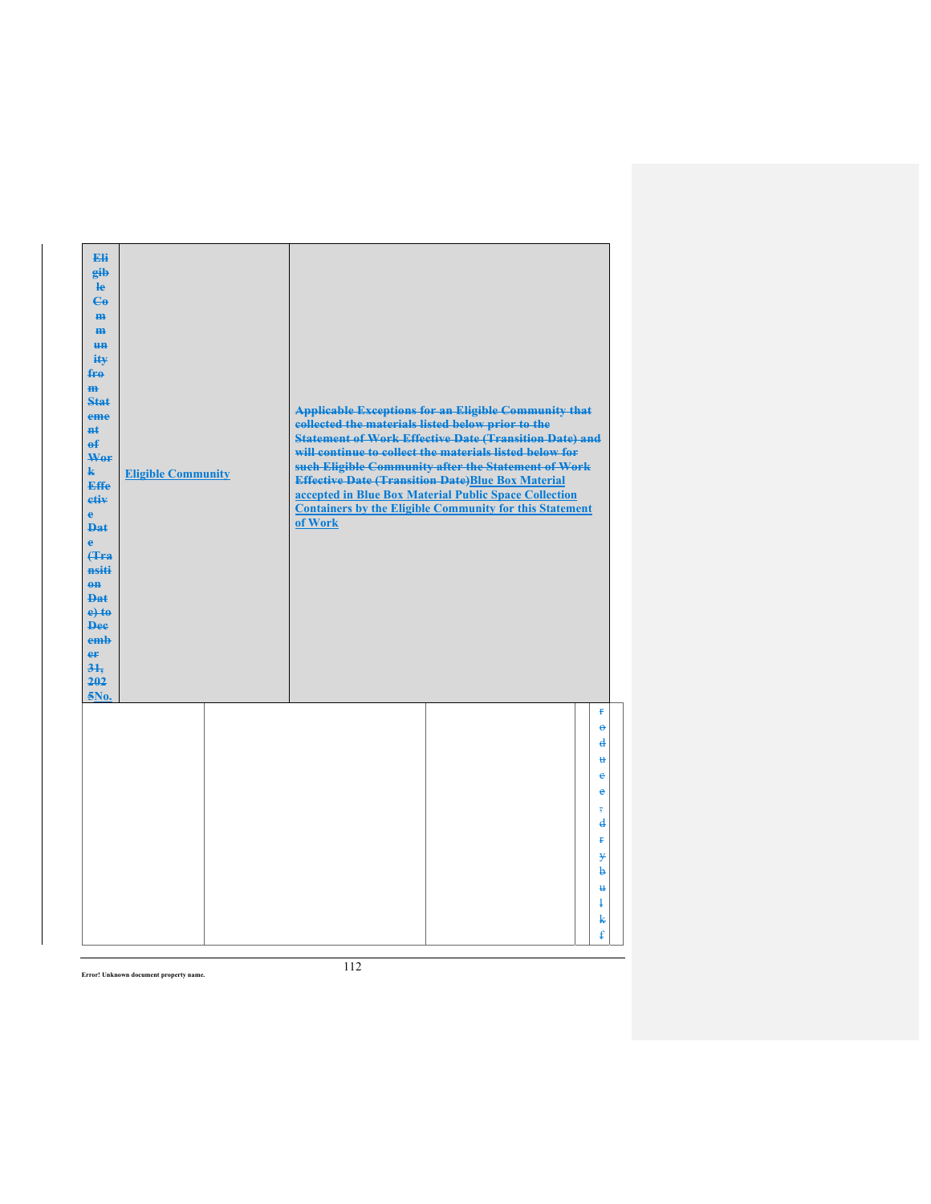| Eli<br>gib<br>$\mathbf{e}$<br>$\mathbf{G}$<br>m-<br>$\mathbf{m}$<br><b>un</b><br>ity<br>$f_{\text{F}\theta}$<br>$\mathbf{m}$<br><b>Stat</b><br>eme<br><b>n</b> t<br>$\mathbf{f}$<br>Wor<br>$\mathbf{k}$<br><b>Effe</b><br>etiv<br>$\mathbf{e}$<br><b>Dat</b><br>$\ddot{\textbf{e}}$<br>(Tra<br>nsiti<br>$0$<br><b>Dat</b><br>$e$ + $t$ $e$<br><b>Dee</b><br>emb<br>er<br>31.<br>202<br>5No. | <b>Eligible Community</b> | <b>Applicable Exceptions for an Eligible Community that</b><br>collected the materials listed below prior to the<br><b>Statement of Work Effective Date (Transition Date) and</b><br>will continue to collect the materials listed below for<br>such Eligible Community after the Statement of Work<br><b>Effective Date (Transition Date)Blue Box Material</b><br>accepted in Blue Box Material Public Space Collection<br><b>Containers by the Eligible Community for this Statement</b><br>of Work |                                                                                                                  |
|---------------------------------------------------------------------------------------------------------------------------------------------------------------------------------------------------------------------------------------------------------------------------------------------------------------------------------------------------------------------------------------------|---------------------------|-------------------------------------------------------------------------------------------------------------------------------------------------------------------------------------------------------------------------------------------------------------------------------------------------------------------------------------------------------------------------------------------------------------------------------------------------------------------------------------------------------|------------------------------------------------------------------------------------------------------------------|
|                                                                                                                                                                                                                                                                                                                                                                                             |                           |                                                                                                                                                                                                                                                                                                                                                                                                                                                                                                       | Ŧ<br>$\Theta$<br>d<br>u<br>e<br>e<br>$\overline{\phantom{a}}$<br>$\mathbf{d}$<br>ŧ<br>y<br>b<br>u<br>Ŧ<br>k<br>ŧ |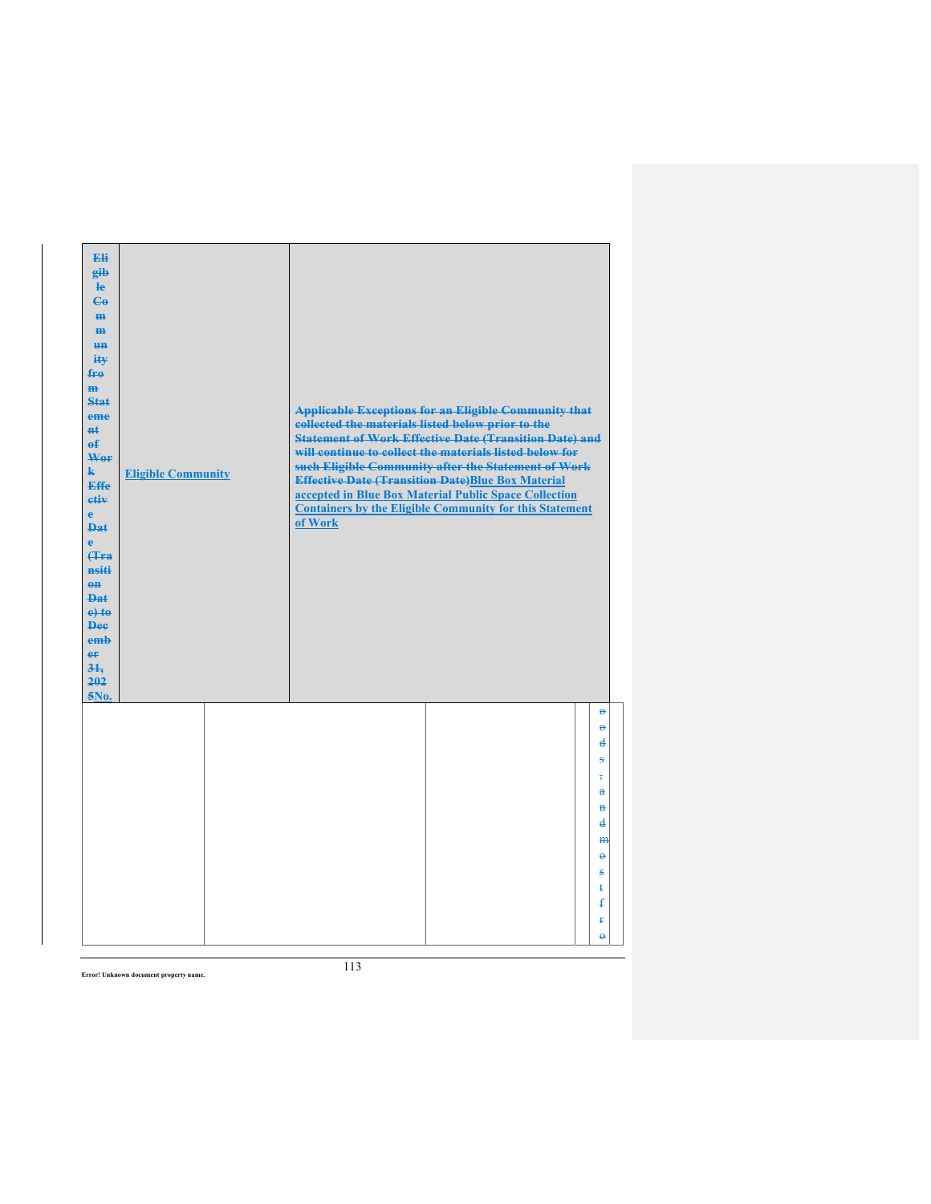| Eli<br>gib<br>$\mathbf{e}$<br>$\mathbf{G}$<br>m-<br>m<br><b>un</b><br>ity<br>$f_{\text{H}0}$<br>$\mathbf{m}$<br><b>Stat</b><br>eme<br><b>n</b> t<br>$\mathbf{f}$<br>Wor<br>$\mathbf{k}$<br><b>Effe</b><br>etiv<br>$\mathbf{e}$<br><b>Dat</b><br>$\ddot{\textbf{e}}$<br>(Tra<br>nsiti<br>$0$<br><b>Dat</b><br>$e$ + $t$ $e$<br><b>Dee</b><br>emb<br>er<br>31.<br>202<br>$5N0$ . | <b>Eligible Community</b> | collected the materials listed below prior to the<br>of Work | <b>Applicable Exceptions for an Eligible Community that</b><br><b>Statement of Work Effective Date (Transition Date) and</b><br>will continue to collect the materials listed below for<br>such Eligible Community after the Statement of Work<br><b>Effective Date (Transition Date)Blue Box Material</b><br>accepted in Blue Box Material Public Space Collection<br><b>Containers by the Eligible Community for this Statement</b> |                                                                                 |
|--------------------------------------------------------------------------------------------------------------------------------------------------------------------------------------------------------------------------------------------------------------------------------------------------------------------------------------------------------------------------------|---------------------------|--------------------------------------------------------------|---------------------------------------------------------------------------------------------------------------------------------------------------------------------------------------------------------------------------------------------------------------------------------------------------------------------------------------------------------------------------------------------------------------------------------------|---------------------------------------------------------------------------------|
|                                                                                                                                                                                                                                                                                                                                                                                |                           |                                                              |                                                                                                                                                                                                                                                                                                                                                                                                                                       | $\Theta$<br>$\Theta$<br>d<br>s                                                  |
|                                                                                                                                                                                                                                                                                                                                                                                |                           |                                                              |                                                                                                                                                                                                                                                                                                                                                                                                                                       | $\overline{\phantom{a}}$<br>$\ddot{\textbf{a}}$<br>$\mathbf{H}$<br>$\mathbf{d}$ |
|                                                                                                                                                                                                                                                                                                                                                                                |                           |                                                              |                                                                                                                                                                                                                                                                                                                                                                                                                                       | m<br>$\ddot{\mathbf{e}}$<br>s                                                   |
|                                                                                                                                                                                                                                                                                                                                                                                |                           |                                                              |                                                                                                                                                                                                                                                                                                                                                                                                                                       | ŧ<br>£<br>¥.<br>$\ddot{\theta}$                                                 |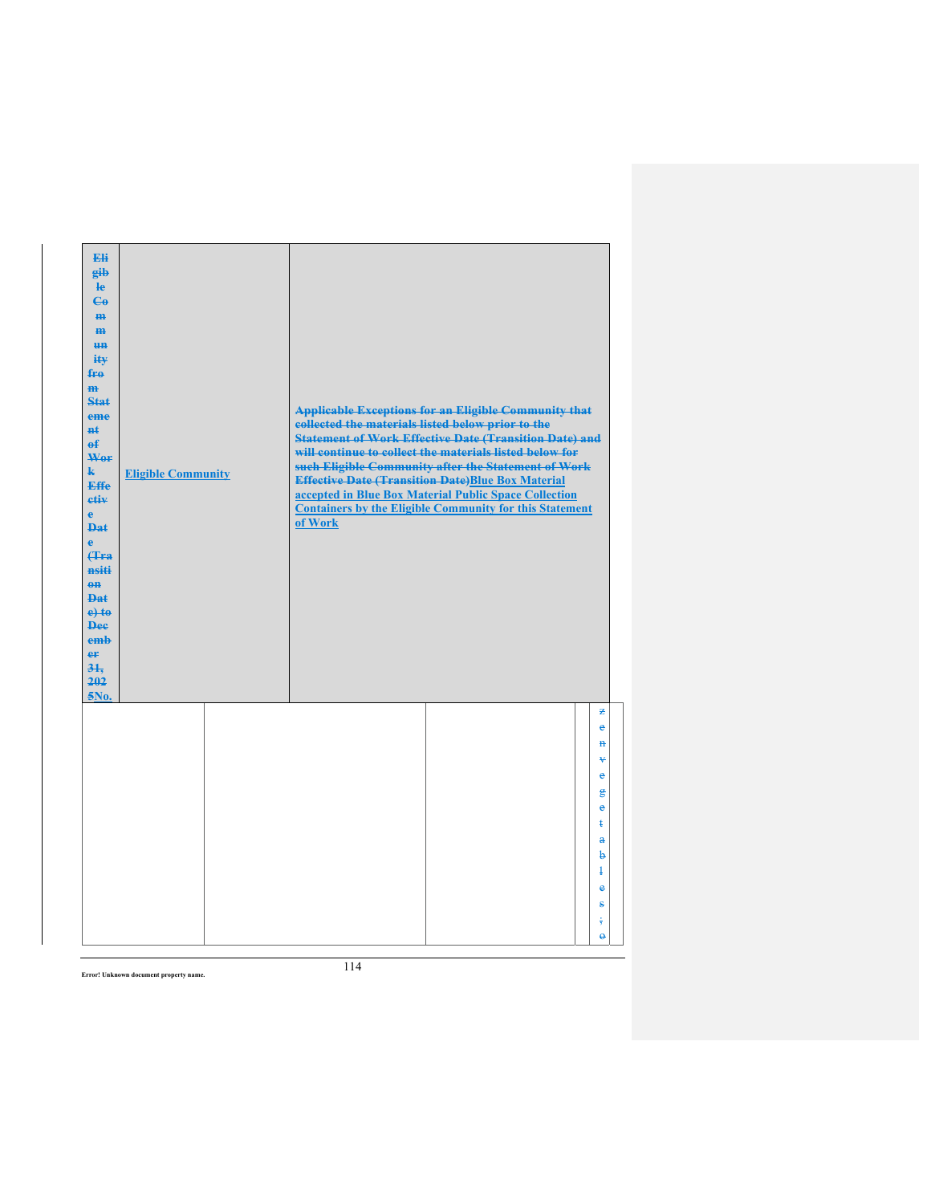| Eli<br>gib<br>$\mathbf{e}$<br>$\mathbf{G}$<br>m-<br>$\mathbf{m}$<br><b>HH</b><br>iŧ¥<br>$f_{\text{H}0}$<br>$\mathbf{m}$<br>Stat<br>eme<br>#£<br>$\mathbf{f}$<br>Wer<br>$\mathbf{k}$<br><b>Effe</b><br>etiv<br>$\mathbf{e}$<br><b>Dat</b><br>$\ddot{\mathbf{e}}$<br>Hra<br>nsiti<br>$0$<br><b>Dat</b><br>$e$ + $t$ $e$<br><b>Dee</b><br>emb<br>er<br>31.<br>202<br>5No. | <b>Eligible Community</b> | collected the materials listed below prior to the<br>of Work | <b>Applicable Exceptions for an Eligible Community that</b><br><b>Statement of Work Effective Date (Transition Date) and</b><br>will continue to collect the materials listed below for<br>such Eligible Community after the Statement of Work<br><b>Effective Date (Transition Date)Blue Box Material</b><br>accepted in Blue Box Material Public Space Collection<br><b>Containers by the Eligible Community for this Statement</b> |                        |
|------------------------------------------------------------------------------------------------------------------------------------------------------------------------------------------------------------------------------------------------------------------------------------------------------------------------------------------------------------------------|---------------------------|--------------------------------------------------------------|---------------------------------------------------------------------------------------------------------------------------------------------------------------------------------------------------------------------------------------------------------------------------------------------------------------------------------------------------------------------------------------------------------------------------------------|------------------------|
|                                                                                                                                                                                                                                                                                                                                                                        |                           |                                                              |                                                                                                                                                                                                                                                                                                                                                                                                                                       | z<br>e<br>$\mathbf{H}$ |
|                                                                                                                                                                                                                                                                                                                                                                        |                           |                                                              |                                                                                                                                                                                                                                                                                                                                                                                                                                       | ¥<br>$\bullet$         |
|                                                                                                                                                                                                                                                                                                                                                                        |                           |                                                              |                                                                                                                                                                                                                                                                                                                                                                                                                                       | g                      |
|                                                                                                                                                                                                                                                                                                                                                                        |                           |                                                              |                                                                                                                                                                                                                                                                                                                                                                                                                                       | e<br>ŧ                 |
|                                                                                                                                                                                                                                                                                                                                                                        |                           |                                                              |                                                                                                                                                                                                                                                                                                                                                                                                                                       | a                      |
|                                                                                                                                                                                                                                                                                                                                                                        |                           |                                                              |                                                                                                                                                                                                                                                                                                                                                                                                                                       | b<br>$\ddagger$        |
|                                                                                                                                                                                                                                                                                                                                                                        |                           |                                                              |                                                                                                                                                                                                                                                                                                                                                                                                                                       | $\ddot{\textbf{e}}$    |
|                                                                                                                                                                                                                                                                                                                                                                        |                           |                                                              |                                                                                                                                                                                                                                                                                                                                                                                                                                       | s                      |
|                                                                                                                                                                                                                                                                                                                                                                        |                           |                                                              |                                                                                                                                                                                                                                                                                                                                                                                                                                       | ÷                      |
|                                                                                                                                                                                                                                                                                                                                                                        |                           |                                                              |                                                                                                                                                                                                                                                                                                                                                                                                                                       | $\ddot{\theta}$        |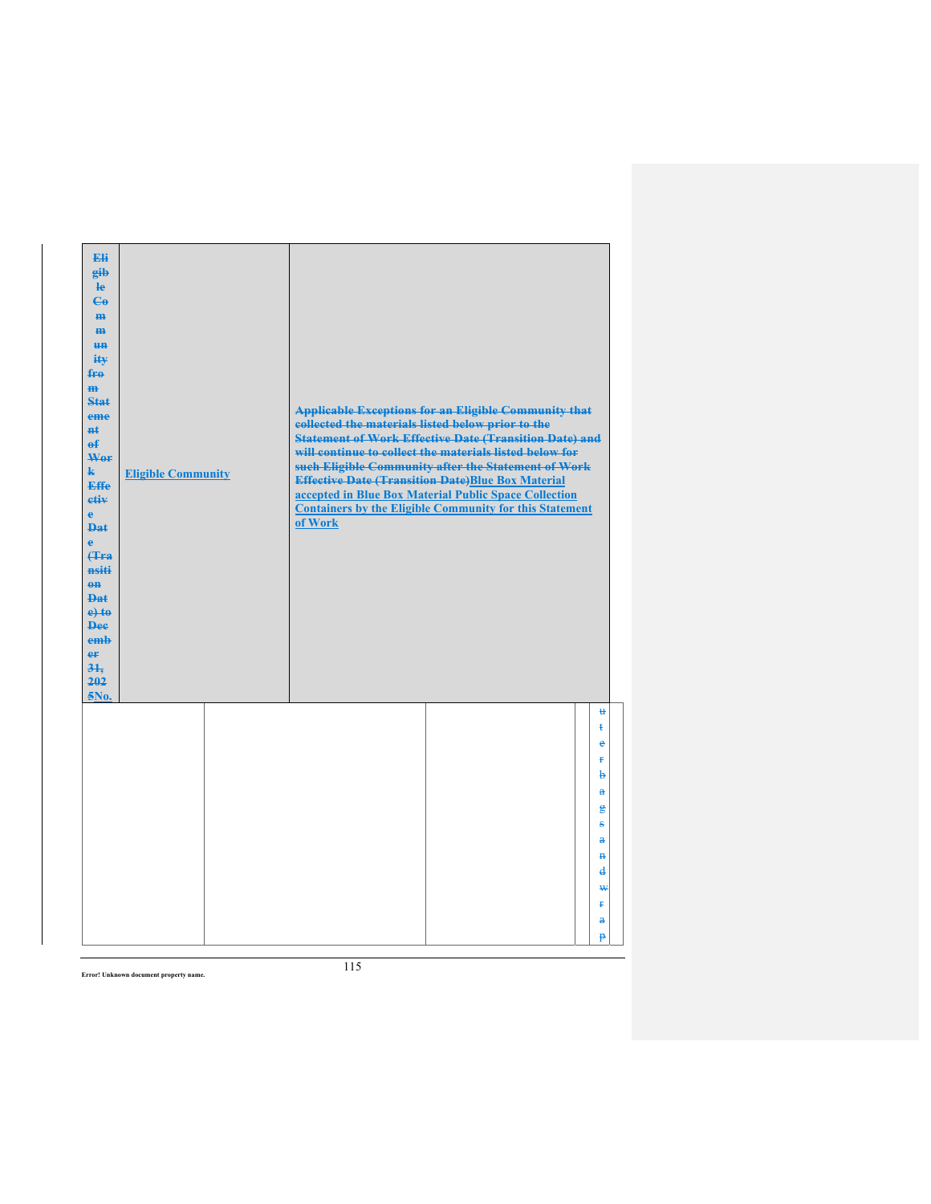| Eli<br>gib<br>$\mathbf{e}$<br>$\mathbf{G}$<br>m-<br>$\mathbf{m}$<br><b>HH</b><br>iŧ¥<br>$f_{\text{H}0}$<br>$\mathbf{m}$<br>Stat<br>eme<br>#£<br>$\mathbf{f}$<br>Wer<br>$\mathbf{k}$<br><b>Effe</b><br>etiv<br>$\mathbf{e}$<br><b>Dat</b><br>$\ddot{\textbf{e}}$<br>Hra<br>nsiti<br>$0$<br><b>Dat</b><br>$e$ + $t$ $e$<br><b>Dee</b><br>emb<br>er<br>31.<br>202<br>5No. | <b>Eligible Community</b> | collected the materials listed below prior to the<br>of Work | <b>Applicable Exceptions for an Eligible Community that</b><br><b>Statement of Work Effective Date (Transition Date) and</b><br>will continue to collect the materials listed below for<br>such Eligible Community after the Statement of Work<br><b>Effective Date (Transition Date)Blue Box Material</b><br>accepted in Blue Box Material Public Space Collection<br><b>Containers by the Eligible Community for this Statement</b> |                   |
|------------------------------------------------------------------------------------------------------------------------------------------------------------------------------------------------------------------------------------------------------------------------------------------------------------------------------------------------------------------------|---------------------------|--------------------------------------------------------------|---------------------------------------------------------------------------------------------------------------------------------------------------------------------------------------------------------------------------------------------------------------------------------------------------------------------------------------------------------------------------------------------------------------------------------------|-------------------|
|                                                                                                                                                                                                                                                                                                                                                                        |                           |                                                              |                                                                                                                                                                                                                                                                                                                                                                                                                                       | $\mathbf{H}$<br>ŧ |
|                                                                                                                                                                                                                                                                                                                                                                        |                           |                                                              |                                                                                                                                                                                                                                                                                                                                                                                                                                       | e                 |
|                                                                                                                                                                                                                                                                                                                                                                        |                           |                                                              |                                                                                                                                                                                                                                                                                                                                                                                                                                       | Ŧ                 |
|                                                                                                                                                                                                                                                                                                                                                                        |                           |                                                              |                                                                                                                                                                                                                                                                                                                                                                                                                                       | þ                 |
|                                                                                                                                                                                                                                                                                                                                                                        |                           |                                                              |                                                                                                                                                                                                                                                                                                                                                                                                                                       | $\mathbf{a}$      |
|                                                                                                                                                                                                                                                                                                                                                                        |                           |                                                              |                                                                                                                                                                                                                                                                                                                                                                                                                                       | $\mathbf{g}$      |
|                                                                                                                                                                                                                                                                                                                                                                        |                           |                                                              |                                                                                                                                                                                                                                                                                                                                                                                                                                       | s<br>a            |
|                                                                                                                                                                                                                                                                                                                                                                        |                           |                                                              |                                                                                                                                                                                                                                                                                                                                                                                                                                       | $\mathbf{H}$      |
|                                                                                                                                                                                                                                                                                                                                                                        |                           |                                                              |                                                                                                                                                                                                                                                                                                                                                                                                                                       | d                 |
|                                                                                                                                                                                                                                                                                                                                                                        |                           |                                                              |                                                                                                                                                                                                                                                                                                                                                                                                                                       | ₩                 |
|                                                                                                                                                                                                                                                                                                                                                                        |                           |                                                              |                                                                                                                                                                                                                                                                                                                                                                                                                                       | Ŧ.                |
|                                                                                                                                                                                                                                                                                                                                                                        |                           |                                                              |                                                                                                                                                                                                                                                                                                                                                                                                                                       | $\mathbf{a}$      |
|                                                                                                                                                                                                                                                                                                                                                                        |                           |                                                              |                                                                                                                                                                                                                                                                                                                                                                                                                                       | p                 |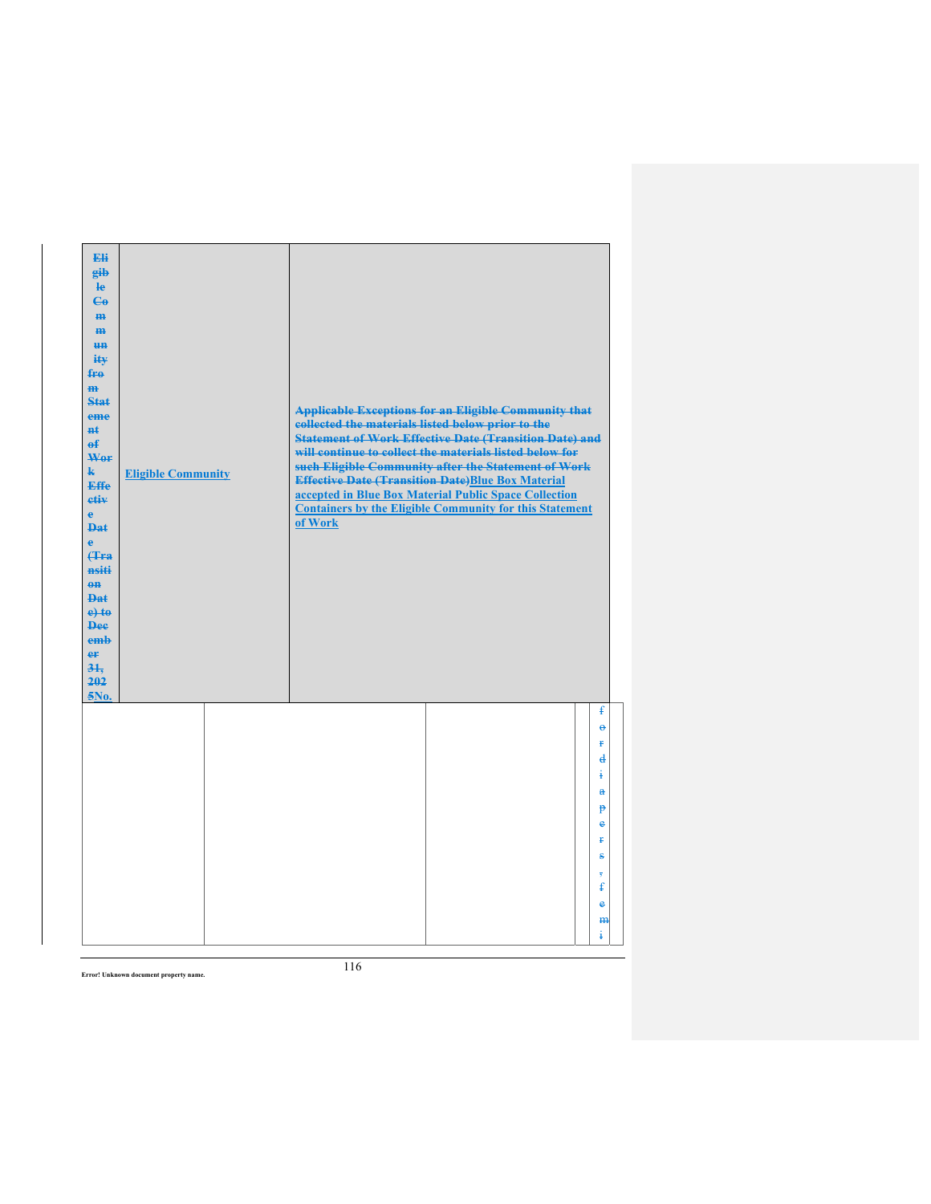| Eli<br>gib<br>$\mathbf{e}$<br>$\mathbf{G}$<br>m-<br>m<br><b>HH</b><br>iŧ¥<br>$f_{\text{H}0}$<br>$\mathbf{m}$<br>Stat<br>eme<br>#£<br>$\mathbf{f}$<br>Wer<br>$\mathbf{k}$<br><b>Effe</b><br>etiv<br>$\mathbf{e}$<br><b>Dat</b><br>$\ddot{\textbf{e}}$<br>Hra<br>nsiti<br>$0$<br><b>Dat</b><br>$e$ +to<br><b>Dee</b><br>emb<br>er<br>31.<br>202<br>5No. | <b>Eligible Community</b> | collected the materials listed below prior to the<br>of Work | <b>Applicable Exceptions for an Eligible Community that</b><br><b>Statement of Work Effective Date (Transition Date) and</b><br>will continue to collect the materials listed below for<br>such Eligible Community after the Statement of Work<br><b>Effective Date (Transition Date)Blue Box Material</b><br>accepted in Blue Box Material Public Space Collection<br><b>Containers by the Eligible Community for this Statement</b> |                                                                                                               |
|-------------------------------------------------------------------------------------------------------------------------------------------------------------------------------------------------------------------------------------------------------------------------------------------------------------------------------------------------------|---------------------------|--------------------------------------------------------------|---------------------------------------------------------------------------------------------------------------------------------------------------------------------------------------------------------------------------------------------------------------------------------------------------------------------------------------------------------------------------------------------------------------------------------------|---------------------------------------------------------------------------------------------------------------|
|                                                                                                                                                                                                                                                                                                                                                       |                           |                                                              |                                                                                                                                                                                                                                                                                                                                                                                                                                       | ŧ<br>$\Theta$<br>ŧ.<br>$\mathbf{d}$<br>į<br>$\mathbf{a}$<br>p<br>e<br>ŧ<br>ŝ<br>7<br>£<br>$\bullet$<br>m<br>ŧ |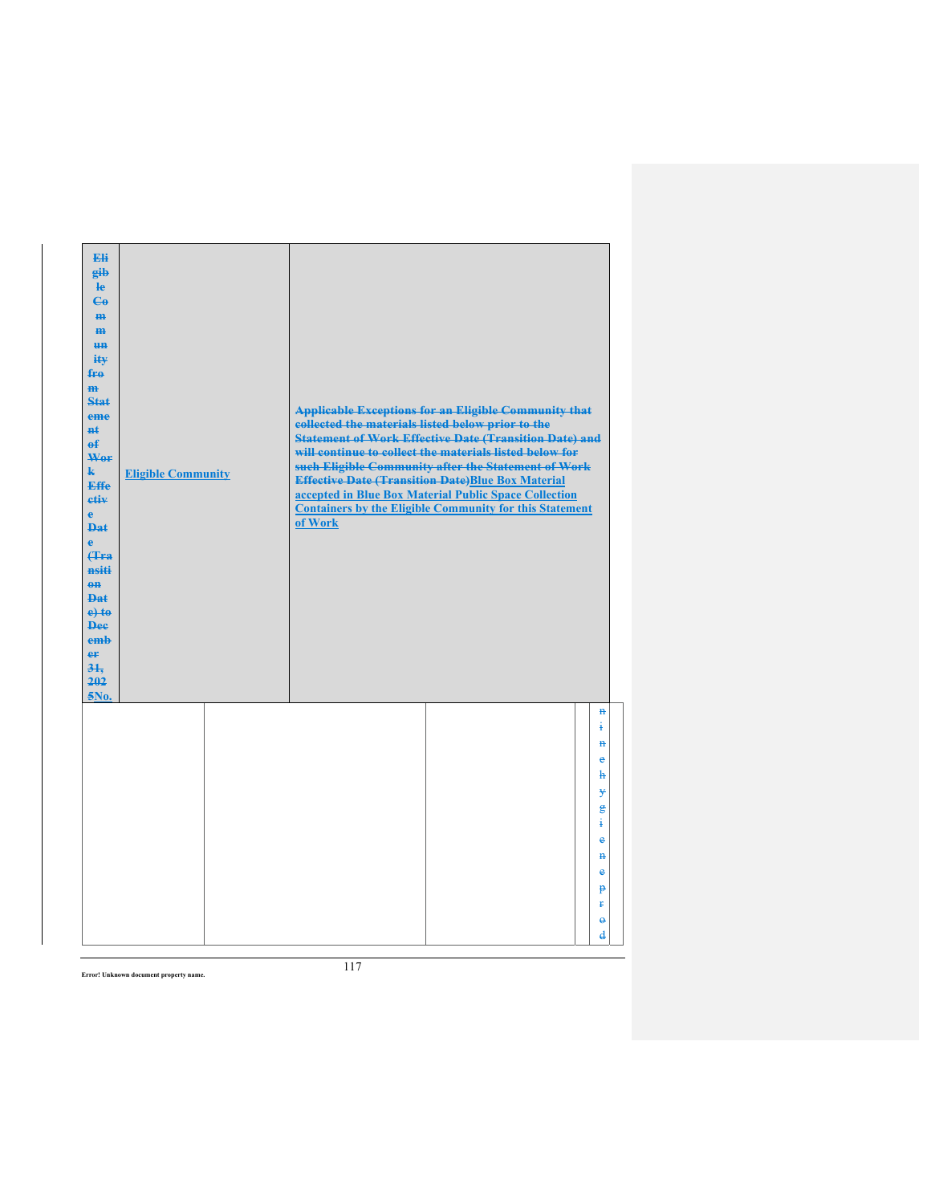| Eli<br>eib<br>$\mathbf{e}$<br>$\mathbf{G}$<br>H <sub>H</sub><br>H <sub>H</sub><br><b>un</b><br>ity<br>$f_{\text{H}0}$<br>$\mathbf{m}$<br><b>Stat</b><br>eme<br><b>H</b> t<br>$\theta$<br>Wor<br>$\mathbf{k}$<br><b>Effe</b><br>etiv<br>$\mathbf{e}$<br><b>Dat</b><br>$\ddot{\textbf{e}}$<br>(Tra<br>nsiti<br>$\theta$ <sup><math>\theta</math></sup><br><b>Dat</b><br>$e$ + $t$ $e$<br><b>Dee</b><br>emb<br>er<br>31.<br>202<br>5No. | <b>Eligible Community</b> | collected the materials listed below prior to the<br>of Work | <b>Applicable Exceptions for an Eligible Community that</b><br><b>Statement of Work Effective Date (Transition Date) and</b><br>will continue to collect the materials listed below for<br>such Eligible Community after the Statement of Work<br><b>Effective Date (Transition Date)Blue Box Material</b><br>accepted in Blue Box Material Public Space Collection<br><b>Containers by the Eligible Community for this Statement</b> |                     |
|--------------------------------------------------------------------------------------------------------------------------------------------------------------------------------------------------------------------------------------------------------------------------------------------------------------------------------------------------------------------------------------------------------------------------------------|---------------------------|--------------------------------------------------------------|---------------------------------------------------------------------------------------------------------------------------------------------------------------------------------------------------------------------------------------------------------------------------------------------------------------------------------------------------------------------------------------------------------------------------------------|---------------------|
|                                                                                                                                                                                                                                                                                                                                                                                                                                      |                           |                                                              |                                                                                                                                                                                                                                                                                                                                                                                                                                       | $\mathbf{H}$<br>į   |
|                                                                                                                                                                                                                                                                                                                                                                                                                                      |                           |                                                              |                                                                                                                                                                                                                                                                                                                                                                                                                                       | $\mathbf{a}$<br>e   |
|                                                                                                                                                                                                                                                                                                                                                                                                                                      |                           |                                                              |                                                                                                                                                                                                                                                                                                                                                                                                                                       | ħ                   |
|                                                                                                                                                                                                                                                                                                                                                                                                                                      |                           |                                                              |                                                                                                                                                                                                                                                                                                                                                                                                                                       | ¥<br>$\mathbf{g}$   |
|                                                                                                                                                                                                                                                                                                                                                                                                                                      |                           |                                                              |                                                                                                                                                                                                                                                                                                                                                                                                                                       | ŧ                   |
|                                                                                                                                                                                                                                                                                                                                                                                                                                      |                           |                                                              |                                                                                                                                                                                                                                                                                                                                                                                                                                       | e                   |
|                                                                                                                                                                                                                                                                                                                                                                                                                                      |                           |                                                              |                                                                                                                                                                                                                                                                                                                                                                                                                                       | $\mathbf{H}$<br>e   |
|                                                                                                                                                                                                                                                                                                                                                                                                                                      |                           |                                                              |                                                                                                                                                                                                                                                                                                                                                                                                                                       | p                   |
|                                                                                                                                                                                                                                                                                                                                                                                                                                      |                           |                                                              |                                                                                                                                                                                                                                                                                                                                                                                                                                       | Ŧ                   |
|                                                                                                                                                                                                                                                                                                                                                                                                                                      |                           |                                                              |                                                                                                                                                                                                                                                                                                                                                                                                                                       | $\ddot{\mathbf{e}}$ |
|                                                                                                                                                                                                                                                                                                                                                                                                                                      |                           |                                                              |                                                                                                                                                                                                                                                                                                                                                                                                                                       | $\mathbf{d}$        |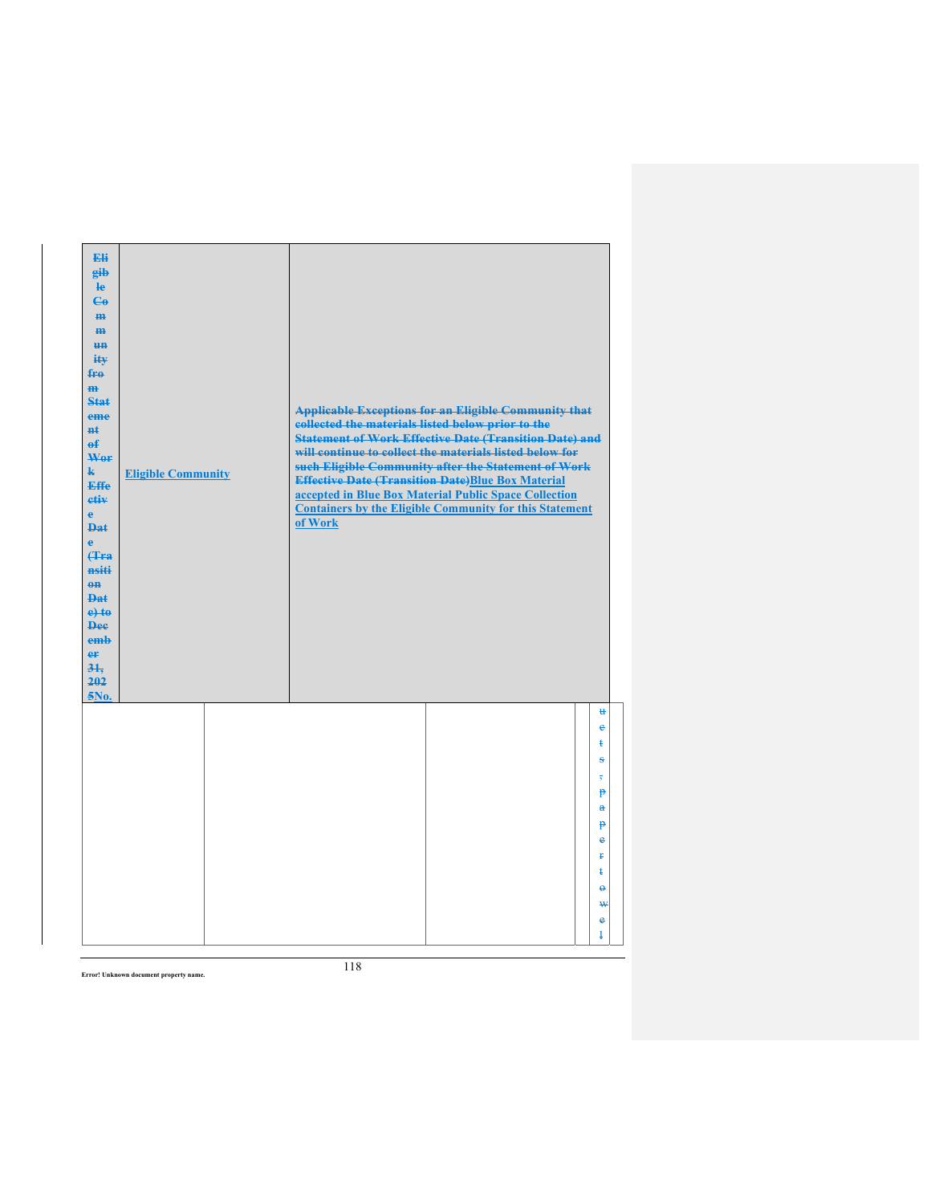| Eli<br>gib<br>$\mathbf{e}$<br>$\mathbf{G}$<br>m-<br>$\mathbf{m}$<br><b>HH</b><br>iŧ¥<br>$f_{\text{H}0}$<br>$\mathbf{m}$<br>Stat<br>eme<br>#£<br>$\mathbf{f}$<br>Wer<br>$\mathbf{k}$<br><b>Effe</b><br>etiv<br>$\mathbf{e}$<br><b>Dat</b><br>$\mathbf{e}$<br>Hra<br>nsiti<br>$0$<br><b>Dat</b><br>$e$ +to<br><b>Dee</b><br>emb<br>er<br>31.<br>202<br>5No. | <b>Eligible Community</b> | <b>Applicable Exceptions for an Eligible Community that</b><br>collected the materials listed below prior to the<br><b>Statement of Work Effective Date (Transition Date) and</b><br>will continue to collect the materials listed below for<br>such Eligible Community after the Statement of Work<br><b>Effective Date (Transition Date)Blue Box Material</b><br>accepted in Blue Box Material Public Space Collection<br><b>Containers by the Eligible Community for this Statement</b><br>of Work |                                                                                                                                         |
|-----------------------------------------------------------------------------------------------------------------------------------------------------------------------------------------------------------------------------------------------------------------------------------------------------------------------------------------------------------|---------------------------|-------------------------------------------------------------------------------------------------------------------------------------------------------------------------------------------------------------------------------------------------------------------------------------------------------------------------------------------------------------------------------------------------------------------------------------------------------------------------------------------------------|-----------------------------------------------------------------------------------------------------------------------------------------|
|                                                                                                                                                                                                                                                                                                                                                           |                           |                                                                                                                                                                                                                                                                                                                                                                                                                                                                                                       | $\mathbf{u}$<br>e<br>ŧ<br>s<br>$\overline{\phantom{a}}$<br>p<br>$\mathbf{a}$<br>p<br>e<br>Ŧ.<br>ŧ<br>$\ddot{\mathbf{e}}$<br>₩<br>e<br>ŧ |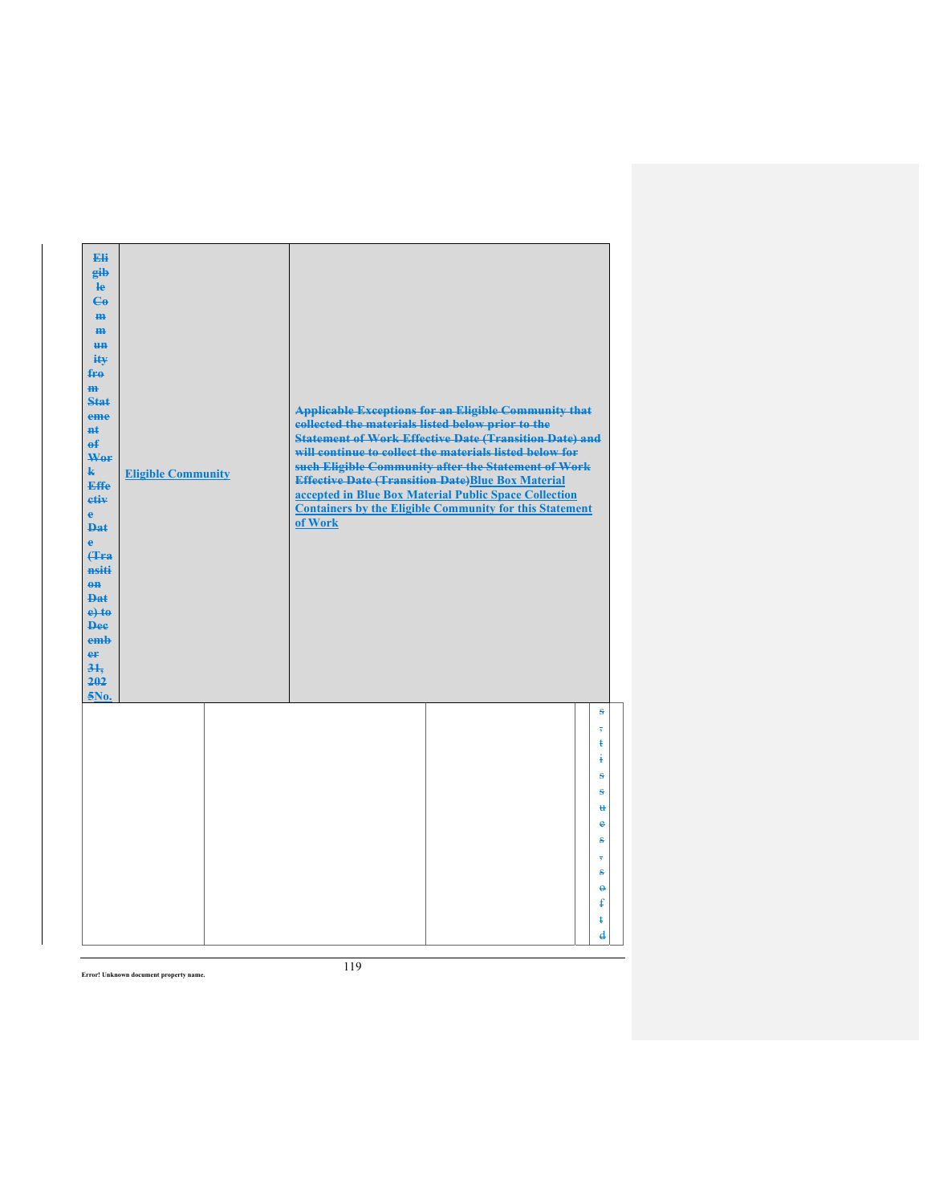| Eli<br>gib<br>$\mathbf{e}$<br>$C_{\theta}$<br>m-<br>$\mathbf{m}$<br><b>un</b><br>ity<br>$f_{\text{H}0}$<br>$\mathbf{m}$<br>Stat<br>eme<br>#£<br>$\mathbf{f}$<br>Wer<br>$\mathbf{k}$<br><b>Effe</b><br>etiv<br>$\mathbf{e}$<br><b>Dat</b><br>è<br>Hra<br>nsiti<br>$0$<br>$PA+$<br>$e$ +to<br><b>Dee</b><br>emb<br>er<br>31.<br>202<br>5No. | <b>Eligible Community</b> | <b>Applicable Exceptions for an Eligible Community that</b><br>collected the materials listed below prior to the<br><b>Statement of Work Effective Date (Transition Date) and</b><br>will continue to collect the materials listed below for<br>such Eligible Community after the Statement of Work<br><b>Effective Date (Transition Date)Blue Box Material</b><br>accepted in Blue Box Material Public Space Collection<br><b>Containers by the Eligible Community for this Statement</b><br>of Work |
|-------------------------------------------------------------------------------------------------------------------------------------------------------------------------------------------------------------------------------------------------------------------------------------------------------------------------------------------|---------------------------|-------------------------------------------------------------------------------------------------------------------------------------------------------------------------------------------------------------------------------------------------------------------------------------------------------------------------------------------------------------------------------------------------------------------------------------------------------------------------------------------------------|
|                                                                                                                                                                                                                                                                                                                                           |                           | $\bf{s}$<br>$\overline{\mathbf{5}}$<br>ŧ<br>ŧ<br>÷<br>ŝ<br>$\mathbf{H}$<br>e<br>s                                                                                                                                                                                                                                                                                                                                                                                                                     |
|                                                                                                                                                                                                                                                                                                                                           |                           | s<br>$\ddot{\mathbf{e}}$<br>ŧ<br>ŧ<br>$\overline{\mathbf{d}}$                                                                                                                                                                                                                                                                                                                                                                                                                                         |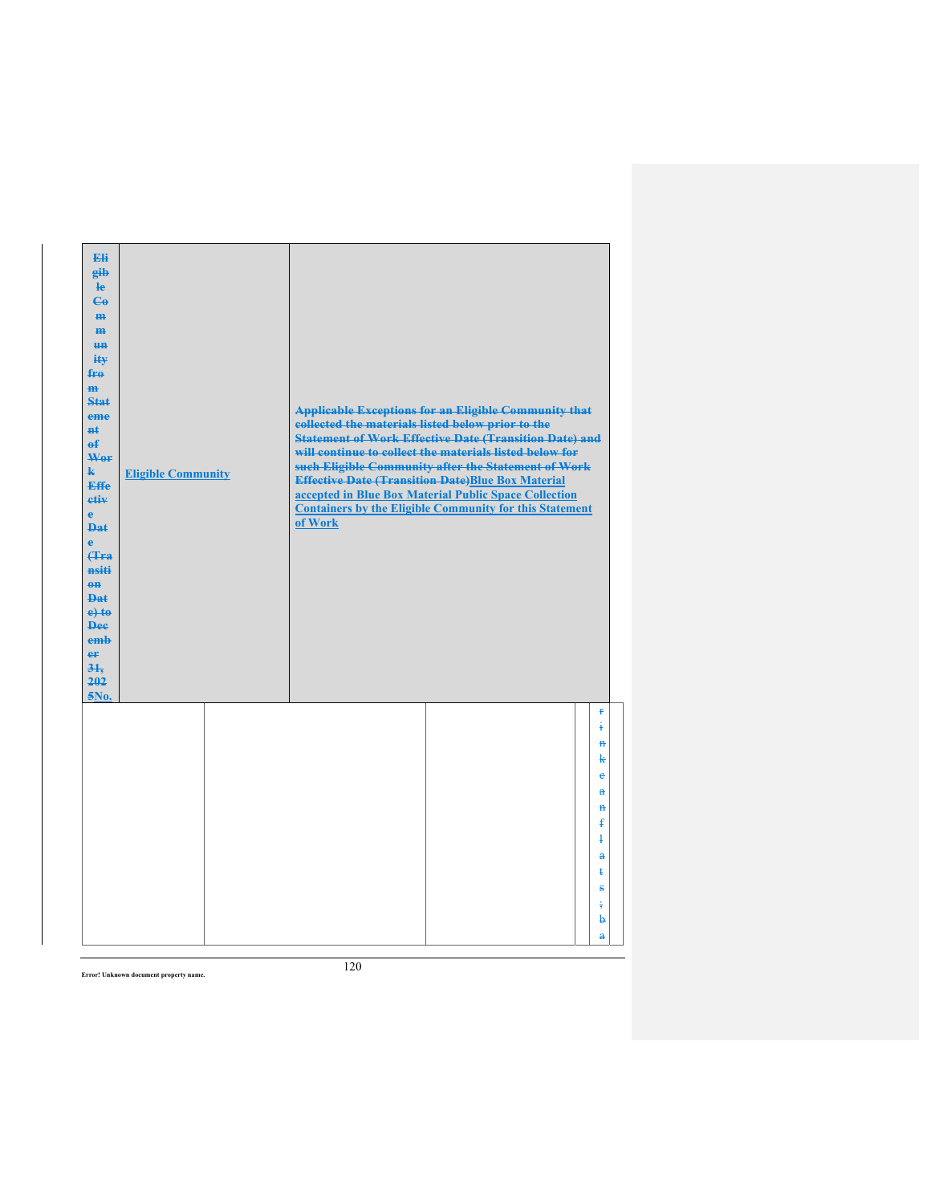| Eli<br>gib<br>$\mathbf{e}$<br>$\mathbf{G}$<br>m-<br>$\mathbf{m}$<br><b>HH</b><br>iŧ¥<br>$f_{\text{H}0}$<br>$\mathbf{m}$<br>Stat<br>eme<br>#£<br>$\mathbf{f}$<br>Wer<br>$\mathbf{k}$<br><b>Effe</b><br>etiv<br>$\mathbf{e}$<br><b>Dat</b><br>$\ddot{\mathbf{e}}$<br>Hra<br>nsiti<br>$0$<br><b>Dat</b><br>$e$ + $t$ $e$<br><b>Dee</b><br>emb<br>er<br>31.<br>202<br>5No. | <b>Eligible Community</b> | collected the materials listed below prior to the<br>of Work | <b>Applicable Exceptions for an Eligible Community that</b><br><b>Statement of Work Effective Date (Transition Date) and</b><br>will continue to collect the materials listed below for<br>such Eligible Community after the Statement of Work<br><b>Effective Date (Transition Date)Blue Box Material</b><br>accepted in Blue Box Material Public Space Collection<br><b>Containers by the Eligible Community for this Statement</b> |                                               |
|------------------------------------------------------------------------------------------------------------------------------------------------------------------------------------------------------------------------------------------------------------------------------------------------------------------------------------------------------------------------|---------------------------|--------------------------------------------------------------|---------------------------------------------------------------------------------------------------------------------------------------------------------------------------------------------------------------------------------------------------------------------------------------------------------------------------------------------------------------------------------------------------------------------------------------|-----------------------------------------------|
|                                                                                                                                                                                                                                                                                                                                                                        |                           |                                                              |                                                                                                                                                                                                                                                                                                                                                                                                                                       | $\ddot{\textbf{r}}$<br>ŧ<br>$\mathbf{H}$<br>k |
|                                                                                                                                                                                                                                                                                                                                                                        |                           |                                                              |                                                                                                                                                                                                                                                                                                                                                                                                                                       | e<br>$\mathbf{a}$                             |
|                                                                                                                                                                                                                                                                                                                                                                        |                           |                                                              |                                                                                                                                                                                                                                                                                                                                                                                                                                       | $\mathbf{H}$<br>$\mathbf{f}$                  |
|                                                                                                                                                                                                                                                                                                                                                                        |                           |                                                              |                                                                                                                                                                                                                                                                                                                                                                                                                                       | $\ddagger$<br>$\mathbf{a}$                    |
|                                                                                                                                                                                                                                                                                                                                                                        |                           |                                                              |                                                                                                                                                                                                                                                                                                                                                                                                                                       | ŧ<br>÷                                        |
|                                                                                                                                                                                                                                                                                                                                                                        |                           |                                                              |                                                                                                                                                                                                                                                                                                                                                                                                                                       | ÷                                             |
|                                                                                                                                                                                                                                                                                                                                                                        |                           |                                                              |                                                                                                                                                                                                                                                                                                                                                                                                                                       | þ<br>$\mathbf{a}$                             |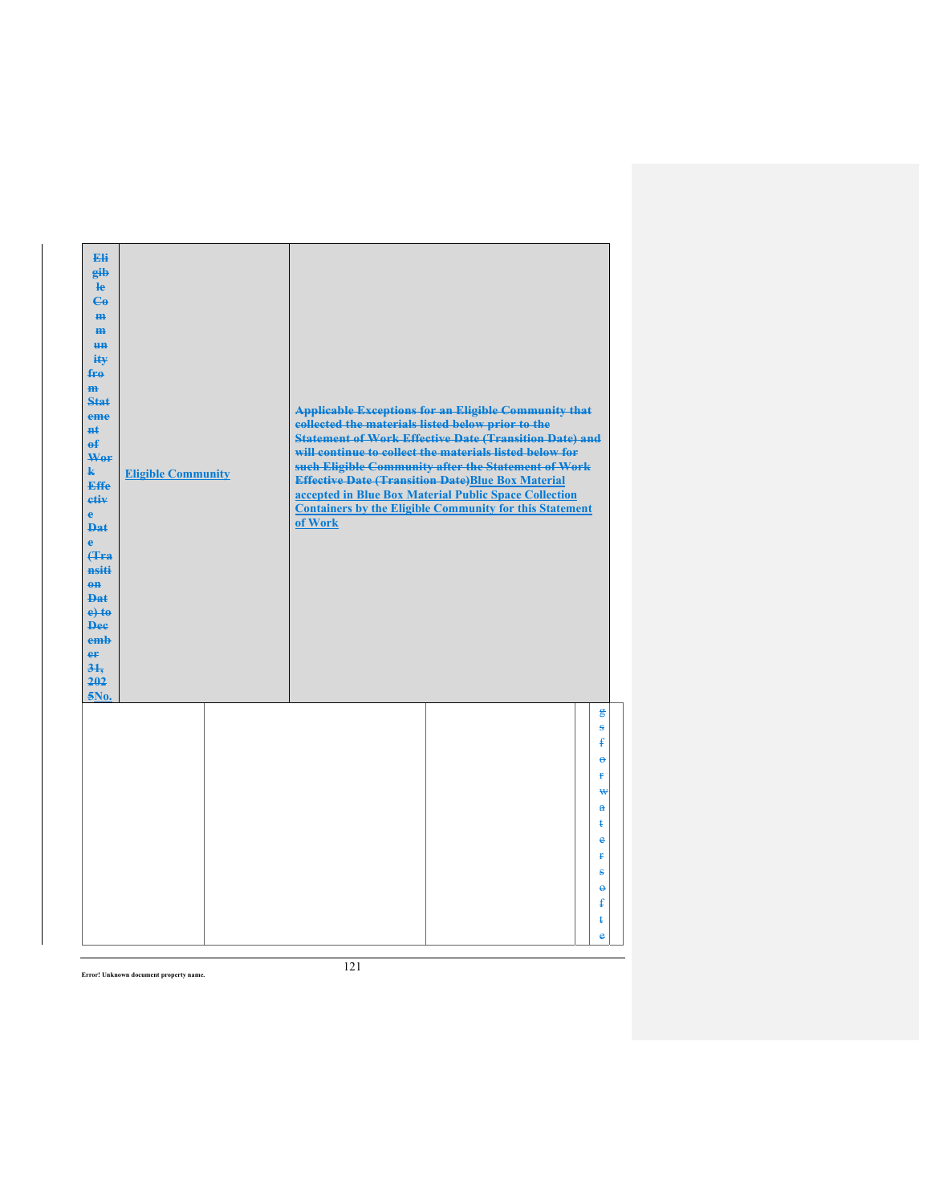| Eli<br>eib<br>$\mathbf{e}$<br>$\mathbf{G}$<br>H <sub>H</sub><br>H <sub>H</sub><br><b>un</b><br>ity<br>$f_{\text{H}0}$<br>$\mathbf{m}$<br><b>Stat</b><br>eme<br><b>Ht</b><br>$\theta$<br>Wer<br>$\mathbf{k}$<br><b>Effe</b><br>etiv<br>$\mathbf{e}$<br><b>Dat</b><br>$\ddot{\textbf{e}}$<br>(Tra<br>nsiti<br>$\theta$ <sup><math>\theta</math></sup><br><b>Dat</b><br>$e$ + $t$ $e$<br><b>Dee</b><br>emb<br>er<br>31.<br>202<br>5No. | <b>Eligible Community</b> | collected the materials listed below prior to the<br>of Work | <b>Applicable Exceptions for an Eligible Community that</b><br><b>Statement of Work Effective Date (Transition Date) and</b><br>will continue to collect the materials listed below for<br>such Eligible Community after the Statement of Work<br><b>Effective Date (Transition Date)Blue Box Material</b><br>accepted in Blue Box Material Public Space Collection<br><b>Containers by the Eligible Community for this Statement</b> |                                        |
|-------------------------------------------------------------------------------------------------------------------------------------------------------------------------------------------------------------------------------------------------------------------------------------------------------------------------------------------------------------------------------------------------------------------------------------|---------------------------|--------------------------------------------------------------|---------------------------------------------------------------------------------------------------------------------------------------------------------------------------------------------------------------------------------------------------------------------------------------------------------------------------------------------------------------------------------------------------------------------------------------|----------------------------------------|
|                                                                                                                                                                                                                                                                                                                                                                                                                                     |                           |                                                              |                                                                                                                                                                                                                                                                                                                                                                                                                                       | g<br>s<br>£                            |
|                                                                                                                                                                                                                                                                                                                                                                                                                                     |                           |                                                              |                                                                                                                                                                                                                                                                                                                                                                                                                                       | $\ddot{\boldsymbol{\theta}}$<br>ŧ<br>₩ |
|                                                                                                                                                                                                                                                                                                                                                                                                                                     |                           |                                                              |                                                                                                                                                                                                                                                                                                                                                                                                                                       | $\mathbf{a}$<br>ŧ                      |
|                                                                                                                                                                                                                                                                                                                                                                                                                                     |                           |                                                              |                                                                                                                                                                                                                                                                                                                                                                                                                                       | e                                      |
|                                                                                                                                                                                                                                                                                                                                                                                                                                     |                           |                                                              |                                                                                                                                                                                                                                                                                                                                                                                                                                       | Ŧ.<br>÷                                |
|                                                                                                                                                                                                                                                                                                                                                                                                                                     |                           |                                                              |                                                                                                                                                                                                                                                                                                                                                                                                                                       | $\ddot{\theta}$                        |
|                                                                                                                                                                                                                                                                                                                                                                                                                                     |                           |                                                              |                                                                                                                                                                                                                                                                                                                                                                                                                                       | ŧ<br>ŧ                                 |
|                                                                                                                                                                                                                                                                                                                                                                                                                                     |                           |                                                              |                                                                                                                                                                                                                                                                                                                                                                                                                                       | e                                      |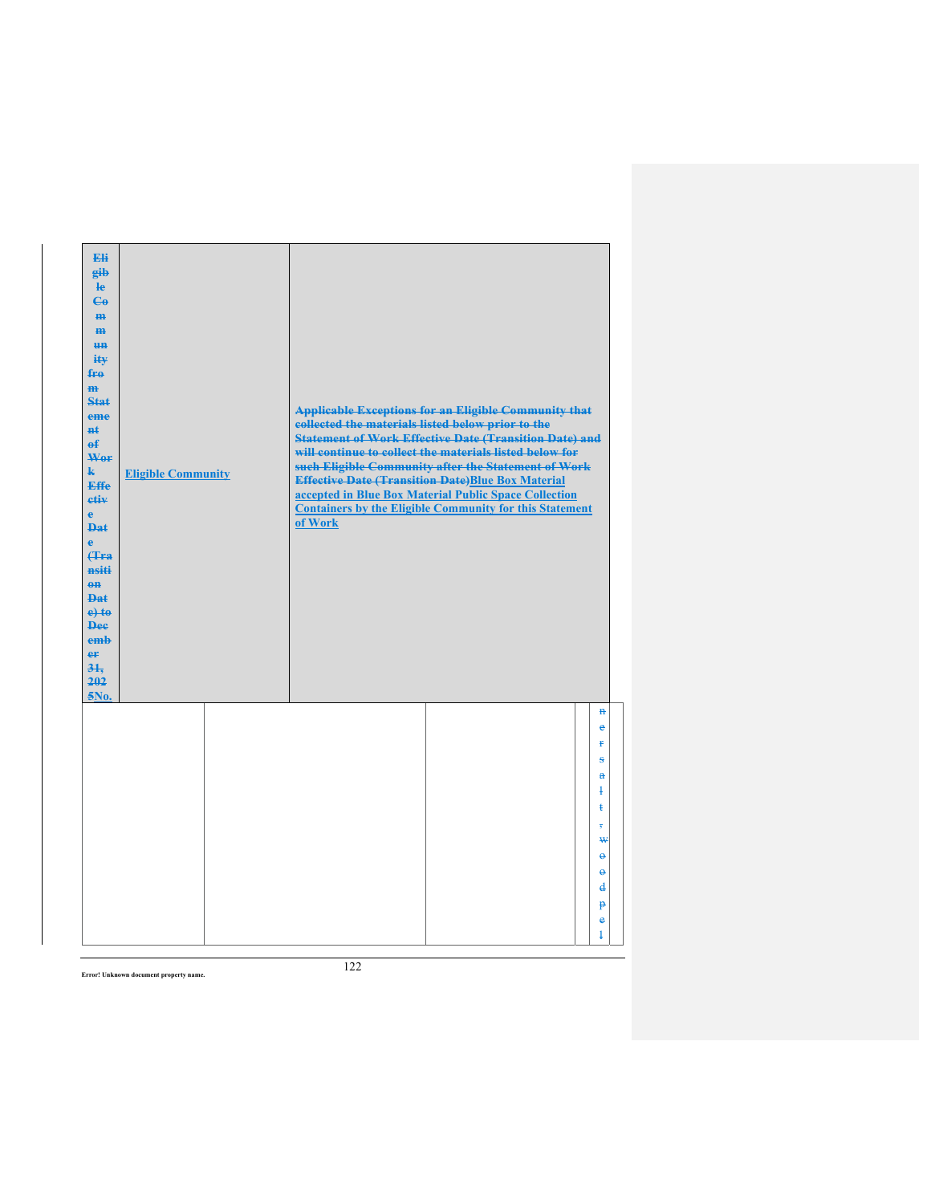| Eli<br>gib<br>$\mathbf{e}$<br>$\mathbf{G}$<br>m-<br>$\mathbf{m}$<br><b>un</b><br>ity<br>$f_{\text{H}0}$<br>$\mathbf{m}$<br><b>Stat</b><br>eme<br><b>n</b> t<br>$\mathbf{f}$<br>Wor<br>$\mathbf{k}$<br><b>Effe</b><br>etiv<br>$\mathbf{e}$<br><b>Dat</b><br>$\ddot{\textbf{e}}$<br>(Tra<br>nsiti<br>$0$<br><b>Dat</b><br>$e$ + $t$ $e$<br><b>Dee</b><br>emb<br>er<br>31.<br>202<br>$5N0$ . | <b>Eligible Community</b> | collected the materials listed below prior to the<br>of Work | <b>Applicable Exceptions for an Eligible Community that</b><br><b>Statement of Work Effective Date (Transition Date) and</b><br>will continue to collect the materials listed below for<br>such Eligible Community after the Statement of Work<br><b>Effective Date (Transition Date)Blue Box Material</b><br>accepted in Blue Box Material Public Space Collection<br><b>Containers by the Eligible Community for this Statement</b> |                                                                                      |
|-------------------------------------------------------------------------------------------------------------------------------------------------------------------------------------------------------------------------------------------------------------------------------------------------------------------------------------------------------------------------------------------|---------------------------|--------------------------------------------------------------|---------------------------------------------------------------------------------------------------------------------------------------------------------------------------------------------------------------------------------------------------------------------------------------------------------------------------------------------------------------------------------------------------------------------------------------|--------------------------------------------------------------------------------------|
|                                                                                                                                                                                                                                                                                                                                                                                           |                           |                                                              |                                                                                                                                                                                                                                                                                                                                                                                                                                       | $\mathbf{H}$<br>$\bullet$<br>¥<br>ŝ<br>$\mathbf{a}$<br>ł<br>ŧ<br>7<br>₩              |
|                                                                                                                                                                                                                                                                                                                                                                                           |                           |                                                              |                                                                                                                                                                                                                                                                                                                                                                                                                                       | $\ddot{\theta}$<br>$\ddot{\theta}$<br>$\overline{\mathbf{d}}$<br>p<br>$\bullet$<br>ŧ |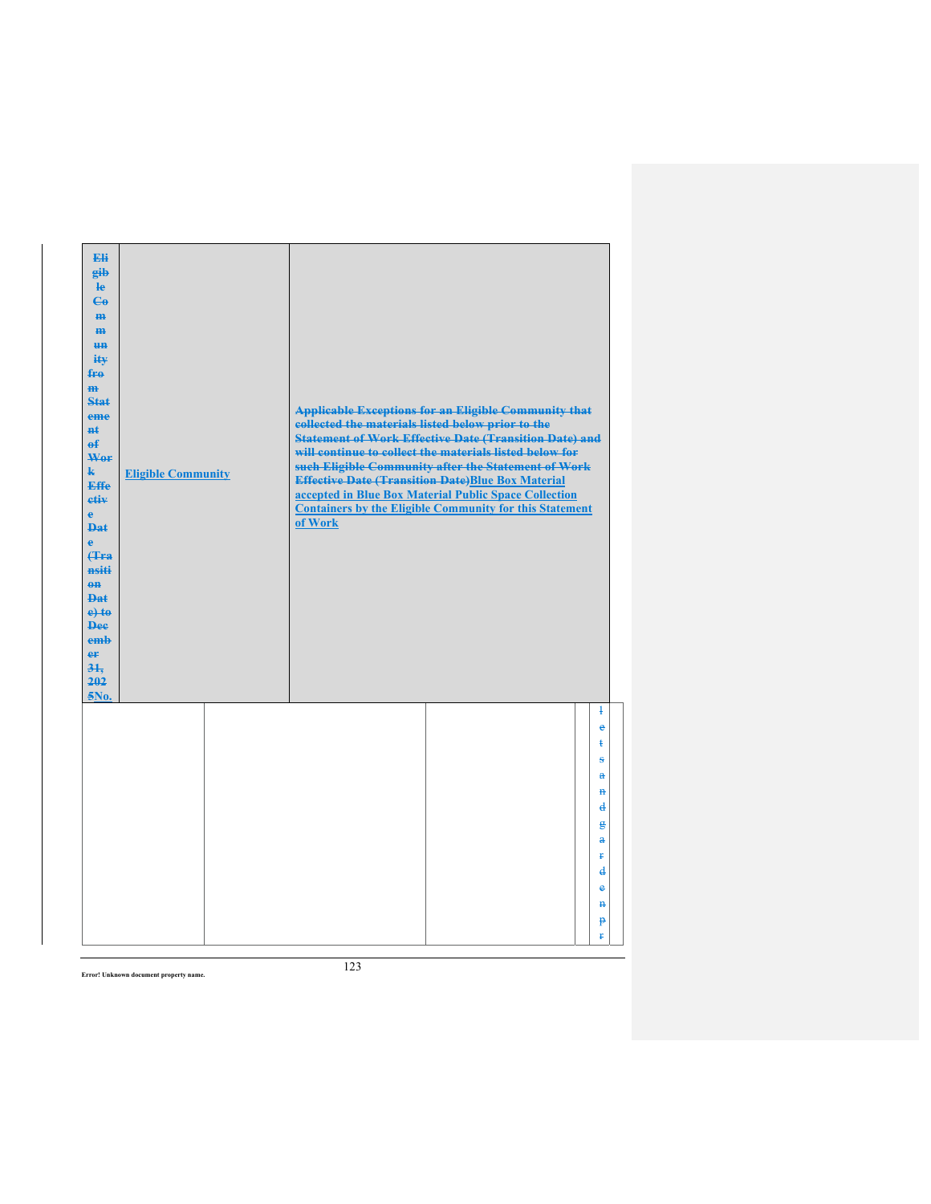| Eli<br>eib<br>$\mathbf{e}$<br>$\mathbf{e}_0$<br>H <sub>H</sub><br>$\mathbf{m}$<br><del>un</del><br>iŧ¥<br>fro<br>$\mathbf{m}$<br>Stat<br>eme<br>$H+$<br>$\mathbf{f}$<br>Wer<br>$\mathbf{k}$<br><b>Effe</b><br>etiv<br>$\mathbf{e}$<br><b>Dat</b><br>$\ddot{\textbf{e}}$<br>(Tra<br>nsiti<br>$0$<br><b>Dat</b><br>$e$ + $t$ $e$<br><b>Dee</b><br>emb<br>er<br>31.<br>202<br>5No. | <b>Eligible Community</b> | collected the materials listed below prior to the<br>of Work | <b>Applicable Exceptions for an Eligible Community that</b><br><b>Statement of Work Effective Date (Transition Date) and</b><br>will continue to collect the materials listed below for<br>such Eligible Community after the Statement of Work<br><b>Effective Date (Transition Date)Blue Box Material</b><br>accepted in Blue Box Material Public Space Collection<br><b>Containers by the Eligible Community for this Statement</b> |                              |
|---------------------------------------------------------------------------------------------------------------------------------------------------------------------------------------------------------------------------------------------------------------------------------------------------------------------------------------------------------------------------------|---------------------------|--------------------------------------------------------------|---------------------------------------------------------------------------------------------------------------------------------------------------------------------------------------------------------------------------------------------------------------------------------------------------------------------------------------------------------------------------------------------------------------------------------------|------------------------------|
|                                                                                                                                                                                                                                                                                                                                                                                 |                           |                                                              |                                                                                                                                                                                                                                                                                                                                                                                                                                       | $\ddagger$<br>e<br>ŧ         |
|                                                                                                                                                                                                                                                                                                                                                                                 |                           |                                                              |                                                                                                                                                                                                                                                                                                                                                                                                                                       | ÷<br>$\mathbf{a}$            |
|                                                                                                                                                                                                                                                                                                                                                                                 |                           |                                                              |                                                                                                                                                                                                                                                                                                                                                                                                                                       | $\mathbf{H}$                 |
|                                                                                                                                                                                                                                                                                                                                                                                 |                           |                                                              |                                                                                                                                                                                                                                                                                                                                                                                                                                       | $\mathbf d$                  |
|                                                                                                                                                                                                                                                                                                                                                                                 |                           |                                                              |                                                                                                                                                                                                                                                                                                                                                                                                                                       | $\mathbf{g}$<br>$\mathbf{a}$ |
|                                                                                                                                                                                                                                                                                                                                                                                 |                           |                                                              |                                                                                                                                                                                                                                                                                                                                                                                                                                       | Ŧ                            |
|                                                                                                                                                                                                                                                                                                                                                                                 |                           |                                                              |                                                                                                                                                                                                                                                                                                                                                                                                                                       | d<br>ė                       |
|                                                                                                                                                                                                                                                                                                                                                                                 |                           |                                                              |                                                                                                                                                                                                                                                                                                                                                                                                                                       | $\mathbf{H}$                 |
|                                                                                                                                                                                                                                                                                                                                                                                 |                           |                                                              |                                                                                                                                                                                                                                                                                                                                                                                                                                       | $\mathbf{P}$                 |
|                                                                                                                                                                                                                                                                                                                                                                                 |                           |                                                              |                                                                                                                                                                                                                                                                                                                                                                                                                                       | ŧ                            |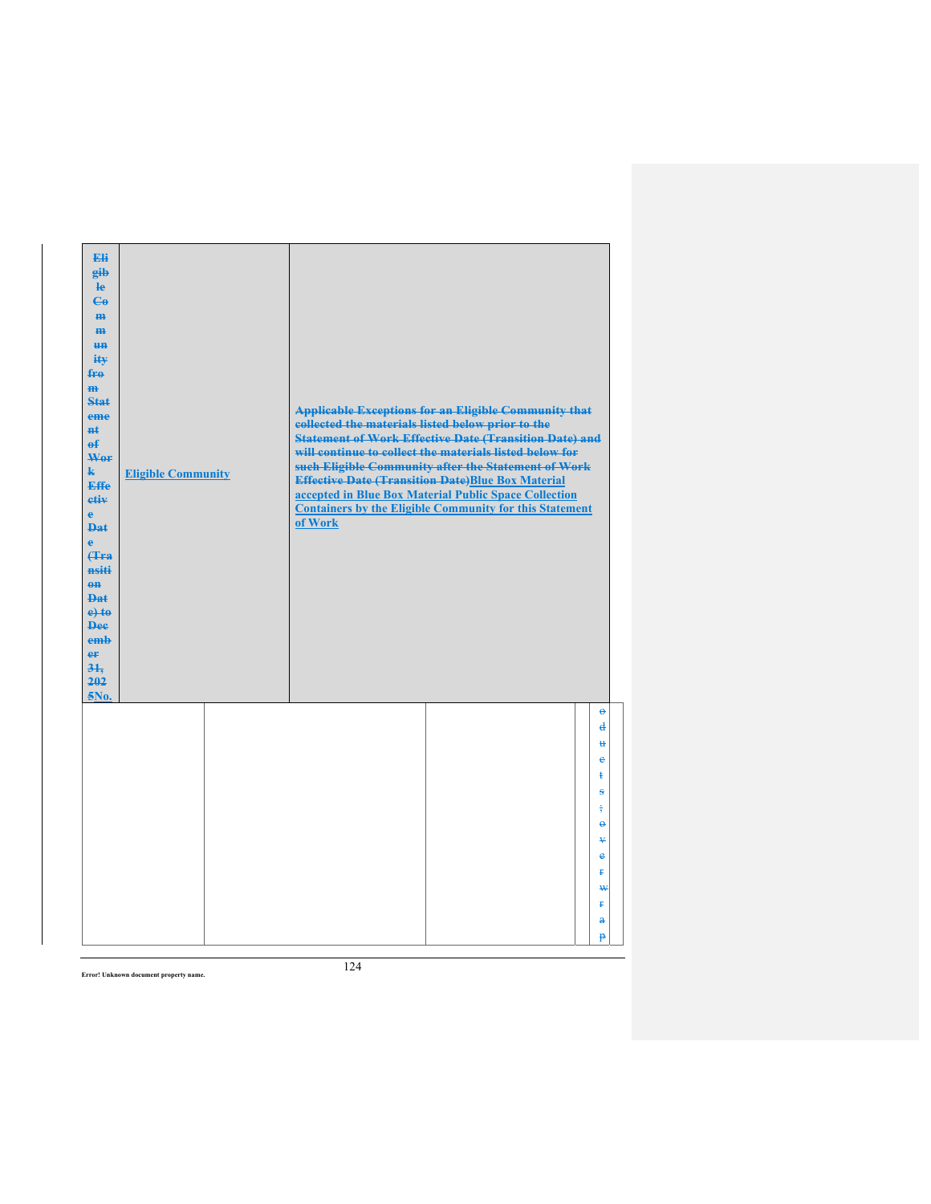| Eli<br>gib<br>He<br>$\mathbf{G}$<br>H <sub>H</sub><br>m<br>H <sub>H</sub><br>ity<br>fro<br>$\mathbf{m}$<br><b>Stat</b><br>eme<br><b>n</b> t<br>$\mathbf{f}$<br>Wor<br>$\mathbf{k}$<br><b>Effe</b><br>etiv<br>$\mathbf{e}$<br><b>Dat</b><br>$\ddot{\textbf{e}}$<br>(Tra<br>nsiti<br>$0$<br>Dat<br>$e$ +to<br><b>Dee</b><br>emb<br>er<br>31.<br>202<br>5No. | <b>Eligible Community</b> | <b>Applicable Exceptions for an Eligible Community that</b><br>collected the materials listed below prior to the<br><b>Statement of Work Effective Date (Transition Date) and</b><br>will continue to collect the materials listed below for<br>such Eligible Community after the Statement of Work<br><b>Effective Date (Transition Date)Blue Box Material</b><br>accepted in Blue Box Material Public Space Collection<br><b>Containers by the Eligible Community for this Statement</b><br>of Work |                          |
|-----------------------------------------------------------------------------------------------------------------------------------------------------------------------------------------------------------------------------------------------------------------------------------------------------------------------------------------------------------|---------------------------|-------------------------------------------------------------------------------------------------------------------------------------------------------------------------------------------------------------------------------------------------------------------------------------------------------------------------------------------------------------------------------------------------------------------------------------------------------------------------------------------------------|--------------------------|
|                                                                                                                                                                                                                                                                                                                                                           |                           |                                                                                                                                                                                                                                                                                                                                                                                                                                                                                                       | $\Theta$<br>$\mathbf{d}$ |
|                                                                                                                                                                                                                                                                                                                                                           |                           |                                                                                                                                                                                                                                                                                                                                                                                                                                                                                                       | u                        |
|                                                                                                                                                                                                                                                                                                                                                           |                           |                                                                                                                                                                                                                                                                                                                                                                                                                                                                                                       | €<br>ŧ                   |
|                                                                                                                                                                                                                                                                                                                                                           |                           |                                                                                                                                                                                                                                                                                                                                                                                                                                                                                                       | ŝ                        |
|                                                                                                                                                                                                                                                                                                                                                           |                           |                                                                                                                                                                                                                                                                                                                                                                                                                                                                                                       | $\frac{1}{2}$            |
|                                                                                                                                                                                                                                                                                                                                                           |                           |                                                                                                                                                                                                                                                                                                                                                                                                                                                                                                       | $\ddot{\theta}$          |
|                                                                                                                                                                                                                                                                                                                                                           |                           |                                                                                                                                                                                                                                                                                                                                                                                                                                                                                                       | ¥                        |
|                                                                                                                                                                                                                                                                                                                                                           |                           |                                                                                                                                                                                                                                                                                                                                                                                                                                                                                                       | $\bullet$<br>Ŧ           |
|                                                                                                                                                                                                                                                                                                                                                           |                           |                                                                                                                                                                                                                                                                                                                                                                                                                                                                                                       | ₩                        |
|                                                                                                                                                                                                                                                                                                                                                           |                           |                                                                                                                                                                                                                                                                                                                                                                                                                                                                                                       | Ŧ.                       |
|                                                                                                                                                                                                                                                                                                                                                           |                           |                                                                                                                                                                                                                                                                                                                                                                                                                                                                                                       | a                        |
|                                                                                                                                                                                                                                                                                                                                                           |                           |                                                                                                                                                                                                                                                                                                                                                                                                                                                                                                       | p                        |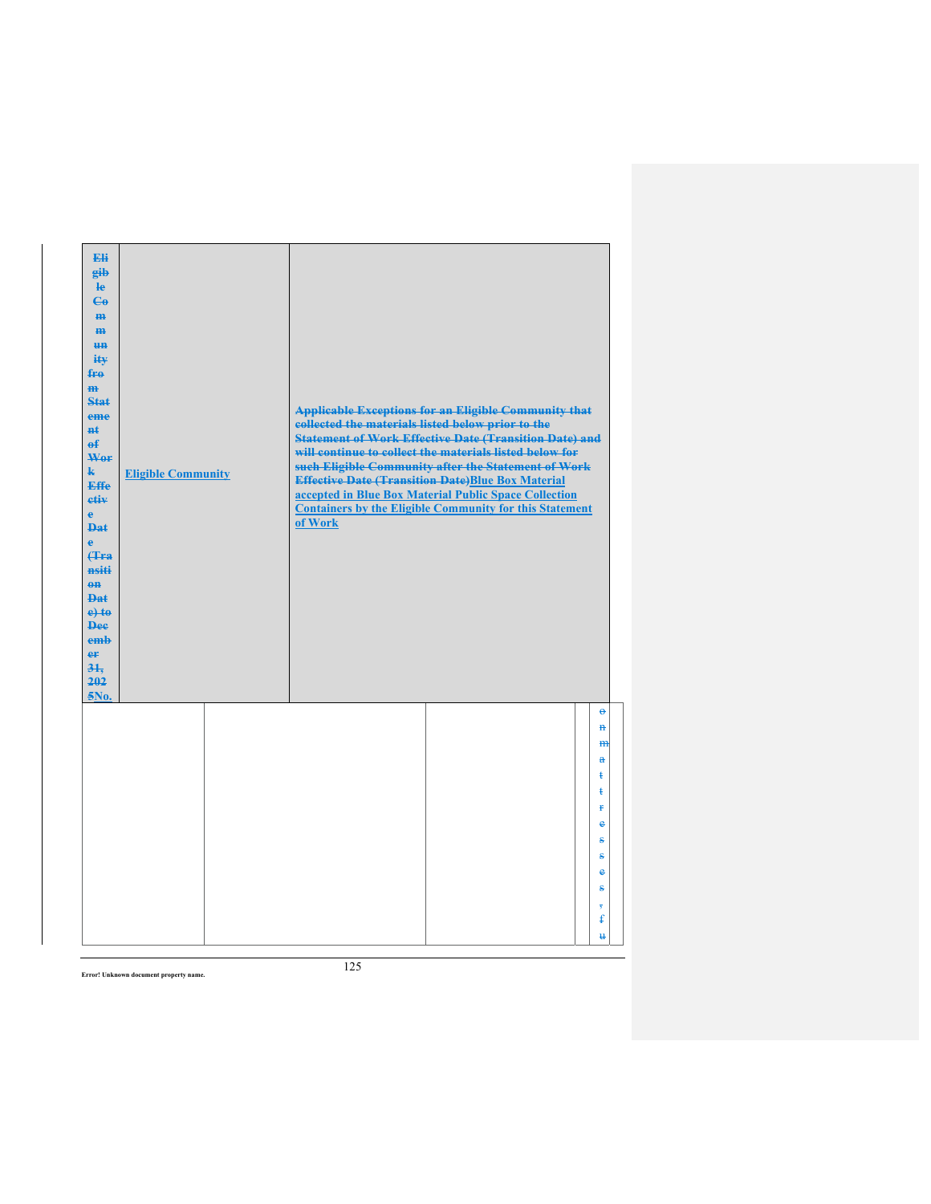| Eli<br>gib<br>He<br>$\mathbf{G}$<br>H <sub>H</sub><br>m<br>H <sub>H</sub><br>ity<br>$f_{\text{H}0}$<br>m<br>Stat<br>eme<br>$H+$<br>$\mathbf{f}$<br>Wer<br>$\mathbf{k}$<br><b>Effe</b><br>etiv<br>$\mathbf{e}$<br><b>Dat</b><br>$\mathbf{e}$<br>Hra<br>nsiti<br>$0$<br><b>Dat</b><br>$e$ +to<br><b>Dee</b><br>emb<br>er<br>31.<br>202<br>5No. | <b>Eligible Community</b> | collected the materials listed below prior to the<br>of Work | <b>Applicable Exceptions for an Eligible Community that</b><br><b>Statement of Work Effective Date (Transition Date) and</b><br>will continue to collect the materials listed below for<br>such Eligible Community after the Statement of Work<br><b>Effective Date (Transition Date)Blue Box Material</b><br>accepted in Blue Box Material Public Space Collection<br><b>Containers by the Eligible Community for this Statement</b> |                                            |
|----------------------------------------------------------------------------------------------------------------------------------------------------------------------------------------------------------------------------------------------------------------------------------------------------------------------------------------------|---------------------------|--------------------------------------------------------------|---------------------------------------------------------------------------------------------------------------------------------------------------------------------------------------------------------------------------------------------------------------------------------------------------------------------------------------------------------------------------------------------------------------------------------------|--------------------------------------------|
|                                                                                                                                                                                                                                                                                                                                              |                           |                                                              |                                                                                                                                                                                                                                                                                                                                                                                                                                       | $\Theta$<br>$\mathbf{H}$<br>H <sub>H</sub> |
|                                                                                                                                                                                                                                                                                                                                              |                           |                                                              |                                                                                                                                                                                                                                                                                                                                                                                                                                       | $\mathbf{a}$<br>ŧ<br>ŧ                     |
|                                                                                                                                                                                                                                                                                                                                              |                           |                                                              |                                                                                                                                                                                                                                                                                                                                                                                                                                       | <b>f</b><br>e                              |
|                                                                                                                                                                                                                                                                                                                                              |                           |                                                              |                                                                                                                                                                                                                                                                                                                                                                                                                                       | s<br>÷                                     |
|                                                                                                                                                                                                                                                                                                                                              |                           |                                                              |                                                                                                                                                                                                                                                                                                                                                                                                                                       | $\bullet$                                  |
|                                                                                                                                                                                                                                                                                                                                              |                           |                                                              |                                                                                                                                                                                                                                                                                                                                                                                                                                       | ÷                                          |
|                                                                                                                                                                                                                                                                                                                                              |                           |                                                              |                                                                                                                                                                                                                                                                                                                                                                                                                                       | ŧ                                          |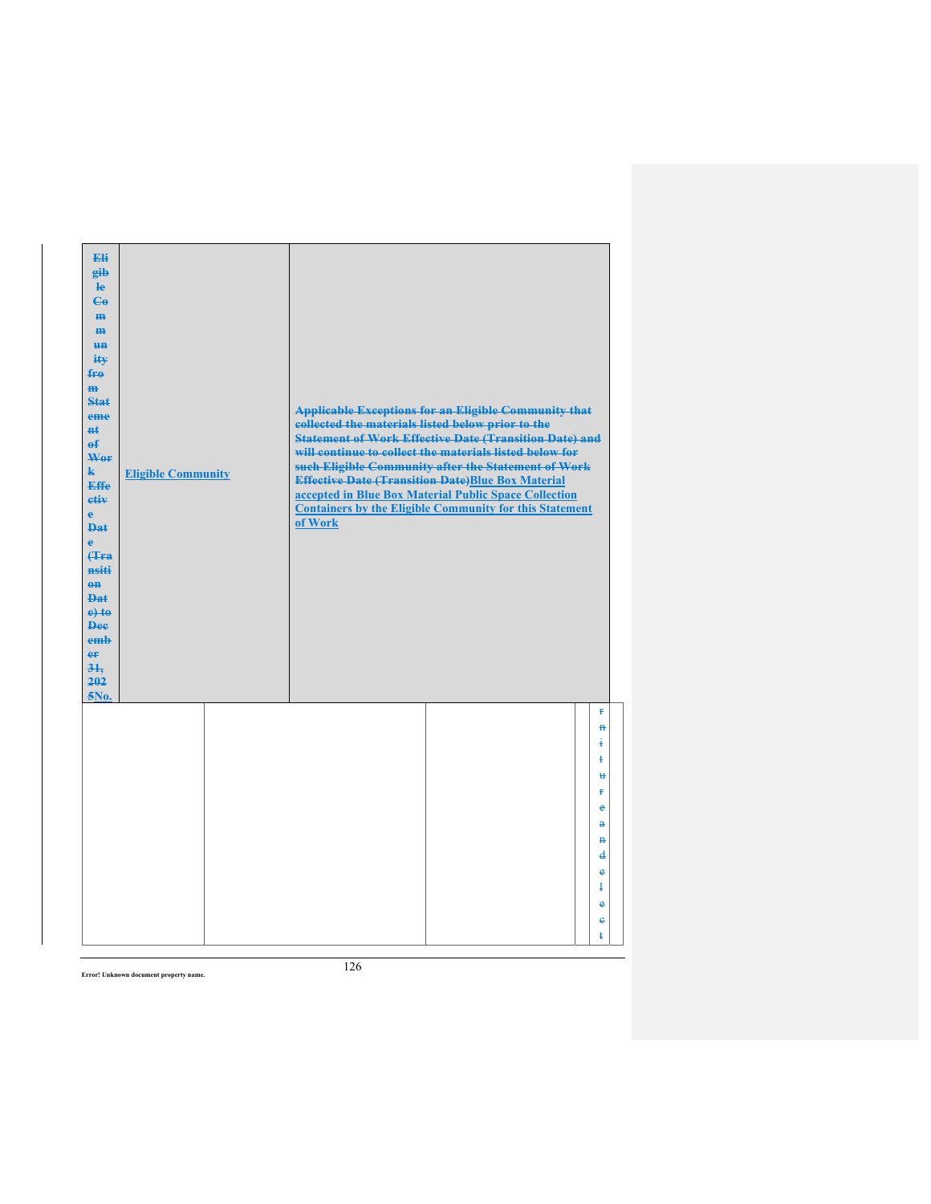| Eli<br>eib<br>$\mathbf{e}$<br>$\mathbf{G}$<br>H <sub>H</sub><br>H <sub>H</sub><br><b>un</b><br>ity<br>$f_{\text{H}0}$<br>$\mathbf{m}$<br><b>Stat</b><br>eme<br><b>H</b> t<br>$\theta$<br>Wor<br>$\mathbf{k}$<br><b>Effe</b><br>etiv<br>$\mathbf{e}$<br><b>Dat</b><br>$\ddot{\textbf{e}}$<br>(Tra<br>nsiti<br>$\theta$ <sup><math>\theta</math></sup><br><b>Dat</b><br>$e$ + $t$ $e$<br><b>Dee</b><br>emb<br>er<br>31.<br>202<br>5No. | <b>Eligible Community</b> | <b>Applicable Exceptions for an Eligible Community that</b><br>collected the materials listed below prior to the<br><b>Statement of Work Effective Date (Transition Date) and</b><br>will continue to collect the materials listed below for<br>such Eligible Community after the Statement of Work<br><b>Effective Date (Transition Date)Blue Box Material</b><br>accepted in Blue Box Material Public Space Collection<br><b>Containers by the Eligible Community for this Statement</b><br>of Work |                                                                                                                             |
|--------------------------------------------------------------------------------------------------------------------------------------------------------------------------------------------------------------------------------------------------------------------------------------------------------------------------------------------------------------------------------------------------------------------------------------|---------------------------|-------------------------------------------------------------------------------------------------------------------------------------------------------------------------------------------------------------------------------------------------------------------------------------------------------------------------------------------------------------------------------------------------------------------------------------------------------------------------------------------------------|-----------------------------------------------------------------------------------------------------------------------------|
|                                                                                                                                                                                                                                                                                                                                                                                                                                      |                           |                                                                                                                                                                                                                                                                                                                                                                                                                                                                                                       | Ŧ<br>$\mathbf{H}$<br>į<br>ŧ<br>u<br>Ŧ<br>e<br>$\mathbf{a}$<br>$\mathbf{H}$<br>$\mathbf{d}$<br>e<br>ŧ<br>$\bullet$<br>e<br>ŧ |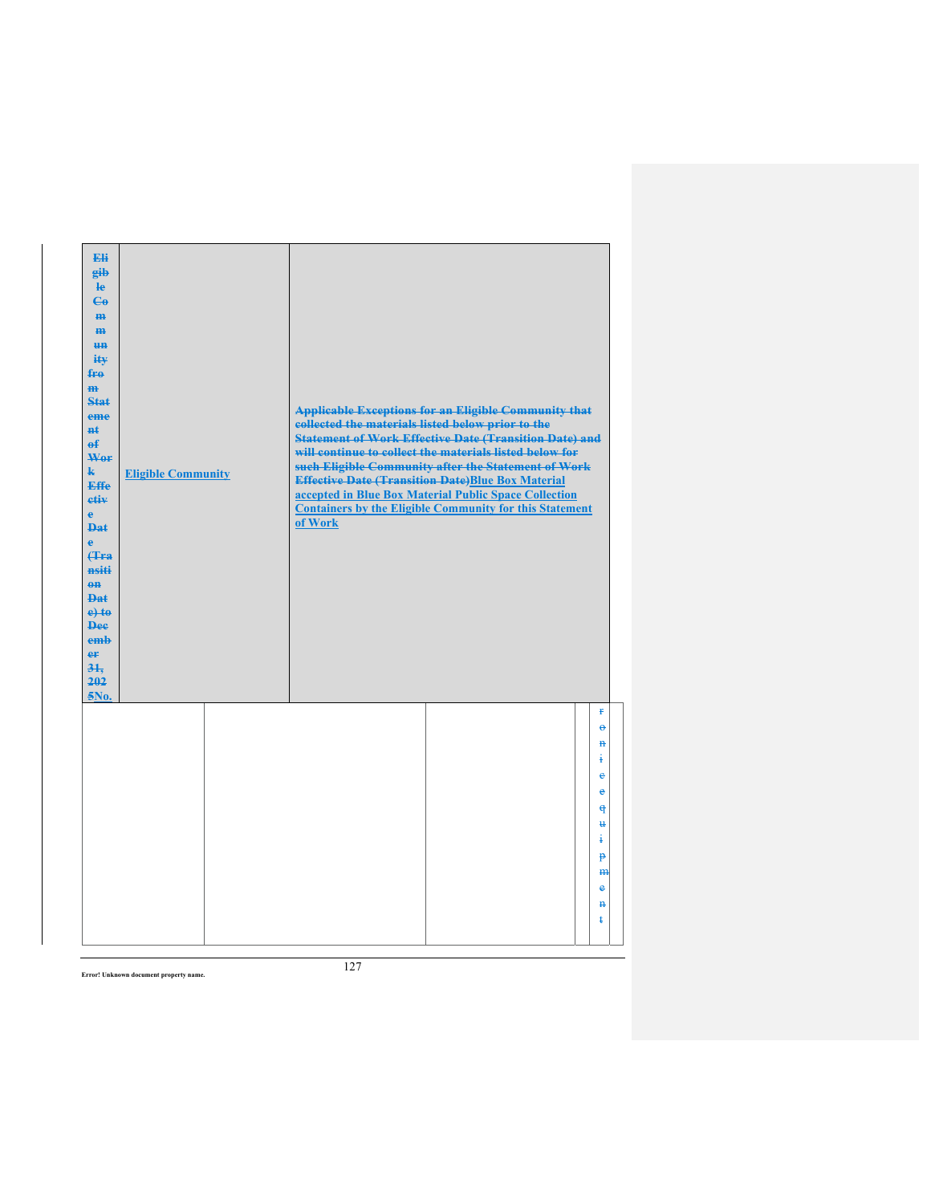| Eli<br>eib<br>$\mathbf{e}$<br>$\mathbf{e}_0$<br>H <sub>H</sub><br>$\mathbf{m}$<br><del>un</del><br>iŧ¥<br>fro<br>$\mathbf{m}$<br>Stat<br>eme<br>$H+$<br>$\mathbf{f}$<br>Wer<br>$\mathbf{k}$<br><b>Effe</b><br>etiv<br>$\mathbf{e}$<br><b>Dat</b><br>$\ddot{\textbf{e}}$<br>(Tra<br>nsiti<br>$0$<br><b>Dat</b><br>$e$ + $t$ $e$<br><b>Dee</b><br>emb<br>er<br>31.<br>202<br>5No. | <b>Eligible Community</b> | <b>Applicable Exceptions for an Eligible Community that</b><br>collected the materials listed below prior to the<br><b>Statement of Work Effective Date (Transition Date) and</b><br>will continue to collect the materials listed below for<br>such Eligible Community after the Statement of Work<br><b>Effective Date (Transition Date)Blue Box Material</b><br>accepted in Blue Box Material Public Space Collection<br><b>Containers by the Eligible Community for this Statement</b><br>of Work |
|---------------------------------------------------------------------------------------------------------------------------------------------------------------------------------------------------------------------------------------------------------------------------------------------------------------------------------------------------------------------------------|---------------------------|-------------------------------------------------------------------------------------------------------------------------------------------------------------------------------------------------------------------------------------------------------------------------------------------------------------------------------------------------------------------------------------------------------------------------------------------------------------------------------------------------------|
|                                                                                                                                                                                                                                                                                                                                                                                 |                           | ¥.<br>$\Theta$<br>$\mathbf{a}$<br>ŧ<br>e<br>e<br>$\theta$<br>$\mathbf{H}$<br>į<br>p<br>H <sub>H</sub><br>e<br>$\mathbf{H}$<br>ŧ                                                                                                                                                                                                                                                                                                                                                                       |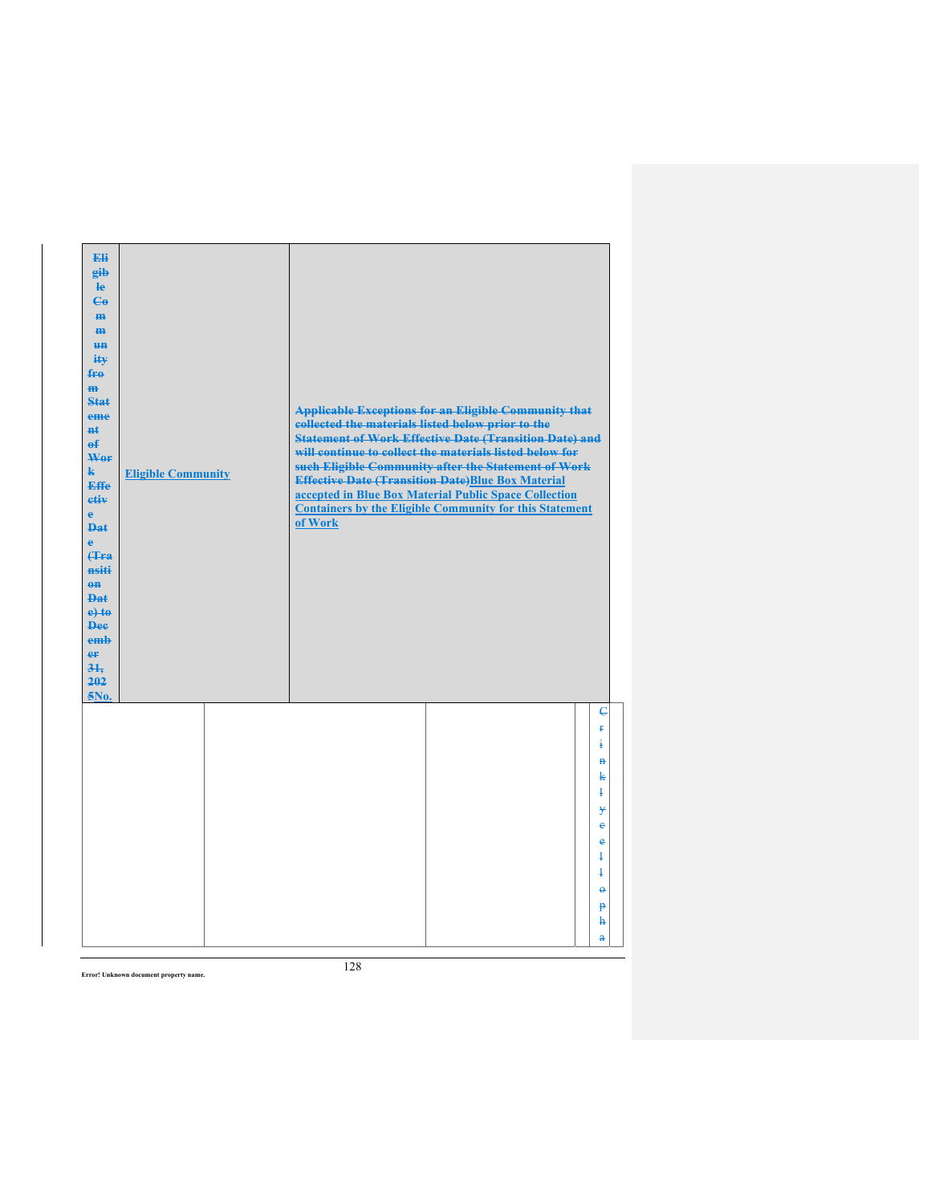| Eli<br>gib<br>$\mathbf{e}$<br>$C_{\theta}$<br>m-<br>$\mathbf{m}$<br><b>un</b><br>ity<br>$f_{\text{H}0}$<br>$\mathbf{m}$<br>Stat<br>eme<br>#£<br>$\mathbf{f}$<br>Wer<br>$\mathbf{k}$<br><b>Effe</b><br>etiv<br>$\mathbf{e}$<br><b>Dat</b><br>è<br>Hra<br>nsiti<br>$0$<br>$PA+$<br>$e$ +to<br><b>Dee</b><br>emb<br>er<br>31.<br>202<br>5No. | <b>Eligible Community</b> | <b>Applicable Exceptions for an Eligible Community that</b><br>collected the materials listed below prior to the<br><b>Statement of Work Effective Date (Transition Date) and</b><br>will continue to collect the materials listed below for<br>such Eligible Community after the Statement of Work<br><b>Effective Date (Transition Date)Blue Box Material</b><br>accepted in Blue Box Material Public Space Collection<br><b>Containers by the Eligible Community for this Statement</b><br>of Work |                                                                                                                                                     |
|-------------------------------------------------------------------------------------------------------------------------------------------------------------------------------------------------------------------------------------------------------------------------------------------------------------------------------------------|---------------------------|-------------------------------------------------------------------------------------------------------------------------------------------------------------------------------------------------------------------------------------------------------------------------------------------------------------------------------------------------------------------------------------------------------------------------------------------------------------------------------------------------------|-----------------------------------------------------------------------------------------------------------------------------------------------------|
|                                                                                                                                                                                                                                                                                                                                           |                           |                                                                                                                                                                                                                                                                                                                                                                                                                                                                                                       | $\overline{e}$<br>ŧ<br>i<br>$\mathbf{H}$<br>k<br>ł<br>¥<br>e<br>e<br>ł<br>$\ddagger$<br>$\ddot{\theta}$<br>$\mathbf{P}$<br>ħ<br>$\ddot{\textbf{a}}$ |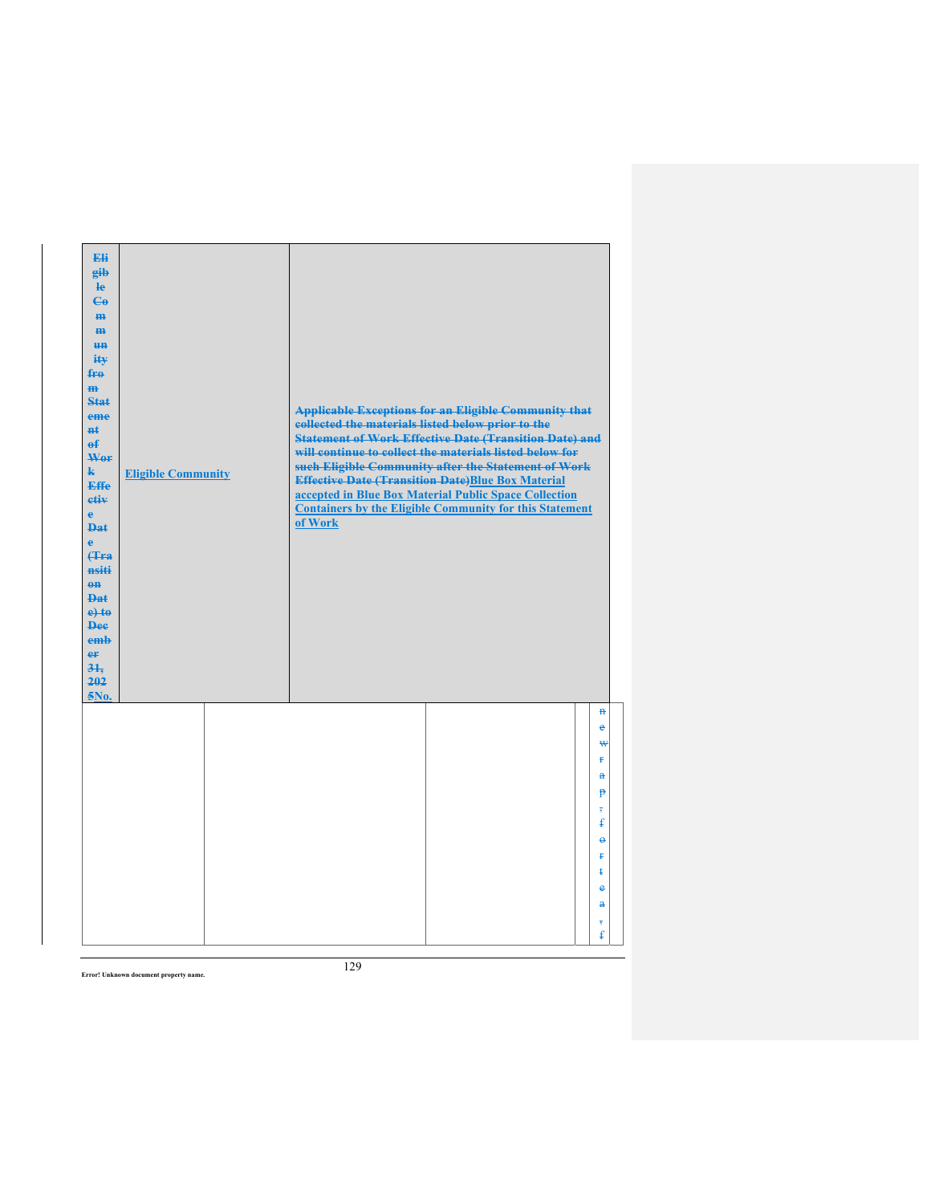| Eli<br>gib<br>$\mathbf{e}$<br>$\mathbf{G}$<br>m-<br>$\mathbf{m}$<br><b>HH</b><br>iŧ¥<br>$f_{\text{H}0}$<br>$\mathbf{m}$<br>Stat<br>eme<br>#£<br>$\mathbf{f}$<br>Wer<br>$\mathbf{k}$<br><b>Effe</b><br>etiv<br>$\mathbf{e}$<br><b>Dat</b><br>$\ddot{\mathbf{e}}$<br>Hra<br>nsiti<br>$0$<br><b>Dat</b><br>$e$ + $t$ $e$<br><b>Dee</b><br>emb<br>er<br>31.<br>202<br>5No. | <b>Eligible Community</b> | collected the materials listed below prior to the<br><b>Effective Date (Transition Date)Blue Box Material</b><br>of Work | <b>Applicable Exceptions for an Eligible Community that</b><br><b>Statement of Work Effective Date (Transition Date) and</b><br>will continue to collect the materials listed below for<br>such Eligible Community after the Statement of Work<br>accepted in Blue Box Material Public Space Collection<br><b>Containers by the Eligible Community for this Statement</b> |                                                                                                                                                                                  |
|------------------------------------------------------------------------------------------------------------------------------------------------------------------------------------------------------------------------------------------------------------------------------------------------------------------------------------------------------------------------|---------------------------|--------------------------------------------------------------------------------------------------------------------------|---------------------------------------------------------------------------------------------------------------------------------------------------------------------------------------------------------------------------------------------------------------------------------------------------------------------------------------------------------------------------|----------------------------------------------------------------------------------------------------------------------------------------------------------------------------------|
|                                                                                                                                                                                                                                                                                                                                                                        |                           |                                                                                                                          |                                                                                                                                                                                                                                                                                                                                                                           | $\mathbf{H}$<br>e<br>₩<br>Ŧ.<br>$\mathbf{a}$<br>$\mathbf{P}$<br>$\overline{\phantom{a}}$<br>ŧ<br>$\Theta$<br>Ŧ<br>ŧ<br>$\bullet$<br>$\mathbf{a}$<br>$\overline{\mathbf{5}}$<br>£ |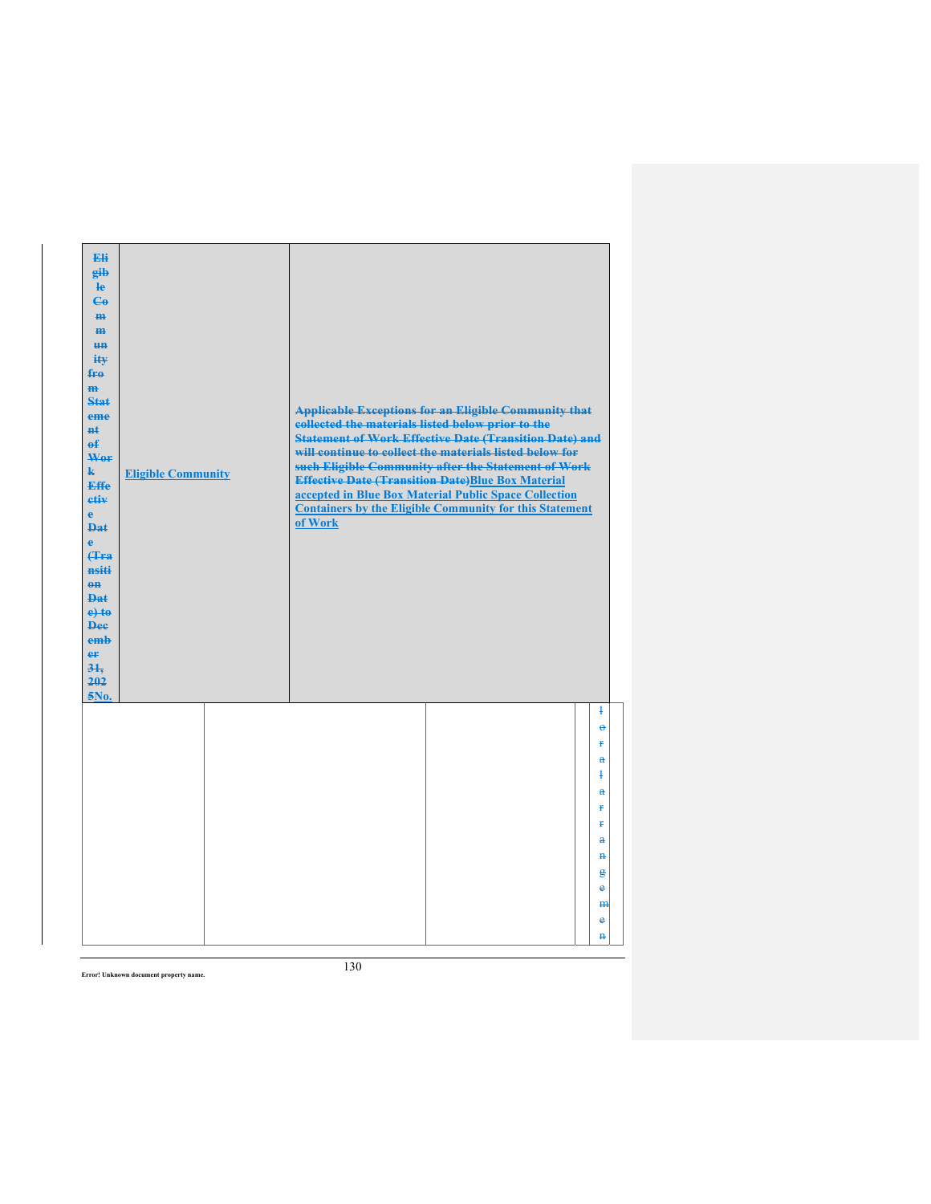| Eli<br>gib<br>He<br>$\mathbf{G}$<br>H <sub>H</sub><br>m<br>H <sub>H</sub><br>ity<br>fro<br>$\mathbf{m}$<br><b>Stat</b><br><b>Applicable Exceptions for an Eligible Community that</b><br>eme<br>collected the materials listed below prior to the<br><b>n</b> t<br><b>Statement of Work Effective Date (Transition Date) and</b><br>$\mathbf{f}$<br>will continue to collect the materials listed below for<br>Wor<br>such Eligible Community after the Statement of Work<br>$\mathbf{k}$<br><b>Eligible Community</b><br><b>Effective Date (Transition Date)Blue Box Material</b><br><b>Effe</b><br>accepted in Blue Box Material Public Space Collection<br>etiv<br><b>Containers by the Eligible Community for this Statement</b><br>$\mathbf{e}$<br>of Work<br><b>Dat</b><br>$\ddot{\textbf{e}}$<br>(Tra<br>nsiti<br>$0$<br>Dat<br>$e$ +to<br><b>Dee</b><br>emb<br>er<br>31.<br>202<br>5No. |                          |
|-------------------------------------------------------------------------------------------------------------------------------------------------------------------------------------------------------------------------------------------------------------------------------------------------------------------------------------------------------------------------------------------------------------------------------------------------------------------------------------------------------------------------------------------------------------------------------------------------------------------------------------------------------------------------------------------------------------------------------------------------------------------------------------------------------------------------------------------------------------------------------------------------|--------------------------|
|                                                                                                                                                                                                                                                                                                                                                                                                                                                                                                                                                                                                                                                                                                                                                                                                                                                                                                 | $\mathbf{1}$<br>$\Theta$ |
|                                                                                                                                                                                                                                                                                                                                                                                                                                                                                                                                                                                                                                                                                                                                                                                                                                                                                                 | p                        |
|                                                                                                                                                                                                                                                                                                                                                                                                                                                                                                                                                                                                                                                                                                                                                                                                                                                                                                 | $\mathbf{a}$<br>ł        |
|                                                                                                                                                                                                                                                                                                                                                                                                                                                                                                                                                                                                                                                                                                                                                                                                                                                                                                 | å                        |
|                                                                                                                                                                                                                                                                                                                                                                                                                                                                                                                                                                                                                                                                                                                                                                                                                                                                                                 | ŧ                        |
|                                                                                                                                                                                                                                                                                                                                                                                                                                                                                                                                                                                                                                                                                                                                                                                                                                                                                                 | ŧ                        |
|                                                                                                                                                                                                                                                                                                                                                                                                                                                                                                                                                                                                                                                                                                                                                                                                                                                                                                 | $\bf{a}$<br>$\mathbf{H}$ |
|                                                                                                                                                                                                                                                                                                                                                                                                                                                                                                                                                                                                                                                                                                                                                                                                                                                                                                 | g                        |
|                                                                                                                                                                                                                                                                                                                                                                                                                                                                                                                                                                                                                                                                                                                                                                                                                                                                                                 | $\bullet$                |
|                                                                                                                                                                                                                                                                                                                                                                                                                                                                                                                                                                                                                                                                                                                                                                                                                                                                                                 | H <sub>H</sub><br>e      |
|                                                                                                                                                                                                                                                                                                                                                                                                                                                                                                                                                                                                                                                                                                                                                                                                                                                                                                 |                          |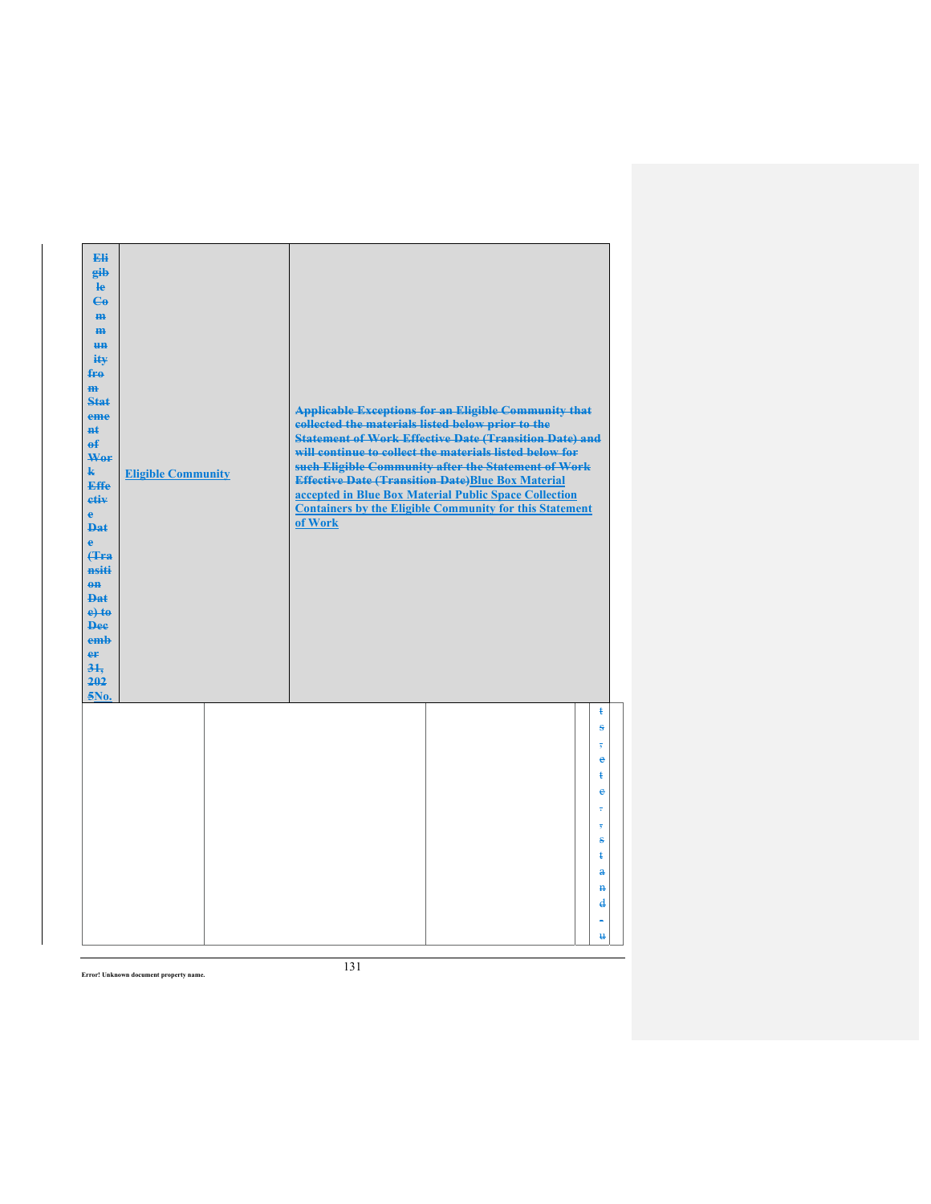| Eli<br>gib<br>He<br>$\mathbf{G}$<br>H <sub>H</sub><br>m<br>H <sub>H</sub><br>ity<br>fro<br>$\mathbf{m}$<br>Stat<br>eme<br>#£<br>$\mathbf{f}$<br>Wer<br>$\mathbf{k}$<br><b>Effe</b><br>etiv<br>$\mathbf{e}$<br><b>Dat</b><br>è<br><b>f</b> Fra<br>nsiti<br>$0$<br>Dat<br>$e$ +to<br><b>Dee</b><br>emb<br>er<br>31.<br>202<br>5No. | <b>Eligible Community</b> | collected the materials listed below prior to the<br>of Work | <b>Applicable Exceptions for an Eligible Community that</b><br><b>Statement of Work Effective Date (Transition Date) and</b><br>will continue to collect the materials listed below for<br>such Eligible Community after the Statement of Work<br><b>Effective Date (Transition Date)Blue Box Material</b><br>accepted in Blue Box Material Public Space Collection<br><b>Containers by the Eligible Community for this Statement</b> |                               |
|----------------------------------------------------------------------------------------------------------------------------------------------------------------------------------------------------------------------------------------------------------------------------------------------------------------------------------|---------------------------|--------------------------------------------------------------|---------------------------------------------------------------------------------------------------------------------------------------------------------------------------------------------------------------------------------------------------------------------------------------------------------------------------------------------------------------------------------------------------------------------------------------|-------------------------------|
|                                                                                                                                                                                                                                                                                                                                  |                           |                                                              |                                                                                                                                                                                                                                                                                                                                                                                                                                       | ŧ<br>ŝ                        |
|                                                                                                                                                                                                                                                                                                                                  |                           |                                                              |                                                                                                                                                                                                                                                                                                                                                                                                                                       | $\bullet$                     |
|                                                                                                                                                                                                                                                                                                                                  |                           |                                                              |                                                                                                                                                                                                                                                                                                                                                                                                                                       | ŧ                             |
|                                                                                                                                                                                                                                                                                                                                  |                           |                                                              |                                                                                                                                                                                                                                                                                                                                                                                                                                       | $\ddot{\textbf{e}}$           |
|                                                                                                                                                                                                                                                                                                                                  |                           |                                                              |                                                                                                                                                                                                                                                                                                                                                                                                                                       | ÷<br>$\overline{\phantom{a}}$ |
|                                                                                                                                                                                                                                                                                                                                  |                           |                                                              |                                                                                                                                                                                                                                                                                                                                                                                                                                       | $\bf{s}$                      |
|                                                                                                                                                                                                                                                                                                                                  |                           |                                                              |                                                                                                                                                                                                                                                                                                                                                                                                                                       | ŧ                             |
|                                                                                                                                                                                                                                                                                                                                  |                           |                                                              |                                                                                                                                                                                                                                                                                                                                                                                                                                       | $\mathbf{a}$<br>$\mathbf{H}$  |
|                                                                                                                                                                                                                                                                                                                                  |                           |                                                              |                                                                                                                                                                                                                                                                                                                                                                                                                                       | d                             |
|                                                                                                                                                                                                                                                                                                                                  |                           |                                                              |                                                                                                                                                                                                                                                                                                                                                                                                                                       |                               |
|                                                                                                                                                                                                                                                                                                                                  |                           |                                                              |                                                                                                                                                                                                                                                                                                                                                                                                                                       | u                             |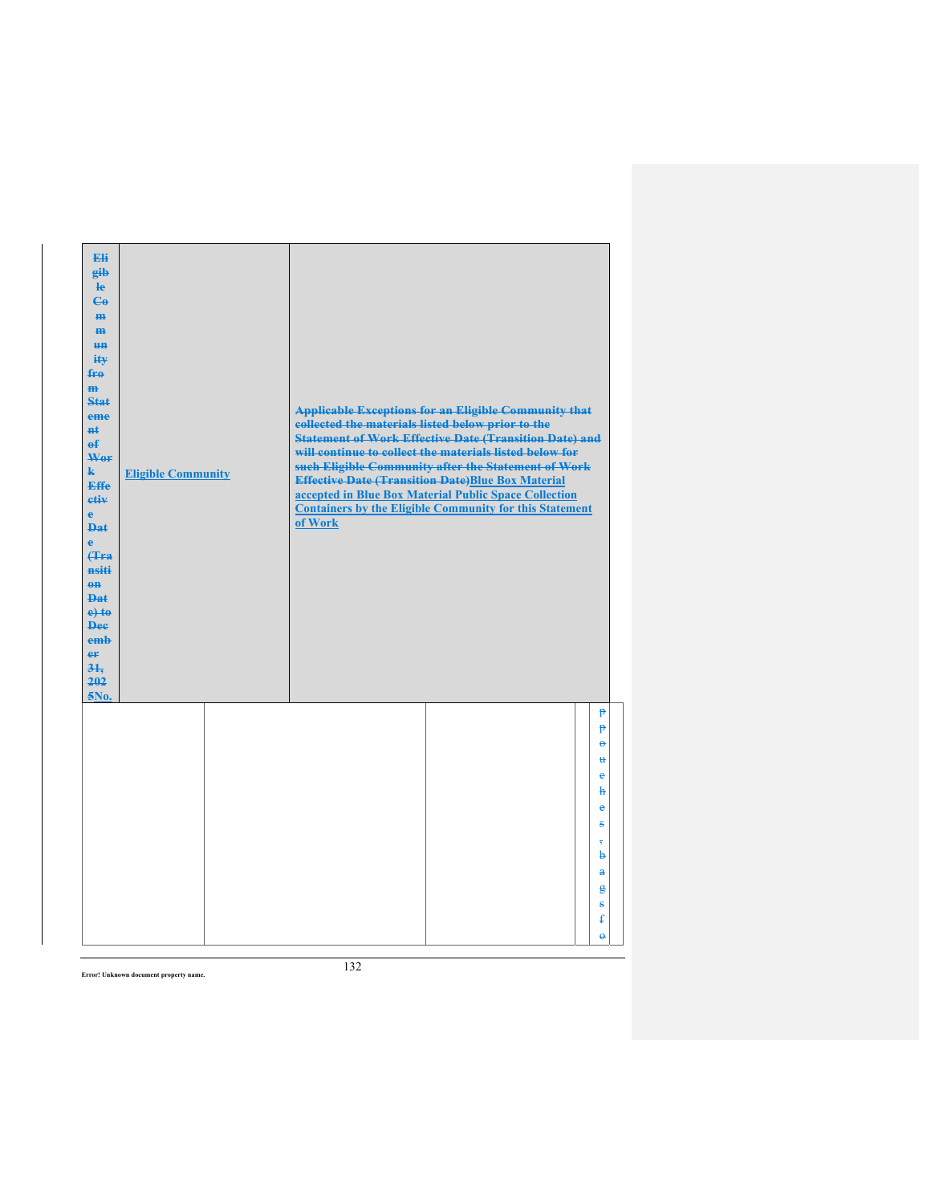| Eli<br>gib<br>$\mathbf{e}$<br>$\mathbf{G}$<br>m-<br>$\mathbf{m}$<br><b>un</b><br>ity<br>$f_{\text{F}\theta}$<br>$\mathbf{m}$<br><b>Stat</b><br>eme<br><b>n</b> t<br>$\mathbf{f}$<br>Wor<br>$\mathbf{k}$<br><b>Effe</b><br>etiv<br>$\mathbf{e}$<br><b>Dat</b><br>$\ddot{\textbf{e}}$<br>(Tra<br>nsiti<br>$0$<br><b>Dat</b><br>$e$ + $t$ $e$<br><b>Dee</b><br>emb<br>er<br>31.<br>202<br>5No. | <b>Eligible Community</b> | <b>Applicable Exceptions for an Eligible Community that</b><br>collected the materials listed below prior to the<br><b>Statement of Work Effective Date (Transition Date) and</b><br>will continue to collect the materials listed below for<br>such Eligible Community after the Statement of Work<br><b>Effective Date (Transition Date)Blue Box Material</b><br>accepted in Blue Box Material Public Space Collection<br><b>Containers by the Eligible Community for this Statement</b><br>of Work |  |
|---------------------------------------------------------------------------------------------------------------------------------------------------------------------------------------------------------------------------------------------------------------------------------------------------------------------------------------------------------------------------------------------|---------------------------|-------------------------------------------------------------------------------------------------------------------------------------------------------------------------------------------------------------------------------------------------------------------------------------------------------------------------------------------------------------------------------------------------------------------------------------------------------------------------------------------------------|--|
|                                                                                                                                                                                                                                                                                                                                                                                             |                           | $\mathbf{P}$<br>p<br>ĕ<br>u<br>e<br>ħ<br>e                                                                                                                                                                                                                                                                                                                                                                                                                                                            |  |
|                                                                                                                                                                                                                                                                                                                                                                                             |                           | s<br>$\overline{\mathbf{5}}$<br>b<br>$\ddot{\textbf{a}}$<br>g<br>s<br>ŧ<br>$\ddot{\theta}$                                                                                                                                                                                                                                                                                                                                                                                                            |  |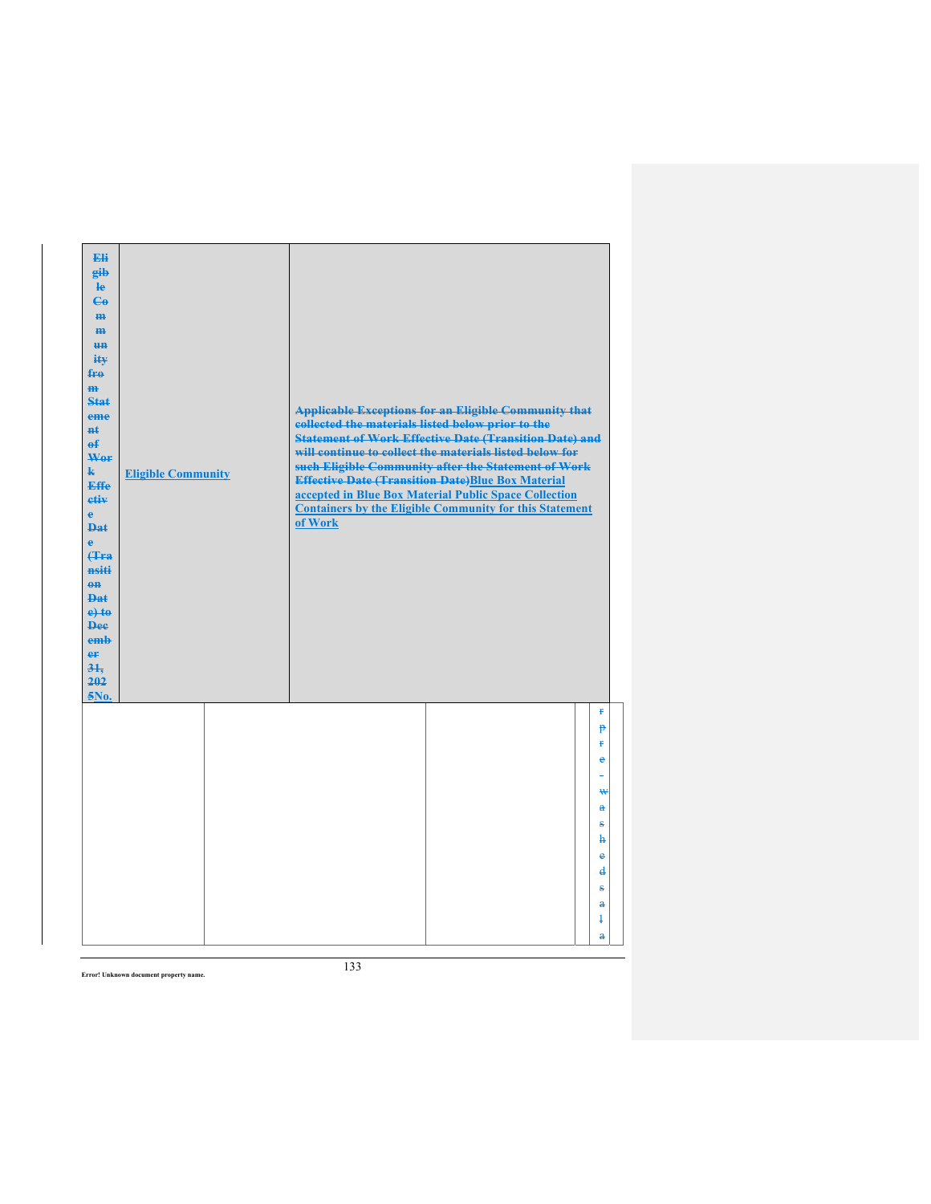| Eli<br>gib<br>He<br>$\mathbf{G}$<br>H <sub>H</sub><br>m<br>H <sub>H</sub><br>ity<br>fro<br>$\mathbf{m}$<br>Stat<br>eme<br>#£<br>$\mathbf{f}$<br>Wer<br>$\mathbf{k}$<br><b>Effe</b><br>etiv<br>$\mathbf{e}$<br><b>Dat</b><br>è<br><b>f</b> Fra<br>nsiti<br>$0$<br>Dat<br>$e$ +to<br><b>Dee</b><br>emb<br>er<br>31.<br>202<br>5No. | <b>Eligible Community</b> | of Work | <b>Applicable Exceptions for an Eligible Community that</b><br>collected the materials listed below prior to the<br><b>Statement of Work Effective Date (Transition Date) and</b><br>will continue to collect the materials listed below for<br>such Eligible Community after the Statement of Work<br><b>Effective Date (Transition Date)Blue Box Material</b><br>accepted in Blue Box Material Public Space Collection<br><b>Containers by the Eligible Community for this Statement</b> |                   |
|----------------------------------------------------------------------------------------------------------------------------------------------------------------------------------------------------------------------------------------------------------------------------------------------------------------------------------|---------------------------|---------|--------------------------------------------------------------------------------------------------------------------------------------------------------------------------------------------------------------------------------------------------------------------------------------------------------------------------------------------------------------------------------------------------------------------------------------------------------------------------------------------|-------------------|
|                                                                                                                                                                                                                                                                                                                                  |                           |         |                                                                                                                                                                                                                                                                                                                                                                                                                                                                                            | ŧ<br>p<br>ŧ.      |
|                                                                                                                                                                                                                                                                                                                                  |                           |         |                                                                                                                                                                                                                                                                                                                                                                                                                                                                                            | $\bullet$<br>۳    |
|                                                                                                                                                                                                                                                                                                                                  |                           |         |                                                                                                                                                                                                                                                                                                                                                                                                                                                                                            | ₩                 |
|                                                                                                                                                                                                                                                                                                                                  |                           |         |                                                                                                                                                                                                                                                                                                                                                                                                                                                                                            | $\mathbf{a}$      |
|                                                                                                                                                                                                                                                                                                                                  |                           |         |                                                                                                                                                                                                                                                                                                                                                                                                                                                                                            | s<br>ħ            |
|                                                                                                                                                                                                                                                                                                                                  |                           |         |                                                                                                                                                                                                                                                                                                                                                                                                                                                                                            | $\bullet$         |
|                                                                                                                                                                                                                                                                                                                                  |                           |         |                                                                                                                                                                                                                                                                                                                                                                                                                                                                                            | $\mathbf{d}$<br>÷ |
|                                                                                                                                                                                                                                                                                                                                  |                           |         |                                                                                                                                                                                                                                                                                                                                                                                                                                                                                            | $\mathbf{a}$      |
|                                                                                                                                                                                                                                                                                                                                  |                           |         |                                                                                                                                                                                                                                                                                                                                                                                                                                                                                            | $\ddagger$        |
|                                                                                                                                                                                                                                                                                                                                  |                           |         |                                                                                                                                                                                                                                                                                                                                                                                                                                                                                            | $\mathbf{a}$      |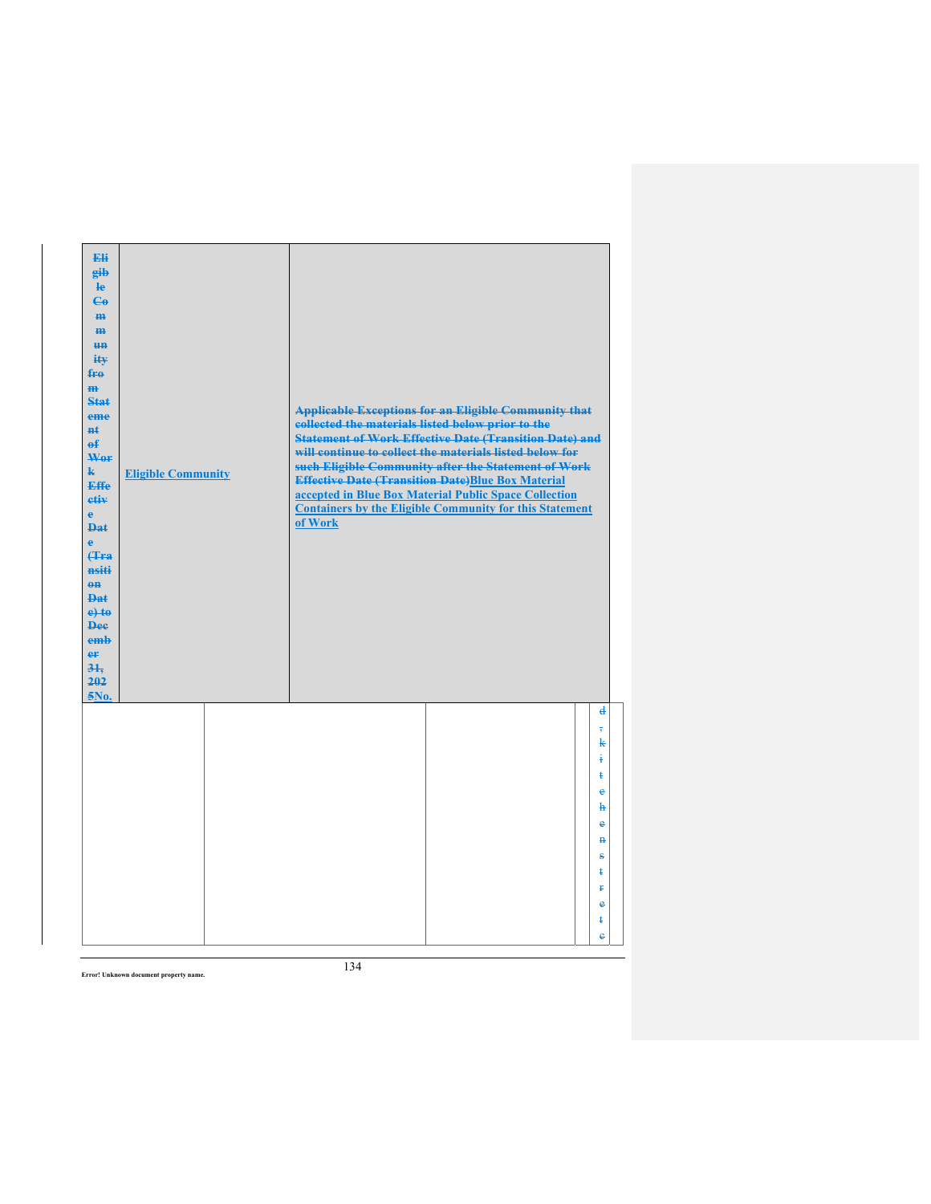| Eli<br>gib<br>$\mathbf{e}$<br>$\mathbf{G}$<br>m-<br>$\mathbf{m}$<br><b>HH</b><br>iŧ¥<br>$f_{\text{H}0}$<br>$\mathbf{m}$<br>Stat<br>eme<br>#ŧ<br>$\mathbf{f}$<br>Wer<br>$\mathbf{k}$<br><b>Effe</b><br>etiv<br>$\mathbf{e}$<br><b>Dat</b><br>$\mathbf{e}$<br>Hra<br>nsiti<br>$0$<br><b>Dat</b><br>$e$ + $t$ $e$<br><b>Dee</b><br>emb<br>er<br>31.<br>202<br>5No. | <b>Eligible Community</b> | <b>Applicable Exceptions for an Eligible Community that</b><br>collected the materials listed below prior to the<br><b>Statement of Work Effective Date (Transition Date) and</b><br>will continue to collect the materials listed below for<br>such Eligible Community after the Statement of Work<br><b>Effective Date (Transition Date)Blue Box Material</b><br>accepted in Blue Box Material Public Space Collection<br><b>Containers by the Eligible Community for this Statement</b><br>of Work |  |
|-----------------------------------------------------------------------------------------------------------------------------------------------------------------------------------------------------------------------------------------------------------------------------------------------------------------------------------------------------------------|---------------------------|-------------------------------------------------------------------------------------------------------------------------------------------------------------------------------------------------------------------------------------------------------------------------------------------------------------------------------------------------------------------------------------------------------------------------------------------------------------------------------------------------------|--|
|                                                                                                                                                                                                                                                                                                                                                                 |                           | d<br>$\overline{\mathbf{5}}$<br>k<br>ŧ<br>ŧ<br>$\ddot{\textbf{e}}$<br>ħ<br>e<br>$\mathbf{H}$<br>ŝ<br>ŧ<br>Ŧ<br>$\bullet$<br>ŧ<br>ė                                                                                                                                                                                                                                                                                                                                                                    |  |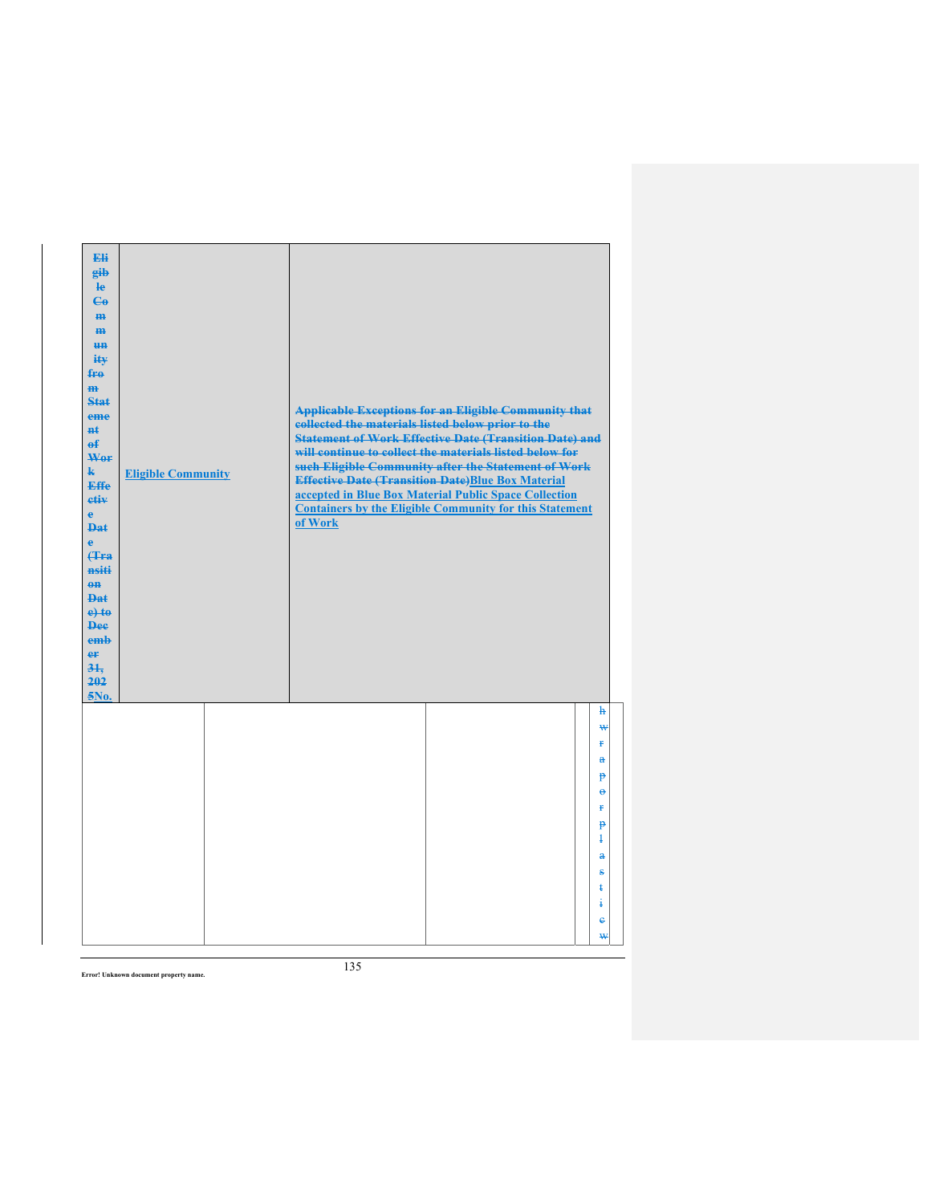| Eli<br>gib<br>le<br>$\mathbf{G}$<br>m-<br>m<br><b>HH</b><br>iŧ¥<br>$f_{\text{H}0}$<br>$\mathbf{m}$<br>$Stat$<br>eme<br>$H+$<br>$\mathbf{f}$<br>Wer<br>k.<br><b>Effe</b><br>etiv<br>$\mathbf{e}$<br><b>Dat</b><br>$\ddot{\textbf{e}}$<br>(Tra<br>nsiti<br>$0$<br><b>Dat</b><br>$e$ +to<br><b>Dee</b><br>emb<br>er<br>31.<br>202<br>5No. | <b>Eligible Community</b> | collected the materials listed below prior to the<br>of Work | <b>Applicable Exceptions for an Eligible Community that</b><br><b>Statement of Work Effective Date (Transition Date) and</b><br>will continue to collect the materials listed below for<br>such Eligible Community after the Statement of Work<br><b>Effective Date (Transition Date)Blue Box Material</b><br>accepted in Blue Box Material Public Space Collection<br><b>Containers by the Eligible Community for this Statement</b> |                              |
|----------------------------------------------------------------------------------------------------------------------------------------------------------------------------------------------------------------------------------------------------------------------------------------------------------------------------------------|---------------------------|--------------------------------------------------------------|---------------------------------------------------------------------------------------------------------------------------------------------------------------------------------------------------------------------------------------------------------------------------------------------------------------------------------------------------------------------------------------------------------------------------------------|------------------------------|
|                                                                                                                                                                                                                                                                                                                                        |                           |                                                              |                                                                                                                                                                                                                                                                                                                                                                                                                                       | ħ<br>₩<br>¥.<br>$\mathbf{a}$ |
|                                                                                                                                                                                                                                                                                                                                        |                           |                                                              |                                                                                                                                                                                                                                                                                                                                                                                                                                       | p<br>$\ddot{ }$<br>ŧ<br>p    |
|                                                                                                                                                                                                                                                                                                                                        |                           |                                                              |                                                                                                                                                                                                                                                                                                                                                                                                                                       | $\mathbf{1}$<br>$\mathbf{a}$ |
|                                                                                                                                                                                                                                                                                                                                        |                           |                                                              |                                                                                                                                                                                                                                                                                                                                                                                                                                       | s<br>ŧ<br>ŧ                  |
|                                                                                                                                                                                                                                                                                                                                        |                           |                                                              |                                                                                                                                                                                                                                                                                                                                                                                                                                       | ė<br>₩                       |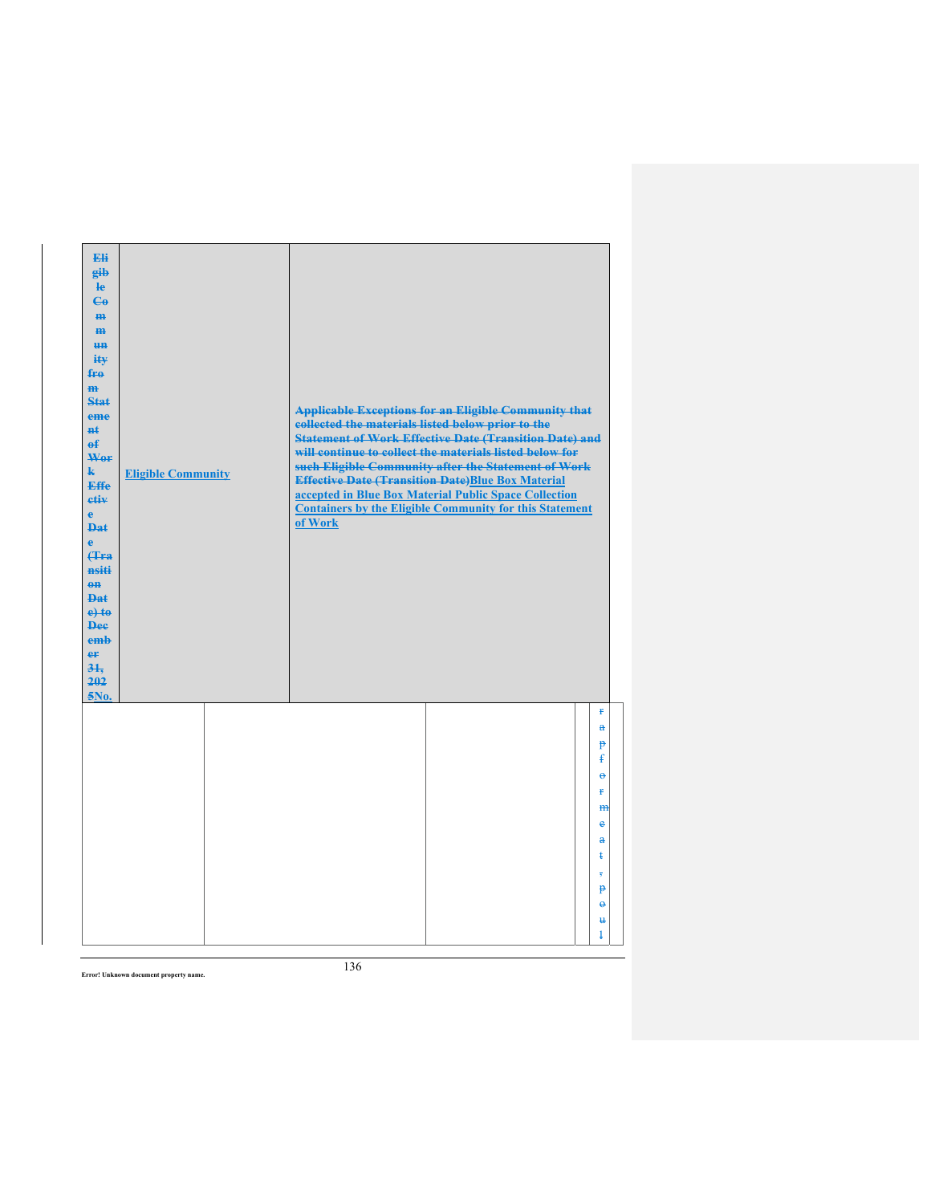| Eli<br>gib<br>$\mathbf{e}$<br>$\mathbf{G}$<br>m-<br>m<br><b>HH</b><br>iŧ¥<br>$f_{\text{H}0}$<br>$\mathbf{m}$<br>Stat<br>eme<br>#ŧ<br>$\mathbf{f}$<br>Wer<br>$\mathbf{k}$<br><b>Effe</b><br>etiv<br>$\mathbf{e}$<br><b>Dat</b><br>$\ddot{\textbf{e}}$<br>Hra<br>nsiti<br>$0$<br><b>Dat</b><br>$e$ +to<br><b>Dee</b><br>emb<br>er<br>31.<br>202<br>5No. | <b>Eligible Community</b> | collected the materials listed below prior to the<br>of Work | <b>Applicable Exceptions for an Eligible Community that</b><br><b>Statement of Work Effective Date (Transition Date) and</b><br>will continue to collect the materials listed below for<br>such Eligible Community after the Statement of Work<br><b>Effective Date (Transition Date)Blue Box Material</b><br>accepted in Blue Box Material Public Space Collection<br><b>Containers by the Eligible Community for this Statement</b> |                               |
|-------------------------------------------------------------------------------------------------------------------------------------------------------------------------------------------------------------------------------------------------------------------------------------------------------------------------------------------------------|---------------------------|--------------------------------------------------------------|---------------------------------------------------------------------------------------------------------------------------------------------------------------------------------------------------------------------------------------------------------------------------------------------------------------------------------------------------------------------------------------------------------------------------------------|-------------------------------|
|                                                                                                                                                                                                                                                                                                                                                       |                           |                                                              |                                                                                                                                                                                                                                                                                                                                                                                                                                       | ŧ<br>$\ddot{\mathbf{a}}$<br>P |
|                                                                                                                                                                                                                                                                                                                                                       |                           |                                                              |                                                                                                                                                                                                                                                                                                                                                                                                                                       | ŧ                             |
|                                                                                                                                                                                                                                                                                                                                                       |                           |                                                              |                                                                                                                                                                                                                                                                                                                                                                                                                                       | $\ddot{\theta}$<br>¥.         |
|                                                                                                                                                                                                                                                                                                                                                       |                           |                                                              |                                                                                                                                                                                                                                                                                                                                                                                                                                       | m                             |
|                                                                                                                                                                                                                                                                                                                                                       |                           |                                                              |                                                                                                                                                                                                                                                                                                                                                                                                                                       | e<br>a                        |
|                                                                                                                                                                                                                                                                                                                                                       |                           |                                                              |                                                                                                                                                                                                                                                                                                                                                                                                                                       | ŧ                             |
|                                                                                                                                                                                                                                                                                                                                                       |                           |                                                              |                                                                                                                                                                                                                                                                                                                                                                                                                                       | 7<br>p                        |
|                                                                                                                                                                                                                                                                                                                                                       |                           |                                                              |                                                                                                                                                                                                                                                                                                                                                                                                                                       | $\ddot{\theta}$               |
|                                                                                                                                                                                                                                                                                                                                                       |                           |                                                              |                                                                                                                                                                                                                                                                                                                                                                                                                                       | $\mathbf{u}$                  |
|                                                                                                                                                                                                                                                                                                                                                       |                           |                                                              |                                                                                                                                                                                                                                                                                                                                                                                                                                       | ł                             |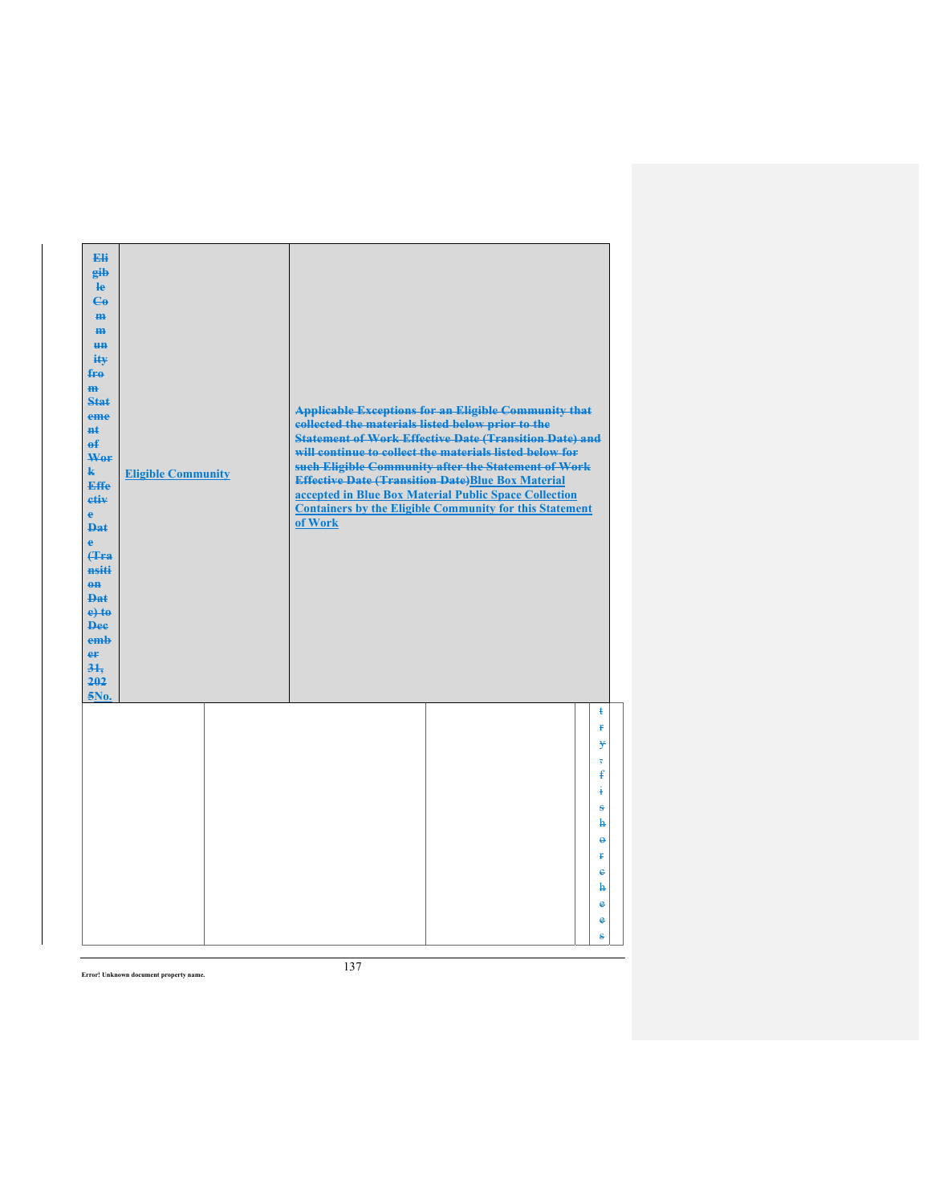| Eli<br>gib<br><b>le</b><br>$\mathbf{G}$<br>H <sub>H</sub><br>H <sub>H</sub><br>H <sub>H</sub><br>ity<br>fro<br>$\mathbf{m}$<br>Stat<br>eme<br>#ŧ<br>$\mathbf{f}$<br>Wer<br>$\mathbf{k}$<br><b>Effe</b><br>etiv<br>$\mathbf{e}$<br><b>Dat</b><br>ė<br>(Tra<br>nsiti<br>$0$<br><b>Dat</b><br>$e$ +to<br><b>Dee</b><br>emb<br>er<br>$3+$<br>202<br>5No. | <b>Eligible Community</b> | collected the materials listed below prior to the<br>of Work | <b>Applicable Exceptions for an Eligible Community that</b><br><b>Statement of Work Effective Date (Transition Date) and</b><br>will continue to collect the materials listed below for<br>such Eligible Community after the Statement of Work<br><b>Effective Date (Transition Date)Blue Box Material</b><br>accepted in Blue Box Material Public Space Collection<br><b>Containers by the Eligible Community for this Statement</b> |                          |
|------------------------------------------------------------------------------------------------------------------------------------------------------------------------------------------------------------------------------------------------------------------------------------------------------------------------------------------------------|---------------------------|--------------------------------------------------------------|---------------------------------------------------------------------------------------------------------------------------------------------------------------------------------------------------------------------------------------------------------------------------------------------------------------------------------------------------------------------------------------------------------------------------------------|--------------------------|
|                                                                                                                                                                                                                                                                                                                                                      |                           |                                                              |                                                                                                                                                                                                                                                                                                                                                                                                                                       | ŧ<br>ŧ<br>¥              |
|                                                                                                                                                                                                                                                                                                                                                      |                           |                                                              |                                                                                                                                                                                                                                                                                                                                                                                                                                       | £<br>4<br>ŝ              |
|                                                                                                                                                                                                                                                                                                                                                      |                           |                                                              |                                                                                                                                                                                                                                                                                                                                                                                                                                       | h<br>$\Theta$            |
|                                                                                                                                                                                                                                                                                                                                                      |                           |                                                              |                                                                                                                                                                                                                                                                                                                                                                                                                                       | Ŧ                        |
|                                                                                                                                                                                                                                                                                                                                                      |                           |                                                              |                                                                                                                                                                                                                                                                                                                                                                                                                                       | $\ddot{\textbf{e}}$<br>ħ |
|                                                                                                                                                                                                                                                                                                                                                      |                           |                                                              |                                                                                                                                                                                                                                                                                                                                                                                                                                       | e                        |
|                                                                                                                                                                                                                                                                                                                                                      |                           |                                                              |                                                                                                                                                                                                                                                                                                                                                                                                                                       | e<br>ŝ                   |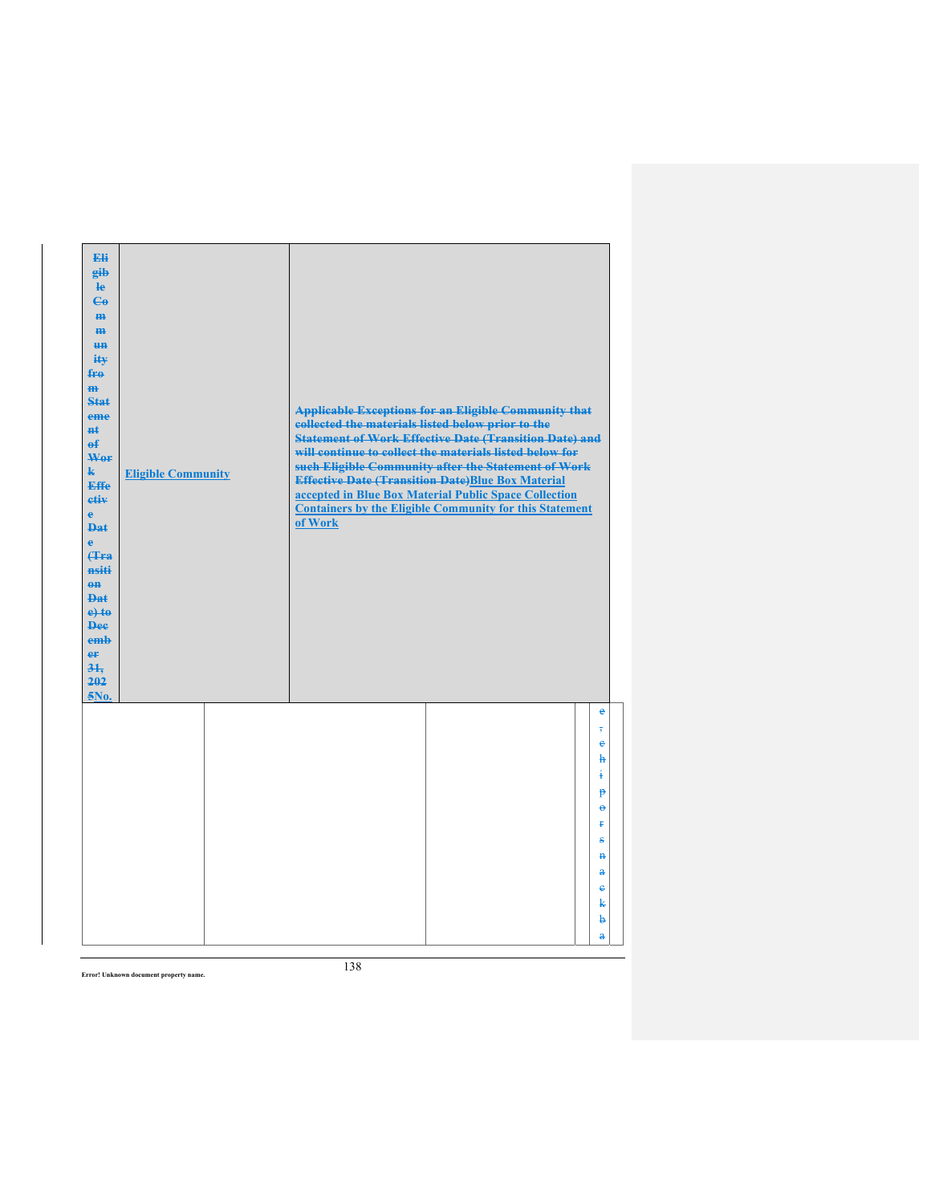| Eli<br>gib<br>$\mathbf{e}$<br>$\mathbf{G}$<br>m-<br>$\mathbf{m}$<br><b>HH</b><br>iŧ¥<br>$f_{\text{H}0}$<br>$\mathbf{m}$<br>Stat<br>eme<br>#ŧ<br>$\mathbf{f}$<br>Wer<br>$\mathbf{k}$<br><b>Effe</b><br>etiv<br>$\mathbf{e}$<br><b>Dat</b><br>$\ddot{\textbf{e}}$<br>Hra<br>nsiti<br>$0$<br><b>Dat</b><br>$e$ +to<br><b>Dee</b><br>emb<br>er<br>31.<br>202<br>5No. | <b>Eligible Community</b> | <b>Applicable Exceptions for an Eligible Community that</b><br>collected the materials listed below prior to the<br><b>Statement of Work Effective Date (Transition Date) and</b><br>will continue to collect the materials listed below for<br>such Eligible Community after the Statement of Work<br><b>Effective Date (Transition Date)Blue Box Material</b><br>accepted in Blue Box Material Public Space Collection<br><b>Containers by the Eligible Community for this Statement</b><br>of Work |  |
|------------------------------------------------------------------------------------------------------------------------------------------------------------------------------------------------------------------------------------------------------------------------------------------------------------------------------------------------------------------|---------------------------|-------------------------------------------------------------------------------------------------------------------------------------------------------------------------------------------------------------------------------------------------------------------------------------------------------------------------------------------------------------------------------------------------------------------------------------------------------------------------------------------------------|--|
|                                                                                                                                                                                                                                                                                                                                                                  |                           | $\bullet$<br>$\overline{\mathbf{5}}$<br>¢<br>ħ<br>į<br>p<br>$\theta$<br>ť<br>s<br>$\mathbf{H}$<br>$\mathbf{a}$<br>$\ddot{\textbf{e}}$<br>k<br>þ<br>$\mathbf{a}$                                                                                                                                                                                                                                                                                                                                       |  |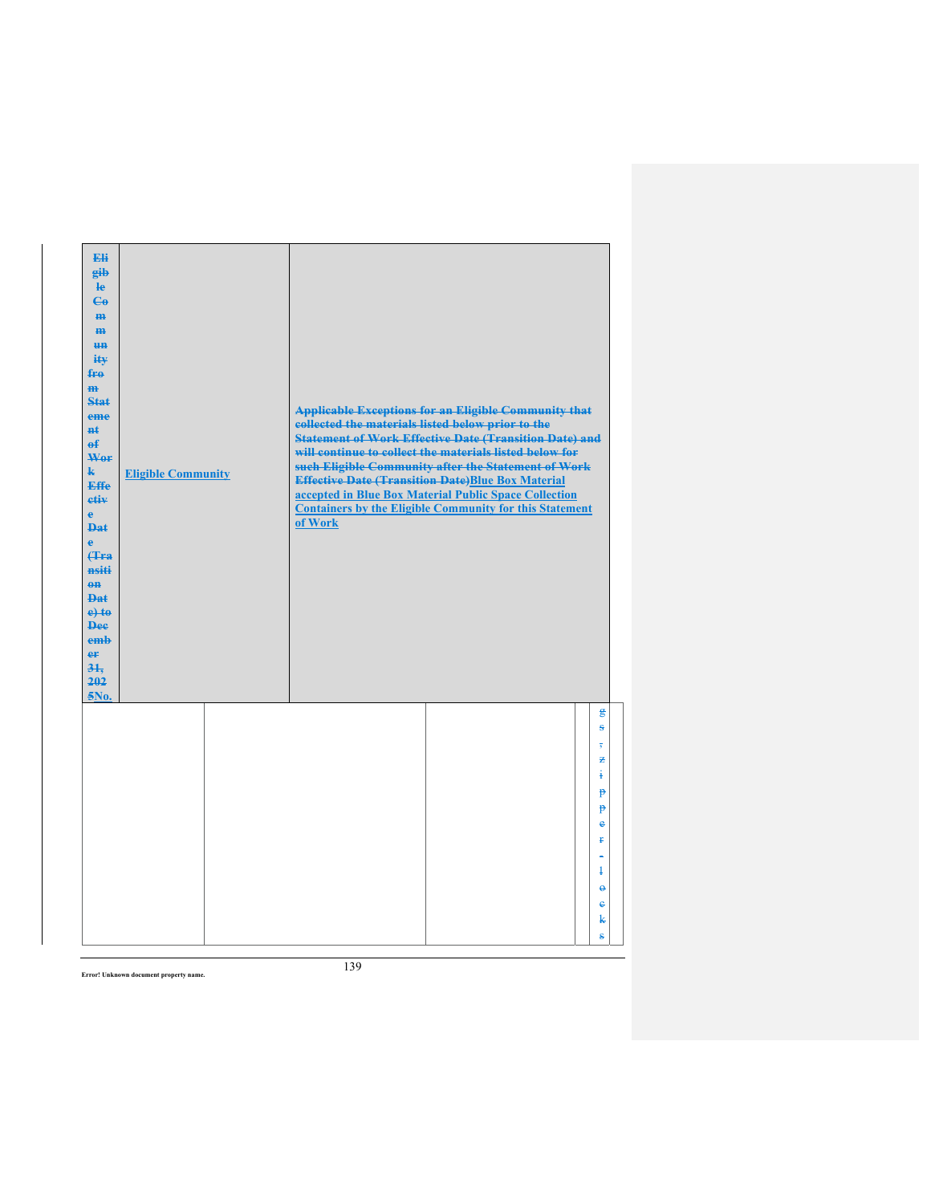| Eli<br>gib<br>$\mathbf{e}$<br>$C_{\theta}$<br>m-<br>$\mathbf{m}$<br><b>un</b><br>ity<br>$f_{\text{H}0}$<br>$\mathbf{m}$<br>Stat<br>eme<br>#ŧ<br>$\mathbf{f}$<br>Wer<br>$\mathbf{k}$<br><b>Effe</b><br>etiv<br>$\mathbf{e}$<br><b>Dat</b><br>è<br>Hra<br>nsiti<br>$0$<br>$PA+$<br>$e$ +to<br><b>Dee</b><br>emb<br>er<br>31.<br>202<br>5No. | <b>Eligible Community</b> | collected the materials listed below prior to the<br>of Work | <b>Applicable Exceptions for an Eligible Community that</b><br><b>Statement of Work Effective Date (Transition Date) and</b><br>will continue to collect the materials listed below for<br>such Eligible Community after the Statement of Work<br><b>Effective Date (Transition Date)Blue Box Material</b><br>accepted in Blue Box Material Public Space Collection<br><b>Containers by the Eligible Community for this Statement</b> |                                   |
|-------------------------------------------------------------------------------------------------------------------------------------------------------------------------------------------------------------------------------------------------------------------------------------------------------------------------------------------|---------------------------|--------------------------------------------------------------|---------------------------------------------------------------------------------------------------------------------------------------------------------------------------------------------------------------------------------------------------------------------------------------------------------------------------------------------------------------------------------------------------------------------------------------|-----------------------------------|
|                                                                                                                                                                                                                                                                                                                                           |                           |                                                              |                                                                                                                                                                                                                                                                                                                                                                                                                                       | $\mathbf{g}$<br>ŝ                 |
|                                                                                                                                                                                                                                                                                                                                           |                           |                                                              |                                                                                                                                                                                                                                                                                                                                                                                                                                       | 老<br>ŧ                            |
|                                                                                                                                                                                                                                                                                                                                           |                           |                                                              |                                                                                                                                                                                                                                                                                                                                                                                                                                       | p                                 |
|                                                                                                                                                                                                                                                                                                                                           |                           |                                                              |                                                                                                                                                                                                                                                                                                                                                                                                                                       | p<br>e                            |
|                                                                                                                                                                                                                                                                                                                                           |                           |                                                              |                                                                                                                                                                                                                                                                                                                                                                                                                                       | Ŧ                                 |
|                                                                                                                                                                                                                                                                                                                                           |                           |                                                              |                                                                                                                                                                                                                                                                                                                                                                                                                                       | ۳                                 |
|                                                                                                                                                                                                                                                                                                                                           |                           |                                                              |                                                                                                                                                                                                                                                                                                                                                                                                                                       | ł<br>$\ddot{\boldsymbol{\theta}}$ |
|                                                                                                                                                                                                                                                                                                                                           |                           |                                                              |                                                                                                                                                                                                                                                                                                                                                                                                                                       | €                                 |
|                                                                                                                                                                                                                                                                                                                                           |                           |                                                              |                                                                                                                                                                                                                                                                                                                                                                                                                                       | k                                 |
|                                                                                                                                                                                                                                                                                                                                           |                           |                                                              |                                                                                                                                                                                                                                                                                                                                                                                                                                       | ŝ                                 |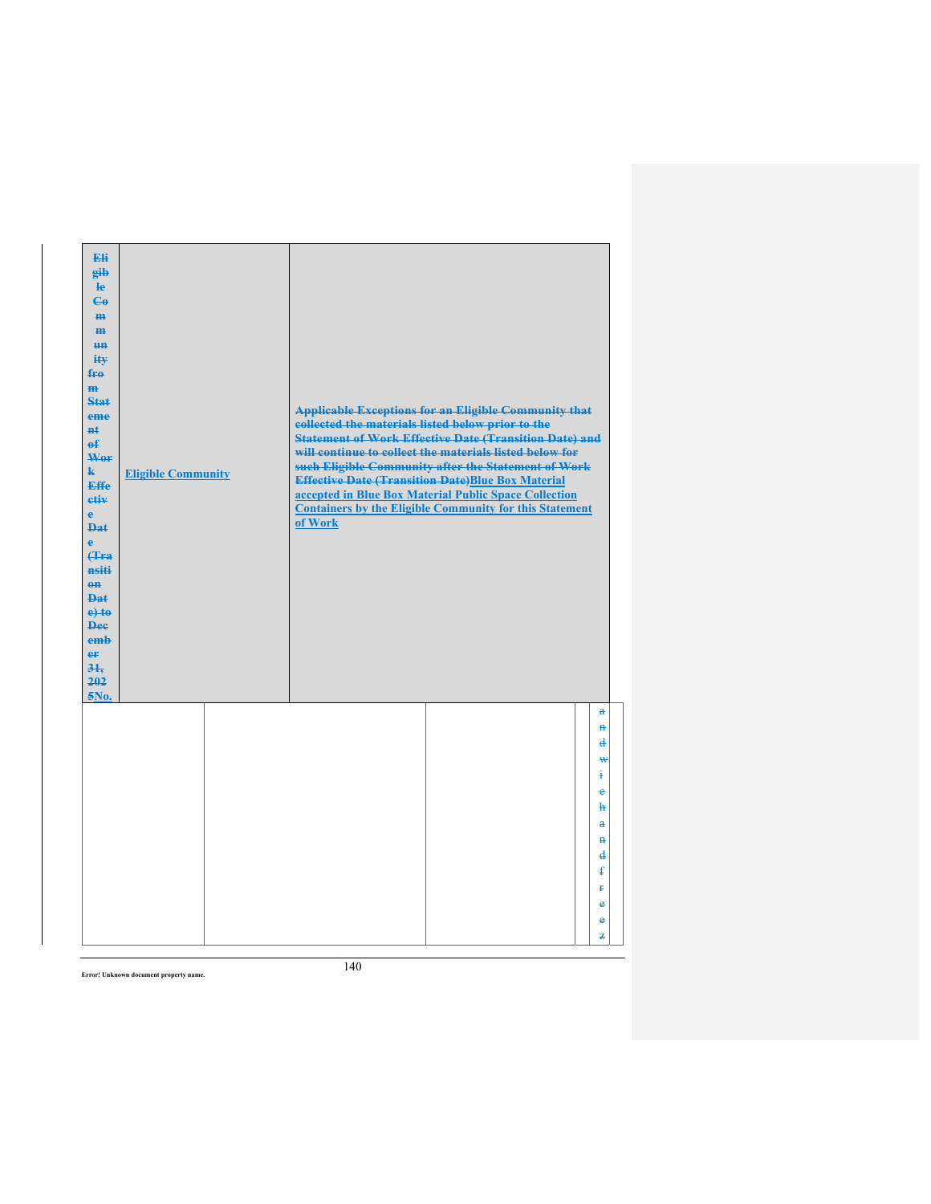| Eli<br>eib<br>$\mathbf{e}$<br>$\mathbf{G}$<br>H <sub>H</sub><br>m<br><b>un</b><br>ity<br>$f_{\text{H}0}$<br>$\mathbf{m}$<br><b>Stat</b><br>eme<br><b>H</b> t<br>$\theta$<br>Wor<br>$\mathbf{k}$<br><b>Effe</b><br>etiv<br>$\mathbf{e}$<br><b>Dat</b><br>$\ddot{\textbf{e}}$<br>(Tra<br>nsiti<br>$\theta$ <sup><math>\theta</math></sup><br><b>Dat</b><br>$e$ + $t$ $e$<br><b>Dee</b><br>emb<br>er<br>31.<br>202<br>5No. | <b>Eligible Community</b> | collected the materials listed below prior to the<br>of Work | <b>Applicable Exceptions for an Eligible Community that</b><br><b>Statement of Work Effective Date (Transition Date) and</b><br>will continue to collect the materials listed below for<br>such Eligible Community after the Statement of Work<br><b>Effective Date (Transition Date)Blue Box Material</b><br>accepted in Blue Box Material Public Space Collection<br><b>Containers by the Eligible Community for this Statement</b> |                                                              |  |
|-------------------------------------------------------------------------------------------------------------------------------------------------------------------------------------------------------------------------------------------------------------------------------------------------------------------------------------------------------------------------------------------------------------------------|---------------------------|--------------------------------------------------------------|---------------------------------------------------------------------------------------------------------------------------------------------------------------------------------------------------------------------------------------------------------------------------------------------------------------------------------------------------------------------------------------------------------------------------------------|--------------------------------------------------------------|--|
|                                                                                                                                                                                                                                                                                                                                                                                                                         |                           |                                                              |                                                                                                                                                                                                                                                                                                                                                                                                                                       | $\mathbf{a}$<br>$\mathbf{H}$<br>$\overline{\mathbf{d}}$<br>₩ |  |
|                                                                                                                                                                                                                                                                                                                                                                                                                         |                           |                                                              |                                                                                                                                                                                                                                                                                                                                                                                                                                       | ŧ<br>$\ddot{\textbf{e}}$<br>ħ                                |  |
|                                                                                                                                                                                                                                                                                                                                                                                                                         |                           |                                                              |                                                                                                                                                                                                                                                                                                                                                                                                                                       | $\mathbf{a}$<br>$\mathbf{H}$<br>$\mathbf{d}$                 |  |
|                                                                                                                                                                                                                                                                                                                                                                                                                         |                           |                                                              |                                                                                                                                                                                                                                                                                                                                                                                                                                       | ŧ<br>Ŧ                                                       |  |
|                                                                                                                                                                                                                                                                                                                                                                                                                         |                           |                                                              |                                                                                                                                                                                                                                                                                                                                                                                                                                       | $\bullet$                                                    |  |
|                                                                                                                                                                                                                                                                                                                                                                                                                         |                           |                                                              |                                                                                                                                                                                                                                                                                                                                                                                                                                       | e<br>z                                                       |  |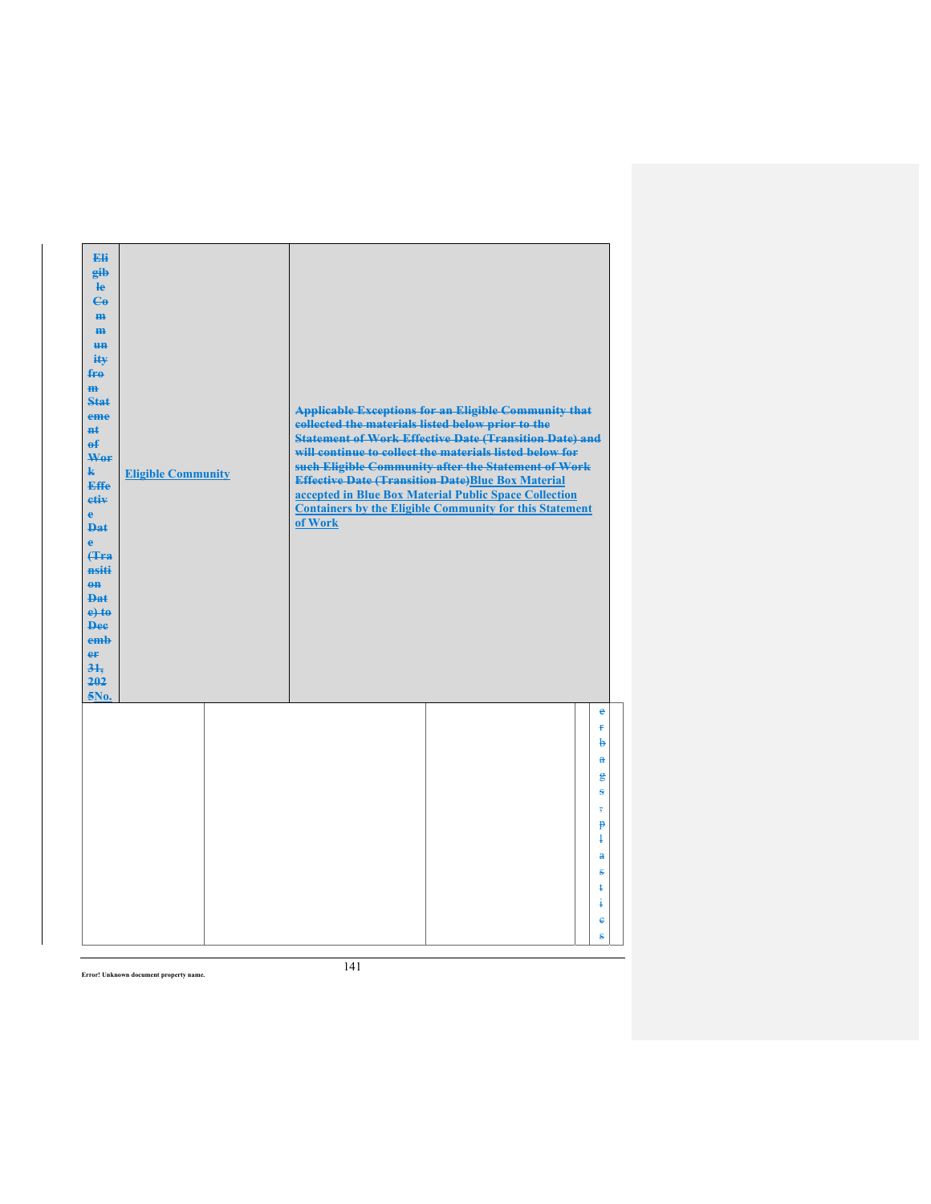| Eli<br>gib<br>He<br>$\mathbf{G}$<br>H <sub>H</sub><br>m<br>H <sub>H</sub><br>ity<br>fro<br>$\mathbf{m}$<br>Stat<br>eme<br>#ŧ<br>$\mathbf{f}$<br>Wer<br>$\mathbf{k}$<br><b>Effe</b><br>etiv<br>$\mathbf{e}$<br><b>Dat</b><br>è<br><b>f</b> Fra<br>nsiti<br>$0$<br>Dat<br>$e$ +to<br><b>Dee</b><br>emb<br>er<br>31.<br>202<br>5No. | <b>Eligible Community</b> | collected the materials listed below prior to the<br>of Work | <b>Applicable Exceptions for an Eligible Community that</b><br><b>Statement of Work Effective Date (Transition Date) and</b><br>will continue to collect the materials listed below for<br>such Eligible Community after the Statement of Work<br><b>Effective Date (Transition Date)Blue Box Material</b><br>accepted in Blue Box Material Public Space Collection<br><b>Containers by the Eligible Community for this Statement</b> |                                                                 |
|----------------------------------------------------------------------------------------------------------------------------------------------------------------------------------------------------------------------------------------------------------------------------------------------------------------------------------|---------------------------|--------------------------------------------------------------|---------------------------------------------------------------------------------------------------------------------------------------------------------------------------------------------------------------------------------------------------------------------------------------------------------------------------------------------------------------------------------------------------------------------------------------|-----------------------------------------------------------------|
|                                                                                                                                                                                                                                                                                                                                  |                           |                                                              |                                                                                                                                                                                                                                                                                                                                                                                                                                       | $\epsilon$<br>£<br>þ<br>$\mathbf{a}$<br>g                       |
|                                                                                                                                                                                                                                                                                                                                  |                           |                                                              |                                                                                                                                                                                                                                                                                                                                                                                                                                       | ÷<br>$\overline{\phantom{a}}$<br>$\mathbf{P}$<br>$\overline{1}$ |
|                                                                                                                                                                                                                                                                                                                                  |                           |                                                              |                                                                                                                                                                                                                                                                                                                                                                                                                                       | $\mathbf{a}$<br>s<br>ŧ                                          |
|                                                                                                                                                                                                                                                                                                                                  |                           |                                                              |                                                                                                                                                                                                                                                                                                                                                                                                                                       | ŧ<br>ė<br>ŝ                                                     |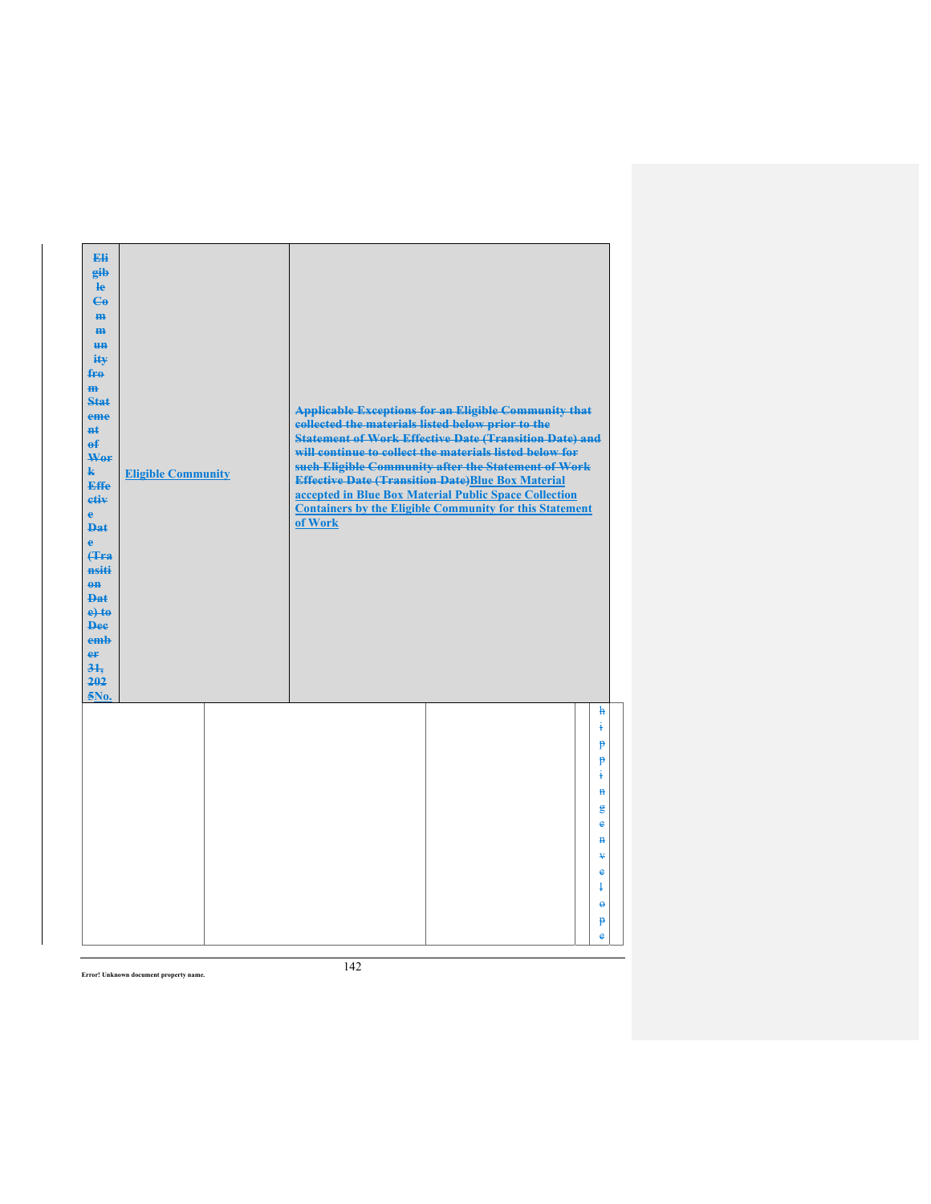| Eli<br>gib<br>$\mathbf{e}$<br>$\mathbf{G}$<br>m-<br>$\mathbf{m}$<br><b>HH</b><br>iŧ¥<br>$f_{\text{H}0}$<br>$\mathbf{m}$<br>Stat<br>eme<br>#ŧ<br>$\mathbf{f}$<br>Wer<br>$\mathbf{k}$<br><b>Effe</b><br>etiv<br>$\mathbf{e}$<br><b>Dat</b><br>$\ddot{\textbf{e}}$<br>Hra<br>nsiti<br>$0$<br><b>Dat</b><br>$e$ +to<br><b>Dee</b><br>emb<br>er<br>31.<br>202<br>5No. | <b>Eligible Community</b> | collected the materials listed below prior to the<br>of Work | <b>Applicable Exceptions for an Eligible Community that</b><br><b>Statement of Work Effective Date (Transition Date) and</b><br>will continue to collect the materials listed below for<br>such Eligible Community after the Statement of Work<br><b>Effective Date (Transition Date)Blue Box Material</b><br>accepted in Blue Box Material Public Space Collection<br><b>Containers by the Eligible Community for this Statement</b> |                        |
|------------------------------------------------------------------------------------------------------------------------------------------------------------------------------------------------------------------------------------------------------------------------------------------------------------------------------------------------------------------|---------------------------|--------------------------------------------------------------|---------------------------------------------------------------------------------------------------------------------------------------------------------------------------------------------------------------------------------------------------------------------------------------------------------------------------------------------------------------------------------------------------------------------------------------|------------------------|
|                                                                                                                                                                                                                                                                                                                                                                  |                           |                                                              |                                                                                                                                                                                                                                                                                                                                                                                                                                       | $\mathbf{h}$<br>į<br>P |
|                                                                                                                                                                                                                                                                                                                                                                  |                           |                                                              |                                                                                                                                                                                                                                                                                                                                                                                                                                       | P<br>ŧ                 |
|                                                                                                                                                                                                                                                                                                                                                                  |                           |                                                              |                                                                                                                                                                                                                                                                                                                                                                                                                                       | $\ddot{H}$             |
|                                                                                                                                                                                                                                                                                                                                                                  |                           |                                                              |                                                                                                                                                                                                                                                                                                                                                                                                                                       | g<br>e                 |
|                                                                                                                                                                                                                                                                                                                                                                  |                           |                                                              |                                                                                                                                                                                                                                                                                                                                                                                                                                       | $\mathbf{H}$           |
|                                                                                                                                                                                                                                                                                                                                                                  |                           |                                                              |                                                                                                                                                                                                                                                                                                                                                                                                                                       | ¥<br>e                 |
|                                                                                                                                                                                                                                                                                                                                                                  |                           |                                                              |                                                                                                                                                                                                                                                                                                                                                                                                                                       | ł                      |
|                                                                                                                                                                                                                                                                                                                                                                  |                           |                                                              |                                                                                                                                                                                                                                                                                                                                                                                                                                       | $\ddot{\phantom{1}}$   |
|                                                                                                                                                                                                                                                                                                                                                                  |                           |                                                              |                                                                                                                                                                                                                                                                                                                                                                                                                                       | $\mathbf{P}$<br>è      |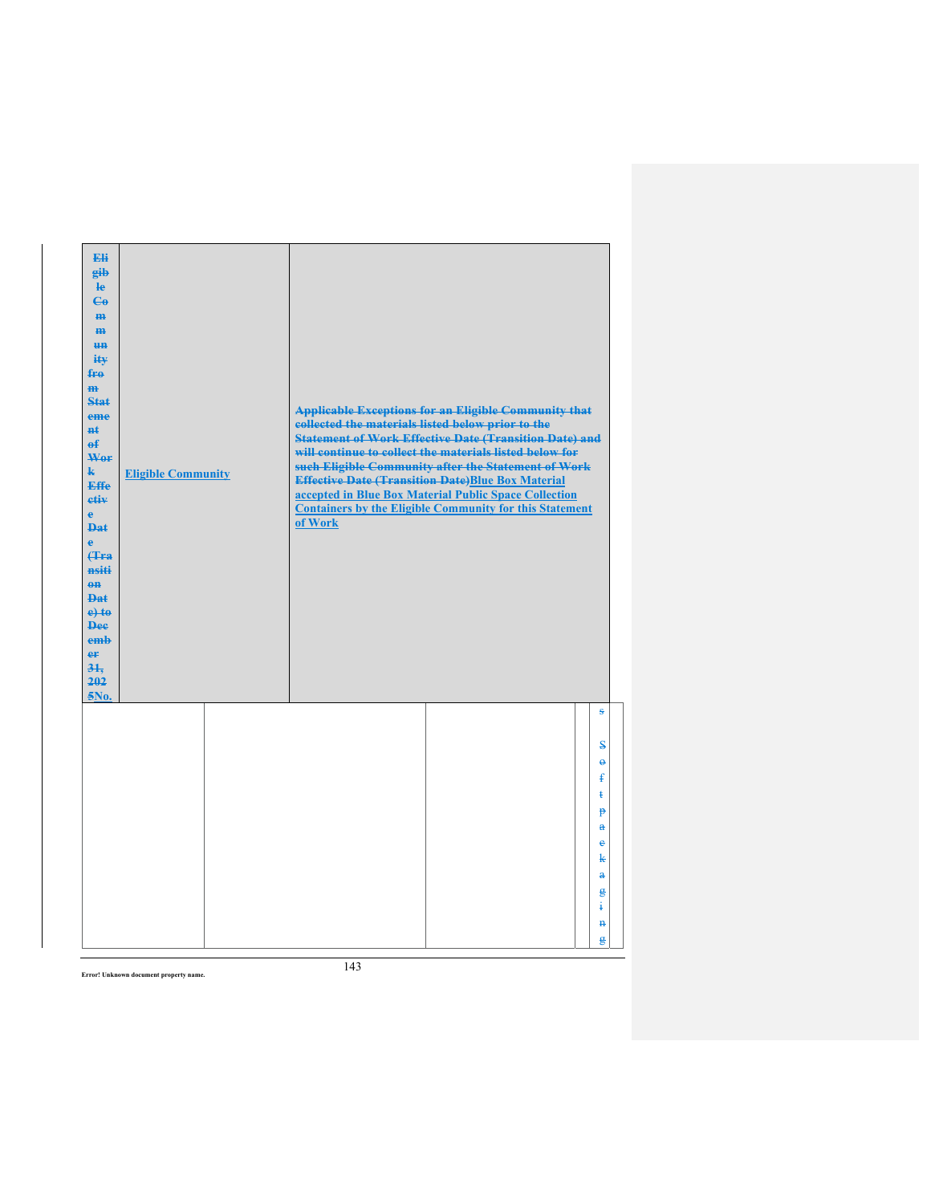| Eli<br>gib<br>$\mathbf{e}$<br>$\mathbf{G}$<br>m-<br>m<br><b>HH</b><br>iŧ¥<br>fro<br>$\mathbf{m}$<br><b>Stat</b><br>eme<br><b>H</b> t<br>$\mathbf{f}$<br>Wer<br>$\mathbf{k}$<br><b>Effe</b><br>etiv<br>$\mathbf{e}$<br><b>Dat</b><br>$\ddot{\textbf{e}}$<br><b>(Tra)</b><br>nsiti<br>$\theta$ <sup><math>\theta</math></sup><br>$PA+$<br>$e$ +to<br><b>Dee</b><br>emb<br>er<br>$3+$<br>202<br>5No. | <b>Eligible Community</b> | collected the materials listed below prior to the<br>of Work | <b>Applicable Exceptions for an Eligible Community that</b><br><b>Statement of Work Effective Date (Transition Date) and</b><br>will continue to collect the materials listed below for<br>such Eligible Community after the Statement of Work<br><b>Effective Date (Transition Date)Blue Box Material</b><br>accepted in Blue Box Material Public Space Collection<br><b>Containers by the Eligible Community for this Statement</b> |                                     |
|---------------------------------------------------------------------------------------------------------------------------------------------------------------------------------------------------------------------------------------------------------------------------------------------------------------------------------------------------------------------------------------------------|---------------------------|--------------------------------------------------------------|---------------------------------------------------------------------------------------------------------------------------------------------------------------------------------------------------------------------------------------------------------------------------------------------------------------------------------------------------------------------------------------------------------------------------------------|-------------------------------------|
|                                                                                                                                                                                                                                                                                                                                                                                                   |                           |                                                              |                                                                                                                                                                                                                                                                                                                                                                                                                                       | s                                   |
|                                                                                                                                                                                                                                                                                                                                                                                                   |                           |                                                              |                                                                                                                                                                                                                                                                                                                                                                                                                                       | $\bf s$                             |
|                                                                                                                                                                                                                                                                                                                                                                                                   |                           |                                                              |                                                                                                                                                                                                                                                                                                                                                                                                                                       | $\ddot{\mathbf{e}}$<br>$\mathbf{f}$ |
|                                                                                                                                                                                                                                                                                                                                                                                                   |                           |                                                              |                                                                                                                                                                                                                                                                                                                                                                                                                                       | ŧ                                   |
|                                                                                                                                                                                                                                                                                                                                                                                                   |                           |                                                              |                                                                                                                                                                                                                                                                                                                                                                                                                                       | p                                   |
|                                                                                                                                                                                                                                                                                                                                                                                                   |                           |                                                              |                                                                                                                                                                                                                                                                                                                                                                                                                                       | $\mathbf{a}$<br>¢                   |
|                                                                                                                                                                                                                                                                                                                                                                                                   |                           |                                                              |                                                                                                                                                                                                                                                                                                                                                                                                                                       | k                                   |
|                                                                                                                                                                                                                                                                                                                                                                                                   |                           |                                                              |                                                                                                                                                                                                                                                                                                                                                                                                                                       | $\ddot{\mathbf{a}}$                 |
|                                                                                                                                                                                                                                                                                                                                                                                                   |                           |                                                              |                                                                                                                                                                                                                                                                                                                                                                                                                                       | g<br>į                              |
|                                                                                                                                                                                                                                                                                                                                                                                                   |                           |                                                              |                                                                                                                                                                                                                                                                                                                                                                                                                                       | $\mathbf{H}$                        |
|                                                                                                                                                                                                                                                                                                                                                                                                   |                           |                                                              |                                                                                                                                                                                                                                                                                                                                                                                                                                       | g                                   |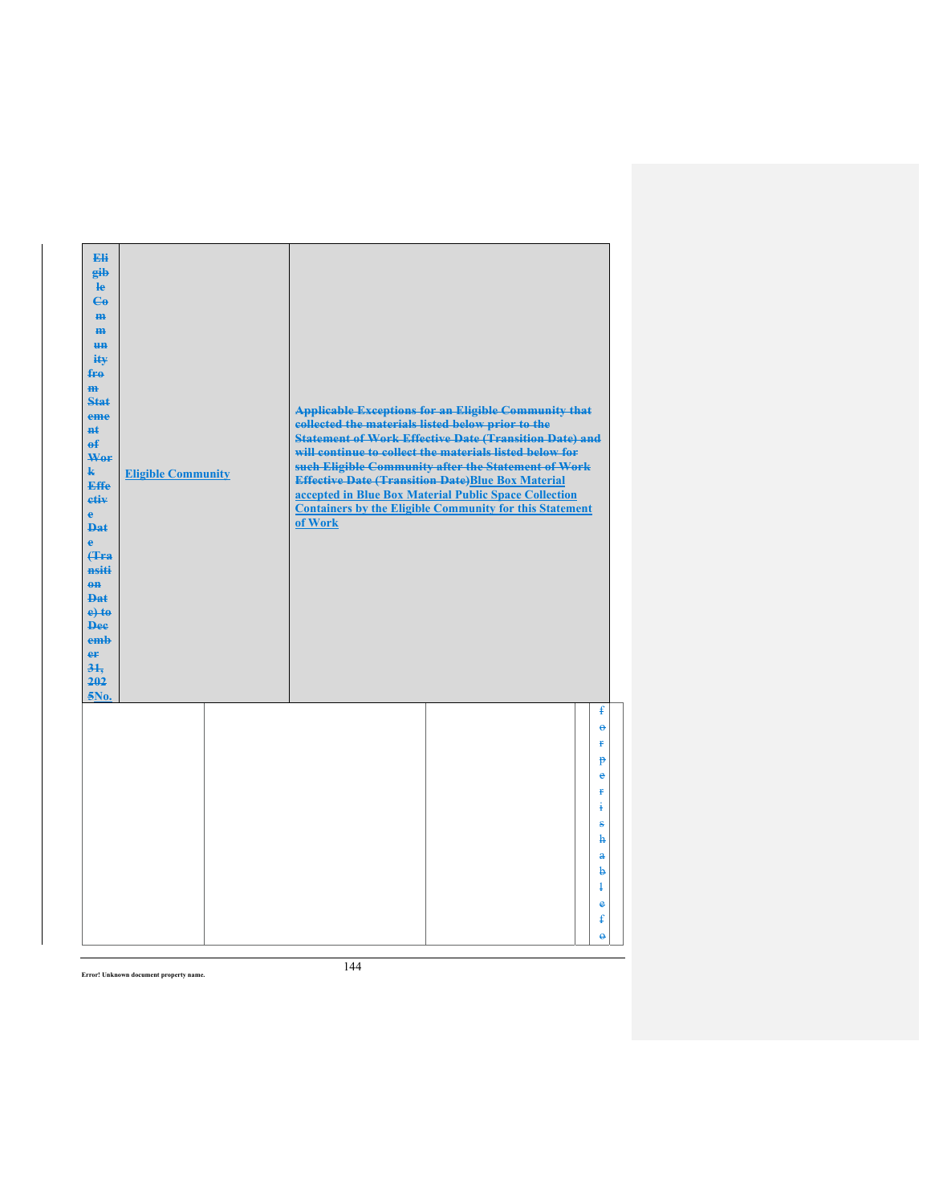| Eli<br>gib<br>$\mathbf{e}$<br>$\epsilon$<br>m-<br>$\mathbf{m}$<br><b>HH</b><br>iŧ¥<br>$f_{\text{H}0}$<br>$\mathbf{m}$<br>Stat<br>eme<br>#ŧ<br>$\mathbf{f}$<br>Wer<br>$\mathbf{k}$<br><b>Effe</b><br>etiv<br>$\mathbf{e}$<br><b>Dat</b><br>$\mathbf{e}$<br>Hra<br>nsiti<br>$0$<br><b>Dat</b><br>$e$ + $te$<br><b>Dee</b><br>emb<br>er<br>31.<br>202<br>5No. | <b>Eligible Community</b> | <b>Applicable Exceptions for an Eligible Community that</b><br>collected the materials listed below prior to the<br><b>Statement of Work Effective Date (Transition Date) and</b><br>will continue to collect the materials listed below for<br>such Eligible Community after the Statement of Work<br><b>Effective Date (Transition Date)Blue Box Material</b><br>accepted in Blue Box Material Public Space Collection<br><b>Containers by the Eligible Community for this Statement</b><br>of Work |                                                                                                                                 |
|------------------------------------------------------------------------------------------------------------------------------------------------------------------------------------------------------------------------------------------------------------------------------------------------------------------------------------------------------------|---------------------------|-------------------------------------------------------------------------------------------------------------------------------------------------------------------------------------------------------------------------------------------------------------------------------------------------------------------------------------------------------------------------------------------------------------------------------------------------------------------------------------------------------|---------------------------------------------------------------------------------------------------------------------------------|
|                                                                                                                                                                                                                                                                                                                                                            |                           |                                                                                                                                                                                                                                                                                                                                                                                                                                                                                                       | ŧ<br>$\ddot{\theta}$<br>ŧ.<br>p<br>$\bullet$<br>Ŧ<br>÷<br>s<br>ħ<br>$\mathbf{a}$<br>b<br>ł<br>$\bullet$<br>ŧ<br>$\ddot{\theta}$ |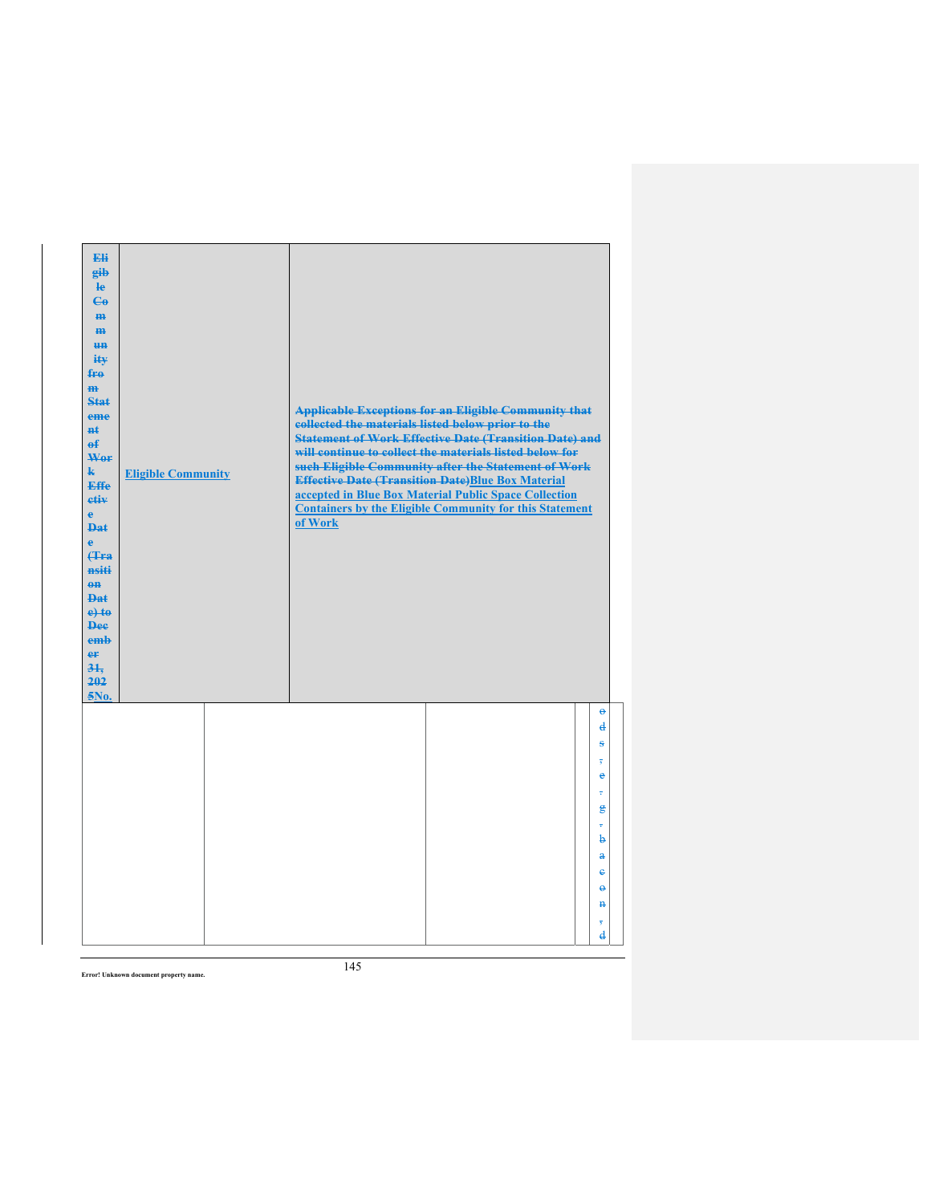| Eli<br>gib<br>$\mathbf{e}$<br>$\epsilon$<br>m-<br>$\mathbf{m}$<br><b>HH</b><br>iŧ¥<br>$f_{\text{H}0}$<br>$\mathbf{m}$<br>Stat<br>eme<br>#ŧ<br>$\mathbf{f}$<br>Wer<br>$\mathbf{k}$<br><b>Effe</b><br>etiv<br>$\mathbf{e}$<br><b>Dat</b><br>$\ddot{\mathbf{e}}$<br>Hra<br>nsiti<br>$0$<br><b>Dat</b><br>$e$ + $te$<br><b>Dee</b><br>emb<br>er<br>31.<br>202<br>5No. | <b>Eligible Community</b> | collected the materials listed below prior to the<br>of Work | <b>Applicable Exceptions for an Eligible Community that</b><br><b>Statement of Work Effective Date (Transition Date) and</b><br>will continue to collect the materials listed below for<br>such Eligible Community after the Statement of Work<br><b>Effective Date (Transition Date)Blue Box Material</b><br>accepted in Blue Box Material Public Space Collection<br><b>Containers by the Eligible Community for this Statement</b> |                                                           |
|-------------------------------------------------------------------------------------------------------------------------------------------------------------------------------------------------------------------------------------------------------------------------------------------------------------------------------------------------------------------|---------------------------|--------------------------------------------------------------|---------------------------------------------------------------------------------------------------------------------------------------------------------------------------------------------------------------------------------------------------------------------------------------------------------------------------------------------------------------------------------------------------------------------------------------|-----------------------------------------------------------|
|                                                                                                                                                                                                                                                                                                                                                                   |                           |                                                              |                                                                                                                                                                                                                                                                                                                                                                                                                                       | $\Theta$<br>$\mathbf{d}$<br>ŝ<br>$\overline{\phantom{a}}$ |
|                                                                                                                                                                                                                                                                                                                                                                   |                           |                                                              |                                                                                                                                                                                                                                                                                                                                                                                                                                       | $\bullet$<br>÷<br>$\mathbf{g}$<br>÷                       |
|                                                                                                                                                                                                                                                                                                                                                                   |                           |                                                              |                                                                                                                                                                                                                                                                                                                                                                                                                                       | þ<br>$\mathbf{a}$                                         |
|                                                                                                                                                                                                                                                                                                                                                                   |                           |                                                              |                                                                                                                                                                                                                                                                                                                                                                                                                                       | $\ddot{\textbf{e}}$<br>$\ddot{\mathbf{e}}$                |
|                                                                                                                                                                                                                                                                                                                                                                   |                           |                                                              |                                                                                                                                                                                                                                                                                                                                                                                                                                       | $\mathbf{H}$                                              |
|                                                                                                                                                                                                                                                                                                                                                                   |                           |                                                              |                                                                                                                                                                                                                                                                                                                                                                                                                                       | $\overline{3}$<br>$\mathbf{d}$                            |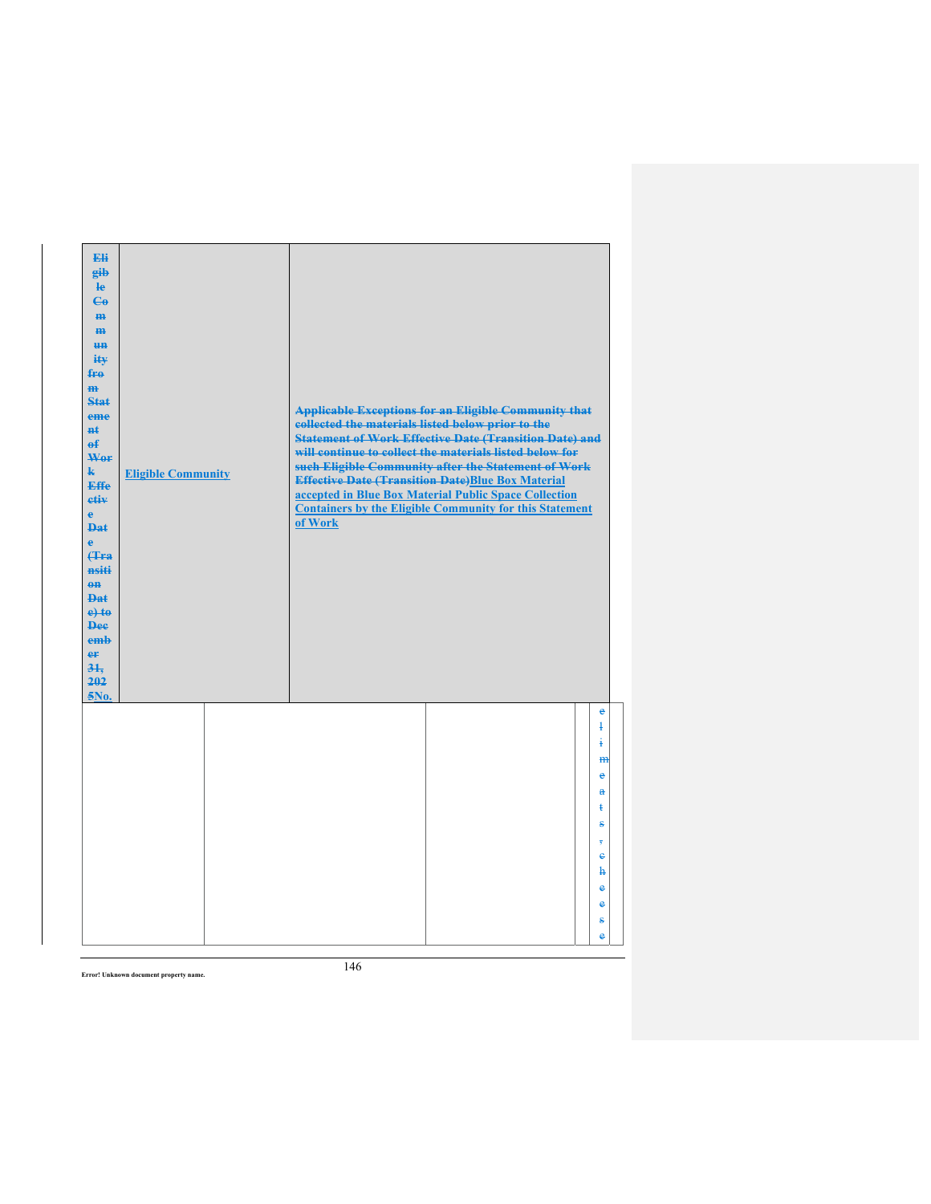| Eli<br>gib<br>le<br>$\mathbf{G}$<br>m-<br>m<br><b>HH</b><br>iŧ¥<br>$f_{\text{H}0}$<br>$\mathbf{m}$<br>$Stat$<br>eme<br>$H+$<br>$\mathbf{f}$<br>Wer<br>k.<br><b>Effe</b><br>etiv<br>$\mathbf{e}$<br><b>Dat</b><br>$\ddot{\textbf{e}}$<br>(Tra<br>nsiti<br>$0$<br><b>Dat</b><br>$e$ +to<br><b>Dee</b><br>emb<br>er<br>31.<br>202<br>5No. | <b>Eligible Community</b> | collected the materials listed below prior to the<br>of Work | <b>Applicable Exceptions for an Eligible Community that</b><br><b>Statement of Work Effective Date (Transition Date) and</b><br>will continue to collect the materials listed below for<br>such Eligible Community after the Statement of Work<br><b>Effective Date (Transition Date)Blue Box Material</b><br>accepted in Blue Box Material Public Space Collection<br><b>Containers by the Eligible Community for this Statement</b> |                               |
|----------------------------------------------------------------------------------------------------------------------------------------------------------------------------------------------------------------------------------------------------------------------------------------------------------------------------------------|---------------------------|--------------------------------------------------------------|---------------------------------------------------------------------------------------------------------------------------------------------------------------------------------------------------------------------------------------------------------------------------------------------------------------------------------------------------------------------------------------------------------------------------------------|-------------------------------|
|                                                                                                                                                                                                                                                                                                                                        |                           |                                                              |                                                                                                                                                                                                                                                                                                                                                                                                                                       | $\epsilon$<br>$\ddagger$<br>į |
|                                                                                                                                                                                                                                                                                                                                        |                           |                                                              |                                                                                                                                                                                                                                                                                                                                                                                                                                       | m<br>$\bullet$                |
|                                                                                                                                                                                                                                                                                                                                        |                           |                                                              |                                                                                                                                                                                                                                                                                                                                                                                                                                       | $\mathbf{a}$<br>ŧ             |
|                                                                                                                                                                                                                                                                                                                                        |                           |                                                              |                                                                                                                                                                                                                                                                                                                                                                                                                                       | ŝ                             |
|                                                                                                                                                                                                                                                                                                                                        |                           |                                                              |                                                                                                                                                                                                                                                                                                                                                                                                                                       | 7<br>$\ddot{\textbf{e}}$      |
|                                                                                                                                                                                                                                                                                                                                        |                           |                                                              |                                                                                                                                                                                                                                                                                                                                                                                                                                       | ħ                             |
|                                                                                                                                                                                                                                                                                                                                        |                           |                                                              |                                                                                                                                                                                                                                                                                                                                                                                                                                       | $\bullet$                     |
|                                                                                                                                                                                                                                                                                                                                        |                           |                                                              |                                                                                                                                                                                                                                                                                                                                                                                                                                       | $\bullet$                     |
|                                                                                                                                                                                                                                                                                                                                        |                           |                                                              |                                                                                                                                                                                                                                                                                                                                                                                                                                       | ŝ                             |
|                                                                                                                                                                                                                                                                                                                                        |                           |                                                              |                                                                                                                                                                                                                                                                                                                                                                                                                                       | ė                             |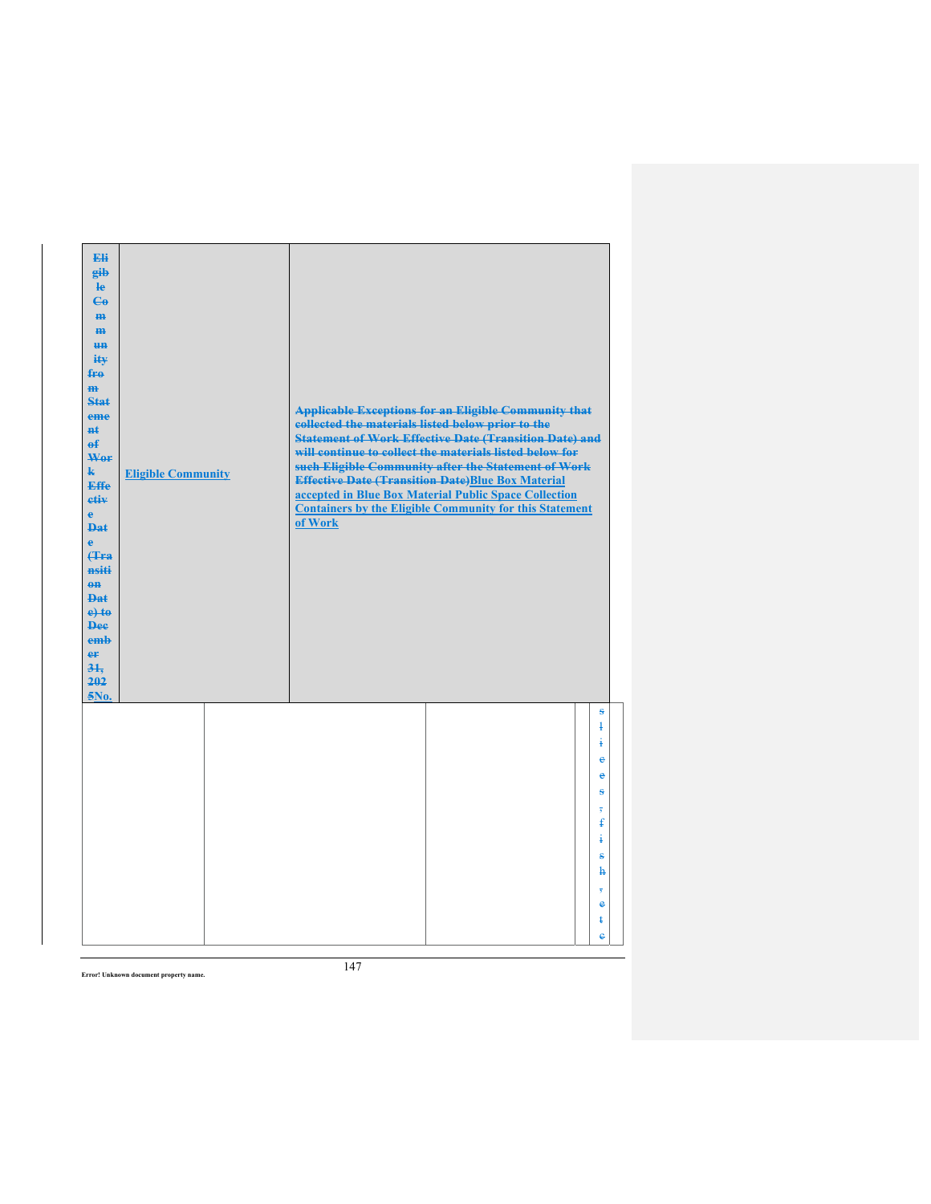| Eli<br>gib<br>He<br>$\epsilon$<br>H <sub>H</sub><br>m<br>H <sub>H</sub><br>ity<br>fro<br>$\mathbf{m}$<br>Stat<br>eme<br>#ŧ<br>$\mathbf{f}$<br>Wer<br>$\mathbf{k}$<br><b>Effe</b><br>etiv<br>$\mathbf{e}$<br><b>Dat</b><br>è<br><b>f</b> Fra<br>nsiti<br>$eff$<br>Dat<br>$e$ +to<br><b>Dee</b><br>emb<br>er<br>31.<br>202<br>5No. | <b>Eligible Community</b> | collected the materials listed below prior to the<br>of Work | <b>Applicable Exceptions for an Eligible Community that</b><br><b>Statement of Work Effective Date (Transition Date) and</b><br>will continue to collect the materials listed below for<br>such Eligible Community after the Statement of Work<br><b>Effective Date (Transition Date)Blue Box Material</b><br>accepted in Blue Box Material Public Space Collection<br><b>Containers by the Eligible Community for this Statement</b> |                                          |
|----------------------------------------------------------------------------------------------------------------------------------------------------------------------------------------------------------------------------------------------------------------------------------------------------------------------------------|---------------------------|--------------------------------------------------------------|---------------------------------------------------------------------------------------------------------------------------------------------------------------------------------------------------------------------------------------------------------------------------------------------------------------------------------------------------------------------------------------------------------------------------------------|------------------------------------------|
|                                                                                                                                                                                                                                                                                                                                  |                           |                                                              |                                                                                                                                                                                                                                                                                                                                                                                                                                       | S<br>$\mathbf{1}$<br>į<br>e<br>$\bullet$ |
|                                                                                                                                                                                                                                                                                                                                  |                           |                                                              |                                                                                                                                                                                                                                                                                                                                                                                                                                       | ÷<br>$\overline{5}$<br>ŧ<br>į            |
|                                                                                                                                                                                                                                                                                                                                  |                           |                                                              |                                                                                                                                                                                                                                                                                                                                                                                                                                       | ŝ<br>ħ<br>7                              |
|                                                                                                                                                                                                                                                                                                                                  |                           |                                                              |                                                                                                                                                                                                                                                                                                                                                                                                                                       | $\bullet$<br>ŧ<br>ė                      |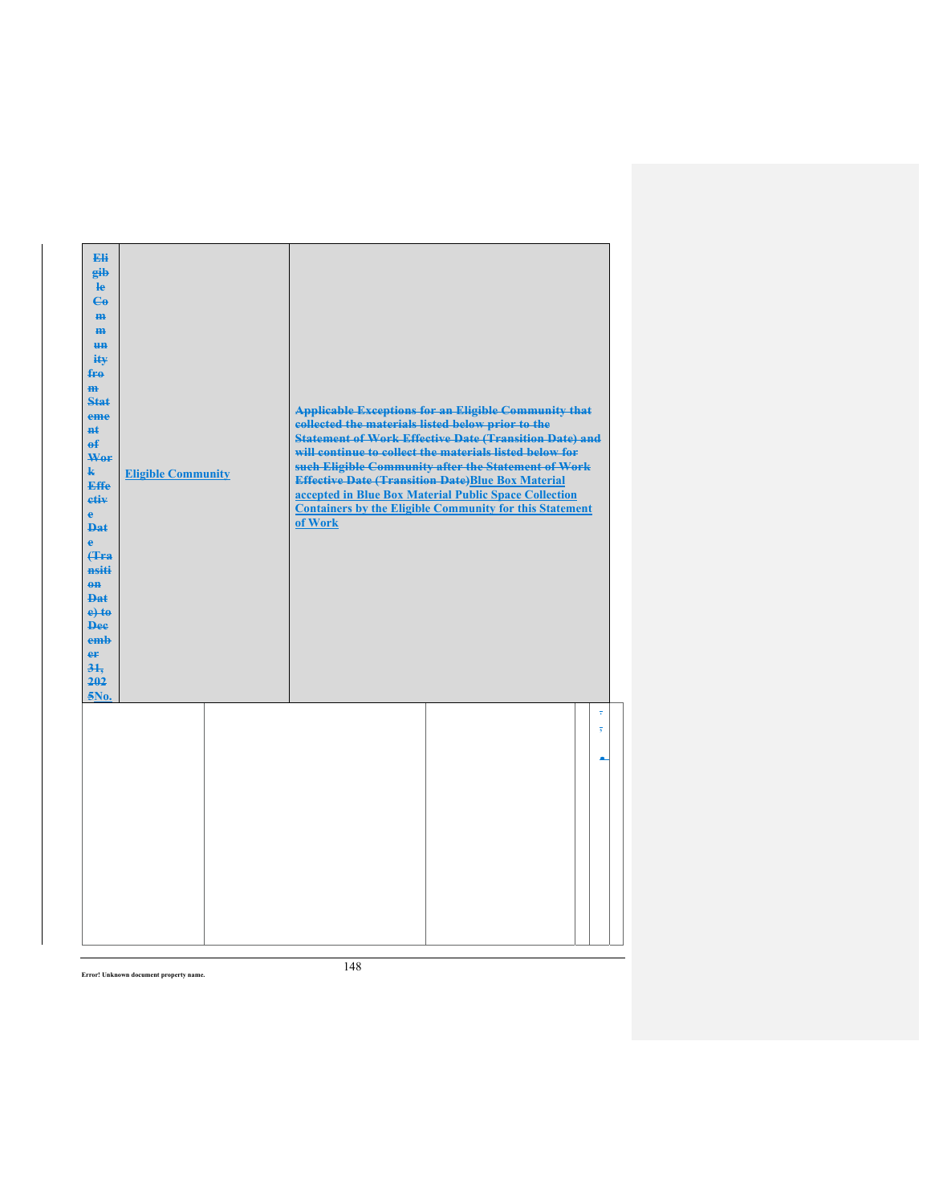| Eli<br>gib<br>$\mathbf{e}$<br>$\mathbf{e}_0$<br>H <sub>H</sub><br>m<br>H <sub>H</sub><br>$i$ it $\mathbf{v}$<br>fre<br>H <sub>H</sub><br>Stat<br>eme<br><b>n</b> t<br>$\theta$<br>Wor<br>$\mathbf{k}$<br><b>Effe</b><br>etiv<br>$\mathbf{e}$<br><b>Dat</b><br>$\ddot{\textbf{e}}$<br><b>(Tra</b><br>nsiti<br>$\theta$<br><b>Dat</b><br>$e$ +to<br><b>Dee</b><br>emb<br>eF<br>31.<br>202<br>5No. | <b>Eligible Community</b> | collected the materials listed below prior to the<br>of Work | <b>Applicable Exceptions for an Eligible Community that</b><br><b>Statement of Work Effective Date (Transition Date) and</b><br>will continue to collect the materials listed below for<br>such Eligible Community after the Statement of Work<br><b>Effective Date (Transition Date)Blue Box Material</b><br>accepted in Blue Box Material Public Space Collection<br><b>Containers by the Eligible Community for this Statement</b> |                              |
|-------------------------------------------------------------------------------------------------------------------------------------------------------------------------------------------------------------------------------------------------------------------------------------------------------------------------------------------------------------------------------------------------|---------------------------|--------------------------------------------------------------|---------------------------------------------------------------------------------------------------------------------------------------------------------------------------------------------------------------------------------------------------------------------------------------------------------------------------------------------------------------------------------------------------------------------------------------|------------------------------|
|                                                                                                                                                                                                                                                                                                                                                                                                 |                           |                                                              |                                                                                                                                                                                                                                                                                                                                                                                                                                       | ÷<br>$\overline{\mathbf{5}}$ |
|                                                                                                                                                                                                                                                                                                                                                                                                 |                           |                                                              |                                                                                                                                                                                                                                                                                                                                                                                                                                       |                              |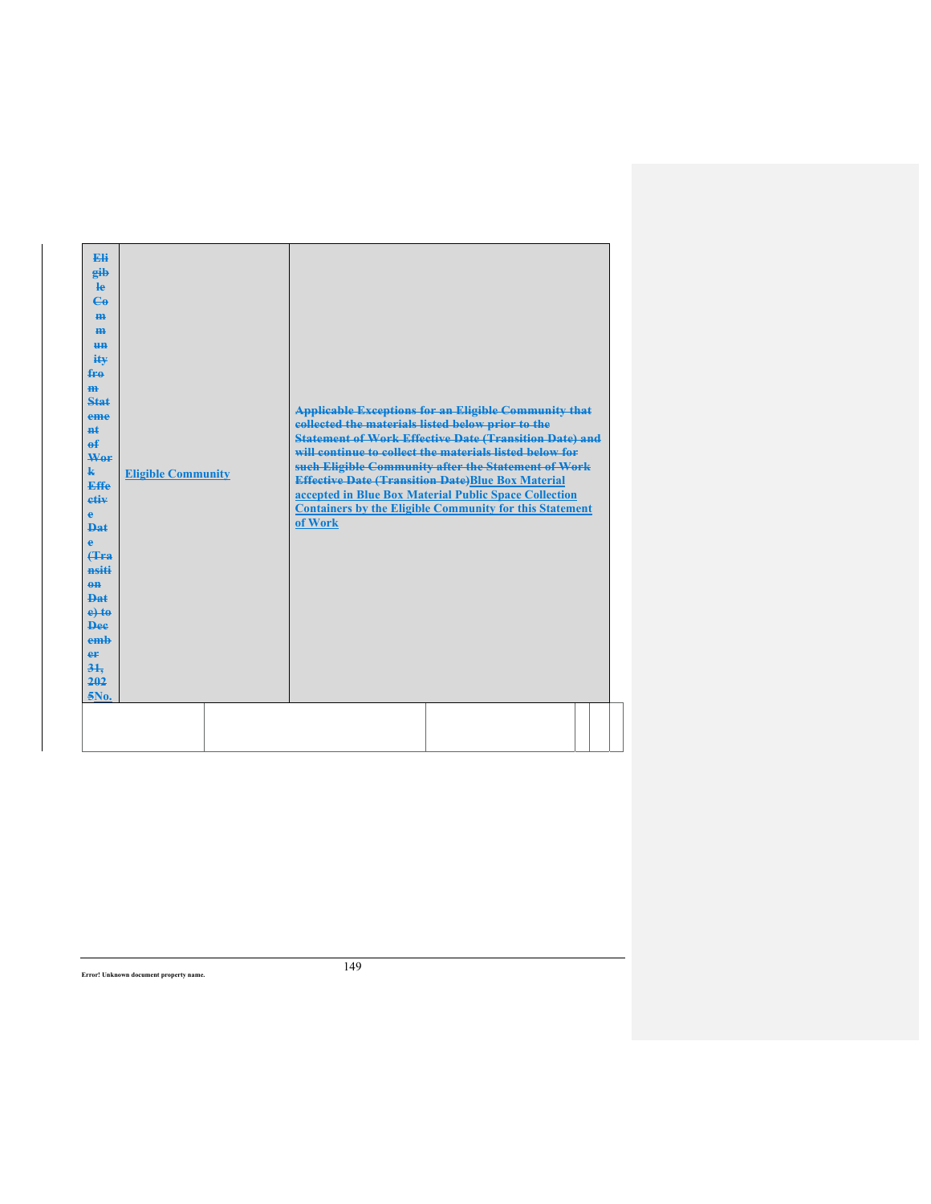| Eli<br>gib<br><b>le</b><br>$\mathbf{G}$<br>H <sub>H</sub><br>H <sub>H</sub><br>H <sub>H</sub><br>$i$ t $\mathbf{v}$<br>fre<br>H <sub>H</sub><br><b>Stat</b><br>eme<br>$H+$<br>$\mathbf{a}$ £<br>Wer<br>$\mathbf{k}$<br>Effe<br>etiv<br>e<br>Dat<br>e<br>(Tra<br>nsiti<br>$0$<br><b>Dat</b><br>$e$ +to<br><b>Dee</b><br>emb<br>er<br>$3+$<br>202<br>5No. | <b>Eligible Community</b> | collected the materials listed below prior to the<br>of Work | <b>Applicable Exceptions for an Eligible Community that</b><br><b>Statement of Work Effective Date (Transition Date) and</b><br>will continue to collect the materials listed below for<br>such Eligible Community after the Statement of Work<br><b>Effective Date (Transition Date)Blue Box Material</b><br>accepted in Blue Box Material Public Space Collection<br><b>Containers by the Eligible Community for this Statement</b> |  |
|---------------------------------------------------------------------------------------------------------------------------------------------------------------------------------------------------------------------------------------------------------------------------------------------------------------------------------------------------------|---------------------------|--------------------------------------------------------------|---------------------------------------------------------------------------------------------------------------------------------------------------------------------------------------------------------------------------------------------------------------------------------------------------------------------------------------------------------------------------------------------------------------------------------------|--|
|                                                                                                                                                                                                                                                                                                                                                         |                           |                                                              |                                                                                                                                                                                                                                                                                                                                                                                                                                       |  |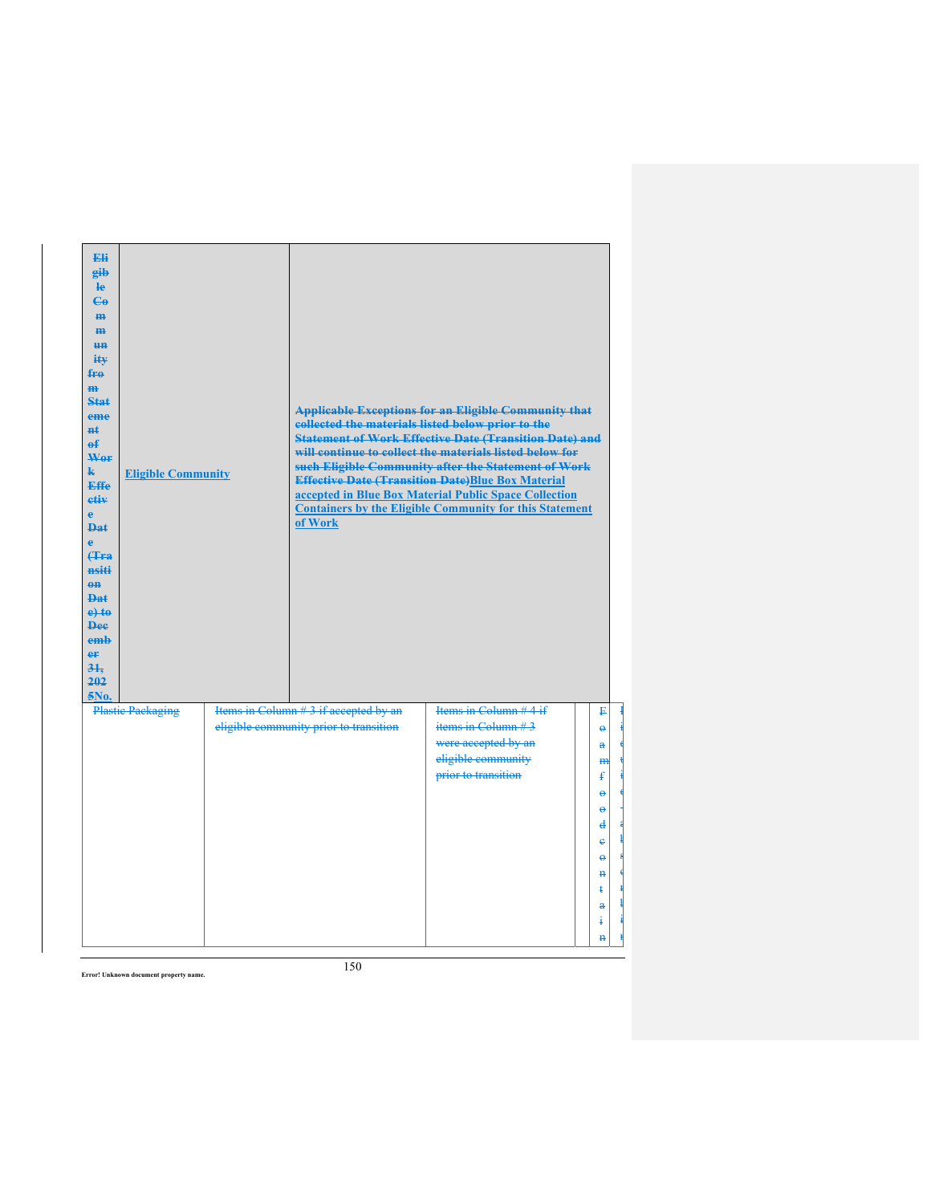| <b>Fli</b><br>gib<br>le<br>$\epsilon$<br>H <sub>H</sub><br>H <sub>H</sub><br><b>HH</b><br>iŧ¥<br>fro<br>$\overline{m}$<br>Stat<br>eme<br>$H+$<br>$\mathbf{f}$<br>Wer<br>k.<br><b>Effe</b><br>etiv<br>e<br><b>Dat</b><br>è<br><b>(Tra</b><br>nsiti<br>$\theta$ <sup><math>\theta</math></sup><br>Dat<br>$e$ +to<br><b>Dee</b><br>emb<br>er<br>31.<br>202<br>5No. | <b>Eligible Community</b> | of Work                                | <b>Applicable Exceptions for an Eligible Community that</b><br>collected the materials listed below prior to the<br><b>Statement of Work Effective Date (Transition Date) and</b><br>will continue to collect the materials listed below for<br>such Eligible Community after the Statement of Work<br><b>Effective Date (Transition Date)Blue Box Material</b><br>accepted in Blue Box Material Public Space Collection<br><b>Containers by the Eligible Community for this Statement</b> |                          |
|-----------------------------------------------------------------------------------------------------------------------------------------------------------------------------------------------------------------------------------------------------------------------------------------------------------------------------------------------------------------|---------------------------|----------------------------------------|--------------------------------------------------------------------------------------------------------------------------------------------------------------------------------------------------------------------------------------------------------------------------------------------------------------------------------------------------------------------------------------------------------------------------------------------------------------------------------------------|--------------------------|
|                                                                                                                                                                                                                                                                                                                                                                 | <b>Plastic Packaging</b>  | Items in Column # 3 if accepted by an  | Items in Column #4 if                                                                                                                                                                                                                                                                                                                                                                                                                                                                      | F                        |
|                                                                                                                                                                                                                                                                                                                                                                 |                           | eligible community prior to transition | items in Column $#3$                                                                                                                                                                                                                                                                                                                                                                                                                                                                       | $\ddot{\mathbf{e}}$      |
|                                                                                                                                                                                                                                                                                                                                                                 |                           |                                        | were accepted by an                                                                                                                                                                                                                                                                                                                                                                                                                                                                        | a                        |
|                                                                                                                                                                                                                                                                                                                                                                 |                           |                                        | eligible community<br>prior to transition                                                                                                                                                                                                                                                                                                                                                                                                                                                  | $m$                      |
|                                                                                                                                                                                                                                                                                                                                                                 |                           |                                        |                                                                                                                                                                                                                                                                                                                                                                                                                                                                                            | ŧ<br>$\ddot{\mathbf{e}}$ |
|                                                                                                                                                                                                                                                                                                                                                                 |                           |                                        |                                                                                                                                                                                                                                                                                                                                                                                                                                                                                            | ĕ                        |
|                                                                                                                                                                                                                                                                                                                                                                 |                           |                                        |                                                                                                                                                                                                                                                                                                                                                                                                                                                                                            | ₫                        |
|                                                                                                                                                                                                                                                                                                                                                                 |                           |                                        |                                                                                                                                                                                                                                                                                                                                                                                                                                                                                            | ė                        |
|                                                                                                                                                                                                                                                                                                                                                                 |                           |                                        |                                                                                                                                                                                                                                                                                                                                                                                                                                                                                            | $\ddot{\mathbf{e}}$      |
|                                                                                                                                                                                                                                                                                                                                                                 |                           |                                        |                                                                                                                                                                                                                                                                                                                                                                                                                                                                                            | $\mathbf{H}$             |
|                                                                                                                                                                                                                                                                                                                                                                 |                           |                                        |                                                                                                                                                                                                                                                                                                                                                                                                                                                                                            | $\ddagger$               |
|                                                                                                                                                                                                                                                                                                                                                                 |                           |                                        |                                                                                                                                                                                                                                                                                                                                                                                                                                                                                            | $\mathbf{a}$             |
|                                                                                                                                                                                                                                                                                                                                                                 |                           |                                        |                                                                                                                                                                                                                                                                                                                                                                                                                                                                                            | 4                        |
|                                                                                                                                                                                                                                                                                                                                                                 |                           |                                        |                                                                                                                                                                                                                                                                                                                                                                                                                                                                                            | Ħ                        |

L i q u i d a ł s o r ł i n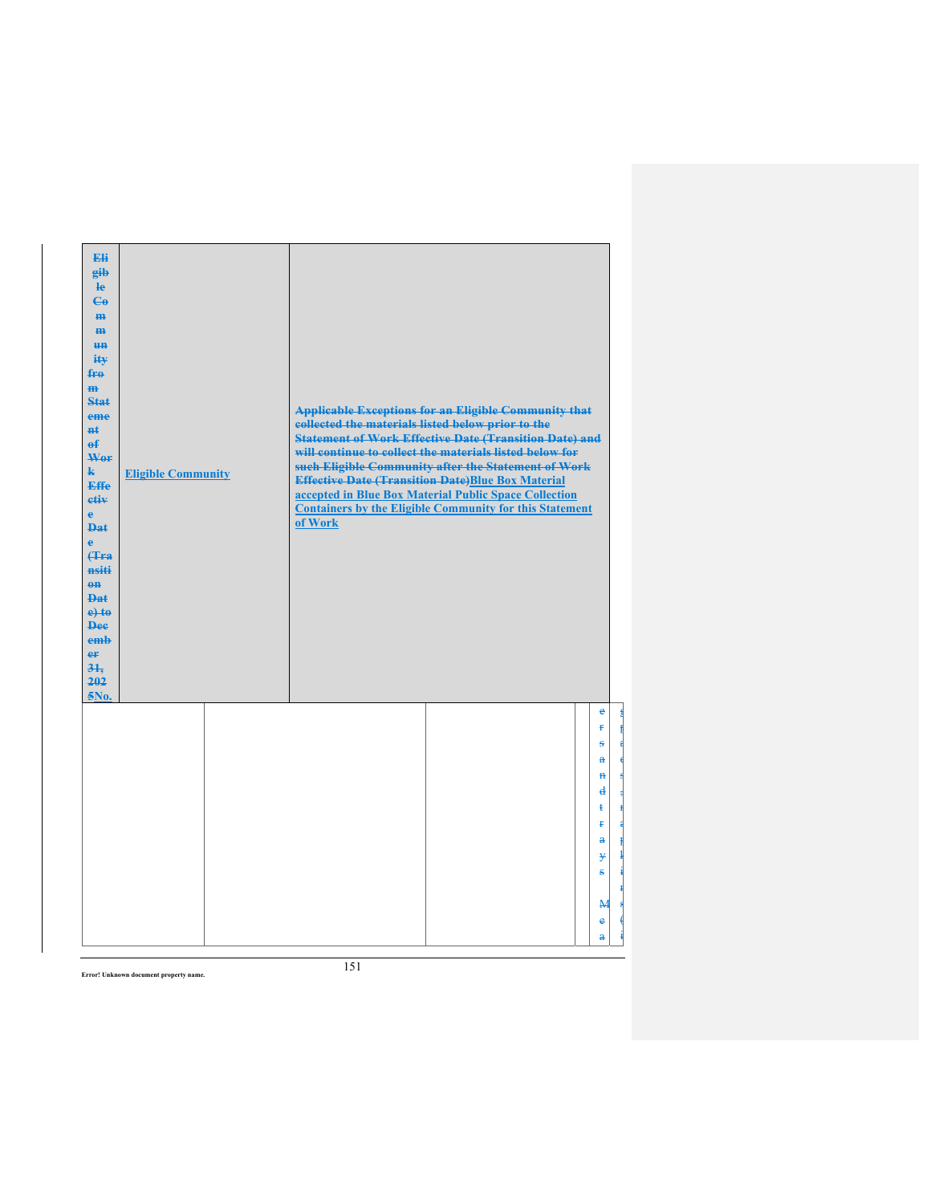| Eli<br>gib<br>$\mathbf{e}$<br>$\mathbf{e}_0$<br>H <sub>H</sub><br>$\mathbf{m}$<br><del>un</del><br>iŧ¥<br>$f_{\text{H}0}$<br>$\mathbf{m}$<br><b>Stat</b><br>eme<br><b>n</b> t<br>$\mathbf{f}$<br>Wer<br>$\mathbf{k}$<br><b>Effe</b><br>etiv<br>$\mathbf{e}$<br><b>Dat</b><br>Ä<br><b>(Tra)</b><br>nsiti<br>$\theta$ <sup><math>\theta</math></sup><br><b>Dat</b><br>$e$ +to<br><b>Dee</b><br>emb<br>er<br>$3+$<br>202<br>5No. | <b>Eligible Community</b> | collected the materials listed below prior to the<br>of Work | <b>Applicable Exceptions for an Eligible Community that</b><br><b>Statement of Work Effective Date (Transition Date) and</b><br>will continue to collect the materials listed below for<br>such Eligible Community after the Statement of Work<br><b>Effective Date (Transition Date)Blue Box Material</b><br>accepted in Blue Box Material Public Space Collection<br><b>Containers by the Eligible Community for this Statement</b> |                |
|-------------------------------------------------------------------------------------------------------------------------------------------------------------------------------------------------------------------------------------------------------------------------------------------------------------------------------------------------------------------------------------------------------------------------------|---------------------------|--------------------------------------------------------------|---------------------------------------------------------------------------------------------------------------------------------------------------------------------------------------------------------------------------------------------------------------------------------------------------------------------------------------------------------------------------------------------------------------------------------------|----------------|
|                                                                                                                                                                                                                                                                                                                                                                                                                               |                           |                                                              |                                                                                                                                                                                                                                                                                                                                                                                                                                       | e<br>Ŧ         |
|                                                                                                                                                                                                                                                                                                                                                                                                                               |                           |                                                              |                                                                                                                                                                                                                                                                                                                                                                                                                                       | £.<br>a        |
|                                                                                                                                                                                                                                                                                                                                                                                                                               |                           |                                                              |                                                                                                                                                                                                                                                                                                                                                                                                                                       | $\mathbf{H}$   |
|                                                                                                                                                                                                                                                                                                                                                                                                                               |                           |                                                              |                                                                                                                                                                                                                                                                                                                                                                                                                                       | $\mathbf{d}$   |
|                                                                                                                                                                                                                                                                                                                                                                                                                               |                           |                                                              |                                                                                                                                                                                                                                                                                                                                                                                                                                       | ŧ              |
|                                                                                                                                                                                                                                                                                                                                                                                                                               |                           |                                                              |                                                                                                                                                                                                                                                                                                                                                                                                                                       | Ŧ.<br>$\bf{a}$ |
|                                                                                                                                                                                                                                                                                                                                                                                                                               |                           |                                                              |                                                                                                                                                                                                                                                                                                                                                                                                                                       | ¥              |
|                                                                                                                                                                                                                                                                                                                                                                                                                               |                           |                                                              |                                                                                                                                                                                                                                                                                                                                                                                                                                       | ÷,             |
|                                                                                                                                                                                                                                                                                                                                                                                                                               |                           |                                                              |                                                                                                                                                                                                                                                                                                                                                                                                                                       |                |
|                                                                                                                                                                                                                                                                                                                                                                                                                               |                           |                                                              |                                                                                                                                                                                                                                                                                                                                                                                                                                       | $\mathbf{M}$   |
|                                                                                                                                                                                                                                                                                                                                                                                                                               |                           |                                                              |                                                                                                                                                                                                                                                                                                                                                                                                                                       | e              |

g p a d s , n a p  $\mathbf i$ i n s ( i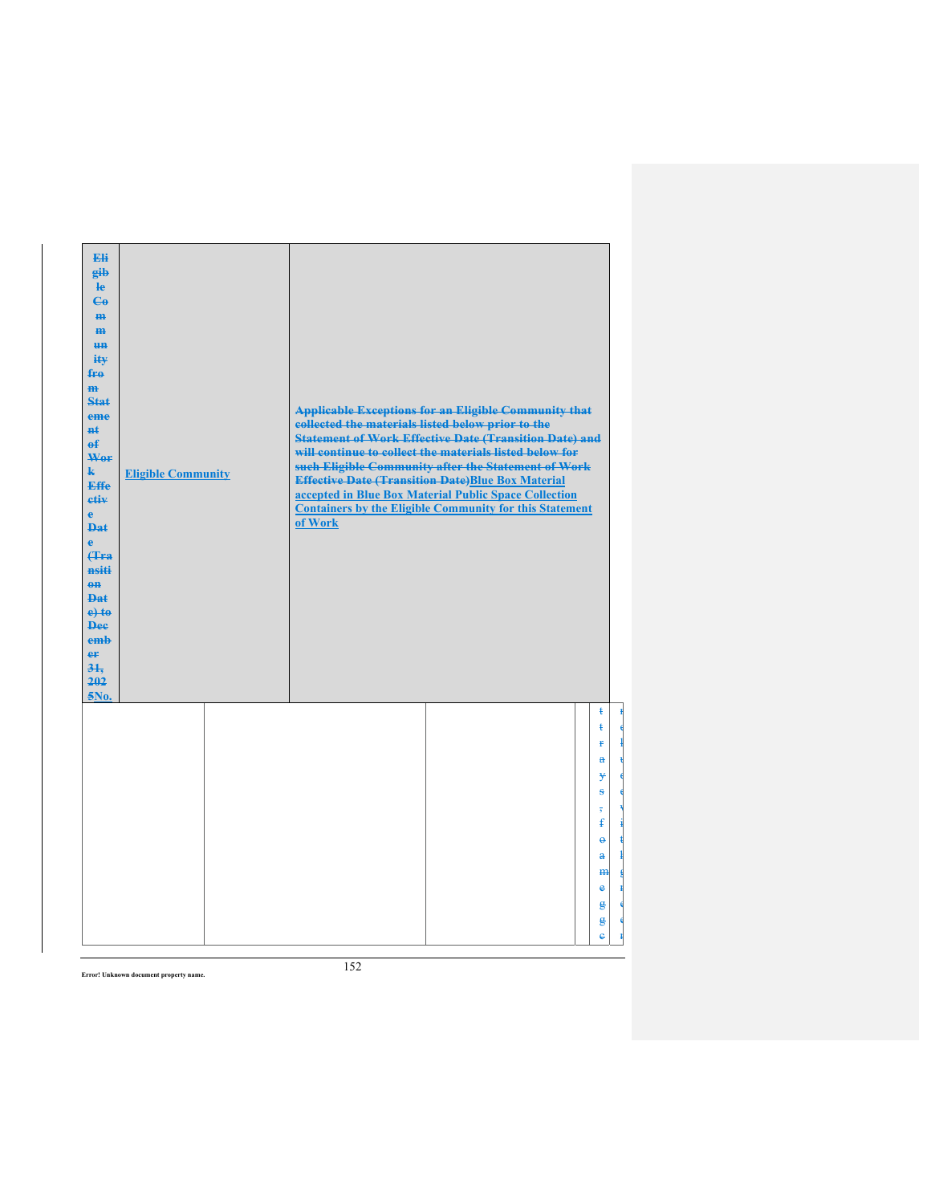| Eli<br>gib<br>$\mathbf{e}$<br>$C_{\theta}$<br>H <sub>H</sub><br>$\mathbf{m}$<br><b>un</b><br>ity<br>$f_{\text{H}0}$<br>$\mathbf{m}$<br>Stat<br>eme<br>#£<br>$\mathbf{f}$<br>Wer<br>$\mathbf{k}$<br>Effe<br>etiv<br>$\mathbf{e}$<br><b>Dat</b><br>ė<br><b>(Tra)</b><br>nsiti<br>$\theta$ <sup><math>\theta</math></sup><br><b>Dat</b><br>$e$ +to<br><b>Dee</b><br>emh<br>er<br>31.<br>202<br>5No. | <b>Eligible Community</b> | collected the materials listed below prior to the<br>of Work | <b>Applicable Exceptions for an Eligible Community that</b><br><b>Statement of Work Effective Date (Transition Date) and</b><br>will continue to collect the materials listed below for<br>such Eligible Community after the Statement of Work<br><b>Effective Date (Transition Date)Blue Box Material</b><br>accepted in Blue Box Material Public Space Collection<br><b>Containers by the Eligible Community for this Statement</b> |                   |
|--------------------------------------------------------------------------------------------------------------------------------------------------------------------------------------------------------------------------------------------------------------------------------------------------------------------------------------------------------------------------------------------------|---------------------------|--------------------------------------------------------------|---------------------------------------------------------------------------------------------------------------------------------------------------------------------------------------------------------------------------------------------------------------------------------------------------------------------------------------------------------------------------------------------------------------------------------------|-------------------|
|                                                                                                                                                                                                                                                                                                                                                                                                  |                           |                                                              |                                                                                                                                                                                                                                                                                                                                                                                                                                       | ŧ<br>ŧ            |
|                                                                                                                                                                                                                                                                                                                                                                                                  |                           |                                                              |                                                                                                                                                                                                                                                                                                                                                                                                                                       | ¥                 |
|                                                                                                                                                                                                                                                                                                                                                                                                  |                           |                                                              |                                                                                                                                                                                                                                                                                                                                                                                                                                       | $\mathbf{a}$      |
|                                                                                                                                                                                                                                                                                                                                                                                                  |                           |                                                              |                                                                                                                                                                                                                                                                                                                                                                                                                                       | ¥<br>ŝ            |
|                                                                                                                                                                                                                                                                                                                                                                                                  |                           |                                                              |                                                                                                                                                                                                                                                                                                                                                                                                                                       | $\overline{5}$    |
|                                                                                                                                                                                                                                                                                                                                                                                                  |                           |                                                              |                                                                                                                                                                                                                                                                                                                                                                                                                                       | $\mathbf{f}$      |
|                                                                                                                                                                                                                                                                                                                                                                                                  |                           |                                                              |                                                                                                                                                                                                                                                                                                                                                                                                                                       | $\ddot{\theta}$   |
|                                                                                                                                                                                                                                                                                                                                                                                                  |                           |                                                              |                                                                                                                                                                                                                                                                                                                                                                                                                                       | $\mathbf{a}$      |
|                                                                                                                                                                                                                                                                                                                                                                                                  |                           |                                                              |                                                                                                                                                                                                                                                                                                                                                                                                                                       | H <sub>H</sub>    |
|                                                                                                                                                                                                                                                                                                                                                                                                  |                           |                                                              |                                                                                                                                                                                                                                                                                                                                                                                                                                       | e                 |
|                                                                                                                                                                                                                                                                                                                                                                                                  |                           |                                                              |                                                                                                                                                                                                                                                                                                                                                                                                                                       | $\mathbf{g}$<br>g |
|                                                                                                                                                                                                                                                                                                                                                                                                  |                           |                                                              |                                                                                                                                                                                                                                                                                                                                                                                                                                       | ė                 |
|                                                                                                                                                                                                                                                                                                                                                                                                  |                           |                                                              |                                                                                                                                                                                                                                                                                                                                                                                                                                       |                   |

n c l u d e w i t h g r e e n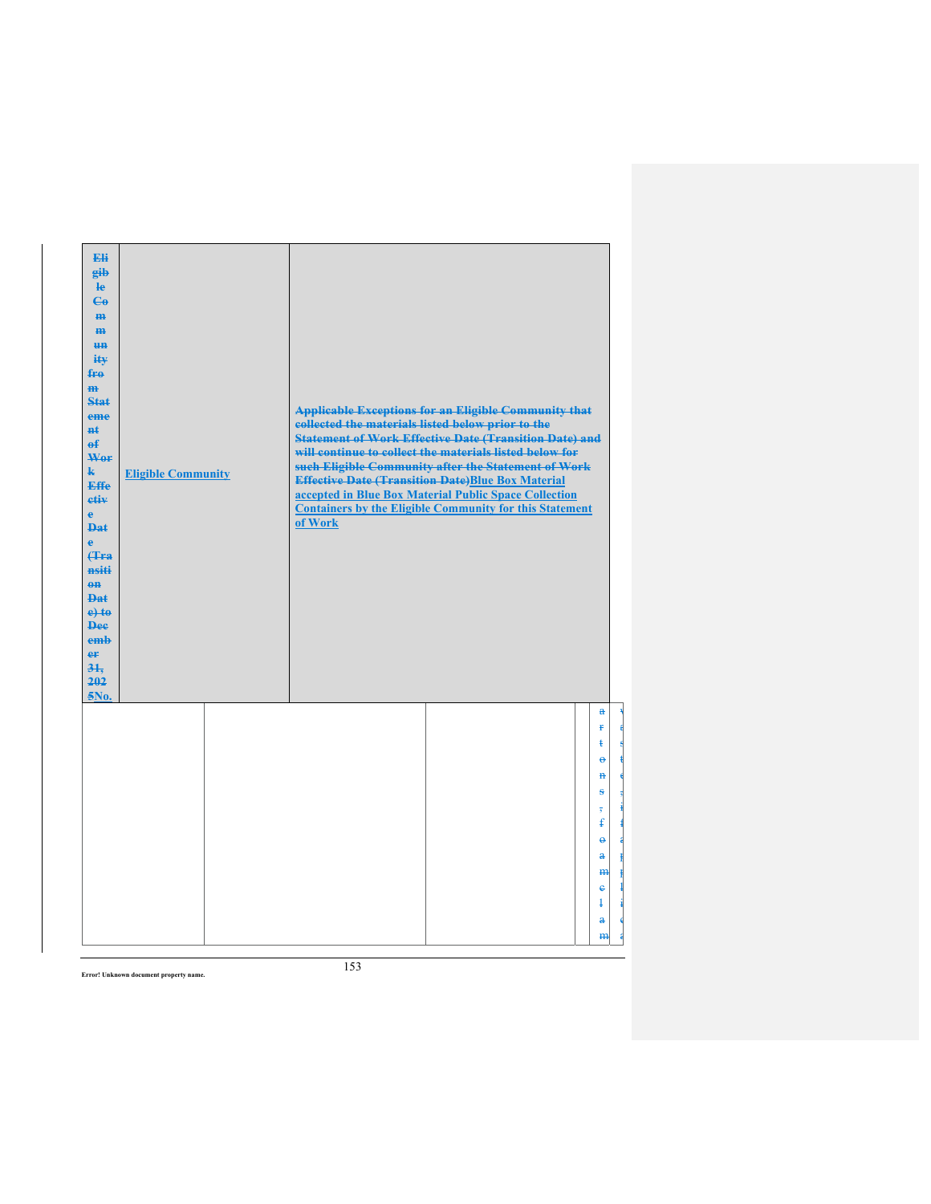| Eli<br>eib<br>He<br>$\mathbf{G}$<br>m-<br>$\mathbf{m}$<br>H <sub>H</sub><br>ity<br>fro<br>m<br><b>Stat</b><br>eme<br>#£<br>$\mathbf{f}$<br>Wer<br>$\mathbf{k}$<br><b>Effe</b><br>etiv<br>$\mathbf{e}$<br><b>Dat</b><br>ė<br>Hra<br>nsiti<br>$eff$<br>Dat.<br>$e$ +to<br><b>Dee</b><br>emb<br>er<br>31.<br>202<br>5No. | <b>Eligible Community</b> | <b>Applicable Exceptions for an Eligible Community that</b><br>collected the materials listed below prior to the<br><b>Statement of Work Effective Date (Transition Date) and</b><br>will continue to collect the materials listed below for<br>such Eligible Community after the Statement of Work<br><b>Effective Date (Transition Date)Blue Box Material</b><br>accepted in Blue Box Material Public Space Collection<br><b>Containers by the Eligible Community for this Statement</b><br>of Work |
|-----------------------------------------------------------------------------------------------------------------------------------------------------------------------------------------------------------------------------------------------------------------------------------------------------------------------|---------------------------|-------------------------------------------------------------------------------------------------------------------------------------------------------------------------------------------------------------------------------------------------------------------------------------------------------------------------------------------------------------------------------------------------------------------------------------------------------------------------------------------------------|
|                                                                                                                                                                                                                                                                                                                       |                           | $\mathbf{a}$<br>Ŧ<br>ŧ<br>$\ddot{\mathbf{e}}$<br>$\mathbf{H}$<br>ŝ<br>$\overline{5}$                                                                                                                                                                                                                                                                                                                                                                                                                  |
|                                                                                                                                                                                                                                                                                                                       |                           | $\mathbf{f}$<br>$\ddot{\mathbf{e}}$<br>$\mathbf{a}$<br>H <sub>H</sub><br>$\ddot{\textbf{e}}$                                                                                                                                                                                                                                                                                                                                                                                                          |
|                                                                                                                                                                                                                                                                                                                       |                           | Ŧ<br>a<br>m                                                                                                                                                                                                                                                                                                                                                                                                                                                                                           |

w a s t e , i f a p p l i c a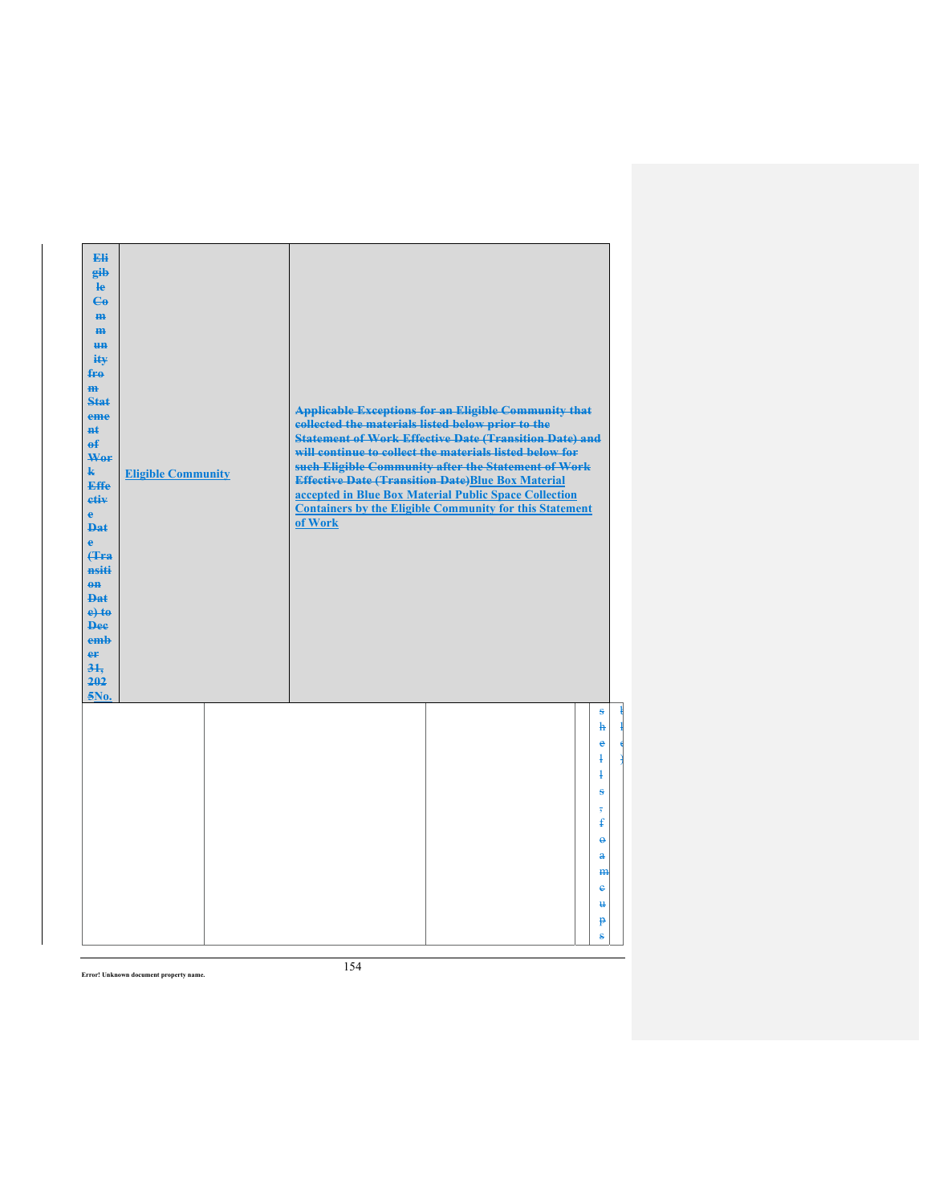| Eli<br>gib<br>$\mathbf{e}$<br>$\epsilon$<br>H <sub>H</sub><br>$\mathbf{m}$<br><b>un</b><br>ity<br>$f_{\text{F}\theta}$<br>$\mathbf{m}$<br><b>Stat</b><br>eme<br><b>n</b> t<br>$\mathbf{f}$<br>Wor<br>$\mathbf{k}$<br><b>Effe</b><br>etiv<br>$\mathbf{e}$<br><b>Dat</b><br>$\ddot{\textbf{e}}$<br><b>(Tra</b><br>nsiti<br>$0$<br><b>Dat</b><br>$e$ + $t$ $e$<br><b>Dee</b><br>emb<br>er<br>31.<br>202<br>5No. | <b>Eligible Community</b> | collected the materials listed below prior to the<br>of Work | <b>Applicable Exceptions for an Eligible Community that</b><br><b>Statement of Work Effective Date (Transition Date) and</b><br>will continue to collect the materials listed below for<br>such Eligible Community after the Statement of Work<br><b>Effective Date (Transition Date)Blue Box Material</b><br>accepted in Blue Box Material Public Space Collection<br><b>Containers by the Eligible Community for this Statement</b> |                                                                                                                                                                            |
|--------------------------------------------------------------------------------------------------------------------------------------------------------------------------------------------------------------------------------------------------------------------------------------------------------------------------------------------------------------------------------------------------------------|---------------------------|--------------------------------------------------------------|---------------------------------------------------------------------------------------------------------------------------------------------------------------------------------------------------------------------------------------------------------------------------------------------------------------------------------------------------------------------------------------------------------------------------------------|----------------------------------------------------------------------------------------------------------------------------------------------------------------------------|
|                                                                                                                                                                                                                                                                                                                                                                                                              |                           |                                                              |                                                                                                                                                                                                                                                                                                                                                                                                                                       | s<br>$\mathbf{h}$<br>ê<br>ł<br>ł<br>s<br>$\overline{\phantom{a}}$<br>$\mathbf{f}$<br>$\ddot{\mathbf{e}}$<br>$\mathbf{a}$<br>H <sub>H</sub><br>٠<br>Ħ.<br>$\mathbf{P}$<br>ŝ |

ł l e )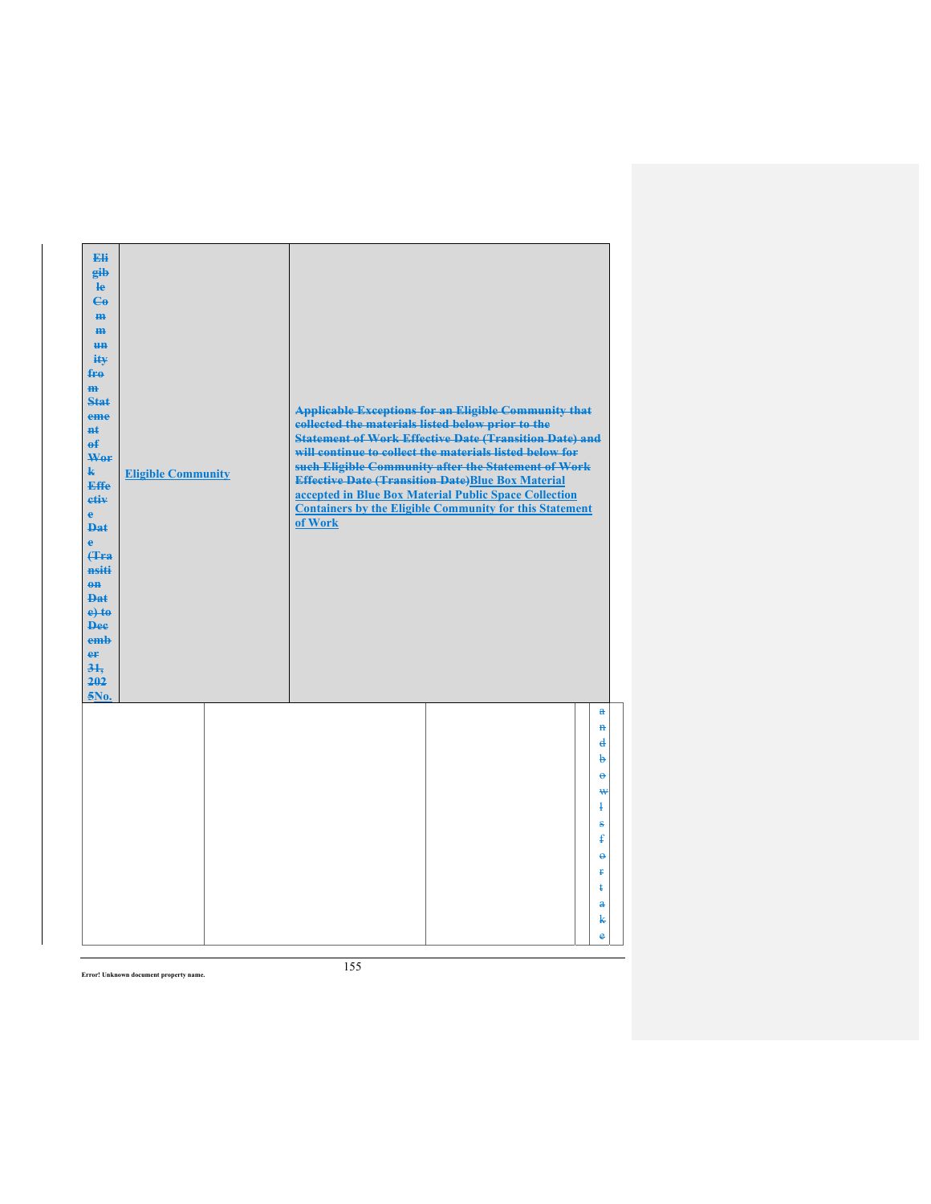| Eli<br>gib<br>$\mathbf{e}$<br>$\mathbf{G}$<br>m-<br>$\mathbf{m}$<br><b>HH</b><br>iŧ¥<br>$f_{\text{H}0}$<br>$\mathbf{m}$<br>Stat<br>eme<br>#£<br>$\mathbf{f}$<br>Wer<br>$\mathbf{k}$<br><b>Effe</b><br>etiv<br>$\mathbf{e}$<br><b>Dat</b><br>$\ddot{\textbf{e}}$<br>Hra<br>nsiti<br>$0$<br><b>Dat</b><br>$e$ + $te$<br><b>Dee</b><br>emb<br>er<br>31.<br>202<br>5No. | <b>Eligible Community</b> | collected the materials listed below prior to the<br>of Work | <b>Applicable Exceptions for an Eligible Community that</b><br><b>Statement of Work Effective Date (Transition Date) and</b><br>will continue to collect the materials listed below for<br>such Eligible Community after the Statement of Work<br><b>Effective Date (Transition Date)Blue Box Material</b><br>accepted in Blue Box Material Public Space Collection<br><b>Containers by the Eligible Community for this Statement</b> |                                                                                                                             |
|---------------------------------------------------------------------------------------------------------------------------------------------------------------------------------------------------------------------------------------------------------------------------------------------------------------------------------------------------------------------|---------------------------|--------------------------------------------------------------|---------------------------------------------------------------------------------------------------------------------------------------------------------------------------------------------------------------------------------------------------------------------------------------------------------------------------------------------------------------------------------------------------------------------------------------|-----------------------------------------------------------------------------------------------------------------------------|
|                                                                                                                                                                                                                                                                                                                                                                     |                           |                                                              |                                                                                                                                                                                                                                                                                                                                                                                                                                       | $\mathbf{a}$<br>$\mathbf{H}$<br>₫<br>b<br>$\ddot{\mathbf{e}}$<br>₩<br>$\ddagger$<br>s<br>£<br>$\ddot{\mathbf{e}}$<br>Ŧ<br>ŧ |
|                                                                                                                                                                                                                                                                                                                                                                     |                           |                                                              |                                                                                                                                                                                                                                                                                                                                                                                                                                       | $\mathbf{a}$<br>k<br>ė                                                                                                      |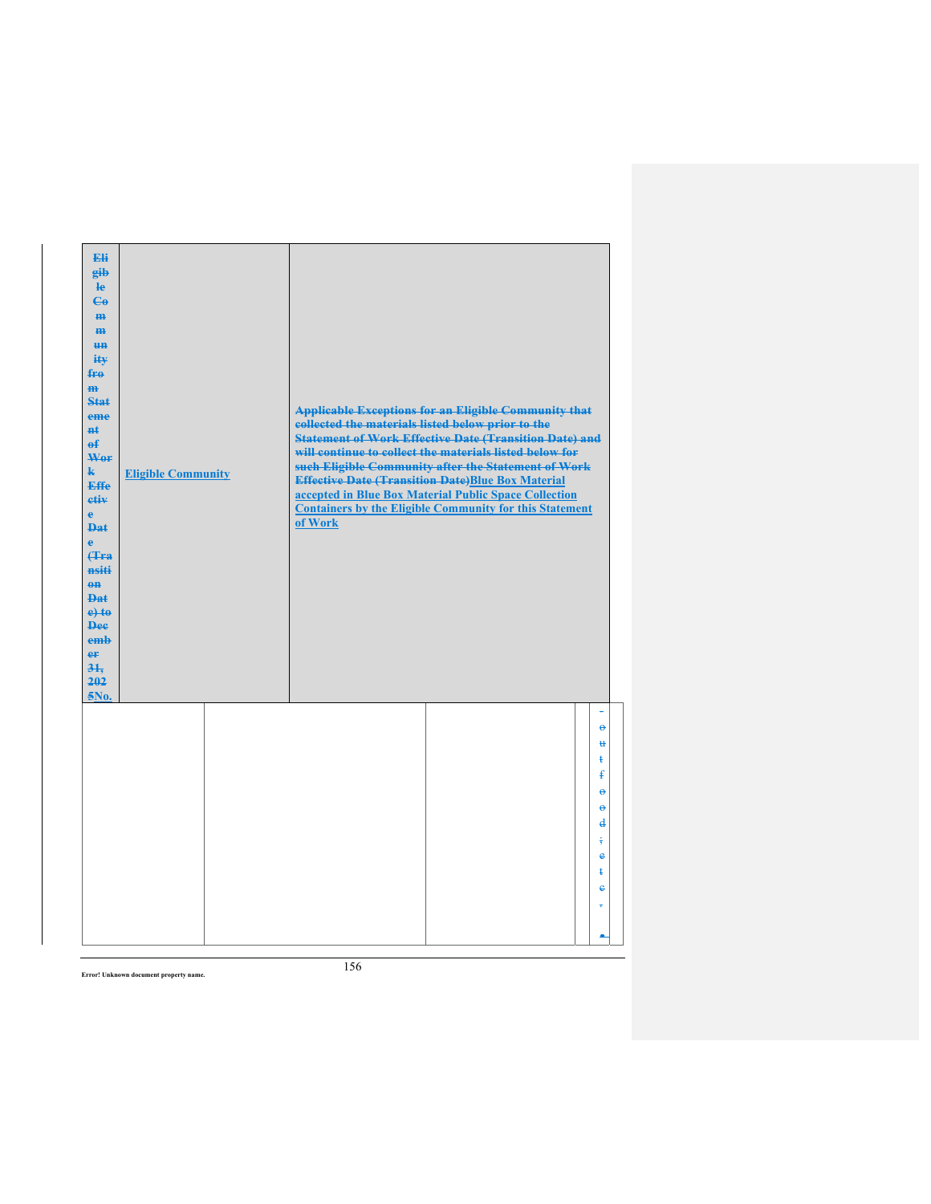| Eli<br>gib<br>le<br>$\mathbf{e}_0$<br>$\mathbf{m}$<br>m<br>un<br>iŧ¥<br>fro<br>$\mathbf{m}$<br><b>Stat</b><br>eme<br><b>Ht</b><br>$\mathbf{f}$<br>Wer<br>$\mathbf{k}$<br><b>Effe</b><br>etiv<br>$\mathbf{e}$<br><b>Dat</b><br>$\ddot{\textbf{e}}$<br><b>(Tra</b><br>nsiti<br>$0$<br><b>Dat</b><br>$e$ +to<br><b>Dee</b><br>emb<br>er<br>31.<br>202<br>5No. | <b>Eligible Community</b> | collected the materials listed below prior to the<br>of Work | <b>Applicable Exceptions for an Eligible Community that</b><br><b>Statement of Work Effective Date (Transition Date) and</b><br>will continue to collect the materials listed below for<br>such Eligible Community after the Statement of Work<br><b>Effective Date (Transition Date)Blue Box Material</b><br>accepted in Blue Box Material Public Space Collection<br><b>Containers by the Eligible Community for this Statement</b> |                                    |  |
|------------------------------------------------------------------------------------------------------------------------------------------------------------------------------------------------------------------------------------------------------------------------------------------------------------------------------------------------------------|---------------------------|--------------------------------------------------------------|---------------------------------------------------------------------------------------------------------------------------------------------------------------------------------------------------------------------------------------------------------------------------------------------------------------------------------------------------------------------------------------------------------------------------------------|------------------------------------|--|
|                                                                                                                                                                                                                                                                                                                                                            |                           |                                                              |                                                                                                                                                                                                                                                                                                                                                                                                                                       | $\ddot{\mathbf{e}}$<br>u.          |  |
|                                                                                                                                                                                                                                                                                                                                                            |                           |                                                              |                                                                                                                                                                                                                                                                                                                                                                                                                                       | ŧ<br>ŧ                             |  |
|                                                                                                                                                                                                                                                                                                                                                            |                           |                                                              |                                                                                                                                                                                                                                                                                                                                                                                                                                       | $\ddot{\theta}$<br>$\ddot{\theta}$ |  |
|                                                                                                                                                                                                                                                                                                                                                            |                           |                                                              |                                                                                                                                                                                                                                                                                                                                                                                                                                       | $\mathbf{d}$<br>÷                  |  |
|                                                                                                                                                                                                                                                                                                                                                            |                           |                                                              |                                                                                                                                                                                                                                                                                                                                                                                                                                       | $\bullet$<br>ŧ                     |  |
|                                                                                                                                                                                                                                                                                                                                                            |                           |                                                              |                                                                                                                                                                                                                                                                                                                                                                                                                                       | e                                  |  |
|                                                                                                                                                                                                                                                                                                                                                            |                           |                                                              |                                                                                                                                                                                                                                                                                                                                                                                                                                       | ÷                                  |  |
|                                                                                                                                                                                                                                                                                                                                                            |                           |                                                              |                                                                                                                                                                                                                                                                                                                                                                                                                                       |                                    |  |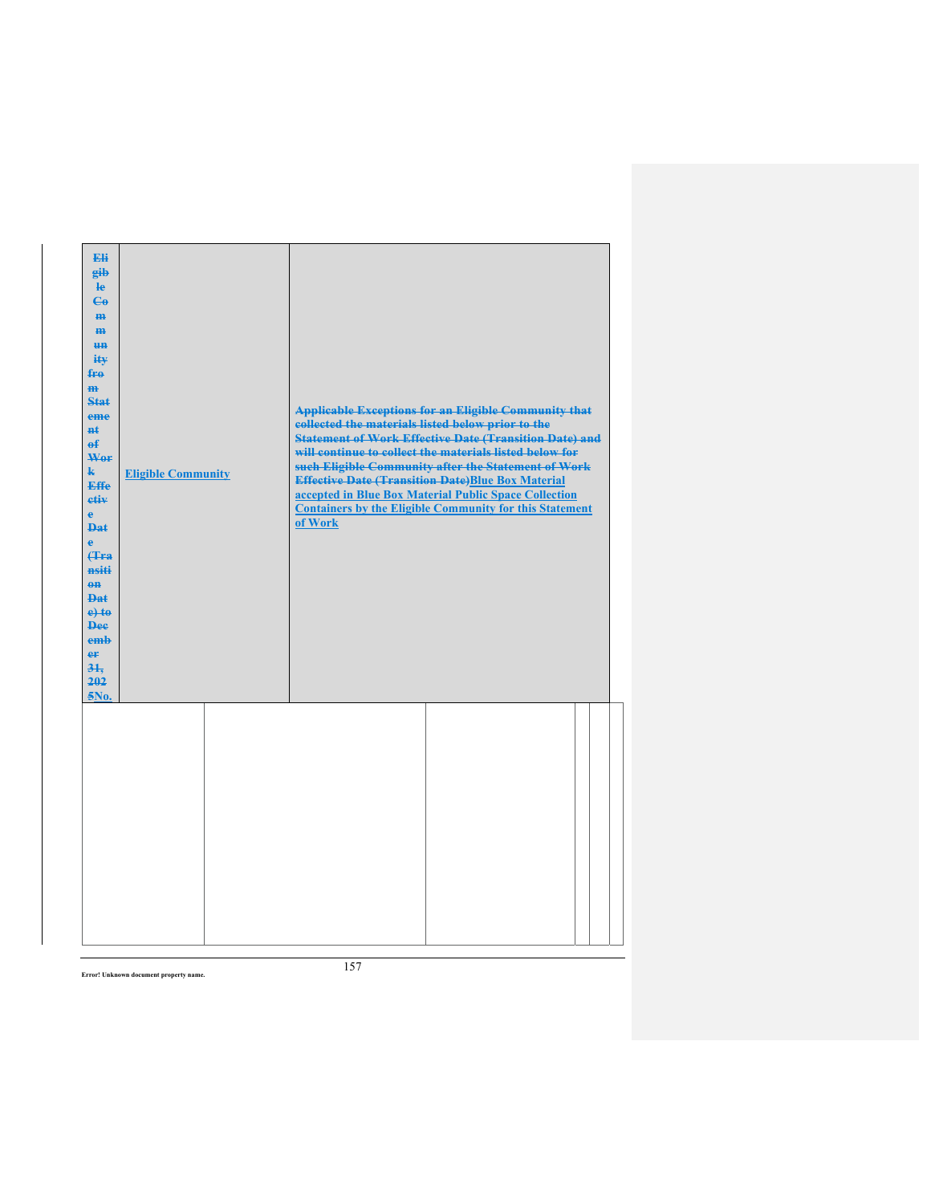| Eli<br>gib<br>$\mathbf{e}$<br>$\mathbf{G}$<br>H <sub>H</sub><br>m<br><b>HH</b><br>ity<br>fro<br>m<br><b>Stat</b><br>eme<br>$H+$<br>$\mathbf{f}$<br>Wer<br>$\mathbf{k}$<br><b>Effe</b><br>etiv<br>$\mathbf{e}$<br><b>Dat</b><br>$\ddot{\textbf{e}}$<br>(Tra<br>nsiti<br>$\theta$ <sup><math>\theta</math></sup><br><b>Dat</b><br>$e$ +to<br><b>Dee</b><br>emb<br>er<br>$3+$<br>202<br>5No. | <b>Eligible Community</b> | collected the materials listed below prior to the<br>of Work | <b>Applicable Exceptions for an Eligible Community that</b><br><b>Statement of Work Effective Date (Transition Date) and</b><br>will continue to collect the materials listed below for<br>such Eligible Community after the Statement of Work<br><b>Effective Date (Transition Date)Blue Box Material</b><br>accepted in Blue Box Material Public Space Collection<br><b>Containers by the Eligible Community for this Statement</b> |  |
|-------------------------------------------------------------------------------------------------------------------------------------------------------------------------------------------------------------------------------------------------------------------------------------------------------------------------------------------------------------------------------------------|---------------------------|--------------------------------------------------------------|---------------------------------------------------------------------------------------------------------------------------------------------------------------------------------------------------------------------------------------------------------------------------------------------------------------------------------------------------------------------------------------------------------------------------------------|--|
|                                                                                                                                                                                                                                                                                                                                                                                           |                           |                                                              |                                                                                                                                                                                                                                                                                                                                                                                                                                       |  |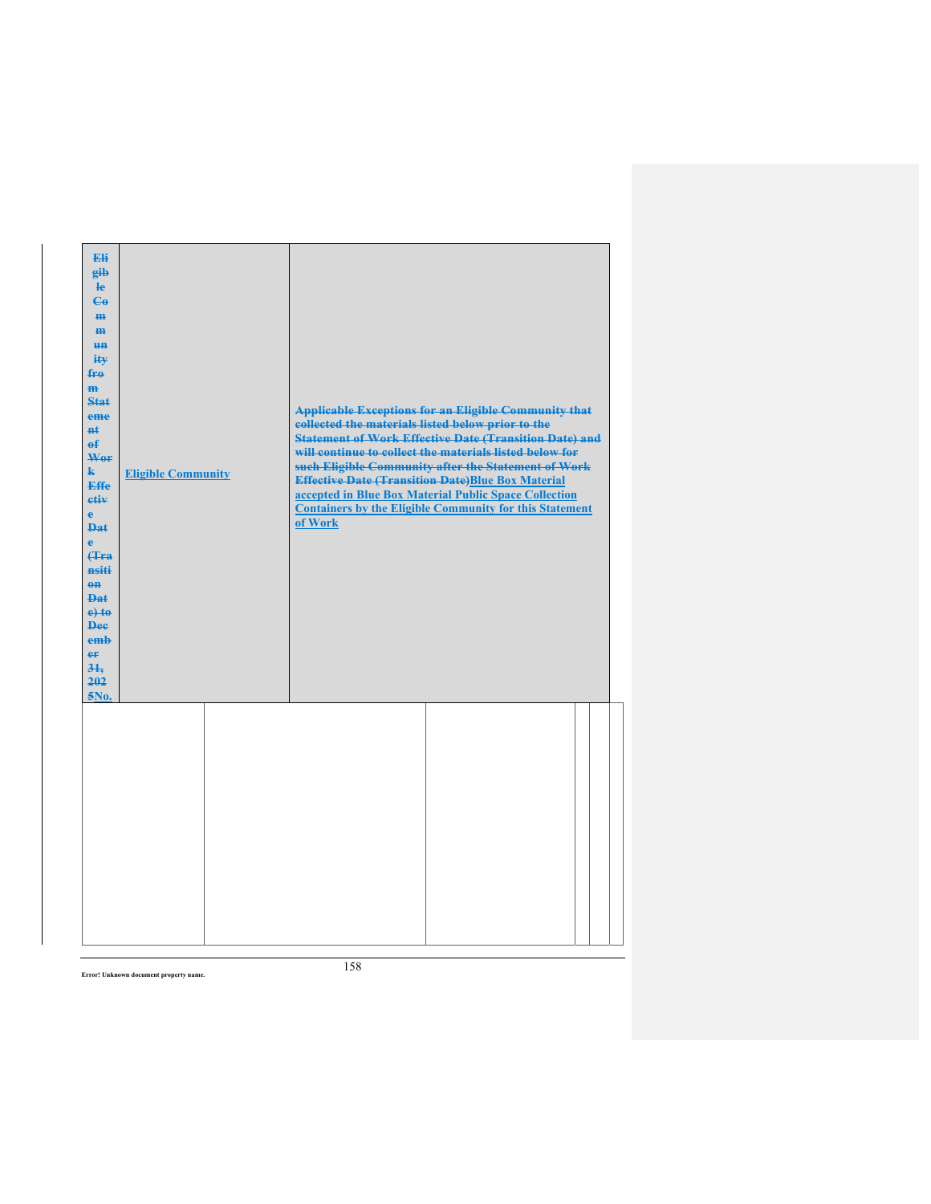| Eli<br>gib<br>$\mathbf{e}$<br>$\mathbf{G}$<br>H <sub>H</sub><br>m<br><b>HH</b><br>ity<br>fro<br>m<br><b>Stat</b><br>eme<br>$H+$<br>$\mathbf{f}$<br>Wer<br>$\mathbf{k}$<br><b>Effe</b><br>etiv<br>$\mathbf{e}$<br><b>Dat</b><br>$\ddot{\textbf{e}}$<br>(Tra<br>nsiti<br>$\theta$ <sup><math>\theta</math></sup><br><b>Dat</b><br>$e$ +to<br><b>Dee</b><br>emb<br>er<br>$3+$<br>202<br>5No. | <b>Eligible Community</b> | collected the materials listed below prior to the<br>of Work | <b>Applicable Exceptions for an Eligible Community that</b><br><b>Statement of Work Effective Date (Transition Date) and</b><br>will continue to collect the materials listed below for<br>such Eligible Community after the Statement of Work<br><b>Effective Date (Transition Date)Blue Box Material</b><br>accepted in Blue Box Material Public Space Collection<br><b>Containers by the Eligible Community for this Statement</b> |  |
|-------------------------------------------------------------------------------------------------------------------------------------------------------------------------------------------------------------------------------------------------------------------------------------------------------------------------------------------------------------------------------------------|---------------------------|--------------------------------------------------------------|---------------------------------------------------------------------------------------------------------------------------------------------------------------------------------------------------------------------------------------------------------------------------------------------------------------------------------------------------------------------------------------------------------------------------------------|--|
|                                                                                                                                                                                                                                                                                                                                                                                           |                           |                                                              |                                                                                                                                                                                                                                                                                                                                                                                                                                       |  |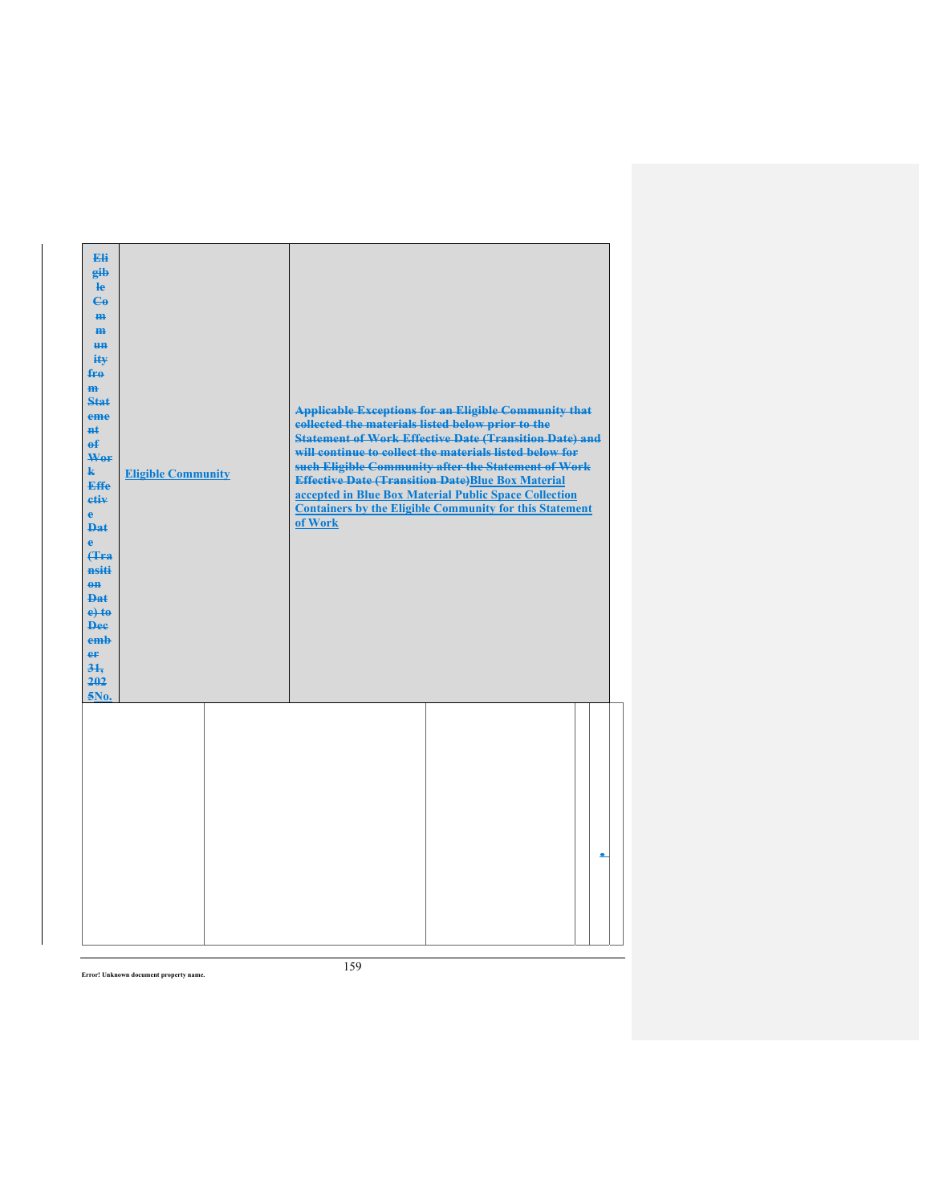| Eli<br>gib<br>$\mathbf{e}$<br>$\mathbf{G}$<br>H <sub>H</sub><br>H <sub>H</sub><br><b>HH</b><br>ity<br>fro<br>m<br>Stat<br>eme<br><b>n</b> t<br>$\theta$<br>Wor<br>$\mathbf{k}$<br>Effe<br>etiv<br>$\mathbf{e}$<br><b>Dat</b><br>$\mathbf{e}$<br>Hra<br>nsiti<br>$\theta$<br><b>Dat</b><br>$e$ +to<br><b>Dee</b><br>emb<br>er<br>31.<br>202<br>5No. | <b>Eligible Community</b> | collected the materials listed below prior to the<br>of Work | <b>Applicable Exceptions for an Eligible Community that</b><br><b>Statement of Work Effective Date (Transition Date) and</b><br>will continue to collect the materials listed below for<br>such Eligible Community after the Statement of Work<br><b>Effective Date (Transition Date)Blue Box Material</b><br>accepted in Blue Box Material Public Space Collection<br><b>Containers by the Eligible Community for this Statement</b> |  |
|----------------------------------------------------------------------------------------------------------------------------------------------------------------------------------------------------------------------------------------------------------------------------------------------------------------------------------------------------|---------------------------|--------------------------------------------------------------|---------------------------------------------------------------------------------------------------------------------------------------------------------------------------------------------------------------------------------------------------------------------------------------------------------------------------------------------------------------------------------------------------------------------------------------|--|
|                                                                                                                                                                                                                                                                                                                                                    |                           |                                                              |                                                                                                                                                                                                                                                                                                                                                                                                                                       |  |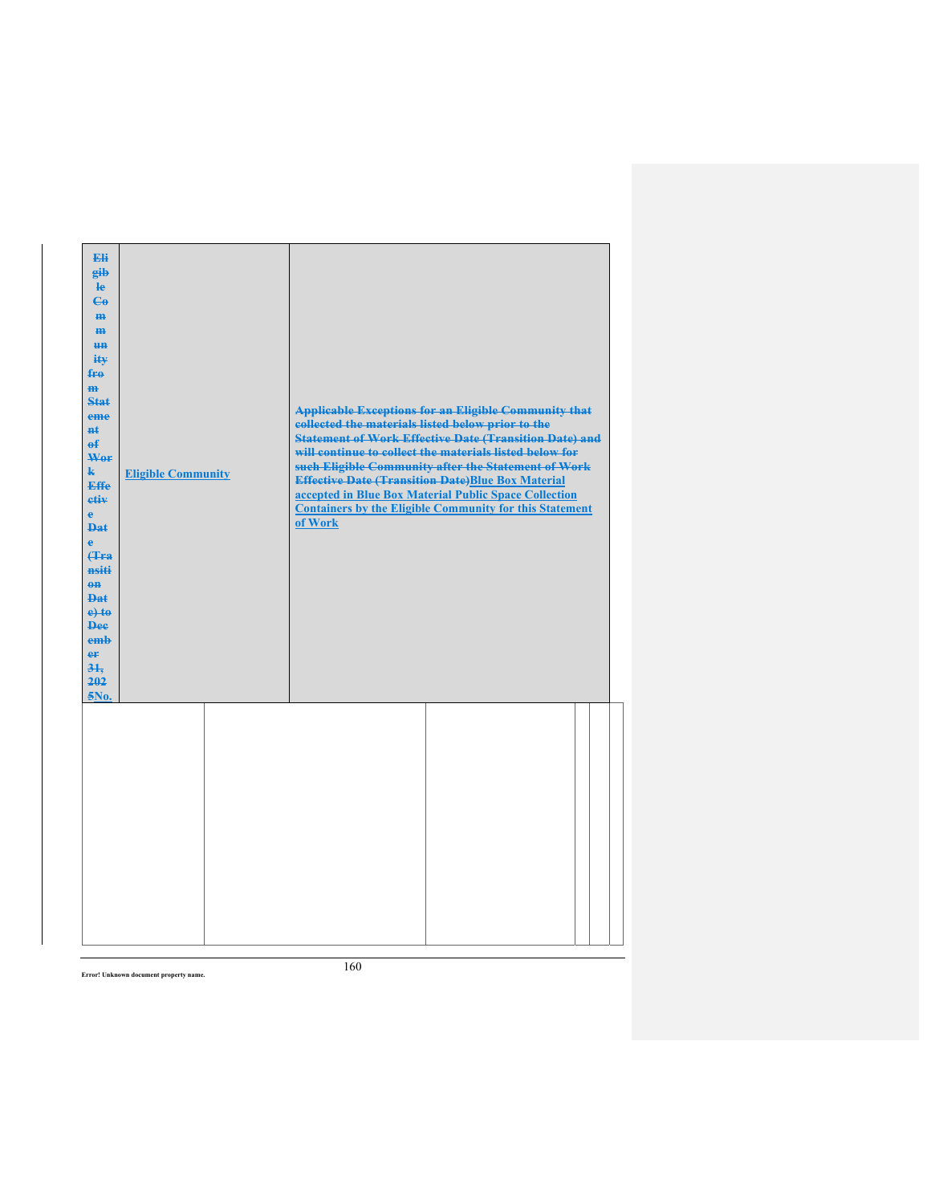| Eli<br>gib<br>$\mathbf{e}$<br>$\mathbf{G}$<br>$\mathbf{m}$<br>H <sub>H</sub><br><b>HH</b><br>ity<br>$f_{\text{F}\theta}$<br>H <sub>H</sub><br>Stat<br>eme<br>$H+$<br>$\mathbf{f}$<br>Wer<br>$\mathbf{k}$<br><b>Effe</b><br>etiv<br>$\mathbf{e}$<br><b>Dat</b><br>$\mathbf{e}$<br><b>f</b> Fra<br>nsiti<br>$0$<br><b>Dat</b><br>$e$ +to<br><b>Dee</b><br>emb<br>er<br>$3+$<br>202<br>5No. | <b>Eligible Community</b> | collected the materials listed below prior to the<br>of Work | <b>Applicable Exceptions for an Eligible Community that</b><br><b>Statement of Work Effective Date (Transition Date) and</b><br>will continue to collect the materials listed below for<br>such Eligible Community after the Statement of Work<br><b>Effective Date (Transition Date)Blue Box Material</b><br>accepted in Blue Box Material Public Space Collection<br><b>Containers by the Eligible Community for this Statement</b> |  |
|------------------------------------------------------------------------------------------------------------------------------------------------------------------------------------------------------------------------------------------------------------------------------------------------------------------------------------------------------------------------------------------|---------------------------|--------------------------------------------------------------|---------------------------------------------------------------------------------------------------------------------------------------------------------------------------------------------------------------------------------------------------------------------------------------------------------------------------------------------------------------------------------------------------------------------------------------|--|
|                                                                                                                                                                                                                                                                                                                                                                                          |                           |                                                              |                                                                                                                                                                                                                                                                                                                                                                                                                                       |  |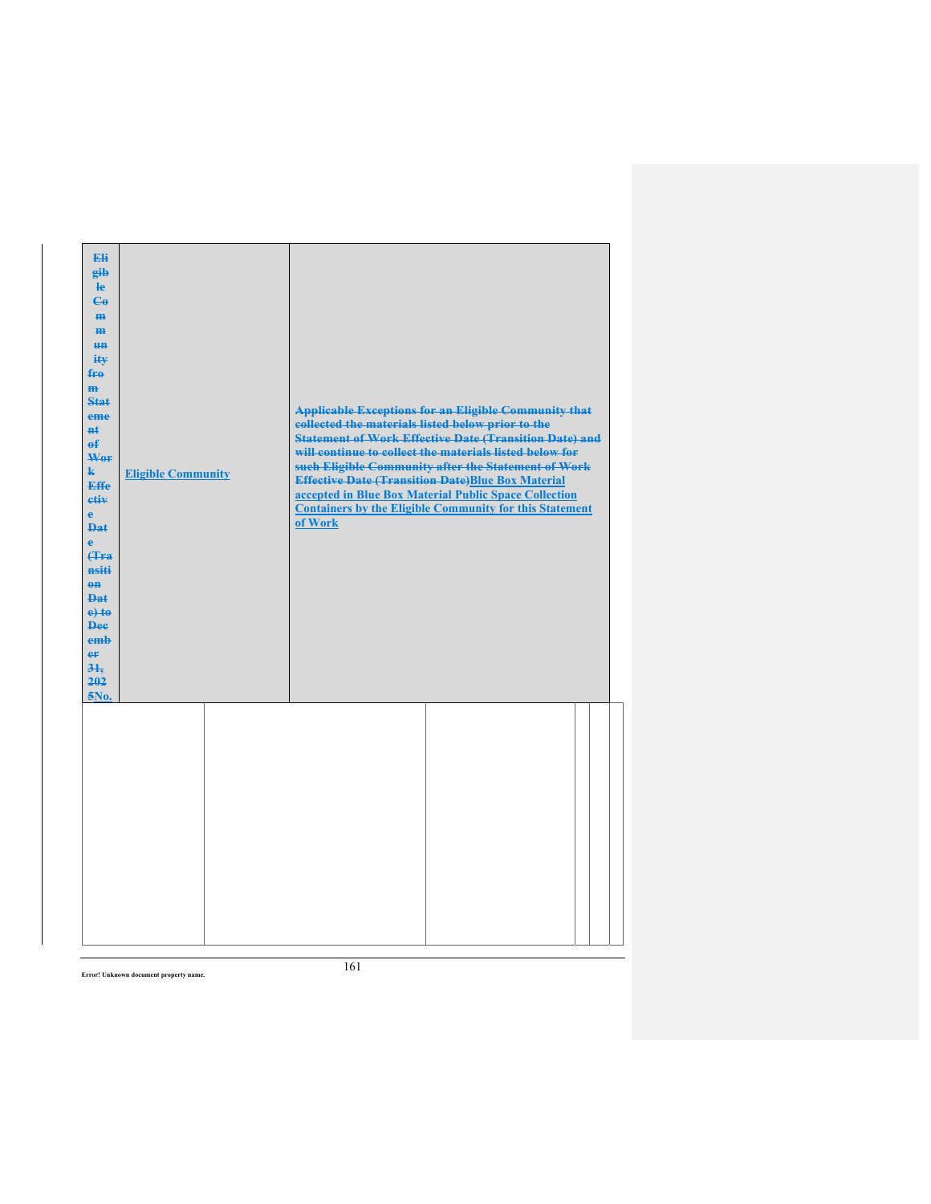| Eli<br>gib<br>le<br>$\mathbf{e}_0$<br>H <sub>H</sub><br>$\mathbf{m}$<br>H <sub>H</sub><br>ity<br>fro<br>$\overline{m}$<br>Stat<br>eme<br>#ŧ<br>$\mathbf{f}$<br>Wor<br>$\mathbf{k}$<br><b>Effe</b><br>etiv<br>$\mathbf{e}$<br><b>Dat</b><br>ė<br><b>f</b> Fra<br>nsiti<br>$\theta$<br><b>Dat</b><br>$e$ +to<br><b>Dee</b><br>emb<br>er<br>31.<br>202<br>5No. | <b>Eligible Community</b> | collected the materials listed below prior to the<br>of Work | <b>Applicable Exceptions for an Eligible Community that</b><br><b>Statement of Work Effective Date (Transition Date) and</b><br>will continue to collect the materials listed below for<br>such Eligible Community after the Statement of Work<br><b>Effective Date (Transition Date)Blue Box Material</b><br>accepted in Blue Box Material Public Space Collection<br><b>Containers by the Eligible Community for this Statement</b> |  |
|-------------------------------------------------------------------------------------------------------------------------------------------------------------------------------------------------------------------------------------------------------------------------------------------------------------------------------------------------------------|---------------------------|--------------------------------------------------------------|---------------------------------------------------------------------------------------------------------------------------------------------------------------------------------------------------------------------------------------------------------------------------------------------------------------------------------------------------------------------------------------------------------------------------------------|--|
|                                                                                                                                                                                                                                                                                                                                                             |                           |                                                              |                                                                                                                                                                                                                                                                                                                                                                                                                                       |  |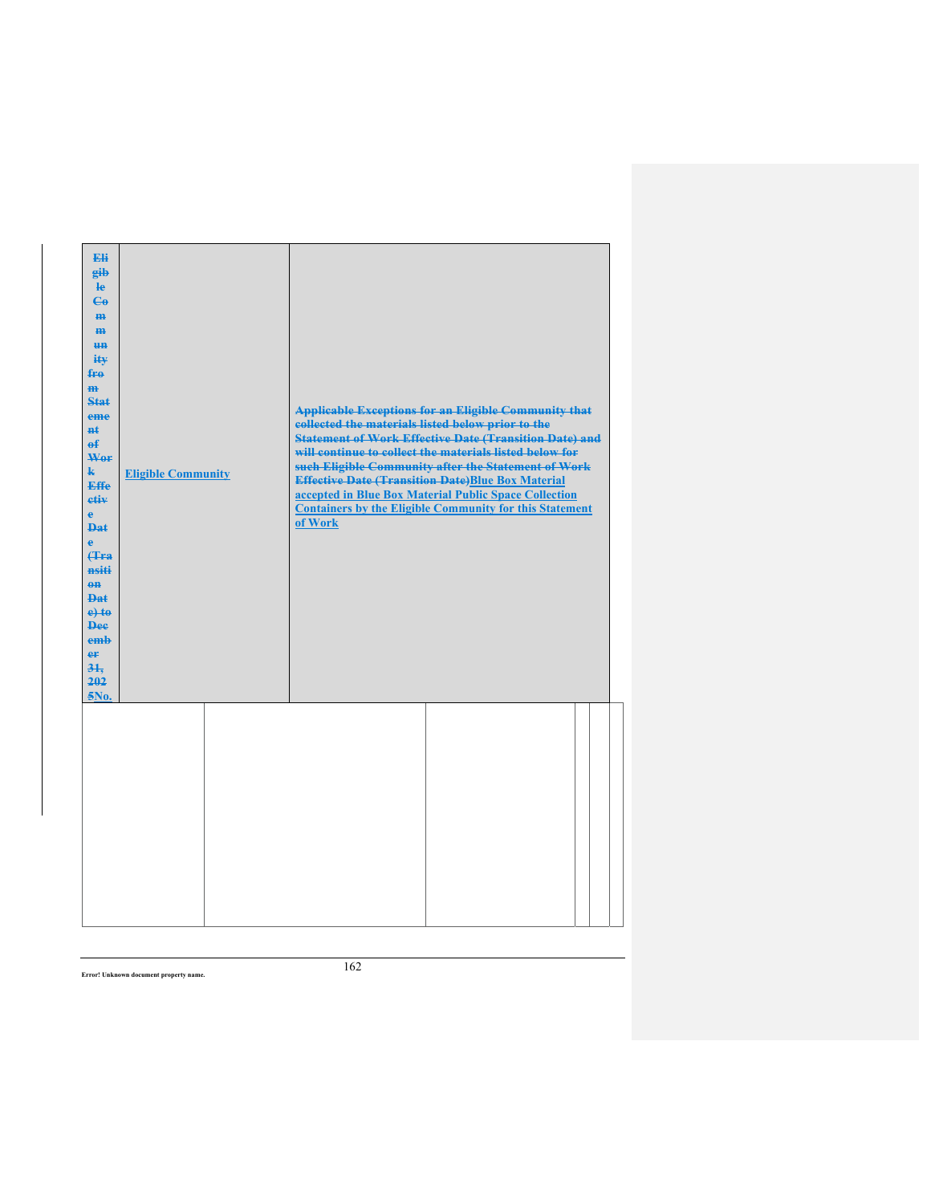| <b>Eli</b><br>gib<br>He<br>$C_{\theta}$<br>H <sub>H</sub><br>m<br><b>HH</b><br>ity<br>fro<br>m<br><b>Stat</b><br>eme<br>$H+$<br>$\mathbf{f}$<br>Wer<br>$\mathbf{k}$<br><b>Effe</b><br>etiv<br>$\mathbf{e}$<br><b>Dat</b><br>$\ddot{\textbf{e}}$<br><b>(Tra)</b><br>nsiti<br>$0$<br><b>Dat</b><br>$e$ +to<br><b>Dee</b><br>emb<br>er<br>$3+$<br>202<br>5No. | <b>Eligible Community</b> | collected the materials listed below prior to the<br>of Work | <b>Applicable Exceptions for an Eligible Community that</b><br><b>Statement of Work Effective Date (Transition Date) and</b><br>will continue to collect the materials listed below for<br>such Eligible Community after the Statement of Work<br><b>Effective Date (Transition Date)Blue Box Material</b><br>accepted in Blue Box Material Public Space Collection<br><b>Containers by the Eligible Community for this Statement</b> |  |
|------------------------------------------------------------------------------------------------------------------------------------------------------------------------------------------------------------------------------------------------------------------------------------------------------------------------------------------------------------|---------------------------|--------------------------------------------------------------|---------------------------------------------------------------------------------------------------------------------------------------------------------------------------------------------------------------------------------------------------------------------------------------------------------------------------------------------------------------------------------------------------------------------------------------|--|
|                                                                                                                                                                                                                                                                                                                                                            |                           |                                                              |                                                                                                                                                                                                                                                                                                                                                                                                                                       |  |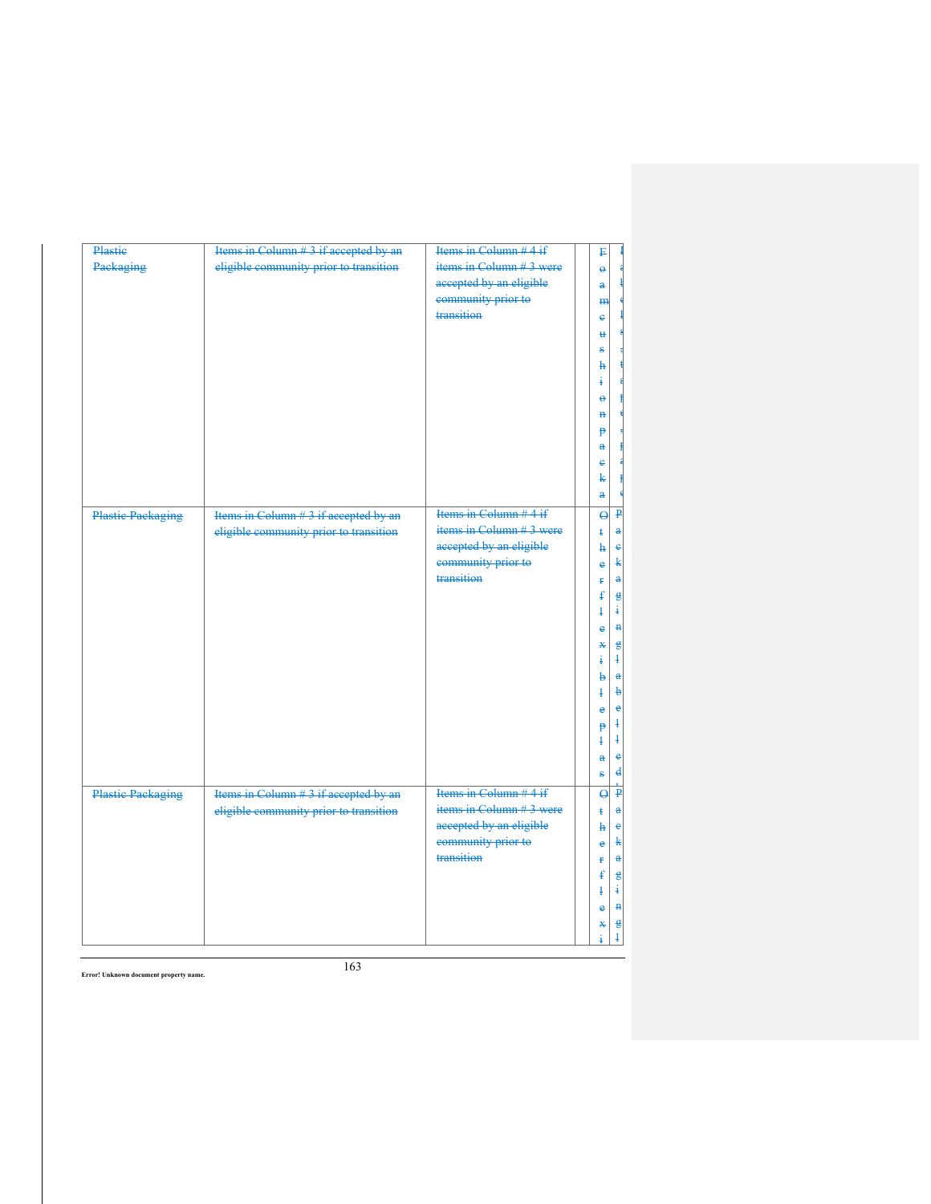| Plastie                  | Items in Column # 3 if accepted by an  | Items in Column # 4 if   | ₽                            |                             |
|--------------------------|----------------------------------------|--------------------------|------------------------------|-----------------------------|
| Packaging                | eligible community prior to transition | items in Column #3 were  | $\ddot{\boldsymbol{\theta}}$ |                             |
|                          |                                        | accepted by an eligible  | a                            |                             |
|                          |                                        | community prior to       | <b>m</b>                     |                             |
|                          |                                        | transition               | e                            |                             |
|                          |                                        |                          | ₩                            |                             |
|                          |                                        |                          | s                            |                             |
|                          |                                        |                          | h                            |                             |
|                          |                                        |                          | ÷                            |                             |
|                          |                                        |                          | ٠                            |                             |
|                          |                                        |                          | ₽                            |                             |
|                          |                                        |                          | <sup>1</sup>                 |                             |
|                          |                                        |                          | $\mathbf{a}$                 |                             |
|                          |                                        |                          | ė                            |                             |
|                          |                                        |                          | k                            |                             |
|                          |                                        |                          | a                            |                             |
| <b>Plastic Packaging</b> | Items in Column #3 if accepted by an   | Items in Column $#4$ if  | $\overline{\mathbf{e}}$      | $\mathbf{p}$                |
|                          | eligible community prior to transition | items in Column # 3 were | $\ddagger$                   | $\mathbf{a}$                |
|                          |                                        | accepted by an eligible  | ħ                            | $\epsilon$                  |
|                          |                                        | community prior to       |                              | k                           |
|                          |                                        | transition               | ė                            | $\mathbf a$                 |
|                          |                                        |                          | ŧ<br>ŧ                       |                             |
|                          |                                        |                          | ł                            | $\epsilon$<br>÷             |
|                          |                                        |                          |                              | H                           |
|                          |                                        |                          | e                            |                             |
|                          |                                        |                          | ¥                            | $\epsilon$<br>$\frac{1}{2}$ |
|                          |                                        |                          | ŧ<br>b                       | $\mathbf{a}$                |
|                          |                                        |                          | $\ddagger$                   | $\mathbf b$                 |
|                          |                                        |                          |                              | $\ddot{\textbf{e}}$         |
|                          |                                        |                          | e                            | $\frac{1}{2}$               |
|                          |                                        |                          | p<br>$\ddagger$              | $\ddagger$                  |
|                          |                                        |                          |                              | $\bullet$                   |
|                          |                                        |                          | $\mathbf{a}$                 | $\mathbf{d}$                |
|                          |                                        |                          | ŝ                            |                             |
| <b>Plastic Packaging</b> | Items in Column # 3 if accepted by an  | Items in Column # 4 if   | $\overline{\mathbf{Q}}$      | $\overline{\mathbf{P}}$     |
|                          | eligible community prior to transition | items in Column # 3 were | ŧ                            | $\mathbf{a}$                |
|                          |                                        | accepted by an eligible  | ħ                            | $\mathbf e$                 |
|                          |                                        | community prior to       | e                            | k                           |
|                          |                                        | transition               | ŧ                            | $\mathbf{a}$                |
|                          |                                        |                          | ŧ                            | $\epsilon$                  |
|                          |                                        |                          | ł                            | ÷                           |
|                          |                                        |                          | è                            | H                           |
|                          |                                        |                          | ₩                            | $\epsilon$                  |
|                          |                                        |                          | ŧ                            | $\frac{1}{2}$               |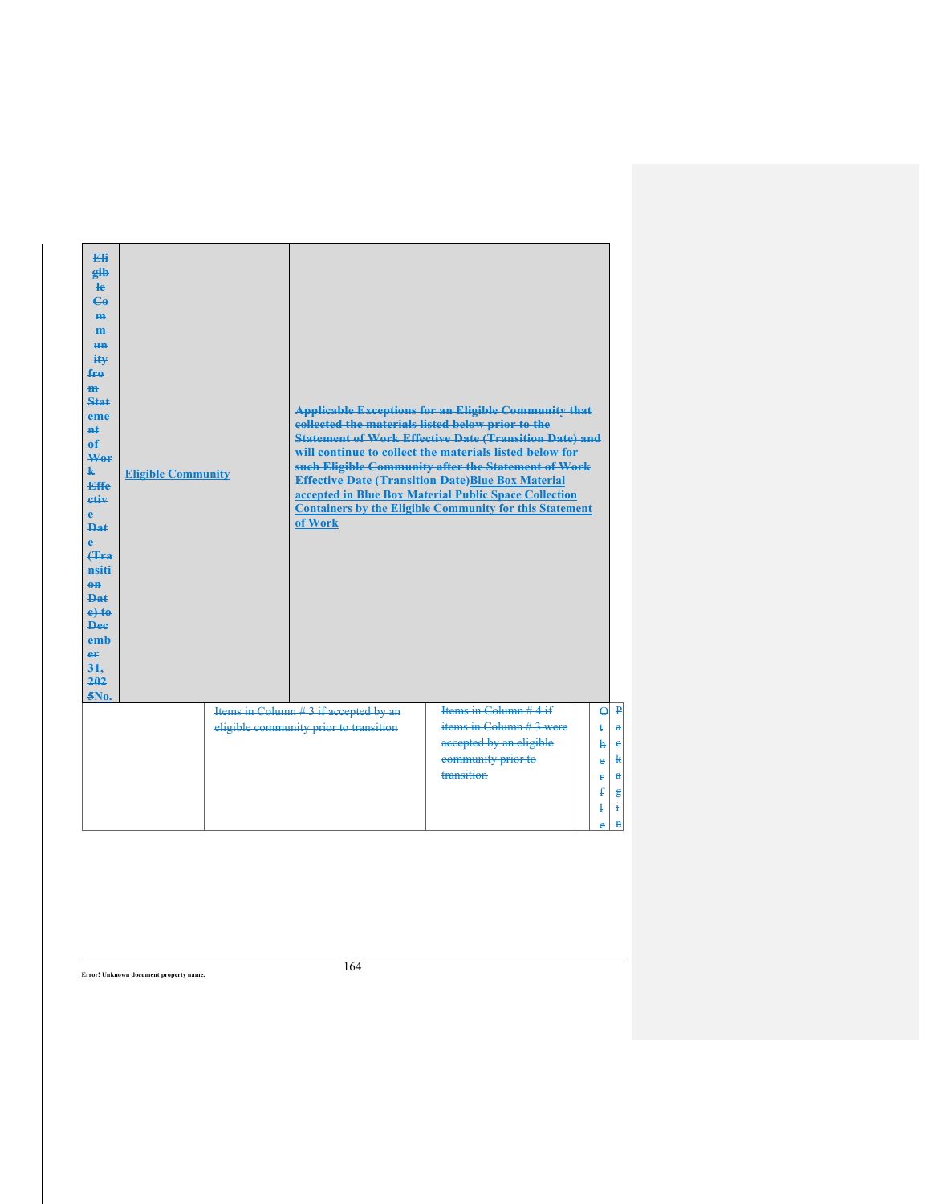| $Q$ $\overline{P}$<br>Items in Column #3 if accepted by an<br>items in Column $#3$ were<br>eligible community prior to transition<br>$\mathbf{a}$<br>$\ddagger$<br>accepted by an eligible<br>ħ<br>community prior to<br>e<br>transition<br>Ŧ. | <b>Eli</b><br>gib<br>$\mathbf{e}$<br>$\mathbf{G}$<br>H <sub>H</sub><br>H <sub>H</sub><br>H <sub>H</sub><br>ity<br>fro<br>H <sub>H</sub><br>Stat<br>eme<br>$H+$<br>е£<br>Wer<br>k<br>Effe<br>etiv<br>e<br>Dat<br>ė<br><b>f</b> Fra<br>nsiti<br>$0$<br>$PA+$<br>$e$ +to<br><b>Dee</b><br>emb<br>er<br>31.<br>202<br>5No. | <b>Eligible Community</b> | collected the materials listed below prior to the<br>of Work | <b>Applicable Exceptions for an Eligible Community that</b><br><b>Statement of Work Effective Date (Transition Date) and</b><br>will continue to collect the materials listed below for<br>such Eligible Community after the Statement of Work<br><b>Effective Date (Transition Date)Blue Box Material</b><br>accepted in Blue Box Material Public Space Collection<br><b>Containers by the Eligible Community for this Statement</b> |  |
|------------------------------------------------------------------------------------------------------------------------------------------------------------------------------------------------------------------------------------------------|------------------------------------------------------------------------------------------------------------------------------------------------------------------------------------------------------------------------------------------------------------------------------------------------------------------------|---------------------------|--------------------------------------------------------------|---------------------------------------------------------------------------------------------------------------------------------------------------------------------------------------------------------------------------------------------------------------------------------------------------------------------------------------------------------------------------------------------------------------------------------------|--|
| $\mathbf{c}$<br>k<br>å                                                                                                                                                                                                                         |                                                                                                                                                                                                                                                                                                                        |                           |                                                              | Items in Column $#4$ if                                                                                                                                                                                                                                                                                                                                                                                                               |  |
|                                                                                                                                                                                                                                                |                                                                                                                                                                                                                                                                                                                        |                           |                                                              |                                                                                                                                                                                                                                                                                                                                                                                                                                       |  |
|                                                                                                                                                                                                                                                |                                                                                                                                                                                                                                                                                                                        |                           |                                                              |                                                                                                                                                                                                                                                                                                                                                                                                                                       |  |
|                                                                                                                                                                                                                                                |                                                                                                                                                                                                                                                                                                                        |                           |                                                              |                                                                                                                                                                                                                                                                                                                                                                                                                                       |  |
| $\ddagger$                                                                                                                                                                                                                                     |                                                                                                                                                                                                                                                                                                                        |                           |                                                              |                                                                                                                                                                                                                                                                                                                                                                                                                                       |  |
| $\mathbf{g}$<br>ŧ<br>4                                                                                                                                                                                                                         |                                                                                                                                                                                                                                                                                                                        |                           |                                                              |                                                                                                                                                                                                                                                                                                                                                                                                                                       |  |
| $\mathbf{H}$<br>e                                                                                                                                                                                                                              |                                                                                                                                                                                                                                                                                                                        |                           |                                                              |                                                                                                                                                                                                                                                                                                                                                                                                                                       |  |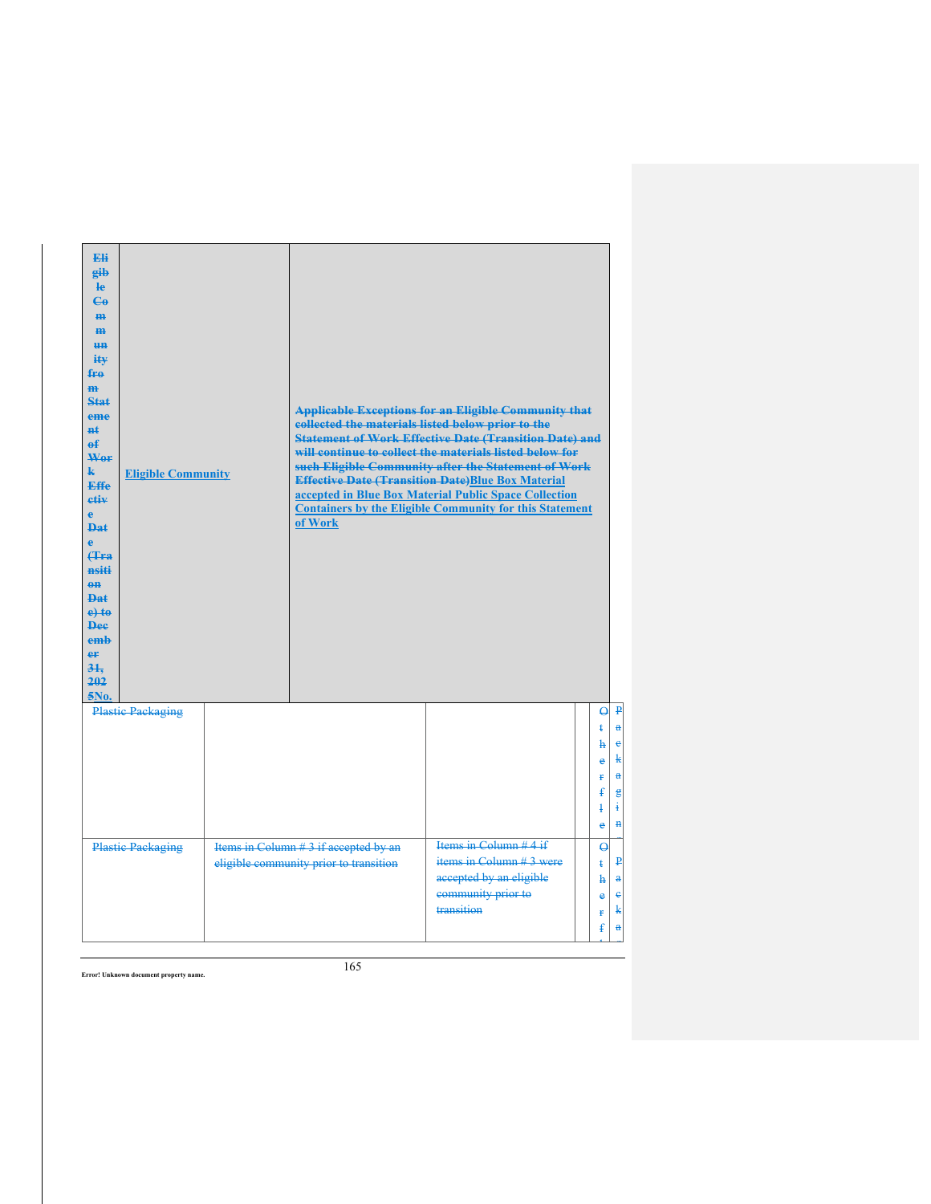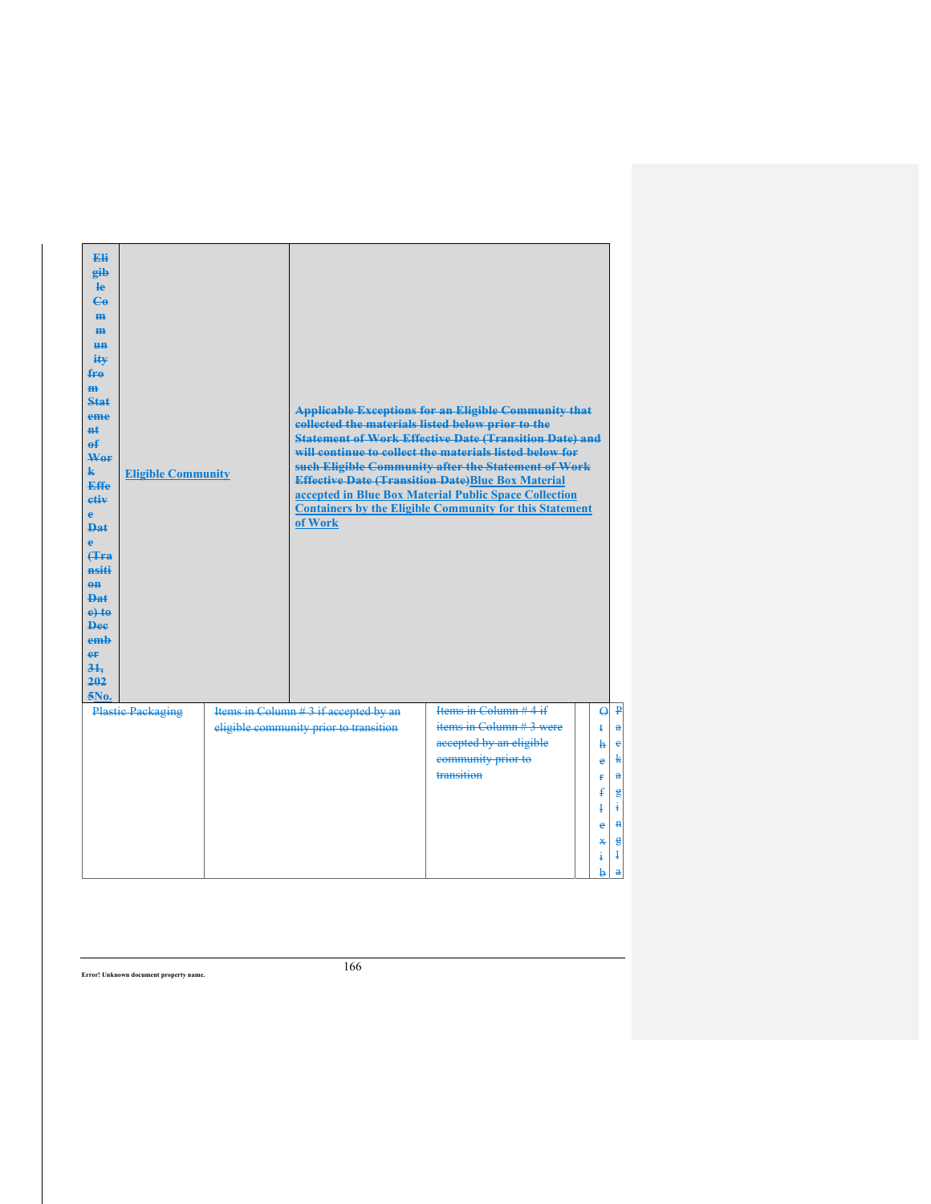| <b>Eli</b><br>gib<br><b>le</b><br>$C_{\theta}$<br>H <sub>H</sub><br>H <sub>H</sub><br>H <sub>H</sub><br>$i$ t $\mathbf{w}$<br>fre<br>m<br>Stat<br>eme<br>$H+$<br>$\theta$<br>Wer<br>$\mathbf{k}$<br><b>Effe</b><br>etiv<br>$\mathbf{e}$<br>Dat.<br>$\bullet$<br>Hra<br>nsiti<br>$0$<br><b>Dat</b><br>$e$ +to<br><b>Dee</b><br>emb<br>eF<br>31.<br>202<br>5No. | <b>Eligible Community</b> | collected the materials listed below prior to the<br>of Work                    | <b>Applicable Exceptions for an Eligible Community that</b><br><b>Statement of Work Effective Date (Transition Date) and</b><br>will continue to collect the materials listed below for<br>such Eligible Community after the Statement of Work<br><b>Effective Date (Transition Date)Blue Box Material</b><br>accepted in Blue Box Material Public Space Collection<br><b>Containers by the Eligible Community for this Statement</b> |                                                                                                                                                                                                                                                                 |
|---------------------------------------------------------------------------------------------------------------------------------------------------------------------------------------------------------------------------------------------------------------------------------------------------------------------------------------------------------------|---------------------------|---------------------------------------------------------------------------------|---------------------------------------------------------------------------------------------------------------------------------------------------------------------------------------------------------------------------------------------------------------------------------------------------------------------------------------------------------------------------------------------------------------------------------------|-----------------------------------------------------------------------------------------------------------------------------------------------------------------------------------------------------------------------------------------------------------------|
|                                                                                                                                                                                                                                                                                                                                                               | <b>Plastic Packaging</b>  | Items in Column # 3 if accepted by an<br>eligible community prior to transition | Items in Column $#4$ if<br>items in Column $#3$ were<br>accepted by an eligible<br>community prior to<br>transition                                                                                                                                                                                                                                                                                                                   | $\Theta$ $\overline{P}$<br>$\bf{a}$<br>$\ddagger$<br>$\mathbf{c}$<br>$\ddot{h}$<br>$\mathbf{k}$<br>e<br>$\bf{a}$<br>Ŧ.<br>ŧ<br>$\epsilon$<br>Ŧ.<br>$\ddagger$<br>H<br>$\ddot{\textbf{e}}$<br>$\epsilon$<br>$\mathbf x$<br>$\ddagger$<br>4<br>b.<br>$\mathbf{a}$ |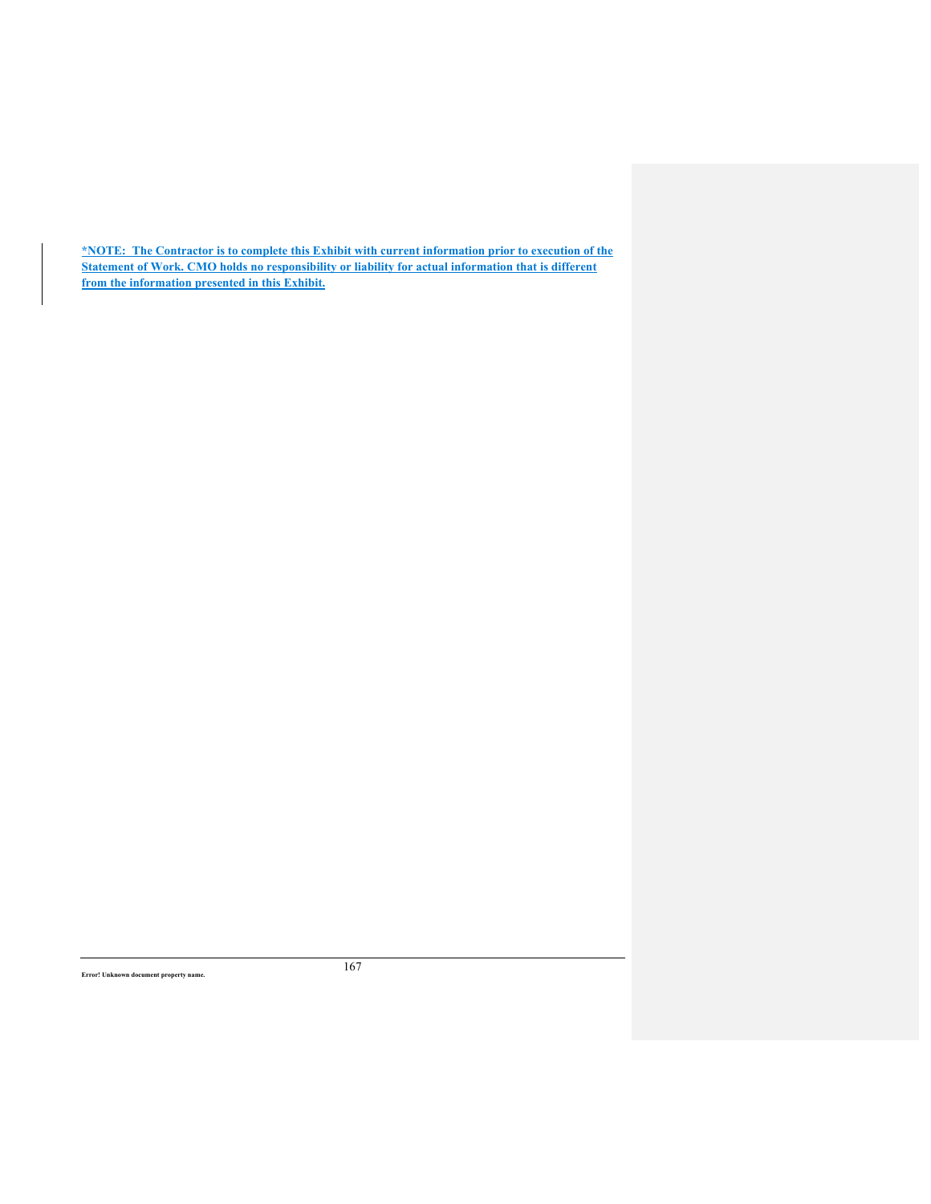**\*NOTE: The Contractor is to complete this Exhibit with current information prior to execution of the Statement of Work. CMO holds no responsibility or liability for actual information that is different from the information presented in this Exhibit.**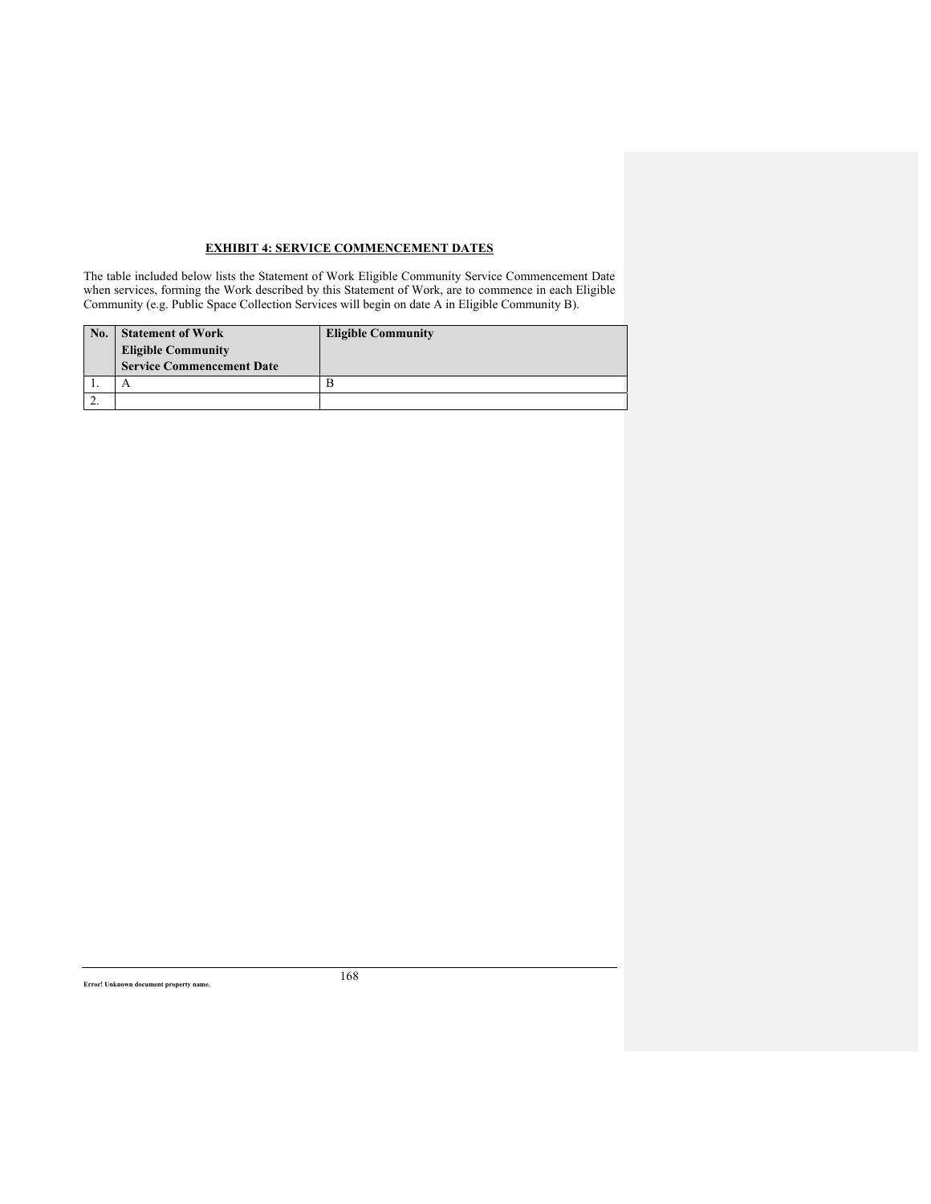# **EXHIBIT 4: SERVICE COMMENCEMENT DATES**

The table included below lists the Statement of Work Eligible Community Service Commencement Date when services, forming the Work described by this Statement of Work, are to commence in each Eligible Community (e.g. Public Space Collection Services will begin on date A in Eligible Community B).

| No. | <b>Statement of Work</b><br><b>Eligible Community</b><br><b>Service Commencement Date</b> | <b>Eligible Community</b> |
|-----|-------------------------------------------------------------------------------------------|---------------------------|
|     |                                                                                           |                           |
|     |                                                                                           |                           |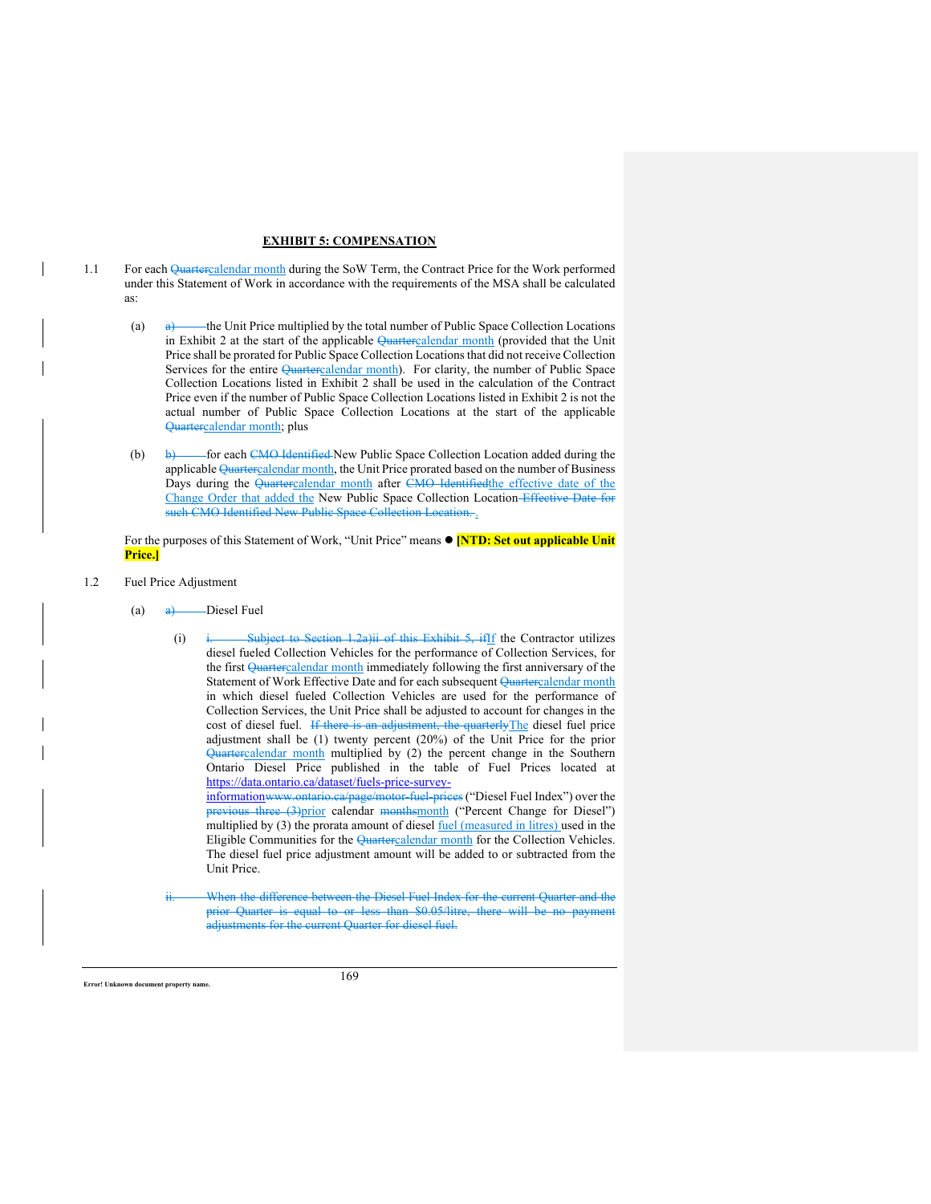# **EXHIBIT 5: COMPENSATION**

- 1.1 For each Quartercalendar month during the SoW Term, the Contract Price for the Work performed under this Statement of Work in accordance with the requirements of the MSA shall be calculated as:
	- (a)  $\leftrightarrow$  the Unit Price multiplied by the total number of Public Space Collection Locations in Exhibit 2 at the start of the applicable Quartercalendar month (provided that the Unit Price shall be prorated for Public Space Collection Locations that did not receive Collection Services for the entire Quartercalendar month). For clarity, the number of Public Space Collection Locations listed in Exhibit 2 shall be used in the calculation of the Contract Price even if the number of Public Space Collection Locations listed in Exhibit 2 is not the actual number of Public Space Collection Locations at the start of the applicable Quartercalendar month; plus
	- (b) b) for each CMO Identified New Public Space Collection Location added during the applicable Quartercalendar month, the Unit Price prorated based on the number of Business Days during the Quartercalendar month after CMO Identified the effective date of the Change Order that added the New Public Space Collection Location Effective Date for such CMO Identified New Public Space Collection Locati

For the purposes of this Statement of Work, "Unit Price" means **[NTD: Set out applicable Unit Price.]**

- 1.2 Fuel Price Adjustment
	- (a)  $\qquad \qquad \text{A}$  Diesel Fuel
		- (i) i. Subject to Section 1.2a)ii of this Exhibit 5, if If the Contractor utilizes diesel fueled Collection Vehicles for the performance of Collection Services, for the first Quartercalendar month immediately following the first anniversary of the Statement of Work Effective Date and for each subsequent Quartercalendar month in which diesel fueled Collection Vehicles are used for the performance of Collection Services, the Unit Price shall be adjusted to account for changes in the cost of diesel fuel. If there is an adjustment, the quarterlyThe diesel fuel price adjustment shall be (1) twenty percent (20%) of the Unit Price for the prior Quartercalendar month multiplied by (2) the percent change in the Southern Ontario Diesel Price published in the table of Fuel Prices located at https://data.ontario.ca/dataset/fuels-price-surveyinformationwww.ontario.ca/page/motor-fuel-prices ("Diesel Fuel Index") over the

previous three (3)prior calendar monthsmonth ("Percent Change for Diesel") multiplied by (3) the prorata amount of diesel **fuel** (measured in litres) used in the Eligible Communities for the Quartercalendar month for the Collection Vehicles. The diesel fuel price adjustment amount will be added to or subtracted from the Unit Price.

When the difference between the Diesel Fuel Index for the current Quarter and the prior Quarter is equal to or less than \$0.05/litre, there will be no payment adjustments for the current Quarter for diesel fuel.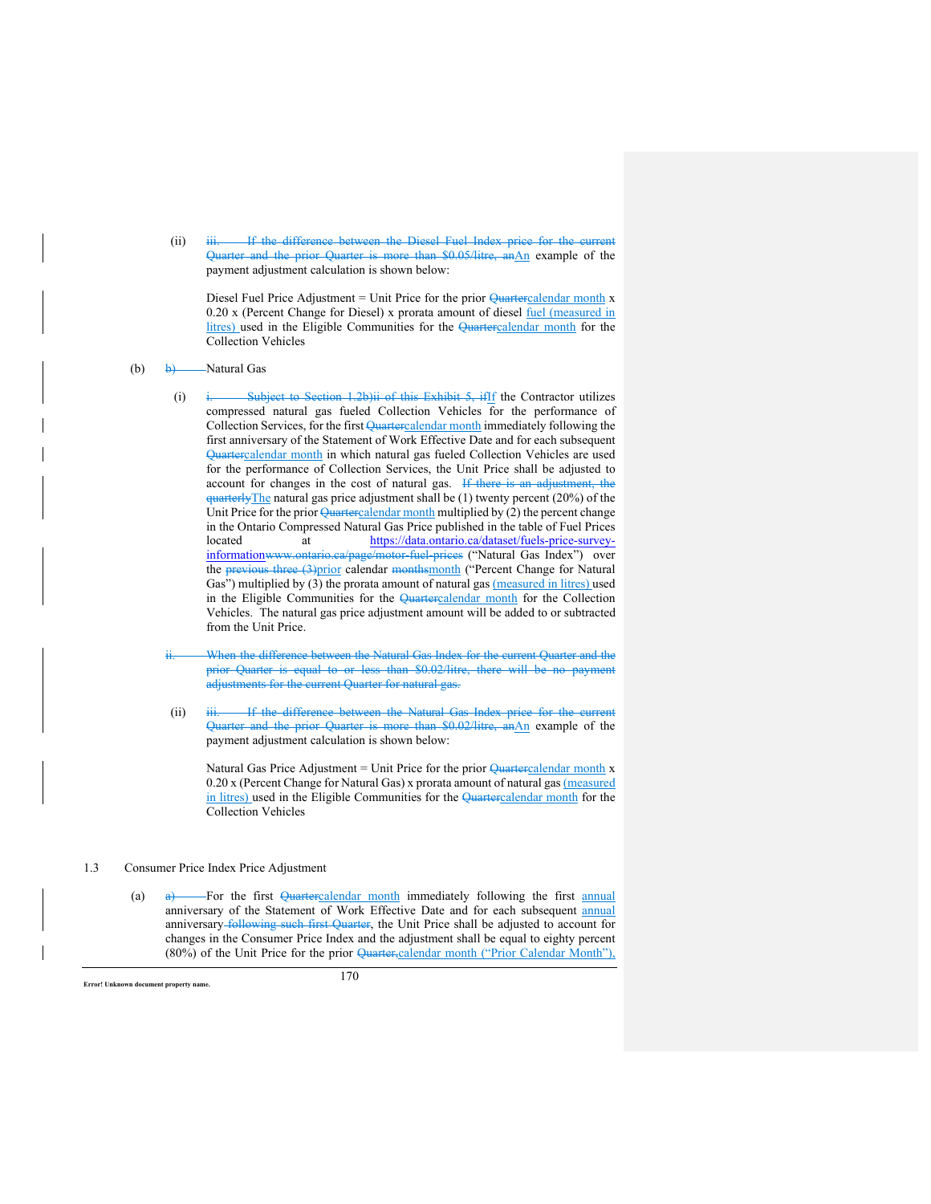(ii) iii. If the difference between the Diesel Fuel Index price for the current Quarter and the prior Quarter is more than \$0.05/litre, anAn example of the payment adjustment calculation is shown below:

Diesel Fuel Price Adjustment = Unit Price for the prior Quartercalendar month x 0.20 x (Percent Change for Diesel) x prorata amount of diesel fuel (measured in litres) used in the Eligible Communities for the Quartercalendar month for the Collection Vehicles

- (b)  $\rightarrow$  Natural Gas
	- (i) i. Subject to Section 1.2b)ii of this Exhibit 5, ifIf the Contractor utilizes compressed natural gas fueled Collection Vehicles for the performance of Collection Services, for the first Quartercalendar month immediately following the first anniversary of the Statement of Work Effective Date and for each subsequent Quartercalendar month in which natural gas fueled Collection Vehicles are used for the performance of Collection Services, the Unit Price shall be adjusted to account for changes in the cost of natural gas. If there is an adjustment, the quarterlyThe natural gas price adjustment shall be (1) twenty percent (20%) of the Unit Price for the prior  $\sqrt{Quartercalendar$  month multiplied by (2) the percent change in the Ontario Compressed Natural Gas Price published in the table of Fuel Prices located at https://data.ontario.ca/dataset/fuels-price-surveyinformationwww.ontario.ca/page/motor-fuel-prices ("Natural Gas Index") over the previous three (3)prior calendar monthsmonth ("Percent Change for Natural Gas") multiplied by (3) the prorata amount of natural gas (measured in litres) used in the Eligible Communities for the Quartercalendar month for the Collection Vehicles. The natural gas price adjustment amount will be added to or subtracted from the Unit Price.
	- When the difference between the Natural Gas Index for the current Quarter and the prior Quarter is equal to or less than \$0.02/litre, there will be no payment adjustments for the current Quarter for natural gas.
	- (ii) iii. If the difference between the Natural Gas Index price for the current Quarter and the prior Quarter is more than \$0.02/litre, anAn example of the payment adjustment calculation is shown below:

Natural Gas Price Adjustment = Unit Price for the prior  $Q$ uartercalendar month x 0.20 x (Percent Change for Natural Gas) x prorata amount of natural gas (measured in litres) used in the Eligible Communities for the Quartercalendar month for the Collection Vehicles

# 1.3 Consumer Price Index Price Adjustment

(a)  $\theta$  For the first Quartercalendar month immediately following the first annual anniversary of the Statement of Work Effective Date and for each subsequent annual anniversary following such first Quarter, the Unit Price shall be adjusted to account for changes in the Consumer Price Index and the adjustment shall be equal to eighty percent (80%) of the Unit Price for the prior Quarter,calendar month ("Prior Calendar Month"),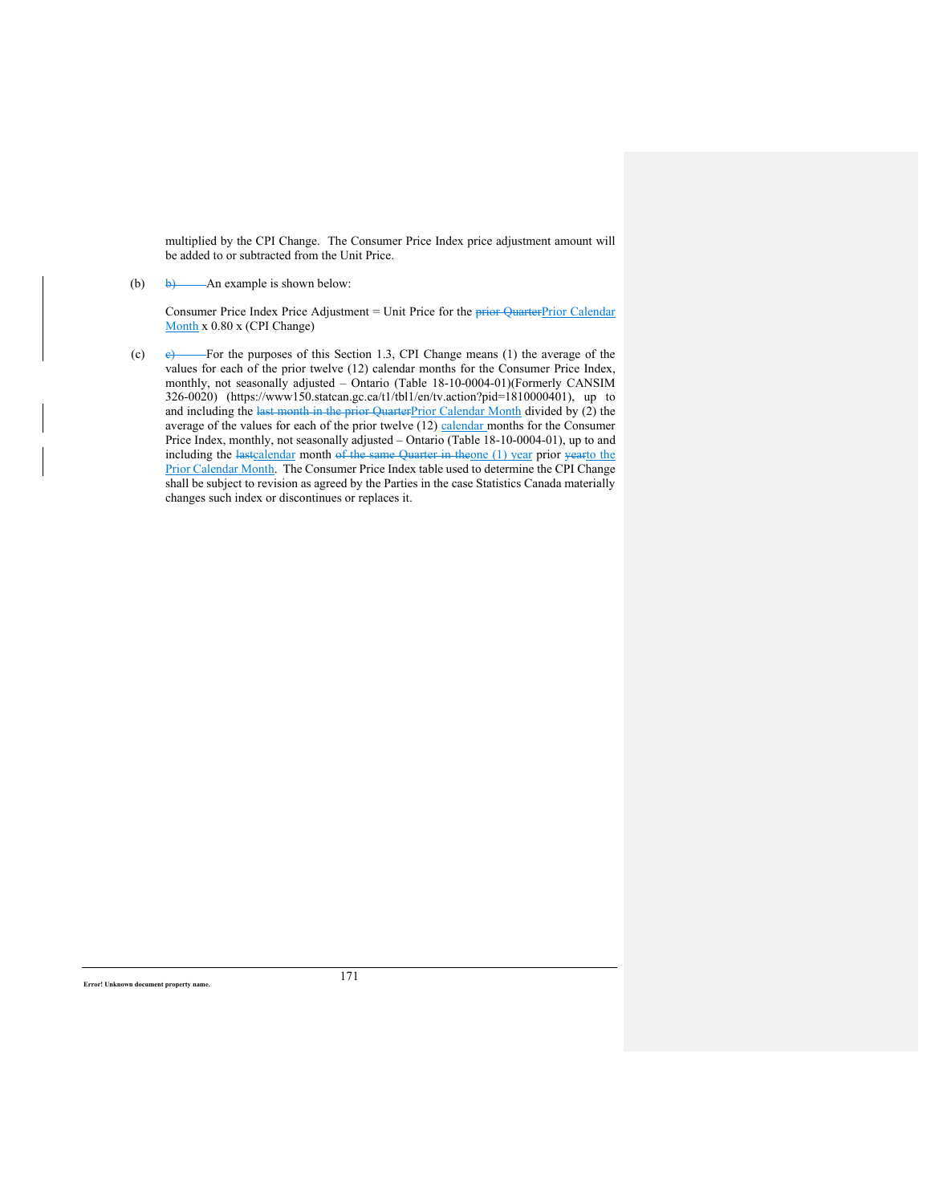multiplied by the CPI Change. The Consumer Price Index price adjustment amount will be added to or subtracted from the Unit Price.

# (b) b) — An example is shown below:

Consumer Price Index Price Adjustment = Unit Price for the  $\frac{p}{p}$  Quarter Prior Calendar Month x 0.80 x (CPI Change)

(c)  $e$  For the purposes of this Section 1.3, CPI Change means (1) the average of the values for each of the prior twelve (12) calendar months for the Consumer Price Index, monthly, not seasonally adjusted – Ontario (Table 18-10-0004-01)(Formerly CANSIM 326-0020) (https://www150.statcan.gc.ca/t1/tbl1/en/tv.action?pid=1810000401), up to and including the last month in the prior QuarterPrior Calendar Month divided by  $(2)$  the average of the values for each of the prior twelve  $(12)$  calendar months for the Consumer Price Index, monthly, not seasonally adjusted – Ontario (Table 18-10-0004-01), up to and including the lastcalendar month of the same Quarter in theone (1) year prior yearto the Prior Calendar Month. The Consumer Price Index table used to determine the CPI Change shall be subject to revision as agreed by the Parties in the case Statistics Canada materially changes such index or discontinues or replaces it.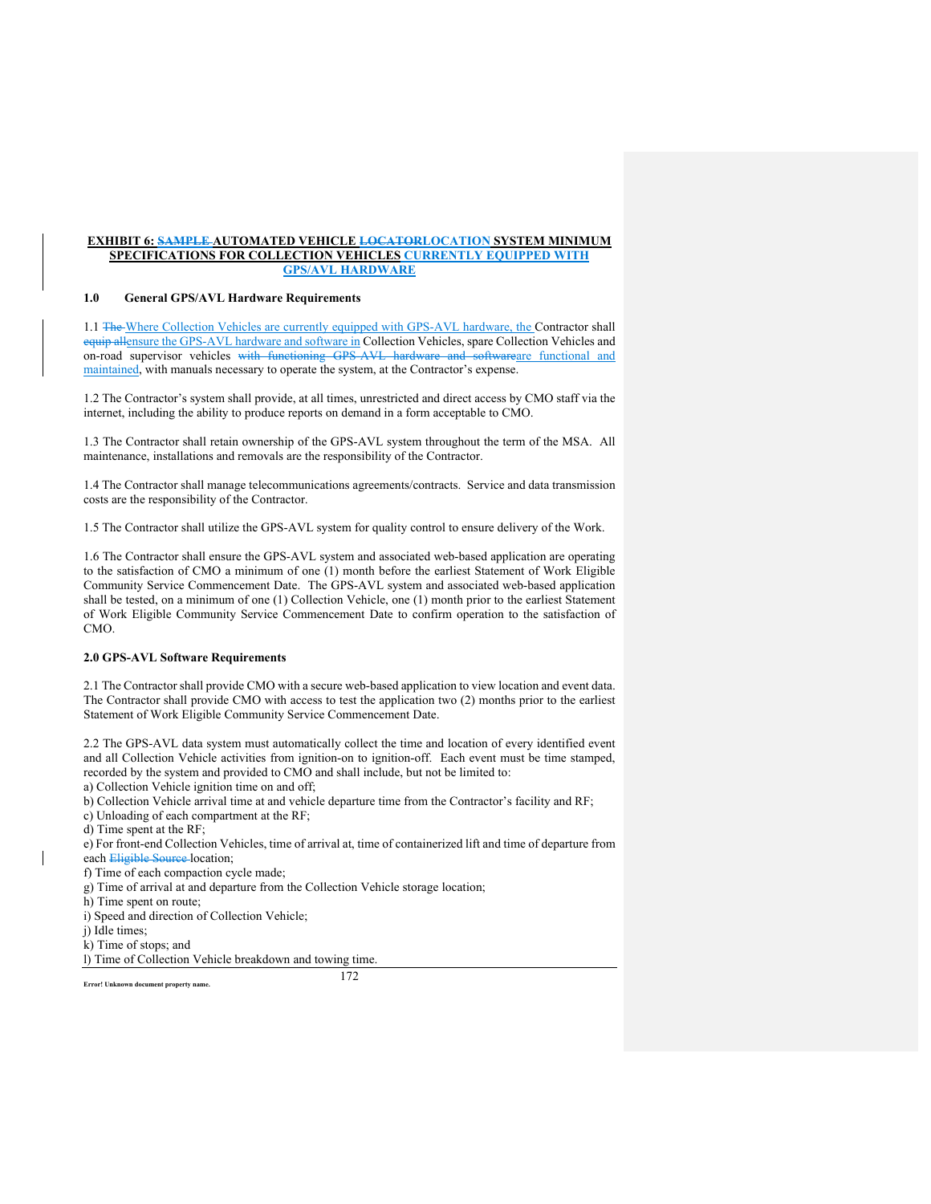### **EXHIBIT 6: SAMPLE AUTOMATED VEHICLE LOCATORLOCATION SYSTEM MINIMUM SPECIFICATIONS FOR COLLECTION VEHICLES CURRENTLY EQUIPPED WITH GPS/AVL HARDWARE**

# **1.0 General GPS/AVL Hardware Requirements**

1.1 The Where Collection Vehicles are currently equipped with GPS-AVL hardware, the Contractor shall equip allensure the GPS-AVL hardware and software in Collection Vehicles, spare Collection Vehicles and on-road supervisor vehicles with functioning GPS-AVL hardware and softwareare functional and maintained, with manuals necessary to operate the system, at the Contractor's expense.

1.2 The Contractor's system shall provide, at all times, unrestricted and direct access by CMO staff via the internet, including the ability to produce reports on demand in a form acceptable to CMO.

1.3 The Contractor shall retain ownership of the GPS-AVL system throughout the term of the MSA. All maintenance, installations and removals are the responsibility of the Contractor.

1.4 The Contractor shall manage telecommunications agreements/contracts. Service and data transmission costs are the responsibility of the Contractor.

1.5 The Contractor shall utilize the GPS-AVL system for quality control to ensure delivery of the Work.

1.6 The Contractor shall ensure the GPS-AVL system and associated web-based application are operating to the satisfaction of CMO a minimum of one (1) month before the earliest Statement of Work Eligible Community Service Commencement Date. The GPS-AVL system and associated web-based application shall be tested, on a minimum of one (1) Collection Vehicle, one (1) month prior to the earliest Statement of Work Eligible Community Service Commencement Date to confirm operation to the satisfaction of CMO.

#### **2.0 GPS-AVL Software Requirements**

2.1 The Contractor shall provide CMO with a secure web-based application to view location and event data. The Contractor shall provide CMO with access to test the application two (2) months prior to the earliest Statement of Work Eligible Community Service Commencement Date.

2.2 The GPS-AVL data system must automatically collect the time and location of every identified event and all Collection Vehicle activities from ignition-on to ignition-off. Each event must be time stamped, recorded by the system and provided to CMO and shall include, but not be limited to:

a) Collection Vehicle ignition time on and off;

b) Collection Vehicle arrival time at and vehicle departure time from the Contractor's facility and RF;

c) Unloading of each compartment at the RF;

d) Time spent at the RF;

e) For front-end Collection Vehicles, time of arrival at, time of containerized lift and time of departure from each Eligible Source-location;

f) Time of each compaction cycle made;

g) Time of arrival at and departure from the Collection Vehicle storage location;

h) Time spent on route;

i) Speed and direction of Collection Vehicle;

j) Idle times;

k) Time of stops; and

l) Time of Collection Vehicle breakdown and towing time.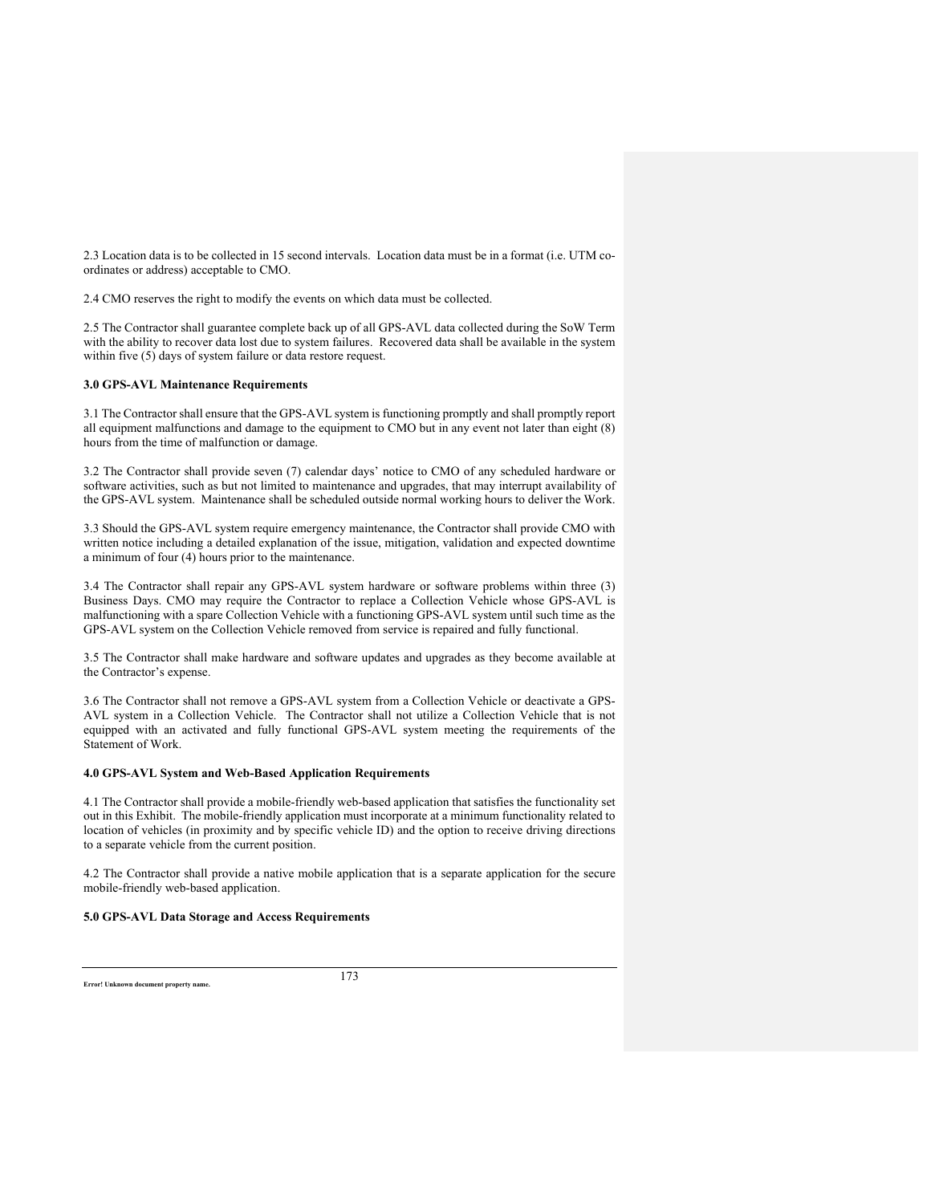2.3 Location data is to be collected in 15 second intervals. Location data must be in a format (i.e. UTM coordinates or address) acceptable to CMO.

2.4 CMO reserves the right to modify the events on which data must be collected.

2.5 The Contractor shall guarantee complete back up of all GPS-AVL data collected during the SoW Term with the ability to recover data lost due to system failures. Recovered data shall be available in the system within five (5) days of system failure or data restore request.

### **3.0 GPS-AVL Maintenance Requirements**

3.1 The Contractor shall ensure that the GPS-AVL system is functioning promptly and shall promptly report all equipment malfunctions and damage to the equipment to CMO but in any event not later than eight (8) hours from the time of malfunction or damage.

3.2 The Contractor shall provide seven (7) calendar days' notice to CMO of any scheduled hardware or software activities, such as but not limited to maintenance and upgrades, that may interrupt availability of the GPS-AVL system. Maintenance shall be scheduled outside normal working hours to deliver the Work.

3.3 Should the GPS-AVL system require emergency maintenance, the Contractor shall provide CMO with written notice including a detailed explanation of the issue, mitigation, validation and expected downtime a minimum of four (4) hours prior to the maintenance.

3.4 The Contractor shall repair any GPS-AVL system hardware or software problems within three (3) Business Days. CMO may require the Contractor to replace a Collection Vehicle whose GPS-AVL is malfunctioning with a spare Collection Vehicle with a functioning GPS-AVL system until such time as the GPS-AVL system on the Collection Vehicle removed from service is repaired and fully functional.

3.5 The Contractor shall make hardware and software updates and upgrades as they become available at the Contractor's expense.

3.6 The Contractor shall not remove a GPS-AVL system from a Collection Vehicle or deactivate a GPS-AVL system in a Collection Vehicle. The Contractor shall not utilize a Collection Vehicle that is not equipped with an activated and fully functional GPS-AVL system meeting the requirements of the Statement of Work.

### **4.0 GPS-AVL System and Web-Based Application Requirements**

4.1 The Contractor shall provide a mobile-friendly web-based application that satisfies the functionality set out in this Exhibit. The mobile-friendly application must incorporate at a minimum functionality related to location of vehicles (in proximity and by specific vehicle ID) and the option to receive driving directions to a separate vehicle from the current position.

4.2 The Contractor shall provide a native mobile application that is a separate application for the secure mobile-friendly web-based application.

# **5.0 GPS-AVL Data Storage and Access Requirements**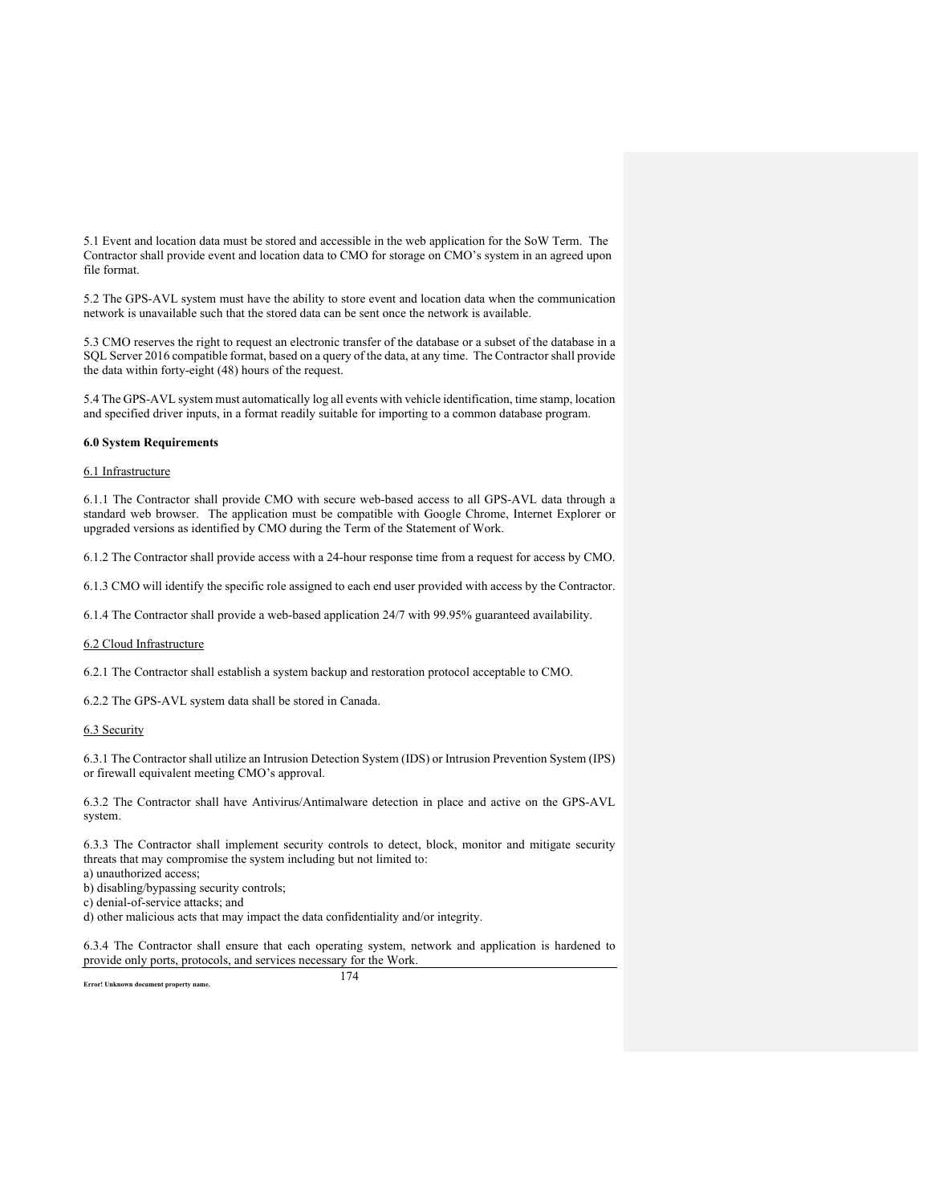5.1 Event and location data must be stored and accessible in the web application for the SoW Term. The Contractor shall provide event and location data to CMO for storage on CMO's system in an agreed upon file format.

5.2 The GPS-AVL system must have the ability to store event and location data when the communication network is unavailable such that the stored data can be sent once the network is available.

5.3 CMO reserves the right to request an electronic transfer of the database or a subset of the database in a SQL Server 2016 compatible format, based on a query of the data, at any time. The Contractor shall provide the data within forty-eight (48) hours of the request.

5.4 The GPS-AVL system must automatically log all events with vehicle identification, time stamp, location and specified driver inputs, in a format readily suitable for importing to a common database program.

# **6.0 System Requirements**

### 6.1 Infrastructure

6.1.1 The Contractor shall provide CMO with secure web-based access to all GPS-AVL data through a standard web browser. The application must be compatible with Google Chrome, Internet Explorer or upgraded versions as identified by CMO during the Term of the Statement of Work.

6.1.2 The Contractor shall provide access with a 24-hour response time from a request for access by CMO.

6.1.3 CMO will identify the specific role assigned to each end user provided with access by the Contractor.

6.1.4 The Contractor shall provide a web-based application 24/7 with 99.95% guaranteed availability.

### 6.2 Cloud Infrastructure

6.2.1 The Contractor shall establish a system backup and restoration protocol acceptable to CMO.

6.2.2 The GPS-AVL system data shall be stored in Canada.

### 6.3 Security

6.3.1 The Contractor shall utilize an Intrusion Detection System (IDS) or Intrusion Prevention System (IPS) or firewall equivalent meeting CMO's approval.

6.3.2 The Contractor shall have Antivirus/Antimalware detection in place and active on the GPS-AVL system.

6.3.3 The Contractor shall implement security controls to detect, block, monitor and mitigate security threats that may compromise the system including but not limited to:

a) unauthorized access;

b) disabling/bypassing security controls;

c) denial-of-service attacks; and

d) other malicious acts that may impact the data confidentiality and/or integrity.

6.3.4 The Contractor shall ensure that each operating system, network and application is hardened to provide only ports, protocols, and services necessary for the Work.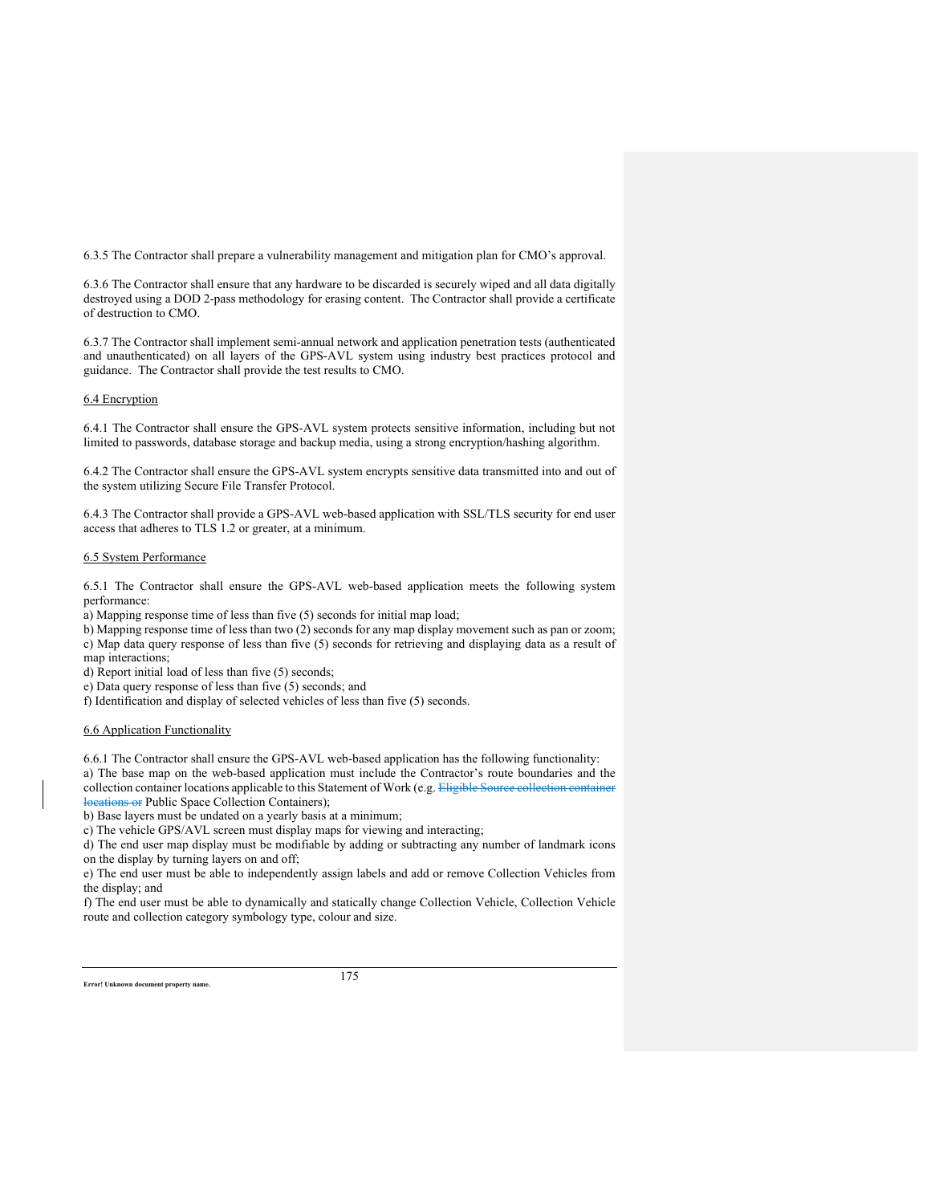6.3.5 The Contractor shall prepare a vulnerability management and mitigation plan for CMO's approval.

6.3.6 The Contractor shall ensure that any hardware to be discarded is securely wiped and all data digitally destroyed using a DOD 2-pass methodology for erasing content. The Contractor shall provide a certificate of destruction to CMO.

6.3.7 The Contractor shall implement semi-annual network and application penetration tests (authenticated and unauthenticated) on all layers of the GPS-AVL system using industry best practices protocol and guidance. The Contractor shall provide the test results to CMO.

# 6.4 Encryption

6.4.1 The Contractor shall ensure the GPS-AVL system protects sensitive information, including but not limited to passwords, database storage and backup media, using a strong encryption/hashing algorithm.

6.4.2 The Contractor shall ensure the GPS-AVL system encrypts sensitive data transmitted into and out of the system utilizing Secure File Transfer Protocol.

6.4.3 The Contractor shall provide a GPS-AVL web-based application with SSL/TLS security for end user access that adheres to TLS 1.2 or greater, at a minimum.

# 6.5 System Performance

6.5.1 The Contractor shall ensure the GPS-AVL web-based application meets the following system performance:

a) Mapping response time of less than five (5) seconds for initial map load;

b) Mapping response time of less than two (2) seconds for any map display movement such as pan or zoom; c) Map data query response of less than five (5) seconds for retrieving and displaying data as a result of map interactions;

d) Report initial load of less than five (5) seconds;

e) Data query response of less than five (5) seconds; and

f) Identification and display of selected vehicles of less than five (5) seconds.

### 6.6 Application Functionality

6.6.1 The Contractor shall ensure the GPS-AVL web-based application has the following functionality:

a) The base map on the web-based application must include the Contractor's route boundaries and the collection container locations applicable to this Statement of Work (e.g. Eligible Source collection container locations or Public Space Collection Containers);

b) Base layers must be undated on a yearly basis at a minimum;

c) The vehicle GPS/AVL screen must display maps for viewing and interacting;

d) The end user map display must be modifiable by adding or subtracting any number of landmark icons on the display by turning layers on and off;

e) The end user must be able to independently assign labels and add or remove Collection Vehicles from the display; and

f) The end user must be able to dynamically and statically change Collection Vehicle, Collection Vehicle route and collection category symbology type, colour and size.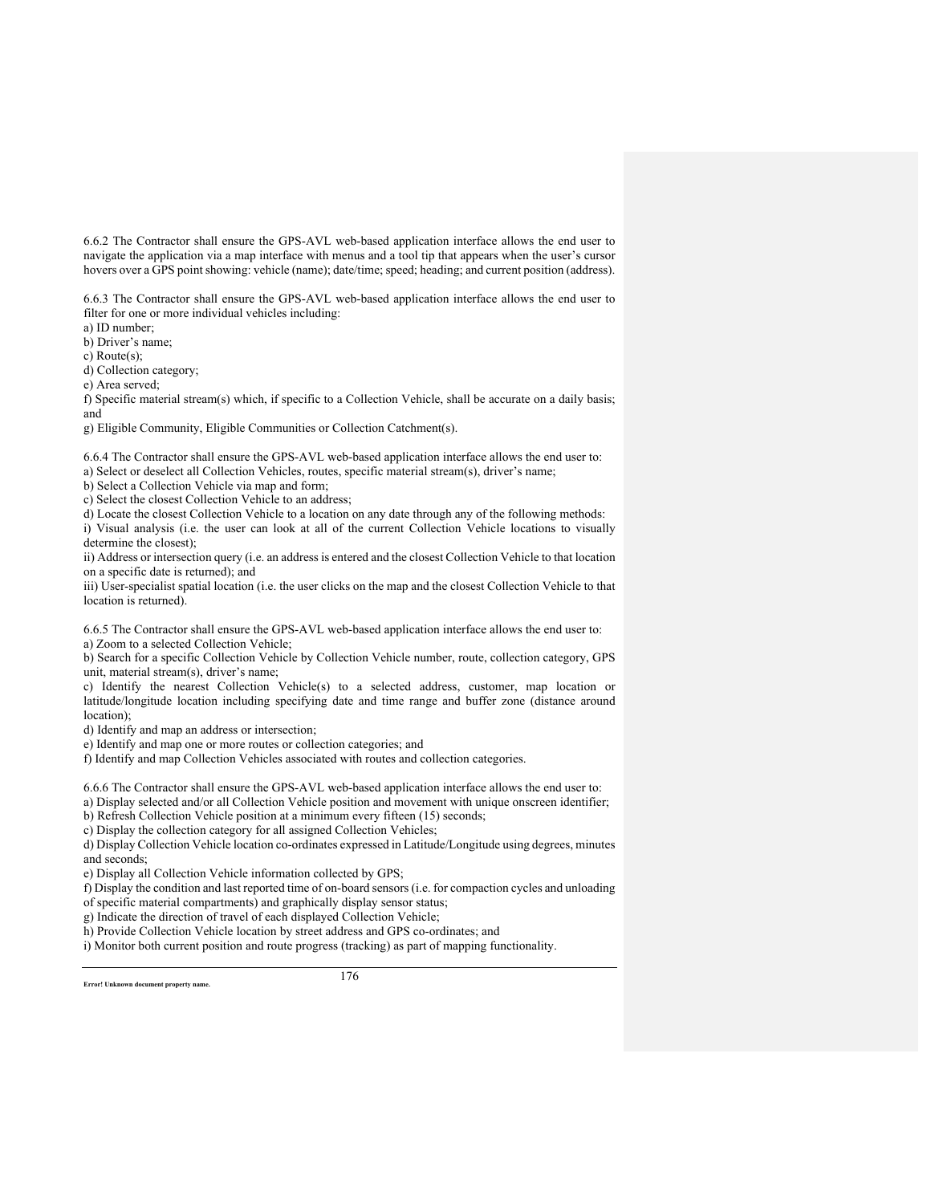6.6.2 The Contractor shall ensure the GPS-AVL web-based application interface allows the end user to navigate the application via a map interface with menus and a tool tip that appears when the user's cursor hovers over a GPS point showing: vehicle (name); date/time; speed; heading; and current position (address).

6.6.3 The Contractor shall ensure the GPS-AVL web-based application interface allows the end user to filter for one or more individual vehicles including:

a) ID number;

b) Driver's name;

c) Route(s);

d) Collection category;

e) Area served;

f) Specific material stream(s) which, if specific to a Collection Vehicle, shall be accurate on a daily basis; and

g) Eligible Community, Eligible Communities or Collection Catchment(s).

6.6.4 The Contractor shall ensure the GPS-AVL web-based application interface allows the end user to: a) Select or deselect all Collection Vehicles, routes, specific material stream(s), driver's name;

b) Select a Collection Vehicle via map and form;

c) Select the closest Collection Vehicle to an address;

d) Locate the closest Collection Vehicle to a location on any date through any of the following methods: i) Visual analysis (i.e. the user can look at all of the current Collection Vehicle locations to visually determine the closest);

ii) Address or intersection query (i.e. an address is entered and the closest Collection Vehicle to that location on a specific date is returned); and

iii) User-specialist spatial location (i.e. the user clicks on the map and the closest Collection Vehicle to that location is returned).

6.6.5 The Contractor shall ensure the GPS-AVL web-based application interface allows the end user to: a) Zoom to a selected Collection Vehicle;

b) Search for a specific Collection Vehicle by Collection Vehicle number, route, collection category, GPS unit, material stream(s), driver's name;

c) Identify the nearest Collection Vehicle(s) to a selected address, customer, map location or latitude/longitude location including specifying date and time range and buffer zone (distance around location);

d) Identify and map an address or intersection;

e) Identify and map one or more routes or collection categories; and

f) Identify and map Collection Vehicles associated with routes and collection categories.

6.6.6 The Contractor shall ensure the GPS-AVL web-based application interface allows the end user to:

a) Display selected and/or all Collection Vehicle position and movement with unique onscreen identifier;

b) Refresh Collection Vehicle position at a minimum every fifteen (15) seconds;

c) Display the collection category for all assigned Collection Vehicles;

d) Display Collection Vehicle location co-ordinates expressed in Latitude/Longitude using degrees, minutes and seconds;

e) Display all Collection Vehicle information collected by GPS;

f) Display the condition and last reported time of on-board sensors (i.e. for compaction cycles and unloading of specific material compartments) and graphically display sensor status;

g) Indicate the direction of travel of each displayed Collection Vehicle;

h) Provide Collection Vehicle location by street address and GPS co-ordinates; and

i) Monitor both current position and route progress (tracking) as part of mapping functionality.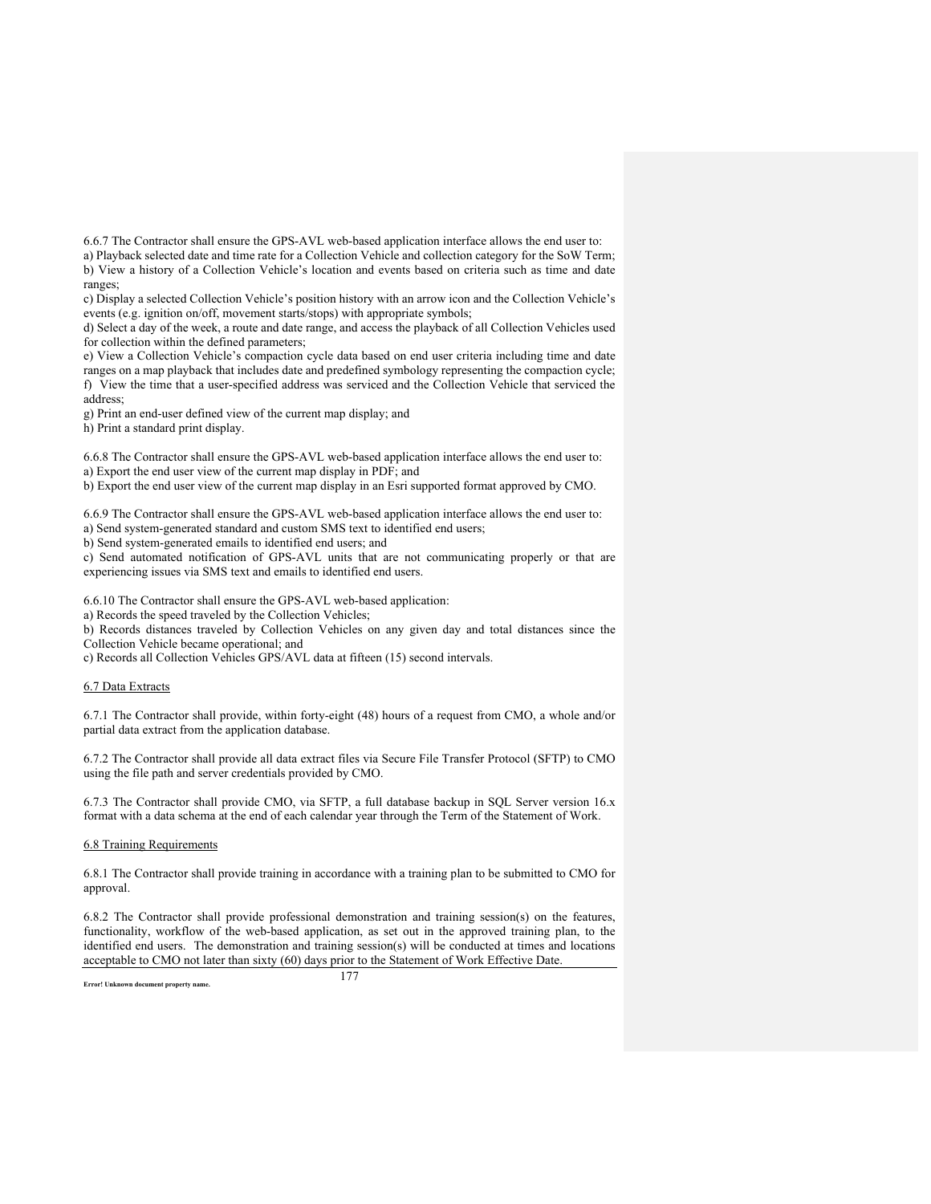6.6.7 The Contractor shall ensure the GPS-AVL web-based application interface allows the end user to:

a) Playback selected date and time rate for a Collection Vehicle and collection category for the SoW Term; b) View a history of a Collection Vehicle's location and events based on criteria such as time and date ranges;

c) Display a selected Collection Vehicle's position history with an arrow icon and the Collection Vehicle's events (e.g. ignition on/off, movement starts/stops) with appropriate symbols;

d) Select a day of the week, a route and date range, and access the playback of all Collection Vehicles used for collection within the defined parameters;

e) View a Collection Vehicle's compaction cycle data based on end user criteria including time and date ranges on a map playback that includes date and predefined symbology representing the compaction cycle; f) View the time that a user-specified address was serviced and the Collection Vehicle that serviced the address;

g) Print an end-user defined view of the current map display; and

h) Print a standard print display.

6.6.8 The Contractor shall ensure the GPS-AVL web-based application interface allows the end user to: a) Export the end user view of the current map display in PDF; and

b) Export the end user view of the current map display in an Esri supported format approved by CMO.

6.6.9 The Contractor shall ensure the GPS-AVL web-based application interface allows the end user to: a) Send system-generated standard and custom SMS text to identified end users;

b) Send system-generated emails to identified end users; and

c) Send automated notification of GPS-AVL units that are not communicating properly or that are

experiencing issues via SMS text and emails to identified end users.

6.6.10 The Contractor shall ensure the GPS-AVL web-based application:

a) Records the speed traveled by the Collection Vehicles;

b) Records distances traveled by Collection Vehicles on any given day and total distances since the Collection Vehicle became operational; and

c) Records all Collection Vehicles GPS/AVL data at fifteen (15) second intervals.

# 6.7 Data Extracts

6.7.1 The Contractor shall provide, within forty-eight (48) hours of a request from CMO, a whole and/or partial data extract from the application database.

6.7.2 The Contractor shall provide all data extract files via Secure File Transfer Protocol (SFTP) to CMO using the file path and server credentials provided by CMO.

6.7.3 The Contractor shall provide CMO, via SFTP, a full database backup in SQL Server version 16.x format with a data schema at the end of each calendar year through the Term of the Statement of Work.

### 6.8 Training Requirements

6.8.1 The Contractor shall provide training in accordance with a training plan to be submitted to CMO for approval.

6.8.2 The Contractor shall provide professional demonstration and training session(s) on the features, functionality, workflow of the web-based application, as set out in the approved training plan, to the identified end users. The demonstration and training session(s) will be conducted at times and locations acceptable to CMO not later than sixty (60) days prior to the Statement of Work Effective Date.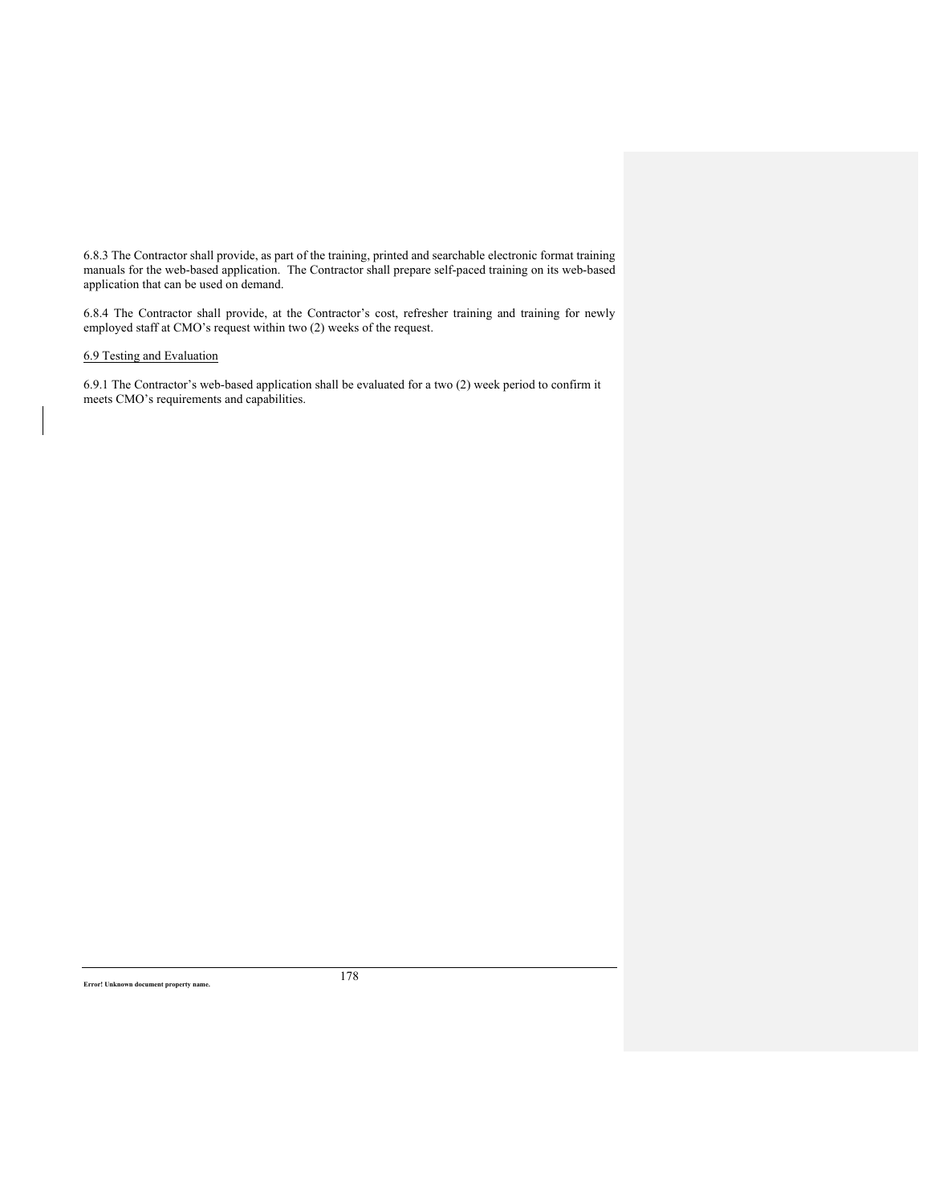6.8.3 The Contractor shall provide, as part of the training, printed and searchable electronic format training manuals for the web-based application. The Contractor shall prepare self-paced training on its web-based application that can be used on demand.

6.8.4 The Contractor shall provide, at the Contractor's cost, refresher training and training for newly employed staff at CMO's request within two (2) weeks of the request.

6.9 Testing and Evaluation

6.9.1 The Contractor's web-based application shall be evaluated for a two (2) week period to confirm it meets CMO's requirements and capabilities.